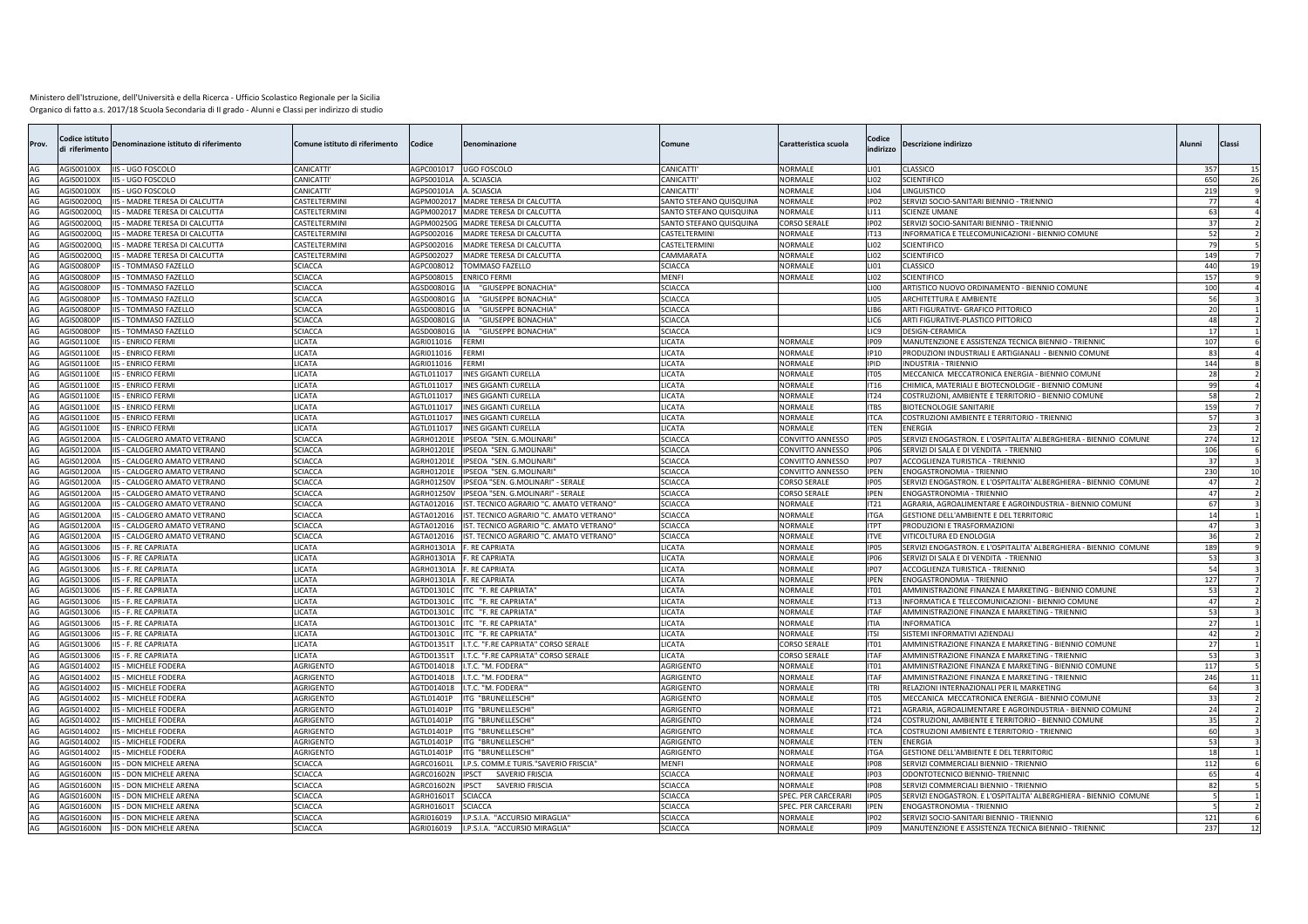| Prov.      | odice istitut:<br>li riferimento | Denominazione istituto di riferimento               | Comune istituto di riferimento | Codice                   | Denominazione                                 | Comune                  | Caratteristica scuola | `odice<br>ndirizzo  | Descrizione indirizzo                                            | Alunni          | Classi        |
|------------|----------------------------------|-----------------------------------------------------|--------------------------------|--------------------------|-----------------------------------------------|-------------------------|-----------------------|---------------------|------------------------------------------------------------------|-----------------|---------------|
|            | AGIS00100X                       | S - UGO FOSCOLO                                     | CANICATTI'                     | AGPC001017               | UGO FOSCOLO                                   | CANICATTI               | <b>NORMALE</b>        | LI <sub>01</sub>    | CLASSICO                                                         | 35              |               |
| AG         | AGIS00100X                       | IIS - UGO FOSCOLO                                   | CANICATTI'                     | AGPS00101A               | A. SCIASCIA                                   | CANICATTI               | NORMALE               | LIO2                | <b>SCIENTIFICO</b>                                               | 65              | 26            |
| AG         | AGIS00100X                       | IS - UGO FOSCOLO                                    | CANICATTI'                     | AGPS00101A               | A. SCIASCIA                                   | CANICATTI'              | NORMALE               | LI04                | LINGUISTICO                                                      |                 | 219           |
| ΔG         | AGIS00200Q                       | IS - MADRE TERESA DI CALCUTTA                       | CASTELTERMINI                  | AGPM002017               | MADRE TERESA DI CALCUTTA                      | SANTO STEFANO QUISQUINA | <b>NORMALE</b>        | IP <sub>02</sub>    | SERVIZI SOCIO-SANITARI BIENNIO - TRIENNIO                        |                 |               |
|            | AGIS00200Q                       | S - MADRE TERESA DI CALCUTTA                        | CASTELTERMINI                  | AGPM002017               | MADRE TERESA DI CALCUTTA                      | SANTO STEFANO QUISQUINA | NORMALE               | LI 11               | <b>SCIENZE UMANE</b>                                             |                 |               |
|            | AGIS00200Q                       | IS - MADRE TERESA DI CALCUTTA                       | CASTELTERMINI                  |                          | AGPM00250G MADRE TERESA DI CALCUTTA           | SANTO STEFANO QUISQUINA | CORSO SERALE          | P02                 | SERVIZI SOCIO-SANITARI BIENNIO - TRIENNIO                        |                 |               |
|            | AGIS00200Q                       | S - MADRE TERESA DI CALCUTTA                        | CASTELTERMINI                  | AGPS002016               | MADRE TERESA DI CALCUTTA                      | CASTELTERMINI           | NORMALI               | IT13                | INFORMATICA E TELECOMUNICAZIONI - BIENNIO COMUNE                 |                 |               |
|            | AGIS00200Q                       | S - MADRE TERESA DI CALCUTTA                        | CASTELTERMINI                  | AGPS002016               | MADRE TERESA DI CALCUTTA                      | CASTELTERMINI           | NORMALE               | LIO2                | <b>SCIENTIFICO</b>                                               |                 |               |
|            | AGIS00200Q<br><b>AGIS00800P</b>  | S - MADRE TERESA DI CALCUTTA<br>S - TOMMASO FAZELLO | CASTELTERMINI<br>SCIACCA       | AGPS002027               | MADRE TERESA DI CALCUTTA                      | CAMMARATA               | NORMALI<br>VORMALE    | LIO2                | <b>SCIENTIFICO</b>                                               | 14<br>44        |               |
| AG<br>AG   | AGIS00800P                       | IS - TOMMASO FAZELLO                                | SCIACCA                        | AGPC008012<br>AGPS008015 | <b>TOMMASO FAZELLO</b><br><b>ENRICO FERMI</b> | SCIACCA                 | NORMALE               | LIO1<br><b>LIO2</b> | <b>CLASSICO</b><br><b>SCIENTIFICO</b>                            | 15              | 19            |
|            | AGIS00800P                       | IS - TOMMASO FAZELLO                                | SCIACCA                        | AGSD00801G               |                                               | MENFI<br>SCIACCA        |                       | LIOO                | ARTISTICO NUOVO ORDINAMENTO - BIENNIO COMUNE                     |                 |               |
| AG         | AGIS00800P                       | IS - TOMMASO FAZELLO                                | SCIACCA                        | AGSD00801G               | "GIUSEPPE BONACHIA"<br>"GIUSEPPE BONACHIA'    | <b>SCIACCA</b>          |                       | <b>LIO5</b>         | ARCHITETTURA E AMBIENTE                                          | 10              |               |
| AG         | AGIS00800P                       | <b>IIS - TOMMASO FAZELLO</b>                        | SCIACCA                        | AGSD00801G               | "GIUSEPPE BONACHIA"                           | SCIACCA                 |                       | LIB6                | ARTI FIGURATIVE- GRAFICO PITTORICO                               |                 |               |
| AG         | AGIS00800P                       | IS - TOMMASO FAZELLO                                | <b>SCIACCA</b>                 | AGSD00801G               | "GIUSEPPE BONACHIA                            | SCIACCA                 |                       | LIC6                | ARTI FIGURATIVE-PLASTICO PITTORICO                               |                 |               |
|            | <b>AGIS00800P</b>                | S - TOMMASO FAZELLO                                 | <b>SCIACCA</b>                 | AGSD00801G               | "GIUSEPPE BONACHIA'                           | SCIACCA                 |                       | IC <sub>9</sub>     | DESIGN-CERAMICA                                                  |                 |               |
| AG         | GIS01100E                        | IS - ENRICO FERMI                                   | <b>ICATA</b>                   | AGRI011016               | <b>ERMI</b>                                   | <b>ICATA</b>            | VORMALE               | P09                 | MANUTENZIONE E ASSISTENZA TECNICA BIENNIO - TRIENNIC             | 10              |               |
| AG         | <b>AGIS01100E</b>                | IS - ENRICO FERMI                                   | <b>ICATA</b>                   | AGRI011016               | ERMI                                          | <b>ICATA</b>            | NORMALE               | P <sub>10</sub>     | PRODUZIONI INDUSTRIALI E ARTIGIANALI - BIENNIO COMUNE            |                 |               |
|            | <b>AGIS01100E</b>                | S - ENRICO FERMI                                    | <b>ICATA</b>                   | AGRI011016               | FFRMI                                         | <b>ICATA</b>            | NORMALE               | <b>IPID</b>         | <b>INDUSTRIA - TRIENNIO</b>                                      |                 | 144           |
|            | AGIS01100E                       | S - ENRICO FERMI                                    | <b>ICATA</b>                   | AGTL011017               | INES GIGANTI CURELLA                          | LICATA                  | NORMALE               | T05                 | MECCANICA MECCATRONICA ENERGIA - BIENNIO COMUNE                  |                 |               |
| AG         | AGIS01100E                       | <b>IS - ENRICO FERMI</b>                            | <b>ICATA</b>                   | AGTL011017               | <b>INES GIGANTI CURELLA</b>                   | LICATA                  | NORMALE               | T16                 | CHIMICA, MATERIALI E BIOTECNOLOGIE - BIENNIO COMUNE              |                 |               |
| AG         | AGIS01100E                       | IS - ENRICO FERMI                                   | LICATA                         | AGTL011017               | <b>INES GIGANTI CURELLA</b>                   | LICATA                  | NORMALE               | IT24                | COSTRUZIONI, AMBIENTE E TERRITORIO - BIENNIO COMUNE              |                 |               |
| AG         | AGIS01100E                       | IS - ENRICO FERMI                                   | LICATA                         | AGTL011017               | <b>INES GIGANTI CURELLA</b>                   | LICATA                  | NORMALE               | <b>TRS</b>          | <b>BIOTECNOLOGIE SANITARIE</b>                                   | 15              |               |
| AG         | AGIS01100E                       | <b>IS - ENRICO FERMI</b>                            | <b>ICATA</b>                   | AGTL011017               | <b>INES GIGANTI CURELLA</b>                   | <b>ICATA</b>            | NORMALE               | <b>TCA</b>          | COSTRUZIONI AMBIENTE E TERRITORIO - TRIENNIC                     |                 |               |
| AG         | AGIS01100E                       | IIS - ENRICO FERMI                                  | LICATA                         | AGTL011017               | <b>INES GIGANTI CURELLA</b>                   | LICATA                  | <b>NORMALE</b>        | <b>TEN</b>          | <b>FNFRGIA</b>                                                   |                 |               |
| $\Delta G$ | AGIS01200A                       | IS - CALOGERO AMATO VETRANO                         | <b>SCIACCA</b>                 | AGRH01201E               | IPSEOA "SEN, G.MOLINARI                       | SCIACCA                 | CONVITTO ANNESSO      | IP <sub>05</sub>    | SERVIZI ENOGASTRON, E L'OSPITALITA' ALBERGHIERA - BIENNIO COMUNE |                 | 274<br>12     |
|            | <b>AGIS01200A</b>                | S - CALOGERO AMATO VETRANO                          | <b>SCIACCA</b>                 | AGRH01201E               | IPSEOA "SEN. G.MOLINARI                       | <b>SCIACCA</b>          | CONVITTO ANNESSO      | <b>P06</b>          | SERVIZI DI SALA E DI VENDITA - TRIENNIO                          | 10              |               |
|            | <b>AGIS01200A</b>                | IS - CALOGERO AMATO VETRANO                         | SCIACCA                        | AGRH01201E               | IPSEOA "SEN, G.MOLINARI                       | <b>SCIACCA</b>          | CONVITTO ANNESSO      | <b>P07</b>          | ACCOGLIENZA TURISTICA - TRIENNIO                                 |                 |               |
| AG         | <b>AGIS01200A</b>                | IS - CALOGERO AMATO VETRANO                         | SCIACCA                        | AGRH01201E               | IPSEOA "SEN. G.MOLINARI"                      | SCIACCA                 | CONVITTO ANNESSO      | <b>PEN</b>          | <b>FNOGASTRONOMIA - TRIENNIO</b>                                 |                 | 230<br>10     |
|            | AGIS01200A                       | S - CALOGERO AMATO VETRANO                          | SCIACCA                        | <b>AGRH01250V</b>        | IPSEOA "SEN. G.MOLINARI" - SERALE             | SCIACCA                 | CORSO SERALE          | <b>PO5</b>          | SERVIZI ENOGASTRON. E L'OSPITALITA' ALBERGHIERA - BIENNIO COMUNE |                 |               |
|            | <b>AGIS01200A</b>                | S - CALOGERO AMATO VETRANO                          | SCIACCA                        | AGRH01250V               | IPSEOA "SEN. G.MOLINARI" - SERALE             | SCIACCA                 | CORSO SERALE          | PEN                 | ENOGASTRONOMIA - TRIENNIO                                        |                 |               |
| AG         | <b>AGIS01200A</b>                | S - CALOGERO AMATO VETRANO                          | SCIACCA                        | AGTA012016               | IST. TECNICO AGRARIO "C. AMATO VETRANO"       | SCIACCA                 | NORMAI F              | T21                 | AGRARIA, AGROALIMENTARE E AGROINDUSTRIA - BIENNIO COMUNE         |                 |               |
| AG         | AGIS01200A                       | S - CALOGERO AMATO VETRANO                          | <b>SCIACCA</b>                 | AGTA012016               | IST. TECNICO AGRARIO "C. AMATO VETRANO"       | SCIACCA                 | NORMALE               | <b>TGA</b>          | GESTIONE DELL'AMBIENTE E DEL TERRITORIO                          |                 |               |
| ΔG         | <b>AGIS01200A</b>                | S - CALOGERO AMATO VETRANO                          | SCIACCA                        | AGTA012016               | ST. TECNICO AGRARIO "C. AMATO VETRANO"        | SCIACCA                 | NORMALE               | <b>TPT</b>          | PRODUZIONI E TRASFORMAZIONI                                      |                 | $\Lambda$     |
|            | <b>AGIS01200A</b>                | IS - CALOGERO AMATO VETRANO                         | <b>SCIACCA</b>                 | AGTA012016               | IST. TECNICO AGRARIO "C. AMATO VETRANO"       | SCIACCA                 | NORMALE               | <b>TVF</b>          | VITICOLTURA ED ENOLOGIA                                          |                 |               |
|            | AGIS013006                       | <b>IIS - F. RE CAPRIATA</b>                         | LICATA                         | AGRH01301A               | . RE CAPRIATA                                 | LICATA                  | NORMALE               | IPO5                | SERVIZI ENOGASTRON. E L'OSPITALITA' ALBERGHIERA - BIENNIO COMUNE | 18 <sup>1</sup> |               |
| ΔG         | AGIS013006                       | <b>IIS - F. RE CAPRIATA</b>                         | LICATA                         | AGRH01301A               | . RE CAPRIATA                                 | LICATA                  | <b>NORMALE</b>        | <b>IP06</b>         | SERVIZI DI SALA E DI VENDITA - TRIENNIO                          |                 |               |
|            | AGIS013006                       | IIS - F. RE CAPRIATA                                | LICATA                         | <b>AGRH01301A</b>        | RF CAPRIATA                                   | LICATA                  | NORMALE               | IP <sub>07</sub>    | ACCOGLIENZA TURISTICA - TRIENNIO                                 |                 |               |
| AG         | AGIS013006                       | <b>IIS - F. RE CAPRIATA</b>                         | <b>ICATA</b>                   | AGRH01301A               | . RE CAPRIATA                                 | <b>ICATA</b>            | NORMALE               | <b>PEN</b>          | ENOGASTRONOMIA - TRIENNIO                                        |                 | 127           |
| AG         | AGIS013006                       | IIS - F. RE CAPRIATA                                | LICATA                         | AGTD01301C               | ITC "F. RE CAPRIATA"                          | LICATA                  | NORMALE               | IT01                | AMMINISTRAZIONE FINANZA E MARKETING - BIENNIO COMUNE             |                 |               |
| ΔG         | AGIS013006                       | <b>IIS - F. RE CAPRIATA</b>                         | LICATA                         | AGTD01301C               | ITC "F. RE CAPRIATA"                          | LICATA                  | NORMALE               | IT13                | INFORMATICA E TELECOMUNICAZIONI - BIENNIO COMUNE                 |                 | $\mathbf{A}$  |
|            | AGIS013006                       | IS - F. RE CAPRIATA                                 | <b>ICATA</b>                   |                          | AGTD01301C ITC "F. RE CAPRIATA"               | <b>ICATA</b>            | NORMALE               | <b>TAF</b>          | AMMINISTRAZIONE FINANZA E MARKETING - TRIENNIO                   |                 |               |
|            | AGIS013006                       | <b>IIS - F. RE CAPRIATA</b>                         | <b>ICATA</b>                   |                          | AGTD01301C ITC "F. RE CAPRIATA"               | LICATA                  | NORMALE               | <b>TIA</b>          | <b>INFORMATICA</b>                                               |                 |               |
| AG         | AGIS013006                       | <b>IIS - F. RE CAPRIATA</b>                         | LICATA                         | AGTD01301C               | ITC "F. RE CAPRIATA"                          | LICATA                  | <b>NORMALE</b>        | ITSI                | SISTEMI INFORMATIVI AZIENDALI                                    |                 |               |
|            | AGIS013006                       | IS - F. RE CAPRIATA                                 | LICATA                         | AGTD01351T               | I.T.C. "F.RE CAPRIATA" CORSO SERALE           | LICATA                  | <b>CORSO SERALE</b>   | T01                 | AMMINISTRAZIONE FINANZA E MARKETING - BIENNIO COMUNE             |                 |               |
| AG         | AGIS013006                       | <b>IIS - F. RE CAPRIATA</b>                         | <b>ICATA</b>                   | AGTD01351T               | I.T.C. "F.RE CAPRIATA" CORSO SERALE           | <b>ICATA</b>            | CORSO SERALE          | <b>TAF</b>          | AMMINISTRAZIONE FINANZA E MARKETING - TRIENNIO                   |                 |               |
| AG         | AGIS014002                       | <b>IIS - MICHELE FODERA</b>                         | AGRIGENTO                      |                          | AGTD014018 I.T.C. "M. FODERA"                 | AGRIGENTO               | <b>NORMALE</b>        | T01                 | AMMINISTRAZIONE FINANZA E MARKETING - BIENNIO COMUNE             |                 | 117           |
| AG         | AGIS014002                       | IIS - MICHELE FODERA                                | AGRIGENTO                      | AGTD014018               | I.T.C. "M. FODERA'                            | AGRIGENTO               | NORMALE               | <b>ITAF</b>         | AMMINISTRAZIONE FINANZA E MARKETING - TRIENNIO                   |                 | 246<br>11     |
| AG         | AGIS014002                       | IS - MICHELE FODERA                                 | AGRIGENTO                      | AGTD014018               | I.T.C. "M. FODERA'                            | AGRIGENTO               | <b>NORMALE</b>        | <b>ITRI</b>         | RELAZIONI INTERNAZIONALI PER IL MARKETING                        |                 | $\mathcal{L}$ |
| AG         | AGIS014002                       | IIS - MICHELE FODERA                                | AGRIGENTO                      | AGTL01401P               | ITG "BRUNELLESCHI'                            | AGRIGENTO               | NORMALE               | IT05                | MECCANICA MECCATRONICA ENERGIA - BIENNIO COMUNE                  |                 |               |
|            | AGIS014002                       | <b>IIS - MICHELE FODERA</b>                         | AGRIGENTO                      | AGTL01401P               | ITG "BRUNELLESCHI'                            | AGRIGENTO               | <b>NORMALE</b>        | T <sub>21</sub>     | AGRARIA, AGROALIMENTARE E AGROINDUSTRIA - BIENNIO COMUNE         |                 |               |
| ΔG         | AGIS014002                       | <b>IIS - MICHELE FODERA</b>                         | AGRIGENTO                      | AGTL01401P               | <b>ITG "BRUNELLESCHI"</b>                     | AGRIGENTO               | <b>NORMALE</b>        | IT24                | COSTRUZIONI, AMBIENTE E TERRITORIO - BIENNIO COMUNE              |                 |               |
|            | AGIS014002                       | S - MICHELE FODERA                                  | <b>AGRIGENTO</b>               | AGTL01401P               | ITG "BRUNELLESCHI                             | AGRIGENTO               | VORMALE               | TCA                 | COSTRUZIONI AMBIENTE E TERRITORIO - TRIENNIC                     |                 |               |
| ΔG         | AGIS014002                       | IS - MICHELE FODERA                                 | AGRIGENTO                      | AGTL01401P               | <b>ITG "BRUNELLESCHI</b>                      | AGRIGENTO               | NORMALE               | <b>TEN</b>          | <b>ENERGIA</b>                                                   |                 |               |
| AG         | AGIS014002                       | S - MICHELE FODERA                                  | AGRIGENTO                      | AGTL01401P               | <b>TG "BRUNELLESCHI</b>                       | AGRIGENTC               | NORMALE               | <b>TGA</b>          | GESTIONE DELL'AMBIENTE E DEL TERRITORIC                          |                 |               |
|            | <b>AGIS01600N</b>                | S - DON MICHELE ARENA                               | SCIACCA                        | AGRC01601L               | I.P.S. COMM.E TURIS."SAVERIO FRISCIA'         | MENFI                   | NORMALE               | <b>P08</b>          | SERVIZI COMMERCIALI BIENNIO - TRIENNIO                           | 11              |               |
|            | <b>AGIS01600N</b>                | S - DON MICHELE ARENA                               | SCIACCA                        | AGRC01602N               | <b>PSCT</b><br>SAVERIO FRISCIA                | SCIACCA                 | NORMALE               | P <sub>03</sub>     | ODONTOTECNICO BIENNIO- TRIENNIO                                  |                 |               |
| AG         | <b>AGIS01600N</b>                | S - DON MICHELE ARENA                               | SCIACCA                        |                          | AGRC01602N IPSCT SAVERIO FRISCIA              | SCIACCA                 | NORMALE               | PO <sub>8</sub>     | SERVIZI COMMERCIALI BIENNIO - TRIENNIO                           |                 |               |
| AG         | AGIS01600N                       | S - DON MICHELE ARENA                               | <b>SCIACCA</b>                 | AGRH01601T               | SCIACCA                                       | SCIACCA                 | SPEC. PER CARCERARI   | IP05                | SERVIZI ENOGASTRON. E L'OSPITALITA' ALBERGHIERA - BIENNIO COMUNE |                 |               |
| AG         | AGIS01600N                       | S - DON MICHELE ARENA                               | <b>SCIACCA</b>                 | AGRH01601T               | <b>SCIACCA</b>                                | SCIACCA                 | SPEC. PER CARCERARI   | <b>IPEN</b>         | ENOGASTRONOMIA - TRIENNIO                                        |                 |               |
| AG         | AGIS01600N                       | IS - DON MICHELE ARENA                              | <b>SCIACCA</b>                 | AGRI016019               | I.P.S.I.A. "ACCURSIO MIRAGLIA'                | SCIACCA                 | NORMALE               | PO <sub>2</sub>     | SERVIZI SOCIO-SANITARI BIENNIO - TRIENNIO                        | 12'             |               |
| AG         | AGIS01600N                       | <b>IIS - DON MICHELE ARENA</b>                      | <b>SCIACCA</b>                 | AGRI016019               | I.P.S.I.A. "ACCURSIO MIRAGLIA'                | SCIACCA                 | <b>NORMALE</b>        | IPO9                | MANUTENZIONE E ASSISTENZA TECNICA BIENNIO - TRIENNIC             |                 | 237<br>12     |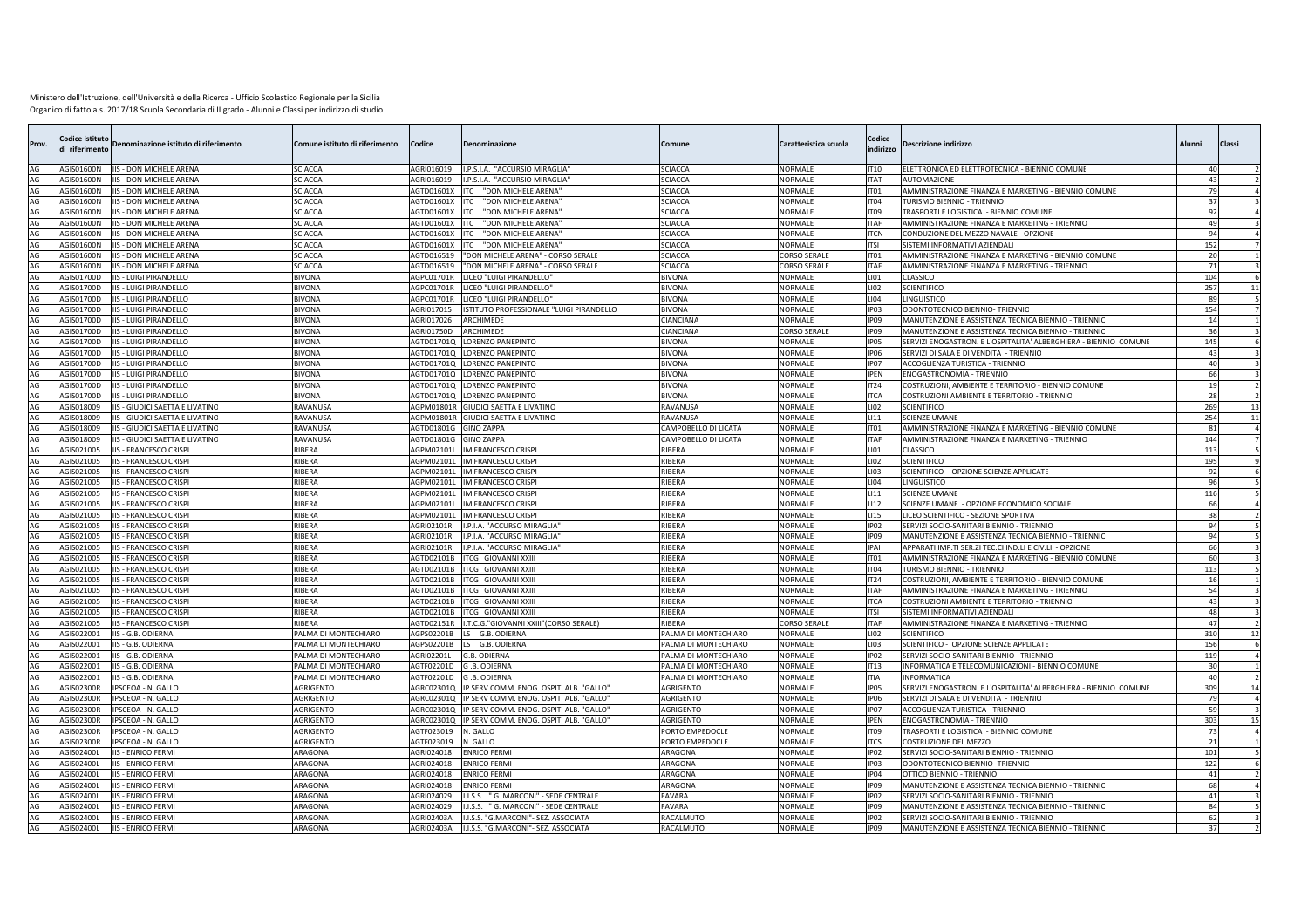| Prov.    | odice istituto:<br>di riferimento | Denominazione istituto di riferimento                            | Comune istituto di riferimento               | Codice                   | Denominazione                                        | Comune                                       | Caratteristica scuola            | Codice<br>indirizzo             | Descrizione indirizzo                                            | Alunni          | Classi       |
|----------|-----------------------------------|------------------------------------------------------------------|----------------------------------------------|--------------------------|------------------------------------------------------|----------------------------------------------|----------------------------------|---------------------------------|------------------------------------------------------------------|-----------------|--------------|
| AG       |                                   | AGIS01600N IIS - DON MICHELE ARENA                               | SCIACCA                                      | AGRI016019               | I.P.S.I.A. "ACCURSIO MIRAGLIA"                       | SCIACCA                                      | <b>NORMALE</b>                   | <b>IT10</b>                     | ELETTRONICA ED ELETTROTECNICA - BIENNIO COMUNE                   |                 |              |
| AG       | AGIS01600N                        | <b>IIS - DON MICHELE ARENA</b>                                   | <b>SCIACCA</b>                               | AGRI016019               | .P.S.I.A. "ACCURSIO MIRAGLIA"                        | SCIACCA                                      | <b>NORMALE</b>                   | <b>ITAT</b>                     | <b>AUTOMAZIONE</b>                                               |                 |              |
| AG       |                                   | AGIS01600N IIS - DON MICHELE ARENA                               | SCIACCA                                      |                          | AGTD01601X ITC "DON MICHELE ARENA"                   | SCIACCA                                      | <b>NORMALE</b>                   | ITO <sub>1</sub>                | AMMINISTRAZIONE FINANZA E MARKETING - BIENNIO COMUNE             |                 |              |
| AG       | AGIS01600N                        | <b>IIS - DON MICHELE ARENA</b>                                   | SCIACCA                                      |                          | AGTD01601X ITC "DON MICHELE ARENA"                   | SCIACCA                                      | <b>NORMALE</b>                   | IT <sub>04</sub>                | TURISMO BIENNIO - TRIENNIO                                       |                 |              |
| AG       | AGIS01600N                        | <b>IIS - DON MICHELE ARENA</b>                                   | SCIACCA                                      | AGTD01601X ITC           | "DON MICHELE ARENA"                                  | SCIACCA                                      | NORMALE                          | IT09                            | TRASPORTI E LOGISTICA - BIENNIO COMUNE                           |                 |              |
| AG       | <b>AGIS01600N</b>                 | <b>IIS - DON MICHELE ARENA</b>                                   | SCIACCA                                      |                          | AGTD01601X ITC "DON MICHELE ARENA"                   | CIACCA                                       | <b>NORMALE</b>                   | <b>ITAF</b>                     | AMMINISTRAZIONE FINANZA E MARKETING - TRIENNIO                   |                 |              |
| AG       | AGIS01600N                        | <b>IIS - DON MICHELE ARENA</b>                                   | SCIACCA                                      | AGTD01601X               | ITC<br>"DON MICHELE ARENA"                           | CIACCA                                       | NORMALE                          | <b>ITCN</b>                     | CONDUZIONE DEL MEZZO NAVALE - OPZIONE                            |                 |              |
| AG       | AGIS01600N                        | IS - DON MICHELE ARENA                                           | SCIACCA                                      | AGTD01601X               | ITC "DON MICHELE ARENA"                              | CIACCA                                       | <b>NORMALE</b>                   | <b>ITSI</b>                     | SISTEMI INFORMATIVI AZIENDALI                                    | 15 <sub>i</sub> |              |
| AG       | AGIS01600N<br><b>AGIS01600N</b>   | <b>IIS - DON MICHELE ARENA</b><br><b>IIS - DON MICHELE ARENA</b> | SCIACCA<br>SCIACCA                           | AGTD016519               | "DON MICHELE ARENA" - CORSO SERALE                   | SCIACCA<br>CIACCA                            | CORSO SERAL                      | IT <sub>01</sub><br><b>ITAF</b> | AMMINISTRAZIONE FINANZA E MARKETING - BIENNIO COMUNE             |                 |              |
| AG       | AGIS01700D                        |                                                                  |                                              | AGTD016519               | "DON MICHELE ARENA" - CORSO SERALE                   |                                              | CORSO SERALE<br><b>NORMALE</b>   |                                 | AMMINISTRAZIONE FINANZA E MARKETING - TRIENNIO<br>CLASSICO       |                 | 104          |
| AG<br>AG | AGIS01700D                        | IIS - LUIGI PIRANDELLO<br><b>IIS - LUIGI PIRANDELLO</b>          | <b>BIVONA</b><br>BIVONA                      | AGPC01701R               | LICEO "LUIGI PIRANDELLO"                             | <b>BIVONA</b>                                | NORMALE                          | LI01<br>LI02                    |                                                                  | 25              |              |
| AG       | AGIS01700D                        | <b>IIS - LUIGI PIRANDELLO</b>                                    | <b>BIVONA</b>                                | AGPC01701R<br>AGPC01701R | LICEO "LUIGI PIRANDELLO"<br>LICEO "LUIGI PIRANDELLO" | <b>BIVONA</b><br><b>BIVONA</b>               | <b>NORMALE</b>                   | LI04                            | SCIENTIFICO<br>LINGUISTICO                                       |                 |              |
| AG       |                                   | AGIS01700D IIS - LUIGI PIRANDELLO                                | <b>BIVONA</b>                                | AGRI017015               | ISTITUTO PROFESSIONALE "LUIGI PIRANDELLO             | <b>BIVONA</b>                                | <b>NORMALE</b>                   | IP <sub>03</sub>                | ODONTOTECNICO BIENNIO- TRIENNIO                                  | 154             |              |
| AG       | AGIS01700D                        | <b>IIS - LUIGI PIRANDELLO</b>                                    | BIVONA                                       | AGRI017026               | ARCHIMEDE                                            | <b>CIANCIANA</b>                             | NORMALE                          | IP <sub>09</sub>                | MANUTENZIONE E ASSISTENZA TECNICA BIENNIO - TRIENNIC             |                 |              |
| AG       | AGIS01700D                        | <b>IIS - LUIGI PIRANDELLO</b>                                    | <b>BIVONA</b>                                | AGRI01750D               | ARCHIMEDE                                            | CIANCIANA                                    | <b>CORSO SERAL</b>               | <b>IP09</b>                     | MANUTENZIONE E ASSISTENZA TECNICA BIENNIO - TRIENNIC             |                 |              |
| AG       | AGIS01700D                        | <b>IIS - LUIGI PIRANDELLO</b>                                    | <b>BIVONA</b>                                | AGTD01701Q               | <b>LORENZO PANEPINTO</b>                             | <b>BIVONA</b>                                | NORMALE                          | IPO <sub>5</sub>                | SERVIZI ENOGASTRON. E L'OSPITALITA' ALBERGHIERA - BIENNIO COMUNE | 145             |              |
| AG       | AGIS01700D                        | <b>IIS - LUIGI PIRANDELLO</b>                                    | <b>BIVONA</b>                                | AGTD01701Q               | LORENZO PANEPINTO                                    | <b>BIVONA</b>                                | NORMALE                          | <b>IP06</b>                     | SERVIZI DI SALA E DI VENDITA - TRIENNIO                          |                 | $\mathbf{A}$ |
| AG       | <b>AGIS01700D</b>                 | <b>IIS - LUIGI PIRANDELLO</b>                                    | <b>BIVONA</b>                                | AGTD01701Q               | LORENZO PANEPINTO                                    | <b>IVONA</b>                                 | <b>NORMALE</b>                   | <b>IP07</b>                     | ACCOGLIENZA TURISTICA - TRIENNIO                                 |                 |              |
| AG       | AGIS01700D                        | <b>IIS - LUIGI PIRANDELLO</b>                                    | <b>BIVONA</b>                                | AGTD01701Q               | LORENZO PANEPINTO                                    | <b>BIVONA</b>                                | NORMALE                          | <b>IPEN</b>                     | ENOGASTRONOMIA - TRIENNIO                                        |                 |              |
| AG       | AGIS01700D                        | <b>IIS - LUIGI PIRANDELLO</b>                                    | <b>BIVONA</b>                                | AGTD01701Q               | LORENZO PANEPINTO                                    | <b>BIVONA</b>                                | <b>NORMALE</b>                   | IT24                            | COSTRUZIONI, AMBIENTE E TERRITORIO - BIENNIO COMUNE              |                 |              |
| AG       | AGIS01700D                        | <b>IIS - LUIGI PIRANDELLO</b>                                    | <b>BIVONA</b>                                | AGTD01701Q               | LORENZO PANEPINTO                                    | <b>BIVONA</b>                                | NORMALE                          | <b>ITCA</b>                     | COSTRUZIONI AMBIENTE E TERRITORIO - TRIENNIC                     |                 |              |
| AG       | AGIS018009                        | IIS - GIUDICI SAETTA E LIVATINO                                  | RAVANUSA                                     | AGPM01801R               | GIUDICI SAETTA E LIVATINO                            | RAVANUSA                                     | <b>NORMALE</b>                   | LI02                            | <b>SCIENTIFICO</b>                                               | 26              | 13           |
| AG       | AGIS018009                        | IIS - GIUDICI SAETTA E LIVATINO                                  | RAVANUSA                                     | AGPM01801R               | GIUDICI SAETTA E LIVATINO                            | RAVANUSA                                     | <b>NORMALE</b>                   | <b>LI11</b>                     | <b>SCIENZE UMANE</b>                                             | 25              | 11           |
| AG       | AGIS018009                        | <b>IIS - GIUDICI SAETTA E LIVATINO</b>                           | RAVANUSA                                     | AGTD01801G               | <b>GINO ZAPPA</b>                                    | CAMPOBELLO DI LICATA                         | <b>NORMALE</b>                   | IT01                            | AMMINISTRAZIONE FINANZA E MARKETING - BIENNIO COMUNE             |                 | $8^{\circ}$  |
| AG       | AGIS018009                        | <b>IIS - GIUDICI SAETTA E LIVATINO</b>                           | RAVANUSA                                     | AGTD01801G               | GINO ZAPPA                                           | <b>CAMPOBELLO DI LICATA</b>                  | <b>NORMALE</b>                   | <b>ITAF</b>                     | AMMINISTRAZIONE FINANZA E MARKETING - TRIENNIC                   | 144             |              |
| AG       | AGIS021005                        | <b>IIS - FRANCESCO CRISPI</b>                                    | RIBERA                                       | AGPM02101L               | IM FRANCESCO CRISPI                                  | RIBERA                                       | <b>NORMALE</b>                   | LI01                            | CLASSICO                                                         | 11              |              |
| AG       | AGIS021005                        | <b>IIS - FRANCESCO CRISPI</b>                                    | RIBERA                                       | AGPM02101L               | IM FRANCESCO CRISPI                                  | RIBERA                                       | <b>NORMALE</b>                   | LIO2                            | <b>SCIENTIFICO</b>                                               | 195             |              |
| AG       | AGIS021005                        | <b>IIS - FRANCESCO CRISPI</b>                                    | RIBERA                                       | AGPM02101L               | <b>IM FRANCESCO CRISP</b>                            | RIBERA                                       | <b>NORMALE</b>                   | LI03                            | SCIENTIFICO - OPZIONE SCIENZE APPLICATE                          |                 | $\mathbf{q}$ |
| AG       | AGIS021005                        | <b>IIS - FRANCESCO CRISPI</b>                                    | RIBERA                                       | AGPM02101                | IM FRANCESCO CRISP                                   | <b>NBERA</b>                                 | <b>NORMALE</b>                   | <b>LI04</b>                     | LINGUISTICO                                                      |                 |              |
| AG       | AGIS021005                        | <b>IIS - FRANCESCO CRISPI</b>                                    | RIBERA                                       | AGPM02101L               | <b>IM FRANCESCO CRISP</b>                            | RIBERA                                       | NORMALE                          | LI11                            | <b>SCIENZE UMANE</b>                                             | 11(             |              |
| AG       | AGIS021005                        | <b>IIS - FRANCESCO CRISPI</b>                                    | <b>IBFRA</b>                                 | AGPM02101L               | IM FRANCESCO CRISP                                   | <b>IBFRA</b>                                 | NORMALE                          | <b>LI12</b>                     | SCIENZE UMANE - OPZIONE ECONOMICO SOCIALE                        |                 |              |
| AG       | AGIS021005                        | <b>IIS - FRANCESCO CRISP</b>                                     | RIBERA                                       | AGPM02101L               | <b>IM FRANCESCO CRISP</b>                            | <b>NBERA</b>                                 | NORMALE                          | LI15                            | LICEO SCIENTIFICO - SEZIONE SPORTIVA                             |                 |              |
| AG       | GIS021005                         | IIS - FRANCESCO CRISPI                                           | RIBERA                                       | AGRI02101R               | I.P.I.A. "ACCURSO MIRAGLIA"                          | <b>NBERA</b>                                 | <b>NORMALE</b>                   | <b>IP02</b>                     | SERVIZI SOCIO-SANITARI BIENNIO - TRIENNIC                        |                 |              |
| AG       | AGIS021005                        | <b>IIS - FRANCESCO CRISPI</b>                                    | RIBERA                                       | AGRI02101R               | I.P.I.A. "ACCURSO MIRAGLIA'                          | <b>NBERA</b>                                 | <b>NORMALE</b>                   | <b>IP09</b>                     | MANUTENZIONE E ASSISTENZA TECNICA BIENNIO - TRIENNIC             |                 |              |
| AG       | AGIS021005                        | <b>IIS - FRANCESCO CRISPI</b>                                    | RIBERA                                       | AGRI02101R               | I.P.I.A. "ACCURSO MIRAGLIA"                          | RIBERA                                       | <b>NORMALE</b>                   | <b>IPAL</b>                     | APPARATI IMP.TI SER.ZI TEC.CI IND.LI E CIV.LI - OPZIONE          |                 |              |
| AG       | AGIS021005                        | <b>IIS - FRANCESCO CRISPI</b>                                    | RIBERA                                       | AGTD02101B               | <b>ITCG GIOVANNI XXIII</b>                           | RIBERA                                       | <b>NORMALE</b>                   | ITO1                            | AMMINISTRAZIONE FINANZA E MARKETING - BIENNIO COMUNE             |                 | 60           |
| AG       | AGIS021005                        | <b>IIS - FRANCESCO CRISPI</b>                                    | RIBERA                                       | AGTD02101B               | <b>ITCG GIOVANNI XXIII</b>                           | RIBERA                                       | <b>NORMALE</b>                   | IT <sub>04</sub>                | TURISMO BIENNIO - TRIENNIO                                       | 11              |              |
| AG       | AGIS021005                        | <b>IIS - FRANCESCO CRISPI</b>                                    | RIBERA                                       |                          | AGTD02101B ITCG GIOVANNI XXIII                       | <b>IBERA</b>                                 | <b>NORMALE</b>                   | IT24                            | COSTRUZIONI, AMBIENTE E TERRITORIO - BIENNIO COMUNE              |                 |              |
| AG       | AGIS021005                        | <b>IIS - FRANCESCO CRISPI</b>                                    | RIBERA                                       |                          | AGTD02101B ITCG GIOVANNI XXIII                       | RIBERA                                       | <b>NORMALE</b>                   | <b>ITAF</b>                     | AMMINISTRAZIONE FINANZA E MARKETING - TRIENNIO                   |                 |              |
| AG       | AGIS021005                        | <b>IIS - FRANCESCO CRISPI</b>                                    | RIBERA                                       | AGTD02101B               | ITCG GIOVANNI XXIII                                  | <b>NBERA</b>                                 | <b>NORMALE</b>                   | <b>ITCA</b>                     | COSTRUZIONI AMBIENTE E TERRITORIO - TRIENNIC                     |                 | $\Delta^2$   |
| AG       | AGIS021005                        | <b>IIS - FRANCESCO CRISP</b>                                     | RIBERA                                       | AGTD02101B               | ITCG GIOVANNI XXIII                                  | RIBERA                                       | <b>NORMALE</b>                   | <b>ITSI</b>                     | SISTEMI INFORMATIVI AZIENDALI                                    |                 |              |
| AG       | AGIS021005                        | <b>IIS - FRANCESCO CRISPI</b>                                    | RIBERA                                       | AGTD02151R               | I.T.C.G."GIOVANNI XXIII"(CORSO SERALE)               | <b>IBERA</b>                                 | CORSO SERAL                      | <b>ITAF</b>                     | AMMINISTRAZIONE FINANZA E MARKETING - TRIENNIO                   |                 |              |
| AG<br>AG | AGIS022001<br>AGIS022001          | IIS - G.B. ODIERNA<br>IIS - G.B. ODIERNA                         | PALMA DI MONTECHIARO<br>PALMA DI MONTECHIARO | AGPS02201B<br>AGPS02201B | LS G.B. ODIERNA<br>LS G.B. ODIERNA                   | PALMA DI MONTECHIARO<br>PALMA DI MONTECHIARO | <b>NORMALE</b><br><b>NORMALE</b> | LI02<br>LI03                    | <b>SCIENTIFICO</b><br>SCIENTIFICO - OPZIONE SCIENZE APPLICATE    | 310<br>15       | 12           |
| AG       | AGIS022001                        | IIS - G.B. ODIERNA                                               | PALMA DI MONTECHIARO                         | AGRI02201L               | G.B. ODIERNA                                         | PALMA DI MONTECHIARO                         | NORMALE                          | <b>IP02</b>                     | SERVIZI SOCIO-SANITARI BIENNIO - TRIENNIO                        | 11!             |              |
| AG       | AGIS022001                        | IIS - G.B. ODIERNA                                               | PALMA DI MONTECHIARO                         | AGTF02201D               | G.B. ODIERNA                                         | PALMA DI MONTECHIARO                         | <b>NORMALE</b>                   | IT13                            | INFORMATICA E TELECOMUNICAZIONI - BIENNIO COMUNE                 |                 |              |
| AG       | AGIS022001                        | IIS - G.B. ODIERNA                                               | PALMA DI MONTECHIARO                         | AGTF02201D               | G.B. ODIERNA                                         | PALMA DI MONTECHIARO                         | NORMALE                          | <b>ITIA</b>                     | <b>INFORMATICA</b>                                               |                 | 40           |
| AG       | AGIS02300R                        | IPSCEOA - N. GALLO                                               | AGRIGENTO                                    | AGRC02301Q               | IP SERV COMM. ENOG. OSPIT. ALB. "GALLO"              | AGRIGENTO                                    | <b>NORMALE</b>                   | <b>IP05</b>                     | SERVIZI ENOGASTRON. E L'OSPITALITA' ALBERGHIERA - BIENNIO COMUNE | 30 <sub>2</sub> | 14           |
| AG       | AGIS02300R                        | IPSCEOA - N. GALLO                                               | AGRIGENTO                                    | AGRC02301Q               | IP SERV COMM. ENOG. OSPIT. ALB. "GALLO"              | AGRIGENTO                                    | <b>NORMALE</b>                   | <b>IP06</b>                     | SERVIZI DI SALA E DI VENDITA - TRIENNIO                          |                 |              |
| AG       | AGIS02300R                        | IPSCEOA - N. GALLO                                               | AGRIGENTO                                    | AGRC02301Q               | IP SERV COMM. ENOG. OSPIT. ALB. "GALLO"              | AGRIGENTO                                    | <b>NORMALE</b>                   | <b>IP07</b>                     | ACCOGLIENZA TURISTICA - TRIENNIO                                 |                 |              |
| AG       | AGIS02300R                        | IPSCEOA - N. GALLO                                               | AGRIGENTO                                    | AGRC02301Q               | IP SERV COMM. ENOG. OSPIT. ALB. "GALLO"              | AGRIGENTO                                    | <b>NORMALE</b>                   | <b>IPEN</b>                     | <b>ENOGASTRONOMIA - TRIENNIO</b>                                 | 30 <sup>5</sup> | 15           |
| AG       | GIS02300F                         | PSCEOA - N. GALLO                                                | AGRIGENTO                                    | AGTF023019               | <b>V. GALLO</b>                                      | <b>PORTO EMPEDOCLE</b>                       | NORMALE                          | IT09                            | TRASPORTI E LOGISTICA - BIENNIO COMUNE                           |                 |              |
| AG       | GIS02300R                         | PSCEOA - N. GALLO                                                | AGRIGENTO                                    | AGTF023019               | N. GALLO                                             | ORTO EMPEDOCLE                               | NORMALE                          | <b>ITCS</b>                     | <b>COSTRUZIONE DEL MEZZO</b>                                     |                 |              |
| AG       | AGIS024001                        | <b>IIS - ENRICO FERMI</b>                                        | ARAGONA                                      | AGRI024018               | <b>ENRICO FERMI</b>                                  | ARAGONA                                      | NORMALE                          | IP <sub>02</sub>                | SERVIZI SOCIO-SANITARI BIENNIO - TRIENNIO                        | 10 <sub>1</sub> |              |
| AG       | <b>AGIS02400L</b>                 | IS - ENRICO FERM                                                 | ARAGONA                                      | AGRI024018               | <b>ENRICO FERMI</b>                                  | ARAGONA                                      | NORMALE                          | IP <sub>03</sub>                | ODONTOTECNICO BIENNIO- TRIENNIC                                  | 12              |              |
| AG       | <b>AGIS02400L</b>                 | <b>IIS - ENRICO FERMI</b>                                        | ARAGONA                                      | AGRI024018               | <b>ENRICO FERMI</b>                                  | ARAGONA                                      | <b>NORMALE</b>                   | <b>IP04</b>                     | OTTICO BIENNIO - TRIENNIO                                        |                 |              |
| AG       | AGIS02400L                        | <b>IIS - ENRICO FERMI</b>                                        | ARAGONA                                      | AGRI024018               | <b>ENRICO FERMI</b>                                  | ARAGONA                                      | NORMALE                          | <b>IP09</b>                     | MANUTENZIONE E ASSISTENZA TECNICA BIENNIO - TRIENNIC             |                 |              |
| AG       | AGIS02400L                        | <b>IIS - ENRICO FERM</b>                                         | ARAGONA                                      | AGRI024029               | .I.S.S. " G. MARCONI" - SEDE CENTRALE                | <b>AVARA</b>                                 | <b>NORMALE</b>                   | IP <sub>02</sub>                | SERVIZI SOCIO-SANITARI BIENNIO - TRIENNIO                        |                 |              |
| AG       | AGIS02400L                        | <b>IIS - ENRICO FERM</b>                                         | ARAGONA                                      | AGRI024029               | I.I.S.S. " G. MARCONI" - SEDE CENTRALE               | FAVARA                                       | <b>NORMALE</b>                   | <b>IP09</b>                     | MANUTENZIONE E ASSISTENZA TECNICA BIENNIO - TRIENNIC             |                 |              |
| AG       | AGIS02400L                        | <b>IIS - ENRICO FERMI</b>                                        | ARAGONA                                      | AGRI02403A               | I.I.S.S. "G.MARCONI"- SEZ. ASSOCIATA                 | RACALMUTO                                    | NORMALE                          | <b>IP02</b>                     | SERVIZI SOCIO-SANITARI BIENNIO - TRIENNIO                        |                 |              |
| AG       | AGIS02400L                        | <b>IIS - ENRICO FERMI</b>                                        | ARAGONA                                      | <b>AGRI02403A</b>        | I.I.S.S. "G.MARCONI"- SEZ. ASSOCIATA                 | RACALMUTO                                    | <b>NORMALE</b>                   | IP09                            | MANUTENZIONE E ASSISTENZA TECNICA BIENNIO - TRIENNIC             |                 |              |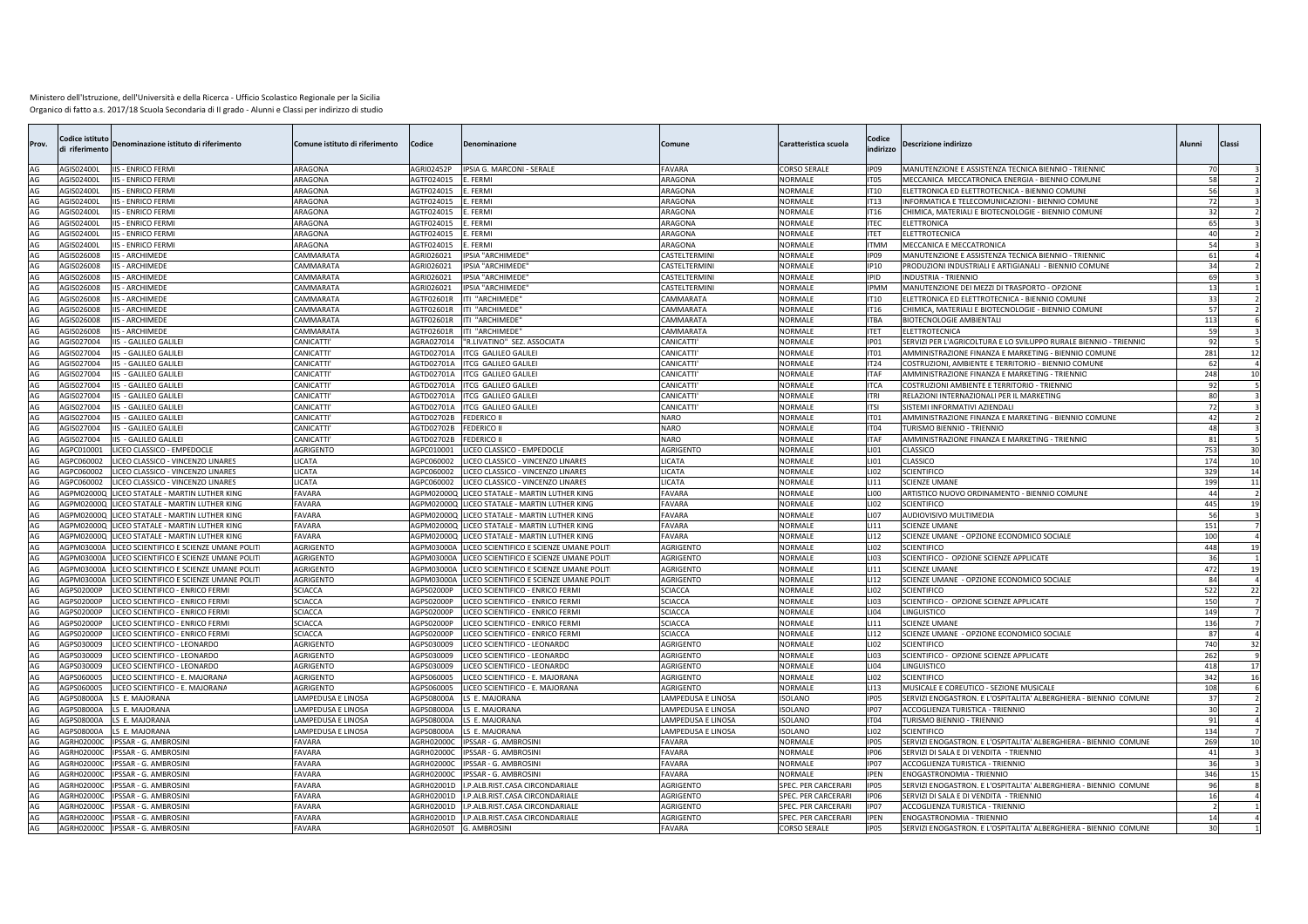| Prov.    | Codice istituto<br>di riferimento | Denominazione istituto di riferimento                             | Comune istituto di riferimento | Codice                   | <b>Denominazion</b>                                                | Comune                               | Caratteristica scuola | Codice<br>indirizzo | Descrizione indirizzo                                                                  | Alunni                | Classi      |    |
|----------|-----------------------------------|-------------------------------------------------------------------|--------------------------------|--------------------------|--------------------------------------------------------------------|--------------------------------------|-----------------------|---------------------|----------------------------------------------------------------------------------------|-----------------------|-------------|----|
| AG       | AGIS02400L                        | <b>IIS - ENRICO FERMI</b>                                         | ARAGONA                        | AGRI02452P               | IPSIA G. MARCONI - SERALE                                          | <b>AVARA</b>                         | <b>CORSO SERALE</b>   | IP <sub>09</sub>    | MANUTENZIONE E ASSISTENZA TECNICA BIENNIO - TRIENNIC                                   |                       |             |    |
| AG       | AGIS02400L                        | <b>IIS - ENRICO FERMI</b>                                         | ARAGONA                        | AGTF024015               | FFRM                                                               | ARAGONA                              | NORMALE               | IT <sub>05</sub>    | MECCANICA MECCATRONICA ENERGIA - BIENNIO COMUNE                                        |                       |             |    |
| AG       | AGIS02400L                        | <b>IIS - ENRICO FERMI</b>                                         | ARAGONA                        | AGTF024015               | FFRM                                                               | ARAGONA                              | VORMALE               | <b>IT10</b>         | ELETTRONICA ED ELETTROTECNICA - BIENNIO COMUNE                                         |                       | 56          |    |
| AG       | AGIS02400L                        | <b>IIS - ENRICO FERM</b>                                          | ARAGONA                        | AGTF024015               | FERMI                                                              | ARAGONA                              | <b>NORMALE</b>        | <b>IT13</b>         | INFORMATICA E TELECOMUNICAZIONI - BIENNIO COMUNI                                       |                       | 72          |    |
| AG       | AGIS02400L                        | <b>IIS - ENRICO FERM</b>                                          | ARAGONA                        | AGTF024015               | . FERMI                                                            | ARAGONA                              | <b>NORMALE</b>        | IT16                | CHIMICA, MATERIALI E BIOTECNOLOGIE - BIENNIO COMUNI                                    |                       |             |    |
| AG       | AGIS02400L                        | <b>IIS - ENRICO FERMI</b>                                         | ARAGONA                        | AGTF024015               | . FERMI                                                            | ARAGONA                              | NORMALE               | <b>ITFC</b>         | ELETTRONICA                                                                            |                       |             |    |
| AG       | AGIS02400L                        | <b>IIS - ENRICO FERMI</b>                                         | ARAGONA                        | AGTF024015               | <b>EFRMI</b>                                                       | ARAGONA                              | NORMALE               | <b>ITET</b>         | ELETTROTECNICA                                                                         |                       | $\Lambda$ C |    |
| AG       | AGIS02400L                        | <b>IIS - ENRICO FERM</b>                                          | ARAGONA                        | AGTF024015               | E. FERMI                                                           | ARAGONA                              | NORMALE               | <b>ITMM</b>         | MECCANICA E MECCATRONICA                                                               |                       |             |    |
| AG       | AGIS026008                        | <b>IIS - ARCHIMEDE</b>                                            | CAMMARATA                      | AGRI026021               | IPSIA "ARCHIMEDE"                                                  | CASTELTERMINI                        | NORMALE               | IP <sub>09</sub>    | MANUTENZIONE E ASSISTENZA TECNICA BIENNIO - TRIENNIC                                   |                       |             |    |
| AG       | AGIS026008                        | <b>IIS - ARCHIMEDE</b>                                            | CAMMARATA                      | AGRI026021               | <b>IPSIA "ARCHIMEDE</b>                                            | CASTELTERMINI                        | NORMALE               | <b>IP10</b>         | PRODUZIONI INDUSTRIALI E ARTIGIANALI - BIENNIO COMUNE                                  |                       |             |    |
| AG       | AGIS026008                        | <b>IIS - ARCHIMEDE</b>                                            | CAMMARATA                      | AGRI026021               | <b>IPSIA "ARCHIMEDE</b>                                            | CASTELTERMINI                        | NORMALE               | <b>IPID</b>         | INDUSTRIA - TRIENNIO                                                                   |                       |             |    |
| AG       | GIS026008                         | <b>IS - ARCHIMEDE</b>                                             | <b>AMMARATA</b>                | AGRI026021               | <b>IPSIA "ARCHIMEDE</b>                                            | CASTELTERMINI                        | NORMALE               | <b>IPMM</b>         | MANUTENZIONE DEI MEZZI DI TRASPORTO - OPZIONE                                          |                       |             |    |
| AG       | AGIS026008                        | IIS - ARCHIMEDE                                                   | CAMMARATA                      | AGTF02601R               | ITI "ARCHIMEDE                                                     | CAMMARATA                            | NORMALE               | IT10                | LETTRONICA ED ELETTROTECNICA - BIENNIO COMUNI                                          |                       |             |    |
| AG<br>AG | AGIS026008<br>AGIS026008          | <b>IIS - ARCHIMEDE</b><br><b>IIS - ARCHIMEDE</b>                  | CAMMARATA<br>CAMMARAT/         | AGTF02601R               | <b>ITI "ARCHIMEDE</b><br>ITI "ARCHIMEDE                            | CAMMARATA<br>CAMMARAT/               | VORMALE<br>NORMALE    | IT16<br><b>ITBA</b> | CHIMICA, MATERIALI E BIOTECNOLOGIE - BIENNIO COMUNE<br><b>BIOTECNOLOGIE AMBIENTALI</b> | 113                   |             |    |
| AG       | AGIS026008                        | <b>IIS - ARCHIMEDE</b>                                            | CAMMARATA                      | AGTF02601R<br>AGTF02601R | ITI "ARCHIMEDE"                                                    | CAMMARATA                            | NORMALE               | <b>ITET</b>         |                                                                                        |                       |             |    |
| AG       | <b>AGIS027004</b>                 | IIS - GALILEO GALILEI                                             | CANICATTI'                     | AGRA027014               | "R.LIVATINO" SEZ. ASSOCIATA                                        | CANICATTI'                           | NORMALE               | IP <sub>01</sub>    | ELETTROTECNICA<br>SERVIZI PER L'AGRICOLTURA E LO SVILUPPO RURALE BIENNIO - TRIENNIO    |                       |             |    |
| AG       | AGIS027004                        | <b>IIS - GALILEO GALILEI</b>                                      | CANICATTI'                     |                          | AGTD02701A ITCG GALILEO GALILEI                                    | CANICATTI'                           | NORMALE               | IT01                | AMMINISTRAZIONE FINANZA E MARKETING - BIENNIO COMUNE                                   | 281                   |             | 12 |
| AG       | AGIS027004                        | <b>IIS - GALILEO GALILE</b>                                       | CANICATTI                      |                          | AGTD02701A ITCG GALILEO GALILE                                     | CANICATTI'                           | NORMALE               | <b>IT24</b>         | COSTRUZIONI, AMBIENTE E TERRITORIO - BIENNIO COMUNE                                    |                       | 62          |    |
| AG       | AGIS027004                        | <b>IIS - GALILEO GALILEI</b>                                      | CANICATTI                      | AGTD02701A               | <b>ITCG GALILEO GALILE</b>                                         | <b>CANICATTI</b>                     | NORMALE               | <b>ITAF</b>         | AMMINISTRAZIONE FINANZA E MARKETING - TRIENNIO                                         | 248                   |             | 10 |
| AG       | AGIS027004                        | IIS - GALILEO GALILEI                                             | CANICATTI                      | AGTD02701A               | <b>ITCG GALILEO GALILE</b>                                         | CANICATTI'                           | VORMALE               | <b>ITCA</b>         | COSTRUZIONI AMBIENTE E TERRITORIO - TRIENNIC                                           |                       |             |    |
| AG       | AGIS027004                        | <b>IIS - GALILEO GALILEI</b>                                      | CANICATTI                      | AGTD02701A               | <b>ITCG GALILEO GALILE</b>                                         | <b>CANICATTI</b>                     | NORMALE               | <b>ITRI</b>         | RELAZIONI INTERNAZIONALI PER IL MARKETING                                              |                       | <b>RC</b>   |    |
| AG       | AGIS027004                        | IS - GALILEO GALILE                                               | CANICATTI                      | AGTD02701A               | <b>ITCG GALILEO GALILE</b>                                         | CANICATTI                            | NORMALE               | <b>ITSI</b>         | SISTEMI INFORMATIVI AZIENDALI                                                          |                       |             |    |
| AG       | AGIS027004                        | <b>IIS - GALILEO GALILEI</b>                                      | CANICATTI                      | AGTD02702B               | <b>FEDERICO II</b>                                                 | <b>NARO</b>                          | NORMALE               | IT01                | AMMINISTRAZIONE FINANZA E MARKETING - BIENNIO COMUNE                                   |                       |             |    |
| AG       | <b>AGIS027004</b>                 | IIS - GALILEO GALILEI                                             | CANICATTI                      | AGTD02702B               | FEDERICO II                                                        | <b>NARO</b>                          | VORMALE               | IT <sub>04</sub>    | <b>TURISMO BIENNIO - TRIENNIO</b>                                                      |                       |             |    |
| AG       | AGIS027004                        | <b>IIS - GALILEO GALILEI</b>                                      | CANICATTI                      | AGTD02702B               | <b>FEDERICO II</b>                                                 | <b>NARO</b>                          | NORMALE               | <b>ITAF</b>         | AMMINISTRAZIONE FINANZA E MARKETING - TRIENNIO                                         | 81                    |             |    |
| AG       | AGPC010001                        | ICEO CLASSICO - EMPEDOCLE                                         | AGRIGENTO                      | AGPC010001               | LICEO CLASSICO - EMPEDOCLE                                         | <b>AGRIGENTO</b>                     | NORMALE               | LI01                | CLASSICO                                                                               | 75                    |             | 30 |
| AG       | 1GPC060002                        | ICEO CLASSICO - VINCENZO LINARES                                  | <b>ICATA</b>                   | AGPC060002               | LICEO CLASSICO - VINCENZO LINARES                                  | LICATA                               | NORMALE               | 1101                | CLASSICO                                                                               | 174                   |             | 10 |
| AG       | AGPC060002                        | LICEO CLASSICO - VINCENZO LINARES                                 | LICATA                         | AGPC060002               | LICEO CLASSICO - VINCENZO LINARES                                  | LICATA                               | NORMALE               | LI02                | <b>SCIENTIFICO</b>                                                                     | 329                   |             | 14 |
| AG       | AGPC060002                        | ICEO CLASSICO - VINCENZO LINARES                                  | <b>LICATA</b>                  | AGPC060002               | LICEO CLASSICO - VINCENZO LINARES                                  | <b>LICATA</b>                        | NORMALE               | L111                | <b>SCIENZE UMANE</b>                                                                   | 199                   |             | 11 |
| AG       | AGPM02000Q                        | LICEO STATALE - MARTIN LUTHER KING                                | <b>FAVARA</b>                  | AGPM02000Q               | LICEO STATALE - MARTIN LUTHER KING                                 | FAVARA                               | <b>NORMALE</b>        | 1100                | ARTISTICO NUOVO ORDINAMENTO - BIENNIO COMUNE                                           | $\Delta$              |             |    |
| AG       | GPM02000Q                         | ICEO STATALE - MARTIN LUTHER KING                                 | FAVARA                         |                          | AGPM02000Q LICEO STATALE - MARTIN LUTHER KING                      | <b>AVARA</b>                         | VORMALE               | <b>LIO2</b>         | <b>SCIENTIFICO</b>                                                                     | 445                   |             | 19 |
| AG       | AGPM02000O                        | ICEO STATALE - MARTIN LUTHER KING                                 | FAVARA                         | AGPM02000Q               | LICEO STATALE - MARTIN LUTHER KING                                 | FAVARA                               | NORMALE               | 1107                | AUDIOVISIVO MULTIMEDIA                                                                 | 56                    |             |    |
| AG       | AGPM02000Q                        | ICEO STATALE - MARTIN LUTHER KING                                 | FAVARA                         | AGPM02000Q               | LICEO STATALE - MARTIN LUTHER KING                                 | <b>AVARA</b>                         | NORMALE               | <b>LI11</b>         | <b>SCIENZE UMANE</b>                                                                   | 15 <sub>1</sub>       |             |    |
| AG       | AGPM02000Q                        | ICEO STATALE - MARTIN LUTHER KING                                 | <b>FAVARA</b>                  | AGPM02000Q               | LICEO STATALE - MARTIN LUTHER KING                                 | <b>FAVARA</b>                        | NORMALE               | L112                | SCIENZE UMANE - OPZIONE ECONOMICO SOCIALE                                              | 100                   |             |    |
| AG       | AGPM03000A                        | ICEO SCIENTIFICO E SCIENZE UMANE POLIT                            | AGRIGENTO                      | AGPM03000A               | LICEO SCIENTIFICO E SCIENZE UMANE POLIT                            | AGRIGENTO                            | VORMALE               | 1102                | <b>SCIENTIFICO</b>                                                                     | 448                   |             | 19 |
| AG       | AGPM03000A                        | LICEO SCIENTIFICO E SCIENZE UMANE POLIT                           | AGRIGENTO                      | AGPM03000A               | LICEO SCIENTIFICO E SCIENZE UMANE POLIT                            | <b>AGRIGENTO</b>                     | NORMALE               | 1103                | SCIENTIFICO - OPZIONE SCIENZE APPLICATE                                                | 36                    |             |    |
| AG       | AGPM03000A                        | LICEO SCIENTIFICO E SCIENZE UMANE POLIT                           | <b>AGRIGENTO</b>               | AGPM03000A               | LICEO SCIENTIFICO E SCIENZE UMANE POLIT                            | <b>AGRIGENTO</b>                     | NORMALE               | 1111                | <b>SCIENZE UMANE</b>                                                                   | 472                   |             | 19 |
| AG       | AGPM03000A                        | ICEO SCIENTIFICO E SCIENZE UMANE POLITI                           | AGRIGENTO                      | AGPM03000A               | LICEO SCIENTIFICO E SCIENZE UMANE POLIT                            | <b>AGRIGENTO</b>                     | NORMALE               | <b>LI12</b>         | SCIENZE UMANE - OPZIONE ECONOMICO SOCIALE                                              | 84                    |             |    |
| AG       | AGPS02000P                        | <b>ICEO SCIENTIFICO - ENRICO FERMI</b>                            | <b>SCIACCA</b>                 | AGPS02000P               | LICEO SCIENTIFICO - ENRICO FERMI                                   | <b>SCIACCA</b>                       | NORMALE               | 1102                | <b>SCIENTIFICO</b>                                                                     | 522                   |             | 22 |
| AG       | AGPS02000P                        | ICEO SCIENTIFICO - ENRICO FERMI                                   | SCIACCA                        | AGPS02000P               | LICEO SCIENTIFICO - ENRICO FERM                                    | <b>SCIACCA</b>                       | NORMALE               | LI03                | SCIENTIFICO - OPZIONE SCIENZE APPLICATE                                                | 150                   |             |    |
| AG       | AGPS02000F                        | ICEO SCIENTIFICO - ENRICO FERMI                                   | SCIACCA                        | AGPS02000P               | LICEO SCIENTIFICO - ENRICO FERM                                    | <b>SCIACCA</b>                       | <b>NORMALE</b>        | LI <sub>04</sub>    | <b>INGUISTICO</b>                                                                      | 149                   |             |    |
| AG       | <b>AGPS02000P</b>                 | ICEO SCIENTIFICO - ENRICO FERMI                                   | <b>SCIACCA</b>                 | AGPS02000P               | LICEO SCIENTIFICO - ENRICO FERM                                    | <b>SCIACCA</b>                       | VORMALE               | <b>LI11</b>         | <b>SCIENZE UMANE</b>                                                                   | 136                   |             |    |
| AG       | AGPS02000P                        | ICEO SCIENTIFICO - ENRICO FERMI                                   | <b>SCIACCA</b>                 | AGPS02000P               | LICEO SCIENTIFICO - ENRICO FERM                                    | <b>SCIACCA</b>                       | NORMALE               | LI2                 | SCIENZE UMANE - OPZIONE ECONOMICO SOCIALI                                              | 87                    |             |    |
| AG       | AGPS030009                        | ICEO SCIENTIFICO - LEONARDO                                       | AGRIGENTO                      | AGPS030009               | LICEO SCIENTIFICO - LEONARDO                                       | AGRIGENTO                            | NORMALE               | LI02                | <b>SCIENTIFICO</b>                                                                     | 740                   |             | 32 |
| AG       | AGPS030009<br>AGPS030009          | ICEO SCIENTIFICO - LEONARDO<br><b>ICEO SCIENTIFICO - LEONARDO</b> | AGRIGENTO<br>AGRIGENTO         | AGPS030009<br>AGPS030009 | LICEO SCIENTIFICO - LEONARDO<br>LICEO SCIENTIFICO - LEONARDO       | <b>AGRIGENTO</b><br><b>AGRIGENTO</b> | NORMALE<br>NORMALE    | 1103<br><b>LI04</b> | SCIENTIFICO - OPZIONE SCIENZE APPLICATE<br><b>LINGUISTICO</b>                          | 262<br>418            |             |    |
| AG       | AGPS060005                        |                                                                   |                                |                          |                                                                    |                                      | NORMALE               | LI02                | <b>SCIENTIFICO</b>                                                                     | 342                   |             | 17 |
| AG<br>AG | AGPS060005                        | ICEO SCIENTIFICO - E. MAJORANA<br>LICEO SCIENTIFICO - E. MAJORANA | AGRIGENTO<br>AGRIGENTO         | AGPS060005<br>AGPS060005 | LICEO SCIENTIFICO - E. MAJORANA<br>LICEO SCIENTIFICO - E. MAJORANA | <b>AGRIGENTO</b><br><b>AGRIGENTO</b> | NORMALE               | L113                | MUSICALE E COREUTICO - SEZIONE MUSICALE                                                | 10                    |             | 16 |
| AG       | AGPS08000A                        | LS E. MAJORANA                                                    | <b>LAMPEDUSA E LINOSA</b>      | AGPS08000A               | LS E. MAJORANA                                                     | LAMPEDUSA E LINOSA                   | <b>ISOLANO</b>        | IP <sub>05</sub>    | SERVIZI ENOGASTRON. E L'OSPITALITA' ALBERGHIERA - BIENNIO COMUNE                       | -37                   |             |    |
| AG       |                                   | AGPS08000A LS E. MAJORANA                                         | LAMPEDUSA E LINOSA             |                          | AGPS08000A LS E. MAJORANA                                          | LAMPEDUSA E LINOSA                   | <b>ISOLANO</b>        | IP <sub>07</sub>    | ACCOGLIENZA TURISTICA - TRIENNIO                                                       |                       | 30          |    |
| AG       | AGPS08000A                        | LS E. MAJORANA                                                    | LAMPEDUSA E LINOSA             | AGPS08000A               | LS E. MAJORANA                                                     | <b>LAMPEDUSA E LINOSA</b>            | <b>ISOLANO</b>        | IT04                | TURISMO BIENNIO - TRIENNIO                                                             | 91                    |             |    |
| AG       | AGPS08000A                        | LS E. MAJORANA                                                    | <b>LAMPEDUSA E LINOSA</b>      | AGPS08000A               | LS E. MAJORANA                                                     | LAMPEDUSA E LINOSA                   | <b>ISOLANO</b>        | <b>LIO2</b>         | SCIENTIFICO                                                                            | 134                   |             |    |
| AG       | GRH02000C                         | IPSSAR - G. AMBROSINI                                             | <b>FAVARA</b>                  | <b>AGRH02000C</b>        | IPSSAR - G. AMBROSINI                                              | <b>AVARA</b>                         | VORMALE               | IP <sub>05</sub>    | SERVIZI ENOGASTRON. E L'OSPITALITA' ALBERGHIERA - BIENNIO COMUNE                       | 269                   |             | 10 |
| AG       | <b>AGRH02000C</b>                 | IPSSAR - G. AMBROSINI                                             | <b>FAVARA</b>                  | AGRH02000C               | IPSSAR - G. AMBROSIN                                               | <b>AVARA</b>                         | NORMALE               | <b>IP06</b>         | SERVIZI DI SALA E DI VENDITA - TRIENNIO                                                | $\mathbf{4}^{\prime}$ |             |    |
| AG       | <b>AGRH02000C</b>                 | IPSSAR - G. AMBROSINI                                             | FAVARA                         | AGRH02000C               | IPSSAR - G. AMBROSINI                                              | <b>AVARA</b>                         | NORMALE               | IP <sub>07</sub>    | ACCOGLIENZA TURISTICA - TRIENNIC                                                       |                       |             |    |
| AG       | AGRH02000C                        | <b>IPSSAR - G. AMBROSINI</b>                                      | <b>FAVARA</b>                  | AGRH02000C               | IPSSAR - G. AMBROSINI                                              | FAVARA                               | NORMALE               | <b>IPEN</b>         | ENOGASTRONOMIA - TRIENNIO                                                              | 346                   |             | 15 |
| AG       |                                   | AGRH02000C IPSSAR - G. AMBROSINI                                  | <b>FAVARA</b>                  |                          | AGRH02001D I.P.ALB.RIST.CASA CIRCONDARIALE                         | <b>AGRIGENTO</b>                     | SPEC. PER CARCERARI   | IP05                | SERVIZI ENOGASTRON. E L'OSPITALITA' ALBERGHIERA - BIENNIO COMUNE                       |                       | 96          |    |
| AG       | AGRH02000C                        | IPSSAR - G. AMBROSINI                                             | FAVARA                         | AGRH02001D               | I.P.ALB.RIST.CASA CIRCONDARIALE                                    | <b>AGRIGENTO</b>                     | SPEC. PER CARCERARI   | IP06                | SERVIZI DI SALA E DI VENDITA - TRIENNIO                                                |                       |             |    |
| AG       | AGRH02000C                        | IPSSAR - G. AMBROSINI                                             | FAVARA                         | AGRH02001D               | .P.ALB.RIST.CASA CIRCONDARIALE                                     | AGRIGENTO                            | SPEC. PER CARCERARI   | IP <sub>07</sub>    | ACCOGLIENZA TURISTICA - TRIENNIC                                                       |                       |             |    |
| AG       | AGRH02000C                        | IPSSAR - G. AMBROSINI                                             | FAVARA                         | AGRH02001D               | I.P.ALB.RIST.CASA CIRCONDARIALE                                    | <b>AGRIGENTO</b>                     | SPEC. PER CARCERARI   | <b>IPFN</b>         | <b>ENOGASTRONOMIA - TRIENNIO</b>                                                       |                       |             |    |
| AG       |                                   | AGRH02000C IPSSAR - G. AMBROSINI                                  | <b>FAVARA</b>                  |                          | AGRH02050T G. AMBROSINI                                            | <b>FAVARA</b>                        | <b>CORSO SERALE</b>   | <b>IP05</b>         | SERVIZI ENOGASTRON. E L'OSPITALITA' ALBERGHIERA - BIENNIO COMUNE                       |                       |             |    |
|          |                                   |                                                                   |                                |                          |                                                                    |                                      |                       |                     |                                                                                        |                       |             |    |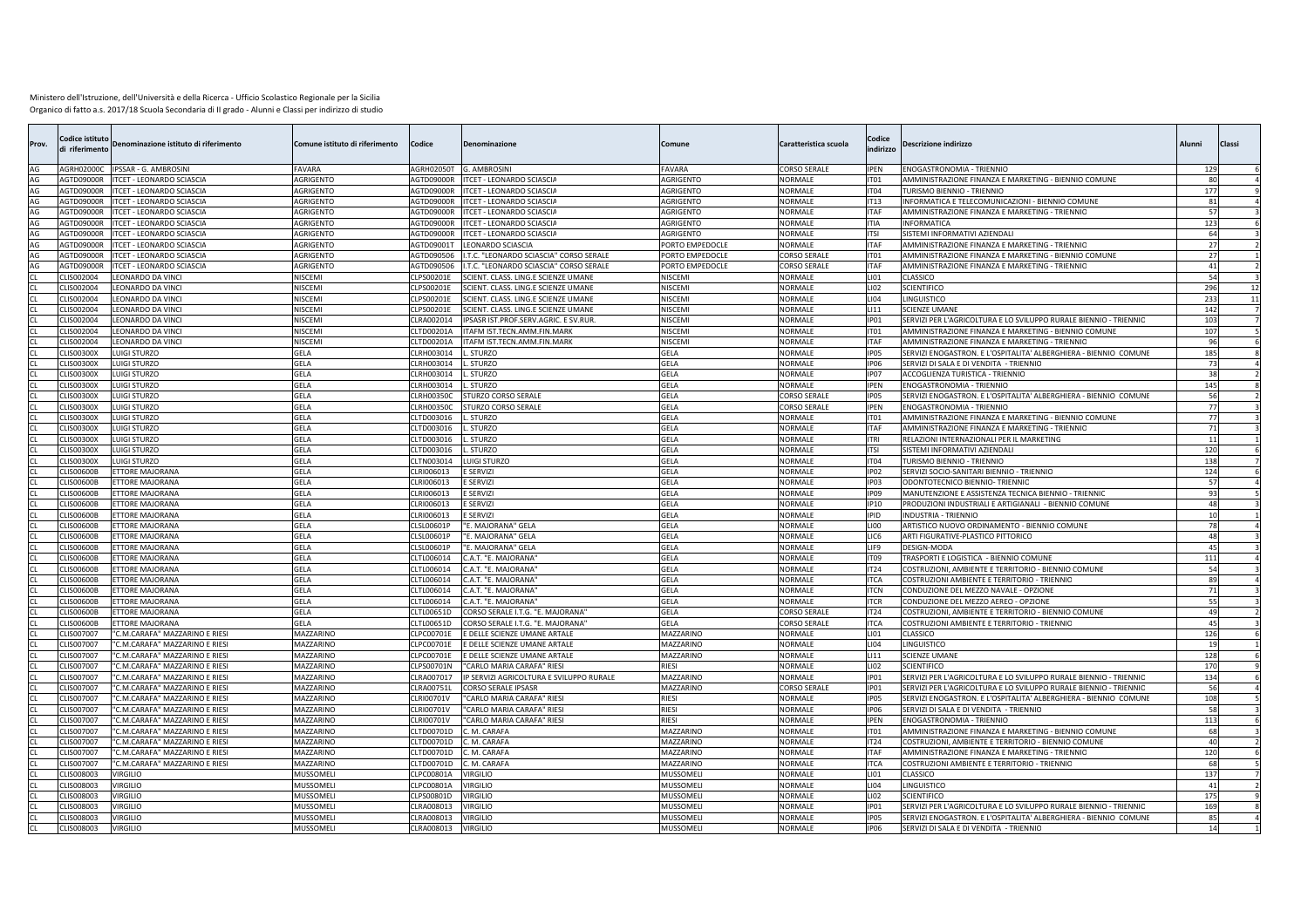| Prov.     | odice istituto:<br>di riferimento | Denominazione istituto di riferimento                         | Comune istituto di riferimento | Codice                   | Denominazione                                                               | Comune                    | Caratteristica scuola | Codice<br>indirizzo             | Oescrizione indirizzo                                             | Alunni          |                | Classi |
|-----------|-----------------------------------|---------------------------------------------------------------|--------------------------------|--------------------------|-----------------------------------------------------------------------------|---------------------------|-----------------------|---------------------------------|-------------------------------------------------------------------|-----------------|----------------|--------|
| AG        |                                   | AGRH02000C IPSSAR - G. AMBROSINI                              | FAVARA                         | <b>AGRH02050T</b>        | G. AMBROSINI                                                                | FAVARA                    | <b>CORSO SERALE</b>   | <b>IPEN</b>                     | ENOGASTRONOMIA - TRIENNIO                                         | 129             |                |        |
| AG        | AGTD09000R                        | <b>ITCET - LEONARDO SCIASCIA</b>                              | AGRIGENTO                      | AGTD09000R               | ITCET - LEONARDO SCIASCIA                                                   | <b>AGRIGENTO</b>          | <b>NORMALE</b>        | IT <sub>01</sub>                | AMMINISTRAZIONE FINANZA E MARKETING - BIENNIO COMUNE              |                 | $\mathbf{g}$   |        |
| AG        | AGTD09000R                        | <b>ITCET - LEONARDO SCIASCIA</b>                              | AGRIGENTO                      |                          | AGTD09000R ITCET - LEONARDO SCIASCIA                                        | <b>AGRIGENTO</b>          | <b>NORMALE</b>        | IT04                            | TURISMO BIENNIO - TRIENNIO                                        | 17 <sub>1</sub> |                |        |
| AG        | AGTD09000R                        | <b>ITCET - LEONARDO SCIASCIA</b>                              | AGRIGENTO                      | AGTD09000R               | <b>ITCET - LEONARDO SCIASCIA</b>                                            | <b>AGRIGENTO</b>          | <b>NORMALE</b>        | <b>IT13</b>                     | INFORMATICA E TELECOMUNICAZIONI - BIENNIO COMUNE                  |                 | R <sub>1</sub> |        |
| AG        | AGTD09000R                        | ITCET - LEONARDO SCIASCIA                                     | AGRIGENTO                      | AGTD09000R               | <b>ITCET - LEONARDO SCIASCIA</b>                                            | AGRIGENTO                 | <b>NORMALE</b>        | <b>ITAF</b>                     | AMMINISTRAZIONE FINANZA E MARKETING - TRIENNIO                    |                 |                |        |
| AG        | <b>AGTD09000R</b>                 | <b>ITCET - LEONARDO SCIASCIA</b>                              | <b>AGRIGENTO</b>               | AGTD09000R               | <b>ITCET - LEONARDO SCIASCIA</b>                                            | AGRIGENTO                 | NORMALE               | <b>ITIA</b>                     | <b>INFORMATICA</b>                                                |                 | 123            |        |
| AG        | AGTD09000R                        | <b>ITCET - LEONARDO SCIASCIA</b>                              | AGRIGENTO                      | AGTD09000R               | <b>ITCET - LEONARDO SCIASCIA</b>                                            | <b>AGRIGENTO</b>          | NORMALE               | <b>ITSI</b>                     | SISTEMI INFORMATIVI AZIENDALI                                     |                 |                |        |
| AG        | <b>AGTD09000R</b>                 | TCET - LEONARDO SCIASCIA                                      | AGRIGENTO                      | AGTD09001T               | LEONARDO SCIASCIA                                                           | PORTO EMPEDOCLE           | VORMALE               | <b>ITAF</b>                     | AMMINISTRAZIONE FINANZA E MARKETING - TRIENNIO                    |                 |                |        |
| AG        | <b>AGTD09000R</b>                 | <b>ITCET - LEONARDO SCIASCIA</b>                              | AGRIGENTO                      | AGTD090506               | I.T.C. "LEONARDO SCIASCIA" CORSO SERALE                                     | PORTO EMPEDOCLE           | CORSO SERAL           | IT <sub>01</sub>                | AMMINISTRAZIONE FINANZA E MARKETING - BIENNIO COMUNE              |                 |                |        |
| AG        | GTD09000R                         | TCET - LEONARDO SCIASCIA                                      | AGRIGENTO                      | AGTD090506               | I.T.C. "LEONARDO SCIASCIA" CORSO SERALE                                     | <b>PORTO EMPEDOCLE</b>    | CORSO SERALE          | <b>ITAF</b>                     | AMMINISTRAZIONE FINANZA E MARKETING - TRIENNIO                    |                 | $\Delta$ 1     |        |
|           | LIS002004                         | LEONARDO DA VINCI                                             | <b>NISCEMI</b>                 | CLPS00201E               | SCIENT. CLASS. LING.E SCIENZE UMANE                                         | NISCEMI                   | <b>NORMALE</b>        | LI01                            | CLASSICO                                                          |                 | 54             |        |
|           | CLIS002004                        | EONARDO DA VINCI<br>EONARDO DA VINCI                          | NISCEMI                        | CLPS00201E<br>CLPS00201E | SCIENT. CLASS. LING.E SCIENZE UMANE                                         | <b>NISCEMI</b>            | NORMALE<br>NORMALE    | LI02<br>LI <sub>04</sub>        | <b>SCIENTIFICO</b>                                                |                 | 296            | 12     |
|           | LIS002004<br>LIS002004            | LEONARDO DA VINCI                                             | NISCEMI<br>NISCEMI             | CLPS00201E               | SCIENT. CLASS. LING.E SCIENZE UMANE                                         | NISCEMI<br><b>NISCEMI</b> | <b>NORMALE</b>        |                                 | LINGUISTICO<br><b>SCIENZE UMANE</b>                               | 233             | 142            | 11     |
|           | CLIS002004                        | LEONARDO DA VINCI                                             | NISCEMI                        | CLRA002014               | SCIENT. CLASS. LING.E SCIENZE UMANE<br>IPSASR IST.PROF.SERV.AGRIC. E SV.RUR | NISCEMI                   | NORMALE               | LI11<br>IP01                    | SERVIZI PER L'AGRICOLTURA E LO SVILUPPO RURALE BIENNIO - TRIENNIO | 10 <sub>3</sub> |                |        |
|           | CLIS002004                        | EONARDO DA VINCI                                              | NISCEMI                        | CLTD00201A               | ITAFM IST.TECN.AMM.FIN.MARK                                                 | NISCEMI                   | NORMALE               | IT <sub>01</sub>                | AMMINISTRAZIONE FINANZA E MARKETING - BIENNIO COMUNE              | 10 <sub>1</sub> |                |        |
|           | LIS002004                         | EONARDO DA VINCI                                              | <b>NISCEMI</b>                 | CLTD00201A               | ITAFM IST.TECN.AMM.FIN.MARK                                                 | VISCEMI                   | NORMALE               | <b>ITAF</b>                     | AMMINISTRAZIONE FINANZA E MARKETING - TRIENNIO                    |                 |                |        |
|           | LIS00300X                         | UIGI STURZO                                                   | GELA                           | CLRH003014               | L. STURZO                                                                   | GELA                      | NORMALE               | IP05                            | SERVIZI ENOGASTRON. E L'OSPITALITA' ALBERGHIERA - BIENNIO COMUNE  | 185             |                |        |
|           | LIS00300>                         | UIGI STURZO                                                   | GFLA                           | CLRH003014               | <b>STURZO</b>                                                               | GELA                      | NORMALE               | <b>IP06</b>                     | SERVIZI DI SALA E DI VENDITA - TRIENNIO                           |                 |                |        |
|           | LIS00300X                         | UIGI STURZO                                                   | GELA                           | CLRH003014               | STURZO                                                                      | <b>GELA</b>               | NORMALE               | IP07                            | ACCOGLIENZA TURISTICA - TRIENNIO                                  |                 |                |        |
|           | LIS00300X                         | UIGI STURZO                                                   | GELA                           | CLRH003014               | STURZO                                                                      | GELA                      | VORMALE               | <b>IPEN</b>                     | <b>ENOGASTRONOMIA - TRIENNIO</b>                                  |                 | 145            |        |
|           | LISO0300X                         | LUIGI STURZO                                                  | GELA                           | <b>CLRH00350C</b>        | STURZO CORSO SERALE                                                         | <b>GELA</b>               | <b>CORSO SERA</b>     | <b>IP05</b>                     | SERVIZI ENOGASTRON. E L'OSPITALITA' ALBERGHIERA - BIENNIO COMUNE  |                 |                |        |
|           | LIS00300X                         | UIGI STURZO                                                   | GELA                           | <b>CLRH00350C</b>        | STURZO CORSO SERALE                                                         | GELA                      | <b>CORSO SERAL</b>    | <b>IPFN</b>                     | <b>ENOGASTRONOMIA - TRIENNIO</b>                                  |                 |                |        |
|           | LIS00300X                         | UIGI STURZO                                                   | GELA                           | CLTD003016               | . STURZO                                                                    | GELA                      | NORMALE               | IT <sub>01</sub>                | AMMINISTRAZIONE FINANZA E MARKETING - BIENNIO COMUNE              |                 |                |        |
|           | LIS00300X                         | UIGI STURZO                                                   | GELA                           | CLTD003016               | L. STURZO                                                                   | <b>GELA</b>               | NORMALE               | <b>ITAF</b>                     | AMMINISTRAZIONE FINANZA E MARKETING - TRIENNIO                    |                 | 71             |        |
|           | LIS00300X                         | UIGI STURZO                                                   | GELA                           | CLTD003016               | L. STURZO                                                                   | <b>GELA</b>               | NORMALE               | <b>ITRI</b>                     | RELAZIONI INTERNAZIONALI PER IL MARKETING                         |                 | 11             |        |
|           | CLIS00300X                        | UIGI STURZO                                                   | GELA                           | CLTD003016               | . STURZO                                                                    | <b>GELA</b>               | NORMALE               | <b>ITSI</b>                     | SISTEMI INFORMATIVI AZIENDALI                                     |                 | 12(            |        |
|           | LIS00300X                         | UIGI STURZO                                                   | GELA                           | CLTN003014               | LUIGI STURZO                                                                | <b>GELA</b>               | NORMALE               | IT04                            | <b>TURISMO BIENNIO - TRIENNIO</b>                                 | 138             |                |        |
|           | <b>LIS00600B</b>                  | <b>ETTORE MAJORANA</b>                                        | GELA                           | CLRI006013               | E SERVIZI                                                                   | GELA                      | NORMALE               | IP <sub>02</sub>                | SERVIZI SOCIO-SANITARI BIENNIO - TRIENNIO                         |                 | 124            |        |
|           | LIS00600E                         | <b>TTORE MAJORANA</b>                                         | GELA                           | CLRI006013               | E SERVIZI                                                                   | <b>GELA</b>               | NORMALE               | IP <sub>03</sub>                | ODONTOTECNICO BIENNIO- TRIENNIC                                   |                 |                |        |
|           | <b>LIS00600B</b>                  | ETTORE MAJORANA                                               | GELA                           | CLRI006013               | E SERVIZI                                                                   | <b>GELA</b>               | NORMALE               | IP <sub>09</sub>                | MANUTENZIONE E ASSISTENZA TECNICA BIENNIO - TRIENNIC              |                 | q.             |        |
|           | LIS00600B                         | <b>TTORF MAJORANA</b>                                         | GELA                           | CLRI006013               | <b>SERVIZI</b>                                                              | GELA                      | VORMALE               | <b>IP10</b>                     | PRODUZIONI INDUSTRIALI E ARTIGIANALI - BIENNIO COMUNE             |                 |                |        |
|           | LIS00600B                         | <b>TTORE MAJORANA</b>                                         | <b>GELA</b>                    | CLRI006013               | E SERVIZI                                                                   | <b>GELA</b>               | NORMALE               | <b>IPID</b>                     | INDUSTRIA - TRIENNIO                                              |                 |                |        |
|           | LIS00600E                         | <b>TTORE MAJORANA</b>                                         | GELA                           | CLSL00601P               | E. MAJORANA" GELA                                                           | <b>GELA</b>               | NORMALE               | 1100                            | ARTISTICO NUOVO ORDINAMENTO - BIENNIO COMUNE                      |                 |                |        |
|           | LIS00600B                         | <b>TTORE MAJORANA</b>                                         | GELA                           | CLSL00601P               | "E. MAJORANA" GELA                                                          | <b>GELA</b>               | NORMALE               | LIC <sub>6</sub>                | ARTI FIGURATIVE-PLASTICO PITTORICO                                |                 | $\Delta$       |        |
|           | LIS00600B                         | <b>TTORE MAJORANA</b>                                         | GELA                           | CLSL00601P               | E. MAJORANA" GELA                                                           | GELA                      | VORMALE               | LIF9                            | DESIGN-MODA                                                       |                 |                |        |
|           | CLIS00600B                        | ETTORE MAJORANA                                               | <b>GELA</b>                    | CLTL006014               | C.A.T. "E. MAJORANA'                                                        | <b>GELA</b>               | <b>NORMALE</b>        | IT09                            | TRASPORTI E LOGISTICA - BIENNIO COMUNE                            |                 | 111            |        |
|           | LIS00600B                         | ETTORE MAJORANA                                               | GELA                           | CLTL006014               | C.A.T. "E. MAJORANA"                                                        | <b>GELA</b>               | NORMALE               | <b>IT24</b>                     | COSTRUZIONI, AMBIENTE E TERRITORIO - BIENNIO COMUNE               |                 |                |        |
|           | LIS00600B                         | <b>TTORE MAJORANA</b>                                         | GELA                           | CLTL006014               | C.A.T. "E. MAJORANA"                                                        | <b>GELA</b>               | NORMALE               | <b>ITCA</b>                     | COSTRUZIONI AMBIENTE E TERRITORIO - TRIENNIC                      |                 | $\mathbf{R}$   |        |
|           | <b>LIS00600B</b>                  | ETTORE MAJORANA                                               | GELA                           | CLTL006014               | C.A.T. "E. MAJORANA'                                                        | <b>GELA</b>               | NORMALE               | <b>ITCN</b>                     | CONDUZIONE DEL MEZZO NAVALE - OPZIONE                             |                 |                |        |
|           | LIS00600B                         | <b>TTORE MAJORANA</b>                                         | <b>GELA</b>                    | CLTL006014               | C.A.T. "E. MAJORANA"                                                        | <b>GELA</b>               | NORMALE               | <b>ITCR</b>                     | CONDUZIONE DEL MEZZO AEREO - OPZIONE                              |                 | 55             |        |
|           | LIS00600                          | <b>TTORE MAJORANA</b>                                         | <b>GELA</b>                    | CLTL00651D               | CORSO SERALE I.T.G. "E. MAJORANA"                                           | <b>GELA</b>               | <b>CORSO SERAI</b>    | <b>IT24</b>                     | COSTRUZIONI, AMBIENTE E TERRITORIO - BIENNIO COMUNE               |                 |                |        |
|           | LIS00600B                         | <b>TTORE MAJORANA</b>                                         | GELA                           | CLTL00651D               | CORSO SERALE I.T.G. "E. MAJORANA'                                           | GELA                      | CORSO SERALI          | <b>ITCA</b>                     | COSTRUZIONI AMBIENTE E TERRITORIO - TRIENNIC                      |                 |                |        |
|           | LIS007007                         | 'C.M.CARAFA" MAZZARINO E RIESI                                | MAZZARINO                      | CLPC00701E               | E DELLE SCIENZE UMANE ARTALE                                                | MAZZARINO                 | NORMALE               | LI01                            | CLASSICO                                                          |                 | 126            |        |
|           | LIS00700<br>LIS007007             | C.M.CARAFA" MAZZARINO E RIES<br>'C.M.CARAFA" MAZZARINO E RIES | MAZZARINO                      | CLPC00701<br>CLPC00701E  | E DELLE SCIENZE UMANE ARTALI<br>E DELLE SCIENZE UMANE ARTALE                | MAZZARINO<br>MAZZARINO    | NORMALE<br>NORMALE    | LI <sub>04</sub><br><b>LI11</b> | <b>LINGUISTICO</b>                                                |                 |                |        |
| <b>CL</b> | LIS007007                         | 'C.M.CARAFA" MAZZARINO E RIESI                                | MAZZARINO<br><b>MAZZARINO</b>  | CLPS00701N               | "CARLO MARIA CARAFA" RIESI                                                  | <b>RIESI</b>              | NORMALE               | 1102                            | <b>SCIENZE UMANE</b><br><b>SCIENTIFICO</b>                        | 170             | 128            |        |
| CL.       | CLIS007007                        | 'C.M.CARAFA" MAZZARINO E RIESI                                | MAZZARINO                      | CLRA007017               | IP SERVIZI AGRICOLTURA E SVILUPPO RURALE                                    | MAZZARINO                 | <b>NORMALE</b>        | IP01                            | SERVIZI PER L'AGRICOLTURA E LO SVILUPPO RURALE BIENNIO - TRIENNIO |                 | 134            |        |
|           | LIS00700                          | 'C.M.CARAFA" MAZZARINO E RIESI                                | <b>MAZZARINO</b>               | CLRA00751L               | CORSO SERALE IPSASR                                                         | <b>MAZZARINO</b>          | <b>CORSO SERAL</b>    | IP01                            | SERVIZI PER L'AGRICOLTURA E LO SVILUPPO RURALE BIENNIO - TRIENNIO |                 | $\overline{5}$ |        |
|           | LIS007007                         | 'C.M.CARAFA" MAZZARINO E RIESI                                | MAZZARINO                      | CLRI00701V               | "CARLO MARIA CARAFA" RIESI                                                  | RIESI                     | NORMALE               | <b>IP05</b>                     | SERVIZI ENOGASTRON. E L'OSPITALITA' ALBERGHIERA - BIENNIO COMUNE  | 108             |                |        |
|           | CLIS007007                        | 'C.M.CARAFA" MAZZARINO E RIESI                                | MAZZARINO                      | CLRI00701V               | "CARLO MARIA CARAFA" RIESI                                                  | <b>RIESI</b>              | NORMALE               | IP06                            | SERVIZI DI SALA E DI VENDITA - TRIENNIO                           |                 |                |        |
|           | CLIS007007                        | 'C.M.CARAFA" MAZZARINO E RIESI                                | MAZZARINO                      | CLRI00701V               | "CARLO MARIA CARAFA" RIESI                                                  | <b>RIESI</b>              | NORMALE               | <b>IPEN</b>                     | <b>ENOGASTRONOMIA - TRIENNIO</b>                                  |                 | 113            |        |
|           | LIS007007                         | C.M.CARAFA" MAZZARINO E RIES                                  | MAZZARINO                      | CLTD00701D               | C. M. CARAFA                                                                | MAZZARINO                 | NORMALE               | IT <sub>01</sub>                | AMMINISTRAZIONE FINANZA E MARKETING - BIENNIO COMUNE              |                 |                |        |
|           | LIS007007                         | C.M.CARAFA" MAZZARINO E RIES                                  | <b>MAZZARINO</b>               | CLTD00701D               | . M. CARAFA                                                                 | MAZZARINO                 | VORMALE               | IT24                            | COSTRUZIONI, AMBIENTE E TERRITORIO - BIENNIO COMUNE               |                 |                |        |
|           | LIS00700                          | 'C.M.CARAFA" MAZZARINO E RIES                                 | MAZZARINO                      | CLTD00701D               | .M. CARAFA                                                                  | MAZZARINO                 | NORMALE               | <b>ITAF</b>                     | AMMINISTRAZIONE FINANZA E MARKETING - TRIENNIO                    | 12 <sub>0</sub> |                |        |
|           | LIS00700                          | C.M.CARAFA" MAZZARINO E RIES                                  | <b>MAZZARINO</b>               | CLTD00701D               | . M. CARAFA                                                                 | MAZZARINO                 | NORMALE               | <b>ITCA</b>                     | COSTRUZIONI AMBIENTE E TERRITORIO - TRIENNIC                      |                 | 6              |        |
|           | LIS008003                         | <b>/IRGILIO</b>                                               | MUSSOMELI                      | CLPC00801A               | <b>IRGILIO</b>                                                              | MUSSOMEL                  | NORMALE               | <b>LI01</b>                     | CLASSICO                                                          | 13 <sub>1</sub> |                |        |
|           | LIS008003                         | /IRGILIO                                                      | MUSSOMELI                      | CLPC00801A               | VIRGILIO                                                                    | MUSSOMELI                 | VORMALE               | LI04                            | <b>LINGUISTICO</b>                                                |                 | $\Delta$ 1     |        |
|           | LIS008003                         | /IRGILIO                                                      | <b>MUSSOMELI</b>               | CLPS00801D               | /IRGILIO                                                                    | MUSSOMEL                  | NORMALE               | LI02                            | <b>SCIENTIFICO</b>                                                |                 | 175            |        |
|           | LIS008003                         | <b>VIRGILIO</b>                                               | MUSSOMELI                      | LRA008013                | VIRGILIO                                                                    | MUSSOMEL                  | NORMALE               | <b>IP01</b>                     | SERVIZI PER L'AGRICOLTURA E LO SVILUPPO RURALE BIENNIO - TRIENNIO | 169             |                |        |
|           | 115008003                         | <b>VIRGILIO</b>                                               | MUSSOMELI                      | CLRA008013               | <b>/IRGILIO</b>                                                             | MUSSOMEL                  | NORMALE               | IP <sub>05</sub>                | SERVIZI ENOGASTRON. E L'OSPITALITA' ALBERGHIERA - BIENNIO COMUNE  |                 | 8 <sup>t</sup> |        |
| <b>CL</b> | CLIS008003                        | <b>VIRGILIO</b>                                               | <b>MUSSOMELI</b>               | CLRA008013               | VIRGILIO                                                                    | <b>MUSSOMELI</b>          | <b>NORMALE</b>        | <b>IP06</b>                     | SERVIZI DI SALA E DI VENDITA - TRIENNIO                           |                 |                |        |
|           |                                   |                                                               |                                |                          |                                                                             |                           |                       |                                 |                                                                   |                 |                |        |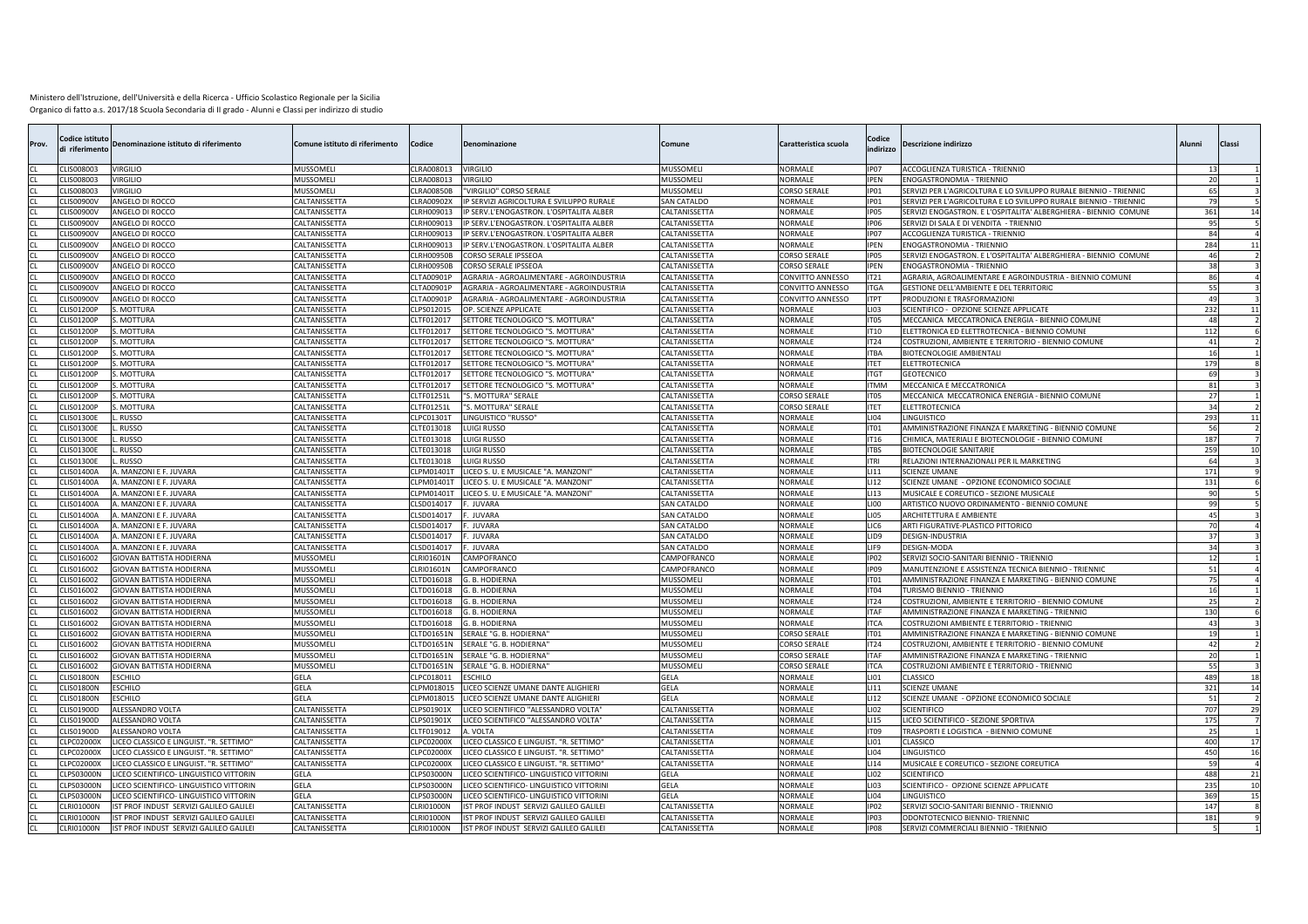| Prov.     | Codice istitut<br>di riferimento       | Denominazione istituto di riferimento         | Comune istituto di riferimento | Codice                   | Denominazione                                                        | Comune                         | Caratteristica scuola     | Codice<br>indirizzo | Oescrizione indirizzo                                                                  | Alunni          | Classi        |          |
|-----------|----------------------------------------|-----------------------------------------------|--------------------------------|--------------------------|----------------------------------------------------------------------|--------------------------------|---------------------------|---------------------|----------------------------------------------------------------------------------------|-----------------|---------------|----------|
|           | CLIS008003                             | <b>IRGILIO</b>                                | <b>MUSSOMELI</b>               | CLRA008013               | <b>VIRGILIO</b>                                                      | <b>MUSSOMEL</b>                | <b>NORMALE</b>            | IP <sub>07</sub>    | ACCOGLIENZA TURISTICA - TRIENNIO                                                       |                 |               |          |
|           | CLIS008003                             | <b>IRGILIO</b>                                | <b>MUSSOMELI</b>               | CLRA008013               | <b>/IRGILIO</b>                                                      | MUSSOMEL                       | NORMALE                   | <b>IPEN</b>         | ENOGASTRONOMIA - TRIENNIC                                                              |                 |               |          |
|           | CLIS008003                             | <b>/IRGILIO</b>                               | MUSSOMELI                      | LRA00850B                | 'VIRGILIO" CORSO SERALE                                              | MUSSOMELI                      | CORSO SERALI              | IP <sub>01</sub>    | SERVIZI PER L'AGRICOLTURA E LO SVILUPPO RURALE BIENNIO - TRIENNIO                      |                 |               |          |
| CL        | CLIS00900V                             | ANGELO DI ROCCO                               | CALTANISSETT.                  | CLRA00902X               | IP SERVIZI AGRICOLTURA E SVILUPPO RURALE                             | <b>SAN CATALDO</b>             | NORMALE                   | IP01                | SERVIZI PER L'AGRICOLTURA E LO SVILUPPO RURALE BIENNIO - TRIENNIO                      |                 |               |          |
|           | CLIS00900V                             | ANGELO DI ROCCC                               | CALTANISSETTA                  | CLRH009013               | IP SERV.L'ENOGASTRON. L'OSPITALITA ALBER                             | CALTANISSETTA                  | NORMALE                   | <b>IP05</b>         | SERVIZI ENOGASTRON. E L'OSPITALITA' ALBERGHIERA - BIENNIO COMUNE                       | 36              |               | 14       |
|           | CLIS00900V                             | <b>INGELO DI ROCCO</b>                        | CALTANISSETTA                  | CLRH009013               | IP SERV.L'ENOGASTRON. L'OSPITALITA ALBER                             | CALTANISSETTA                  | NORMALE                   | <b>IP06</b>         | SERVIZI DI SALA E DI VENDITA - TRIENNIO                                                |                 |               |          |
|           | <b>CLIS00900V</b>                      | ANGELO DI ROCCO                               | CALTANISSETTA                  | CLRH009013               | IP SERV.L'ENOGASTRON. L'OSPITALITA ALBER                             | CALTANISSETTA                  | NORMALE                   | IP07                | ACCOGLIENZA TURISTICA - TRIENNIO                                                       |                 | $\mathcal{R}$ |          |
|           | <b>CLIS00900V</b>                      | ANGELO DI ROCCC                               | CALTANISSETTA                  | CLRH009013               | IP SERV.L'ENOGASTRON. L'OSPITALITA ALBER                             | CALTANISSETTA                  | NORMALE                   | <b>IPEN</b>         | ENOGASTRONOMIA - TRIENNIO                                                              | 28              |               | 11       |
|           | <b>CLIS00900V</b>                      | ANGELO DI ROCCO                               | CALTANISSETTA                  | CLRH00950B               | <b>CORSO SERALE IPSSEOA</b>                                          | CALTANISSETTA                  | <b>CORSO SERALI</b>       | IP <sub>05</sub>    | SERVIZI ENOGASTRON. E L'OSPITALITA' ALBERGHIERA - BIENNIO COMUNE                       |                 |               |          |
|           | CLIS00900V                             | <b>INGELO DI ROCCO</b>                        | CALTANISSETTA                  | CLRH00950B               | CORSO SERALE IPSSEOA                                                 | CALTANISSETTA                  | CORSO SERALE              | <b>IPEN</b>         | ENOGASTRONOMIA - TRIENNIO                                                              |                 |               |          |
|           | CLIS00900V                             | ANGELO DI ROCCO                               | CALTANISSETTA                  | CLTA00901P               | AGRARIA - AGROALIMENTARE - AGROINDUSTRIA                             | CALTANISSETTA                  | CONVITTO ANNESSO          | IT21                | AGRARIA, AGROALIMENTARE E AGROINDUSTRIA - BIENNIO COMUNE                               |                 |               |          |
|           | CLIS00900V                             | <b>INGELO DI ROCCO</b>                        | CALTANISSETTA                  | CLTA00901P               | AGRARIA - AGROALIMENTARE - AGROINDUSTRIA                             | CALTANISSETTA                  | CONVITTO ANNESSO          | <b>ITGA</b>         | GESTIONE DELL'AMBIENTE E DEL TERRITORIO                                                |                 |               |          |
|           | CLIS00900V                             | <b>INGELO DI ROCCO</b>                        | CALTANISSETTA                  | CLTA00901P               | AGRARIA - AGROALIMENTARE - AGROINDUSTRIA                             | CALTANISSETTA                  | CONVITTO ANNESSO          | <b>ITPT</b>         | PRODUZIONI E TRASFORMAZIONI                                                            |                 |               |          |
|           | <b>CLIS01200P</b>                      | MOTTURA                                       | CALTANISSETTA                  | CLPS012015               | OP. SCIENZE APPLICATE                                                | CALTANISSETTA                  | NORMALE                   | 1103                | SCIENTIFICO - OPZIONE SCIENZE APPLICATE                                                | 232             |               | 11       |
|           | <b>CLIS01200P</b>                      | MOTTURA                                       | CALTANISSETTA                  | CLTF012017               | SETTORE TECNOLOGICO "S. MOTTURA"                                     | CALTANISSETTA                  | NORMALE                   | IT05                | MECCANICA MECCATRONICA ENERGIA - BIENNIO COMUNE                                        |                 |               |          |
|           | <b>CLIS01200P</b><br><b>CLIS01200P</b> | <b>MOTTURA</b>                                | CALTANISSETTA                  | CLTF012017               | SETTORE TECNOLOGICO "S. MOTTURA"                                     | CALTANISSETTA                  | <b>NORMALE</b><br>NORMALE | IT10<br>IT24        | ELETTRONICA ED ELETTROTECNICA - BIENNIO COMUNE                                         | 11              |               |          |
| CL<br>CL  | CLIS01200P                             | MOTTURA<br>MOTTURA                            | CALTANISSETTA<br>CALTANISSETTA | CLTF012017<br>CLTF012017 | SETTORE TECNOLOGICO "S. MOTTURA'<br>SETTORE TECNOLOGICO "S. MOTTURA" | CALTANISSETTA<br>CALTANISSETTA | NORMALE                   | <b>ITBA</b>         | COSTRUZIONI, AMBIENTE E TERRITORIO - BIENNIO COMUNE<br><b>BIOTECNOLOGIE AMBIENTALI</b> |                 |               |          |
| CL        | CLIS01200P                             | <b>MOTTURA</b>                                | CALTANISSETTA                  | CLTF012017               | SETTORE TECNOLOGICO "S. MOTTURA"                                     | CALTANISSETTA                  | NORMALE                   | <b>ITET</b>         | ELETTROTECNICA                                                                         | 17 <sub>1</sub> |               |          |
|           | <b>CLIS01200P</b>                      | <b>MOTTURA</b>                                | CALTANISSETTA                  | CLTF012017               | SETTORE TECNOLOGICO "S. MOTTURA"                                     | CALTANISSETTA                  | NORMALE                   | <b>ITGT</b>         | GEOTECNICO                                                                             |                 |               |          |
|           | CLIS01200P                             | MOTTURA                                       | CALTANISSETTA                  | CLTF012017               | SETTORE TECNOLOGICO "S. MOTTURA"                                     | CALTANISSETTA                  | <b>VORMALE</b>            | <b>ITMM</b>         | MECCANICA E MECCATRONICA                                                               |                 |               |          |
|           | <b>CLIS01200P</b>                      | MOTTURA                                       | CALTANISSETTA                  | CLTF01251L               | "S. MOTTURA" SERALE                                                  | CALTANISSETTA                  | <b>CORSO SERAI</b>        | IT05                | MECCANICA MECCATRONICA ENERGIA - BIENNIO COMUNE                                        |                 |               |          |
|           | <b>CLIS01200P</b>                      | <b>MOTTURA</b>                                | CALTANISSETTA                  | CLTF01251L               | "S. MOTTURA" SERALE                                                  | CALTANISSETTA                  | <b>CORSO SERAL</b>        | <b>ITFT</b>         | ELETTROTECNICA                                                                         |                 |               |          |
|           | CLIS01300E                             | <b>RUSSO</b>                                  | CALTANISSETTA                  | CLPC01301T               | LINGUISTICO "RUSSO"                                                  | CALTANISSETTA                  | NORMALE                   | LI04                | LINGUISTICO                                                                            | 29              |               |          |
|           | <b>CLISO1300E</b>                      | RUSSO                                         | CALTANISSETTA                  | CLTE013018               | <b>LUIGI RUSSO</b>                                                   | CALTANISSETTA                  | NORMALE                   | IT <sub>01</sub>    | AMMINISTRAZIONE FINANZA E MARKETING - BIENNIO COMUNE                                   |                 |               |          |
|           | <b>CLIS01300E</b>                      | <b>RUSSO</b>                                  | CALTANISSETTA                  | CLTE013018               | <b>LUIGI RUSSO</b>                                                   | CALTANISSETTA                  | NORMALE                   | IT16                | CHIMICA, MATERIALI E BIOTECNOLOGIE - BIENNIO COMUNE                                    | 18              |               |          |
|           | CLIS01300E                             | <b>RUSSO</b>                                  | CALTANISSETTA                  | CLTE013018               | <b>LUIGI RUSSO</b>                                                   | CALTANISSETTA                  | NORMALE                   | <b>ITBS</b>         | <b>BIOTECNOLOGIE SANITARIE</b>                                                         | 25              |               | 10       |
|           | CLIS01300E                             | <b>RUSSO</b>                                  | CALTANISSETTA                  | CLTE013018               | LUIGI RUSSO                                                          | CALTANISSETTA                  | NORMALE                   | <b>ITRI</b>         | RELAZIONI INTERNAZIONALI PER IL MARKETING                                              |                 |               |          |
|           | CLIS01400A                             | . MANZONI E F. JUVARA                         | CALTANISSETTA                  | CLPM01401T               | LICEO S. U. E MUSICALE "A. MANZONI                                   | CALTANISSETTA                  | NORMALE                   | LI11                | <b>SCIENZE UMANE</b>                                                                   | 171             |               |          |
|           | <b>CLIS01400A</b>                      | MANZONI E F. JUVARA                           | CALTANISSETTA                  | CLPM01401T               | LICEO S. U. E MUSICALE "A. MANZONI                                   | CALTANISSETTA                  | NORMALE                   | L112                | SCIENZE UMANE - OPZIONE ECONOMICO SOCIALE                                              | 131             |               |          |
|           | CLIS01400A                             | . MANZONI E F. JUVARA                         | CALTANISSETTA                  | CLPM01401T               | LICEO S. U. E MUSICALE "A. MANZONI"                                  | CALTANISSETTA                  | NORMALE                   | LI <sub>13</sub>    | MUSICALE E COREUTICO - SEZIONE MUSICALE                                                |                 |               |          |
| CL        | CLIS01400A                             | MANZONI E F. JUVARA                           | CALTANISSETTA                  | CLSD014017               | . JUVARA                                                             | SAN CATALDO                    | VORMALE                   | LIOO                | ARTISTICO NUOVO ORDINAMENTO - BIENNIO COMUNE                                           |                 |               |          |
|           | CLIS01400A                             | MANZONI E F. JUVARA                           | CALTANISSETTA                  | CLSD014017               | . JUVARA                                                             | <b>SAN CATALDO</b>             | NORMALE                   | LI05                | ARCHITETTURA E AMBIENTE                                                                |                 | $\Lambda$     |          |
|           | CLIS01400A                             | MANZONI E F. JUVARA                           | CALTANISSETTA                  | LSD014017                | JUVARA                                                               | <b>SAN CATALDO</b>             | NORMALE                   | LIC <sub>6</sub>    | ARTI FIGURATIVE-PLASTICO PITTORICO                                                     |                 |               |          |
|           | CLIS01400A                             | MANZONI E F. JUVARA                           | CALTANISSETTA                  | CLSD014017               | . JUVARA                                                             | <b>SAN CATALDO</b>             | NORMALE                   | LID <sub>9</sub>    | <b>DESIGN-INDUSTRIA</b>                                                                |                 |               |          |
|           | CLIS01400A                             | MANZONI E F. JUVARA                           | CALTANISSETTA                  | CLSD014017               | . JUVARA                                                             | SAN CATALDO                    | VORMALE                   | LIE9                | <b>DESIGN-MODA</b>                                                                     |                 |               |          |
| CL        | CLIS016002                             | <b>GIOVAN BATTISTA HODIERNA</b>               | <b>MUSSOMELI</b>               | CLRI01601N               | CAMPOFRANCO                                                          | CAMPOFRANCO                    | NORMALE                   | IP <sub>02</sub>    | SERVIZI SOCIO-SANITARI BIENNIO - TRIENNIO                                              |                 |               |          |
|           | CLIS016002                             | <b>GIOVAN BATTISTA HODIERNA</b>               | <b>MUSSOMELI</b>               | CLRI01601N               | CAMPOFRANCO                                                          | <b>CAMPOFRANCO</b>             | NORMALE                   | IP <sub>09</sub>    | MANUTENZIONE E ASSISTENZA TECNICA BIENNIO - TRIENNIC                                   |                 |               |          |
| CL        | CLIS016002                             | <b>GIOVAN BATTISTA HODIERNA</b>               | <b>MUSSOMELI</b>               | LTD016018                | G. B. HODIERNA                                                       | MUSSOMELI                      | NORMALE                   | IT01                | AMMINISTRAZIONE FINANZA E MARKETING - BIENNIO COMUNE                                   |                 |               |          |
| <b>CL</b> | CLIS016002                             | GIOVAN BATTISTA HODIERNA                      | MUSSOMELI                      |                          | CLTD016018 G. B. HODIERNA                                            | MUSSOMELI                      | NORMALE                   | IT <sub>04</sub>    | TURISMO BIENNIO - TRIENNIO                                                             |                 |               |          |
| CI.       | CLIS016002                             | <b>IOVAN BATTISTA HODIERNA</b>                | <b>MUSSOMELI</b>               | CLTD016018               | G. B. HODIERNA                                                       | <b>MUSSOMEL</b>                | NORMALE                   | <b>IT24</b>         | COSTRUZIONI, AMBIENTE E TERRITORIO - BIENNIO COMUNE                                    |                 |               |          |
|           | CLIS016002                             | <b>IOVAN BATTISTA HODIERNA</b>                | <b>MUSSOMELI</b>               | CLTD016018               | G. B. HODIERNA                                                       | MUSSOMEL                       | NORMALE                   | <b>ITAF</b>         | AMMINISTRAZIONE FINANZA E MARKETING - TRIENNIC                                         | 13              |               |          |
|           | LIS016002                              | <b>IOVAN BATTISTA HODIERNA</b>                | <b>MUSSOMELI</b>               | CLTD016018               | G. B. HODIERNA                                                       | MUSSOMELI                      | VORMALE                   | <b>ITCA</b>         | COSTRUZIONI AMBIENTE E TERRITORIO - TRIENNIC                                           |                 |               |          |
|           | CLIS016002                             | <b>GIOVAN BATTISTA HODIERNA</b>               | MUSSOMELI                      | CLTD01651N               | SERALE "G. B. HODIERNA"                                              | <b>MUSSOMEL</b>                | <b>CORSO SERAL</b>        | IT01                | AMMINISTRAZIONE FINANZA E MARKETING - BIENNIO COMUNE                                   |                 |               |          |
| CL        | CLIS016002                             | <b>IOVAN BATTISTA HODIERNA</b>                | <b>MUSSOMELI</b>               | CLTD01651N               | SERALE "G. B. HODIERNA"                                              | MUSSOMEL                       | <b>CORSO SERALI</b>       | IT24                | COSTRUZIONI, AMBIENTE E TERRITORIO - BIENNIO COMUNE                                    |                 |               |          |
| CL        | CLIS016002                             | <b>IOVAN BATTISTA HODIERNA</b>                | <b>MUSSOMELI</b>               | CLTD01651N               | SERALE "G. B. HODIERNA                                               | <b>MUSSOMELI</b>               | <b>CORSO SERALE</b>       | <b>ITAF</b>         | AMMINISTRAZIONE FINANZA E MARKETING - TRIENNIO                                         |                 |               |          |
| CL        | CLIS016002                             | <b>GIOVAN BATTISTA HODIERNA</b>               | <b>MUSSOMELI</b>               | CLTD01651N               | SERALE "G. B. HODIERNA"                                              | <b>MUSSOMELI</b>               | CORSO SERALE              | <b>ITCA</b>         | COSTRUZIONI AMBIENTE E TERRITORIO - TRIENNIC                                           |                 |               |          |
| CL        | <b>CLIS01800N</b><br><b>CLIS01800N</b> | SCHILO<br>SCHILO                              | <b>GELA</b><br>GELA            | CLPC018011<br>CLPM018015 | <b>ESCHILO</b><br>LICEO SCIENZE UMANE DANTE ALIGHIERI                | GELA<br><b>GELA</b>            | <b>NORMALE</b><br>NORMALE | LI01<br>L111        | CLASSICO<br><b>SCIENZE UMANE</b>                                                       | 489<br>32       |               | 18<br>14 |
|           | <b>CLIS01800N</b>                      | SCHILO                                        | GELA                           | CLPM018015               | LICEO SCIENZE UMANE DANTE ALIGHIERI                                  | <b>GELA</b>                    | NORMALE                   | LI2                 | SCIENZE UMANE - OPZIONE ECONOMICO SOCIALE                                              | 51              |               |          |
|           | CLIS01900D                             | ALESSANDRO VOLTA                              | CALTANISSETTA                  | CLPS01901X               | LICEO SCIENTIFICO "ALESSANDRO VOLTA'                                 | CALTANISSETTA                  | NORMALE                   | LI02                | <b>SCIENTIFICO</b>                                                                     | 707             |               | 29       |
| CL        | CLIS01900D                             | ALESSANDRO VOLTA                              | CALTANISSETTA                  | CLPS01901X               | LICEO SCIENTIFICO "ALESSANDRO VOLTA"                                 | CALTANISSETTA                  | NORMALE                   | LI <sub>15</sub>    | LICEO SCIENTIFICO - SEZIONE SPORTIVA                                                   | 175             |               |          |
|           | CLIS01900D                             | LESSANDRO VOLTA                               | CALTANISSETTA                  | CLTF019012               | A. VOLTA                                                             | CALTANISSETTA                  | NORMALE                   | IT09                | TRASPORTI E LOGISTICA - BIENNIO COMUNE                                                 |                 |               |          |
| CL        | LPC02000X                              | ICEO CLASSICO E LINGUIST. "R. SETTIMO"        | CALTANISSETTA                  | CLPC02000X               | <b>LICEO CLASSICO E LINGUIST. "R. SETTIMO"</b>                       | CALTANISSETTA                  | VORMALE                   | <b>LIO1</b>         | CLASSICO                                                                               | 400             |               | 17       |
|           | CLPC02000)                             | ICEO CLASSICO E LINGUIST. "R. SETTIMO"        | CALTANISSETTA                  | <b>CLPC02000X</b>        | LICEO CLASSICO E LINGUIST. "R. SETTIMO"                              | CALTANISSETTA                  | NORMALE                   | LI04                | LINGUISTICO                                                                            | 45              |               | 16       |
|           | LPC02000)                              | CEO CLASSICO E LINGUIST. "R. SETTIMO"         | CALTANISSETTA                  | CLPC02000X               | <b>LICEO CLASSICO E LINGUIST. "R. SETTIMO"</b>                       | CALTANISSETTA                  | VORMALE                   | LI4                 | MUSICALE E COREUTICO - SEZIONE COREUTICA                                               |                 |               |          |
|           | CLPS03000N                             | ICEO SCIENTIFICO- LINGUISTICO VITTORIN        | GELA                           | CLPS03000N               | <b>LICEO SCIENTIFICO- LINGUISTICO VITTORIN</b>                       | <b>GELA</b>                    | NORMALE                   | LI02                | <b>SCIENTIFICO</b>                                                                     | 48              |               | 21       |
|           | CLPS03000N                             | ICEO SCIENTIFICO- LINGUISTICO VITTORINI       | <b>GELA</b>                    | CLPS03000N               | LICEO SCIENTIFICO- LINGUISTICO VITTORIN                              | <b>GELA</b>                    | VORMALE                   | LI03                | SCIENTIFICO - OPZIONE SCIENZE APPLICATE                                                | 235             |               | 10       |
| CL        | <b>CLPS03000N</b>                      | <b>ICEO SCIENTIFICO- LINGUISTICO VITTORIN</b> | GELA                           | CLPS03000N               | LICEO SCIENTIFICO- LINGUISTICO VITTORIN                              | GELA                           | NORMALE                   | 1104                | LINGUISTICO                                                                            | 36              |               | 15       |
|           | <b>CLRI01000N</b>                      | IST PROF INDUST SERVIZI GALILEO GALILEI       | CALTANISSETTA                  | CLRI01000N               | IST PROF INDUST SERVIZI GALILEO GALILEI                              | CALTANISSETTA                  | NORMALE                   | <b>IP02</b>         | SERVIZI SOCIO-SANITARI BIENNIO - TRIENNIO                                              | 14              |               |          |
|           | <b>CLRI01000N</b>                      | IST PROF INDUST SERVIZI GALILEO GALILEI       | CALTANISSETTA                  | CLRI01000N               | IST PROF INDUST SERVIZI GALILEO GALILEI                              | CALTANISSETTA                  | NORMALE                   | IP <sub>03</sub>    | ODONTOTECNICO BIENNIO- TRIENNIO                                                        | 181             |               |          |
| <b>CL</b> | <b>CLRI01000N</b>                      | IST PROF INDUST SERVIZI GALILEO GALILEI       | CALTANISSETTA                  | CLRI01000N               | IST PROF INDUST SERVIZI GALILEO GALILEI                              | CALTANISSETTA                  | <b>NORMALE</b>            | IP08                | SERVIZI COMMERCIALI BIENNIO - TRIENNIO                                                 |                 |               |          |
|           |                                        |                                               |                                |                          |                                                                      |                                |                           |                     |                                                                                        |                 |               |          |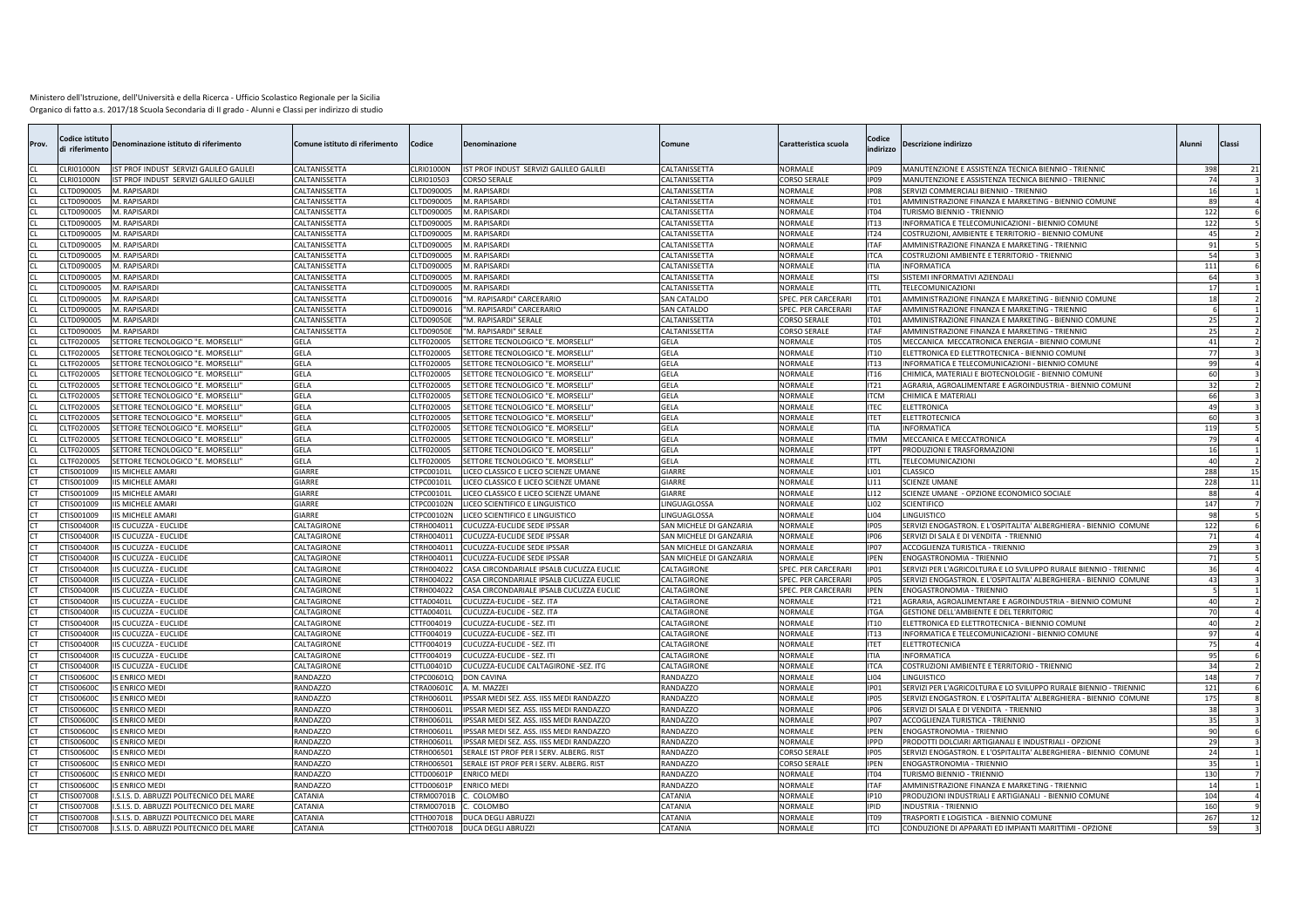| Prov.     | odice istitutı:<br>i riferimento     | Denominazione istituto di riferimento        | Comune istituto di riferimento | Codice                          | Denominazione                                                          | Comune                            | Caratteristica scuola                        | Codice<br>indirizzo        | Descrizione indirizzo                                                                     | Alunni                    | Classi |
|-----------|--------------------------------------|----------------------------------------------|--------------------------------|---------------------------------|------------------------------------------------------------------------|-----------------------------------|----------------------------------------------|----------------------------|-------------------------------------------------------------------------------------------|---------------------------|--------|
|           | <b>CLRI01000N</b>                    | IST PROF INDUST SERVIZI GALILEO GALILEI      | CALTANISSETTA                  | <b>CLRI01000N</b>               | IST PROF INDUST SERVIZI GALILEO GALILEI                                | CALTANISSETTA                     | <b>NORMALE</b>                               | IP <sub>09</sub>           | MANUTENZIONE E ASSISTENZA TECNICA BIENNIO - TRIENNIC                                      | 398                       |        |
|           | CLRI01000N                           | IST PROF INDUST SERVIZI GALILEO GALILEI      | CALTANISSETTA                  | CLRI010503                      | CORSO SERALE                                                           | CALTANISSETTA                     | <b>CORSO SERALE</b>                          | <b>IP09</b>                | MANUTENZIONE E ASSISTENZA TECNICA BIENNIO - TRIENNIC                                      | 7 <sub>i</sub>            |        |
|           | CLTD090005                           | M. RAPISARDI                                 | CALTANISSETTA                  | CLTD090005                      | M. RAPISARDI                                                           | CALTANISSETTA                     | <b>NORMALE</b>                               | IP08                       | SERVIZI COMMERCIALI BIENNIO - TRIENNIO                                                    | 16                        |        |
|           | LTD090005                            | M. RAPISARDI                                 | CALTANISSETTA                  | CLTD090005                      | M. RAPISARD                                                            | CALTANISSETTA                     | NORMALE                                      | IT01                       | AMMINISTRAZIONE FINANZA E MARKETING - BIENNIO COMUNE                                      | R <sub>q</sub>            |        |
|           | LTD090005                            | M. RAPISARDI                                 | CALTANISSETTA                  | CLTD090005                      | M. RAPISARD                                                            | CALTANISSETTA                     | <b>NORMALE</b>                               | IT04                       | <b>FURISMO BIENNIO - TRIENNIO</b>                                                         | 12                        |        |
|           | LTD090005                            | VI. RAPISARD                                 | CALTANISSETTA                  | CLTD090005                      | M. RAPISARD                                                            | CALTANISSETTA                     | VORMALE                                      | <b>IT13</b>                | NFORMATICA E TELECOMUNICAZIONI - BIENNIO COMUNE                                           | 122                       |        |
|           | LTD090005                            | M. RAPISARD                                  | CALTANISSETTA                  | CLTD090005                      | M. RAPISARD                                                            | CALTANISSETTA                     | NORMALE                                      | IT24                       | COSTRUZIONI, AMBIENTE E TERRITORIO - BIENNIO COMUNI                                       |                           |        |
|           | LTD090005                            | VI. RAPISARD                                 | CALTANISSETTA                  | CLTD090005                      | M. RAPISARD                                                            | CALTANISSETTA                     | NORMALE                                      | <b>ITAF</b>                | AMMINISTRAZIONE FINANZA E MARKETING - TRIENNIO                                            | 54                        |        |
|           | LTD090005<br>CLTD090005              | M. RAPISARDI<br>M. RAPISARDI                 | CALTANISSETTA<br>CALTANISSETTA | CLTD090005<br>CLTD090005        | M. RAPISARDI<br>M. RAPISARDI                                           | CALTANISSETTA<br>CALTANISSETTA    | NORMALE<br><b>NORMALE</b>                    | <b>ITCA</b><br><b>ITIA</b> | COSTRUZIONI AMBIENTE E TERRITORIO - TRIENNIC<br><b>INFORMATICA</b>                        | 111                       |        |
|           | CLTD090005                           | VI. RAPISARDI                                | CALTANISSETTA                  | CLTD090005                      | M. RAPISARD                                                            | <b>CALTANISSETTA</b>              | <b>NORMALE</b>                               | <b>ITSI</b>                | SISTEMI INFORMATIVI AZIENDALI                                                             | 64                        |        |
|           | CLTD090005                           | VI. RAPISARDI                                | CALTANISSETTA                  | CLTD090005                      | M. RAPISARDI                                                           | CALTANISSETTA                     | <b>NORMALE</b>                               | <b>ITTL</b>                | <b>FELECOMUNICAZIONI</b>                                                                  |                           |        |
|           | LTD090005                            | VI. RAPISARDI                                | CALTANISSETTA                  | CLTD090016                      | 'M. RAPISARDI" CARCERARIO                                              | <b>SAN CATALDO</b>                | SPEC. PER CARCERARI                          | IT <sub>01</sub>           | AMMINISTRAZIONE FINANZA E MARKETING - BIENNIO COMUNE                                      | 18                        |        |
|           | LTD090005                            | M. RAPISARDI                                 | CALTANISSETTA                  | CLTD090016                      | "M. RAPISARDI" CARCERARIO                                              | <b>SAN CATALDO</b>                | SPEC. PER CARCERARI                          | <b>ITAF</b>                | AMMINISTRAZIONE FINANZA E MARKETING - TRIENNIO                                            |                           |        |
|           | LTD090005                            | M. RAPISARD                                  | CALTANISSETTA                  | CLTD09050E                      | "M. RAPISARDI" SERALI                                                  | CALTANISSETTA                     | <b>CORSO SERAL</b>                           | IT01                       | AMMINISTRAZIONE FINANZA E MARKETING - BIENNIO COMUNE                                      | 25                        |        |
|           | LTD090005                            | M. RAPISARDI                                 | CALTANISSETTA                  | CLTD09050E                      | "M. RAPISARDI" SERALI                                                  | CALTANISSETTA                     | <b>CORSO SERALE</b>                          | <b>ITAF</b>                | AMMINISTRAZIONE FINANZA E MARKETING - TRIENNIO                                            |                           |        |
|           | LTF020005                            | ETTORE TECNOLOGICO "E. MORSELLI              | GFLA                           | CLTF020005                      | ETTORE TECNOLOGICO "E, MORSELLI"                                       | GFLA                              | VORMALE                                      | <b>IT05</b>                | MECCANICA MECCATRONICA ENERGIA - BIENNIO COMUNI                                           | $\Delta$ 1                |        |
|           | LTF02000                             | SETTORE TECNOLOGICO "E. MORSELLI             | GELA                           | CLTF020005                      | ETTORE TECNOLOGICO "E. MORSELLI                                        | <b>GELA</b>                       | NORMALE                                      | IT10                       | <b>LETTRONICA ED ELETTROTECNICA - BIENNIO COMUNI</b>                                      |                           |        |
|           | CLTF020005                           | <b>SETTORE TECNOLOGICO "E. MORSELLI</b>      | GELA                           | CLTF020005                      | ETTORE TECNOLOGICO "E. MORSELLI                                        | <b>GELA</b>                       | NORMALE                                      | <b>IT13</b>                | INFORMATICA E TELECOMUNICAZIONI - BIENNIO COMUNE                                          | qc                        |        |
|           | LTF020005                            | SETTORE TECNOLOGICO "E. MORSELLI             | GELA                           | CLTF020005                      | ETTORE TECNOLOGICO "E. MORSELLI                                        | <b>GELA</b>                       | <b>NORMALE</b>                               | IT16                       | CHIMICA, MATERIALI E BIOTECNOLOGIE - BIENNIO COMUNE                                       | 60                        |        |
|           | CLTF020005                           | SETTORE TECNOLOGICO "E. MORSELLI             | GELA                           | CLTF020005                      | SETTORE TECNOLOGICO "E. MORSELLI                                       | <b>GELA</b>                       | NORMALE                                      | IT21                       | AGRARIA, AGROALIMENTARE E AGROINDUSTRIA - BIENNIO COMUNE                                  |                           |        |
|           | CLTF020005                           | SETTORE TECNOLOGICO "E. MORSELLI             | <b>GELA</b>                    | CLTF020005                      | SETTORE TECNOLOGICO "E. MORSELLI                                       | <b>GELA</b>                       | <b>NORMALE</b>                               | <b>ITCM</b>                | CHIMICA E MATERIALI                                                                       | 66                        |        |
|           | CLTF020005                           | SETTORE TECNOLOGICO "E. MORSELLI             | GELA                           | CLTF020005                      | SETTORE TECNOLOGICO "E. MORSELLI                                       | <b>GELA</b>                       | NORMALE                                      | <b>ITEC</b>                | ELETTRONICA                                                                               |                           |        |
|           | LTF020005                            | SETTORE TECNOLOGICO "E. MORSELLI             | GELA                           | CLTF020005                      | ETTORE TECNOLOGICO "E. MORSELLI                                        | GELA                              | NORMALE                                      | <b>ITFT</b>                | <b>LETTROTECNICA</b>                                                                      | 60                        |        |
|           | LTF020005                            | SETTORE TECNOLOGICO "E. MORSELLI             | GELA                           | CLTF020005                      | ETTORE TECNOLOGICO "E. MORSELLI                                        | <b>GELA</b>                       | NORMALE                                      | <b>ITIA</b>                | <b>INFORMATICA</b>                                                                        | 119                       |        |
|           | LTF020005                            | ETTORE TECNOLOGICO "E. MORSELLI              | GELA                           | CLTF020005                      | ETTORE TECNOLOGICO "E. MORSELLI                                        | GELA                              | NORMALE                                      | <b>ITMM</b>                | MECCANICA E MECCATRONICA                                                                  |                           |        |
|           | LTF020005                            | SETTORE TECNOLOGICO "E. MORSELLI             | GELA                           | CLTF020005                      | ETTORE TECNOLOGICO "E. MORSELLI'                                       | <b>GELA</b>                       | NORMALE                                      | <b>ITPT</b>                | PRODUZIONI E TRASFORMAZIONI                                                               | 1 <sub>0</sub>            |        |
|           | LTF020005                            | <b>SETTORE TECNOLOGICO "E, MORSELLI"</b>     | GELA                           | CLTF020005                      | ETTORE TECNOLOGICO "E. MORSELLI"                                       | GELA                              | <b>JORMALE</b>                               | <b>ITTI</b>                | <b>FELECOMUNICAZIONI</b>                                                                  | $\Lambda$ C               |        |
|           | CTIS001009                           | IS MICHELE AMARI                             | GIARRE                         | CTPC00101L                      | ICEO CLASSICO E LICEO SCIENZE UMANI                                    | GIARRE                            | NORMALE                                      | LI01                       | CLASSICO                                                                                  | 288                       |        |
|           | CTIS001009                           | IS MICHELE AMARI                             | GIARRE                         | CTPC00101L                      | LICEO CLASSICO E LICEO SCIENZE UMANE                                   | GIARRE                            | NORMALE                                      | 1111                       | <b>SCIENZE UMANE</b>                                                                      | 228                       |        |
|           | TIS001009                            | IS MICHELE AMARI                             | <b>GIARRE</b>                  | CTPC00101L                      | ICEO CLASSICO E LICEO SCIENZE UMANE                                    | <b>GIARRE</b>                     | NORMALE                                      | LI2                        | SCIENZE UMANE - OPZIONE ECONOMICO SOCIALE                                                 |                           |        |
|           | CTIS001009                           | IS MICHELF AMARI                             | GIARRE                         | CTPC00102N                      | LICEO SCIENTIFICO E LINGUISTICO                                        | <b>INGUAGLOSSA</b>                | NORMALE                                      | LI02                       | <b>SCIENTIFICO</b>                                                                        | 147                       |        |
|           | TIS001009                            | IS MICHELE AMARI                             | <b>GIARRE</b>                  | CTPC00102N                      | LICEO SCIENTIFICO E LINGUISTICO                                        | LINGUAGLOSSA                      | <b>NORMALE</b>                               | LI <sub>04</sub>           | LINGUISTICO                                                                               | <b>qs</b>                 |        |
|           | TIS00400R                            | IS CUCUZZA - EUCLIDE                         | CALTAGIRONE                    | CTRH004011                      | CUCUZZA-EUCLIDE SEDE IPSSAR                                            | SAN MICHELE DI GANZARIA           | NORMALE                                      | <b>IP05</b>                | SERVIZI ENOGASTRON. E L'OSPITALITA' ALBERGHIERA - BIENNIO COMUNE                          | 12                        |        |
|           | <b>TIS00400R</b>                     | IS CUCUZZA - EUCLIDE                         | CALTAGIRONE                    | CTRH004011                      | CUCUZZA-EUCLIDE SEDE IPSSAR                                            | SAN MICHELE DI GANZARIA           | VORMALE                                      | IPO <sub>6</sub>           | SERVIZI DI SALA E DI VENDITA - TRIENNIO                                                   | 71                        |        |
|           | TIS00400R                            | IS CUCUZZA - EUCLIDE                         | CALTAGIRONE                    | CTRH004011                      | CUCUZZA-EUCLIDE SEDE IPSSAR                                            | SAN MICHELE DI GANZARIA           | NORMALE                                      | IP07                       | ACCOGLIENZA TURISTICA - TRIENNIC                                                          | 2 <sup>c</sup>            |        |
|           | CTIS00400R                           | IS CUCUZZA - EUCLIDE                         | CALTAGIRONE                    | CTRH004011                      | CUCUZZA-EUCLIDE SEDE IPSSAR                                            | SAN MICHELE DI GANZARIA           | NORMALE                                      | <b>IPEN</b>                | ENOGASTRONOMIA - TRIENNIO                                                                 |                           |        |
|           | <b>TIS00400F</b>                     | IS CUCUZZA - EUCLIDE                         | CALTAGIRONE                    | CTRH004022                      | CASA CIRCONDARIALE IPSALB CUCUZZA EUCLID                               | CALTAGIRONE                       | SPEC. PER CARCERARI                          | IP <sub>01</sub>           | SERVIZI PER L'AGRICOLTURA E LO SVILUPPO RURALE BIENNIO - TRIENNIO                         |                           |        |
|           | <b>TIS00400F</b>                     | IS CUCUZZA - EUCLIDE                         | CALTAGIRONE                    | <b>TRH004022</b>                | CASA CIRCONDARIALE IPSALB CUCUZZA EUCLID                               | CALTAGIRONE                       | SPEC. PER CARCERARI                          | <b>IP05</b>                | SERVIZI ENOGASTRON. E L'OSPITALITA' ALBERGHIERA - BIENNIO COMUNE                          | $\mathbf{A}^{\mathsf{T}}$ |        |
|           | <b>TIS00400F</b><br><b>TIS00400F</b> | IS CUCUZZA - EUCLIDE<br>IS CUCUZZA - EUCLIDE | CALTAGIRONE<br>CALTAGIRONE     | CTRH004022<br><b>CTTA00401L</b> | CASA CIRCONDARIALE IPSALB CUCUZZA EUCLID<br>CUCUZZA-EUCLIDE - SEZ. ITA | CALTAGIRONE<br>CALTAGIRONE        | <b>SPEC. PER CARCERARI</b><br><b>NORMALE</b> | <b>IPEN</b><br>IT21        | ENOGASTRONOMIA - TRIENNIO<br>AGRARIA, AGROALIMENTARE E AGROINDUSTRIA - BIENNIO COMUNE     | $\Delta f$                |        |
|           |                                      |                                              |                                |                                 |                                                                        |                                   |                                              |                            |                                                                                           |                           |        |
|           | <b>TIS00400F</b><br><b>TIS00400F</b> | S CUCUZZA - EUCLIDE<br>IS CUCUZZA - EUCLIDE  | CALTAGIRONE<br>CALTAGIRONI     | CTTA00401L<br>CTTF004019        | CUCUZZA-EUCLIDE - SEZ. ITA<br>CUCUZZA-EUCLIDE - SEZ. ITI               | CALTAGIRONE<br><b>CALTAGIRONE</b> | NORMALE<br>NORMALE                           | <b>ITGA</b><br><b>IT10</b> | GESTIONE DELL'AMBIENTE E DEL TERRITORIO<br>ELETTRONICA ED ELETTROTECNICA - BIENNIO COMUNI | $\Delta f$                |        |
|           | CTIS00400F                           | IS CUCUZZA - EUCLIDE                         | CALTAGIRONE                    | CTTF004019                      | CUCUZZA-EUCLIDE - SEZ. ITI                                             | CALTAGIRONE                       | NORMALE                                      | IT <sub>13</sub>           | INFORMATICA E TELECOMUNICAZIONI - BIENNIO COMUNE                                          | Q <sub>1</sub>            |        |
|           | <b>TIS00400F</b>                     | IS CUCUZZA - EUCLIDE                         | CALTAGIRONE                    | CTTF004019                      | CUCUZZA-EUCLIDE - SEZ. ITI                                             | CALTAGIRONE                       | NORMALE                                      | <b>ITET</b>                | ELETTROTECNICA                                                                            |                           |        |
|           | TIS00400R                            | IS CUCUZZA - EUCLIDE                         | CALTAGIRONE                    | CTTF004019                      | CUCUZZA-EUCLIDE - SEZ. ITI                                             | CALTAGIRONE                       | NORMALE                                      | <b>ITIA</b>                | <b>INFORMATICA</b>                                                                        | <b>QF</b>                 |        |
|           | CTIS00400R                           | IS CUCUZZA - EUCLIDE                         | CALTAGIRONE                    | CTTL00401D                      | CUCUZZA-EUCLIDE CALTAGIRONE -SEZ. ITG                                  | CALTAGIRONE                       | NORMALE                                      | <b>ITCA</b>                | COSTRUZIONI AMBIENTE E TERRITORIO - TRIENNIC                                              | $\mathbf{R}$              |        |
|           | CTIS00600C                           | S ENRICO MEDI                                | RANDAZZO                       | CTPC00601Q                      | <b>DON CAVINA</b>                                                      | <b>RANDAZZO</b>                   | NORMALE                                      | LI <sub>04</sub>           | <b>INGUISTICO</b>                                                                         | 148                       |        |
|           | <b>TIS006000</b>                     | S ENRICO MEDI                                | RANDAZZO                       | CTRA00601C                      | A. M. MAZZEI                                                           | <b>RANDAZZO</b>                   | NORMALE                                      | IP <sub>01</sub>           | SERVIZI PER L'AGRICOLTURA E LO SVILUPPO RURALE BIENNIO - TRIENNIO                         | 12 <sup>2</sup>           |        |
|           | <b>TIS006000</b>                     | S ENRICO MEDI                                | RANDAZZO                       | CTRH00601L                      | PSSAR MEDI SEZ. ASS. IISS MEDI RANDAZZO                                | RANDAZZO                          | VORMALE                                      | <b>IP05</b>                | SERVIZI ENOGASTRON. E L'OSPITALITA' ALBERGHIERA - BIENNIO COMUNE                          | 175                       |        |
|           | CTIS006000                           | S ENRICO MEDI                                | RANDAZZC                       | CTRH00601L                      | PSSAR MEDI SEZ. ASS. IISS MEDI RANDAZZO                                | <b>RANDAZZO</b>                   | NORMALE                                      | <b>IP06</b>                | SERVIZI DI SALA E DI VENDITA - TRIENNIO                                                   |                           |        |
|           | CTIS006000                           | S ENRICO MEDI                                | RANDAZZO                       | CTRH00601L                      | PSSAR MEDI SEZ. ASS. IISS MEDI RANDAZZO                                | RANDAZZO                          | NORMALE                                      | IP <sub>07</sub>           | ACCOGLIENZA TURISTICA - TRIENNIO                                                          |                           |        |
|           | <b>TIS006000</b>                     | S ENRICO MEDI                                | RANDAZZO                       | CTRH00601L                      | PSSAR MEDI SEZ. ASS. IISS MEDI RANDAZZO                                | RANDAZZO                          | NORMALE                                      | <b>IPFN</b>                | NOGASTRONOMIA - TRIENNIO                                                                  | 9                         |        |
|           | <b>TIS00600C</b>                     | <b>IS ENRICO MEDI</b>                        | RANDAZZO                       | CTRH00601L                      | PSSAR MEDI SEZ. ASS. IISS MEDI RANDAZZO                                | RANDAZZO                          | <b>NORMALE</b>                               | <b>IPPD</b>                | PRODOTTI DOLCIARI ARTIGIANALI E INDUSTRIALI - OPZIONE                                     | 2 <sup>c</sup>            |        |
| CT.       | <b>TIS00600C</b>                     | S ENRICO MEDI                                | RANDAZZO                       | CTRH006501                      | SERALE IST PROF PER I SERV. ALBERG. RIST                               | <b>RANDAZZO</b>                   | <b>CORSO SERALI</b>                          | <b>IP05</b>                | SERVIZI ENOGASTRON. E L'OSPITALITA' ALBERGHIERA - BIENNIO COMUNE                          | 24                        |        |
|           | CTIS00600C                           | <b>IS ENRICO MEDI</b>                        | RANDAZZO                       | CTRH006501                      | SERALE IST PROF PER I SERV. ALBERG. RIST                               | <b>RANDAZZO</b>                   | <b>CORSO SERALI</b>                          | <b>IPEN</b>                | ENOGASTRONOMIA - TRIENNIO                                                                 |                           |        |
|           | <b>TIS00600C</b>                     | S ENRICO MEDI                                | RANDAZZO                       | CTTD00601P                      | ENRICO MEDI                                                            | <b>RANDAZZO</b>                   | <b>NORMALE</b>                               | IT <sub>04</sub>           | <b>FURISMO BIENNIO - TRIENNIO</b>                                                         | 130                       |        |
|           | CTIS00600C                           | IS ENRICO MEDI                               | RANDAZZO                       | CTTD00601P                      | ENRICO MEDI                                                            | <b>RANDAZZO</b>                   | NORMALE                                      | <b>ITAF</b>                | AMMINISTRAZIONE FINANZA E MARKETING - TRIENNIC                                            |                           |        |
|           | CTIS007008                           | .S.I.S. D. ABRUZZI POLITECNICO DEL MARE      | CATANIA                        | CTRM00701B                      | COLOMBO                                                                | CATANIA                           | NORMALE                                      | IP10                       | PRODUZIONI INDUSTRIALI E ARTIGIANALI - BIENNIO COMUNE                                     | 104                       |        |
|           | TIS007008                            | S.I.S. D. ABRUZZI POLITECNICO DEL MARE       | CATANIA                        | TRM00701B                       | COLOMBO                                                                | CATANIA                           | NORMALE                                      |                            | NDUSTRIA - TRIENNIO                                                                       | 16                        |        |
|           | TIS007008                            | .S.I.S. D. ABRUZZI POLITECNICO DEL MARE      | CATANIA                        | CTTH007018                      | DUCA DEGLI ABRUZZI                                                     | <b>ATANIA</b>                     | <b>IORMALE</b>                               | POTI                       | RASPORTI E LOGISTICA - BIENNIO COMUNE                                                     | 267                       |        |
| <b>CT</b> | CTIS007008                           | I.S.I.S. D. ABRUZZI POLITECNICO DEL MARE     | CATANIA                        | CTTH007018                      | DUCA DEGLI ABRUZZI                                                     | CATANIA                           | NORMALE                                      | <b>ITCI</b>                | CONDUZIONE DI APPARATI ED IMPIANTI MARITTIMI - OPZIONE                                    |                           |        |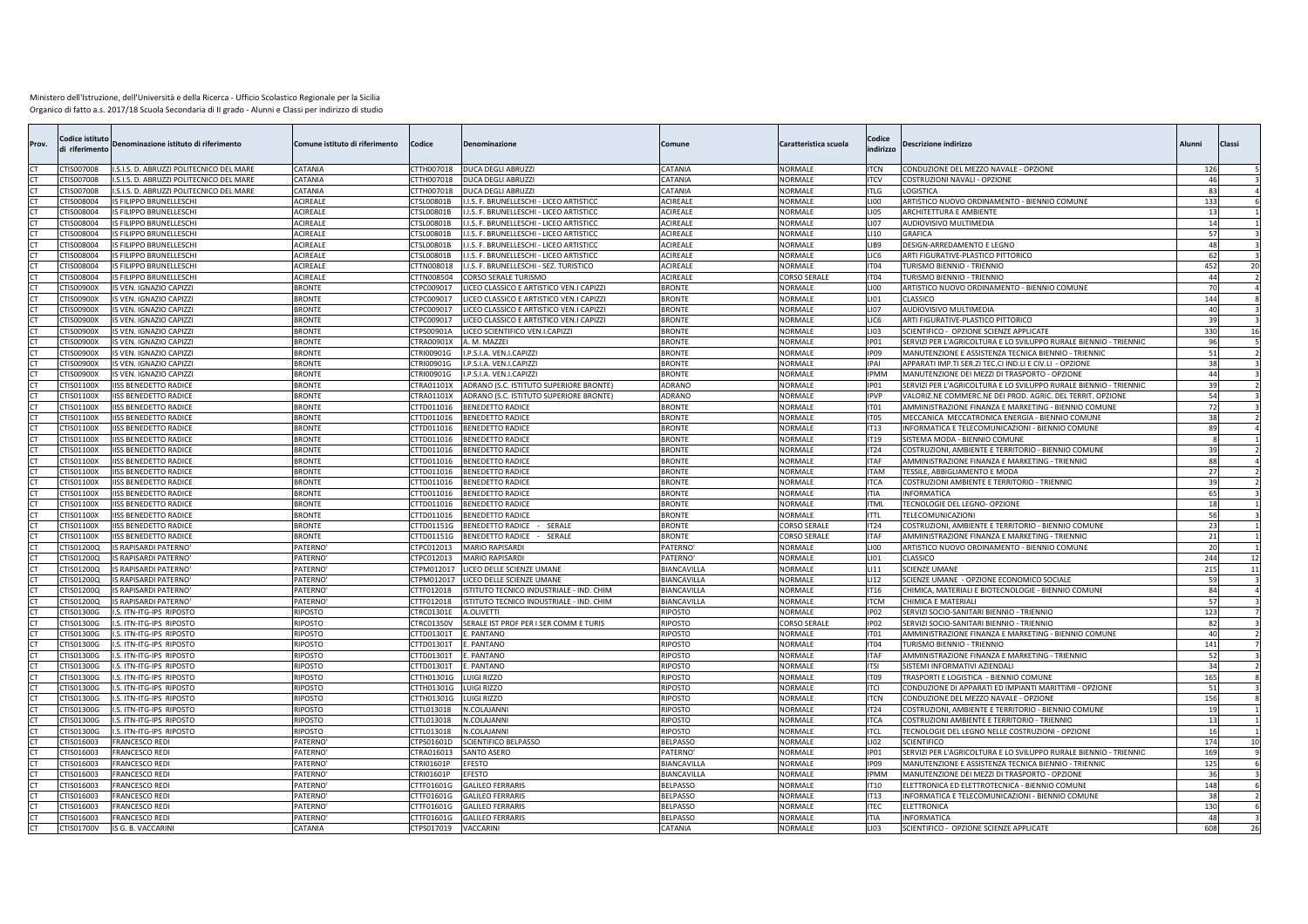| Prov.     | Codice istituto<br>di riferimento | Denominazione istituto di riferimento               | Comune istituto di riferimento | Codice                   | Denominazione                                                               | ີ.omune                  | Caratteristica scuola            | Codice<br>indirizzo | Descrizione indirizzo                                                           | Alunni          | Classi          |
|-----------|-----------------------------------|-----------------------------------------------------|--------------------------------|--------------------------|-----------------------------------------------------------------------------|--------------------------|----------------------------------|---------------------|---------------------------------------------------------------------------------|-----------------|-----------------|
| <b>CT</b> | CTIS007008                        | .S.I.S. D. ABRUZZI POLITECNICO DEL MARE             | CATANIA                        | CTTH007018               | <b>DUCA DEGLI ABRUZZI</b>                                                   | CATANIA                  | <b>NORMALE</b>                   | <b>ITCN</b>         | CONDUZIONE DEL MEZZO NAVALE - OPZIONE                                           | 12 <sub>0</sub> |                 |
|           | TIS007008                         | .S.I.S. D. ABRUZZI POLITECNICO DEL MARE             | CATANIA                        | CTTH007018               | DUCA DEGLI ABRUZZI                                                          | CATANIA                  | NORMALE                          | <b>ITCV</b>         | COSTRUZIONI NAVALI - OPZIONE                                                    |                 |                 |
|           | TIS007008                         | .S.I.S. D. ABRUZZI POLITECNICO DEL MARE             | CATANIA                        | CTTH007018               | DUCA DEGLI ABRUZZI                                                          | CATANIA                  | <b>NORMALE</b>                   | <b>ITLG</b>         | LOGISTICA                                                                       |                 |                 |
| CT.       | TIS008004                         | S FILIPPO BRUNELLESCHI                              | ACIREALE                       | CTSL00801B               | I.I.S. F. BRUNELLESCHI - LICEO ARTISTICO                                    | ACIREALE                 | <b>NORMALE</b>                   | <b>LIOO</b>         | ARTISTICO NUOVO ORDINAMENTO - BIENNIO COMUNE                                    |                 | 133             |
|           | TIS008004                         | S FILIPPO BRUNELLESCHI                              | ACIREALE                       | CTSL00801B               | I.I.S. F. BRUNELLESCHI - LICEO ARTISTICO                                    | ACIREALE                 | <b>NORMALE</b>                   | <b>LIO5</b>         | ARCHITETTURA E AMBIENTE                                                         |                 |                 |
|           | TIS008004                         | S FILIPPO BRUNELLESCHI                              | <b>ACIREALE</b>                | CTSL00801B               | I.I.S. F. BRUNELLESCHI - LICEO ARTISTICO                                    | ACIREALE                 | <b>NORMALE</b>                   | <b>LI07</b>         | AUDIOVISIVO MULTIMEDIA                                                          |                 |                 |
|           | TIS008004                         | IS FILIPPO BRUNELLESCHI                             | ACIREALE                       | CTSL00801B               | I.I.S. F. BRUNELLESCHI - LICEO ARTISTICO                                    | ACIREALE                 | <b>NORMALE</b>                   | LI10                | GRAFICA                                                                         |                 |                 |
| <b>CT</b> | TIS008004                         | IS FILIPPO BRUNELLESCHI                             | ACIREALE                       | <b>CTSL00801B</b>        | I.I.S. F. BRUNELLESCHI - LICEO ARTISTICO                                    | ACIREALE                 | <b>NORMALE</b>                   | LIB9                | DESIGN-ARREDAMENTO E LEGNO                                                      |                 |                 |
|           | TIS008004                         | IS FILIPPO BRUNELLESCHI                             | ACIREALE                       | CTSL00801B               | I.I.S. F. BRUNELLESCHI - LICEO ARTISTICO                                    | ACIREALE                 | NORMALE                          | LIC6                | ARTI FIGURATIVE-PLASTICO PITTORICO                                              |                 |                 |
|           | TIS008004                         | S FILIPPO BRUNELLESCHI                              | ACIREALE                       | CTTN008018               | I.I.S. F. BRUNELLESCHI - SEZ. TURISTICO                                     | <b>ACIREALE</b>          | <b>NORMALE</b>                   | <b>ITO4</b>         | <b>TURISMO BIENNIO - TRIENNIO</b>                                               |                 | 45<br>20        |
|           | TIS008004                         | IS FILIPPO BRUNELLESCHI                             | ACIREALE                       | CTTN008504               | CORSO SERALE TURISMO                                                        | ACIREALE                 | <b>CORSO SERAL</b>               | IT04                | TURISMO BIENNIO - TRIENNIO                                                      |                 | $\Delta\Delta$  |
|           | TIS00900X                         | S VEN. IGNAZIO CAPIZZI                              | <b>BRONTE</b>                  | CTPC009017               | LICEO CLASSICO E ARTISTICO VEN.I CAPIZZI                                    | <b>BRONTE</b>            | <b>NORMALE</b>                   | 1100                | ARTISTICO NUOVO ORDINAMENTO - BIENNIO COMUNE                                    |                 |                 |
|           | TIS00900X                         | S VEN. IGNAZIO CAPIZZI                              | <b>BRONTE</b>                  | CTPC009017               | ICEO CLASSICO E ARTISTICO VEN.I CAPIZZI                                     | <b>BRONTE</b>            | NORMALE                          | <b>LIO1</b>         | CLASSICO                                                                        |                 | 14              |
|           | TIS00900X<br>TIS00900X            | IS VEN. IGNAZIO CAPIZZI                             | <b>BRONTE</b>                  | CTPC009017               | LICEO CLASSICO E ARTISTICO VEN.I CAPIZZI                                    | <b>BRONTE</b>            | <b>NORMALE</b><br><b>NORMALE</b> | 1107<br>LIC6        | AUDIOVISIVO MULTIMEDIA                                                          |                 |                 |
|           | TIS00900X                         | IS VEN. IGNAZIO CAPIZZI<br>S VEN. IGNAZIO CAPIZZI   | <b>BRONTE</b><br><b>BRONTE</b> | CTPC009017<br>CTPS00901A | LICEO CLASSICO E ARTISTICO VEN.I CAPIZZI<br>LICEO SCIENTIFICO VEN.I.CAPIZZI | <b>BRONTE</b><br>BRONTE  | NORMALE                          | LI03                | ARTI FIGURATIVE-PLASTICO PITTORICO<br>SCIENTIFICO - OPZIONE SCIENZE APPLICATE   |                 | 16<br>33        |
|           | TIS00900X                         | S VEN. IGNAZIO CAPIZZI                              | RONTE                          | CTRA00901X               | A. M. MAZZFI                                                                | RONTE                    | VORMALE                          | IP <sub>01</sub>    | SERVIZI PER L'AGRICOLTURA E LO SVILUPPO RURALE BIENNIO - TRIENNIO               |                 |                 |
| CT.       | TIS00900X                         | IS VEN. IGNAZIO CAPIZZI                             | <b>BRONTE</b>                  | CTRI00901G               | .P.S.I.A. VEN.I.CAPIZZI                                                     | <b>BRONTE</b>            | <b>NORMALE</b>                   | <b>IP09</b>         | MANUTENZIONE E ASSISTENZA TECNICA BIENNIO - TRIENNIC                            |                 |                 |
|           | TIS00900X                         | S VEN. IGNAZIO CAPIZZI                              | <b>BRONTE</b>                  | CTRI00901G               | .P.S.I.A. VEN.I.CAPIZZI                                                     | <b>BRONTE</b>            | <b>NORMALE</b>                   | <b>IPAI</b>         | APPARATI IMP.TI SER.ZI TEC.CI IND.LI E CIV.LI - OPZIONE                         |                 |                 |
|           | TIS00900X                         | IS VEN. IGNAZIO CAPIZZI                             | <b>BRONTE</b>                  | CTRI00901G               | .P.S.I.A. VEN.I.CAPIZZI                                                     | <b>BRONTE</b>            | NORMALE                          | <b>IPMM</b>         | MANUTENZIONE DEI MEZZI DI TRASPORTO - OPZIONE                                   |                 | $\Lambda$       |
|           | TIS01100X                         | <b>ISS BENEDETTO RADICE</b>                         | <b>BRONTE</b>                  | CTRA01101X               | ADRANO (S.C. ISTITUTO SUPERIORE BRONTE)                                     | ADRANO                   | <b>NORMALE</b>                   | IP <sub>01</sub>    | SERVIZI PER L'AGRICOLTURA E LO SVILUPPO RURALE BIENNIO - TRIENNIO               |                 |                 |
|           | TIS01100X                         | <b>IISS BENEDETTO RADICE</b>                        | BRONTE                         | CTRA01101X               | ADRANO (S.C. ISTITUTO SUPERIORE BRONTE)                                     | ADRANO                   | <b>NORMALE</b>                   | <b>IPVP</b>         | VALORIZ.NE COMMERC.NE DEI PROD. AGRIC. DEL TERRIT. OPZIONE                      |                 |                 |
|           | TIS01100X                         | <b>ISS BENEDETTO RADICE</b>                         | <b>BRONTE</b>                  | CTTD011016               | <b>BENEDETTO RADICE</b>                                                     | <b>BRONTE</b>            | <b>NORMALE</b>                   | ITO <sub>1</sub>    | AMMINISTRAZIONE FINANZA E MARKETING - BIENNIO COMUNE                            |                 |                 |
|           | TIS01100X                         | <b>IISS BENEDETTO RADICE</b>                        | <b>BRONTE</b>                  | CTTD011016               | <b>BENEDETTO RADICE</b>                                                     | <b>BRONTE</b>            | NORMALE                          | IT <sub>05</sub>    | MECCANICA MECCATRONICA ENERGIA - BIENNIO COMUNE                                 |                 |                 |
|           | TIS01100X                         | <b>IISS BENEDETTO RADICE</b>                        | <b>BRONTE</b>                  | CTTD011016               | <b>BENEDETTO RADICE</b>                                                     | <b>BRONTE</b>            | <b>NORMALE</b>                   | <b>IT13</b>         | INFORMATICA E TELECOMUNICAZIONI - BIENNIO COMUNE                                |                 |                 |
|           | TIS01100X                         | <b>ISS BENEDETTO RADICE</b>                         | <b>BRONTE</b>                  | CTTD011016               | <b>BENEDETTO RADICE</b>                                                     | <b>BRONTE</b>            | <b>NORMALE</b>                   | IT19                | SISTEMA MODA - BIENNIO COMUNE                                                   |                 |                 |
|           | TIS01100X                         | <b>ISS BENEDETTO RADICE</b>                         | <b>BRONTE</b>                  | CTTD011016               | BENEDETTO RADICE                                                            | <b>BRONTE</b>            | NORMALE                          | <b>IT24</b>         | COSTRUZIONI, AMBIENTE E TERRITORIO - BIENNIO COMUNE                             |                 |                 |
|           | TIS01100X                         | <b>ISS BENEDETTO RADICE</b>                         | <b>BRONTE</b>                  | CTTD011016               | <b>BENEDETTO RADICE</b>                                                     | RONTE                    | NORMALE                          | <b>ITAF</b>         | AMMINISTRAZIONE FINANZA E MARKETING - TRIENNIO                                  |                 | 88              |
|           | TIS01100X                         | <b>IISS BENEDETTO RADICE</b>                        | <b>BRONTE</b>                  | CTTD011016               | <b>BENEDETTO RADICE</b>                                                     | <b>BRONTE</b>            | <b>NORMALE</b>                   | <b>ITAM</b>         | TESSILE, ABBIGLIAMENTO E MODA                                                   |                 |                 |
|           | TIS01100X                         | <b>ISS BENEDETTO RADICE</b>                         | <b>BRONTE</b>                  | CTTD011016               | <b>BENEDETTO RADICE</b>                                                     | <b>BRONTE</b>            | <b>NORMALE</b>                   | <b>ITCA</b>         | COSTRUZIONI AMBIENTE E TERRITORIO - TRIENNIC                                    |                 |                 |
|           | TIS01100X                         | <b>ISS BENEDETTO RADICE</b>                         | <b>BRONTE</b>                  | CTTD011016               | <b>BENEDETTO RADICE</b>                                                     | <b>BRONTE</b>            | NORMALE                          | <b>ITIA</b>         | <b>INFORMATICA</b>                                                              |                 |                 |
|           | TIS01100X                         | <b>ISS BENEDETTO RADICE</b>                         | <b>BRONTE</b>                  | CTTD011016               | <b>BENEDETTO RADICE</b>                                                     | <b>BRONTE</b>            | <b>NORMALE</b>                   | <b>ITMI</b>         | TECNOLOGIE DEL LEGNO- OPZIONE                                                   |                 |                 |
|           | TIS01100X                         | <b>ISS BENEDETTO RADICE</b>                         | BRONTE                         | CTTD011016               | <b>BENEDETTO RADICE</b>                                                     | <b>BRONTE</b>            | <b>NORMALE</b>                   | <b>ITTL</b>         | TELECOMUNICAZIONI                                                               |                 |                 |
|           | CTIS01100X                        | <b>ISS BENEDETTO RADICE</b>                         | <b>BRONTE</b>                  | CTTD01151G               | BENEDETTO RADICE<br>SERALE                                                  | <b>BRONTE</b>            | <b>CORSO SERALI</b>              | <b>IT24</b>         | COSTRUZIONI, AMBIENTE E TERRITORIO - BIENNIO COMUNE                             |                 |                 |
|           | TIS01100X                         | <b>ISS BENEDETTO RADICE</b>                         | <b>BRONTE</b>                  | CTTD01151G               | BENEDETTO RADICE -<br>SERALE                                                | RONTE                    | <b>CORSO SERALI</b>              | <b>ITAF</b>         | AMMINISTRAZIONE FINANZA E MARKETING - TRIENNIO                                  |                 |                 |
|           | <b>TIS01200Q</b>                  | IS RAPISARDI PATERNO                                | PATERNO                        | CTPC012013               | <b>MARIO RAPISARDI</b>                                                      | PATERNO <sup>®</sup>     | <b>NORMALE</b>                   | LI00                | ARTISTICO NUOVO ORDINAMENTO - BIENNIO COMUNE                                    |                 |                 |
|           | CTIS01200Q                        | S RAPISARDI PATERNO                                 | PATERNO                        | CTPC012013               | <b>MARIO RAPISARDI</b>                                                      | PATERNO <sup>®</sup>     | <b>NORMALE</b>                   | <b>LIO1</b>         | CLASSICO                                                                        |                 | 24<br>12        |
|           | CTIS01200Q                        | <b>IS RAPISARDI PATERNO</b>                         | <b>PATERNO</b>                 | CTPM012017               | LICEO DELLE SCIENZE UMANE                                                   | <b>BIANCAVILLA</b>       | NORMALE                          | <b>LI11</b>         | <b>SCIENZE UMANE</b>                                                            |                 | 21!<br>11       |
|           | TIS01200Q                         | S RAPISARDI PATERNO                                 | PATERNO                        | CTPM012017               | LICEO DELLE SCIENZE UMANE                                                   | <b>BIANCAVILLA</b>       | NORMALE                          | LI12                | SCIENZE UMANE - OPZIONE ECONOMICO SOCIALE                                       |                 |                 |
| CT.       | TIS01200Q                         | IS RAPISARDI PATERNO                                | PATERNO                        | CTTF012018               | ISTITUTO TECNICO INDUSTRIALE - IND. CHIM                                    | BIANCAVILLA              | <b>NORMALE</b>                   | IT16                | CHIMICA, MATERIALI E BIOTECNOLOGIE - BIENNIO COMUNE                             |                 | 84              |
| <b>CT</b> | TIS01200Q                         | <b>RAPISARDI PATERNO</b>                            | PATERNO                        | CTTF012018               | STITUTO TECNICO INDUSTRIALE - IND. CHIM                                     | <b>BIANCAVILLA</b>       | <b>NORMALE</b>                   | <b>ITCM</b>         | CHIMICA E MATERIALI                                                             |                 |                 |
|           | TIS01300G                         | S. ITN-ITG-IPS RIPOSTO                              | RIPOSTO                        | CTRC01301E               | <b>LOLIVETTI</b>                                                            | <b>RIPOSTO</b>           | NORMALE                          | <b>IP02</b>         | SERVIZI SOCIO-SANITARI BIENNIO - TRIENNIO                                       |                 | 12              |
|           | TIS01300G                         | .S. ITN-ITG-IPS RIPOSTO                             | RIPOSTO                        | CTRC01350V               | SERALE IST PROF PER I SER COMM E TURIS                                      | <b>IPOSTO</b>            | CORSO SERALI                     | IP <sub>02</sub>    | SERVIZI SOCIO-SANITARI BIENNIO - TRIENNIO                                       |                 |                 |
|           | CTIS01300G                        | .S. ITN-ITG-IPS RIPOSTO                             | RIPOSTO                        | CTTD01301T               | . PANTANO                                                                   | <b>IPOSTO</b>            | <b>NORMALE</b><br><b>NORMALE</b> | IT <sub>01</sub>    | AMMINISTRAZIONE FINANZA E MARKETING - BIENNIO COMUNE                            |                 | $\Delta f$      |
|           | CTIS01300G                        | .S. ITN-ITG-IPS RIPOSTO                             | RIPOSTO                        | CTTD01301T               | . PANTANO                                                                   | <b>IPOSTO</b>            |                                  | IT04                | TURISMO BIENNIO - TRIENNIO                                                      |                 | 14 <sub>2</sub> |
| СT        | TIS01300G<br>CTIS01300G           | .S. ITN-ITG-IPS RIPOSTO<br>.S. ITN-ITG-IPS RIPOSTO  | <b>IPOSTO</b><br>RIPOSTO       | CTTD01301T<br>CTTD01301T | . PANTANO<br>. PANTANO                                                      | <b>IPOSTO</b><br>RIPOSTO | <b>NORMALE</b><br><b>NORMALE</b> | <b>ITAF</b><br>ITSI | AMMINISTRAZIONE FINANZA E MARKETING - TRIENNIO<br>SISTEMI INFORMATIVI AZIENDALI |                 | -34             |
| <b>CT</b> | CTIS01300G                        |                                                     | RIPOSTO                        |                          | UIGI RIZZO                                                                  | <b>IPOSTO</b>            | <b>NORMALE</b>                   | <b>IT09</b>         | TRASPORTI E LOGISTICA - BIENNIO COMUNE                                          |                 | 165             |
|           | CTIS01300G                        | .S. ITN-ITG-IPS RIPOSTO<br>I.S. ITN-ITG-IPS RIPOSTO | RIPOSTO                        | CTTH01301G<br>CTTH01301G | LUIGI RIZZO                                                                 | RIPOSTO                  | <b>NORMALE</b>                   | <b>ITCI</b>         | CONDUZIONE DI APPARATI ED IMPIANTI MARITTIMI - OPZIONE                          |                 |                 |
|           | TIS01300G                         | .S. ITN-ITG-IPS RIPOSTO                             | <b>IPOSTO</b>                  | CTTH01301G               | UIGI RIZZO                                                                  | <b>IPOSTO</b>            | NORMALE                          | <b>ITCN</b>         | CONDUZIONE DEL MEZZO NAVALE - OPZIONE                                           |                 | 156             |
|           | TIS01300G                         | .S. ITN-ITG-IPS RIPOSTO                             | RIPOSTO                        | CTTL013018               | N.COLAJANN                                                                  | RIPOSTO                  | <b>NORMALE</b>                   | IT24                | COSTRUZIONI, AMBIENTE E TERRITORIO - BIENNIO COMUNE                             |                 |                 |
|           | TIS01300G                         | .S. ITN-ITG-IPS RIPOSTO                             | <b>RIPOSTO</b>                 | CTTL013018               | N.COLAJANN                                                                  | <b>IPOSTO</b>            | <b>NORMALE</b>                   | <b>ITCA</b>         | COSTRUZIONI AMBIENTE E TERRITORIO - TRIENNIC                                    |                 |                 |
|           | TIS01300G                         | .S. ITN-ITG-IPS RIPOSTO                             | RIPOSTO                        | CTTL013018               | N.COLAJANNI                                                                 | <b>RIPOSTO</b>           | <b>NORMALE</b>                   | <b>ITCL</b>         | TECNOLOGIE DEL LEGNO NELLE COSTRUZIONI - OPZIONE                                |                 |                 |
| CT.       | CTIS016003                        | <b>FRANCESCO REDI</b>                               | PATERNO                        | CTPS01601D               | <b>SCIENTIFICO BELPASSO</b>                                                 | <b>BELPASSO</b>          | <b>NORMALE</b>                   | 1102                | <b>SCIENTIFICO</b>                                                              |                 | 174<br>10       |
| CT.       | CTIS016003                        | <b>FRANCESCO REDI</b>                               | PATERNO                        | CTRA016013               | <b>SANTO ASERO</b>                                                          | PATERNO'                 | <b>NORMALE</b>                   | IP01                | SERVIZI PER L'AGRICOLTURA E LO SVILUPPO RURALE BIENNIO - TRIENNIO               | 16              |                 |
|           | CTIS016003                        | <b>FRANCESCO REDI</b>                               | <b>PATERNO</b>                 | CTRI01601P               | EFESTO                                                                      | <b>BIANCAVILLA</b>       | <b>NORMALE</b>                   | <b>IP09</b>         | MANUTENZIONE E ASSISTENZA TECNICA BIENNIO - TRIENNIC                            | 12              |                 |
|           | TIS016003                         | <b>FRANCESCO REDI</b>                               | <b>PATERNO</b>                 | CTRI01601P               | EFESTO                                                                      | BIANCAVILLA              | NORMALE                          | <b>IPMM</b>         | MANUTENZIONE DEI MEZZI DI TRASPORTO - OPZIONE                                   |                 |                 |
|           | CTIS016003                        | <b>FRANCESCO REDI</b>                               | PATERNO                        | CTTF01601G               | <b>GALILEO FERRARIS</b>                                                     | <b>BELPASSO</b>          | <b>NORMALE</b>                   | IT10                | ELETTRONICA ED ELETTROTECNICA - BIENNIO COMUNI                                  |                 | 141             |
|           | CTIS016003                        | <b>RANCESCO REDI</b>                                | <b>PATERNO</b>                 | CTTF01601G               | <b>GALILEO FERRARIS</b>                                                     | BELPASSO                 | <b>NORMALE</b>                   | IT13                | INFORMATICA E TELECOMUNICAZIONI - BIENNIO COMUNE                                |                 |                 |
|           | TIS016003                         | <b>RANCESCO REDI</b>                                | PATERNO                        | CTTF01601G               | GALILEO FERRARIS                                                            | <b>BELPASSO</b>          | NORMALE                          | <b>ITEC</b>         | ELETTRONICA                                                                     |                 |                 |
|           | TIS016003                         | <b>FRANCESCO REDI</b>                               | PATERNO                        | CTTF01601G               | <b>GALILEO FERRARIS</b>                                                     | BELPASSO                 | VORMALE                          | <b>ITIA</b>         | <b>INFORMATICA</b>                                                              |                 |                 |
| CT        | CTIS01700V                        | IS G. B. VACCARIN                                   | CATANIA                        | CTPS017019               | VACCARINI                                                                   | CATANIA                  | <b>NORMALE</b>                   | LI03                | SCIENTIFICO - OPZIONE SCIENZE APPLICATE                                         |                 | 608<br>26       |
|           |                                   |                                                     |                                |                          |                                                                             |                          |                                  |                     |                                                                                 |                 |                 |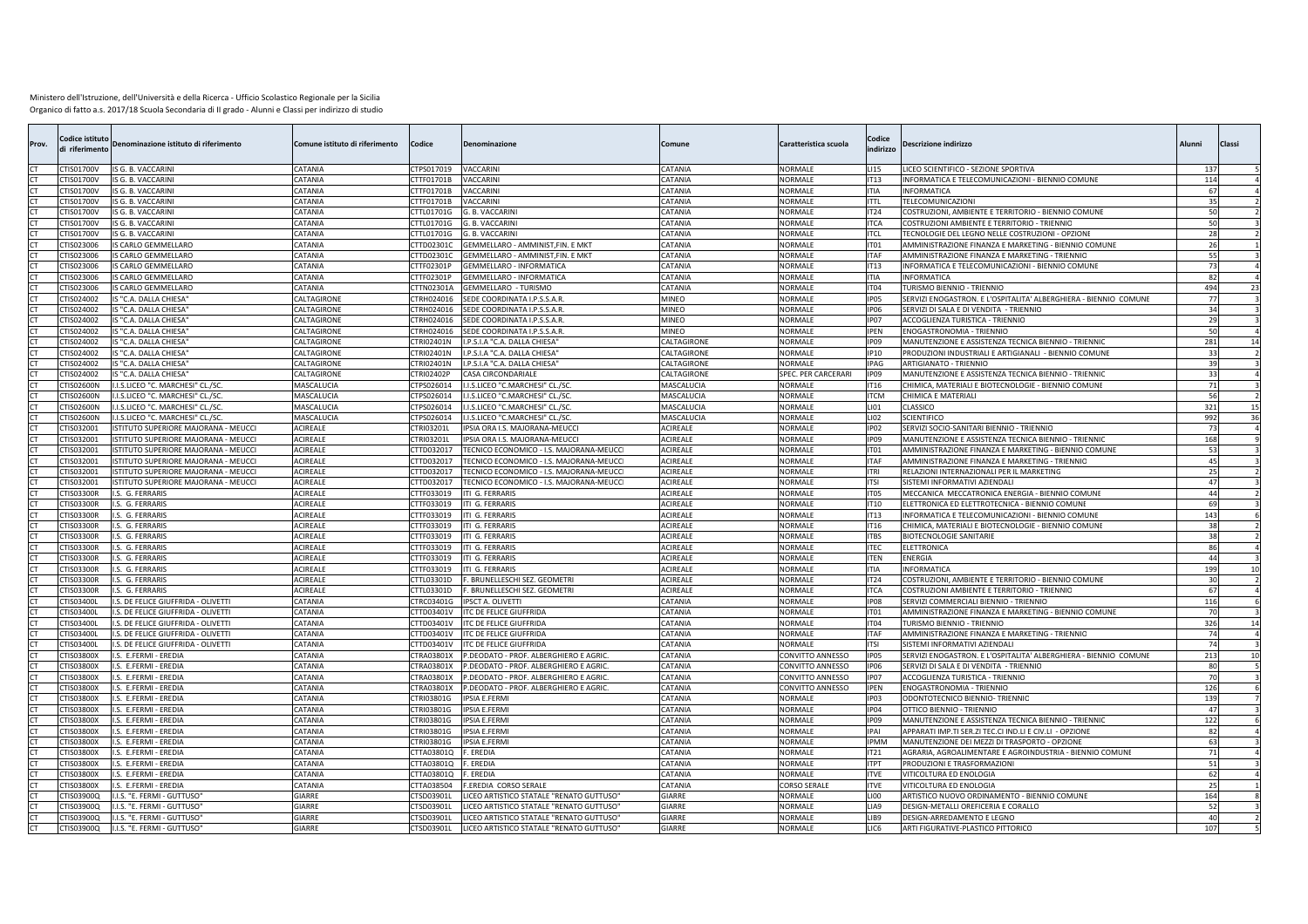| Prov.     | odice istituto:<br>di riferimento | Denominazione istituto di riferimento   | Comune istituto di riferimento | Codice                   | Denominazione                                                        | Comune                      | Caratteristica scuola            | Codice<br>indirizzo             | Descrizione indirizzo                                                                                  | Alunni          | Classi          |
|-----------|-----------------------------------|-----------------------------------------|--------------------------------|--------------------------|----------------------------------------------------------------------|-----------------------------|----------------------------------|---------------------------------|--------------------------------------------------------------------------------------------------------|-----------------|-----------------|
|           | CTIS01700V                        | IS G. B. VACCARINI                      | CATANIA                        | CTPS017019               | VACCARINI                                                            | CATANIA                     | <b>NORMALE</b>                   | <b>LI15</b>                     | LICEO SCIENTIFICO - SEZIONE SPORTIVA                                                                   | -13             |                 |
|           | CTIS01700V                        | IS G. B. VACCARINI                      | CATANIA                        | CTTF01701B               | VACCARINI                                                            | CATANIA                     | <b>NORMALE</b>                   | <b>IT13</b>                     | INFORMATICA E TELECOMUNICAZIONI - BIENNIO COMUNE                                                       |                 | 11 <sup>2</sup> |
| CT.       | CTIS01700V                        | IS G. B. VACCARINI                      | CATANIA                        | CTTF01701B               | VACCARINI                                                            | CATANIA                     | <b>NORMALE</b>                   | <b>ITIA</b>                     | <b>INFORMATICA</b>                                                                                     |                 | -6              |
| <b>CT</b> | CTIS01700V                        | IS G. B. VACCARIN                       | CATANIA                        | CTTF01701B               | VACCARINI                                                            | CATANIA                     | <b>NORMALE</b>                   | <b>ITTL</b>                     | <b>TELECOMUNICAZIONI</b>                                                                               |                 | 35              |
|           | TIS01700V                         | IS G. B. VACCARIN                       | CATANIA                        | CTTL01701G               | G. B. VACCARIN                                                       | CATANIA                     | NORMALE                          | <b>IT24</b>                     | COSTRUZIONI, AMBIENTE E TERRITORIO - BIENNIO COMUNE                                                    |                 |                 |
|           | TIS01700V                         | IS G. B. VACCARINI                      | CATANIA                        | CTTL01701G               | G. B. VACCARIN                                                       | CATANIA                     | <b>NORMALE</b>                   | <b>ITCA</b>                     | COSTRUZIONI AMBIENTE E TERRITORIO - TRIENNIC                                                           |                 |                 |
|           | TIS01700V<br>TIS023006            | IS G. B. VACCARIN<br>S CARLO GEMMELLARO | CATANIA<br>CATANIA             | CTTL01701G               | G. B. VACCARIN                                                       | CATANIA                     | NORMALE<br><b>NORMALE</b>        | <b>ITCL</b><br>ITO <sub>1</sub> | TECNOLOGIE DEL LEGNO NELLE COSTRUZIONI - OPZIONI                                                       |                 |                 |
|           | TIS023006                         | S CARLO GEMMELLARC                      | CATANIA                        | CTTD02301C<br>CTTD02301C | GEMMELLARO - AMMINIST,FIN. E MKT<br>GEMMELLARO - AMMINIST.FIN. E MKT | CATANIA<br>CATANIA          | NORMALE                          | <b>ITAF</b>                     | AMMINISTRAZIONE FINANZA E MARKETING - BIENNIO COMUNE<br>AMMINISTRAZIONE FINANZA E MARKETING - TRIENNIO |                 |                 |
|           | TIS023006                         | S CARLO GEMMELLARO                      | CATANIA                        | CTTF02301P               | <b>GEMMELLARO - INFORMATICA</b>                                      | <b>ATANIA</b>               | NORMALE                          | IT13                            | INFORMATICA E TELECOMUNICAZIONI - BIENNIO COMUNE                                                       |                 |                 |
| CT.       | TIS023006                         | S CARLO GEMMELLARC                      | CATANIA                        | CTTF02301P               | <b>GEMMELLARO - INFORMATICA</b>                                      | CATANIA                     | <b>NORMALE</b>                   | <b>ITIA</b>                     | <b>INFORMATICA</b>                                                                                     |                 | $\mathcal{R}$   |
|           | CTIS023006                        | S CARLO GEMMELLARC                      | CATANIA                        | CTTN02301A               | GEMMELLARO - TURISMO                                                 | CATANIA                     | <b>NORMALE</b>                   | IT04                            | TURISMO BIENNIO - TRIENNIO                                                                             |                 | 494<br>23       |
|           | TIS024002                         | IS "C.A. DALLA CHIESA                   | CALTAGIRONE                    | CTRH024016               | SEDE COORDINATA I.P.S.S.A.R                                          | MINEO                       | <b>NORMALE</b>                   | <b>IP05</b>                     | SERVIZI ENOGASTRON. E L'OSPITALITA' ALBERGHIERA - BIENNIO COMUNE                                       |                 |                 |
|           | CTIS024002                        | IS "C.A. DALLA CHIESA"                  | CALTAGIRONE                    | CTRH024016               | SEDE COORDINATA I.P.S.S.A.R                                          | MINEO                       | <b>NORMALE</b>                   | <b>IP06</b>                     | SERVIZI DI SALA E DI VENDITA - TRIENNIO                                                                |                 |                 |
| CT.       | CTIS024002                        | IS "C.A. DALLA CHIESA                   | CALTAGIRONE                    | CTRH024016               | SEDE COORDINATA I.P.S.S.A.R                                          | MINEO                       | NORMALE                          | IP <sub>07</sub>                | ACCOGLIENZA TURISTICA - TRIENNIO                                                                       |                 |                 |
|           | CTIS024002                        | IS "C.A. DALLA CHIESA                   | CALTAGIRONE                    | CTRH024016               | SEDE COORDINATA I.P.S.S.A.R                                          | MINEO                       | NORMALE                          | <b>IPEN</b>                     | ENOGASTRONOMIA - TRIENNIO                                                                              |                 |                 |
|           | TIS024002                         | IS "C.A. DALLA CHIESA                   | CALTAGIRONE                    | CTRI02401N               | .P.S.I.A "C.A. DALLA CHIESA'                                         | CALTAGIRONE                 | NORMALE                          | <b>IP09</b>                     | MANUTENZIONE E ASSISTENZA TECNICA BIENNIO - TRIENNIC                                                   |                 | 281<br>14       |
|           | TIS024002                         | IS "C.A. DALLA CHIESA'                  | CALTAGIRONE                    | CTRI02401N               | .P.S.I.A "C.A. DALLA CHIESA'                                         | CALTAGIRONE                 | NORMALE                          | <b>IP10</b>                     | PRODUZIONI INDUSTRIALI E ARTIGIANALI - BIENNIO COMUNE                                                  |                 |                 |
|           | TIS024002                         | S "C.A. DALLA CHIESA                    | CALTAGIRONE                    | CTRI02401N               | .P.S.I.A "C.A. DALLA CHIESA"                                         | CALTAGIRONI                 | <b>NORMALE</b>                   | <b>IPAG</b>                     | ARTIGIANATO - TRIENNIO                                                                                 |                 |                 |
|           | TIS024002                         | S "C.A. DALLA CHIESA'                   | CALTAGIRONE                    | <b>CTRI02402P</b>        | CASA CIRCONDARIALE                                                   | CALTAGIRONE                 | SPEC. PER CARCERARI              | IP09                            | MANUTENZIONE E ASSISTENZA TECNICA BIENNIO - TRIENNIC                                                   |                 |                 |
|           | TIS02600N                         | .I.S.LICEO "C. MARCHESI" CL./SC.        | MASCALUCIA                     | CTPS026014               | .I.S.LICEO "C.MARCHESI" CL./SC                                       | MASCALUCIA                  | <b>NORMALE</b>                   | IT16                            | CHIMICA, MATERIALI E BIOTECNOLOGIE - BIENNIO COMUNE                                                    |                 |                 |
|           | TIS02600N                         | .I.S.LICEO "C. MARCHESI" CL./SC.        | MASCALUCIA                     | CTPS026014               | .I.S.LICEO "C.MARCHESI" CL./SC                                       | MASCALUCIA                  | NORMALE                          | <b>ITCM</b>                     | CHIMICA E MATERIALI                                                                                    |                 |                 |
|           | TIS02600N                         | .I.S.LICEO "C. MARCHESI" CL./SC.        | MASCALUCIA                     | CTPS026014               | .I.S.LICEO "C.MARCHESI" CL./SC                                       | MASCALUCIA                  | <b>NORMALE</b>                   | <b>LIO1</b>                     | CLASSICO                                                                                               | 32              | 15              |
|           | TIS02600N                         | .I.S.LICEO "C. MARCHESI" CL./SC.        | MASCALUCIA                     | CTPS026014               | .I.S.LICEO "C.MARCHESI" CL./SC                                       | MASCALUCIA                  | <b>NORMALE</b>                   | <b>LIO2</b>                     | <b>SCIENTIFICO</b>                                                                                     |                 | 99<br>36        |
| CT.       | TIS032001                         | STITUTO SUPERIORE MAJORANA - MEUCCI     | ACIREALE                       | CTRI03201L               | PSIA ORA I.S. MAJORANA-MEUCCI                                        | ACIREALE                    | <b>NORMALE</b>                   | <b>IP02</b>                     | SERVIZI SOCIO-SANITARI BIENNIO - TRIENNIO                                                              |                 |                 |
| <b>CT</b> | TIS032001                         | STITUTO SUPERIORE MAJORANA - MEUCCI     | ACIREALE                       | CTRI03201L               | PSIA ORA I.S. MAJORANA-MEUCCI                                        | ACIREALE                    | <b>NORMALE</b>                   | <b>IP09</b>                     | MANUTENZIONE E ASSISTENZA TECNICA BIENNIO - TRIENNIC                                                   |                 | 163             |
|           | TIS032001                         | ISTITUTO SUPERIORE MAJORANA - MEUCCI    | ACIREALE                       | CTTD032017               | ECNICO ECONOMICO - I.S. MAJORANA-MEUCCI                              | ACIREALE                    | NORMALE                          | ITO1                            | AMMINISTRAZIONE FINANZA E MARKETING - BIENNIO COMUNE                                                   |                 |                 |
|           | TIS032001                         | STITUTO SUPERIORE MAJORANA - MEUCCI     | ACIREALE                       | CTTD032017               | <b>ECNICO ECONOMICO - I.S. MAJORANA-MEUCCI</b>                       | ACIREALE                    | <b>NORMALE</b>                   | <b>ITAF</b>                     | AMMINISTRAZIONE FINANZA E MARKETING - TRIENNIO                                                         |                 |                 |
|           | CTIS032001                        | ISTITUTO SUPERIORE MAJORANA - MEUCCI    | ACIREALE                       | CTTD032017               | TECNICO ECONOMICO - I.S. MAJORANA-MEUCCI                             | ACIREALE                    | <b>NORMALE</b>                   | <b>ITRI</b>                     | RELAZIONI INTERNAZIONALI PER IL MARKETING                                                              |                 |                 |
|           | TIS032001                         | STITUTO SUPERIORE MAJORANA - MEUCCI     | ACIREALE                       | CTTD032017               | ECNICO ECONOMICO - I.S. MAJORANA-MEUCC                               | ACIREALE                    | <b>NORMALE</b>                   | <b>ITSI</b>                     | SISTEMI INFORMATIVI AZIENDALI                                                                          |                 |                 |
|           | TIS03300R                         | .S. G. FERRARIS                         | <b>ACIREALE</b>                | CTTF033019               | ITI G. FERRARIS                                                      | ACIREALE                    | NORMALE                          | IT <sub>05</sub>                | MECCANICA MECCATRONICA ENERGIA - BIENNIO COMUNE                                                        |                 |                 |
|           | TIS03300R                         | .S. G. FERRARIS                         | ACIREALE                       | CTTF033019               | ITI G. FERRARIS                                                      | <b>CIREALE</b>              | NORMALE                          | IT <sub>10</sub>                | ELETTRONICA ED ELETTROTECNICA - BIENNIO COMUNE                                                         |                 |                 |
|           | <b>TIS03300R</b>                  | .S. G. FERRARIS                         | ACIREALE                       | CTTF033019               | ITI G. FERRARIS                                                      | ACIREALE                    | NORMALE                          | IT13                            | INFORMATICA E TELECOMUNICAZIONI - BIENNIO COMUN                                                        |                 | 14              |
|           | TIS03300F                         | .S. G. FERRARIS                         | ACIREALE                       | CTTF033019               | ITI G. FERRARIS                                                      | ACIREALE                    | <b>NORMALE</b>                   | <b>IT16</b>                     | CHIMICA, MATERIALI E BIOTECNOLOGIE - BIENNIO COMUNI                                                    |                 |                 |
|           | TIS03300R<br>TIS03300R            | .S. G. FERRARIS<br>.S. G. FERRARIS      | ACIREALE<br>ACIREALE           | CTTF033019<br>CTTF033019 | ITI G. FERRARIS<br>ITI G. FERRARIS                                   | ACIREALE<br><b>ACIREALE</b> | <b>NORMALE</b><br><b>NORMALE</b> | <b>ITBS</b>                     | <b>BIOTECNOLOGIE SANITARIE</b><br><b>ELETTRONICA</b>                                                   |                 |                 |
| <b>CT</b> | CTIS03300R                        | I.S. G. FERRARIS                        | ACIREALE                       | CTTF033019               | ITI G. FERRARIS                                                      | ACIREALE                    | <b>NORMALE</b>                   | <b>ITEC</b><br><b>ITEN</b>      | <b>ENERGIA</b>                                                                                         |                 | $\Delta\Delta$  |
|           | CTIS03300R                        | .S. G. FERRARIS                         | ACIREALE                       | CTTF033019               | ITI G. FERRARIS                                                      | ACIREALE                    | <b>NORMALE</b>                   | <b>ITIA</b>                     | <b>INFORMATICA</b>                                                                                     | 19              | 10              |
| <b>CT</b> | TIS03300R                         | .S. G. FERRARIS                         | ACIREALE                       | CTTL03301D               | F. BRUNELLESCHI SEZ. GEOMETRI                                        | ACIREALE                    | <b>NORMALE</b>                   | IT24                            | COSTRUZIONI, AMBIENTE E TERRITORIO - BIENNIO COMUNE                                                    |                 |                 |
| CT        | CTIS03300R                        | I.S. G. FERRARIS                        | ACIREALE                       | CTTL03301D               | F. BRUNELLESCHI SEZ. GEOMETRI                                        | ACIREALE                    | <b>NORMALE</b>                   | <b>ITCA</b>                     | COSTRUZIONI AMBIENTE E TERRITORIO - TRIENNIC                                                           |                 |                 |
|           | TIS034001                         | .S. DE FELICE GIUFFRIDA - OLIVETTI      | CATANIA                        | CTRC03401G               | PSCT A. OLIVETTI                                                     | CATANIA                     | <b>NORMALE</b>                   | <b>IP08</b>                     | SERVIZI COMMERCIALI BIENNIO - TRIENNIO                                                                 |                 | 11(             |
|           | TIS034001                         | S. DE FELICE GIUFFRIDA - OLIVETTI       | CATANIA                        | CTTD03401V               | <b>TC DE FELICE GIUFFRIDA</b>                                        | CATANIA                     | <b>NORMALE</b>                   | ITO <sub>1</sub>                | AMMINISTRAZIONE FINANZA E MARKETING - BIENNIO COMUNE                                                   |                 |                 |
|           | TIS03400I                         | .S. DE FELICE GIUFFRIDA - OLIVETTI      | CATANIA                        | CTTD03401V               | <b>TC DE FELICE GIUFFRIDA</b>                                        | <b>ATANIA</b>               | NORMALE                          | IT <sub>04</sub>                | TURISMO BIENNIO - TRIENNIO                                                                             |                 | 32(<br>14       |
|           | TIS034001                         | .S. DE FELICE GIUFFRIDA - OLIVETTI      | CATANIA                        | CTTD03401V               | <b>TC DE FELICE GIUFFRIDA</b>                                        | CATANIA                     | <b>NORMALE</b>                   | <b>ITAF</b>                     | AMMINISTRAZIONE FINANZA E MARKETING - TRIENNIO                                                         |                 |                 |
|           | TIS03400                          | .S. DE FELICE GIUFFRIDA - OLIVETTI      | CATANIA                        | CTTD03401V               | <b>TC DE FELICE GIUFFRIDA</b>                                        | CATANIA                     | <b>NORMALE</b>                   | <b>ITSI</b>                     | SISTEMI INFORMATIVI AZIENDALI                                                                          |                 |                 |
|           | <b>TIS03800X</b>                  | .S. E.FERMI - EREDIA                    | CATANIA                        | CTRA03801X               | P.DEODATO - PROF. ALBERGHIERO E AGRIC                                | CATANIA                     | CONVITTO ANNESSO                 | IP <sub>05</sub>                | SERVIZI ENOGASTRON. E L'OSPITALITA' ALBERGHIERA - BIENNIO COMUNE                                       |                 | 21              |
| CT.       | TIS03800X                         | .S. E.FERMI - EREDIA                    | CATANIA                        | CTRA03801X               | P.DEODATO - PROF. ALBERGHIERO E AGRIC                                | CATANIA                     | CONVITTO ANNESSO                 | <b>IP06</b>                     | SERVIZI DI SALA E DI VENDITA - TRIENNIO                                                                |                 |                 |
| CT.       | CTIS03800X                        | I.S. E.FERMI - EREDIA                   | CATANIA                        | CTRA03801X               | P.DEODATO - PROF. ALBERGHIERO E AGRIC                                | CATANIA                     | CONVITTO ANNESSO                 | IP07                            | ACCOGLIENZA TURISTICA - TRIENNIO                                                                       |                 |                 |
|           | CTIS03800X                        | .S. E.FERMI - EREDIA                    | CATANIA                        | CTRA03801X               | P.DEODATO - PROF. ALBERGHIERO E AGRIC                                | CATANIA                     | CONVITTO ANNESSO                 | <b>IPEN</b>                     | <b>ENOGASTRONOMIA - TRIENNIO</b>                                                                       | 12 <sub>0</sub> |                 |
|           | TIS03800X                         | .S. E.FERMI - EREDIA                    | CATANIA                        | CTRI03801G               | PSIA E.FERMI                                                         | CATANIA                     | <b>NORMALE</b>                   | IPO3                            | ODONTOTECNICO BIENNIO- TRIENNIO                                                                        | 13              |                 |
|           | CTIS03800X                        | I.S. E.FERMI - EREDIA                   | CATANIA                        | CTRI03801G               | IPSIA E.FERMI                                                        | CATANIA                     | <b>NORMALE</b>                   | <b>IP04</b>                     | OTTICO BIFNNIO - TRIFNNIO                                                                              |                 | $\Delta$        |
| <b>CT</b> | CTIS03800X                        | I.S. E.FERMI - EREDIA                   | CATANIA                        | CTRI03801G               | <b>IPSIA E.FERMI</b>                                                 | CATANIA                     | <b>NORMALE</b>                   | IP <sub>09</sub>                | MANUTENZIONE E ASSISTENZA TECNICA BIENNIO - TRIENNIC                                                   |                 | 122             |
|           | TIS03800X                         | .S. E.FERMI - EREDIA                    | CATANIA                        | CTRI03801G               | PSIA E.FERMI                                                         | <b>ATANIA</b>               | NORMALE                          | <b>IPAI</b>                     | APPARATI IMP.TI SER.ZI TEC.CI IND.LI E CIV.LI - OPZIONE                                                |                 |                 |
|           | TIS03800X                         | .S. E.FERMI - EREDIA                    | CATANIA                        | CTRI03801G               | PSIA E.FERMI                                                         | <b>ATANIA</b>               | NORMALE                          | <b>IPMM</b>                     | MANUTENZIONE DEI MEZZI DI TRASPORTO - OPZIONE                                                          |                 |                 |
|           | TIS03800X                         | .S. E.FERMI - EREDIA                    | CATANIA                        | CTTA03801Q               | . EREDIA                                                             | <b>ATANIA</b>               | NORMALE                          | IT21                            | AGRARIA, AGROALIMENTARE E AGROINDUSTRIA - BIENNIO COMUNI                                               |                 |                 |
|           | TIS03800X                         | .S. E.FERMI - EREDIA                    | CATANIA                        | CTTA03801Q               | . EREDIA                                                             | CATANIA                     | NORMALE                          | <b>ITPT</b>                     | PRODUZIONI E TRASFORMAZIONI                                                                            |                 |                 |
|           | TIS03800X                         | .S. E.FERMI - EREDIA                    | CATANIA                        | CTTA03801Q               | . EREDIA                                                             | CATANIA                     | <b>NORMALE</b>                   | <b>ITVF</b>                     | VITICOLTURA ED ENOLOGIA                                                                                |                 |                 |
|           | TIS03800X                         | I.S. E.FERMI - EREDIA                   | CATANIA                        | CTTA038504               | F.EREDIA CORSO SERALE                                                | CATANIA                     | <b>CORSO SERALE</b>              | <b>ITVE</b>                     | VITICOLTURA ED ENOLOGIA                                                                                |                 |                 |
|           | TIS03900O                         | I.I.S. "E. FERMI - GUTTUSO              | GIARRE                         | CTSD03901L               | ICEO ARTISTICO STATALE "RENATO GUTTUSO                               | <b>GIARRE</b>               | <b>NORMALE</b>                   | 1100                            | ARTISTICO NUOVO ORDINAMENTO - BIENNIO COMUNE                                                           |                 | 164             |
|           | CTIS03900Q                        | I.I.S. "E. FERMI - GUTTUSO              | GIARRE                         | CTSD03901L               | LICEO ARTISTICO STATALE "RENATO GUTTUSO                              | GIARRE                      | <b>NORMALE</b>                   | LIA9                            | DESIGN-METALLI OREFICERIA E CORALLO                                                                    |                 |                 |
|           | C0002507.                         | I.I.S. "E. FERMI - GUTTUSO'             | GIARRE                         | CTSD03901L               | ICEO ARTISTICO STATALE "RENATO GUTTUSO                               | <b>GIARRE</b>               | NORMALE                          | LIB9                            | DESIGN-ARREDAMENTO E LEGNO                                                                             |                 |                 |
| CT        |                                   | CTIS03900Q I.I.S. "E. FERMI - GUTTUSO"  | GIARRE                         | CTSD03901L               | LICEO ARTISTICO STATALE "RENATO GUTTUSO"                             | GIARRE                      | <b>NORMALE</b>                   | LIC <sub>6</sub>                | ARTI FIGURATIVE-PLASTICO PITTORICO                                                                     |                 | 107             |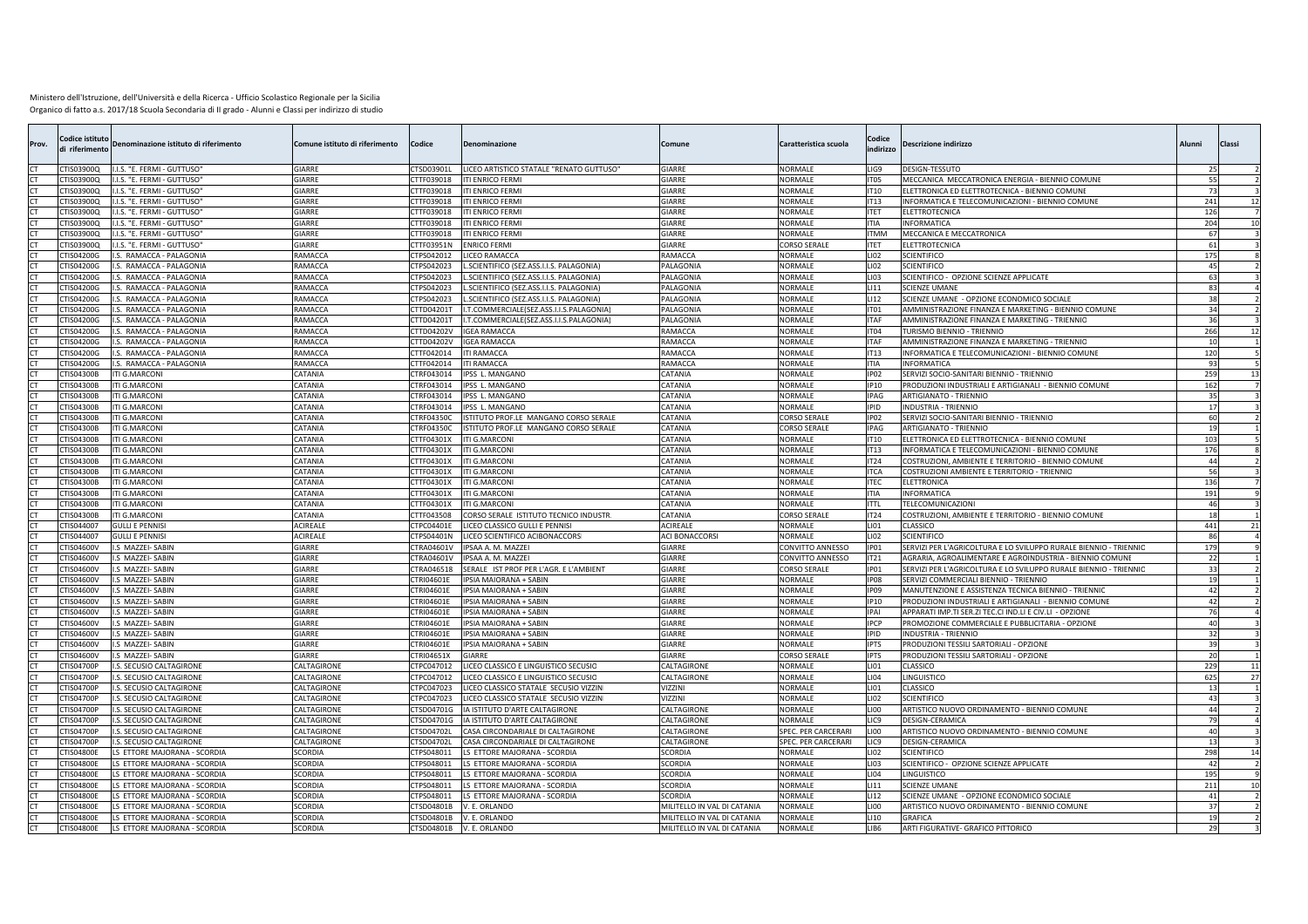| Prov.     | `odice istituto<br>di riferimento | Denominazione istituto di riferimento | Comune istituto di riferimento | Codice     | Denominazione                            | Comune                      | Caratteristica scuola | Codice<br>indirizzo | Descrizione indirizzo                                             | Alunni          | <b>Classi</b>             |    |
|-----------|-----------------------------------|---------------------------------------|--------------------------------|------------|------------------------------------------|-----------------------------|-----------------------|---------------------|-------------------------------------------------------------------|-----------------|---------------------------|----|
|           | CTIS03900Q                        | I.I.S. "E. FERMI - GUTTUSO"           | <b>GIARRE</b>                  | CTSD03901L | LICEO ARTISTICO STATALE "RENATO GUTTUSO" | <b>GIARRE</b>               | NORMALE               | LIG9                | DESIGN-TESSUTO                                                    |                 | 25                        |    |
|           | TIS03900Q                         | .I.S. "E. FERMI - GUTTUSO'            | <b>GIARRE</b>                  | CTTF039018 | ITI ENRICO FERMI                         | <b>JARRE</b>                | <b>JORMALE</b>        | IT <sub>05</sub>    | MECCANICA MECCATRONICA ENERGIA - BIENNIO COMUNI                   |                 |                           |    |
|           | C0089007                          | I.I.S. "E. FERMI - GUTTUSO'           | <b>GIARRE</b>                  | CTTF039018 | <b>ITI ENRICO FERMI</b>                  | <b>GIARRE</b>               | NORMALE               | <b>IT10</b>         | ELETTRONICA ED ELETTROTECNICA - BIENNIO COMUNI                    |                 | -73                       |    |
|           | TIS03900Q                         | .I.S. "E. FERMI - GUTTUSO'            | <b>GIARRE</b>                  | CTTF039018 | <b>ITI ENRICO FERM</b>                   | <b>GIARRE</b>               | NORMALE               | <b>IT13</b>         | INFORMATICA E TELECOMUNICAZIONI - BIENNIO COMUNE                  | 24 <sub>2</sub> |                           |    |
|           | TIS03900Q                         | I.I.S. "E. FERMI - GUTTUSO'           | <b>GIARRE</b>                  | CTTF039018 | <b>ITI ENRICO FERMI</b>                  | GIARRE                      | NORMALE               | <b>ITET</b>         | ELETTROTECNICA                                                    | 126             |                           |    |
|           | TIS03900Q                         | .I.S. "E. FERMI - GUTTUSO'            | GIARRE                         | CTTF039018 | <b>ITI ENRICO FERM</b>                   | <b>GIARRE</b>               | VORMALE               | <b>ITIA</b>         | <b>INFORMATICA</b>                                                | 204             |                           | 10 |
|           | CTIS03900Q                        | I.I.S. "E. FERMI - GUTTUSO'           | GIARRE                         | CTTF039018 | <b>ITI ENRICO FERM</b>                   | GIARRE                      | NORMALE               | <b>ITMM</b>         | MECCANICA E MECCATRONICA                                          | - 67            |                           |    |
|           | CTIS03900Q                        | I.I.S. "E. FERMI - GUTTUSO"           | GIARRF                         | CTTF03951N | <b>ENRICO FERMI</b>                      | GIARRE                      | <b>CORSO SERAI</b>    | <b>ITFT</b>         | ELETTROTECNICA                                                    |                 |                           |    |
|           | TIS04200G                         | .S. RAMACCA - PALAGONIA               | RAMACCA                        | CTPS042012 | LICEO RAMACCA                            | RAMACCA                     | NORMALE               | <b>LIO2</b>         | <b>SCIENTIFICO</b>                                                | 175             |                           |    |
|           | CTIS04200G                        | .S. RAMACCA - PALAGONIA               | RAMACCA                        | CTPS042023 | L.SCIENTIFICO (SEZ.ASS.I.I.S. PALAGONIA) | PALAGONIA                   | NORMALE               | 1102                | <b>SCIENTIFICO</b>                                                |                 | $\mathbf{A}^{\mathsf{c}}$ |    |
| CΤ        | TIS04200G                         | .S. RAMACCA - PALAGONIA               | RAMACCA                        | CTPS042023 | L.SCIENTIFICO (SEZ.ASS.I.I.S. PALAGONIA) | PALAGONIA                   | NORMALE               | LI03                | SCIENTIFICO - OPZIONE SCIENZE APPLICATE                           |                 | 63                        |    |
|           | TIS04200G                         | S. RAMACCA - PALAGONIA                | RAMACCA                        | CTPS042023 | L.SCIENTIFICO (SEZ.ASS.I.I.S. PALAGONIA) | PALAGONIA                   | <b>NORMALE</b>        | <b>LI11</b>         | <b>SCIENZE UMANE</b>                                              |                 |                           |    |
|           | TIS04200G                         | S. RAMACCA - PALAGONIA                | RAMACCA                        | CTPS042023 | L.SCIENTIFICO (SEZ.ASS.I.I.S. PALAGONIA) | <b>ALAGONIA</b>             | VORMALE               | LI2                 | SCIENZE UMANE - OPZIONE ECONOMICO SOCIALE                         |                 |                           |    |
|           | TIS04200G                         | S. RAMACCA - PALAGONIA                | RAMACCA                        | CTTD04201T | I.T.COMMERCIALE(SEZ.ASS.I.I.S.PALAGONIA  | PALAGONIA                   | NORMALE               | IT01                | AMMINISTRAZIONE FINANZA E MARKETING - BIENNIO COMUNE              |                 |                           |    |
|           | TIS04200G                         | S. RAMACCA - PALAGONIA                | RAMACCA                        | CTTD04201T | I.T.COMMERCIALE(SEZ.ASS.I.I.S.PALAGONIA) | <b>ALAGONIA</b>             | VORMALE               | <b>ITAF</b>         | AMMINISTRAZIONE FINANZA E MARKETING - TRIENNIO                    |                 |                           |    |
|           | TIS04200G                         | .S. RAMACCA - PALAGONIA               | RAMACCA                        | CTTD04202V | <b>IGEA RAMACCA</b>                      | RAMACCA                     | NORMALE               | IT04                | <b>TURISMO BIENNIO - TRIENNIO</b>                                 | 266             |                           | 12 |
|           | TIS04200G                         | .S. RAMACCA - PALAGONIA               | RAMACCA                        | CTTD04202V | <b>IGEA RAMACCA</b>                      | RAMACCA                     | VORMALE               | <b>ITAF</b>         | AMMINISTRAZIONE FINANZA E MARKETING - TRIENNIO                    |                 |                           |    |
|           | TIS04200G                         | .S. RAMACCA - PALAGONIA               | RAMACCA                        | CTTF042014 | <b>ITI RAMACCA</b>                       | RAMACCA                     | <b>NORMALE</b>        | <b>IT13</b>         | INFORMATICA E TELECOMUNICAZIONI - BIENNIO COMUNE                  | 12C             |                           |    |
|           | CTIS04200G                        | .S. RAMACCA - PALAGONIA               | RAMACCA                        | CTTF042014 | <b>ITI RAMACCA</b>                       | RAMACCA                     | NORMALE               | <b>ITIA</b>         | <b>INFORMATICA</b>                                                | q:              |                           |    |
|           | TIS04300B                         | ITI G.MARCONI                         | CATANIA                        | CTRF043014 | <b>IPSS L. MANGANO</b>                   | CATANIA                     | NORMALE               | IP <sub>02</sub>    | SERVIZI SOCIO-SANITARI BIENNIO - TRIENNIO                         | 259             |                           | 13 |
|           | TIS04300B                         | ITI G.MARCONI                         | CATANIA                        |            | CTRF043014 IPSS L. MANGANO               | CATANIA                     | NORMALE               | IP10                | PRODUZIONI INDUSTRIALI E ARTIGIANALI - BIENNIO COMUNE             | 162             |                           |    |
|           | CTIS04300B                        | ITI G.MARCONI                         | CATANIA                        | CTRF043014 | IPSS L. MANGANO                          | CATANIA                     | NORMALE               | <b>IPAG</b>         | ARTIGIANATO - TRIENNIO                                            |                 | 35                        |    |
|           | TIS04300B                         | ITI G.MARCONI                         | CATANIA                        | CTRF043014 | IPSS L. MANGANO                          | CATANIA                     | NORMALE               | <b>IPID</b>         | INDUSTRIA - TRIENNIO                                              |                 |                           |    |
|           | TIS04300B                         | TI G.MARCONI                          | CATANIA                        | CTRF04350C | ISTITUTO PROF.LE MANGANO CORSO SERALE    | CATANIA                     | CORSO SERALE          | IP <sub>02</sub>    | SERVIZI SOCIO-SANITARI BIENNIO - TRIENNIO                         |                 |                           |    |
|           | TIS04300B                         | ITI G.MARCONI                         | CATANIA                        | CTRF04350C | ISTITUTO PROF.LE MANGANO CORSO SERALE    | CATANIA                     | CORSO SERALE          | <b>IPAG</b>         | ARTIGIANATO - TRIENNIO                                            |                 |                           |    |
|           | TIS04300B                         | TI G.MARCONI                          | CATANIA                        | CTTF04301X | <b>ITI G.MARCONI</b>                     | CATANIA                     | NORMALE               | IT10                | LETTRONICA ED ELETTROTECNICA - BIENNIO COMUNE                     | 10 <sup>3</sup> |                           |    |
|           | TIS04300B                         | ITI G.MARCONI                         | CATANIA                        | CTTF04301X | <b>ITI G.MARCONI</b>                     | CATANIA                     | NORMALE               | IT13                | INFORMATICA E TELECOMUNICAZIONI - BIENNIO COMUNE                  | 176             |                           |    |
|           | TIS04300B                         | TI G.MARCONI                          | CATANIA                        | CTTF04301X | <b>ITI G.MARCONI</b>                     | <b>CATANIA</b>              | VORMALE               | IT <sub>24</sub>    | COSTRUZIONI, AMBIENTE E TERRITORIO - BIENNIO COMUNE               |                 | $\Delta\Delta$            |    |
|           | TIS04300B                         | ITI G.MARCONI                         | CATANIA                        | CTTF04301X | <b>ITI G.MARCONI</b>                     | CATANIA                     | NORMALE               | <b>ITCA</b>         | COSTRUZIONI AMBIENTE E TERRITORIO - TRIENNIC                      |                 | 56                        |    |
|           | TIS04300B                         | TI G.MARCONI                          | CATANIA                        | CTTF04301X | <b>ITI G.MARCONI</b>                     | CATANIA                     | NORMALE               | <b>ITFC</b>         | <b>ELETTRONICA</b>                                                | 136             |                           |    |
|           | TIS04300B                         | ITI G.MARCONI                         | CATANIA                        | CTTF04301X | <b>ITI G.MARCONI</b>                     | CATANIA                     | NORMALE               | <b>ITIA</b>         | <b>INFORMATICA</b>                                                | 191             |                           |    |
|           | <b>TIS04300B</b>                  | TI G.MARCONI                          | <b>CATANIA</b>                 |            | CTTF04301X ITI G.MARCONI                 | CATANIA                     | NORMALE               | <b>ITTL</b>         | TELECOMUNICAZIONI                                                 |                 | 4 <sub>b</sub>            |    |
|           | TIS04300B                         | ITI G.MARCONI                         | CATANIA                        | CTTF043508 | CORSO SERALE ISTITUTO TECNICO INDUSTR    | CATANIA                     | <b>CORSO SERALI</b>   | <b>IT24</b>         | COSTRUZIONI, AMBIENTE E TERRITORIO - BIENNIO COMUNE               |                 | 19                        |    |
|           | TIS044007                         | <b>GULLI E PENNISI</b>                | ACIREALI                       | CTPC04401E | LICEO CLASSICO GULLI E PENNISI           | <b>ACIREALE</b>             | NORMALE               | LI01                | CLASSICO                                                          | 443             |                           |    |
|           | TIS044007                         | <b>GULLI E PENNISI</b>                | ACIREALE                       | CTPS04401N | LICEO SCIENTIFICO ACIBONACCORSI          | <b>ACI BONACCORSI</b>       | <b>NORMALE</b>        | 1102                | <b>SCIENTIFICO</b>                                                |                 |                           |    |
|           | TIS04600V                         | .S MAZZEI- SABIN                      | GIARRE                         | CTRA04601V | IPSAA A. M. MAZZEI                       | GIARRE                      | CONVITTO ANNESSO      | IP01                | SERVIZI PER L'AGRICOLTURA E LO SVILUPPO RURALE BIENNIO - TRIENNIO | 179             |                           |    |
|           | TIS04600V                         | .S MAZZEI- SABIN                      | GIARRE                         | CTRA04601V | IPSAA A. M. MAZZEI                       | GIARRE                      | CONVITTO ANNESSO      | IT21                | AGRARIA, AGROALIMENTARE E AGROINDUSTRIA - BIENNIO COMUNE          | $\overline{2}$  |                           |    |
|           | <b>TIS04600V</b>                  | .S MAZZEI- SABIN                      | GIARRE                         | CTRA046518 | SERALE IST PROF PER L'AGR. E L'AMBIENT   | GIARRE                      | <b>CORSO SERALE</b>   | IP <sub>01</sub>    | SERVIZI PER L'AGRICOLTURA E LO SVILUPPO RURALE BIENNIO - TRIENNIO |                 |                           |    |
|           | TIS04600V                         | S MAZZEI- SABIN                       | <b>GIARRE</b>                  | CTRI04601E | IPSIA MAIORANA + SABIN                   | <b>GIARRE</b>               | <b>VORMALE</b>        | <b>IP08</b>         | SERVIZI COMMERCIALI BIENNIO - TRIENNIO                            |                 |                           |    |
|           | TIS04600V                         | S MAZZEI- SABIN                       | <b>GIARRE</b>                  | CTRI04601E | <b>IPSIA MAIORANA + SABIN</b>            | GIARRE                      | NORMALE               | IP09                | MANUTENZIONE E ASSISTENZA TECNICA BIENNIO - TRIENNIC              |                 | 42                        |    |
|           | TIS04600V                         | S MAZZEI- SABIN                       | GIARRE                         | CTRI04601E | <b>IPSIA MAIORANA + SABIN</b>            | GIARRE                      | NORMALE               | IP10                | PRODUZIONI INDUSTRIALI E ARTIGIANALI - BIENNIO COMUNE             |                 |                           |    |
|           | TIS04600V                         | S MAZZEI- SABIN                       | <b>GIARRE</b>                  | CTRI04601E | IPSIA MAIORANA + SABIN                   | <b>GIARRE</b>               | NORMALE               | <b>IPAI</b>         | APPARATI IMP.TI SER.ZI TEC.CI IND.LI E CIV.LI - OPZIONE           |                 |                           |    |
|           | TIS04600V                         | S MAZZEI- SABIN                       | <b>GIARRE</b>                  | CTRI04601E | IPSIA MAIORANA + SABIN                   | <b>GIARRE</b>               | VORMALE               | <b>IPCP</b>         | PROMOZIONE COMMERCIALE E PUBBLICITARIA - OPZIONE                  |                 |                           |    |
|           | TIS04600V                         | S MAZZEI- SABIN                       | GIARRE                         | CTRI04601E | <b>IPSIA MAIORANA + SABIN</b>            | GIARRE                      | <b>NORMALE</b>        | <b>IPID</b>         | <b>INDUSTRIA - TRIENNIO</b>                                       |                 |                           |    |
|           | TIS04600V                         | S MAZZEI- SABIN                       | GIARRF                         | CTRI04601E | <b>IPSIA MAIORANA + SABIN</b>            | GIARRE                      | NORMALE               | <b>IPTS</b>         | PRODUZIONI TESSILI SARTORIALI - OPZIONE                           |                 |                           |    |
|           | TIS04600V                         | S MAZZEI- SABIN                       | GIARRE                         | CTRI04651X | GIARRE                                   | GIARRE                      | <b>CORSO SERALI</b>   | <b>IPTS</b>         | PRODUZIONI TESSILI SARTORIALI - OPZIONE                           |                 |                           |    |
| CT.       | TIS04700P                         | .S. SECUSIO CALTAGIRONE               | CALTAGIRONE                    | CTPC047012 | LICEO CLASSICO E LINGUISTICO SECUSIO     | CALTAGIRONE                 | <b>NORMALE</b>        | LI01                | CLASSICO                                                          | 229             |                           | 11 |
| <b>CT</b> | CTIS04700F                        | .S. SECUSIO CALTAGIRONE               | CALTAGIRONE                    | CTPC047012 | LICEO CLASSICO E LINGUISTICO SECUSIO     | CALTAGIRONE                 | <b>NORMALE</b>        | LI <sub>04</sub>    | LINGUISTICO                                                       | 625             |                           | 27 |
|           | CTIS04700I                        | .S. SECUSIO CALTAGIRONE               | CALTAGIRONE                    | CTPC047023 | LICEO CLASSICO STATALE SECUSIO VIZZINI   | VIZZINI                     | NORMALE               | LI01                | CLASSICO                                                          |                 |                           |    |
|           | TIS04700P                         | .S. SECUSIO CALTAGIRONE               | CALTAGIRONE                    | CTPC047023 | LICEO CLASSICO STATALE SECUSIO VIZZINI   | VIZZINI                     | NORMALE               | 1102                | <b>SCIENTIFICO</b>                                                |                 | $\mathbf{A}$              |    |
|           | TIS04700P                         | .S. SECUSIO CALTAGIRONE               | CALTAGIRONE                    | CTSD04701G | IA ISTITUTO D'ARTE CALTAGIRONE           | CALTAGIRONE                 | NORMALE               | 1100                | ARTISTICO NUOVO ORDINAMENTO - BIENNIO COMUNE                      |                 | $\Lambda$                 |    |
| <b>CT</b> | CTIS04700P                        | .S. SECUSIO CALTAGIRONE               | CALTAGIRONE                    | CTSD04701G | IA ISTITUTO D'ARTE CALTAGIRONE           | CALTAGIRONE                 | <b>NORMALE</b>        | LIC <sub>9</sub>    | <b>DESIGN-CERAMICA</b>                                            |                 |                           |    |
|           | TIS04700P                         | S. SECUSIO CALTAGIRONE                | CALTAGIRONE                    | CTSD04702L | CASA CIRCONDARIALE DI CALTAGIRONE        | CALTAGIRONE                 | SPEC. PER CARCERARI   | <b>LIOO</b>         | ARTISTICO NUOVO ORDINAMENTO - BIENNIO COMUNE                      |                 |                           |    |
|           | <b>TIS04700P</b>                  | S. SECUSIO CALTAGIRONE                | CALTAGIRONE                    | CTSD04702L | CASA CIRCONDARIALE DI CALTAGIRONE        | CALTAGIRONE                 | SPEC. PER CARCERARI   | LIC9                | <b>DESIGN-CERAMICA</b>                                            |                 |                           |    |
|           | TIS04800I                         | S ETTORE MAJORANA - SCORDIA           | SCORDIA                        | CTPS048011 | LS ETTORE MAJORANA - SCORDIA             | <b>SCORDIA</b>              | NORMALE               | <b>LIO2</b>         | SCIENTIFICO                                                       | 298             |                           | 14 |
|           | TIS04800                          | S ETTORE MAJORANA - SCORDIA           | <b>SCORDIA</b>                 | CTPS048011 | LS ETTORE MAJORANA - SCORDIA             | <b>SCORDIA</b>              | NORMALE               | LIO3                | SCIENTIFICO - OPZIONE SCIENZE APPLICATE                           |                 | $\Delta$                  |    |
|           | TIS04800I                         | S ETTORE MAJORANA - SCORDIA           | <b>SCORDIA</b>                 | CTPS048011 | LS ETTORE MAJORANA - SCORDIA             | <b>SCORDIA</b>              | NORMALE               | LI <sub>04</sub>    | <b>INGUISTICO</b>                                                 | 195             |                           |    |
| CT.       | TIS04800E                         | S ETTORE MAJORANA - SCORDIA           | <b>SCORDIA</b>                 | CTPS048011 | LS ETTORE MAJORANA - SCORDIA             | <b>SCORDIA</b>              | VORMALE               | LI11                | <b>SCIENZE UMANE</b>                                              | 211             |                           | 10 |
| CT.       | TIS04800E                         | LS ETTORE MAJORANA - SCORDIA          | <b>SCORDIA</b>                 | CTPS048011 | LS ETTORE MAJORANA - SCORDIA             | <b>SCORDIA</b>              | NORMALE               | LI12                | SCIENZE UMANE - OPZIONE ECONOMICO SOCIALE                         |                 | $\Delta$ 1                |    |
|           | TIS04800F                         | S ETTORE MAJORANA - SCORDIA           | <b>SCORDIA</b>                 | CTSD04801B | V. E. ORLANDO                            | MILITELLO IN VAL DI CATANIA | NORMALE               | 1100                | ARTISTICO NUOVO ORDINAMENTO - BIENNIO COMUNE                      |                 |                           |    |
|           | TIS04800F                         | S ETTORE MAJORANA - SCORDIA           | <b>SCORDIA</b>                 | CTSD04801B | V. E. ORLANDO                            | MILITELLO IN VAL DI CATANIA | NORMALE               | 1110                | <b>GRAFICA</b>                                                    |                 |                           |    |
| CT        | CTIS04800E                        | LS ETTORE MAJORANA - SCORDIA          | <b>SCORDIA</b>                 |            | CTSD04801B V. E. ORLANDO                 | MILITELLO IN VAL DI CATANIA | <b>NORMALE</b>        | LIB6                | ARTI FIGURATIVE- GRAFICO PITTORICO                                |                 | 29                        |    |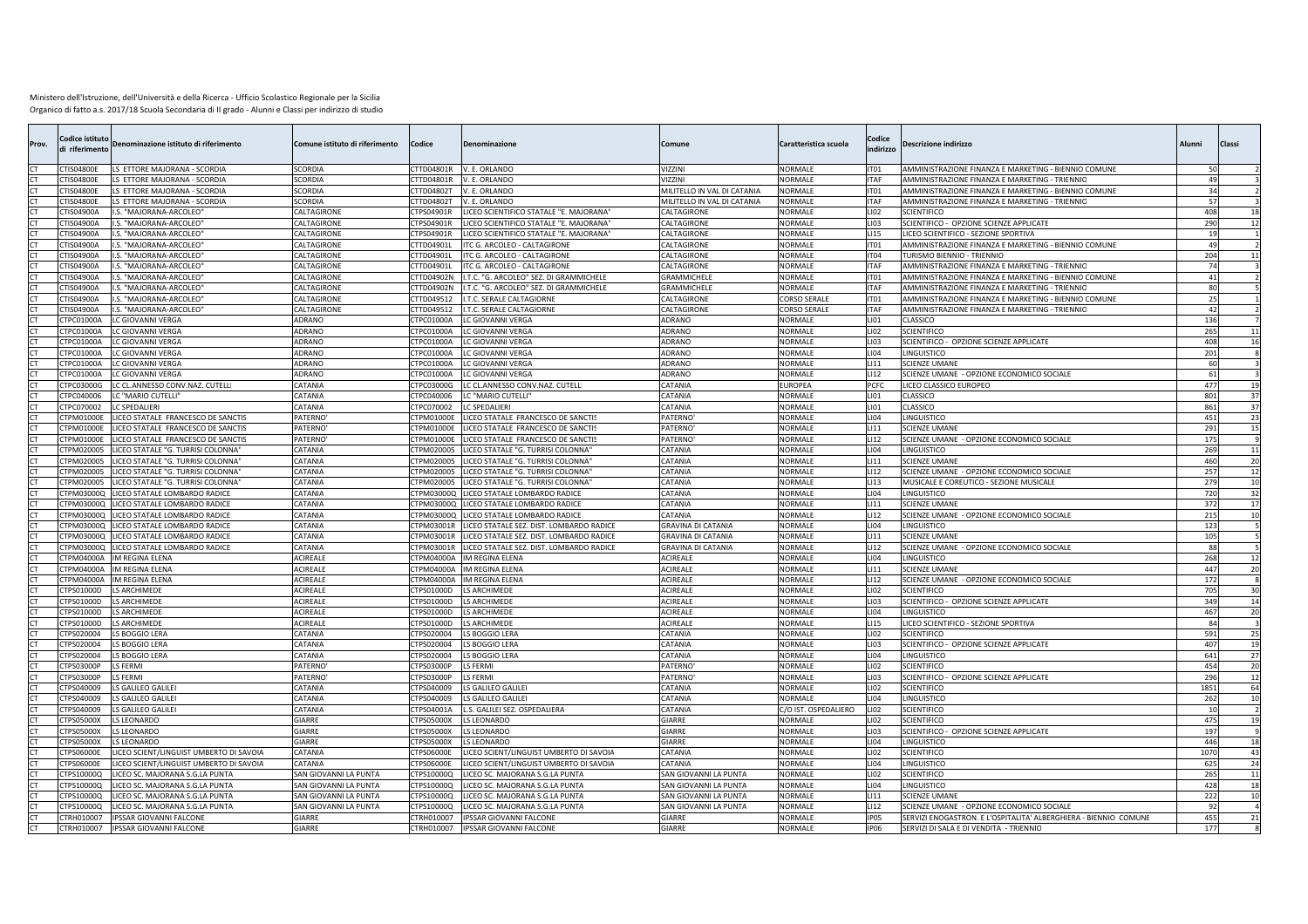| Prov. | odice istitut:<br>li riferimento | Denominazione istituto di riferimento          | Comune istituto di riferimento     | Codice                         | Denominazione                                         | omune:                             | Caratteristica scuola              | Codice<br>indirizzo | escrizione indirizzo                                                                                   | Alunni               | Classi   |                |
|-------|----------------------------------|------------------------------------------------|------------------------------------|--------------------------------|-------------------------------------------------------|------------------------------------|------------------------------------|---------------------|--------------------------------------------------------------------------------------------------------|----------------------|----------|----------------|
|       | CTIS04800E                       | LS ETTORE MAJORANA - SCORDIA                   | <b>SCORDIA</b>                     | CTTD04801R                     | V. E. ORLANDO                                         | <b>IZZINI</b>                      | <b>NORMALE</b>                     | ITO1                | AMMINISTRAZIONE FINANZA E MARKETING - BIENNIO COMUNE                                                   |                      |          |                |
|       | CTIS04800E                       | S ETTORE MAJORANA - SCORDIA                    | <b>SCORDIA</b>                     | CTTD04801R                     | V. E. ORLANDO                                         | <b>IZZINI</b>                      | NORMALE                            | <b>ITAF</b>         | AMMINISTRAZIONE FINANZA E MARKETING - TRIENNIO                                                         |                      |          |                |
|       | TIS04800E                        | LS ETTORE MAJORANA - SCORDIA                   | <b>SCORDIA</b>                     |                                | TTD04802T V. E. ORLANDO                               | <b>MILITELLO IN VAL DI CATANIA</b> | <b>NORMALE</b>                     | IT <sub>01</sub>    | AMMINISTRAZIONE FINANZA E MARKETING - BIENNIO COMUNE                                                   |                      |          |                |
|       | CTIS04800E                       | S ETTORE MAJORANA - SCORDIA                    | <b>SCORDIA</b>                     | CTTD04802T                     | V. E. ORLANDO                                         | MILITELLO IN VAL DI CATANIA        | <b>NORMALE</b>                     | <b>ITAF</b>         | AMMINISTRAZIONE FINANZA E MARKETING - TRIENNIO                                                         | -57                  |          |                |
|       | TIS04900A                        | S. "MAJORANA-ARCOLEO"                          | CALTAGIRONE                        | CTPS04901R                     | LICEO SCIENTIFICO STATALE "E. MAJORANA'               | CALTAGIRONE                        | <b>NORMALE</b>                     | 1102                | <b>SCIENTIFICO</b>                                                                                     | 408                  |          | 18             |
|       | <b>TIS04900A</b>                 | S. "MAJORANA-ARCOLEO                           | CALTAGIRONE                        | CTPS04901R                     | LICEO SCIENTIFICO STATALE "E. MAJORANA'               | CALTAGIRONE                        | <b>NORMALE</b>                     | 1103                | SCIENTIFICO - OPZIONE SCIENZE APPLICATE                                                                | 290                  |          | 12             |
|       | CTIS04900A                       | .S. "MAJORANA-ARCOLEO"                         | CALTAGIRONE                        | CTPS04901R                     | LICEO SCIENTIFICO STATALE "E. MAJORANA"               | CALTAGIRONE                        | <b>NORMALE</b>                     | <b>LI15</b>         | LICEO SCIENTIFICO - SEZIONE SPORTIVA                                                                   |                      |          |                |
|       | CTIS04900A                       | .S. "MAJORANA-ARCOLEO                          | CALTAGIRONE                        | CTTD04901L                     | ITC G. ARCOLEO - CALTAGIRONE                          | CALTAGIRONE                        | NORMALE                            | IT01                | AMMINISTRAZIONE FINANZA E MARKETING - BIENNIO COMUNE                                                   |                      |          |                |
|       | CTIS04900A                       | S. "MAJORANA-ARCOLEO"                          | CALTAGIRONE                        | CTTD04901L                     | ITC G. ARCOLEO - CALTAGIRONE                          | CALTAGIRONE                        | NORMALE                            | IT04                | TURISMO BIENNIO - TRIENNIO                                                                             | 204                  |          | 11             |
|       | TIS04900A                        | S. "MAJORANA-ARCOLEO                           | CALTAGIRONE                        | <b>TTD04901L</b>               | ITC G. ARCOLEO - CALTAGIRONE                          | CALTAGIRONE                        | NORMALE                            | <b>ITAF</b>         | AMMINISTRAZIONE FINANZA E MARKETING - TRIENNIO                                                         |                      |          |                |
|       | TIS04900A<br>TIS04900A           | S. "MAJORANA-ARCOLEO"<br>S. "MAJORANA-ARCOLEO" | CALTAGIRONE<br>CALTAGIRONE         | CTTD04902N<br><b>TTD04902N</b> | .T.C. "G. ARCOLEO" SEZ. DI GRAMMICHELE                | GRAMMICHEL                         | <b>NORMALE</b><br><b>NORMALE</b>   | IT01<br><b>ITAF</b> | AMMINISTRAZIONE FINANZA E MARKETING - BIENNIO COMUNE<br>AMMINISTRAZIONE FINANZA E MARKETING - TRIENNIO |                      |          |                |
|       |                                  |                                                |                                    |                                | .T.C. "G. ARCOLEO" SEZ. DI GRAMMICHELE                | GRAMMICHELE                        |                                    |                     |                                                                                                        |                      |          |                |
|       | TIS04900A<br>TIS04900A           | S. "MAJORANA-ARCOLEO<br>S. "MAJORANA-ARCOLEO"  | CALTAGIRONE<br>CALTAGIRONE         | CTTD049512<br>CTTD049512       | .T.C. SERALE CALTAGIORNE<br>I.T.C. SERALE CALTAGIORNE | CALTAGIRONE<br>CALTAGIRONE         | CORSO SERAL<br><b>CORSO SERALE</b> | IT01<br><b>ITAF</b> | AMMINISTRAZIONE FINANZA E MARKETING - BIENNIO COMUNE<br>AMMINISTRAZIONE FINANZA E MARKETING - TRIENNIO |                      | $\Delta$ |                |
|       | CTPC01000A                       | C GIOVANNI VERGA                               | ADRANO                             | CTPC01000A                     | C GIOVANNI VERGA                                      | ADRANO                             | <b>NORMALE</b>                     | LI01                | CLASSICO                                                                                               | 136                  |          |                |
|       | CTPC01000A                       | LC GIOVANNI VERGA                              | ADRANO                             | CTPC01000A                     | LC GIOVANNI VERGA                                     | ADRANO                             | <b>NORMALE</b>                     | LI02                | <b>SCIENTIFICO</b>                                                                                     | 265                  |          | 11             |
|       | <b>CTPC01000A</b>                | C GIOVANNI VERGA                               | ADRANO                             | CTPC01000A                     | C GIOVANNI VERGA                                      | ADRANO                             | <b>NORMALE</b>                     | LIO <sub>3</sub>    | SCIENTIFICO - OPZIONE SCIENZE APPLICATE                                                                | 408                  |          | 16             |
|       | CTPC01000A                       | LC GIOVANNI VERGA                              | ADRANO                             | CTPC01000A                     | LC GIOVANNI VERGA                                     | ADRANO                             | <b>NORMALE</b>                     | LI04                | LINGUISTICO                                                                                            | 201                  |          |                |
|       | CTPC01000A                       | C GIOVANNI VERGA                               | ADRANO                             | CTPC01000A                     | C GIOVANNI VERGA                                      | ADRANO                             | <b>NORMALE</b>                     | <b>LI11</b>         | <b>SCIENZE UMANE</b>                                                                                   |                      | 60       |                |
|       | TPC01000A                        | C GIOVANNI VERGA                               | ADRANO                             | CTPC01000A                     | C GIOVANNI VERGA                                      | ADRANO                             | <b>NORMALE</b>                     | LI12                | SCIENZE UMANE - OPZIONE ECONOMICO SOCIALE                                                              |                      |          |                |
|       | TPC03000G                        | C CL.ANNESSO CONV.NAZ. CUTELLI                 | CATANIA                            | CTPC03000G                     | C CL.ANNESSO CONV.NAZ. CUTELLI                        | CATANIA                            | EUROPEA                            | PCFC                | LICEO CLASSICO EUROPEO                                                                                 | 477                  |          | 19             |
|       | CTPC040006                       | C "MARIO CUTELLI"                              | CATANIA                            | CTPC040006                     | C "MARIO CUTELLI"                                     | CATANIA                            | <b>NORMALE</b>                     | LI01                | <b>CLASSICO</b>                                                                                        | 801                  |          | 37             |
|       | CTPC070002                       | C SPEDALIERI                                   | CATANIA                            | CTPC070002                     | C SPEDALIERI                                          | CATANIA                            | <b>NORMALE</b>                     | <b>LIO1</b>         | CLASSICO                                                                                               | 86                   |          | 37             |
|       | TPM01000E                        | ICEO STATALE FRANCESCO DE SANCTIS              | PATERNO                            | CTPM01000E                     | LICEO STATALE FRANCESCO DE SANCTIS                    | PATERNO <sup>®</sup>               | NORMALE                            | LI04                | LINGUISTICO                                                                                            | 45                   |          | 23             |
|       | TPM01000E                        | <b>ICEO STATALE FRANCESCO DE SANCTIS</b>       | PATERNO                            | CTPM01000E                     | LICEO STATALE FRANCESCO DE SANCTIS                    | PATERNO <sup>®</sup>               | <b>NORMALE</b>                     | <b>LI11</b>         | <b>SCIENZE UMANE</b>                                                                                   | 291                  |          | 15             |
|       | CTPM01000E                       | ICEO STATALE FRANCESCO DE SANCTIS              | PATERNO                            | CTPM01000E                     | LICEO STATALE FRANCESCO DE SANCTIS                    | PATERNO                            | <b>NORMALE</b>                     | 1112                | SCIENZE UMANE - OPZIONE ECONOMICO SOCIALE                                                              | 17                   |          | -9             |
|       | TPM020005                        | ICEO STATALE "G. TURRISI COLONNA               | CATANIA                            | CTPM020005                     | LICEO STATALE "G. TURRISI COLONNA'                    | CATANIA                            | <b>NORMALE</b>                     | LI04                | LINGUISTICO                                                                                            | 269                  |          | 11             |
|       | CTPM020005                       | ICEO STATALE "G. TURRISI COLONNA               | CATANIA                            | CTPM020005                     | LICEO STATALE "G. TURRISI COLONNA'                    | CATANIA                            | <b>NORMALE</b>                     | 1111                | <b>SCIENZE UMANE</b>                                                                                   | 460                  |          | 20             |
|       | TPM020005                        | ICEO STATALE "G. TURRISI COLONNA'              | CATANIA                            | CTPM020005                     | LICEO STATALE "G. TURRISI COLONNA'                    | CATANIA                            | <b>NORMALE</b>                     | LI12                | SCIENZE UMANE - OPZIONE ECONOMICO SOCIALE                                                              | 257                  |          | 12             |
|       | CTPM020005                       | ICEO STATALE "G. TURRISI COLONNA               | CATANIA                            | CTPM020005                     | ICEO STATALE "G. TURRISI COLONNA'                     | CATANIA                            | <b>NORMALE</b>                     | L113                | MUSICALE E COREUTICO - SEZIONE MUSICALE                                                                | 279                  |          | 10             |
|       | CTPM03000Q                       | ICEO STATALE LOMBARDO RADICE                   | CATANIA                            | CTPM03000Q                     | LICEO STATALE LOMBARDO RADICE                         | CATANIA                            | <b>NORMALE</b>                     | 1104                | <b>LINGUISTICO</b>                                                                                     | 72                   |          | 32             |
|       | CTPM03000Q                       | ICEO STATALE LOMBARDO RADICE                   | CATANIA                            | CTPM03000Q                     | LICEO STATALE LOMBARDO RADICE                         | CATANIA                            | <b>NORMALE</b>                     | <b>LI11</b>         | <b>SCIENZE UMANE</b>                                                                                   | 372                  |          | 17             |
|       | <b>TPM03000O</b>                 | ICEO STATALE LOMBARDO RADICE                   | CATANIA                            | CTPM030000                     | LICEO STATALE LOMBARDO RADICE                         | CATANIA                            | <b>NORMALE</b>                     | LI12                | SCIENZE UMANE - OPZIONE ECONOMICO SOCIALE                                                              | 21                   |          | 10             |
|       | CTPM03000Q                       | <b>ICEO STATALE LOMBARDO RADICE</b>            | CATANIA                            | CTPM03001F                     | LICEO STATALE SEZ. DIST. LOMBARDO RADICE              | GRAVINA DI CATANIA                 | <b>NORMALE</b>                     | LI04                | LINGUISTICO                                                                                            | 12 <sup>3</sup>      |          |                |
|       | CTPM03000Q                       | ICEO STATALE LOMBARDO RADICE                   | CATANIA                            | CTPM03001R                     | LICEO STATALE SEZ. DIST. LOMBARDO RADICE              | <b>GRAVINA DI CATANIA</b>          | <b>NORMALE</b>                     | <b>LI11</b>         | <b>SCIENZE UMANE</b>                                                                                   | 10                   |          |                |
|       | TPM03000Q                        | ICEO STATALE LOMBARDO RADICE                   | CATANIA                            | CTPM03001R                     | LICEO STATALE SEZ. DIST. LOMBARDO RADICE              | <b>GRAVINA DI CATANIA</b>          | <b>NORMALE</b>                     | LI12                | SCIENZE UMANE - OPZIONE ECONOMICO SOCIALE                                                              | 8 <sup>k</sup>       |          |                |
|       | CTPM04000A                       | M REGINA ELENA                                 | <b>ACIREALE</b>                    | CTPM04000A                     | IM REGINA ELENA                                       | ACIREALE                           | <b>NORMALE</b>                     | LI04                | LINGUISTICO                                                                                            | 268                  |          | 12             |
|       | CTPM04000A                       | M REGINA ELENA                                 | ACIREALE                           | CTPM04000A                     | IM REGINA ELENA                                       | ACIREALE                           | <b>NORMALE</b>                     | <b>LI11</b>         | <b>SCIENZE UMANE</b>                                                                                   | $\Delta\Delta$       |          | 20             |
|       | <b>CTPM04000A</b>                | M REGINA ELENA                                 | ACIREALE                           | CTPM04000A                     | IM REGINA ELENA                                       | ACIREALE                           | NORMALE                            | LI12                | SCIENZE UMANE - OPZIONE ECONOMICO SOCIALE                                                              | 172                  |          |                |
|       | CTPS01000D                       | <b>S ARCHIMEDE</b>                             | ACIREALE                           | CTPS01000D                     | LS ARCHIMEDE                                          | ACIREALE                           | <b>NORMALE</b>                     | LI02                | <b>SCIENTIFICO</b>                                                                                     | 705                  |          | 30             |
|       | CTPS01000D                       | S ARCHIMEDE                                    | ACIREALE                           | CTPS01000D                     | <b>S ARCHIMEDE</b>                                    | ACIREALE                           | <b>NORMALE</b>                     | LI03                | SCIENTIFICO - OPZIONE SCIENZE APPLICATE                                                                | 349                  |          | 14             |
|       | CTPS01000D<br>CTPS01000D         | S ARCHIMEDE<br><b>S ARCHIMEDE</b>              | <b>ACIREALE</b><br><b>ACIREALE</b> | CTPS01000D<br>CTPS01000D       | S ARCHIMEDE<br><b>S ARCHIMEDE</b>                     | <b>ACIREALE</b><br><b>ACIREALE</b> | <b>NORMALE</b><br><b>NORMALE</b>   | 1104<br><b>LI15</b> | LINGUISTICO                                                                                            | 467<br>$\mathcal{R}$ |          | 20             |
|       |                                  |                                                |                                    |                                |                                                       |                                    |                                    |                     | LICEO SCIENTIFICO - SEZIONE SPORTIVA                                                                   |                      |          |                |
|       | CTPS020004<br>CTPS020004         | S BOGGIO LERA<br><b>S BOGGIO LERA</b>          | CATANIA<br>CATANIA                 | CTPS020004<br>CTPS020004       | S BOGGIO LERA<br>S BOGGIO LERA                        | CATANIA<br>CATANIA                 | <b>NORMALE</b><br><b>NORMALE</b>   | LI02<br>LI03        | <b>SCIENTIFICO</b><br>SCIENTIFICO - OPZIONE SCIENZE APPLICATE                                          | 591<br>407           |          | 25<br>19       |
|       | TPS020004                        | S BOGGIO LERA                                  | CATANIA                            | TPS020004                      | S BOGGIO LERA                                         | CATANIA                            | <b>NORMALE</b>                     | <b>LI04</b>         | LINGUISTICO                                                                                            | 641                  |          | 27             |
|       | <b>TPS03000P</b>                 | <b>SFERMI</b>                                  | PATERNO                            | CTPS03000P                     | <b>SFERMI</b>                                         | <b>PATERNO</b>                     | <b>NORMALE</b>                     | <b>LIO2</b>         | <b>SCIENTIFICO</b>                                                                                     | 454                  |          | 20             |
|       | CTPS03000P                       | S FERMI                                        | PATERNO                            | CTPS03000P                     | S FERMI                                               | PATERNO                            | <b>NORMALE</b>                     | 1103                | SCIENTIFICO - OPZIONE SCIENZE APPLICATE                                                                | 296                  |          | 12             |
|       | <b>TPS040009</b>                 | <b>S GALILEO GALILEI</b>                       | CATANIA                            | CTPS040009                     | S GALILEO GALILEI                                     | CATANIA                            | <b>NORMALE</b>                     | 1102                | <b>SCIENTIFICO</b>                                                                                     | 185 <sup>2</sup>     |          | 64             |
|       | CTPS040009                       | <b>S GALILEO GALILEI</b>                       | CATANIA                            | CTPS040009                     | S GALILEO GALILEI                                     | CATANIA                            | NORMALE                            | 1104                | LINGUISTICO                                                                                            | 262                  |          | 10             |
|       | CTPS040009                       | LS GALILEO GALILEI                             | CATANIA                            | CTPS04001A                     | L.S. GALILEI SEZ. OSPEDALIERA                         | CATANIA                            | C/O IST. OSPEDALIERO               | LI02                | <b>SCIENTIFICO</b>                                                                                     | 11                   |          | $\overline{2}$ |
|       | CTPS05000X                       | LS LEONARDO                                    | GIARRE                             | CTPS05000X                     | LS LEONARDO                                           | GIARRE                             | <b>NORMALE</b>                     | LI02                | <b>SCIENTIFICO</b>                                                                                     | 475                  |          | 19             |
|       | TPS05000X                        | S LEONARDO                                     | GIARRE                             | <b>TPS05000X</b>               | S LEONARDO                                            | GIARRE                             | NORMALE                            | ENLI                | SCIENTIFICO - OPZIONE SCIENZE APPLICATE                                                                | 197                  |          |                |
|       | <b>CTPS05000X</b>                | <b>S LEONARDO</b>                              | GIARRE                             | <b>TPS05000X</b>               | S LEONARDO                                            | <b>SIARRE</b>                      | <b>NORMALE</b>                     | <b>LI04</b>         | LINGUISTICO                                                                                            | 446                  |          | 18             |
|       | CTPS06000E                       | ICEO SCIENT/LINGUIST UMBERTO DI SAVOIA         | CATANIA                            | CTPS06000E                     | ICEO SCIENT/LINGUIST UMBERTO DI SAVOIA                | CATANIA                            | NORMALE                            | LI02                | <b>SCIENTIFICO</b>                                                                                     | 107                  |          | 43             |
|       | <b>CTPS06000E</b>                | ICEO SCIENT/LINGUIST UMBERTO DI SAVOIA         | CATANIA                            | <b>TPS06000E</b>               | <b>ICEO SCIENT/LINGUIST UMBERTO DI SAVOIA</b>         | CATANIA                            | <b>NORMALE</b>                     | <b>LI04</b>         | LINGUISTICO                                                                                            | 625                  |          | 24             |
|       | TPS10000Q                        | ICEO SC. MAJORANA S.G.LA PUNTA                 | SAN GIOVANNI LA PUNTA              | CTPS10000Q                     | ICEO SC. MAJORANA S.G.LA PUNTA                        | SAN GIOVANNI LA PUNTA              | VORMALE                            | <b>LIO2</b>         | <b>SCIENTIFICO</b>                                                                                     | 26                   |          | 11             |
|       | CTPS10000Q                       | LICEO SC. MAJORANA S.G.LA PUNTA                | SAN GIOVANNI LA PUNTA              | CTPS10000Q                     | LICEO SC. MAJORANA S.G.LA PUNTA                       | SAN GIOVANNI LA PUNTA              | NORMALE                            | LI04                | LINGUISTICO                                                                                            | 428                  |          | 18             |
|       | CTPS10000Q                       | ICEO SC. MAJORANA S.G.LA PUNTA                 | SAN GIOVANNI LA PUNTA              | CTPS10000Q                     | ICEO SC. MAJORANA S.G.LA PUNTA                        | SAN GIOVANNI LA PUNTA              | <b>NORMALE</b>                     | <b>LI11</b>         | <b>SCIENZE UMANE</b>                                                                                   | 222                  |          | 10             |
|       | CTPS10000Q                       | ICEO SC. MAJORANA S.G.LA PUNTA                 | SAN GIOVANNI LA PUNTA              | CTPS10000Q                     | LICEO SC. MAJORANA S.G.LA PUNTA                       | SAN GIOVANNI LA PUNTA              | <b>NORMALE</b>                     | LI2                 | SCIENZE UMANE - OPZIONE ECONOMICO SOCIALE                                                              |                      |          |                |
|       | CTRH010007                       | PSSAR GIOVANNI FALCONE                         | GIARRE                             | CTRH010007                     | IPSSAR GIOVANNI FALCONE                               | <b>SIARRF</b>                      | <b>NORMALE</b>                     | <b>IP05</b>         | SERVIZI ENOGASTRON. E L'OSPITALITA' ALBERGHIERA - BIENNIO COMUNE                                       | 45                   |          | 21             |
|       | CTRH010007                       | <b>IPSSAR GIOVANNI FALCONE</b>                 | GIARRE                             | CTRH010007                     | <b>IPSSAR GIOVANNI FALCONE</b>                        | GIARRE                             | <b>NORMALE</b>                     | IP06                | SERVIZI DI SALA E DI VENDITA - TRIENNIO                                                                | 177                  |          |                |
|       |                                  |                                                |                                    |                                |                                                       |                                    |                                    |                     |                                                                                                        |                      |          |                |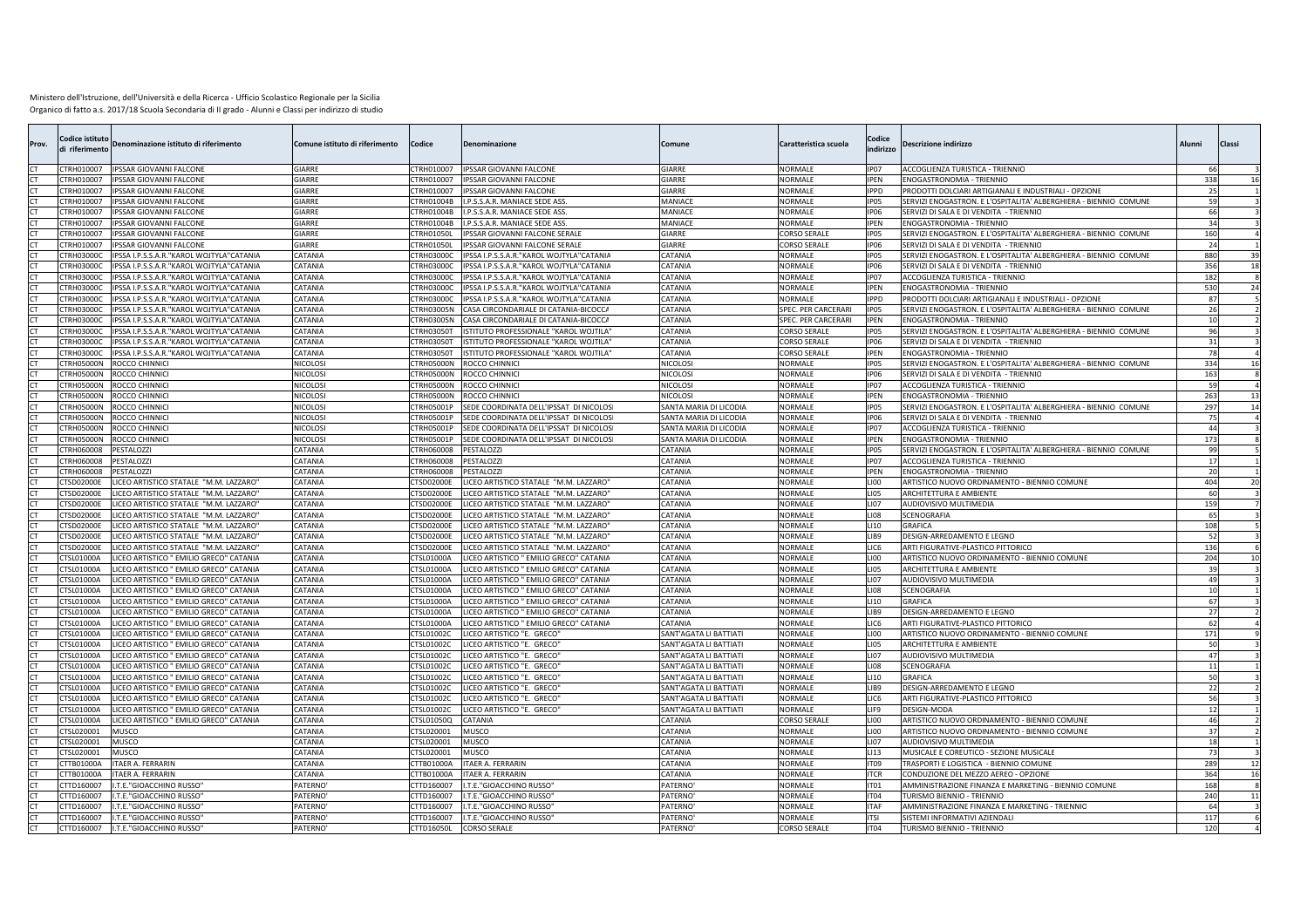| <b>CT</b><br>CTRH010007<br><b>IPSSAR GIOVANNI FALCONE</b><br><b>GIARRE</b><br>CTRH010007<br><b>IPSSAR GIOVANNI FALCONE</b><br>GIARRE<br>NORMALE<br>IP <sub>07</sub><br>ACCOGLIENZA TURISTICA - TRIENNIO<br>GIARRE<br>TRH010007<br><b>IPSSAR GIOVANNI FALCONE</b><br>CTRH010007<br><b>IPSSAR GIOVANNI FALCONI</b><br><b>GIARRE</b><br>NORMALE<br><b>IPEN</b><br>ENOGASTRONOMIA - TRIENNIC<br>33<br>TRH010007<br>GIARRE<br>GIARRE<br>VORMALE<br>PRODOTTI DOLCIARI ARTIGIANALI E INDUSTRIALI - OPZIONE<br><b>IPSSAR GIOVANNI FALCONE</b><br>TRH010007<br><b>IPSSAR GIOVANNI FALCONE</b><br><b>IPPD</b><br>CTRH010007<br><b>IPSSAR GIOVANNI FALCONE</b><br>GIARRE<br>CTRH01004B<br>I.P.S.S.A.R. MANIACE SEDE ASS<br>MANIACE<br><b>NORMALE</b><br>IP <sub>05</sub><br>SERVIZI ENOGASTRON. E L'OSPITALITA' ALBERGHIERA - BIENNIO COMUNE<br><b>CT</b><br>CTRH010007<br>GIARRE<br><b>MANIACE</b><br><b>NORMALE</b><br><b>PSSAR GIOVANNI FALCONE</b><br>CTRH01004B<br>I.P.S.S.A.R. MANIACE SEDE ASS<br><b>IP06</b><br>SERVIZI DI SALA E DI VENDITA - TRIENNIO<br>61<br>TRH010007<br><b>IPSSAR GIOVANNI FALCONE</b><br><b>GIARRE</b><br>CTRH01004B<br>I.P.S.S.A.R. MANIACE SEDE ASS.<br>MANIACE<br>NORMALE<br><b>IPEN</b><br>ENOGASTRONOMIA - TRIENNIO<br>CTRH010007<br><b>IPSSAR GIOVANNI FALCONE</b><br>GIARRE<br>CTRH01050L<br><b>GIARRE</b><br>SERVIZI ENOGASTRON, E L'OSPITALITA' ALBERGHIERA - BIENNIO COMUNE<br>160<br>CT<br>IPSSAR GIOVANNI FALCONE SERALE<br>CORSO SERALE<br><b>IP05</b><br>CTRH010007<br><b>IPSSAR GIOVANNI FALCONE</b><br>GIARRE<br>GIARRE<br><b>CORSO SERALI</b><br><b>CT</b><br>CTRH01050L<br>IPSSAR GIOVANNI FALCONE SERALE<br>IP <sub>06</sub><br>SERVIZI DI SALA E DI VENDITA - TRIENNIO<br><b>CTRH03000C</b><br>CATANIA<br>CATANIA<br>NORMALE<br>880<br>IPSSA I.P.S.S.A.R. "KAROL WOJTYLA"CATANIA<br>CTRH03000C<br>IPSSA I.P.S.S.A.R."KAROL WOJTYLA"CATANIA<br>SERVIZI ENOGASTRON. E L'OSPITALITA' ALBERGHIERA - BIENNIO COMUNE<br>IP <sub>05</sub><br>CATANIA<br><b>NORMALE</b><br><b>TRH03000C</b><br>PSSA I.P.S.S.A.R."KAROL WOJTYLA"CATANIA<br>CATANIA<br>CTRH03000C<br>IPSSA I.P.S.S.A.R."KAROL WOJTYLA"CATANIA<br><b>IP06</b><br>SERVIZI DI SALA E DI VENDITA - TRIENNIO<br>35<br>CATANIA<br>CTRH03000C<br>CATANIA<br><b>NORMALE</b><br>IPSSA I.P.S.S.A.R. "KAROL WOJTYLA"CATANIA<br>CTRH03000C<br>IPSSA I.P.S.S.A.R."KAROL WOJTYLA"CATANIA<br>IP07<br>ACCOGLIENZA TURISTICA - TRIENNIC<br>18<br><b>TRH03000C</b><br>PSSA I.P.S.S.A.R."KAROL WOJTYLA"CATANIA<br>CATANIA<br>TRH03000C<br>IPSSA I.P.S.S.A.R."KAROL WOJTYLA"CATANIA<br>CATANIA<br>NORMALE<br><b>IPFN</b><br><b>ENOGASTRONOMIA - TRIENNIC</b><br>53<br>CATANIA<br>CATANIA<br><b>TRH03000C</b><br>IPSSA I.P.S.S.A.R. "KAROL WOJTYLA"CATANIA<br>TRH03000C<br>IPSSA I.P.S.S.A.R."KAROL WOJTYLA"CATANIA<br>NORMALE<br><b>IPPD</b><br>PRODOTTI DOLCIARI ARTIGIANALI E INDUSTRIALI - OPZIONE<br>CATANIA<br>CATANIA<br><b>TRH03000C</b><br>IPSSA I.P.S.S.A.R. "KAROL WOJTYLA"CATANIA<br>CTRH03005N<br>CASA CIRCONDARIALE DI CATANIA-BICOCCA<br>SPEC. PER CARCERARI<br>IP <sub>05</sub><br>SERVIZI ENOGASTRON. E L'OSPITALITA' ALBERGHIERA - BIENNIO COMUNE<br><b>CT</b><br>CTRH03000C<br>IPSSA I.P.S.S.A.R. "KAROL WOJTYLA"CATANIA<br>CATANIA<br>CTRH03005N<br>CASA CIRCONDARIALE DI CATANIA-BICOCCA<br>CATANIA<br>SPEC. PER CARCERARI<br><b>IPEN</b><br>ENOGASTRONOMIA - TRIENNIO<br>CATANIA<br>CATANIA<br>CTRH03000C<br>IPSSA I.P.S.S.A.R."KAROL WOJTYLA"CATANIA<br>CTRH03050T<br>ISTITUTO PROFESSIONALE "KAROL WOJTILA'<br><b>CORSO SERALI</b><br><b>IP05</b><br>SERVIZI ENOGASTRON. E L'OSPITALITA' ALBERGHIERA - BIENNIO COMUNE<br>CTRH03000C<br>IPSSA I.P.S.S.A.R."KAROL WOJTYLA"CATANIA<br>CATANIA<br>CTRH03050T<br>ISTITUTO PROFESSIONALE "KAROL WOJTILA"<br>CATANIA<br><b>CORSO SERALE</b><br>SERVIZI DI SALA E DI VENDITA - TRIENNIO<br>IP <sub>06</sub><br>CATANIA<br><b>CT</b><br>TRH03000C<br>IPSSA I.P.S.S.A.R. "KAROL WOJTYLA"CATANIA<br>CATANIA<br>CTRH03050T<br>ISTITUTO PROFESSIONALE "KAROL WOJTILA'<br>CORSO SERALE<br><b>IPEN</b><br>ENOGASTRONOMIA - TRIENNIO<br>TRH05000N<br><b>NICOLOSI</b><br><b>NICOLOSI</b><br>SERVIZI ENOGASTRON. E L'OSPITALITA' ALBERGHIERA - BIENNIO COMUNE<br><b>CT</b><br>ROCCO CHINNICI<br>TRH05000N<br>ROCCO CHINNICI<br><b>NORMALE</b><br>IP <sub>05</sub><br>334<br>CTRH05000N<br>ROCCO CHINNICI<br>NICOLOSI<br>CTRH05000N<br><b>NICOLOSI</b><br><b>NORMALE</b><br><b>IP06</b><br>16<br>ROCCO CHINNICI<br>SERVIZI DI SALA E DI VENDITA - TRIENNIO<br><b>TRH05000N</b><br>ROCCO CHINNICI<br><b>NICOLOSI</b><br>TRH05000N<br>ROCCO CHINNICI<br><b>NICOLOSI</b><br>VORMALE<br>IP07<br>ACCOGLIENZA TURISTICA - TRIENNIO<br>TRH05000N<br>ROCCO CHINNICI<br><b>NICOLOS</b><br>CTRH05000N<br>ROCCO CHINNICI<br><b>NICOLOSI</b><br>NORMALE<br><b>IPFN</b><br>ENOGASTRONOMIA - TRIENNIO<br>263<br>CTRH05000N<br><b>ROCCO CHINNICI</b><br>NICOLOS<br>CTRH05001P<br>SEDE COORDINATA DELL'IPSSAT DI NICOLOSI<br>SANTA MARIA DI LICODIA<br>NORMALE<br>IP05<br>SERVIZI ENOGASTRON. E L'OSPITALITA' ALBERGHIERA - BIENNIO COMUNE<br>29<br><b>TRH05000N</b><br>ROCCO CHINNICI<br><b>NICOLOS</b><br>TRH05001P<br>SEDE COORDINATA DELL'IPSSAT DI NICOLOSI<br>SANTA MARIA DI LICODIA<br>NORMALE<br>IP06<br>SERVIZI DI SALA E DI VENDITA - TRIENNIO<br><b>TRH05000N</b><br>ROCCO CHINNICI<br>NICOLOSI<br>CTRH05001P<br>SEDE COORDINATA DELL'IPSSAT DI NICOLOSI<br>SANTA MARIA DI LICODIA<br><b>NORMALE</b><br>IP <sub>07</sub><br>ACCOGLIENZA TURISTICA - TRIENNIO<br>$\Delta\ell$<br>CTRH05000N<br>ROCCO CHINNICI<br>NICOLOSI<br>SEDE COORDINATA DELL'IPSSAT DI NICOLOSI<br>SANTA MARIA DI LICODIA<br><b>NORMALE</b><br><b>IPEN</b><br>ENOGASTRONOMIA - TRIENNIO<br>17 <sup>2</sup><br>CTRH05001P<br>CATANIA<br>SERVIZI ENOGASTRON. E L'OSPITALITA' ALBERGHIERA - BIENNIO COMUNE<br><b>CTRH060008</b><br><b>ESTALOZZI</b><br>CATANIA<br>CTRH060008<br>PESTALOZZI<br>NORMALE<br>IP <sub>05</sub><br><b>q</b><br>TRH060008<br>CATANIA<br>CATANIA<br>NORMALE<br><b>ESTALOZZI</b><br>CTRH060008<br>PESTALOZZI<br>IP <sub>07</sub><br>ACCOGLIENZA TURISTICA - TRIENNIO<br><b>CTRH060008</b><br>CATANIA<br>CATANIA<br><b>NORMALE</b><br><b>IPEN</b><br>PESTALOZZI<br>CTRH060008<br>PESTALOZZI<br>ENOGASTRONOMIA - TRIENNIO<br>CATANIA<br><b>CT</b><br>CTSD02000E<br>ICEO ARTISTICO STATALE "M.M. LAZZARO"<br>CATANIA<br>CTSD02000E<br>LICEO ARTISTICO STATALE "M.M. LAZZARO"<br>NORMALE<br>LI00<br>ARTISTICO NUOVO ORDINAMENTO - BIENNIO COMUNE<br>404<br>СT<br>ICEO ARTISTICO STATALE "M.M. LAZZARO"<br>CATANIA<br>LICEO ARTISTICO STATALE "M.M. LAZZARO"<br>CATANIA<br>NORMALE<br>ARCHITETTURA E AMBIENTE<br>CTSD02000E<br>CTSD02000E<br><b>LIO5</b><br>6<br><b>CT</b><br><b>TSD02000E</b><br>ICEO ARTISTICO STATALE "M.M. LAZZARO"<br>CATANIA<br>CTSD02000E<br>LICEO ARTISTICO STATALE "M.M. LAZZARO"<br>CATANIA<br>VORMALE<br>AUDIOVISIVO MULTIMEDIA<br>15<br><b>LIO7</b><br>ICEO ARTISTICO STATALE "M.M. LAZZARO"<br>CATANIA<br>LICEO ARTISTICO STATALE "M.M. LAZZARO'<br>CATANIA<br><b>CT</b><br><b>TSD02000E</b><br>CTSD02000E<br>NORMALE<br>LI08<br>SCENOGRAFIA<br>-61<br>CT<br><b>TSD02000E</b><br>CEO ARTISTICO STATALE "M.M. LAZZARO'<br>CATANIA<br>CTSD02000E<br>ICEO ARTISTICO STATALE "M.M. LAZZARO"<br>CATANIA<br>NORMALE<br>L110<br>GRAFICA<br>10 <sub>i</sub><br><b>TSD02000E</b><br>ICEO ARTISTICO STATALE "M.M. LAZZARO'<br>CATANIA<br>CTSD02000E<br>ICEO ARTISTICO STATALE "M.M. LAZZARO"<br>CATANIA<br>NORMALE<br>LIB9<br>DESIGN-ARREDAMENTO E LEGNO<br>CATANIA<br>CATANIA<br><b>TSD02000E</b><br>ICEO ARTISTICO STATALE "M.M. LAZZARO"<br>CTSD02000E<br>LICEO ARTISTICO STATALE "M.M. LAZZARO"<br>VORMALE<br>ARTI FIGURATIVE-PLASTICO PITTORICO<br>131<br>LIC6<br>CTSL01000A<br>ICEO ARTISTICO " EMILIO GRECO" CATANIA<br>CATANIA<br>CTSL01000A<br>LICEO ARTISTICO " EMILIO GRECO" CATANIA<br>CATANIA<br>NORMALE<br>ARTISTICO NUOVO ORDINAMENTO - BIENNIO COMUNE<br>204<br><b>CT</b><br>1100<br>CATANIA<br>CATANIA<br>CTSL01000A<br>ICEO ARTISTICO " EMILIO GRECO" CATANIA<br>CTSL01000A<br>LICEO ARTISTICO " EMILIO GRECO" CATANIA<br>NORMALE<br><b>LIO5</b><br>ARCHITETTURA E AMBIENTE<br>ICEO ARTISTICO " EMILIO GRECO" CATANIA<br>CATANIA<br>LICEO ARTISTICO " EMILIO GRECO" CATANIA<br>CATANIA<br>NORMALE<br>AUDIOVISIVO MULTIMEDIA<br><b>TSL01000A</b><br>CTSL01000A<br><b>LI07</b><br>CATANIA<br>CATANIA<br>NORMALE<br>CTSL01000A<br>ICEO ARTISTICO " EMILIO GRECO" CATANIA<br>CTSL01000A<br>LICEO ARTISTICO " EMILIO GRECO" CATANIA<br>SCENOGRAFIA<br>CT<br>1108<br>CTSL01000A<br>ICEO ARTISTICO " EMILIO GRECO" CATANIA<br>CATANIA<br>LICEO ARTISTICO " EMILIO GRECO" CATANIA<br>CATANIA<br>NORMALE<br>CTSL01000A<br>LI10<br><b>GRAFICA</b><br>6<br>CATANIA<br>LICEO ARTISTICO " EMILIO GRECO" CATANIA<br>CATANIA<br>NORMALE<br>LIB9<br>DESIGN-ARREDAMENTO E LEGNO<br>TSL01000/<br>ICEO ARTISTICO " EMILIO GRECO" CATANIA<br>CTSL01000A<br><b>TSL01000A</b><br>ICEO ARTISTICO " EMILIO GRECO" CATANIA<br>CATANIA<br>CTSL01000A<br>LICEO ARTISTICO " EMILIO GRECO" CATANIA<br>CATANIA<br>VORMALE<br>LIC6<br>ARTI FIGURATIVE-PLASTICO PITTORICO<br>CTSL01000A<br>ICEO ARTISTICO " EMILIO GRECO" CATANIA<br>CATANIA<br>CTSL01002C<br>LICEO ARTISTICO "E. GRECO<br>SANT'AGATA LI BATTIATI<br>NORMALE<br><b>LIOO</b><br>ARTISTICO NUOVO ORDINAMENTO - BIENNIO COMUNE<br>171<br><b>CT</b><br>CTSL01000A<br>ICEO ARTISTICO " EMILIO GRECO" CATANIA<br>CATANIA<br>CTSL01002C<br>ICEO ARTISTICO "E. GRECO"<br>SANT'AGATA LI BATTIATI<br>NORMALE<br><b>LIO5</b><br><b>ARCHITETTURA E AMBIENTE</b><br>CTSL01000A<br>ICEO ARTISTICO " EMILIO GRECO" CATANIA<br>CATANIA<br>CTSL01002C<br>LICEO ARTISTICO "E. GRECO<br>SANT'AGATA LI BATTIATI<br>NORMALE<br><b>LI07</b><br>AUDIOVISIVO MULTIMEDIA<br>CT<br>ICEO ARTISTICO " EMILIO GRECO" CATANIA<br>CATANIA<br>LICEO ARTISTICO "E. GRECO"<br>SANT'AGATA LI BATTIATI<br>NORMALE<br><b>SCENOGRAFIA</b><br>CTSL01000A<br>CTSL01002C<br><b>LIO8</b><br><b>CT</b><br>CTSL01000A<br>ICEO ARTISTICO " EMILIO GRECO" CATANIA<br>CATANIA<br>CTSL01002C<br>LICEO ARTISTICO "E. GRECO"<br>SANT'AGATA LI BATTIATI<br><b>NORMALE</b><br>LI10<br><b>GRAFICA</b><br>50<br>CTSL01000A<br>ICEO ARTISTICO " EMILIO GRECO" CATANIA<br>CATANIA<br>LICEO ARTISTICO "E. GRECO<br>SANT'AGATA LI BATTIATI<br><b>NORMALE</b><br>DESIGN-ARREDAMENTO E LEGNO<br>CTSL01002C<br><b>IIR9</b><br>CTSL01000A<br>ICEO ARTISTICO " EMILIO GRECO" CATANIA<br>CATANIA<br>CTSL01002C<br>LICEO ARTISTICO "E. GRECO<br>SANT'AGATA LI BATTIATI<br>NORMALE<br>ARTI FIGURATIVE-PLASTICO PITTORICO<br>LIC6<br>CATANIA<br>LICEO ARTISTICO "E. GRECO"<br>SANT'AGATA LI BATTIATI<br>CTSL01000A<br>ICEO ARTISTICO " EMILIO GRECO" CATANIA<br>CTSL01002C<br><b>NORMALE</b><br><b>DESIGN-MODA</b><br>LIF9<br>CTSL01000A<br>ICEO ARTISTICO " EMILIO GRECO" CATANIA<br>CATANIA<br>CATANIA<br><b>CORSO SERAL</b><br>ARTISTICO NUOVO ORDINAMENTO - BIENNIO COMUNE<br><b>CT</b><br>CTSL01050Q<br>CATANIA<br><b>LIOO</b><br>46<br><b>NORMALE</b><br>CTSL020001<br>CATANIA<br>CATANIA<br>ARTISTICO NUOVO ORDINAMENTO - BIENNIO COMUNE<br>MUSCO<br>CTSL020001<br>MUSCO<br>LIOO<br>C <sub>1</sub><br>TSL020001<br>MUSCO<br>CATANIA<br>CTSL020001<br>MUSCO<br>CATANIA<br>NORMALE<br>AUDIOVISIVO MULTIMEDIA<br>1107<br>MUSICALE E COREUTICO - SEZIONE MUSICALI<br>TSL02000<br>MUSCO<br>CATANIA<br>CTSL020001<br>MUSCO<br>CATANIA<br>NORMALE<br>LI3<br>CTTB01000A<br>AER A. FERRARIN<br>CATANIA<br>CTTB01000A<br>TAER A. FERRARIN<br>CATANIA<br>NORMALE<br>IT09<br>TRASPORTI E LOGISTICA - BIENNIO COMUNI<br>28<br>TTB01000A<br>TAER A. FERRARIN<br>CATANIA<br>CTTB01000A<br><b>ITAER A. FERRARIN</b><br>CATANIA<br>NORMALE<br>CONDUZIONE DEL MEZZO AEREO - OPZIONE<br>$36 -$<br><b>ITCR</b><br>PATERNO<br>PATERNO<br>AMMINISTRAZIONE FINANZA E MARKETING - BIENNIO COMUNE<br>CTTD160007<br>I.T.E."GIOACCHINO RUSSO'<br>CTTD160007<br>I.T.E."GIOACCHINO RUSSO"<br>NORMALE<br>168<br>IT01<br>CTTD160007<br>T.E."GIOACCHINO RUSSO'<br>PATERNO<br>I.T.E."GIOACCHINO RUSSO'<br>PATERNO<br>NORMALE<br>TURISMO BIENNIO - TRIENNIO<br>240<br><b>CT</b><br>CTTD160007<br>IT <sub>04</sub><br><b>PATERNO</b><br>CTTD160007<br>T.E."GIOACCHINO RUSSO'<br>PATERNO<br>I.T.E."GIOACCHINO RUSSO'<br>NORMALE<br><b>ITAF</b><br>AMMINISTRAZIONE FINANZA E MARKETING - TRIENNIO<br>CTTD160007<br>T.E."GIOACCHINO RUSSO'<br>PATERNO<br>CTTD160007<br>I.T.E."GIOACCHINO RUSSO"<br>PATERNO<br><b>NORMALE</b><br>SISTEMI INFORMATIVI AZIENDALI<br>TTD160007<br><b>ITSI</b><br>11<br>PATERNO <sup>®</sup><br>I.T.E."GIOACCHINO RUSSO"<br>PATERNO<br>CTTD16050L<br><b>CORSO SERALE</b><br><b>CORSO SERALE</b><br>IT04<br>TURISMO BIENNIO - TRIENNIO<br>CTTD160007<br>120 | Prov. | Codice istitut<br>di riferiment | Denominazione istituto di riferimento | Comune istituto di riferimento | Codice | Denominazione | Comune | Caratteristica scuola | Codice<br>indirizzo | Oescrizione indirizzo | Alunni | Classi |
|----------------------------------------------------------------------------------------------------------------------------------------------------------------------------------------------------------------------------------------------------------------------------------------------------------------------------------------------------------------------------------------------------------------------------------------------------------------------------------------------------------------------------------------------------------------------------------------------------------------------------------------------------------------------------------------------------------------------------------------------------------------------------------------------------------------------------------------------------------------------------------------------------------------------------------------------------------------------------------------------------------------------------------------------------------------------------------------------------------------------------------------------------------------------------------------------------------------------------------------------------------------------------------------------------------------------------------------------------------------------------------------------------------------------------------------------------------------------------------------------------------------------------------------------------------------------------------------------------------------------------------------------------------------------------------------------------------------------------------------------------------------------------------------------------------------------------------------------------------------------------------------------------------------------------------------------------------------------------------------------------------------------------------------------------------------------------------------------------------------------------------------------------------------------------------------------------------------------------------------------------------------------------------------------------------------------------------------------------------------------------------------------------------------------------------------------------------------------------------------------------------------------------------------------------------------------------------------------------------------------------------------------------------------------------------------------------------------------------------------------------------------------------------------------------------------------------------------------------------------------------------------------------------------------------------------------------------------------------------------------------------------------------------------------------------------------------------------------------------------------------------------------------------------------------------------------------------------------------------------------------------------------------------------------------------------------------------------------------------------------------------------------------------------------------------------------------------------------------------------------------------------------------------------------------------------------------------------------------------------------------------------------------------------------------------------------------------------------------------------------------------------------------------------------------------------------------------------------------------------------------------------------------------------------------------------------------------------------------------------------------------------------------------------------------------------------------------------------------------------------------------------------------------------------------------------------------------------------------------------------------------------------------------------------------------------------------------------------------------------------------------------------------------------------------------------------------------------------------------------------------------------------------------------------------------------------------------------------------------------------------------------------------------------------------------------------------------------------------------------------------------------------------------------------------------------------------------------------------------------------------------------------------------------------------------------------------------------------------------------------------------------------------------------------------------------------------------------------------------------------------------------------------------------------------------------------------------------------------------------------------------------------------------------------------------------------------------------------------------------------------------------------------------------------------------------------------------------------------------------------------------------------------------------------------------------------------------------------------------------------------------------------------------------------------------------------------------------------------------------------------------------------------------------------------------------------------------------------------------------------------------------------------------------------------------------------------------------------------------------------------------------------------------------------------------------------------------------------------------------------------------------------------------------------------------------------------------------------------------------------------------------------------------------------------------------------------------------------------------------------------------------------------------------------------------------------------------------------------------------------------------------------------------------------------------------------------------------------------------------------------------------------------------------------------------------------------------------------------------------------------------------------------------------------------------------------------------------------------------------------------------------------------------------------------------------------------------------------------------------------------------------------------------------------------------------------------------------------------------------------------------------------------------------------------------------------------------------------------------------------------------------------------------------------------------------------------------------------------------------------------------------------------------------------------------------------------------------------------------------------------------------------------------------------------------------------------------------------------------------------------------------------------------------------------------------------------------------------------------------------------------------------------------------------------------------------------------------------------------------------------------------------------------------------------------------------------------------------------------------------------------------------------------------------------------------------------------------------------------------------------------------------------------------------------------------------------------------------------------------------------------------------------------------------------------------------------------------------------------------------------------------------------------------------------------------------------------------------------------------------------------------------------------------------------------------------------------------------------------------------------------------------------------------------------------------------------------------------------------------------------------------------------------------------------------------------------------------------------------------------------------------------------------------------------------------------------------------------------------------------------------------------------------------------------------------------------------------------------------------------------------------------------------------------------------------------------------------------------------------------------------------------------------------------------------------------------------------------------------------------------------------------------------------------------------------------------------------------------------------------------------------------------------------------------------------------------------------------------------------------------------------------------------------------------------------------------------------------------------------------------------------------------------------------------------------------------------------------------------------------------------------------------------------------------------------------------------------------------------------------------------------------------------------------------------------------------------------------------------------------------------------------------------------------------------------------------------------------------------------------------------------------------------------------------------------------------------------------------------------------------------------------------------------------------------------------------------------------------------------------------------------------------------------------------------------------------------------------------------------------------------------------------------------------------------------------------------------------------------------------------------------------------------------------------------------------------------------------------------------------------------------------------------------------------------------------------------------------------------------------------------------------------------------------------------------------------------------------------------------------------------------------------------------------------------------------------------------------------------------------------------------------------------------------------------------------------------------------------------------------------------------------------------------------------------------------------------------------------------------------------------------------------------------------------------------------------------------------------------------------------------------------------------------------------------------------------------------------------------------------------------------------------------------------------------------------------------------------------------------------------------------------------------------------------------------------------------------------------------------------------------------------------------------------------------------------------------------------------------------------------------------------------------------------------------------------------------------------------------------------------------------------------------------------------------------------------------------------------------------------------------------------------------------------------------------------------------------------------------------------------------------------------------------------------------------------------------------------------------------------------------------------------------------------|-------|---------------------------------|---------------------------------------|--------------------------------|--------|---------------|--------|-----------------------|---------------------|-----------------------|--------|--------|
|                                                                                                                                                                                                                                                                                                                                                                                                                                                                                                                                                                                                                                                                                                                                                                                                                                                                                                                                                                                                                                                                                                                                                                                                                                                                                                                                                                                                                                                                                                                                                                                                                                                                                                                                                                                                                                                                                                                                                                                                                                                                                                                                                                                                                                                                                                                                                                                                                                                                                                                                                                                                                                                                                                                                                                                                                                                                                                                                                                                                                                                                                                                                                                                                                                                                                                                                                                                                                                                                                                                                                                                                                                                                                                                                                                                                                                                                                                                                                                                                                                                                                                                                                                                                                                                                                                                                                                                                                                                                                                                                                                                                                                                                                                                                                                                                                                                                                                                                                                                                                                                                                                                                                                                                                                                                                                                                                                                                                                                                                                                                                                                                                                                                                                                                                                                                                                                                                                                                                                                                                                                                                                                                                                                                                                                                                                                                                                                                                                                                                                                                                                                                                                                                                                                                                                                                                                                                                                                                                                                                                                                                                                                                                                                                                                                                                                                                                                                                                                                                                                                                                                                                                                                                                                                                                                                                                                                                                                                                                                                                                                                                                                                                                                                                                                                                                                                                                                                                                                                                                                                                                                                                                                                                                                                                                                                                                                                                                                                                                                                                                                                                                                                                                                                                                                                                                                                                                                                                                                                                                                                                                                                                                                                                                                                                                                                                                                                                                                                                                                                                                                                                                                                                                                                                                                                                                                                                                                                                                                                                                                                                                                                                                                                                                                                                                                                                                                                                                                                                                                                                                                                                                                                                                                                                                                                                                                                                                                                                                                                                                                                                                                                                                                                                                                                                                                                                                                                                                                                                                                                                                                                                                                                                                                                                                                                                                                                                                                                                                                                                                                                                                                                                                                                                      |       |                                 |                                       |                                |        |               |        |                       |                     |                       |        |        |
|                                                                                                                                                                                                                                                                                                                                                                                                                                                                                                                                                                                                                                                                                                                                                                                                                                                                                                                                                                                                                                                                                                                                                                                                                                                                                                                                                                                                                                                                                                                                                                                                                                                                                                                                                                                                                                                                                                                                                                                                                                                                                                                                                                                                                                                                                                                                                                                                                                                                                                                                                                                                                                                                                                                                                                                                                                                                                                                                                                                                                                                                                                                                                                                                                                                                                                                                                                                                                                                                                                                                                                                                                                                                                                                                                                                                                                                                                                                                                                                                                                                                                                                                                                                                                                                                                                                                                                                                                                                                                                                                                                                                                                                                                                                                                                                                                                                                                                                                                                                                                                                                                                                                                                                                                                                                                                                                                                                                                                                                                                                                                                                                                                                                                                                                                                                                                                                                                                                                                                                                                                                                                                                                                                                                                                                                                                                                                                                                                                                                                                                                                                                                                                                                                                                                                                                                                                                                                                                                                                                                                                                                                                                                                                                                                                                                                                                                                                                                                                                                                                                                                                                                                                                                                                                                                                                                                                                                                                                                                                                                                                                                                                                                                                                                                                                                                                                                                                                                                                                                                                                                                                                                                                                                                                                                                                                                                                                                                                                                                                                                                                                                                                                                                                                                                                                                                                                                                                                                                                                                                                                                                                                                                                                                                                                                                                                                                                                                                                                                                                                                                                                                                                                                                                                                                                                                                                                                                                                                                                                                                                                                                                                                                                                                                                                                                                                                                                                                                                                                                                                                                                                                                                                                                                                                                                                                                                                                                                                                                                                                                                                                                                                                                                                                                                                                                                                                                                                                                                                                                                                                                                                                                                                                                                                                                                                                                                                                                                                                                                                                                                                                                                                                                                                                      |       |                                 |                                       |                                |        |               |        |                       |                     |                       |        | 16     |
|                                                                                                                                                                                                                                                                                                                                                                                                                                                                                                                                                                                                                                                                                                                                                                                                                                                                                                                                                                                                                                                                                                                                                                                                                                                                                                                                                                                                                                                                                                                                                                                                                                                                                                                                                                                                                                                                                                                                                                                                                                                                                                                                                                                                                                                                                                                                                                                                                                                                                                                                                                                                                                                                                                                                                                                                                                                                                                                                                                                                                                                                                                                                                                                                                                                                                                                                                                                                                                                                                                                                                                                                                                                                                                                                                                                                                                                                                                                                                                                                                                                                                                                                                                                                                                                                                                                                                                                                                                                                                                                                                                                                                                                                                                                                                                                                                                                                                                                                                                                                                                                                                                                                                                                                                                                                                                                                                                                                                                                                                                                                                                                                                                                                                                                                                                                                                                                                                                                                                                                                                                                                                                                                                                                                                                                                                                                                                                                                                                                                                                                                                                                                                                                                                                                                                                                                                                                                                                                                                                                                                                                                                                                                                                                                                                                                                                                                                                                                                                                                                                                                                                                                                                                                                                                                                                                                                                                                                                                                                                                                                                                                                                                                                                                                                                                                                                                                                                                                                                                                                                                                                                                                                                                                                                                                                                                                                                                                                                                                                                                                                                                                                                                                                                                                                                                                                                                                                                                                                                                                                                                                                                                                                                                                                                                                                                                                                                                                                                                                                                                                                                                                                                                                                                                                                                                                                                                                                                                                                                                                                                                                                                                                                                                                                                                                                                                                                                                                                                                                                                                                                                                                                                                                                                                                                                                                                                                                                                                                                                                                                                                                                                                                                                                                                                                                                                                                                                                                                                                                                                                                                                                                                                                                                                                                                                                                                                                                                                                                                                                                                                                                                                                                                                                                      |       |                                 |                                       |                                |        |               |        |                       |                     |                       |        |        |
|                                                                                                                                                                                                                                                                                                                                                                                                                                                                                                                                                                                                                                                                                                                                                                                                                                                                                                                                                                                                                                                                                                                                                                                                                                                                                                                                                                                                                                                                                                                                                                                                                                                                                                                                                                                                                                                                                                                                                                                                                                                                                                                                                                                                                                                                                                                                                                                                                                                                                                                                                                                                                                                                                                                                                                                                                                                                                                                                                                                                                                                                                                                                                                                                                                                                                                                                                                                                                                                                                                                                                                                                                                                                                                                                                                                                                                                                                                                                                                                                                                                                                                                                                                                                                                                                                                                                                                                                                                                                                                                                                                                                                                                                                                                                                                                                                                                                                                                                                                                                                                                                                                                                                                                                                                                                                                                                                                                                                                                                                                                                                                                                                                                                                                                                                                                                                                                                                                                                                                                                                                                                                                                                                                                                                                                                                                                                                                                                                                                                                                                                                                                                                                                                                                                                                                                                                                                                                                                                                                                                                                                                                                                                                                                                                                                                                                                                                                                                                                                                                                                                                                                                                                                                                                                                                                                                                                                                                                                                                                                                                                                                                                                                                                                                                                                                                                                                                                                                                                                                                                                                                                                                                                                                                                                                                                                                                                                                                                                                                                                                                                                                                                                                                                                                                                                                                                                                                                                                                                                                                                                                                                                                                                                                                                                                                                                                                                                                                                                                                                                                                                                                                                                                                                                                                                                                                                                                                                                                                                                                                                                                                                                                                                                                                                                                                                                                                                                                                                                                                                                                                                                                                                                                                                                                                                                                                                                                                                                                                                                                                                                                                                                                                                                                                                                                                                                                                                                                                                                                                                                                                                                                                                                                                                                                                                                                                                                                                                                                                                                                                                                                                                                                                                                                      |       |                                 |                                       |                                |        |               |        |                       |                     |                       |        |        |
|                                                                                                                                                                                                                                                                                                                                                                                                                                                                                                                                                                                                                                                                                                                                                                                                                                                                                                                                                                                                                                                                                                                                                                                                                                                                                                                                                                                                                                                                                                                                                                                                                                                                                                                                                                                                                                                                                                                                                                                                                                                                                                                                                                                                                                                                                                                                                                                                                                                                                                                                                                                                                                                                                                                                                                                                                                                                                                                                                                                                                                                                                                                                                                                                                                                                                                                                                                                                                                                                                                                                                                                                                                                                                                                                                                                                                                                                                                                                                                                                                                                                                                                                                                                                                                                                                                                                                                                                                                                                                                                                                                                                                                                                                                                                                                                                                                                                                                                                                                                                                                                                                                                                                                                                                                                                                                                                                                                                                                                                                                                                                                                                                                                                                                                                                                                                                                                                                                                                                                                                                                                                                                                                                                                                                                                                                                                                                                                                                                                                                                                                                                                                                                                                                                                                                                                                                                                                                                                                                                                                                                                                                                                                                                                                                                                                                                                                                                                                                                                                                                                                                                                                                                                                                                                                                                                                                                                                                                                                                                                                                                                                                                                                                                                                                                                                                                                                                                                                                                                                                                                                                                                                                                                                                                                                                                                                                                                                                                                                                                                                                                                                                                                                                                                                                                                                                                                                                                                                                                                                                                                                                                                                                                                                                                                                                                                                                                                                                                                                                                                                                                                                                                                                                                                                                                                                                                                                                                                                                                                                                                                                                                                                                                                                                                                                                                                                                                                                                                                                                                                                                                                                                                                                                                                                                                                                                                                                                                                                                                                                                                                                                                                                                                                                                                                                                                                                                                                                                                                                                                                                                                                                                                                                                                                                                                                                                                                                                                                                                                                                                                                                                                                                                                                                      |       |                                 |                                       |                                |        |               |        |                       |                     |                       |        |        |
|                                                                                                                                                                                                                                                                                                                                                                                                                                                                                                                                                                                                                                                                                                                                                                                                                                                                                                                                                                                                                                                                                                                                                                                                                                                                                                                                                                                                                                                                                                                                                                                                                                                                                                                                                                                                                                                                                                                                                                                                                                                                                                                                                                                                                                                                                                                                                                                                                                                                                                                                                                                                                                                                                                                                                                                                                                                                                                                                                                                                                                                                                                                                                                                                                                                                                                                                                                                                                                                                                                                                                                                                                                                                                                                                                                                                                                                                                                                                                                                                                                                                                                                                                                                                                                                                                                                                                                                                                                                                                                                                                                                                                                                                                                                                                                                                                                                                                                                                                                                                                                                                                                                                                                                                                                                                                                                                                                                                                                                                                                                                                                                                                                                                                                                                                                                                                                                                                                                                                                                                                                                                                                                                                                                                                                                                                                                                                                                                                                                                                                                                                                                                                                                                                                                                                                                                                                                                                                                                                                                                                                                                                                                                                                                                                                                                                                                                                                                                                                                                                                                                                                                                                                                                                                                                                                                                                                                                                                                                                                                                                                                                                                                                                                                                                                                                                                                                                                                                                                                                                                                                                                                                                                                                                                                                                                                                                                                                                                                                                                                                                                                                                                                                                                                                                                                                                                                                                                                                                                                                                                                                                                                                                                                                                                                                                                                                                                                                                                                                                                                                                                                                                                                                                                                                                                                                                                                                                                                                                                                                                                                                                                                                                                                                                                                                                                                                                                                                                                                                                                                                                                                                                                                                                                                                                                                                                                                                                                                                                                                                                                                                                                                                                                                                                                                                                                                                                                                                                                                                                                                                                                                                                                                                                                                                                                                                                                                                                                                                                                                                                                                                                                                                                                                                      |       |                                 |                                       |                                |        |               |        |                       |                     |                       |        |        |
|                                                                                                                                                                                                                                                                                                                                                                                                                                                                                                                                                                                                                                                                                                                                                                                                                                                                                                                                                                                                                                                                                                                                                                                                                                                                                                                                                                                                                                                                                                                                                                                                                                                                                                                                                                                                                                                                                                                                                                                                                                                                                                                                                                                                                                                                                                                                                                                                                                                                                                                                                                                                                                                                                                                                                                                                                                                                                                                                                                                                                                                                                                                                                                                                                                                                                                                                                                                                                                                                                                                                                                                                                                                                                                                                                                                                                                                                                                                                                                                                                                                                                                                                                                                                                                                                                                                                                                                                                                                                                                                                                                                                                                                                                                                                                                                                                                                                                                                                                                                                                                                                                                                                                                                                                                                                                                                                                                                                                                                                                                                                                                                                                                                                                                                                                                                                                                                                                                                                                                                                                                                                                                                                                                                                                                                                                                                                                                                                                                                                                                                                                                                                                                                                                                                                                                                                                                                                                                                                                                                                                                                                                                                                                                                                                                                                                                                                                                                                                                                                                                                                                                                                                                                                                                                                                                                                                                                                                                                                                                                                                                                                                                                                                                                                                                                                                                                                                                                                                                                                                                                                                                                                                                                                                                                                                                                                                                                                                                                                                                                                                                                                                                                                                                                                                                                                                                                                                                                                                                                                                                                                                                                                                                                                                                                                                                                                                                                                                                                                                                                                                                                                                                                                                                                                                                                                                                                                                                                                                                                                                                                                                                                                                                                                                                                                                                                                                                                                                                                                                                                                                                                                                                                                                                                                                                                                                                                                                                                                                                                                                                                                                                                                                                                                                                                                                                                                                                                                                                                                                                                                                                                                                                                                                                                                                                                                                                                                                                                                                                                                                                                                                                                                                                                                      |       |                                 |                                       |                                |        |               |        |                       |                     |                       |        |        |
|                                                                                                                                                                                                                                                                                                                                                                                                                                                                                                                                                                                                                                                                                                                                                                                                                                                                                                                                                                                                                                                                                                                                                                                                                                                                                                                                                                                                                                                                                                                                                                                                                                                                                                                                                                                                                                                                                                                                                                                                                                                                                                                                                                                                                                                                                                                                                                                                                                                                                                                                                                                                                                                                                                                                                                                                                                                                                                                                                                                                                                                                                                                                                                                                                                                                                                                                                                                                                                                                                                                                                                                                                                                                                                                                                                                                                                                                                                                                                                                                                                                                                                                                                                                                                                                                                                                                                                                                                                                                                                                                                                                                                                                                                                                                                                                                                                                                                                                                                                                                                                                                                                                                                                                                                                                                                                                                                                                                                                                                                                                                                                                                                                                                                                                                                                                                                                                                                                                                                                                                                                                                                                                                                                                                                                                                                                                                                                                                                                                                                                                                                                                                                                                                                                                                                                                                                                                                                                                                                                                                                                                                                                                                                                                                                                                                                                                                                                                                                                                                                                                                                                                                                                                                                                                                                                                                                                                                                                                                                                                                                                                                                                                                                                                                                                                                                                                                                                                                                                                                                                                                                                                                                                                                                                                                                                                                                                                                                                                                                                                                                                                                                                                                                                                                                                                                                                                                                                                                                                                                                                                                                                                                                                                                                                                                                                                                                                                                                                                                                                                                                                                                                                                                                                                                                                                                                                                                                                                                                                                                                                                                                                                                                                                                                                                                                                                                                                                                                                                                                                                                                                                                                                                                                                                                                                                                                                                                                                                                                                                                                                                                                                                                                                                                                                                                                                                                                                                                                                                                                                                                                                                                                                                                                                                                                                                                                                                                                                                                                                                                                                                                                                                                                                                                      |       |                                 |                                       |                                |        |               |        |                       |                     |                       |        |        |
|                                                                                                                                                                                                                                                                                                                                                                                                                                                                                                                                                                                                                                                                                                                                                                                                                                                                                                                                                                                                                                                                                                                                                                                                                                                                                                                                                                                                                                                                                                                                                                                                                                                                                                                                                                                                                                                                                                                                                                                                                                                                                                                                                                                                                                                                                                                                                                                                                                                                                                                                                                                                                                                                                                                                                                                                                                                                                                                                                                                                                                                                                                                                                                                                                                                                                                                                                                                                                                                                                                                                                                                                                                                                                                                                                                                                                                                                                                                                                                                                                                                                                                                                                                                                                                                                                                                                                                                                                                                                                                                                                                                                                                                                                                                                                                                                                                                                                                                                                                                                                                                                                                                                                                                                                                                                                                                                                                                                                                                                                                                                                                                                                                                                                                                                                                                                                                                                                                                                                                                                                                                                                                                                                                                                                                                                                                                                                                                                                                                                                                                                                                                                                                                                                                                                                                                                                                                                                                                                                                                                                                                                                                                                                                                                                                                                                                                                                                                                                                                                                                                                                                                                                                                                                                                                                                                                                                                                                                                                                                                                                                                                                                                                                                                                                                                                                                                                                                                                                                                                                                                                                                                                                                                                                                                                                                                                                                                                                                                                                                                                                                                                                                                                                                                                                                                                                                                                                                                                                                                                                                                                                                                                                                                                                                                                                                                                                                                                                                                                                                                                                                                                                                                                                                                                                                                                                                                                                                                                                                                                                                                                                                                                                                                                                                                                                                                                                                                                                                                                                                                                                                                                                                                                                                                                                                                                                                                                                                                                                                                                                                                                                                                                                                                                                                                                                                                                                                                                                                                                                                                                                                                                                                                                                                                                                                                                                                                                                                                                                                                                                                                                                                                                                                                                      |       |                                 |                                       |                                |        |               |        |                       |                     |                       |        | 39     |
|                                                                                                                                                                                                                                                                                                                                                                                                                                                                                                                                                                                                                                                                                                                                                                                                                                                                                                                                                                                                                                                                                                                                                                                                                                                                                                                                                                                                                                                                                                                                                                                                                                                                                                                                                                                                                                                                                                                                                                                                                                                                                                                                                                                                                                                                                                                                                                                                                                                                                                                                                                                                                                                                                                                                                                                                                                                                                                                                                                                                                                                                                                                                                                                                                                                                                                                                                                                                                                                                                                                                                                                                                                                                                                                                                                                                                                                                                                                                                                                                                                                                                                                                                                                                                                                                                                                                                                                                                                                                                                                                                                                                                                                                                                                                                                                                                                                                                                                                                                                                                                                                                                                                                                                                                                                                                                                                                                                                                                                                                                                                                                                                                                                                                                                                                                                                                                                                                                                                                                                                                                                                                                                                                                                                                                                                                                                                                                                                                                                                                                                                                                                                                                                                                                                                                                                                                                                                                                                                                                                                                                                                                                                                                                                                                                                                                                                                                                                                                                                                                                                                                                                                                                                                                                                                                                                                                                                                                                                                                                                                                                                                                                                                                                                                                                                                                                                                                                                                                                                                                                                                                                                                                                                                                                                                                                                                                                                                                                                                                                                                                                                                                                                                                                                                                                                                                                                                                                                                                                                                                                                                                                                                                                                                                                                                                                                                                                                                                                                                                                                                                                                                                                                                                                                                                                                                                                                                                                                                                                                                                                                                                                                                                                                                                                                                                                                                                                                                                                                                                                                                                                                                                                                                                                                                                                                                                                                                                                                                                                                                                                                                                                                                                                                                                                                                                                                                                                                                                                                                                                                                                                                                                                                                                                                                                                                                                                                                                                                                                                                                                                                                                                                                                                                                      |       |                                 |                                       |                                |        |               |        |                       |                     |                       |        | 18     |
|                                                                                                                                                                                                                                                                                                                                                                                                                                                                                                                                                                                                                                                                                                                                                                                                                                                                                                                                                                                                                                                                                                                                                                                                                                                                                                                                                                                                                                                                                                                                                                                                                                                                                                                                                                                                                                                                                                                                                                                                                                                                                                                                                                                                                                                                                                                                                                                                                                                                                                                                                                                                                                                                                                                                                                                                                                                                                                                                                                                                                                                                                                                                                                                                                                                                                                                                                                                                                                                                                                                                                                                                                                                                                                                                                                                                                                                                                                                                                                                                                                                                                                                                                                                                                                                                                                                                                                                                                                                                                                                                                                                                                                                                                                                                                                                                                                                                                                                                                                                                                                                                                                                                                                                                                                                                                                                                                                                                                                                                                                                                                                                                                                                                                                                                                                                                                                                                                                                                                                                                                                                                                                                                                                                                                                                                                                                                                                                                                                                                                                                                                                                                                                                                                                                                                                                                                                                                                                                                                                                                                                                                                                                                                                                                                                                                                                                                                                                                                                                                                                                                                                                                                                                                                                                                                                                                                                                                                                                                                                                                                                                                                                                                                                                                                                                                                                                                                                                                                                                                                                                                                                                                                                                                                                                                                                                                                                                                                                                                                                                                                                                                                                                                                                                                                                                                                                                                                                                                                                                                                                                                                                                                                                                                                                                                                                                                                                                                                                                                                                                                                                                                                                                                                                                                                                                                                                                                                                                                                                                                                                                                                                                                                                                                                                                                                                                                                                                                                                                                                                                                                                                                                                                                                                                                                                                                                                                                                                                                                                                                                                                                                                                                                                                                                                                                                                                                                                                                                                                                                                                                                                                                                                                                                                                                                                                                                                                                                                                                                                                                                                                                                                                                                                                                      |       |                                 |                                       |                                |        |               |        |                       |                     |                       |        | 24     |
|                                                                                                                                                                                                                                                                                                                                                                                                                                                                                                                                                                                                                                                                                                                                                                                                                                                                                                                                                                                                                                                                                                                                                                                                                                                                                                                                                                                                                                                                                                                                                                                                                                                                                                                                                                                                                                                                                                                                                                                                                                                                                                                                                                                                                                                                                                                                                                                                                                                                                                                                                                                                                                                                                                                                                                                                                                                                                                                                                                                                                                                                                                                                                                                                                                                                                                                                                                                                                                                                                                                                                                                                                                                                                                                                                                                                                                                                                                                                                                                                                                                                                                                                                                                                                                                                                                                                                                                                                                                                                                                                                                                                                                                                                                                                                                                                                                                                                                                                                                                                                                                                                                                                                                                                                                                                                                                                                                                                                                                                                                                                                                                                                                                                                                                                                                                                                                                                                                                                                                                                                                                                                                                                                                                                                                                                                                                                                                                                                                                                                                                                                                                                                                                                                                                                                                                                                                                                                                                                                                                                                                                                                                                                                                                                                                                                                                                                                                                                                                                                                                                                                                                                                                                                                                                                                                                                                                                                                                                                                                                                                                                                                                                                                                                                                                                                                                                                                                                                                                                                                                                                                                                                                                                                                                                                                                                                                                                                                                                                                                                                                                                                                                                                                                                                                                                                                                                                                                                                                                                                                                                                                                                                                                                                                                                                                                                                                                                                                                                                                                                                                                                                                                                                                                                                                                                                                                                                                                                                                                                                                                                                                                                                                                                                                                                                                                                                                                                                                                                                                                                                                                                                                                                                                                                                                                                                                                                                                                                                                                                                                                                                                                                                                                                                                                                                                                                                                                                                                                                                                                                                                                                                                                                                                                                                                                                                                                                                                                                                                                                                                                                                                                                                                                                                      |       |                                 |                                       |                                |        |               |        |                       |                     |                       |        |        |
|                                                                                                                                                                                                                                                                                                                                                                                                                                                                                                                                                                                                                                                                                                                                                                                                                                                                                                                                                                                                                                                                                                                                                                                                                                                                                                                                                                                                                                                                                                                                                                                                                                                                                                                                                                                                                                                                                                                                                                                                                                                                                                                                                                                                                                                                                                                                                                                                                                                                                                                                                                                                                                                                                                                                                                                                                                                                                                                                                                                                                                                                                                                                                                                                                                                                                                                                                                                                                                                                                                                                                                                                                                                                                                                                                                                                                                                                                                                                                                                                                                                                                                                                                                                                                                                                                                                                                                                                                                                                                                                                                                                                                                                                                                                                                                                                                                                                                                                                                                                                                                                                                                                                                                                                                                                                                                                                                                                                                                                                                                                                                                                                                                                                                                                                                                                                                                                                                                                                                                                                                                                                                                                                                                                                                                                                                                                                                                                                                                                                                                                                                                                                                                                                                                                                                                                                                                                                                                                                                                                                                                                                                                                                                                                                                                                                                                                                                                                                                                                                                                                                                                                                                                                                                                                                                                                                                                                                                                                                                                                                                                                                                                                                                                                                                                                                                                                                                                                                                                                                                                                                                                                                                                                                                                                                                                                                                                                                                                                                                                                                                                                                                                                                                                                                                                                                                                                                                                                                                                                                                                                                                                                                                                                                                                                                                                                                                                                                                                                                                                                                                                                                                                                                                                                                                                                                                                                                                                                                                                                                                                                                                                                                                                                                                                                                                                                                                                                                                                                                                                                                                                                                                                                                                                                                                                                                                                                                                                                                                                                                                                                                                                                                                                                                                                                                                                                                                                                                                                                                                                                                                                                                                                                                                                                                                                                                                                                                                                                                                                                                                                                                                                                                                                                                      |       |                                 |                                       |                                |        |               |        |                       |                     |                       |        |        |
|                                                                                                                                                                                                                                                                                                                                                                                                                                                                                                                                                                                                                                                                                                                                                                                                                                                                                                                                                                                                                                                                                                                                                                                                                                                                                                                                                                                                                                                                                                                                                                                                                                                                                                                                                                                                                                                                                                                                                                                                                                                                                                                                                                                                                                                                                                                                                                                                                                                                                                                                                                                                                                                                                                                                                                                                                                                                                                                                                                                                                                                                                                                                                                                                                                                                                                                                                                                                                                                                                                                                                                                                                                                                                                                                                                                                                                                                                                                                                                                                                                                                                                                                                                                                                                                                                                                                                                                                                                                                                                                                                                                                                                                                                                                                                                                                                                                                                                                                                                                                                                                                                                                                                                                                                                                                                                                                                                                                                                                                                                                                                                                                                                                                                                                                                                                                                                                                                                                                                                                                                                                                                                                                                                                                                                                                                                                                                                                                                                                                                                                                                                                                                                                                                                                                                                                                                                                                                                                                                                                                                                                                                                                                                                                                                                                                                                                                                                                                                                                                                                                                                                                                                                                                                                                                                                                                                                                                                                                                                                                                                                                                                                                                                                                                                                                                                                                                                                                                                                                                                                                                                                                                                                                                                                                                                                                                                                                                                                                                                                                                                                                                                                                                                                                                                                                                                                                                                                                                                                                                                                                                                                                                                                                                                                                                                                                                                                                                                                                                                                                                                                                                                                                                                                                                                                                                                                                                                                                                                                                                                                                                                                                                                                                                                                                                                                                                                                                                                                                                                                                                                                                                                                                                                                                                                                                                                                                                                                                                                                                                                                                                                                                                                                                                                                                                                                                                                                                                                                                                                                                                                                                                                                                                                                                                                                                                                                                                                                                                                                                                                                                                                                                                                                                                      |       |                                 |                                       |                                |        |               |        |                       |                     |                       |        |        |
|                                                                                                                                                                                                                                                                                                                                                                                                                                                                                                                                                                                                                                                                                                                                                                                                                                                                                                                                                                                                                                                                                                                                                                                                                                                                                                                                                                                                                                                                                                                                                                                                                                                                                                                                                                                                                                                                                                                                                                                                                                                                                                                                                                                                                                                                                                                                                                                                                                                                                                                                                                                                                                                                                                                                                                                                                                                                                                                                                                                                                                                                                                                                                                                                                                                                                                                                                                                                                                                                                                                                                                                                                                                                                                                                                                                                                                                                                                                                                                                                                                                                                                                                                                                                                                                                                                                                                                                                                                                                                                                                                                                                                                                                                                                                                                                                                                                                                                                                                                                                                                                                                                                                                                                                                                                                                                                                                                                                                                                                                                                                                                                                                                                                                                                                                                                                                                                                                                                                                                                                                                                                                                                                                                                                                                                                                                                                                                                                                                                                                                                                                                                                                                                                                                                                                                                                                                                                                                                                                                                                                                                                                                                                                                                                                                                                                                                                                                                                                                                                                                                                                                                                                                                                                                                                                                                                                                                                                                                                                                                                                                                                                                                                                                                                                                                                                                                                                                                                                                                                                                                                                                                                                                                                                                                                                                                                                                                                                                                                                                                                                                                                                                                                                                                                                                                                                                                                                                                                                                                                                                                                                                                                                                                                                                                                                                                                                                                                                                                                                                                                                                                                                                                                                                                                                                                                                                                                                                                                                                                                                                                                                                                                                                                                                                                                                                                                                                                                                                                                                                                                                                                                                                                                                                                                                                                                                                                                                                                                                                                                                                                                                                                                                                                                                                                                                                                                                                                                                                                                                                                                                                                                                                                                                                                                                                                                                                                                                                                                                                                                                                                                                                                                                                                                      |       |                                 |                                       |                                |        |               |        |                       |                     |                       |        |        |
|                                                                                                                                                                                                                                                                                                                                                                                                                                                                                                                                                                                                                                                                                                                                                                                                                                                                                                                                                                                                                                                                                                                                                                                                                                                                                                                                                                                                                                                                                                                                                                                                                                                                                                                                                                                                                                                                                                                                                                                                                                                                                                                                                                                                                                                                                                                                                                                                                                                                                                                                                                                                                                                                                                                                                                                                                                                                                                                                                                                                                                                                                                                                                                                                                                                                                                                                                                                                                                                                                                                                                                                                                                                                                                                                                                                                                                                                                                                                                                                                                                                                                                                                                                                                                                                                                                                                                                                                                                                                                                                                                                                                                                                                                                                                                                                                                                                                                                                                                                                                                                                                                                                                                                                                                                                                                                                                                                                                                                                                                                                                                                                                                                                                                                                                                                                                                                                                                                                                                                                                                                                                                                                                                                                                                                                                                                                                                                                                                                                                                                                                                                                                                                                                                                                                                                                                                                                                                                                                                                                                                                                                                                                                                                                                                                                                                                                                                                                                                                                                                                                                                                                                                                                                                                                                                                                                                                                                                                                                                                                                                                                                                                                                                                                                                                                                                                                                                                                                                                                                                                                                                                                                                                                                                                                                                                                                                                                                                                                                                                                                                                                                                                                                                                                                                                                                                                                                                                                                                                                                                                                                                                                                                                                                                                                                                                                                                                                                                                                                                                                                                                                                                                                                                                                                                                                                                                                                                                                                                                                                                                                                                                                                                                                                                                                                                                                                                                                                                                                                                                                                                                                                                                                                                                                                                                                                                                                                                                                                                                                                                                                                                                                                                                                                                                                                                                                                                                                                                                                                                                                                                                                                                                                                                                                                                                                                                                                                                                                                                                                                                                                                                                                                                                                                      |       |                                 |                                       |                                |        |               |        |                       |                     |                       |        |        |
|                                                                                                                                                                                                                                                                                                                                                                                                                                                                                                                                                                                                                                                                                                                                                                                                                                                                                                                                                                                                                                                                                                                                                                                                                                                                                                                                                                                                                                                                                                                                                                                                                                                                                                                                                                                                                                                                                                                                                                                                                                                                                                                                                                                                                                                                                                                                                                                                                                                                                                                                                                                                                                                                                                                                                                                                                                                                                                                                                                                                                                                                                                                                                                                                                                                                                                                                                                                                                                                                                                                                                                                                                                                                                                                                                                                                                                                                                                                                                                                                                                                                                                                                                                                                                                                                                                                                                                                                                                                                                                                                                                                                                                                                                                                                                                                                                                                                                                                                                                                                                                                                                                                                                                                                                                                                                                                                                                                                                                                                                                                                                                                                                                                                                                                                                                                                                                                                                                                                                                                                                                                                                                                                                                                                                                                                                                                                                                                                                                                                                                                                                                                                                                                                                                                                                                                                                                                                                                                                                                                                                                                                                                                                                                                                                                                                                                                                                                                                                                                                                                                                                                                                                                                                                                                                                                                                                                                                                                                                                                                                                                                                                                                                                                                                                                                                                                                                                                                                                                                                                                                                                                                                                                                                                                                                                                                                                                                                                                                                                                                                                                                                                                                                                                                                                                                                                                                                                                                                                                                                                                                                                                                                                                                                                                                                                                                                                                                                                                                                                                                                                                                                                                                                                                                                                                                                                                                                                                                                                                                                                                                                                                                                                                                                                                                                                                                                                                                                                                                                                                                                                                                                                                                                                                                                                                                                                                                                                                                                                                                                                                                                                                                                                                                                                                                                                                                                                                                                                                                                                                                                                                                                                                                                                                                                                                                                                                                                                                                                                                                                                                                                                                                                                                                                      |       |                                 |                                       |                                |        |               |        |                       |                     |                       |        |        |
|                                                                                                                                                                                                                                                                                                                                                                                                                                                                                                                                                                                                                                                                                                                                                                                                                                                                                                                                                                                                                                                                                                                                                                                                                                                                                                                                                                                                                                                                                                                                                                                                                                                                                                                                                                                                                                                                                                                                                                                                                                                                                                                                                                                                                                                                                                                                                                                                                                                                                                                                                                                                                                                                                                                                                                                                                                                                                                                                                                                                                                                                                                                                                                                                                                                                                                                                                                                                                                                                                                                                                                                                                                                                                                                                                                                                                                                                                                                                                                                                                                                                                                                                                                                                                                                                                                                                                                                                                                                                                                                                                                                                                                                                                                                                                                                                                                                                                                                                                                                                                                                                                                                                                                                                                                                                                                                                                                                                                                                                                                                                                                                                                                                                                                                                                                                                                                                                                                                                                                                                                                                                                                                                                                                                                                                                                                                                                                                                                                                                                                                                                                                                                                                                                                                                                                                                                                                                                                                                                                                                                                                                                                                                                                                                                                                                                                                                                                                                                                                                                                                                                                                                                                                                                                                                                                                                                                                                                                                                                                                                                                                                                                                                                                                                                                                                                                                                                                                                                                                                                                                                                                                                                                                                                                                                                                                                                                                                                                                                                                                                                                                                                                                                                                                                                                                                                                                                                                                                                                                                                                                                                                                                                                                                                                                                                                                                                                                                                                                                                                                                                                                                                                                                                                                                                                                                                                                                                                                                                                                                                                                                                                                                                                                                                                                                                                                                                                                                                                                                                                                                                                                                                                                                                                                                                                                                                                                                                                                                                                                                                                                                                                                                                                                                                                                                                                                                                                                                                                                                                                                                                                                                                                                                                                                                                                                                                                                                                                                                                                                                                                                                                                                                                                                                      |       |                                 |                                       |                                |        |               |        |                       |                     |                       |        | 16     |
|                                                                                                                                                                                                                                                                                                                                                                                                                                                                                                                                                                                                                                                                                                                                                                                                                                                                                                                                                                                                                                                                                                                                                                                                                                                                                                                                                                                                                                                                                                                                                                                                                                                                                                                                                                                                                                                                                                                                                                                                                                                                                                                                                                                                                                                                                                                                                                                                                                                                                                                                                                                                                                                                                                                                                                                                                                                                                                                                                                                                                                                                                                                                                                                                                                                                                                                                                                                                                                                                                                                                                                                                                                                                                                                                                                                                                                                                                                                                                                                                                                                                                                                                                                                                                                                                                                                                                                                                                                                                                                                                                                                                                                                                                                                                                                                                                                                                                                                                                                                                                                                                                                                                                                                                                                                                                                                                                                                                                                                                                                                                                                                                                                                                                                                                                                                                                                                                                                                                                                                                                                                                                                                                                                                                                                                                                                                                                                                                                                                                                                                                                                                                                                                                                                                                                                                                                                                                                                                                                                                                                                                                                                                                                                                                                                                                                                                                                                                                                                                                                                                                                                                                                                                                                                                                                                                                                                                                                                                                                                                                                                                                                                                                                                                                                                                                                                                                                                                                                                                                                                                                                                                                                                                                                                                                                                                                                                                                                                                                                                                                                                                                                                                                                                                                                                                                                                                                                                                                                                                                                                                                                                                                                                                                                                                                                                                                                                                                                                                                                                                                                                                                                                                                                                                                                                                                                                                                                                                                                                                                                                                                                                                                                                                                                                                                                                                                                                                                                                                                                                                                                                                                                                                                                                                                                                                                                                                                                                                                                                                                                                                                                                                                                                                                                                                                                                                                                                                                                                                                                                                                                                                                                                                                                                                                                                                                                                                                                                                                                                                                                                                                                                                                                                                                      |       |                                 |                                       |                                |        |               |        |                       |                     |                       |        |        |
|                                                                                                                                                                                                                                                                                                                                                                                                                                                                                                                                                                                                                                                                                                                                                                                                                                                                                                                                                                                                                                                                                                                                                                                                                                                                                                                                                                                                                                                                                                                                                                                                                                                                                                                                                                                                                                                                                                                                                                                                                                                                                                                                                                                                                                                                                                                                                                                                                                                                                                                                                                                                                                                                                                                                                                                                                                                                                                                                                                                                                                                                                                                                                                                                                                                                                                                                                                                                                                                                                                                                                                                                                                                                                                                                                                                                                                                                                                                                                                                                                                                                                                                                                                                                                                                                                                                                                                                                                                                                                                                                                                                                                                                                                                                                                                                                                                                                                                                                                                                                                                                                                                                                                                                                                                                                                                                                                                                                                                                                                                                                                                                                                                                                                                                                                                                                                                                                                                                                                                                                                                                                                                                                                                                                                                                                                                                                                                                                                                                                                                                                                                                                                                                                                                                                                                                                                                                                                                                                                                                                                                                                                                                                                                                                                                                                                                                                                                                                                                                                                                                                                                                                                                                                                                                                                                                                                                                                                                                                                                                                                                                                                                                                                                                                                                                                                                                                                                                                                                                                                                                                                                                                                                                                                                                                                                                                                                                                                                                                                                                                                                                                                                                                                                                                                                                                                                                                                                                                                                                                                                                                                                                                                                                                                                                                                                                                                                                                                                                                                                                                                                                                                                                                                                                                                                                                                                                                                                                                                                                                                                                                                                                                                                                                                                                                                                                                                                                                                                                                                                                                                                                                                                                                                                                                                                                                                                                                                                                                                                                                                                                                                                                                                                                                                                                                                                                                                                                                                                                                                                                                                                                                                                                                                                                                                                                                                                                                                                                                                                                                                                                                                                                                                                                                      |       |                                 |                                       |                                |        |               |        |                       |                     |                       |        |        |
|                                                                                                                                                                                                                                                                                                                                                                                                                                                                                                                                                                                                                                                                                                                                                                                                                                                                                                                                                                                                                                                                                                                                                                                                                                                                                                                                                                                                                                                                                                                                                                                                                                                                                                                                                                                                                                                                                                                                                                                                                                                                                                                                                                                                                                                                                                                                                                                                                                                                                                                                                                                                                                                                                                                                                                                                                                                                                                                                                                                                                                                                                                                                                                                                                                                                                                                                                                                                                                                                                                                                                                                                                                                                                                                                                                                                                                                                                                                                                                                                                                                                                                                                                                                                                                                                                                                                                                                                                                                                                                                                                                                                                                                                                                                                                                                                                                                                                                                                                                                                                                                                                                                                                                                                                                                                                                                                                                                                                                                                                                                                                                                                                                                                                                                                                                                                                                                                                                                                                                                                                                                                                                                                                                                                                                                                                                                                                                                                                                                                                                                                                                                                                                                                                                                                                                                                                                                                                                                                                                                                                                                                                                                                                                                                                                                                                                                                                                                                                                                                                                                                                                                                                                                                                                                                                                                                                                                                                                                                                                                                                                                                                                                                                                                                                                                                                                                                                                                                                                                                                                                                                                                                                                                                                                                                                                                                                                                                                                                                                                                                                                                                                                                                                                                                                                                                                                                                                                                                                                                                                                                                                                                                                                                                                                                                                                                                                                                                                                                                                                                                                                                                                                                                                                                                                                                                                                                                                                                                                                                                                                                                                                                                                                                                                                                                                                                                                                                                                                                                                                                                                                                                                                                                                                                                                                                                                                                                                                                                                                                                                                                                                                                                                                                                                                                                                                                                                                                                                                                                                                                                                                                                                                                                                                                                                                                                                                                                                                                                                                                                                                                                                                                                                                                                      |       |                                 |                                       |                                |        |               |        |                       |                     |                       |        | 13     |
|                                                                                                                                                                                                                                                                                                                                                                                                                                                                                                                                                                                                                                                                                                                                                                                                                                                                                                                                                                                                                                                                                                                                                                                                                                                                                                                                                                                                                                                                                                                                                                                                                                                                                                                                                                                                                                                                                                                                                                                                                                                                                                                                                                                                                                                                                                                                                                                                                                                                                                                                                                                                                                                                                                                                                                                                                                                                                                                                                                                                                                                                                                                                                                                                                                                                                                                                                                                                                                                                                                                                                                                                                                                                                                                                                                                                                                                                                                                                                                                                                                                                                                                                                                                                                                                                                                                                                                                                                                                                                                                                                                                                                                                                                                                                                                                                                                                                                                                                                                                                                                                                                                                                                                                                                                                                                                                                                                                                                                                                                                                                                                                                                                                                                                                                                                                                                                                                                                                                                                                                                                                                                                                                                                                                                                                                                                                                                                                                                                                                                                                                                                                                                                                                                                                                                                                                                                                                                                                                                                                                                                                                                                                                                                                                                                                                                                                                                                                                                                                                                                                                                                                                                                                                                                                                                                                                                                                                                                                                                                                                                                                                                                                                                                                                                                                                                                                                                                                                                                                                                                                                                                                                                                                                                                                                                                                                                                                                                                                                                                                                                                                                                                                                                                                                                                                                                                                                                                                                                                                                                                                                                                                                                                                                                                                                                                                                                                                                                                                                                                                                                                                                                                                                                                                                                                                                                                                                                                                                                                                                                                                                                                                                                                                                                                                                                                                                                                                                                                                                                                                                                                                                                                                                                                                                                                                                                                                                                                                                                                                                                                                                                                                                                                                                                                                                                                                                                                                                                                                                                                                                                                                                                                                                                                                                                                                                                                                                                                                                                                                                                                                                                                                                                                                                      |       |                                 |                                       |                                |        |               |        |                       |                     |                       |        | 14     |
|                                                                                                                                                                                                                                                                                                                                                                                                                                                                                                                                                                                                                                                                                                                                                                                                                                                                                                                                                                                                                                                                                                                                                                                                                                                                                                                                                                                                                                                                                                                                                                                                                                                                                                                                                                                                                                                                                                                                                                                                                                                                                                                                                                                                                                                                                                                                                                                                                                                                                                                                                                                                                                                                                                                                                                                                                                                                                                                                                                                                                                                                                                                                                                                                                                                                                                                                                                                                                                                                                                                                                                                                                                                                                                                                                                                                                                                                                                                                                                                                                                                                                                                                                                                                                                                                                                                                                                                                                                                                                                                                                                                                                                                                                                                                                                                                                                                                                                                                                                                                                                                                                                                                                                                                                                                                                                                                                                                                                                                                                                                                                                                                                                                                                                                                                                                                                                                                                                                                                                                                                                                                                                                                                                                                                                                                                                                                                                                                                                                                                                                                                                                                                                                                                                                                                                                                                                                                                                                                                                                                                                                                                                                                                                                                                                                                                                                                                                                                                                                                                                                                                                                                                                                                                                                                                                                                                                                                                                                                                                                                                                                                                                                                                                                                                                                                                                                                                                                                                                                                                                                                                                                                                                                                                                                                                                                                                                                                                                                                                                                                                                                                                                                                                                                                                                                                                                                                                                                                                                                                                                                                                                                                                                                                                                                                                                                                                                                                                                                                                                                                                                                                                                                                                                                                                                                                                                                                                                                                                                                                                                                                                                                                                                                                                                                                                                                                                                                                                                                                                                                                                                                                                                                                                                                                                                                                                                                                                                                                                                                                                                                                                                                                                                                                                                                                                                                                                                                                                                                                                                                                                                                                                                                                                                                                                                                                                                                                                                                                                                                                                                                                                                                                                                                                      |       |                                 |                                       |                                |        |               |        |                       |                     |                       |        |        |
|                                                                                                                                                                                                                                                                                                                                                                                                                                                                                                                                                                                                                                                                                                                                                                                                                                                                                                                                                                                                                                                                                                                                                                                                                                                                                                                                                                                                                                                                                                                                                                                                                                                                                                                                                                                                                                                                                                                                                                                                                                                                                                                                                                                                                                                                                                                                                                                                                                                                                                                                                                                                                                                                                                                                                                                                                                                                                                                                                                                                                                                                                                                                                                                                                                                                                                                                                                                                                                                                                                                                                                                                                                                                                                                                                                                                                                                                                                                                                                                                                                                                                                                                                                                                                                                                                                                                                                                                                                                                                                                                                                                                                                                                                                                                                                                                                                                                                                                                                                                                                                                                                                                                                                                                                                                                                                                                                                                                                                                                                                                                                                                                                                                                                                                                                                                                                                                                                                                                                                                                                                                                                                                                                                                                                                                                                                                                                                                                                                                                                                                                                                                                                                                                                                                                                                                                                                                                                                                                                                                                                                                                                                                                                                                                                                                                                                                                                                                                                                                                                                                                                                                                                                                                                                                                                                                                                                                                                                                                                                                                                                                                                                                                                                                                                                                                                                                                                                                                                                                                                                                                                                                                                                                                                                                                                                                                                                                                                                                                                                                                                                                                                                                                                                                                                                                                                                                                                                                                                                                                                                                                                                                                                                                                                                                                                                                                                                                                                                                                                                                                                                                                                                                                                                                                                                                                                                                                                                                                                                                                                                                                                                                                                                                                                                                                                                                                                                                                                                                                                                                                                                                                                                                                                                                                                                                                                                                                                                                                                                                                                                                                                                                                                                                                                                                                                                                                                                                                                                                                                                                                                                                                                                                                                                                                                                                                                                                                                                                                                                                                                                                                                                                                                                                                      |       |                                 |                                       |                                |        |               |        |                       |                     |                       |        |        |
|                                                                                                                                                                                                                                                                                                                                                                                                                                                                                                                                                                                                                                                                                                                                                                                                                                                                                                                                                                                                                                                                                                                                                                                                                                                                                                                                                                                                                                                                                                                                                                                                                                                                                                                                                                                                                                                                                                                                                                                                                                                                                                                                                                                                                                                                                                                                                                                                                                                                                                                                                                                                                                                                                                                                                                                                                                                                                                                                                                                                                                                                                                                                                                                                                                                                                                                                                                                                                                                                                                                                                                                                                                                                                                                                                                                                                                                                                                                                                                                                                                                                                                                                                                                                                                                                                                                                                                                                                                                                                                                                                                                                                                                                                                                                                                                                                                                                                                                                                                                                                                                                                                                                                                                                                                                                                                                                                                                                                                                                                                                                                                                                                                                                                                                                                                                                                                                                                                                                                                                                                                                                                                                                                                                                                                                                                                                                                                                                                                                                                                                                                                                                                                                                                                                                                                                                                                                                                                                                                                                                                                                                                                                                                                                                                                                                                                                                                                                                                                                                                                                                                                                                                                                                                                                                                                                                                                                                                                                                                                                                                                                                                                                                                                                                                                                                                                                                                                                                                                                                                                                                                                                                                                                                                                                                                                                                                                                                                                                                                                                                                                                                                                                                                                                                                                                                                                                                                                                                                                                                                                                                                                                                                                                                                                                                                                                                                                                                                                                                                                                                                                                                                                                                                                                                                                                                                                                                                                                                                                                                                                                                                                                                                                                                                                                                                                                                                                                                                                                                                                                                                                                                                                                                                                                                                                                                                                                                                                                                                                                                                                                                                                                                                                                                                                                                                                                                                                                                                                                                                                                                                                                                                                                                                                                                                                                                                                                                                                                                                                                                                                                                                                                                                                                                      |       |                                 |                                       |                                |        |               |        |                       |                     |                       |        |        |
|                                                                                                                                                                                                                                                                                                                                                                                                                                                                                                                                                                                                                                                                                                                                                                                                                                                                                                                                                                                                                                                                                                                                                                                                                                                                                                                                                                                                                                                                                                                                                                                                                                                                                                                                                                                                                                                                                                                                                                                                                                                                                                                                                                                                                                                                                                                                                                                                                                                                                                                                                                                                                                                                                                                                                                                                                                                                                                                                                                                                                                                                                                                                                                                                                                                                                                                                                                                                                                                                                                                                                                                                                                                                                                                                                                                                                                                                                                                                                                                                                                                                                                                                                                                                                                                                                                                                                                                                                                                                                                                                                                                                                                                                                                                                                                                                                                                                                                                                                                                                                                                                                                                                                                                                                                                                                                                                                                                                                                                                                                                                                                                                                                                                                                                                                                                                                                                                                                                                                                                                                                                                                                                                                                                                                                                                                                                                                                                                                                                                                                                                                                                                                                                                                                                                                                                                                                                                                                                                                                                                                                                                                                                                                                                                                                                                                                                                                                                                                                                                                                                                                                                                                                                                                                                                                                                                                                                                                                                                                                                                                                                                                                                                                                                                                                                                                                                                                                                                                                                                                                                                                                                                                                                                                                                                                                                                                                                                                                                                                                                                                                                                                                                                                                                                                                                                                                                                                                                                                                                                                                                                                                                                                                                                                                                                                                                                                                                                                                                                                                                                                                                                                                                                                                                                                                                                                                                                                                                                                                                                                                                                                                                                                                                                                                                                                                                                                                                                                                                                                                                                                                                                                                                                                                                                                                                                                                                                                                                                                                                                                                                                                                                                                                                                                                                                                                                                                                                                                                                                                                                                                                                                                                                                                                                                                                                                                                                                                                                                                                                                                                                                                                                                                                                                      |       |                                 |                                       |                                |        |               |        |                       |                     |                       |        |        |
|                                                                                                                                                                                                                                                                                                                                                                                                                                                                                                                                                                                                                                                                                                                                                                                                                                                                                                                                                                                                                                                                                                                                                                                                                                                                                                                                                                                                                                                                                                                                                                                                                                                                                                                                                                                                                                                                                                                                                                                                                                                                                                                                                                                                                                                                                                                                                                                                                                                                                                                                                                                                                                                                                                                                                                                                                                                                                                                                                                                                                                                                                                                                                                                                                                                                                                                                                                                                                                                                                                                                                                                                                                                                                                                                                                                                                                                                                                                                                                                                                                                                                                                                                                                                                                                                                                                                                                                                                                                                                                                                                                                                                                                                                                                                                                                                                                                                                                                                                                                                                                                                                                                                                                                                                                                                                                                                                                                                                                                                                                                                                                                                                                                                                                                                                                                                                                                                                                                                                                                                                                                                                                                                                                                                                                                                                                                                                                                                                                                                                                                                                                                                                                                                                                                                                                                                                                                                                                                                                                                                                                                                                                                                                                                                                                                                                                                                                                                                                                                                                                                                                                                                                                                                                                                                                                                                                                                                                                                                                                                                                                                                                                                                                                                                                                                                                                                                                                                                                                                                                                                                                                                                                                                                                                                                                                                                                                                                                                                                                                                                                                                                                                                                                                                                                                                                                                                                                                                                                                                                                                                                                                                                                                                                                                                                                                                                                                                                                                                                                                                                                                                                                                                                                                                                                                                                                                                                                                                                                                                                                                                                                                                                                                                                                                                                                                                                                                                                                                                                                                                                                                                                                                                                                                                                                                                                                                                                                                                                                                                                                                                                                                                                                                                                                                                                                                                                                                                                                                                                                                                                                                                                                                                                                                                                                                                                                                                                                                                                                                                                                                                                                                                                                                                                      |       |                                 |                                       |                                |        |               |        |                       |                     |                       |        |        |
|                                                                                                                                                                                                                                                                                                                                                                                                                                                                                                                                                                                                                                                                                                                                                                                                                                                                                                                                                                                                                                                                                                                                                                                                                                                                                                                                                                                                                                                                                                                                                                                                                                                                                                                                                                                                                                                                                                                                                                                                                                                                                                                                                                                                                                                                                                                                                                                                                                                                                                                                                                                                                                                                                                                                                                                                                                                                                                                                                                                                                                                                                                                                                                                                                                                                                                                                                                                                                                                                                                                                                                                                                                                                                                                                                                                                                                                                                                                                                                                                                                                                                                                                                                                                                                                                                                                                                                                                                                                                                                                                                                                                                                                                                                                                                                                                                                                                                                                                                                                                                                                                                                                                                                                                                                                                                                                                                                                                                                                                                                                                                                                                                                                                                                                                                                                                                                                                                                                                                                                                                                                                                                                                                                                                                                                                                                                                                                                                                                                                                                                                                                                                                                                                                                                                                                                                                                                                                                                                                                                                                                                                                                                                                                                                                                                                                                                                                                                                                                                                                                                                                                                                                                                                                                                                                                                                                                                                                                                                                                                                                                                                                                                                                                                                                                                                                                                                                                                                                                                                                                                                                                                                                                                                                                                                                                                                                                                                                                                                                                                                                                                                                                                                                                                                                                                                                                                                                                                                                                                                                                                                                                                                                                                                                                                                                                                                                                                                                                                                                                                                                                                                                                                                                                                                                                                                                                                                                                                                                                                                                                                                                                                                                                                                                                                                                                                                                                                                                                                                                                                                                                                                                                                                                                                                                                                                                                                                                                                                                                                                                                                                                                                                                                                                                                                                                                                                                                                                                                                                                                                                                                                                                                                                                                                                                                                                                                                                                                                                                                                                                                                                                                                                                                                                      |       |                                 |                                       |                                |        |               |        |                       |                     |                       |        |        |
|                                                                                                                                                                                                                                                                                                                                                                                                                                                                                                                                                                                                                                                                                                                                                                                                                                                                                                                                                                                                                                                                                                                                                                                                                                                                                                                                                                                                                                                                                                                                                                                                                                                                                                                                                                                                                                                                                                                                                                                                                                                                                                                                                                                                                                                                                                                                                                                                                                                                                                                                                                                                                                                                                                                                                                                                                                                                                                                                                                                                                                                                                                                                                                                                                                                                                                                                                                                                                                                                                                                                                                                                                                                                                                                                                                                                                                                                                                                                                                                                                                                                                                                                                                                                                                                                                                                                                                                                                                                                                                                                                                                                                                                                                                                                                                                                                                                                                                                                                                                                                                                                                                                                                                                                                                                                                                                                                                                                                                                                                                                                                                                                                                                                                                                                                                                                                                                                                                                                                                                                                                                                                                                                                                                                                                                                                                                                                                                                                                                                                                                                                                                                                                                                                                                                                                                                                                                                                                                                                                                                                                                                                                                                                                                                                                                                                                                                                                                                                                                                                                                                                                                                                                                                                                                                                                                                                                                                                                                                                                                                                                                                                                                                                                                                                                                                                                                                                                                                                                                                                                                                                                                                                                                                                                                                                                                                                                                                                                                                                                                                                                                                                                                                                                                                                                                                                                                                                                                                                                                                                                                                                                                                                                                                                                                                                                                                                                                                                                                                                                                                                                                                                                                                                                                                                                                                                                                                                                                                                                                                                                                                                                                                                                                                                                                                                                                                                                                                                                                                                                                                                                                                                                                                                                                                                                                                                                                                                                                                                                                                                                                                                                                                                                                                                                                                                                                                                                                                                                                                                                                                                                                                                                                                                                                                                                                                                                                                                                                                                                                                                                                                                                                                                                                                      |       |                                 |                                       |                                |        |               |        |                       |                     |                       |        | 20     |
|                                                                                                                                                                                                                                                                                                                                                                                                                                                                                                                                                                                                                                                                                                                                                                                                                                                                                                                                                                                                                                                                                                                                                                                                                                                                                                                                                                                                                                                                                                                                                                                                                                                                                                                                                                                                                                                                                                                                                                                                                                                                                                                                                                                                                                                                                                                                                                                                                                                                                                                                                                                                                                                                                                                                                                                                                                                                                                                                                                                                                                                                                                                                                                                                                                                                                                                                                                                                                                                                                                                                                                                                                                                                                                                                                                                                                                                                                                                                                                                                                                                                                                                                                                                                                                                                                                                                                                                                                                                                                                                                                                                                                                                                                                                                                                                                                                                                                                                                                                                                                                                                                                                                                                                                                                                                                                                                                                                                                                                                                                                                                                                                                                                                                                                                                                                                                                                                                                                                                                                                                                                                                                                                                                                                                                                                                                                                                                                                                                                                                                                                                                                                                                                                                                                                                                                                                                                                                                                                                                                                                                                                                                                                                                                                                                                                                                                                                                                                                                                                                                                                                                                                                                                                                                                                                                                                                                                                                                                                                                                                                                                                                                                                                                                                                                                                                                                                                                                                                                                                                                                                                                                                                                                                                                                                                                                                                                                                                                                                                                                                                                                                                                                                                                                                                                                                                                                                                                                                                                                                                                                                                                                                                                                                                                                                                                                                                                                                                                                                                                                                                                                                                                                                                                                                                                                                                                                                                                                                                                                                                                                                                                                                                                                                                                                                                                                                                                                                                                                                                                                                                                                                                                                                                                                                                                                                                                                                                                                                                                                                                                                                                                                                                                                                                                                                                                                                                                                                                                                                                                                                                                                                                                                                                                                                                                                                                                                                                                                                                                                                                                                                                                                                                                                                      |       |                                 |                                       |                                |        |               |        |                       |                     |                       |        |        |
|                                                                                                                                                                                                                                                                                                                                                                                                                                                                                                                                                                                                                                                                                                                                                                                                                                                                                                                                                                                                                                                                                                                                                                                                                                                                                                                                                                                                                                                                                                                                                                                                                                                                                                                                                                                                                                                                                                                                                                                                                                                                                                                                                                                                                                                                                                                                                                                                                                                                                                                                                                                                                                                                                                                                                                                                                                                                                                                                                                                                                                                                                                                                                                                                                                                                                                                                                                                                                                                                                                                                                                                                                                                                                                                                                                                                                                                                                                                                                                                                                                                                                                                                                                                                                                                                                                                                                                                                                                                                                                                                                                                                                                                                                                                                                                                                                                                                                                                                                                                                                                                                                                                                                                                                                                                                                                                                                                                                                                                                                                                                                                                                                                                                                                                                                                                                                                                                                                                                                                                                                                                                                                                                                                                                                                                                                                                                                                                                                                                                                                                                                                                                                                                                                                                                                                                                                                                                                                                                                                                                                                                                                                                                                                                                                                                                                                                                                                                                                                                                                                                                                                                                                                                                                                                                                                                                                                                                                                                                                                                                                                                                                                                                                                                                                                                                                                                                                                                                                                                                                                                                                                                                                                                                                                                                                                                                                                                                                                                                                                                                                                                                                                                                                                                                                                                                                                                                                                                                                                                                                                                                                                                                                                                                                                                                                                                                                                                                                                                                                                                                                                                                                                                                                                                                                                                                                                                                                                                                                                                                                                                                                                                                                                                                                                                                                                                                                                                                                                                                                                                                                                                                                                                                                                                                                                                                                                                                                                                                                                                                                                                                                                                                                                                                                                                                                                                                                                                                                                                                                                                                                                                                                                                                                                                                                                                                                                                                                                                                                                                                                                                                                                                                                                                                      |       |                                 |                                       |                                |        |               |        |                       |                     |                       |        |        |
|                                                                                                                                                                                                                                                                                                                                                                                                                                                                                                                                                                                                                                                                                                                                                                                                                                                                                                                                                                                                                                                                                                                                                                                                                                                                                                                                                                                                                                                                                                                                                                                                                                                                                                                                                                                                                                                                                                                                                                                                                                                                                                                                                                                                                                                                                                                                                                                                                                                                                                                                                                                                                                                                                                                                                                                                                                                                                                                                                                                                                                                                                                                                                                                                                                                                                                                                                                                                                                                                                                                                                                                                                                                                                                                                                                                                                                                                                                                                                                                                                                                                                                                                                                                                                                                                                                                                                                                                                                                                                                                                                                                                                                                                                                                                                                                                                                                                                                                                                                                                                                                                                                                                                                                                                                                                                                                                                                                                                                                                                                                                                                                                                                                                                                                                                                                                                                                                                                                                                                                                                                                                                                                                                                                                                                                                                                                                                                                                                                                                                                                                                                                                                                                                                                                                                                                                                                                                                                                                                                                                                                                                                                                                                                                                                                                                                                                                                                                                                                                                                                                                                                                                                                                                                                                                                                                                                                                                                                                                                                                                                                                                                                                                                                                                                                                                                                                                                                                                                                                                                                                                                                                                                                                                                                                                                                                                                                                                                                                                                                                                                                                                                                                                                                                                                                                                                                                                                                                                                                                                                                                                                                                                                                                                                                                                                                                                                                                                                                                                                                                                                                                                                                                                                                                                                                                                                                                                                                                                                                                                                                                                                                                                                                                                                                                                                                                                                                                                                                                                                                                                                                                                                                                                                                                                                                                                                                                                                                                                                                                                                                                                                                                                                                                                                                                                                                                                                                                                                                                                                                                                                                                                                                                                                                                                                                                                                                                                                                                                                                                                                                                                                                                                                                                                      |       |                                 |                                       |                                |        |               |        |                       |                     |                       |        |        |
|                                                                                                                                                                                                                                                                                                                                                                                                                                                                                                                                                                                                                                                                                                                                                                                                                                                                                                                                                                                                                                                                                                                                                                                                                                                                                                                                                                                                                                                                                                                                                                                                                                                                                                                                                                                                                                                                                                                                                                                                                                                                                                                                                                                                                                                                                                                                                                                                                                                                                                                                                                                                                                                                                                                                                                                                                                                                                                                                                                                                                                                                                                                                                                                                                                                                                                                                                                                                                                                                                                                                                                                                                                                                                                                                                                                                                                                                                                                                                                                                                                                                                                                                                                                                                                                                                                                                                                                                                                                                                                                                                                                                                                                                                                                                                                                                                                                                                                                                                                                                                                                                                                                                                                                                                                                                                                                                                                                                                                                                                                                                                                                                                                                                                                                                                                                                                                                                                                                                                                                                                                                                                                                                                                                                                                                                                                                                                                                                                                                                                                                                                                                                                                                                                                                                                                                                                                                                                                                                                                                                                                                                                                                                                                                                                                                                                                                                                                                                                                                                                                                                                                                                                                                                                                                                                                                                                                                                                                                                                                                                                                                                                                                                                                                                                                                                                                                                                                                                                                                                                                                                                                                                                                                                                                                                                                                                                                                                                                                                                                                                                                                                                                                                                                                                                                                                                                                                                                                                                                                                                                                                                                                                                                                                                                                                                                                                                                                                                                                                                                                                                                                                                                                                                                                                                                                                                                                                                                                                                                                                                                                                                                                                                                                                                                                                                                                                                                                                                                                                                                                                                                                                                                                                                                                                                                                                                                                                                                                                                                                                                                                                                                                                                                                                                                                                                                                                                                                                                                                                                                                                                                                                                                                                                                                                                                                                                                                                                                                                                                                                                                                                                                                                                                                                      |       |                                 |                                       |                                |        |               |        |                       |                     |                       |        |        |
|                                                                                                                                                                                                                                                                                                                                                                                                                                                                                                                                                                                                                                                                                                                                                                                                                                                                                                                                                                                                                                                                                                                                                                                                                                                                                                                                                                                                                                                                                                                                                                                                                                                                                                                                                                                                                                                                                                                                                                                                                                                                                                                                                                                                                                                                                                                                                                                                                                                                                                                                                                                                                                                                                                                                                                                                                                                                                                                                                                                                                                                                                                                                                                                                                                                                                                                                                                                                                                                                                                                                                                                                                                                                                                                                                                                                                                                                                                                                                                                                                                                                                                                                                                                                                                                                                                                                                                                                                                                                                                                                                                                                                                                                                                                                                                                                                                                                                                                                                                                                                                                                                                                                                                                                                                                                                                                                                                                                                                                                                                                                                                                                                                                                                                                                                                                                                                                                                                                                                                                                                                                                                                                                                                                                                                                                                                                                                                                                                                                                                                                                                                                                                                                                                                                                                                                                                                                                                                                                                                                                                                                                                                                                                                                                                                                                                                                                                                                                                                                                                                                                                                                                                                                                                                                                                                                                                                                                                                                                                                                                                                                                                                                                                                                                                                                                                                                                                                                                                                                                                                                                                                                                                                                                                                                                                                                                                                                                                                                                                                                                                                                                                                                                                                                                                                                                                                                                                                                                                                                                                                                                                                                                                                                                                                                                                                                                                                                                                                                                                                                                                                                                                                                                                                                                                                                                                                                                                                                                                                                                                                                                                                                                                                                                                                                                                                                                                                                                                                                                                                                                                                                                                                                                                                                                                                                                                                                                                                                                                                                                                                                                                                                                                                                                                                                                                                                                                                                                                                                                                                                                                                                                                                                                                                                                                                                                                                                                                                                                                                                                                                                                                                                                                                                                      |       |                                 |                                       |                                |        |               |        |                       |                     |                       |        |        |
|                                                                                                                                                                                                                                                                                                                                                                                                                                                                                                                                                                                                                                                                                                                                                                                                                                                                                                                                                                                                                                                                                                                                                                                                                                                                                                                                                                                                                                                                                                                                                                                                                                                                                                                                                                                                                                                                                                                                                                                                                                                                                                                                                                                                                                                                                                                                                                                                                                                                                                                                                                                                                                                                                                                                                                                                                                                                                                                                                                                                                                                                                                                                                                                                                                                                                                                                                                                                                                                                                                                                                                                                                                                                                                                                                                                                                                                                                                                                                                                                                                                                                                                                                                                                                                                                                                                                                                                                                                                                                                                                                                                                                                                                                                                                                                                                                                                                                                                                                                                                                                                                                                                                                                                                                                                                                                                                                                                                                                                                                                                                                                                                                                                                                                                                                                                                                                                                                                                                                                                                                                                                                                                                                                                                                                                                                                                                                                                                                                                                                                                                                                                                                                                                                                                                                                                                                                                                                                                                                                                                                                                                                                                                                                                                                                                                                                                                                                                                                                                                                                                                                                                                                                                                                                                                                                                                                                                                                                                                                                                                                                                                                                                                                                                                                                                                                                                                                                                                                                                                                                                                                                                                                                                                                                                                                                                                                                                                                                                                                                                                                                                                                                                                                                                                                                                                                                                                                                                                                                                                                                                                                                                                                                                                                                                                                                                                                                                                                                                                                                                                                                                                                                                                                                                                                                                                                                                                                                                                                                                                                                                                                                                                                                                                                                                                                                                                                                                                                                                                                                                                                                                                                                                                                                                                                                                                                                                                                                                                                                                                                                                                                                                                                                                                                                                                                                                                                                                                                                                                                                                                                                                                                                                                                                                                                                                                                                                                                                                                                                                                                                                                                                                                                                                                      |       |                                 |                                       |                                |        |               |        |                       |                     |                       |        |        |
|                                                                                                                                                                                                                                                                                                                                                                                                                                                                                                                                                                                                                                                                                                                                                                                                                                                                                                                                                                                                                                                                                                                                                                                                                                                                                                                                                                                                                                                                                                                                                                                                                                                                                                                                                                                                                                                                                                                                                                                                                                                                                                                                                                                                                                                                                                                                                                                                                                                                                                                                                                                                                                                                                                                                                                                                                                                                                                                                                                                                                                                                                                                                                                                                                                                                                                                                                                                                                                                                                                                                                                                                                                                                                                                                                                                                                                                                                                                                                                                                                                                                                                                                                                                                                                                                                                                                                                                                                                                                                                                                                                                                                                                                                                                                                                                                                                                                                                                                                                                                                                                                                                                                                                                                                                                                                                                                                                                                                                                                                                                                                                                                                                                                                                                                                                                                                                                                                                                                                                                                                                                                                                                                                                                                                                                                                                                                                                                                                                                                                                                                                                                                                                                                                                                                                                                                                                                                                                                                                                                                                                                                                                                                                                                                                                                                                                                                                                                                                                                                                                                                                                                                                                                                                                                                                                                                                                                                                                                                                                                                                                                                                                                                                                                                                                                                                                                                                                                                                                                                                                                                                                                                                                                                                                                                                                                                                                                                                                                                                                                                                                                                                                                                                                                                                                                                                                                                                                                                                                                                                                                                                                                                                                                                                                                                                                                                                                                                                                                                                                                                                                                                                                                                                                                                                                                                                                                                                                                                                                                                                                                                                                                                                                                                                                                                                                                                                                                                                                                                                                                                                                                                                                                                                                                                                                                                                                                                                                                                                                                                                                                                                                                                                                                                                                                                                                                                                                                                                                                                                                                                                                                                                                                                                                                                                                                                                                                                                                                                                                                                                                                                                                                                                                                                      |       |                                 |                                       |                                |        |               |        |                       |                     |                       |        | 10     |
|                                                                                                                                                                                                                                                                                                                                                                                                                                                                                                                                                                                                                                                                                                                                                                                                                                                                                                                                                                                                                                                                                                                                                                                                                                                                                                                                                                                                                                                                                                                                                                                                                                                                                                                                                                                                                                                                                                                                                                                                                                                                                                                                                                                                                                                                                                                                                                                                                                                                                                                                                                                                                                                                                                                                                                                                                                                                                                                                                                                                                                                                                                                                                                                                                                                                                                                                                                                                                                                                                                                                                                                                                                                                                                                                                                                                                                                                                                                                                                                                                                                                                                                                                                                                                                                                                                                                                                                                                                                                                                                                                                                                                                                                                                                                                                                                                                                                                                                                                                                                                                                                                                                                                                                                                                                                                                                                                                                                                                                                                                                                                                                                                                                                                                                                                                                                                                                                                                                                                                                                                                                                                                                                                                                                                                                                                                                                                                                                                                                                                                                                                                                                                                                                                                                                                                                                                                                                                                                                                                                                                                                                                                                                                                                                                                                                                                                                                                                                                                                                                                                                                                                                                                                                                                                                                                                                                                                                                                                                                                                                                                                                                                                                                                                                                                                                                                                                                                                                                                                                                                                                                                                                                                                                                                                                                                                                                                                                                                                                                                                                                                                                                                                                                                                                                                                                                                                                                                                                                                                                                                                                                                                                                                                                                                                                                                                                                                                                                                                                                                                                                                                                                                                                                                                                                                                                                                                                                                                                                                                                                                                                                                                                                                                                                                                                                                                                                                                                                                                                                                                                                                                                                                                                                                                                                                                                                                                                                                                                                                                                                                                                                                                                                                                                                                                                                                                                                                                                                                                                                                                                                                                                                                                                                                                                                                                                                                                                                                                                                                                                                                                                                                                                                                                                      |       |                                 |                                       |                                |        |               |        |                       |                     |                       |        |        |
|                                                                                                                                                                                                                                                                                                                                                                                                                                                                                                                                                                                                                                                                                                                                                                                                                                                                                                                                                                                                                                                                                                                                                                                                                                                                                                                                                                                                                                                                                                                                                                                                                                                                                                                                                                                                                                                                                                                                                                                                                                                                                                                                                                                                                                                                                                                                                                                                                                                                                                                                                                                                                                                                                                                                                                                                                                                                                                                                                                                                                                                                                                                                                                                                                                                                                                                                                                                                                                                                                                                                                                                                                                                                                                                                                                                                                                                                                                                                                                                                                                                                                                                                                                                                                                                                                                                                                                                                                                                                                                                                                                                                                                                                                                                                                                                                                                                                                                                                                                                                                                                                                                                                                                                                                                                                                                                                                                                                                                                                                                                                                                                                                                                                                                                                                                                                                                                                                                                                                                                                                                                                                                                                                                                                                                                                                                                                                                                                                                                                                                                                                                                                                                                                                                                                                                                                                                                                                                                                                                                                                                                                                                                                                                                                                                                                                                                                                                                                                                                                                                                                                                                                                                                                                                                                                                                                                                                                                                                                                                                                                                                                                                                                                                                                                                                                                                                                                                                                                                                                                                                                                                                                                                                                                                                                                                                                                                                                                                                                                                                                                                                                                                                                                                                                                                                                                                                                                                                                                                                                                                                                                                                                                                                                                                                                                                                                                                                                                                                                                                                                                                                                                                                                                                                                                                                                                                                                                                                                                                                                                                                                                                                                                                                                                                                                                                                                                                                                                                                                                                                                                                                                                                                                                                                                                                                                                                                                                                                                                                                                                                                                                                                                                                                                                                                                                                                                                                                                                                                                                                                                                                                                                                                                                                                                                                                                                                                                                                                                                                                                                                                                                                                                                                                                      |       |                                 |                                       |                                |        |               |        |                       |                     |                       |        |        |
|                                                                                                                                                                                                                                                                                                                                                                                                                                                                                                                                                                                                                                                                                                                                                                                                                                                                                                                                                                                                                                                                                                                                                                                                                                                                                                                                                                                                                                                                                                                                                                                                                                                                                                                                                                                                                                                                                                                                                                                                                                                                                                                                                                                                                                                                                                                                                                                                                                                                                                                                                                                                                                                                                                                                                                                                                                                                                                                                                                                                                                                                                                                                                                                                                                                                                                                                                                                                                                                                                                                                                                                                                                                                                                                                                                                                                                                                                                                                                                                                                                                                                                                                                                                                                                                                                                                                                                                                                                                                                                                                                                                                                                                                                                                                                                                                                                                                                                                                                                                                                                                                                                                                                                                                                                                                                                                                                                                                                                                                                                                                                                                                                                                                                                                                                                                                                                                                                                                                                                                                                                                                                                                                                                                                                                                                                                                                                                                                                                                                                                                                                                                                                                                                                                                                                                                                                                                                                                                                                                                                                                                                                                                                                                                                                                                                                                                                                                                                                                                                                                                                                                                                                                                                                                                                                                                                                                                                                                                                                                                                                                                                                                                                                                                                                                                                                                                                                                                                                                                                                                                                                                                                                                                                                                                                                                                                                                                                                                                                                                                                                                                                                                                                                                                                                                                                                                                                                                                                                                                                                                                                                                                                                                                                                                                                                                                                                                                                                                                                                                                                                                                                                                                                                                                                                                                                                                                                                                                                                                                                                                                                                                                                                                                                                                                                                                                                                                                                                                                                                                                                                                                                                                                                                                                                                                                                                                                                                                                                                                                                                                                                                                                                                                                                                                                                                                                                                                                                                                                                                                                                                                                                                                                                                                                                                                                                                                                                                                                                                                                                                                                                                                                                                                                                      |       |                                 |                                       |                                |        |               |        |                       |                     |                       |        |        |
|                                                                                                                                                                                                                                                                                                                                                                                                                                                                                                                                                                                                                                                                                                                                                                                                                                                                                                                                                                                                                                                                                                                                                                                                                                                                                                                                                                                                                                                                                                                                                                                                                                                                                                                                                                                                                                                                                                                                                                                                                                                                                                                                                                                                                                                                                                                                                                                                                                                                                                                                                                                                                                                                                                                                                                                                                                                                                                                                                                                                                                                                                                                                                                                                                                                                                                                                                                                                                                                                                                                                                                                                                                                                                                                                                                                                                                                                                                                                                                                                                                                                                                                                                                                                                                                                                                                                                                                                                                                                                                                                                                                                                                                                                                                                                                                                                                                                                                                                                                                                                                                                                                                                                                                                                                                                                                                                                                                                                                                                                                                                                                                                                                                                                                                                                                                                                                                                                                                                                                                                                                                                                                                                                                                                                                                                                                                                                                                                                                                                                                                                                                                                                                                                                                                                                                                                                                                                                                                                                                                                                                                                                                                                                                                                                                                                                                                                                                                                                                                                                                                                                                                                                                                                                                                                                                                                                                                                                                                                                                                                                                                                                                                                                                                                                                                                                                                                                                                                                                                                                                                                                                                                                                                                                                                                                                                                                                                                                                                                                                                                                                                                                                                                                                                                                                                                                                                                                                                                                                                                                                                                                                                                                                                                                                                                                                                                                                                                                                                                                                                                                                                                                                                                                                                                                                                                                                                                                                                                                                                                                                                                                                                                                                                                                                                                                                                                                                                                                                                                                                                                                                                                                                                                                                                                                                                                                                                                                                                                                                                                                                                                                                                                                                                                                                                                                                                                                                                                                                                                                                                                                                                                                                                                                                                                                                                                                                                                                                                                                                                                                                                                                                                                                                                                      |       |                                 |                                       |                                |        |               |        |                       |                     |                       |        |        |
|                                                                                                                                                                                                                                                                                                                                                                                                                                                                                                                                                                                                                                                                                                                                                                                                                                                                                                                                                                                                                                                                                                                                                                                                                                                                                                                                                                                                                                                                                                                                                                                                                                                                                                                                                                                                                                                                                                                                                                                                                                                                                                                                                                                                                                                                                                                                                                                                                                                                                                                                                                                                                                                                                                                                                                                                                                                                                                                                                                                                                                                                                                                                                                                                                                                                                                                                                                                                                                                                                                                                                                                                                                                                                                                                                                                                                                                                                                                                                                                                                                                                                                                                                                                                                                                                                                                                                                                                                                                                                                                                                                                                                                                                                                                                                                                                                                                                                                                                                                                                                                                                                                                                                                                                                                                                                                                                                                                                                                                                                                                                                                                                                                                                                                                                                                                                                                                                                                                                                                                                                                                                                                                                                                                                                                                                                                                                                                                                                                                                                                                                                                                                                                                                                                                                                                                                                                                                                                                                                                                                                                                                                                                                                                                                                                                                                                                                                                                                                                                                                                                                                                                                                                                                                                                                                                                                                                                                                                                                                                                                                                                                                                                                                                                                                                                                                                                                                                                                                                                                                                                                                                                                                                                                                                                                                                                                                                                                                                                                                                                                                                                                                                                                                                                                                                                                                                                                                                                                                                                                                                                                                                                                                                                                                                                                                                                                                                                                                                                                                                                                                                                                                                                                                                                                                                                                                                                                                                                                                                                                                                                                                                                                                                                                                                                                                                                                                                                                                                                                                                                                                                                                                                                                                                                                                                                                                                                                                                                                                                                                                                                                                                                                                                                                                                                                                                                                                                                                                                                                                                                                                                                                                                                                                                                                                                                                                                                                                                                                                                                                                                                                                                                                                                                                      |       |                                 |                                       |                                |        |               |        |                       |                     |                       |        |        |
|                                                                                                                                                                                                                                                                                                                                                                                                                                                                                                                                                                                                                                                                                                                                                                                                                                                                                                                                                                                                                                                                                                                                                                                                                                                                                                                                                                                                                                                                                                                                                                                                                                                                                                                                                                                                                                                                                                                                                                                                                                                                                                                                                                                                                                                                                                                                                                                                                                                                                                                                                                                                                                                                                                                                                                                                                                                                                                                                                                                                                                                                                                                                                                                                                                                                                                                                                                                                                                                                                                                                                                                                                                                                                                                                                                                                                                                                                                                                                                                                                                                                                                                                                                                                                                                                                                                                                                                                                                                                                                                                                                                                                                                                                                                                                                                                                                                                                                                                                                                                                                                                                                                                                                                                                                                                                                                                                                                                                                                                                                                                                                                                                                                                                                                                                                                                                                                                                                                                                                                                                                                                                                                                                                                                                                                                                                                                                                                                                                                                                                                                                                                                                                                                                                                                                                                                                                                                                                                                                                                                                                                                                                                                                                                                                                                                                                                                                                                                                                                                                                                                                                                                                                                                                                                                                                                                                                                                                                                                                                                                                                                                                                                                                                                                                                                                                                                                                                                                                                                                                                                                                                                                                                                                                                                                                                                                                                                                                                                                                                                                                                                                                                                                                                                                                                                                                                                                                                                                                                                                                                                                                                                                                                                                                                                                                                                                                                                                                                                                                                                                                                                                                                                                                                                                                                                                                                                                                                                                                                                                                                                                                                                                                                                                                                                                                                                                                                                                                                                                                                                                                                                                                                                                                                                                                                                                                                                                                                                                                                                                                                                                                                                                                                                                                                                                                                                                                                                                                                                                                                                                                                                                                                                                                                                                                                                                                                                                                                                                                                                                                                                                                                                                                                                                      |       |                                 |                                       |                                |        |               |        |                       |                     |                       |        |        |
|                                                                                                                                                                                                                                                                                                                                                                                                                                                                                                                                                                                                                                                                                                                                                                                                                                                                                                                                                                                                                                                                                                                                                                                                                                                                                                                                                                                                                                                                                                                                                                                                                                                                                                                                                                                                                                                                                                                                                                                                                                                                                                                                                                                                                                                                                                                                                                                                                                                                                                                                                                                                                                                                                                                                                                                                                                                                                                                                                                                                                                                                                                                                                                                                                                                                                                                                                                                                                                                                                                                                                                                                                                                                                                                                                                                                                                                                                                                                                                                                                                                                                                                                                                                                                                                                                                                                                                                                                                                                                                                                                                                                                                                                                                                                                                                                                                                                                                                                                                                                                                                                                                                                                                                                                                                                                                                                                                                                                                                                                                                                                                                                                                                                                                                                                                                                                                                                                                                                                                                                                                                                                                                                                                                                                                                                                                                                                                                                                                                                                                                                                                                                                                                                                                                                                                                                                                                                                                                                                                                                                                                                                                                                                                                                                                                                                                                                                                                                                                                                                                                                                                                                                                                                                                                                                                                                                                                                                                                                                                                                                                                                                                                                                                                                                                                                                                                                                                                                                                                                                                                                                                                                                                                                                                                                                                                                                                                                                                                                                                                                                                                                                                                                                                                                                                                                                                                                                                                                                                                                                                                                                                                                                                                                                                                                                                                                                                                                                                                                                                                                                                                                                                                                                                                                                                                                                                                                                                                                                                                                                                                                                                                                                                                                                                                                                                                                                                                                                                                                                                                                                                                                                                                                                                                                                                                                                                                                                                                                                                                                                                                                                                                                                                                                                                                                                                                                                                                                                                                                                                                                                                                                                                                                                                                                                                                                                                                                                                                                                                                                                                                                                                                                                                                                      |       |                                 |                                       |                                |        |               |        |                       |                     |                       |        |        |
|                                                                                                                                                                                                                                                                                                                                                                                                                                                                                                                                                                                                                                                                                                                                                                                                                                                                                                                                                                                                                                                                                                                                                                                                                                                                                                                                                                                                                                                                                                                                                                                                                                                                                                                                                                                                                                                                                                                                                                                                                                                                                                                                                                                                                                                                                                                                                                                                                                                                                                                                                                                                                                                                                                                                                                                                                                                                                                                                                                                                                                                                                                                                                                                                                                                                                                                                                                                                                                                                                                                                                                                                                                                                                                                                                                                                                                                                                                                                                                                                                                                                                                                                                                                                                                                                                                                                                                                                                                                                                                                                                                                                                                                                                                                                                                                                                                                                                                                                                                                                                                                                                                                                                                                                                                                                                                                                                                                                                                                                                                                                                                                                                                                                                                                                                                                                                                                                                                                                                                                                                                                                                                                                                                                                                                                                                                                                                                                                                                                                                                                                                                                                                                                                                                                                                                                                                                                                                                                                                                                                                                                                                                                                                                                                                                                                                                                                                                                                                                                                                                                                                                                                                                                                                                                                                                                                                                                                                                                                                                                                                                                                                                                                                                                                                                                                                                                                                                                                                                                                                                                                                                                                                                                                                                                                                                                                                                                                                                                                                                                                                                                                                                                                                                                                                                                                                                                                                                                                                                                                                                                                                                                                                                                                                                                                                                                                                                                                                                                                                                                                                                                                                                                                                                                                                                                                                                                                                                                                                                                                                                                                                                                                                                                                                                                                                                                                                                                                                                                                                                                                                                                                                                                                                                                                                                                                                                                                                                                                                                                                                                                                                                                                                                                                                                                                                                                                                                                                                                                                                                                                                                                                                                                                                                                                                                                                                                                                                                                                                                                                                                                                                                                                                                                                      |       |                                 |                                       |                                |        |               |        |                       |                     |                       |        |        |
|                                                                                                                                                                                                                                                                                                                                                                                                                                                                                                                                                                                                                                                                                                                                                                                                                                                                                                                                                                                                                                                                                                                                                                                                                                                                                                                                                                                                                                                                                                                                                                                                                                                                                                                                                                                                                                                                                                                                                                                                                                                                                                                                                                                                                                                                                                                                                                                                                                                                                                                                                                                                                                                                                                                                                                                                                                                                                                                                                                                                                                                                                                                                                                                                                                                                                                                                                                                                                                                                                                                                                                                                                                                                                                                                                                                                                                                                                                                                                                                                                                                                                                                                                                                                                                                                                                                                                                                                                                                                                                                                                                                                                                                                                                                                                                                                                                                                                                                                                                                                                                                                                                                                                                                                                                                                                                                                                                                                                                                                                                                                                                                                                                                                                                                                                                                                                                                                                                                                                                                                                                                                                                                                                                                                                                                                                                                                                                                                                                                                                                                                                                                                                                                                                                                                                                                                                                                                                                                                                                                                                                                                                                                                                                                                                                                                                                                                                                                                                                                                                                                                                                                                                                                                                                                                                                                                                                                                                                                                                                                                                                                                                                                                                                                                                                                                                                                                                                                                                                                                                                                                                                                                                                                                                                                                                                                                                                                                                                                                                                                                                                                                                                                                                                                                                                                                                                                                                                                                                                                                                                                                                                                                                                                                                                                                                                                                                                                                                                                                                                                                                                                                                                                                                                                                                                                                                                                                                                                                                                                                                                                                                                                                                                                                                                                                                                                                                                                                                                                                                                                                                                                                                                                                                                                                                                                                                                                                                                                                                                                                                                                                                                                                                                                                                                                                                                                                                                                                                                                                                                                                                                                                                                                                                                                                                                                                                                                                                                                                                                                                                                                                                                                                                                                                      |       |                                 |                                       |                                |        |               |        |                       |                     |                       |        |        |
|                                                                                                                                                                                                                                                                                                                                                                                                                                                                                                                                                                                                                                                                                                                                                                                                                                                                                                                                                                                                                                                                                                                                                                                                                                                                                                                                                                                                                                                                                                                                                                                                                                                                                                                                                                                                                                                                                                                                                                                                                                                                                                                                                                                                                                                                                                                                                                                                                                                                                                                                                                                                                                                                                                                                                                                                                                                                                                                                                                                                                                                                                                                                                                                                                                                                                                                                                                                                                                                                                                                                                                                                                                                                                                                                                                                                                                                                                                                                                                                                                                                                                                                                                                                                                                                                                                                                                                                                                                                                                                                                                                                                                                                                                                                                                                                                                                                                                                                                                                                                                                                                                                                                                                                                                                                                                                                                                                                                                                                                                                                                                                                                                                                                                                                                                                                                                                                                                                                                                                                                                                                                                                                                                                                                                                                                                                                                                                                                                                                                                                                                                                                                                                                                                                                                                                                                                                                                                                                                                                                                                                                                                                                                                                                                                                                                                                                                                                                                                                                                                                                                                                                                                                                                                                                                                                                                                                                                                                                                                                                                                                                                                                                                                                                                                                                                                                                                                                                                                                                                                                                                                                                                                                                                                                                                                                                                                                                                                                                                                                                                                                                                                                                                                                                                                                                                                                                                                                                                                                                                                                                                                                                                                                                                                                                                                                                                                                                                                                                                                                                                                                                                                                                                                                                                                                                                                                                                                                                                                                                                                                                                                                                                                                                                                                                                                                                                                                                                                                                                                                                                                                                                                                                                                                                                                                                                                                                                                                                                                                                                                                                                                                                                                                                                                                                                                                                                                                                                                                                                                                                                                                                                                                                                                                                                                                                                                                                                                                                                                                                                                                                                                                                                                                                                      |       |                                 |                                       |                                |        |               |        |                       |                     |                       |        |        |
|                                                                                                                                                                                                                                                                                                                                                                                                                                                                                                                                                                                                                                                                                                                                                                                                                                                                                                                                                                                                                                                                                                                                                                                                                                                                                                                                                                                                                                                                                                                                                                                                                                                                                                                                                                                                                                                                                                                                                                                                                                                                                                                                                                                                                                                                                                                                                                                                                                                                                                                                                                                                                                                                                                                                                                                                                                                                                                                                                                                                                                                                                                                                                                                                                                                                                                                                                                                                                                                                                                                                                                                                                                                                                                                                                                                                                                                                                                                                                                                                                                                                                                                                                                                                                                                                                                                                                                                                                                                                                                                                                                                                                                                                                                                                                                                                                                                                                                                                                                                                                                                                                                                                                                                                                                                                                                                                                                                                                                                                                                                                                                                                                                                                                                                                                                                                                                                                                                                                                                                                                                                                                                                                                                                                                                                                                                                                                                                                                                                                                                                                                                                                                                                                                                                                                                                                                                                                                                                                                                                                                                                                                                                                                                                                                                                                                                                                                                                                                                                                                                                                                                                                                                                                                                                                                                                                                                                                                                                                                                                                                                                                                                                                                                                                                                                                                                                                                                                                                                                                                                                                                                                                                                                                                                                                                                                                                                                                                                                                                                                                                                                                                                                                                                                                                                                                                                                                                                                                                                                                                                                                                                                                                                                                                                                                                                                                                                                                                                                                                                                                                                                                                                                                                                                                                                                                                                                                                                                                                                                                                                                                                                                                                                                                                                                                                                                                                                                                                                                                                                                                                                                                                                                                                                                                                                                                                                                                                                                                                                                                                                                                                                                                                                                                                                                                                                                                                                                                                                                                                                                                                                                                                                                                                                                                                                                                                                                                                                                                                                                                                                                                                                                                                                                                      |       |                                 |                                       |                                |        |               |        |                       |                     |                       |        |        |
|                                                                                                                                                                                                                                                                                                                                                                                                                                                                                                                                                                                                                                                                                                                                                                                                                                                                                                                                                                                                                                                                                                                                                                                                                                                                                                                                                                                                                                                                                                                                                                                                                                                                                                                                                                                                                                                                                                                                                                                                                                                                                                                                                                                                                                                                                                                                                                                                                                                                                                                                                                                                                                                                                                                                                                                                                                                                                                                                                                                                                                                                                                                                                                                                                                                                                                                                                                                                                                                                                                                                                                                                                                                                                                                                                                                                                                                                                                                                                                                                                                                                                                                                                                                                                                                                                                                                                                                                                                                                                                                                                                                                                                                                                                                                                                                                                                                                                                                                                                                                                                                                                                                                                                                                                                                                                                                                                                                                                                                                                                                                                                                                                                                                                                                                                                                                                                                                                                                                                                                                                                                                                                                                                                                                                                                                                                                                                                                                                                                                                                                                                                                                                                                                                                                                                                                                                                                                                                                                                                                                                                                                                                                                                                                                                                                                                                                                                                                                                                                                                                                                                                                                                                                                                                                                                                                                                                                                                                                                                                                                                                                                                                                                                                                                                                                                                                                                                                                                                                                                                                                                                                                                                                                                                                                                                                                                                                                                                                                                                                                                                                                                                                                                                                                                                                                                                                                                                                                                                                                                                                                                                                                                                                                                                                                                                                                                                                                                                                                                                                                                                                                                                                                                                                                                                                                                                                                                                                                                                                                                                                                                                                                                                                                                                                                                                                                                                                                                                                                                                                                                                                                                                                                                                                                                                                                                                                                                                                                                                                                                                                                                                                                                                                                                                                                                                                                                                                                                                                                                                                                                                                                                                                                                                                                                                                                                                                                                                                                                                                                                                                                                                                                                                                                                      |       |                                 |                                       |                                |        |               |        |                       |                     |                       |        |        |
|                                                                                                                                                                                                                                                                                                                                                                                                                                                                                                                                                                                                                                                                                                                                                                                                                                                                                                                                                                                                                                                                                                                                                                                                                                                                                                                                                                                                                                                                                                                                                                                                                                                                                                                                                                                                                                                                                                                                                                                                                                                                                                                                                                                                                                                                                                                                                                                                                                                                                                                                                                                                                                                                                                                                                                                                                                                                                                                                                                                                                                                                                                                                                                                                                                                                                                                                                                                                                                                                                                                                                                                                                                                                                                                                                                                                                                                                                                                                                                                                                                                                                                                                                                                                                                                                                                                                                                                                                                                                                                                                                                                                                                                                                                                                                                                                                                                                                                                                                                                                                                                                                                                                                                                                                                                                                                                                                                                                                                                                                                                                                                                                                                                                                                                                                                                                                                                                                                                                                                                                                                                                                                                                                                                                                                                                                                                                                                                                                                                                                                                                                                                                                                                                                                                                                                                                                                                                                                                                                                                                                                                                                                                                                                                                                                                                                                                                                                                                                                                                                                                                                                                                                                                                                                                                                                                                                                                                                                                                                                                                                                                                                                                                                                                                                                                                                                                                                                                                                                                                                                                                                                                                                                                                                                                                                                                                                                                                                                                                                                                                                                                                                                                                                                                                                                                                                                                                                                                                                                                                                                                                                                                                                                                                                                                                                                                                                                                                                                                                                                                                                                                                                                                                                                                                                                                                                                                                                                                                                                                                                                                                                                                                                                                                                                                                                                                                                                                                                                                                                                                                                                                                                                                                                                                                                                                                                                                                                                                                                                                                                                                                                                                                                                                                                                                                                                                                                                                                                                                                                                                                                                                                                                                                                                                                                                                                                                                                                                                                                                                                                                                                                                                                                                                                      |       |                                 |                                       |                                |        |               |        |                       |                     |                       |        |        |
|                                                                                                                                                                                                                                                                                                                                                                                                                                                                                                                                                                                                                                                                                                                                                                                                                                                                                                                                                                                                                                                                                                                                                                                                                                                                                                                                                                                                                                                                                                                                                                                                                                                                                                                                                                                                                                                                                                                                                                                                                                                                                                                                                                                                                                                                                                                                                                                                                                                                                                                                                                                                                                                                                                                                                                                                                                                                                                                                                                                                                                                                                                                                                                                                                                                                                                                                                                                                                                                                                                                                                                                                                                                                                                                                                                                                                                                                                                                                                                                                                                                                                                                                                                                                                                                                                                                                                                                                                                                                                                                                                                                                                                                                                                                                                                                                                                                                                                                                                                                                                                                                                                                                                                                                                                                                                                                                                                                                                                                                                                                                                                                                                                                                                                                                                                                                                                                                                                                                                                                                                                                                                                                                                                                                                                                                                                                                                                                                                                                                                                                                                                                                                                                                                                                                                                                                                                                                                                                                                                                                                                                                                                                                                                                                                                                                                                                                                                                                                                                                                                                                                                                                                                                                                                                                                                                                                                                                                                                                                                                                                                                                                                                                                                                                                                                                                                                                                                                                                                                                                                                                                                                                                                                                                                                                                                                                                                                                                                                                                                                                                                                                                                                                                                                                                                                                                                                                                                                                                                                                                                                                                                                                                                                                                                                                                                                                                                                                                                                                                                                                                                                                                                                                                                                                                                                                                                                                                                                                                                                                                                                                                                                                                                                                                                                                                                                                                                                                                                                                                                                                                                                                                                                                                                                                                                                                                                                                                                                                                                                                                                                                                                                                                                                                                                                                                                                                                                                                                                                                                                                                                                                                                                                                                                                                                                                                                                                                                                                                                                                                                                                                                                                                                                                                      |       |                                 |                                       |                                |        |               |        |                       |                     |                       |        |        |
|                                                                                                                                                                                                                                                                                                                                                                                                                                                                                                                                                                                                                                                                                                                                                                                                                                                                                                                                                                                                                                                                                                                                                                                                                                                                                                                                                                                                                                                                                                                                                                                                                                                                                                                                                                                                                                                                                                                                                                                                                                                                                                                                                                                                                                                                                                                                                                                                                                                                                                                                                                                                                                                                                                                                                                                                                                                                                                                                                                                                                                                                                                                                                                                                                                                                                                                                                                                                                                                                                                                                                                                                                                                                                                                                                                                                                                                                                                                                                                                                                                                                                                                                                                                                                                                                                                                                                                                                                                                                                                                                                                                                                                                                                                                                                                                                                                                                                                                                                                                                                                                                                                                                                                                                                                                                                                                                                                                                                                                                                                                                                                                                                                                                                                                                                                                                                                                                                                                                                                                                                                                                                                                                                                                                                                                                                                                                                                                                                                                                                                                                                                                                                                                                                                                                                                                                                                                                                                                                                                                                                                                                                                                                                                                                                                                                                                                                                                                                                                                                                                                                                                                                                                                                                                                                                                                                                                                                                                                                                                                                                                                                                                                                                                                                                                                                                                                                                                                                                                                                                                                                                                                                                                                                                                                                                                                                                                                                                                                                                                                                                                                                                                                                                                                                                                                                                                                                                                                                                                                                                                                                                                                                                                                                                                                                                                                                                                                                                                                                                                                                                                                                                                                                                                                                                                                                                                                                                                                                                                                                                                                                                                                                                                                                                                                                                                                                                                                                                                                                                                                                                                                                                                                                                                                                                                                                                                                                                                                                                                                                                                                                                                                                                                                                                                                                                                                                                                                                                                                                                                                                                                                                                                                                                                                                                                                                                                                                                                                                                                                                                                                                                                                                                                                                      |       |                                 |                                       |                                |        |               |        |                       |                     |                       |        |        |
|                                                                                                                                                                                                                                                                                                                                                                                                                                                                                                                                                                                                                                                                                                                                                                                                                                                                                                                                                                                                                                                                                                                                                                                                                                                                                                                                                                                                                                                                                                                                                                                                                                                                                                                                                                                                                                                                                                                                                                                                                                                                                                                                                                                                                                                                                                                                                                                                                                                                                                                                                                                                                                                                                                                                                                                                                                                                                                                                                                                                                                                                                                                                                                                                                                                                                                                                                                                                                                                                                                                                                                                                                                                                                                                                                                                                                                                                                                                                                                                                                                                                                                                                                                                                                                                                                                                                                                                                                                                                                                                                                                                                                                                                                                                                                                                                                                                                                                                                                                                                                                                                                                                                                                                                                                                                                                                                                                                                                                                                                                                                                                                                                                                                                                                                                                                                                                                                                                                                                                                                                                                                                                                                                                                                                                                                                                                                                                                                                                                                                                                                                                                                                                                                                                                                                                                                                                                                                                                                                                                                                                                                                                                                                                                                                                                                                                                                                                                                                                                                                                                                                                                                                                                                                                                                                                                                                                                                                                                                                                                                                                                                                                                                                                                                                                                                                                                                                                                                                                                                                                                                                                                                                                                                                                                                                                                                                                                                                                                                                                                                                                                                                                                                                                                                                                                                                                                                                                                                                                                                                                                                                                                                                                                                                                                                                                                                                                                                                                                                                                                                                                                                                                                                                                                                                                                                                                                                                                                                                                                                                                                                                                                                                                                                                                                                                                                                                                                                                                                                                                                                                                                                                                                                                                                                                                                                                                                                                                                                                                                                                                                                                                                                                                                                                                                                                                                                                                                                                                                                                                                                                                                                                                                                                                                                                                                                                                                                                                                                                                                                                                                                                                                                                                                                      |       |                                 |                                       |                                |        |               |        |                       |                     |                       |        |        |
|                                                                                                                                                                                                                                                                                                                                                                                                                                                                                                                                                                                                                                                                                                                                                                                                                                                                                                                                                                                                                                                                                                                                                                                                                                                                                                                                                                                                                                                                                                                                                                                                                                                                                                                                                                                                                                                                                                                                                                                                                                                                                                                                                                                                                                                                                                                                                                                                                                                                                                                                                                                                                                                                                                                                                                                                                                                                                                                                                                                                                                                                                                                                                                                                                                                                                                                                                                                                                                                                                                                                                                                                                                                                                                                                                                                                                                                                                                                                                                                                                                                                                                                                                                                                                                                                                                                                                                                                                                                                                                                                                                                                                                                                                                                                                                                                                                                                                                                                                                                                                                                                                                                                                                                                                                                                                                                                                                                                                                                                                                                                                                                                                                                                                                                                                                                                                                                                                                                                                                                                                                                                                                                                                                                                                                                                                                                                                                                                                                                                                                                                                                                                                                                                                                                                                                                                                                                                                                                                                                                                                                                                                                                                                                                                                                                                                                                                                                                                                                                                                                                                                                                                                                                                                                                                                                                                                                                                                                                                                                                                                                                                                                                                                                                                                                                                                                                                                                                                                                                                                                                                                                                                                                                                                                                                                                                                                                                                                                                                                                                                                                                                                                                                                                                                                                                                                                                                                                                                                                                                                                                                                                                                                                                                                                                                                                                                                                                                                                                                                                                                                                                                                                                                                                                                                                                                                                                                                                                                                                                                                                                                                                                                                                                                                                                                                                                                                                                                                                                                                                                                                                                                                                                                                                                                                                                                                                                                                                                                                                                                                                                                                                                                                                                                                                                                                                                                                                                                                                                                                                                                                                                                                                                                                                                                                                                                                                                                                                                                                                                                                                                                                                                                                                                                      |       |                                 |                                       |                                |        |               |        |                       |                     |                       |        |        |
|                                                                                                                                                                                                                                                                                                                                                                                                                                                                                                                                                                                                                                                                                                                                                                                                                                                                                                                                                                                                                                                                                                                                                                                                                                                                                                                                                                                                                                                                                                                                                                                                                                                                                                                                                                                                                                                                                                                                                                                                                                                                                                                                                                                                                                                                                                                                                                                                                                                                                                                                                                                                                                                                                                                                                                                                                                                                                                                                                                                                                                                                                                                                                                                                                                                                                                                                                                                                                                                                                                                                                                                                                                                                                                                                                                                                                                                                                                                                                                                                                                                                                                                                                                                                                                                                                                                                                                                                                                                                                                                                                                                                                                                                                                                                                                                                                                                                                                                                                                                                                                                                                                                                                                                                                                                                                                                                                                                                                                                                                                                                                                                                                                                                                                                                                                                                                                                                                                                                                                                                                                                                                                                                                                                                                                                                                                                                                                                                                                                                                                                                                                                                                                                                                                                                                                                                                                                                                                                                                                                                                                                                                                                                                                                                                                                                                                                                                                                                                                                                                                                                                                                                                                                                                                                                                                                                                                                                                                                                                                                                                                                                                                                                                                                                                                                                                                                                                                                                                                                                                                                                                                                                                                                                                                                                                                                                                                                                                                                                                                                                                                                                                                                                                                                                                                                                                                                                                                                                                                                                                                                                                                                                                                                                                                                                                                                                                                                                                                                                                                                                                                                                                                                                                                                                                                                                                                                                                                                                                                                                                                                                                                                                                                                                                                                                                                                                                                                                                                                                                                                                                                                                                                                                                                                                                                                                                                                                                                                                                                                                                                                                                                                                                                                                                                                                                                                                                                                                                                                                                                                                                                                                                                                                                                                                                                                                                                                                                                                                                                                                                                                                                                                                                                                                      |       |                                 |                                       |                                |        |               |        |                       |                     |                       |        | 12     |
|                                                                                                                                                                                                                                                                                                                                                                                                                                                                                                                                                                                                                                                                                                                                                                                                                                                                                                                                                                                                                                                                                                                                                                                                                                                                                                                                                                                                                                                                                                                                                                                                                                                                                                                                                                                                                                                                                                                                                                                                                                                                                                                                                                                                                                                                                                                                                                                                                                                                                                                                                                                                                                                                                                                                                                                                                                                                                                                                                                                                                                                                                                                                                                                                                                                                                                                                                                                                                                                                                                                                                                                                                                                                                                                                                                                                                                                                                                                                                                                                                                                                                                                                                                                                                                                                                                                                                                                                                                                                                                                                                                                                                                                                                                                                                                                                                                                                                                                                                                                                                                                                                                                                                                                                                                                                                                                                                                                                                                                                                                                                                                                                                                                                                                                                                                                                                                                                                                                                                                                                                                                                                                                                                                                                                                                                                                                                                                                                                                                                                                                                                                                                                                                                                                                                                                                                                                                                                                                                                                                                                                                                                                                                                                                                                                                                                                                                                                                                                                                                                                                                                                                                                                                                                                                                                                                                                                                                                                                                                                                                                                                                                                                                                                                                                                                                                                                                                                                                                                                                                                                                                                                                                                                                                                                                                                                                                                                                                                                                                                                                                                                                                                                                                                                                                                                                                                                                                                                                                                                                                                                                                                                                                                                                                                                                                                                                                                                                                                                                                                                                                                                                                                                                                                                                                                                                                                                                                                                                                                                                                                                                                                                                                                                                                                                                                                                                                                                                                                                                                                                                                                                                                                                                                                                                                                                                                                                                                                                                                                                                                                                                                                                                                                                                                                                                                                                                                                                                                                                                                                                                                                                                                                                                                                                                                                                                                                                                                                                                                                                                                                                                                                                                                                                                      |       |                                 |                                       |                                |        |               |        |                       |                     |                       |        | 16     |
|                                                                                                                                                                                                                                                                                                                                                                                                                                                                                                                                                                                                                                                                                                                                                                                                                                                                                                                                                                                                                                                                                                                                                                                                                                                                                                                                                                                                                                                                                                                                                                                                                                                                                                                                                                                                                                                                                                                                                                                                                                                                                                                                                                                                                                                                                                                                                                                                                                                                                                                                                                                                                                                                                                                                                                                                                                                                                                                                                                                                                                                                                                                                                                                                                                                                                                                                                                                                                                                                                                                                                                                                                                                                                                                                                                                                                                                                                                                                                                                                                                                                                                                                                                                                                                                                                                                                                                                                                                                                                                                                                                                                                                                                                                                                                                                                                                                                                                                                                                                                                                                                                                                                                                                                                                                                                                                                                                                                                                                                                                                                                                                                                                                                                                                                                                                                                                                                                                                                                                                                                                                                                                                                                                                                                                                                                                                                                                                                                                                                                                                                                                                                                                                                                                                                                                                                                                                                                                                                                                                                                                                                                                                                                                                                                                                                                                                                                                                                                                                                                                                                                                                                                                                                                                                                                                                                                                                                                                                                                                                                                                                                                                                                                                                                                                                                                                                                                                                                                                                                                                                                                                                                                                                                                                                                                                                                                                                                                                                                                                                                                                                                                                                                                                                                                                                                                                                                                                                                                                                                                                                                                                                                                                                                                                                                                                                                                                                                                                                                                                                                                                                                                                                                                                                                                                                                                                                                                                                                                                                                                                                                                                                                                                                                                                                                                                                                                                                                                                                                                                                                                                                                                                                                                                                                                                                                                                                                                                                                                                                                                                                                                                                                                                                                                                                                                                                                                                                                                                                                                                                                                                                                                                                                                                                                                                                                                                                                                                                                                                                                                                                                                                                                                                                                      |       |                                 |                                       |                                |        |               |        |                       |                     |                       |        | 8      |
|                                                                                                                                                                                                                                                                                                                                                                                                                                                                                                                                                                                                                                                                                                                                                                                                                                                                                                                                                                                                                                                                                                                                                                                                                                                                                                                                                                                                                                                                                                                                                                                                                                                                                                                                                                                                                                                                                                                                                                                                                                                                                                                                                                                                                                                                                                                                                                                                                                                                                                                                                                                                                                                                                                                                                                                                                                                                                                                                                                                                                                                                                                                                                                                                                                                                                                                                                                                                                                                                                                                                                                                                                                                                                                                                                                                                                                                                                                                                                                                                                                                                                                                                                                                                                                                                                                                                                                                                                                                                                                                                                                                                                                                                                                                                                                                                                                                                                                                                                                                                                                                                                                                                                                                                                                                                                                                                                                                                                                                                                                                                                                                                                                                                                                                                                                                                                                                                                                                                                                                                                                                                                                                                                                                                                                                                                                                                                                                                                                                                                                                                                                                                                                                                                                                                                                                                                                                                                                                                                                                                                                                                                                                                                                                                                                                                                                                                                                                                                                                                                                                                                                                                                                                                                                                                                                                                                                                                                                                                                                                                                                                                                                                                                                                                                                                                                                                                                                                                                                                                                                                                                                                                                                                                                                                                                                                                                                                                                                                                                                                                                                                                                                                                                                                                                                                                                                                                                                                                                                                                                                                                                                                                                                                                                                                                                                                                                                                                                                                                                                                                                                                                                                                                                                                                                                                                                                                                                                                                                                                                                                                                                                                                                                                                                                                                                                                                                                                                                                                                                                                                                                                                                                                                                                                                                                                                                                                                                                                                                                                                                                                                                                                                                                                                                                                                                                                                                                                                                                                                                                                                                                                                                                                                                                                                                                                                                                                                                                                                                                                                                                                                                                                                                                                                      |       |                                 |                                       |                                |        |               |        |                       |                     |                       |        | 11     |
|                                                                                                                                                                                                                                                                                                                                                                                                                                                                                                                                                                                                                                                                                                                                                                                                                                                                                                                                                                                                                                                                                                                                                                                                                                                                                                                                                                                                                                                                                                                                                                                                                                                                                                                                                                                                                                                                                                                                                                                                                                                                                                                                                                                                                                                                                                                                                                                                                                                                                                                                                                                                                                                                                                                                                                                                                                                                                                                                                                                                                                                                                                                                                                                                                                                                                                                                                                                                                                                                                                                                                                                                                                                                                                                                                                                                                                                                                                                                                                                                                                                                                                                                                                                                                                                                                                                                                                                                                                                                                                                                                                                                                                                                                                                                                                                                                                                                                                                                                                                                                                                                                                                                                                                                                                                                                                                                                                                                                                                                                                                                                                                                                                                                                                                                                                                                                                                                                                                                                                                                                                                                                                                                                                                                                                                                                                                                                                                                                                                                                                                                                                                                                                                                                                                                                                                                                                                                                                                                                                                                                                                                                                                                                                                                                                                                                                                                                                                                                                                                                                                                                                                                                                                                                                                                                                                                                                                                                                                                                                                                                                                                                                                                                                                                                                                                                                                                                                                                                                                                                                                                                                                                                                                                                                                                                                                                                                                                                                                                                                                                                                                                                                                                                                                                                                                                                                                                                                                                                                                                                                                                                                                                                                                                                                                                                                                                                                                                                                                                                                                                                                                                                                                                                                                                                                                                                                                                                                                                                                                                                                                                                                                                                                                                                                                                                                                                                                                                                                                                                                                                                                                                                                                                                                                                                                                                                                                                                                                                                                                                                                                                                                                                                                                                                                                                                                                                                                                                                                                                                                                                                                                                                                                                                                                                                                                                                                                                                                                                                                                                                                                                                                                                                                                                      |       |                                 |                                       |                                |        |               |        |                       |                     |                       |        |        |
|                                                                                                                                                                                                                                                                                                                                                                                                                                                                                                                                                                                                                                                                                                                                                                                                                                                                                                                                                                                                                                                                                                                                                                                                                                                                                                                                                                                                                                                                                                                                                                                                                                                                                                                                                                                                                                                                                                                                                                                                                                                                                                                                                                                                                                                                                                                                                                                                                                                                                                                                                                                                                                                                                                                                                                                                                                                                                                                                                                                                                                                                                                                                                                                                                                                                                                                                                                                                                                                                                                                                                                                                                                                                                                                                                                                                                                                                                                                                                                                                                                                                                                                                                                                                                                                                                                                                                                                                                                                                                                                                                                                                                                                                                                                                                                                                                                                                                                                                                                                                                                                                                                                                                                                                                                                                                                                                                                                                                                                                                                                                                                                                                                                                                                                                                                                                                                                                                                                                                                                                                                                                                                                                                                                                                                                                                                                                                                                                                                                                                                                                                                                                                                                                                                                                                                                                                                                                                                                                                                                                                                                                                                                                                                                                                                                                                                                                                                                                                                                                                                                                                                                                                                                                                                                                                                                                                                                                                                                                                                                                                                                                                                                                                                                                                                                                                                                                                                                                                                                                                                                                                                                                                                                                                                                                                                                                                                                                                                                                                                                                                                                                                                                                                                                                                                                                                                                                                                                                                                                                                                                                                                                                                                                                                                                                                                                                                                                                                                                                                                                                                                                                                                                                                                                                                                                                                                                                                                                                                                                                                                                                                                                                                                                                                                                                                                                                                                                                                                                                                                                                                                                                                                                                                                                                                                                                                                                                                                                                                                                                                                                                                                                                                                                                                                                                                                                                                                                                                                                                                                                                                                                                                                                                                                                                                                                                                                                                                                                                                                                                                                                                                                                                                                                                      |       |                                 |                                       |                                |        |               |        |                       |                     |                       |        |        |
|                                                                                                                                                                                                                                                                                                                                                                                                                                                                                                                                                                                                                                                                                                                                                                                                                                                                                                                                                                                                                                                                                                                                                                                                                                                                                                                                                                                                                                                                                                                                                                                                                                                                                                                                                                                                                                                                                                                                                                                                                                                                                                                                                                                                                                                                                                                                                                                                                                                                                                                                                                                                                                                                                                                                                                                                                                                                                                                                                                                                                                                                                                                                                                                                                                                                                                                                                                                                                                                                                                                                                                                                                                                                                                                                                                                                                                                                                                                                                                                                                                                                                                                                                                                                                                                                                                                                                                                                                                                                                                                                                                                                                                                                                                                                                                                                                                                                                                                                                                                                                                                                                                                                                                                                                                                                                                                                                                                                                                                                                                                                                                                                                                                                                                                                                                                                                                                                                                                                                                                                                                                                                                                                                                                                                                                                                                                                                                                                                                                                                                                                                                                                                                                                                                                                                                                                                                                                                                                                                                                                                                                                                                                                                                                                                                                                                                                                                                                                                                                                                                                                                                                                                                                                                                                                                                                                                                                                                                                                                                                                                                                                                                                                                                                                                                                                                                                                                                                                                                                                                                                                                                                                                                                                                                                                                                                                                                                                                                                                                                                                                                                                                                                                                                                                                                                                                                                                                                                                                                                                                                                                                                                                                                                                                                                                                                                                                                                                                                                                                                                                                                                                                                                                                                                                                                                                                                                                                                                                                                                                                                                                                                                                                                                                                                                                                                                                                                                                                                                                                                                                                                                                                                                                                                                                                                                                                                                                                                                                                                                                                                                                                                                                                                                                                                                                                                                                                                                                                                                                                                                                                                                                                                                                                                                                                                                                                                                                                                                                                                                                                                                                                                                                                                                                      | СT    |                                 |                                       |                                |        |               |        |                       |                     |                       |        |        |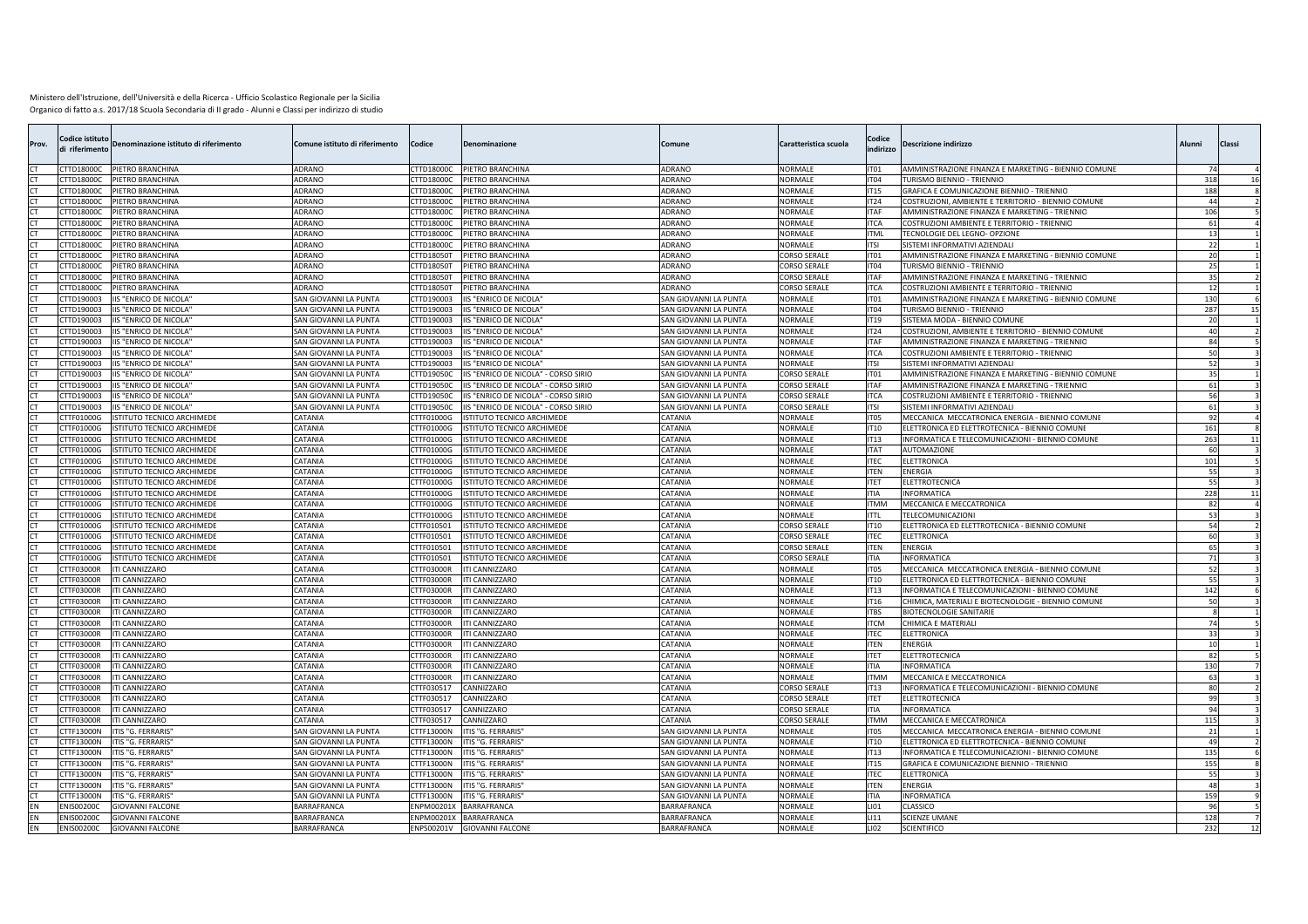| Prov. | Codice istitut:<br>li riferimento | Denominazione istituto di riferimento | Comune istituto di riferimento | Codice            | Denominazione                       | Comune                       | Caratteristica scuola | Codice<br>ndirizzo | Descrizione indirizzo                                | Alunni         | Classi    |
|-------|-----------------------------------|---------------------------------------|--------------------------------|-------------------|-------------------------------------|------------------------------|-----------------------|--------------------|------------------------------------------------------|----------------|-----------|
|       | CTTD18000C                        | PIETRO BRANCHINA                      | ADRANO                         | CTTD18000C        | PIETRO BRANCHINA                    | ADRANO                       | NORMALE               | IT01               | AMMINISTRAZIONE FINANZA E MARKETING - BIENNIO COMUNE |                |           |
|       | CTTD18000C                        | <b>IETRO BRANCHINA</b>                | ADRANO                         | CTTD18000C        | <b>IETRO BRANCHINA</b>              | ADRANO                       | NORMALE               | T04                | TURISMO BIENNIO - TRIENNIO                           | 31             | 16        |
|       | TTD18000C                         | <b>IFTRO BRANCHINA</b>                | ADRANO                         | CTTD18000C        | PIETRO BRANCHINA                    | ADRANO                       | NORMALE               | T <sub>15</sub>    | <b>GRAFICA E COMUNICAZIONE BIENNIO - TRIENNIO</b>    | 188            |           |
|       | CTTD18000C                        | <b>IETRO BRANCHINA</b>                | ADRANO                         | CTTD18000C        | <b>IETRO BRANCHINA</b>              | ADRANO                       | NORMALE               | IT24               | COSTRUZIONI, AMBIENTE E TERRITORIO - BIENNIO COMUNI  | $\Delta\Delta$ |           |
|       | CTTD18000C                        | PIETRO BRANCHINA                      | ADRANO                         | CTTD18000C        | PIETRO BRANCHINA                    | ADRANO                       | NORMALE               | <b>ITAF</b>        | AMMINISTRAZIONE FINANZA E MARKETING - TRIENNIO       | 10             |           |
|       | CTTD18000C                        | <b>IETRO BRANCHINA</b>                | ADRANO                         | CTTD18000C        | <b>IETRO BRANCHINA</b>              | ADRANO                       | NORMALE               | <b>TCA</b>         | COSTRUZIONI AMBIENTE E TERRITORIO - TRIENNIC         |                |           |
|       | CTTD18000C                        | PIETRO BRANCHINA                      | ADRANO                         | CTTD18000C        | PIETRO BRANCHINA                    | ADRANO                       | <b>NORMALE</b>        | <b>TML</b>         | TECNOLOGIE DEL LEGNO- OPZIONE                        |                |           |
|       | CTTD18000C                        | <b>IETRO BRANCHINA</b>                | ADRANO                         | CTTD18000C        | <b>IETRO BRANCHINA</b>              | ADRANO                       | NORMALE               | ITSI               | SISTEMI INFORMATIVI AZIENDALI                        |                |           |
|       | CTTD18000C                        | PIETRO BRANCHINA                      | ADRANO                         | CTTD18050T        | PIETRO BRANCHINA                    | <b>ADRANO</b>                | CORSO SERALE          | ITO1               | AMMINISTRAZIONE FINANZA E MARKETING - BIENNIO COMUNE |                |           |
|       | CTTD18000C                        | <b>IETRO BRANCHINA</b>                | ADRANO                         | CTTD18050T        | <b>IETRO BRANCHINA</b>              | ADRANO                       | CORSO SERALE          | T04                | TURISMO BIENNIO - TRIENNIO                           |                |           |
|       | CTTD18000C                        | <b>IETRO BRANCHINA</b>                | ADRANO                         | CTTD18050T        | PIETRO BRANCHINA                    | ADRANO                       | CORSO SERALE          | <b>TAF</b>         | AMMINISTRAZIONE FINANZA E MARKETING - TRIENNIO       |                |           |
|       | CTTD18000C                        | <b>IETRO BRANCHINA</b>                | ADRANO                         | CTTD18050T        | <b>IETRO BRANCHINA</b>              | ADRANO                       | CORSO SERALE          | <b>TCA</b>         | COSTRUZIONI AMBIENTE E TERRITORIO - TRIENNIC         |                |           |
|       | CTTD190003                        | S "ENRICO DE NICOLA                   | SAN GIOVANNI LA PUNTA          | CTTD190003        | S "ENRICO DE NICOLA                 | SAN GIOVANNI LA PUNTA        | NORMALE               | T01                | AMMINISTRAZIONE FINANZA E MARKETING - BIENNIO COMUNE | 13             |           |
|       | CTTD190003                        | S "ENRICO DE NICOLA                   | SAN GIOVANNI LA PUNTA          | CTTD190003        | S "ENRICO DE NICOLA                 | SAN GIOVANNI LA PUNTA        | NORMALE               | T04                | TURISMO BIENNIO - TRIENNIO                           | 28             | 15        |
|       | CTTD190003                        | S "ENRICO DE NICOLA                   | SAN GIOVANNI LA PUNTA          | CTTD190003        | IS "ENRICO DE NICOLA                | SAN GIOVANNI LA PUNTA        | NORMALE               | IT19               | SISTEMA MODA - BIENNIO COMUNE                        |                |           |
|       | CTTD190003                        | S "ENRICO DE NICOLA                   | SAN GIOVANNI LA PUNTA          | CTTD190003        | S "ENRICO DE NICOLA                 | SAN GIOVANNI LA PUNTA        | NORMALE               | T <sub>24</sub>    | COSTRUZIONI, AMBIENTE E TERRITORIO - BIENNIO COMUNE  |                |           |
|       | CTTD190003                        | S "ENRICO DE NICOLA                   | SAN GIOVANNI LA PUNTA          | CTTD190003        | S "ENRICO DE NICOLA                 | SAN GIOVANNI LA PUNTA        | VORMALE               | <b>TAF</b>         | AMMINISTRAZIONE FINANZA E MARKETING - TRIENNIO       |                |           |
|       | CTTD190003                        | IS "ENRICO DE NICOLA"                 | SAN GIOVANNI LA PUNTA          | CTTD190003        | IIS "ENRICO DE NICOLA"              | SAN GIOVANNI LA PUNTA        | NORMALE               | <b>TCA</b>         | COSTRUZIONI AMBIENTE E TERRITORIO - TRIENNIC         |                |           |
|       | CTTD190003                        | IS "ENRICO DE NICOLA"                 | SAN GIOVANNI LA PUNTA          | CTTD190003        | IS "ENRICO DE NICOLA"               | SAN GIOVANNI LA PUNTA        | NORMALE               | <b>ITSI</b>        | SISTEMI INFORMATIVI AZIENDALI                        |                |           |
|       | CTTD190003                        | S "ENRICO DE NICOLA"                  | SAN GIOVANNI LA PUNTA          | CTTD19050C        | IS "ENRICO DE NICOLA" - CORSO SIRIO | SAN GIOVANNI LA PUNTA        | CORSO SERALE          | ITO1               | AMMINISTRAZIONE FINANZA E MARKETING - BIENNIO COMUNE |                |           |
|       | TTD190003                         | S "ENRICO DE NICOLA                   | SAN GIOVANNI LA PUNTA          | CTTD19050C        | S "ENRICO DE NICOLA" - CORSO SIRIO  | SAN GIOVANNI LA PUNTA        | CORSO SERALE          | TAF                | AMMINISTRAZIONE FINANZA E MARKETING - TRIENNIO       |                |           |
|       | CTTD190003                        | S "ENRICO DE NICOLA"                  | SAN GIOVANNI LA PUNTA          | CTTD19050C        | S "ENRICO DE NICOLA" - CORSO SIRIO  | SAN GIOVANNI LA PUNTA        | <b>CORSO SERALE</b>   | ITCA               | COSTRUZIONI AMBIENTE E TERRITORIO - TRIENNIC         |                | 56        |
|       | CTTD190003                        | S "ENRICO DE NICOLA"                  | SAN GIOVANNI LA PUNTA          | CTTD19050C        | S "ENRICO DE NICOLA" - CORSO SIRIO  | SAN GIOVANNI LA PUNTA        | CORSO SERALE          | <b>TSI</b>         | SISTEMI INFORMATIVI AZIENDALI                        |                |           |
|       | CTTF01000G                        | <b>STITUTO TECNICO ARCHIMEDE</b>      | CATANIA                        | CTTF01000G        | STITUTO TECNICO ARCHIMEDI           | CATANIA                      | NORMALE               | IT05               | MECCANICA MECCATRONICA ENERGIA - BIENNIO COMUNE      |                |           |
|       | TTF01000G                         | STITUTO TECNICO ARCHIMEDE             | CATANIA                        | CTTF01000G        | STITUTO TECNICO ARCHIMEDE           | CATANIA                      | NORMALE               | T <sub>10</sub>    | ELETTRONICA ED ELETTROTECNICA - BIENNIO COMUNI       | 161            |           |
|       | CTTF01000G                        | STITUTO TECNICO ARCHIMEDE             | CATANIA                        | CTTF01000G        | <b>ISTITUTO TECNICO ARCHIMEDE</b>   | CATANIA                      | NORMALE               | <b>IT13</b>        | INFORMATICA E TELECOMUNICAZIONI - BIENNIO COMUNE     | 263            | 11        |
|       | CTTF01000G                        | STITUTO TECNICO ARCHIMEDE             | CATANIA                        | CTTF01000G        | STITUTO TECNICO ARCHIMEDE           | CATANIA                      | NORMALE               | <b>ITAT</b>        | <b>AUTOMAZIONE</b>                                   | 60             |           |
|       | CTTF01000G                        | STITUTO TECNICO ARCHIMEDE             | CATANIA                        | CTTF01000G        | <b>STITUTO TECNICO ARCHIMEDE</b>    | CATANIA                      | NORMALE               | <b>TEC</b>         | <b>ELETTRONICA</b>                                   | 101            |           |
|       | CTTF01000G                        | STITUTO TECNICO ARCHIMEDE             | CATANIA                        | CTTF01000G        | ISTITUTO TECNICO ARCHIMEDE          | CATANIA                      | NORMALE               | <b>TEN</b>         | ENERGIA                                              |                |           |
|       | CTTF01000G                        | STITUTO TECNICO ARCHIMEDE             | CATANIA                        | CTTF01000G        | <b>ISTITUTO TECNICO ARCHIMEDE</b>   | CATANIA                      | NORMALE               | <b>ITET</b>        | ELETTROTECNICA                                       |                |           |
|       | CTTF01000G                        | STITUTO TECNICO ARCHIMEDE             | CATANIA                        | CTTF01000G        | <b>ISTITUTO TECNICO ARCHIMEDE</b>   | CATANIA                      | NORMALE               | <b>TIA</b>         | <b>INFORMATICA</b>                                   | 22             | 11        |
|       | TTF01000G                         | STITUTO TECNICO ARCHIMEDE             | CATANIA                        | CTTF01000G        | <b>STITUTO TECNICO ARCHIMEDE</b>    | <b>ATANIA</b>                | VORMALE               | <b>TMM</b>         | MECCANICA E MECCATRONICA                             |                |           |
|       | CTTF01000G                        | STITUTO TECNICO ARCHIMEDE             | CATANIA                        | CTTF01000G        | ISTITUTO TECNICO ARCHIMEDE          | CATANIA                      | NORMALE               | ITTL.              | <b>TELECOMUNICAZIONI</b>                             | -53            | 54        |
|       | CTTF01000G                        | <b>STITUTO TECNICO ARCHIMEDE</b>      | CATANIA                        | CTTF010501        | STITUTO TECNICO ARCHIMEDI           | CATANIA                      | CORSO SERALE          | T <sub>10</sub>    | ELETTRONICA ED ELETTROTECNICA - BIENNIO COMUNI       |                |           |
|       | TTF01000G                         | STITUTO TECNICO ARCHIMEDE             | CATANIA                        | CTTF010501        | STITUTO TECNICO ARCHIMEDE           | CATANIA                      | <b>CORSO SERALE</b>   | <b>ITEC</b>        | ELETTRONICA                                          |                |           |
|       | TTF01000G                         | STITUTO TECNICO ARCHIMEDE             | CATANIA                        | CTTF010501        | STITUTO TECNICO ARCHIMEDI           | CATANIA                      | CORSO SERALE          | <b>TEN</b>         | <b>ENERGIA</b>                                       |                |           |
|       | CTTF01000G                        | STITUTO TECNICO ARCHIMEDE             | CATANIA                        | CTTF010501        | ISTITUTO TECNICO ARCHIMEDE          | CATANIA                      | <b>CORSO SERALE</b>   | <b>ITIA</b>        | <b>INFORMATICA</b>                                   |                |           |
|       | CTTF03000R                        | TI CANNIZZARO                         | CATANIA                        | CTTF03000R        | <b>ITI CANNIZZARO</b>               | CATANIA                      | <b>NORMALE</b>        | T05                | MECCANICA MECCATRONICA ENERGIA - BIENNIO COMUNE      |                |           |
|       | CTTF03000R                        | TI CANNIZZARO                         | CATANIA                        | CTTF03000R        | <b>ITI CANNIZZARO</b>               | CATANIA                      | NORMALE               | T <sub>10</sub>    | ELETTRONICA ED ELETTROTECNICA - BIENNIO COMUNE       |                |           |
|       | CTTF03000R                        | <b>TI CANNIZZARO</b>                  | CATANIA                        | <b>CTTF03000R</b> | <b>ITI CANNIZZARO</b>               | CATANIA                      | NORMALE               | T13                | INFORMATICA E TELECOMUNICAZIONI - BIENNIO COMUNI     | 14             |           |
|       | CTTF03000R                        | <b>TI CANNIZZARO</b>                  | CATANIA                        | CTTF03000R        | ITI CANNIZZARO                      | CATANIA                      | NORMALE               | IT16               | CHIMICA, MATERIALI E BIOTECNOLOGIE - BIENNIO COMUNE  | 50             |           |
|       | CTTF03000R                        | TI CANNIZZARO                         | CATANIA                        | CTTF03000R        | ITI CANNIZZARO                      | CATANIA                      | NORMALE               | <b>TBS</b>         | <b>BIOTECNOLOGIE SANITARIE</b>                       |                |           |
|       | CTTF03000R                        | TI CANNIZZARO                         | CATANIA                        | CTTF03000R        | ITI CANNIZZARO                      | CATANIA                      | NORMALE               | TCM                | CHIMICA E MATERIALI                                  |                |           |
|       | CTTF03000R                        | TI CANNIZZARO                         | CATANIA                        | CTTF03000R        | ITI CANNIZZARO                      | CATANIA                      | NORMALI               | <b>ITEC</b>        | ELETTRONICA                                          |                |           |
|       | CTTF03000R                        | <b>I CANNIZZARO</b>                   | CATANIA                        | CTTF03000R        | TI CANNIZZARO                       | CATANIA                      | NORMALE               | <b>TEN</b>         | <b>ENERGIA</b>                                       |                |           |
|       | CTTF03000R                        | TI CANNIZZARO                         | CATANIA                        | CTTF03000R        | ITI CANNIZZARO                      | CATANIA                      | NORMALE               | <b>ITFT</b>        | ELETTROTECNICA                                       |                |           |
|       | TTF03000R                         | TI CANNIZZARO                         | CATANIA                        | CTTF03000R        | <b>TI CANNIZZARO</b>                | CATANIA                      | NORMALE               | <b>TIA</b>         | <b>INFORMATICA</b>                                   | 130            |           |
|       | CTTF03000R                        | <b>I CANNIZZARO</b>                   | CATANIA                        | CTTF03000R        | <b>TI CANNIZZARO</b>                | CATANIA                      | NORMALE               | <b>TMM</b>         | MECCANICA E MECCATRONICA                             | 63             |           |
|       | CTTF03000R                        | <b>TI CANNIZZARO</b>                  | CATANIA                        | CTTF030517        | CANNIZZARO                          | CATANIA                      | CORSO SERALE          | IT13               | INFORMATICA E TELECOMUNICAZIONI - BIENNIO COMUNE     |                |           |
|       | CTTF03000R                        | TI CANNIZZARO                         | CATANIA                        | CTTF030517        | CANNIZZARO                          | CATANIA                      | <b>CORSO SERALE</b>   | ITET               | ELETTROTECNICA                                       |                |           |
|       | CTTF03000R                        | TI CANNIZZARO                         | CATANIA                        | CTTF030517        | CANNIZZARO                          | CATANIA                      | <b>CORSO SERALE</b>   | ITIA               | <b>INFORMATICA</b>                                   | $\alpha$       |           |
|       | CTTF03000R                        | TI CANNIZZARO                         | CATANIA                        | CTTF030517        | CANNIZZARO                          | CATANIA                      | <b>CORSO SERALE</b>   | <b>ITMM</b>        | MECCANICA E MECCATRONICA                             | 115            |           |
|       | <b>CTTF13000N</b>                 | IS "G. FERRARIS"                      | SAN GIOVANNI LA PUNTA          | CTTF13000N        | TIS "G. FERRARIS                    | SAN GIOVANNI LA PUNTA        | NORMALI               | T05                | MECCANICA MECCATRONICA ENERGIA - BIENNIO COMUNE      |                |           |
|       | <b>CTTF13000N</b>                 | TIS "G. FERRARIS'                     | SAN GIOVANNI LA PUNTA          | CTTF13000N        | ITIS "G. FERRARIS                   | <b>SAN GIOVANNI LA PUNTA</b> | VORMALE               | T10                | ELETTRONICA ED ELETTROTECNICA - BIENNIO COMUNE       |                |           |
|       | CTTF13000N                        | TIS "G. FERRARIS'                     | SAN GIOVANNI LA PUNTA          | CTTF13000N        | TIS "G. FERRARIS                    | SAN GIOVANNI LA PUNTA        | NORMALE               | T <sub>13</sub>    | INFORMATICA E TELECOMUNICAZIONI - BIENNIO COMUNE     | 13!            |           |
|       | <b>CTTF13000N</b>                 | TIS "G. FERRARIS'                     | SAN GIOVANNI LA PUNTA          | CTTF13000N        | <b>TIS "G. FERRARIS</b>             | SAN GIOVANNI LA PUNTA        | NORMALE               | T <sub>15</sub>    | GRAFICA E COMUNICAZIONE BIENNIO - TRIENNIC           | 15             |           |
|       | <b>CTTF13000N</b>                 | TIS "G. FERRARIS                      | SAN GIOVANNI LA PUNTA          | CTTF13000N        | TIS "G. FERRARIS                    | SAN GIOVANNI LA PUNTA        | NORMALE               | <b>TEC</b>         | ELETTRONICA                                          |                |           |
|       | CTTF13000N                        | TIS "G. FERRARIS'                     | SAN GIOVANNI LA PUNTA          | CTTF13000N        | ITIS "G. FERRARIS                   | SAN GIOVANNI LA PUNTA        | NORMALE               | <b>TEN</b>         | ENERGIA                                              |                | $\Lambda$ |
|       | CTTF13000N                        | TIS "G. FERRARIS'                     | SAN GIOVANNI LA PUNTA          | CTTF13000N        | TIS "G. FERRARIS                    | SAN GIOVANNI LA PUNTA        | NORMALE               | ITIA               | <b>INFORMATICA</b>                                   | 159            |           |
|       | <b>ENIS00200C</b>                 | <b>GIOVANNI FALCONI</b>               | BARRAFRANCA                    | ENPM00201X        | BARRAFRANCA                         | <b>BARRAFRANCA</b>           | NORMALE               | 101                | CLASSICO                                             |                |           |
|       | <b>ENIS00200C</b>                 | <b>GIOVANNI FALCONE</b>               | <b>BARRAFRANCA</b>             | ENPM00201X        | BARRAFRANCA                         | <b>BARRAFRANCA</b>           | NORMALE               | <b>U11</b>         | <b>SCIENZE UMANE</b>                                 | 121            |           |
| ΕN    | <b>ENIS00200C</b>                 | <b>GIOVANNI FALCONE</b>               | BARRAFRANCA                    |                   | ENPS00201V GIOVANNI FALCONE         | BARRAFRANCA                  | <b>NORMALE</b>        | LI02               | SCIENTIFICO                                          | 232            | 12        |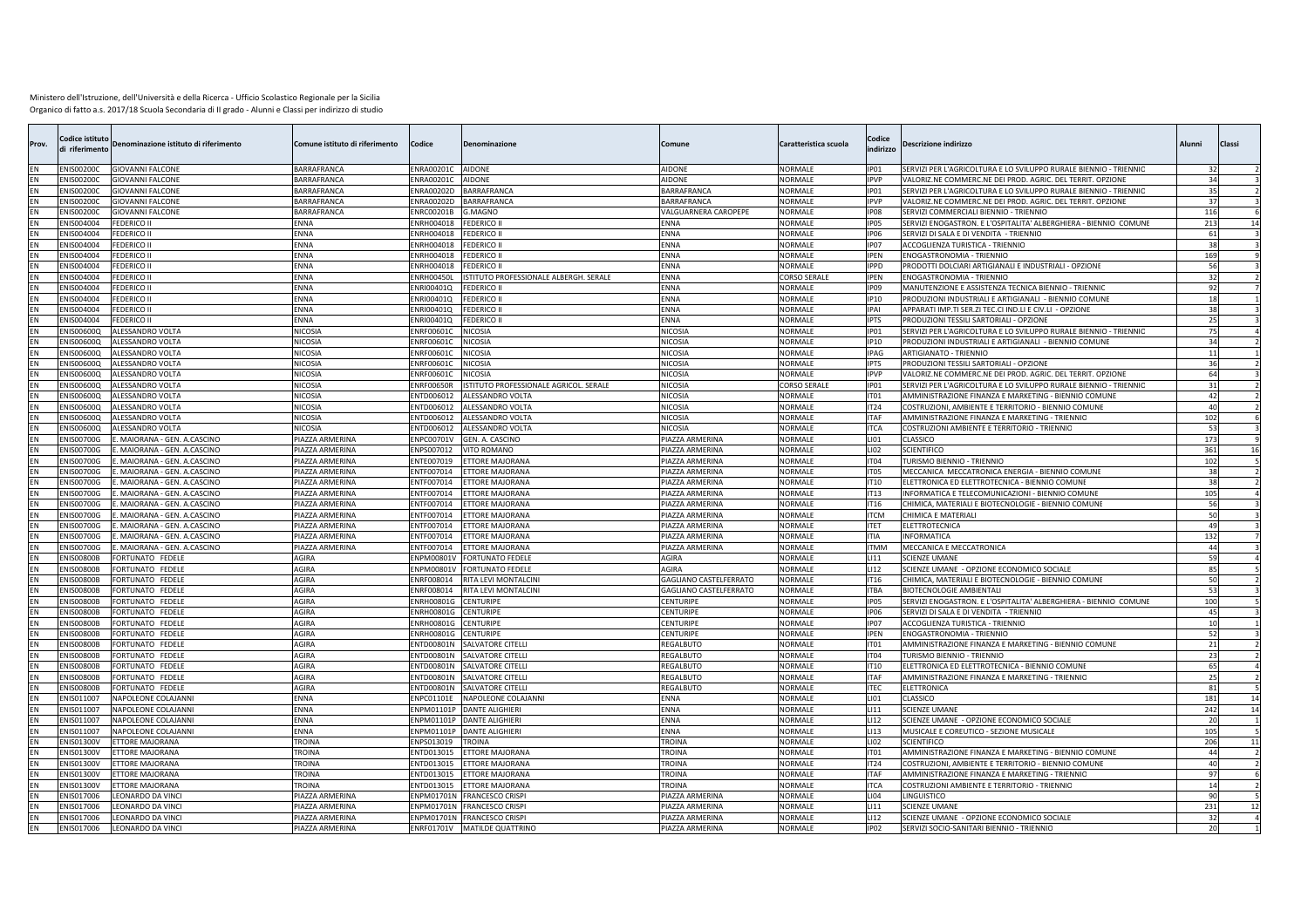| EN<br><b>ENIS00200C</b><br><b>GIOVANNI FALCONE</b><br><b>BARRAFRANCA</b><br>ENRA00201C<br><b>AIDONE</b><br><b>AIDONE</b><br><b>NORMALE</b><br>IP01<br>SERVIZI PER L'AGRICOLTURA E LO SVILUPPO RURALE BIENNIO - TRIENNIO<br>EN<br>NIS00200C<br><b>GIOVANNI FALCONE</b><br><b>BARRAFRANCA</b><br><b>NRA00201C</b><br><b>NDONE</b><br><b>NDONE</b><br>NORMALE<br><b>IPVP</b><br>VALORIZ.NE COMMERC.NE DEI PROD. AGRIC. DEL TERRIT. OPZIONE<br><b>GIOVANNI FALCONE</b><br><b>BARRAFRANCA</b><br><b>BARRAFRANCA</b><br><b>BARRAFRANCA</b><br><b>NORMALE</b><br>SERVIZI PER L'AGRICOLTURA E LO SVILUPPO RURALE BIENNIO - TRIENNIO<br>EN<br><b>NIS00200C</b><br>ENRA00202D<br>IP <sub>01</sub><br>NIS00200C<br><b>GIOVANNI FALCONE</b><br><b>BARRAFRANCA</b><br>ENRA00202D<br>BARRAFRANCA<br><b>BARRAFRANCA</b><br><b>NORMALE</b><br><b>IPVP</b><br>VALORIZ.NE COMMERC.NE DEI PROD. AGRIC. DEL TERRIT. OPZIONE<br><b>FN</b><br><b>INIS00200C</b><br><b>ALGUARNERA CAROPEPE</b><br>EN<br><b>GIOVANNI FALCONE</b><br>BARRAFRANCA<br>ENRC00201B<br>G.MAGNO<br><b>NORMALE</b><br><b>IP08</b><br>SERVIZI COMMERCIALI BIENNIO - TRIENNIO<br>11(<br>NIS004004<br><b>EDERICO II</b><br>ENNA<br>ENRH004018<br>FEDERICO II<br>ENNA<br><b>NORMALE</b><br><b>IP05</b><br>SERVIZI ENOGASTRON. E L'OSPITALITA' ALBERGHIERA - BIENNIO COMUNE<br>21<br>14<br>ENIS004004<br><b>FEDERICO II</b><br>ENNA<br>ENRH004018<br><b>FEDERICO II</b><br>ENNA<br><b>NORMALE</b><br>EN<br><b>IP06</b><br>SERVIZI DI SALA E DI VENDITA - TRIENNIO<br>61<br>ENIS004004<br>FEDERICO II<br>ENNA<br>ENRH004018<br>FEDERICO II<br>ENNA<br><b>NORMALE</b><br>ACCOGLIENZA TURISTICA - TRIENNIO<br>EN<br>IP <sub>07</sub><br>NIS004004<br>FEDERICO II<br>ENRH004018<br><b>FEDERICO II</b><br>ENNA<br><b>NORMALE</b><br>ENOGASTRONOMIA - TRIENNIO<br>EN<br>ENNA<br><b>IPEN</b><br>16<br>ENNA<br>NORMALE<br>PRODOTTI DOLCIARI ARTIGIANALI E INDUSTRIALI - OPZIONE<br>EN<br>NIS004004<br><b>EDERICO II</b><br>ENRH004018<br>FEDERICO II<br><b>NNA</b><br><b>IPPD</b><br>NIS004004<br><b>EDERICO II</b><br>ENNA<br><b>STITUTO PROFESSIONALE ALBERGH. SERALE</b><br><b>NNA</b><br><b>CORSO SERAL</b><br><b>IPEN</b><br>ENOGASTRONOMIA - TRIENNIO<br>EN<br>ENRH00450L<br><b>FN</b><br>NIS004004<br>EDERICO II<br>FNNA<br>ENRI00401Q<br>FEDERICO II<br><b>NNA</b><br><b>NORMALE</b><br><b>IP09</b><br>MANUTENZIONE E ASSISTENZA TECNICA BIENNIO - TRIENNIC<br><b>NNA</b><br>NORMALE<br>PRODUZIONI INDUSTRIALI E ARTIGIANALI - BIENNIO COMUNE<br>EN<br>NIS004004<br>EDERICO II<br>ENNA<br>ENRI00401Q<br>FEDERICO II<br>IP10<br>ENNA<br><b>NNA</b><br><b>NORMALE</b><br>APPARATI IMP.TI SER.ZI TEC.CI IND.LI E CIV.LI - OPZIONE<br>EN<br>NIS004004<br><b>EDERICO II</b><br>ENRI00401Q<br>FEDERICO II<br><b>IPAL</b><br>NIS004004<br><b>EDERICO II</b><br>ENNA<br>ENRI00401Q<br>FEDERICO II<br>ENNA<br>NORMALE<br><b>IPTS</b><br>PRODUZIONI TESSILI SARTORIALI - OPZIONE<br>EN<br>ENIS00600Q<br>ALESSANDRO VOLTA<br>ENRF00601C<br>NICOSIA<br>EN<br>NICOSIA<br>NICOSIA<br><b>NORMALE</b><br>IP01<br>SERVIZI PER L'AGRICOLTURA E LO SVILUPPO RURALE BIENNIO - TRIENNIO<br>NIS00600Q<br>ALESSANDRO VOLTA<br>NICOSIA<br>ENRF00601C<br><b>VICOSIA</b><br>NICOSIA<br><b>NORMALE</b><br><b>IP10</b><br>PRODUZIONI INDUSTRIALI E ARTIGIANALI - BIENNIO COMUNE<br><b>FN</b><br>NICOSIA<br>EN<br>NIS00600Q<br>ALESSANDRO VOLTA<br>NICOSIA<br>ENRF00601C<br>NICOSIA<br><b>NORMALE</b><br><b>IPAG</b><br>ARTIGIANATO - TRIENNIO<br>NIS00600Q<br>NICOSIA<br>EN<br><b>ALESSANDRO VOLTA</b><br>NICOSIA<br>ENRF00601C<br>NICOSIA<br><b>NORMALE</b><br><b>IPTS</b><br>PRODUZIONI TESSILI SARTORIALI - OPZIONE<br>NIS00600Q<br>NICOSIA<br>ENRF00601C<br>NICOSIA<br><b>NORMALE</b><br><b>IPVP</b><br>EN<br>ALESSANDRO VOLTA<br><b>NICOSIA</b><br>VALORIZ.NE COMMERC.NE DEI PROD. AGRIC. DEL TERRIT. OPZIONE<br>STITUTO PROFESSIONALE AGRICOL. SERALE<br>NIS00600Q<br>ALESSANDRO VOLTA<br>NICOSIA<br>ENRF00650R<br>NICOSIA<br>CORSO SERAL<br>IP01<br>SERVIZI PER L'AGRICOLTURA E LO SVILUPPO RURALE BIENNIO - TRIENNIO<br>ΕN<br><b>NORMALE</b><br>EN<br>NIS00600Q<br>ALESSANDRO VOLTA<br>NICOSIA<br>ENTD006012<br>ALESSANDRO VOLTA<br>NICOSIA<br>IT01<br>AMMINISTRAZIONE FINANZA E MARKETING - BIENNIO COMUNI<br>$\Delta$<br>EN<br>NIS00600Q<br>ALESSANDRO VOLTA<br>NICOSIA<br>ENTD006012<br>ALESSANDRO VOLTA<br>NICOSIA<br><b>NORMALE</b><br><b>IT24</b><br>COSTRUZIONI, AMBIENTE E TERRITORIO - BIENNIO COMUNI<br>NORMALE<br>EN<br>NIS00600Q<br>ALESSANDRO VOLTA<br>NICOSIA<br>ENTD006012<br>ALESSANDRO VOLTA<br>NICOSIA<br><b>ITAF</b><br>AMMINISTRAZIONE FINANZA E MARKETING - TRIENNIC<br>10<br>NIS00600Q<br>ALESSANDRO VOLTA<br><b>NICOSIA</b><br><b>NORMALE</b><br><b>COSTRUZIONI AMBIENTE E TERRITORIO - TRIENNIC</b><br>EN<br><b>ALESSANDRO VOLTA</b><br>NICOSIA<br>ENTD006012<br><b>ITCA</b><br><b>NIS00700G</b><br>. MAIORANA - GEN. A.CASCINO<br>PIAZZA ARMERINA<br>ENPC00701V<br>GEN. A. CASCINO<br>PIAZZA ARMERINA<br><b>NORMALE</b><br>17 <sup>2</sup><br>EN<br><b>LIO1</b><br>CLASSICO<br>EN<br>NIS00700G<br>PIAZZA ARMERINA<br><b>IAZZA ARMERINA</b><br><b>NORMALE</b><br>LI02<br>MAIORANA - GEN. A.CASCINO<br>ENPS007012<br><b>VITO ROMANO</b><br>SCIENTIFICO<br>36<br>16<br>PIAZZA ARMERINA<br><b>IAZZA ARMERINA</b><br>NORMALE<br>EN<br>NIS00700G<br>. MAIORANA - GEN. A.CASCINO<br>ENTE007019<br>ETTORE MAJORANA<br>IT <sub>04</sub><br>TURISMO BIENNIO - TRIENNIO<br>102<br><b>NORMALE</b><br>EN<br>NIS00700G<br>. MAIORANA - GEN. A.CASCINO<br>PIAZZA ARMERINA<br>ENTF007014<br><b>ETTORE MAJORANA</b><br><b>IAZZA ARMERINA</b><br>MECCANICA MECCATRONICA ENERGIA - BIENNIO COMUNE<br>IT05<br><b>NORMALE</b><br>EN<br><b>ENIS00700G</b><br>. MAIORANA - GEN. A.CASCINO<br>PIAZZA ARMERINA<br>ENTF007014<br>ETTORE MAJORANA<br>PIAZZA ARMERINA<br><b>IT10</b><br>ELETTRONICA ED ELETTROTECNICA - BIENNIO COMUNE<br><b>NORMALE</b><br>INFORMATICA E TELECOMUNICAZIONI - BIENNIO COMUNI<br>EN<br>ENIS00700G<br>. MAIORANA - GEN. A.CASCINO<br>PIAZZA ARMERINA<br>ENTF007014<br><b>ETTORE MAJORANA</b><br>PIAZZA ARMERINA<br>10<br><b>IT13</b><br>ΕN<br>NIS00700G<br>MAIORANA - GEN, A.CASCINO<br><b>IAZZA ARMERINA</b><br>ENTF007014<br><b>TTORE MAJORANA</b><br><b>IAZZA ARMERINA</b><br>NORMALE<br>CHIMICA, MATERIALI E BIOTECNOLOGIE - BIENNIO COMUNE<br><b>IT16</b><br>. MAIORANA - GEN. A.CASCINO<br>PIAZZA ARMERINA<br><b>NORMALE</b><br>CHIMICA E MATERIALI<br>EN<br>ENIS00700G<br>PIAZZA ARMERINA<br>ENTF007014<br><b>FTTORF MAIORANA</b><br><b>ITCM</b><br>50<br>EN<br>NIS00700G<br>MAIORANA - GEN. A.CASCINO<br><b>IAZZA ARMERINA</b><br>ENTF007014<br><b>TTORE MAJORANA</b><br><b>IAZZA ARMERINA</b><br><b>NORMALE</b><br><b>ITET</b><br><b>ELETTROTECNICA</b><br>$\Delta$<br>EN<br>NIS00700G<br>MAIORANA - GEN, A.CASCINO<br>PIAZZA ARMERINA<br>ENTF007014<br><b>TTORE MAJORANA</b><br>PIAZZA ARMERINA<br><b>NORMALE</b><br><b>ITIA</b><br><b>INFORMATICA</b><br>13 <sub>i</sub><br>NIS00700G<br>MAIORANA - GEN, A.CASCINO<br>PIAZZA ARMERINA<br><b>IAZZA ARMERINA</b><br>NORMALE<br><b>TMM</b><br>MECCANICA E MECCATRONICA<br>EN<br>ENTF007014<br>ETTORE MAJORANA<br>$\Delta\Delta$<br><b>ENIS00800B</b><br>FORTUNATO FEDELE<br>AGIRA<br>ENPM00801V<br><b>FORTUNATO FEDELE</b><br>AGIRA<br><b>NORMALE</b><br><b>SCIENZE UMANE</b><br>EN<br>LI11<br><b>ENIS00800B</b><br>AGIRA<br>ENPM00801V<br>AGIRA<br><b>NORMALE</b><br>SCIENZE UMANE - OPZIONE ECONOMICO SOCIALE<br>EN<br>FORTUNATO FEDELE<br><b>FORTUNATO FEDELE</b><br>LI <sub>2</sub><br>EN<br>NIS00800B<br>FORTUNATO FEDELE<br>AGIRA<br>ENRF008014<br>RITA LEVI MONTALCINI<br>GAGLIANO CASTELFERRATO<br><b>NORMALE</b><br>CHIMICA, MATERIALI E BIOTECNOLOGIE - BIENNIO COMUNE<br>IT16<br>NIS00800B<br>AGIRA<br>GAGLIANO CASTELFERRATO<br><b>NORMALE</b><br>EN<br>FORTUNATO FEDELE<br>ENRF008014<br>RITA LEVI MONTALCINI<br><b>BIOTECNOLOGIE AMBIENTALI</b><br><b>ITBA</b><br>NIS00800B<br>ORTUNATO FEDELE<br>AGIRA<br><b>NORMALE</b><br>EN<br>ENRH00801G<br>CENTURIPE<br>CENTURIPE<br><b>IP05</b><br>SERVIZI ENOGASTRON. E L'OSPITALITA' ALBERGHIERA - BIENNIO COMUNE<br>100<br>EN<br>NIS00800E<br>ORTUNATO FEDELE<br>AGIRA<br>ENRH00801G<br>CENTURIPE<br>CENTURIPE<br>NORMALE<br><b>IP06</b><br>SERVIZI DI SALA E DI VENDITA - TRIENNIO<br>EN<br>NIS00800B<br>FORTUNATO FEDELE<br>AGIRA<br>ENRH00801G<br>CENTURIPE<br><b>ENTURIPE</b><br><b>NORMALE</b><br>IP <sub>07</sub><br>ACCOGLIENZA TURISTICA - TRIENNIO<br>EN<br>ENIS008001<br>FORTUNATO FEDELE<br>AGIRA<br>ENRH00801G<br>CENTURIPE<br>CENTURIPE<br>NORMALE<br><b>IPEN</b><br>ENOGASTRONOMIA - TRIENNIO<br>EN<br><b>INIS00800E</b><br>ORTUNATO FEDELE<br>AGIRA<br>ENTD00801N<br>SALVATORE CITELLI<br><b>EGALBUTO</b><br><b>NORMALE</b><br>ITO <sub>1</sub><br>AMMINISTRAZIONE FINANZA E MARKETING - BIENNIO COMUNE<br>EN<br>NIS00800B<br>FORTUNATO FEDELE<br>AGIRA<br>ENTD00801N<br>SALVATORE CITELLI<br>REGALBUTO<br><b>NORMALE</b><br>TURISMO BIENNIO - TRIENNIO<br>IT <sub>04</sub><br><b>NIS00800B</b><br>FORTUNATO FEDELE<br>AGIRA<br><b>SALVATORE CITELLI</b><br>REGALBUTO<br><b>NORMALE</b><br>ELETTRONICA ED ELETTROTECNICA - BIENNIO COMUNE<br>EN<br>ENTD00801N<br>IT10<br>65<br><b>ENIS00800B</b><br>FORTUNATO FEDELE<br>AGIRA<br>ENTD00801N<br>SALVATORE CITELLI<br>REGALBUTO<br><b>NORMALE</b><br><b>ITAF</b><br>AMMINISTRAZIONE FINANZA E MARKETING - TRIENNIC<br>EN<br><b>NIS00800E</b><br>AGIRA<br>SALVATORE CITELLI<br>REGALBUTO<br><b>NORMALE</b><br><b>FN</b><br>FORTUNATO FEDELE<br>ENTD00801N<br><b>ITEC</b><br><b>ELETTRONICA</b><br>NIS011007<br>NAPOLEONE COLAJANNI<br>ENNA<br>ENPC01101E<br>NAPOLEONE COLAJANNI<br>ENNA<br><b>NORMALE</b><br>CLASSICO<br><b>FN</b><br><b>LIO1</b><br>181<br>14<br>ENIS011007<br>ENNA<br>ENPM01101P DANTE ALIGHIER<br>ENNA<br><b>NORMALE</b><br>242<br>EN<br>NAPOLEONE COLAJANNI<br><b>SCIENZE UMANE</b><br>14<br><b>LI11</b><br>ENIS011007<br>NAPOLEONE COLAJANNI<br>ENNA<br>ENPM01101P<br><b>DANTE ALIGHIER</b><br>ENNA<br><b>NORMALE</b><br>SCIENZE UMANE - OPZIONE ECONOMICO SOCIALE<br>EN<br>LI12<br>$\overline{2}$<br>EN<br>NIS011007<br>ENNA<br>ENPM01101F<br><b>NNA</b><br>NORMALE<br>MUSICALE E COREUTICO - SEZIONE MUSICALE<br>NAPOLEONE COLAJANNI<br><b>DANTE ALIGHIER</b><br>LI13<br>10<br>EN<br>NIS01300V<br><b>ETTORE MAJORANA</b><br><b>TROINA</b><br>ENPS013019<br><b>ROINA</b><br><b>ROINA</b><br>NORMALE<br>LI <sub>02</sub><br><b>SCIENTIFICO</b><br>20<br>11<br><b>ROINA</b><br>EN<br>NIS01300V<br><b><i>ETTORE MAJORANA</i></b><br><b>TROINA</b><br>ENTD013015<br>ETTORE MAJORANA<br>NORMALE<br>ITO1<br>AMMINISTRAZIONE FINANZA E MARKETING - BIENNIO COMUNI<br>$\Delta\Delta$<br>EN<br>NIS01300V<br><b>TTORE MAJORANA</b><br><b>TROINA</b><br>ENTD013015<br>ETTORE MAJORANA<br><b>ROINA</b><br>NORMALE<br><b>IT24</b><br>COSTRUZIONI, AMBIENTE E TERRITORIO - BIENNIO COMUNI<br>EN<br>NIS01300V<br><b>TTORE MAJORANA</b><br><b>TROINA</b><br>ENTD013015<br><b>ETTORE MAJORANA</b><br><b>ROINA</b><br><b>NORMALE</b><br><b>ITAF</b><br>AMMINISTRAZIONE FINANZA E MARKETING - TRIENNIC<br>COSTRUZIONI AMBIENTE E TERRITORIO - TRIENNIC<br><b>INIS01300V</b><br><b>ETTORE MAJORANA</b><br><b>TROINA</b><br>ENTD013015<br><b>ETTORE MAJORANA</b><br><b>ROINA</b><br><b>NORMALE</b><br><b>ITCA</b><br>EN<br>14<br>ENIS017006<br>EONARDO DA VINCI<br>PIAZZA ARMERINA<br>ENPM01701N<br><b>FRANCESCO CRISP</b><br><b>IAZZA ARMERINA</b><br><b>NORMALE</b><br><b>FN</b><br>1104<br>LINGUISTICO<br>ENIS017006<br>EONARDO DA VINCI<br>PIAZZA ARMERINA<br>ENPM01701N<br><b>FRANCESCO CRISPI</b><br>PIAZZA ARMERINA<br><b>NORMALE</b><br><b>SCIENZE UMANE</b><br>EN<br><b>LI11</b><br>23<br>12<br>EN<br>NIS017006<br>LEONARDO DA VINCI<br>PIAZZA ARMERINA<br>ENPM01701N<br><b>FRANCESCO CRISPI</b><br>PIAZZA ARMERINA<br>NORMALE<br>SCIENZE UMANE - OPZIONE ECONOMICO SOCIALE<br>1112<br>EN<br>ENIS017006<br><b>LEONARDO DA VINCI</b><br>PIAZZA ARMERINA<br>ENRF01701V MATILDE QUATTRINO<br>PIAZZA ARMERINA<br><b>NORMALE</b><br>IP <sub>02</sub><br>SERVIZI SOCIO-SANITARI BIENNIO - TRIENNIO | Prov. | Codice istituto<br>di riferimento | Denominazione istituto di riferimento | Comune istituto di riferimento | Codice | Denominazione | ີ.omune | Caratteristica scuola | Codice<br>indirizzo | escrizione indirizzo | Alunni | Classi |
|--------------------------------------------------------------------------------------------------------------------------------------------------------------------------------------------------------------------------------------------------------------------------------------------------------------------------------------------------------------------------------------------------------------------------------------------------------------------------------------------------------------------------------------------------------------------------------------------------------------------------------------------------------------------------------------------------------------------------------------------------------------------------------------------------------------------------------------------------------------------------------------------------------------------------------------------------------------------------------------------------------------------------------------------------------------------------------------------------------------------------------------------------------------------------------------------------------------------------------------------------------------------------------------------------------------------------------------------------------------------------------------------------------------------------------------------------------------------------------------------------------------------------------------------------------------------------------------------------------------------------------------------------------------------------------------------------------------------------------------------------------------------------------------------------------------------------------------------------------------------------------------------------------------------------------------------------------------------------------------------------------------------------------------------------------------------------------------------------------------------------------------------------------------------------------------------------------------------------------------------------------------------------------------------------------------------------------------------------------------------------------------------------------------------------------------------------------------------------------------------------------------------------------------------------------------------------------------------------------------------------------------------------------------------------------------------------------------------------------------------------------------------------------------------------------------------------------------------------------------------------------------------------------------------------------------------------------------------------------------------------------------------------------------------------------------------------------------------------------------------------------------------------------------------------------------------------------------------------------------------------------------------------------------------------------------------------------------------------------------------------------------------------------------------------------------------------------------------------------------------------------------------------------------------------------------------------------------------------------------------------------------------------------------------------------------------------------------------------------------------------------------------------------------------------------------------------------------------------------------------------------------------------------------------------------------------------------------------------------------------------------------------------------------------------------------------------------------------------------------------------------------------------------------------------------------------------------------------------------------------------------------------------------------------------------------------------------------------------------------------------------------------------------------------------------------------------------------------------------------------------------------------------------------------------------------------------------------------------------------------------------------------------------------------------------------------------------------------------------------------------------------------------------------------------------------------------------------------------------------------------------------------------------------------------------------------------------------------------------------------------------------------------------------------------------------------------------------------------------------------------------------------------------------------------------------------------------------------------------------------------------------------------------------------------------------------------------------------------------------------------------------------------------------------------------------------------------------------------------------------------------------------------------------------------------------------------------------------------------------------------------------------------------------------------------------------------------------------------------------------------------------------------------------------------------------------------------------------------------------------------------------------------------------------------------------------------------------------------------------------------------------------------------------------------------------------------------------------------------------------------------------------------------------------------------------------------------------------------------------------------------------------------------------------------------------------------------------------------------------------------------------------------------------------------------------------------------------------------------------------------------------------------------------------------------------------------------------------------------------------------------------------------------------------------------------------------------------------------------------------------------------------------------------------------------------------------------------------------------------------------------------------------------------------------------------------------------------------------------------------------------------------------------------------------------------------------------------------------------------------------------------------------------------------------------------------------------------------------------------------------------------------------------------------------------------------------------------------------------------------------------------------------------------------------------------------------------------------------------------------------------------------------------------------------------------------------------------------------------------------------------------------------------------------------------------------------------------------------------------------------------------------------------------------------------------------------------------------------------------------------------------------------------------------------------------------------------------------------------------------------------------------------------------------------------------------------------------------------------------------------------------------------------------------------------------------------------------------------------------------------------------------------------------------------------------------------------------------------------------------------------------------------------------------------------------------------------------------------------------------------------------------------------------------------------------------------------------------------------------------------------------------------------------------------------------------------------------------------------------------------------------------------------------------------------------------------------------------------------------------------------------------------------------------------------------------------------------------------------------------------------------------------------------------------------------------------------------------------------------------------------------------------------------------------------------------------------------------------------------------------------------------------------------------------------------------------------------------------------------------------------------------------------------------------------------------------------------------------------------------------------------------------------------------------------------------------------------------------------------------------------------------------------------------------------------------------------------------------------------------------------------------------------------------------------------------------------------------------------------------------------------------------------------------------------------------------------------------------------------------------------------------------------------------------------------------------------------------------------------------------------------------------------------------------------------------------------------------------------------------------------------------------------------------------------------------------------------------------------------------------------------------------------------------------------------------------------------------------------------------------------------------------------------------------------------------------------------------------------------------------------------------------------------------------------------------------------------------------------------------------------------------------------------------------------------------------------------------------------------------------------------------------------------------------------------------------------------------------------------------------------------------------------------------------------------------------------------------------------------------------------------------------------------------------------------------------------------------------------------------------------------------------------------------------------------------------------------------------------------------------------------------------------------------------------------------------------------------------------------------------------------------------------------------------------------------------------------------------------------------------------------------------------------------------------------------------------------------------------------------------------------------------------------------------------------------------------------------------------------------------------------------------------------------------------------------------------------------------------------------------------------------------------------|-------|-----------------------------------|---------------------------------------|--------------------------------|--------|---------------|---------|-----------------------|---------------------|----------------------|--------|--------|
|                                                                                                                                                                                                                                                                                                                                                                                                                                                                                                                                                                                                                                                                                                                                                                                                                                                                                                                                                                                                                                                                                                                                                                                                                                                                                                                                                                                                                                                                                                                                                                                                                                                                                                                                                                                                                                                                                                                                                                                                                                                                                                                                                                                                                                                                                                                                                                                                                                                                                                                                                                                                                                                                                                                                                                                                                                                                                                                                                                                                                                                                                                                                                                                                                                                                                                                                                                                                                                                                                                                                                                                                                                                                                                                                                                                                                                                                                                                                                                                                                                                                                                                                                                                                                                                                                                                                                                                                                                                                                                                                                                                                                                                                                                                                                                                                                                                                                                                                                                                                                                                                                                                                                                                                                                                                                                                                                                                                                                                                                                                                                                                                                                                                                                                                                                                                                                                                                                                                                                                                                                                                                                                                                                                                                                                                                                                                                                                                                                                                                                                                                                                                                                                                                                                                                                                                                                                                                                                                                                                                                                                                                                                                                                                                                                                                                                                                                                                                                                                                                                                                                                                                                                                                                                                                                                                                                                                                                                                                                                                                                                                                                                                                                                                                                                                                                                                                                                                                                                                                                                                                                                                                                                                                                                                                                                                                                                                                                                                                                                                                                                                                                                                                                                                                                                                                                                                                                                                                                                                                                                                                                                                                                                                                                                                                                                                                                                                                                                                                                                                                                                                                                                                                                                                                                                                                                                                                                                                                                                                                                                                                                                                                                                                                                                                                                                                                                                                                                                                                                                                                                                                                                                                                                                                                                                                                                                                                                                                                                                                                                                                                                                                                                                                                                                                                                                                                                                                                                                                                                                                                                                      |       |                                   |                                       |                                |        |               |         |                       |                     |                      |        |        |
|                                                                                                                                                                                                                                                                                                                                                                                                                                                                                                                                                                                                                                                                                                                                                                                                                                                                                                                                                                                                                                                                                                                                                                                                                                                                                                                                                                                                                                                                                                                                                                                                                                                                                                                                                                                                                                                                                                                                                                                                                                                                                                                                                                                                                                                                                                                                                                                                                                                                                                                                                                                                                                                                                                                                                                                                                                                                                                                                                                                                                                                                                                                                                                                                                                                                                                                                                                                                                                                                                                                                                                                                                                                                                                                                                                                                                                                                                                                                                                                                                                                                                                                                                                                                                                                                                                                                                                                                                                                                                                                                                                                                                                                                                                                                                                                                                                                                                                                                                                                                                                                                                                                                                                                                                                                                                                                                                                                                                                                                                                                                                                                                                                                                                                                                                                                                                                                                                                                                                                                                                                                                                                                                                                                                                                                                                                                                                                                                                                                                                                                                                                                                                                                                                                                                                                                                                                                                                                                                                                                                                                                                                                                                                                                                                                                                                                                                                                                                                                                                                                                                                                                                                                                                                                                                                                                                                                                                                                                                                                                                                                                                                                                                                                                                                                                                                                                                                                                                                                                                                                                                                                                                                                                                                                                                                                                                                                                                                                                                                                                                                                                                                                                                                                                                                                                                                                                                                                                                                                                                                                                                                                                                                                                                                                                                                                                                                                                                                                                                                                                                                                                                                                                                                                                                                                                                                                                                                                                                                                                                                                                                                                                                                                                                                                                                                                                                                                                                                                                                                                                                                                                                                                                                                                                                                                                                                                                                                                                                                                                                                                                                                                                                                                                                                                                                                                                                                                                                                                                                                                                                                                      |       |                                   |                                       |                                |        |               |         |                       |                     |                      |        |        |
|                                                                                                                                                                                                                                                                                                                                                                                                                                                                                                                                                                                                                                                                                                                                                                                                                                                                                                                                                                                                                                                                                                                                                                                                                                                                                                                                                                                                                                                                                                                                                                                                                                                                                                                                                                                                                                                                                                                                                                                                                                                                                                                                                                                                                                                                                                                                                                                                                                                                                                                                                                                                                                                                                                                                                                                                                                                                                                                                                                                                                                                                                                                                                                                                                                                                                                                                                                                                                                                                                                                                                                                                                                                                                                                                                                                                                                                                                                                                                                                                                                                                                                                                                                                                                                                                                                                                                                                                                                                                                                                                                                                                                                                                                                                                                                                                                                                                                                                                                                                                                                                                                                                                                                                                                                                                                                                                                                                                                                                                                                                                                                                                                                                                                                                                                                                                                                                                                                                                                                                                                                                                                                                                                                                                                                                                                                                                                                                                                                                                                                                                                                                                                                                                                                                                                                                                                                                                                                                                                                                                                                                                                                                                                                                                                                                                                                                                                                                                                                                                                                                                                                                                                                                                                                                                                                                                                                                                                                                                                                                                                                                                                                                                                                                                                                                                                                                                                                                                                                                                                                                                                                                                                                                                                                                                                                                                                                                                                                                                                                                                                                                                                                                                                                                                                                                                                                                                                                                                                                                                                                                                                                                                                                                                                                                                                                                                                                                                                                                                                                                                                                                                                                                                                                                                                                                                                                                                                                                                                                                                                                                                                                                                                                                                                                                                                                                                                                                                                                                                                                                                                                                                                                                                                                                                                                                                                                                                                                                                                                                                                                                                                                                                                                                                                                                                                                                                                                                                                                                                                                                                                                      |       |                                   |                                       |                                |        |               |         |                       |                     |                      |        |        |
|                                                                                                                                                                                                                                                                                                                                                                                                                                                                                                                                                                                                                                                                                                                                                                                                                                                                                                                                                                                                                                                                                                                                                                                                                                                                                                                                                                                                                                                                                                                                                                                                                                                                                                                                                                                                                                                                                                                                                                                                                                                                                                                                                                                                                                                                                                                                                                                                                                                                                                                                                                                                                                                                                                                                                                                                                                                                                                                                                                                                                                                                                                                                                                                                                                                                                                                                                                                                                                                                                                                                                                                                                                                                                                                                                                                                                                                                                                                                                                                                                                                                                                                                                                                                                                                                                                                                                                                                                                                                                                                                                                                                                                                                                                                                                                                                                                                                                                                                                                                                                                                                                                                                                                                                                                                                                                                                                                                                                                                                                                                                                                                                                                                                                                                                                                                                                                                                                                                                                                                                                                                                                                                                                                                                                                                                                                                                                                                                                                                                                                                                                                                                                                                                                                                                                                                                                                                                                                                                                                                                                                                                                                                                                                                                                                                                                                                                                                                                                                                                                                                                                                                                                                                                                                                                                                                                                                                                                                                                                                                                                                                                                                                                                                                                                                                                                                                                                                                                                                                                                                                                                                                                                                                                                                                                                                                                                                                                                                                                                                                                                                                                                                                                                                                                                                                                                                                                                                                                                                                                                                                                                                                                                                                                                                                                                                                                                                                                                                                                                                                                                                                                                                                                                                                                                                                                                                                                                                                                                                                                                                                                                                                                                                                                                                                                                                                                                                                                                                                                                                                                                                                                                                                                                                                                                                                                                                                                                                                                                                                                                                                                                                                                                                                                                                                                                                                                                                                                                                                                                                                                                                      |       |                                   |                                       |                                |        |               |         |                       |                     |                      |        |        |
|                                                                                                                                                                                                                                                                                                                                                                                                                                                                                                                                                                                                                                                                                                                                                                                                                                                                                                                                                                                                                                                                                                                                                                                                                                                                                                                                                                                                                                                                                                                                                                                                                                                                                                                                                                                                                                                                                                                                                                                                                                                                                                                                                                                                                                                                                                                                                                                                                                                                                                                                                                                                                                                                                                                                                                                                                                                                                                                                                                                                                                                                                                                                                                                                                                                                                                                                                                                                                                                                                                                                                                                                                                                                                                                                                                                                                                                                                                                                                                                                                                                                                                                                                                                                                                                                                                                                                                                                                                                                                                                                                                                                                                                                                                                                                                                                                                                                                                                                                                                                                                                                                                                                                                                                                                                                                                                                                                                                                                                                                                                                                                                                                                                                                                                                                                                                                                                                                                                                                                                                                                                                                                                                                                                                                                                                                                                                                                                                                                                                                                                                                                                                                                                                                                                                                                                                                                                                                                                                                                                                                                                                                                                                                                                                                                                                                                                                                                                                                                                                                                                                                                                                                                                                                                                                                                                                                                                                                                                                                                                                                                                                                                                                                                                                                                                                                                                                                                                                                                                                                                                                                                                                                                                                                                                                                                                                                                                                                                                                                                                                                                                                                                                                                                                                                                                                                                                                                                                                                                                                                                                                                                                                                                                                                                                                                                                                                                                                                                                                                                                                                                                                                                                                                                                                                                                                                                                                                                                                                                                                                                                                                                                                                                                                                                                                                                                                                                                                                                                                                                                                                                                                                                                                                                                                                                                                                                                                                                                                                                                                                                                                                                                                                                                                                                                                                                                                                                                                                                                                                                                                                                      |       |                                   |                                       |                                |        |               |         |                       |                     |                      |        |        |
|                                                                                                                                                                                                                                                                                                                                                                                                                                                                                                                                                                                                                                                                                                                                                                                                                                                                                                                                                                                                                                                                                                                                                                                                                                                                                                                                                                                                                                                                                                                                                                                                                                                                                                                                                                                                                                                                                                                                                                                                                                                                                                                                                                                                                                                                                                                                                                                                                                                                                                                                                                                                                                                                                                                                                                                                                                                                                                                                                                                                                                                                                                                                                                                                                                                                                                                                                                                                                                                                                                                                                                                                                                                                                                                                                                                                                                                                                                                                                                                                                                                                                                                                                                                                                                                                                                                                                                                                                                                                                                                                                                                                                                                                                                                                                                                                                                                                                                                                                                                                                                                                                                                                                                                                                                                                                                                                                                                                                                                                                                                                                                                                                                                                                                                                                                                                                                                                                                                                                                                                                                                                                                                                                                                                                                                                                                                                                                                                                                                                                                                                                                                                                                                                                                                                                                                                                                                                                                                                                                                                                                                                                                                                                                                                                                                                                                                                                                                                                                                                                                                                                                                                                                                                                                                                                                                                                                                                                                                                                                                                                                                                                                                                                                                                                                                                                                                                                                                                                                                                                                                                                                                                                                                                                                                                                                                                                                                                                                                                                                                                                                                                                                                                                                                                                                                                                                                                                                                                                                                                                                                                                                                                                                                                                                                                                                                                                                                                                                                                                                                                                                                                                                                                                                                                                                                                                                                                                                                                                                                                                                                                                                                                                                                                                                                                                                                                                                                                                                                                                                                                                                                                                                                                                                                                                                                                                                                                                                                                                                                                                                                                                                                                                                                                                                                                                                                                                                                                                                                                                                                                                                      |       |                                   |                                       |                                |        |               |         |                       |                     |                      |        |        |
|                                                                                                                                                                                                                                                                                                                                                                                                                                                                                                                                                                                                                                                                                                                                                                                                                                                                                                                                                                                                                                                                                                                                                                                                                                                                                                                                                                                                                                                                                                                                                                                                                                                                                                                                                                                                                                                                                                                                                                                                                                                                                                                                                                                                                                                                                                                                                                                                                                                                                                                                                                                                                                                                                                                                                                                                                                                                                                                                                                                                                                                                                                                                                                                                                                                                                                                                                                                                                                                                                                                                                                                                                                                                                                                                                                                                                                                                                                                                                                                                                                                                                                                                                                                                                                                                                                                                                                                                                                                                                                                                                                                                                                                                                                                                                                                                                                                                                                                                                                                                                                                                                                                                                                                                                                                                                                                                                                                                                                                                                                                                                                                                                                                                                                                                                                                                                                                                                                                                                                                                                                                                                                                                                                                                                                                                                                                                                                                                                                                                                                                                                                                                                                                                                                                                                                                                                                                                                                                                                                                                                                                                                                                                                                                                                                                                                                                                                                                                                                                                                                                                                                                                                                                                                                                                                                                                                                                                                                                                                                                                                                                                                                                                                                                                                                                                                                                                                                                                                                                                                                                                                                                                                                                                                                                                                                                                                                                                                                                                                                                                                                                                                                                                                                                                                                                                                                                                                                                                                                                                                                                                                                                                                                                                                                                                                                                                                                                                                                                                                                                                                                                                                                                                                                                                                                                                                                                                                                                                                                                                                                                                                                                                                                                                                                                                                                                                                                                                                                                                                                                                                                                                                                                                                                                                                                                                                                                                                                                                                                                                                                                                                                                                                                                                                                                                                                                                                                                                                                                                                                                                                                      |       |                                   |                                       |                                |        |               |         |                       |                     |                      |        |        |
|                                                                                                                                                                                                                                                                                                                                                                                                                                                                                                                                                                                                                                                                                                                                                                                                                                                                                                                                                                                                                                                                                                                                                                                                                                                                                                                                                                                                                                                                                                                                                                                                                                                                                                                                                                                                                                                                                                                                                                                                                                                                                                                                                                                                                                                                                                                                                                                                                                                                                                                                                                                                                                                                                                                                                                                                                                                                                                                                                                                                                                                                                                                                                                                                                                                                                                                                                                                                                                                                                                                                                                                                                                                                                                                                                                                                                                                                                                                                                                                                                                                                                                                                                                                                                                                                                                                                                                                                                                                                                                                                                                                                                                                                                                                                                                                                                                                                                                                                                                                                                                                                                                                                                                                                                                                                                                                                                                                                                                                                                                                                                                                                                                                                                                                                                                                                                                                                                                                                                                                                                                                                                                                                                                                                                                                                                                                                                                                                                                                                                                                                                                                                                                                                                                                                                                                                                                                                                                                                                                                                                                                                                                                                                                                                                                                                                                                                                                                                                                                                                                                                                                                                                                                                                                                                                                                                                                                                                                                                                                                                                                                                                                                                                                                                                                                                                                                                                                                                                                                                                                                                                                                                                                                                                                                                                                                                                                                                                                                                                                                                                                                                                                                                                                                                                                                                                                                                                                                                                                                                                                                                                                                                                                                                                                                                                                                                                                                                                                                                                                                                                                                                                                                                                                                                                                                                                                                                                                                                                                                                                                                                                                                                                                                                                                                                                                                                                                                                                                                                                                                                                                                                                                                                                                                                                                                                                                                                                                                                                                                                                                                                                                                                                                                                                                                                                                                                                                                                                                                                                                                                                                      |       |                                   |                                       |                                |        |               |         |                       |                     |                      |        |        |
|                                                                                                                                                                                                                                                                                                                                                                                                                                                                                                                                                                                                                                                                                                                                                                                                                                                                                                                                                                                                                                                                                                                                                                                                                                                                                                                                                                                                                                                                                                                                                                                                                                                                                                                                                                                                                                                                                                                                                                                                                                                                                                                                                                                                                                                                                                                                                                                                                                                                                                                                                                                                                                                                                                                                                                                                                                                                                                                                                                                                                                                                                                                                                                                                                                                                                                                                                                                                                                                                                                                                                                                                                                                                                                                                                                                                                                                                                                                                                                                                                                                                                                                                                                                                                                                                                                                                                                                                                                                                                                                                                                                                                                                                                                                                                                                                                                                                                                                                                                                                                                                                                                                                                                                                                                                                                                                                                                                                                                                                                                                                                                                                                                                                                                                                                                                                                                                                                                                                                                                                                                                                                                                                                                                                                                                                                                                                                                                                                                                                                                                                                                                                                                                                                                                                                                                                                                                                                                                                                                                                                                                                                                                                                                                                                                                                                                                                                                                                                                                                                                                                                                                                                                                                                                                                                                                                                                                                                                                                                                                                                                                                                                                                                                                                                                                                                                                                                                                                                                                                                                                                                                                                                                                                                                                                                                                                                                                                                                                                                                                                                                                                                                                                                                                                                                                                                                                                                                                                                                                                                                                                                                                                                                                                                                                                                                                                                                                                                                                                                                                                                                                                                                                                                                                                                                                                                                                                                                                                                                                                                                                                                                                                                                                                                                                                                                                                                                                                                                                                                                                                                                                                                                                                                                                                                                                                                                                                                                                                                                                                                                                                                                                                                                                                                                                                                                                                                                                                                                                                                                                                                                      |       |                                   |                                       |                                |        |               |         |                       |                     |                      |        |        |
|                                                                                                                                                                                                                                                                                                                                                                                                                                                                                                                                                                                                                                                                                                                                                                                                                                                                                                                                                                                                                                                                                                                                                                                                                                                                                                                                                                                                                                                                                                                                                                                                                                                                                                                                                                                                                                                                                                                                                                                                                                                                                                                                                                                                                                                                                                                                                                                                                                                                                                                                                                                                                                                                                                                                                                                                                                                                                                                                                                                                                                                                                                                                                                                                                                                                                                                                                                                                                                                                                                                                                                                                                                                                                                                                                                                                                                                                                                                                                                                                                                                                                                                                                                                                                                                                                                                                                                                                                                                                                                                                                                                                                                                                                                                                                                                                                                                                                                                                                                                                                                                                                                                                                                                                                                                                                                                                                                                                                                                                                                                                                                                                                                                                                                                                                                                                                                                                                                                                                                                                                                                                                                                                                                                                                                                                                                                                                                                                                                                                                                                                                                                                                                                                                                                                                                                                                                                                                                                                                                                                                                                                                                                                                                                                                                                                                                                                                                                                                                                                                                                                                                                                                                                                                                                                                                                                                                                                                                                                                                                                                                                                                                                                                                                                                                                                                                                                                                                                                                                                                                                                                                                                                                                                                                                                                                                                                                                                                                                                                                                                                                                                                                                                                                                                                                                                                                                                                                                                                                                                                                                                                                                                                                                                                                                                                                                                                                                                                                                                                                                                                                                                                                                                                                                                                                                                                                                                                                                                                                                                                                                                                                                                                                                                                                                                                                                                                                                                                                                                                                                                                                                                                                                                                                                                                                                                                                                                                                                                                                                                                                                                                                                                                                                                                                                                                                                                                                                                                                                                                                                                                                      |       |                                   |                                       |                                |        |               |         |                       |                     |                      |        |        |
|                                                                                                                                                                                                                                                                                                                                                                                                                                                                                                                                                                                                                                                                                                                                                                                                                                                                                                                                                                                                                                                                                                                                                                                                                                                                                                                                                                                                                                                                                                                                                                                                                                                                                                                                                                                                                                                                                                                                                                                                                                                                                                                                                                                                                                                                                                                                                                                                                                                                                                                                                                                                                                                                                                                                                                                                                                                                                                                                                                                                                                                                                                                                                                                                                                                                                                                                                                                                                                                                                                                                                                                                                                                                                                                                                                                                                                                                                                                                                                                                                                                                                                                                                                                                                                                                                                                                                                                                                                                                                                                                                                                                                                                                                                                                                                                                                                                                                                                                                                                                                                                                                                                                                                                                                                                                                                                                                                                                                                                                                                                                                                                                                                                                                                                                                                                                                                                                                                                                                                                                                                                                                                                                                                                                                                                                                                                                                                                                                                                                                                                                                                                                                                                                                                                                                                                                                                                                                                                                                                                                                                                                                                                                                                                                                                                                                                                                                                                                                                                                                                                                                                                                                                                                                                                                                                                                                                                                                                                                                                                                                                                                                                                                                                                                                                                                                                                                                                                                                                                                                                                                                                                                                                                                                                                                                                                                                                                                                                                                                                                                                                                                                                                                                                                                                                                                                                                                                                                                                                                                                                                                                                                                                                                                                                                                                                                                                                                                                                                                                                                                                                                                                                                                                                                                                                                                                                                                                                                                                                                                                                                                                                                                                                                                                                                                                                                                                                                                                                                                                                                                                                                                                                                                                                                                                                                                                                                                                                                                                                                                                                                                                                                                                                                                                                                                                                                                                                                                                                                                                                                                                                      |       |                                   |                                       |                                |        |               |         |                       |                     |                      |        |        |
|                                                                                                                                                                                                                                                                                                                                                                                                                                                                                                                                                                                                                                                                                                                                                                                                                                                                                                                                                                                                                                                                                                                                                                                                                                                                                                                                                                                                                                                                                                                                                                                                                                                                                                                                                                                                                                                                                                                                                                                                                                                                                                                                                                                                                                                                                                                                                                                                                                                                                                                                                                                                                                                                                                                                                                                                                                                                                                                                                                                                                                                                                                                                                                                                                                                                                                                                                                                                                                                                                                                                                                                                                                                                                                                                                                                                                                                                                                                                                                                                                                                                                                                                                                                                                                                                                                                                                                                                                                                                                                                                                                                                                                                                                                                                                                                                                                                                                                                                                                                                                                                                                                                                                                                                                                                                                                                                                                                                                                                                                                                                                                                                                                                                                                                                                                                                                                                                                                                                                                                                                                                                                                                                                                                                                                                                                                                                                                                                                                                                                                                                                                                                                                                                                                                                                                                                                                                                                                                                                                                                                                                                                                                                                                                                                                                                                                                                                                                                                                                                                                                                                                                                                                                                                                                                                                                                                                                                                                                                                                                                                                                                                                                                                                                                                                                                                                                                                                                                                                                                                                                                                                                                                                                                                                                                                                                                                                                                                                                                                                                                                                                                                                                                                                                                                                                                                                                                                                                                                                                                                                                                                                                                                                                                                                                                                                                                                                                                                                                                                                                                                                                                                                                                                                                                                                                                                                                                                                                                                                                                                                                                                                                                                                                                                                                                                                                                                                                                                                                                                                                                                                                                                                                                                                                                                                                                                                                                                                                                                                                                                                                                                                                                                                                                                                                                                                                                                                                                                                                                                                                                                                      |       |                                   |                                       |                                |        |               |         |                       |                     |                      |        |        |
|                                                                                                                                                                                                                                                                                                                                                                                                                                                                                                                                                                                                                                                                                                                                                                                                                                                                                                                                                                                                                                                                                                                                                                                                                                                                                                                                                                                                                                                                                                                                                                                                                                                                                                                                                                                                                                                                                                                                                                                                                                                                                                                                                                                                                                                                                                                                                                                                                                                                                                                                                                                                                                                                                                                                                                                                                                                                                                                                                                                                                                                                                                                                                                                                                                                                                                                                                                                                                                                                                                                                                                                                                                                                                                                                                                                                                                                                                                                                                                                                                                                                                                                                                                                                                                                                                                                                                                                                                                                                                                                                                                                                                                                                                                                                                                                                                                                                                                                                                                                                                                                                                                                                                                                                                                                                                                                                                                                                                                                                                                                                                                                                                                                                                                                                                                                                                                                                                                                                                                                                                                                                                                                                                                                                                                                                                                                                                                                                                                                                                                                                                                                                                                                                                                                                                                                                                                                                                                                                                                                                                                                                                                                                                                                                                                                                                                                                                                                                                                                                                                                                                                                                                                                                                                                                                                                                                                                                                                                                                                                                                                                                                                                                                                                                                                                                                                                                                                                                                                                                                                                                                                                                                                                                                                                                                                                                                                                                                                                                                                                                                                                                                                                                                                                                                                                                                                                                                                                                                                                                                                                                                                                                                                                                                                                                                                                                                                                                                                                                                                                                                                                                                                                                                                                                                                                                                                                                                                                                                                                                                                                                                                                                                                                                                                                                                                                                                                                                                                                                                                                                                                                                                                                                                                                                                                                                                                                                                                                                                                                                                                                                                                                                                                                                                                                                                                                                                                                                                                                                                                                                                                      |       |                                   |                                       |                                |        |               |         |                       |                     |                      |        |        |
|                                                                                                                                                                                                                                                                                                                                                                                                                                                                                                                                                                                                                                                                                                                                                                                                                                                                                                                                                                                                                                                                                                                                                                                                                                                                                                                                                                                                                                                                                                                                                                                                                                                                                                                                                                                                                                                                                                                                                                                                                                                                                                                                                                                                                                                                                                                                                                                                                                                                                                                                                                                                                                                                                                                                                                                                                                                                                                                                                                                                                                                                                                                                                                                                                                                                                                                                                                                                                                                                                                                                                                                                                                                                                                                                                                                                                                                                                                                                                                                                                                                                                                                                                                                                                                                                                                                                                                                                                                                                                                                                                                                                                                                                                                                                                                                                                                                                                                                                                                                                                                                                                                                                                                                                                                                                                                                                                                                                                                                                                                                                                                                                                                                                                                                                                                                                                                                                                                                                                                                                                                                                                                                                                                                                                                                                                                                                                                                                                                                                                                                                                                                                                                                                                                                                                                                                                                                                                                                                                                                                                                                                                                                                                                                                                                                                                                                                                                                                                                                                                                                                                                                                                                                                                                                                                                                                                                                                                                                                                                                                                                                                                                                                                                                                                                                                                                                                                                                                                                                                                                                                                                                                                                                                                                                                                                                                                                                                                                                                                                                                                                                                                                                                                                                                                                                                                                                                                                                                                                                                                                                                                                                                                                                                                                                                                                                                                                                                                                                                                                                                                                                                                                                                                                                                                                                                                                                                                                                                                                                                                                                                                                                                                                                                                                                                                                                                                                                                                                                                                                                                                                                                                                                                                                                                                                                                                                                                                                                                                                                                                                                                                                                                                                                                                                                                                                                                                                                                                                                                                                                                                                      |       |                                   |                                       |                                |        |               |         |                       |                     |                      |        |        |
|                                                                                                                                                                                                                                                                                                                                                                                                                                                                                                                                                                                                                                                                                                                                                                                                                                                                                                                                                                                                                                                                                                                                                                                                                                                                                                                                                                                                                                                                                                                                                                                                                                                                                                                                                                                                                                                                                                                                                                                                                                                                                                                                                                                                                                                                                                                                                                                                                                                                                                                                                                                                                                                                                                                                                                                                                                                                                                                                                                                                                                                                                                                                                                                                                                                                                                                                                                                                                                                                                                                                                                                                                                                                                                                                                                                                                                                                                                                                                                                                                                                                                                                                                                                                                                                                                                                                                                                                                                                                                                                                                                                                                                                                                                                                                                                                                                                                                                                                                                                                                                                                                                                                                                                                                                                                                                                                                                                                                                                                                                                                                                                                                                                                                                                                                                                                                                                                                                                                                                                                                                                                                                                                                                                                                                                                                                                                                                                                                                                                                                                                                                                                                                                                                                                                                                                                                                                                                                                                                                                                                                                                                                                                                                                                                                                                                                                                                                                                                                                                                                                                                                                                                                                                                                                                                                                                                                                                                                                                                                                                                                                                                                                                                                                                                                                                                                                                                                                                                                                                                                                                                                                                                                                                                                                                                                                                                                                                                                                                                                                                                                                                                                                                                                                                                                                                                                                                                                                                                                                                                                                                                                                                                                                                                                                                                                                                                                                                                                                                                                                                                                                                                                                                                                                                                                                                                                                                                                                                                                                                                                                                                                                                                                                                                                                                                                                                                                                                                                                                                                                                                                                                                                                                                                                                                                                                                                                                                                                                                                                                                                                                                                                                                                                                                                                                                                                                                                                                                                                                                                                                                                      |       |                                   |                                       |                                |        |               |         |                       |                     |                      |        |        |
|                                                                                                                                                                                                                                                                                                                                                                                                                                                                                                                                                                                                                                                                                                                                                                                                                                                                                                                                                                                                                                                                                                                                                                                                                                                                                                                                                                                                                                                                                                                                                                                                                                                                                                                                                                                                                                                                                                                                                                                                                                                                                                                                                                                                                                                                                                                                                                                                                                                                                                                                                                                                                                                                                                                                                                                                                                                                                                                                                                                                                                                                                                                                                                                                                                                                                                                                                                                                                                                                                                                                                                                                                                                                                                                                                                                                                                                                                                                                                                                                                                                                                                                                                                                                                                                                                                                                                                                                                                                                                                                                                                                                                                                                                                                                                                                                                                                                                                                                                                                                                                                                                                                                                                                                                                                                                                                                                                                                                                                                                                                                                                                                                                                                                                                                                                                                                                                                                                                                                                                                                                                                                                                                                                                                                                                                                                                                                                                                                                                                                                                                                                                                                                                                                                                                                                                                                                                                                                                                                                                                                                                                                                                                                                                                                                                                                                                                                                                                                                                                                                                                                                                                                                                                                                                                                                                                                                                                                                                                                                                                                                                                                                                                                                                                                                                                                                                                                                                                                                                                                                                                                                                                                                                                                                                                                                                                                                                                                                                                                                                                                                                                                                                                                                                                                                                                                                                                                                                                                                                                                                                                                                                                                                                                                                                                                                                                                                                                                                                                                                                                                                                                                                                                                                                                                                                                                                                                                                                                                                                                                                                                                                                                                                                                                                                                                                                                                                                                                                                                                                                                                                                                                                                                                                                                                                                                                                                                                                                                                                                                                                                                                                                                                                                                                                                                                                                                                                                                                                                                                                                                                                      |       |                                   |                                       |                                |        |               |         |                       |                     |                      |        |        |
|                                                                                                                                                                                                                                                                                                                                                                                                                                                                                                                                                                                                                                                                                                                                                                                                                                                                                                                                                                                                                                                                                                                                                                                                                                                                                                                                                                                                                                                                                                                                                                                                                                                                                                                                                                                                                                                                                                                                                                                                                                                                                                                                                                                                                                                                                                                                                                                                                                                                                                                                                                                                                                                                                                                                                                                                                                                                                                                                                                                                                                                                                                                                                                                                                                                                                                                                                                                                                                                                                                                                                                                                                                                                                                                                                                                                                                                                                                                                                                                                                                                                                                                                                                                                                                                                                                                                                                                                                                                                                                                                                                                                                                                                                                                                                                                                                                                                                                                                                                                                                                                                                                                                                                                                                                                                                                                                                                                                                                                                                                                                                                                                                                                                                                                                                                                                                                                                                                                                                                                                                                                                                                                                                                                                                                                                                                                                                                                                                                                                                                                                                                                                                                                                                                                                                                                                                                                                                                                                                                                                                                                                                                                                                                                                                                                                                                                                                                                                                                                                                                                                                                                                                                                                                                                                                                                                                                                                                                                                                                                                                                                                                                                                                                                                                                                                                                                                                                                                                                                                                                                                                                                                                                                                                                                                                                                                                                                                                                                                                                                                                                                                                                                                                                                                                                                                                                                                                                                                                                                                                                                                                                                                                                                                                                                                                                                                                                                                                                                                                                                                                                                                                                                                                                                                                                                                                                                                                                                                                                                                                                                                                                                                                                                                                                                                                                                                                                                                                                                                                                                                                                                                                                                                                                                                                                                                                                                                                                                                                                                                                                                                                                                                                                                                                                                                                                                                                                                                                                                                                                                                                                      |       |                                   |                                       |                                |        |               |         |                       |                     |                      |        |        |
|                                                                                                                                                                                                                                                                                                                                                                                                                                                                                                                                                                                                                                                                                                                                                                                                                                                                                                                                                                                                                                                                                                                                                                                                                                                                                                                                                                                                                                                                                                                                                                                                                                                                                                                                                                                                                                                                                                                                                                                                                                                                                                                                                                                                                                                                                                                                                                                                                                                                                                                                                                                                                                                                                                                                                                                                                                                                                                                                                                                                                                                                                                                                                                                                                                                                                                                                                                                                                                                                                                                                                                                                                                                                                                                                                                                                                                                                                                                                                                                                                                                                                                                                                                                                                                                                                                                                                                                                                                                                                                                                                                                                                                                                                                                                                                                                                                                                                                                                                                                                                                                                                                                                                                                                                                                                                                                                                                                                                                                                                                                                                                                                                                                                                                                                                                                                                                                                                                                                                                                                                                                                                                                                                                                                                                                                                                                                                                                                                                                                                                                                                                                                                                                                                                                                                                                                                                                                                                                                                                                                                                                                                                                                                                                                                                                                                                                                                                                                                                                                                                                                                                                                                                                                                                                                                                                                                                                                                                                                                                                                                                                                                                                                                                                                                                                                                                                                                                                                                                                                                                                                                                                                                                                                                                                                                                                                                                                                                                                                                                                                                                                                                                                                                                                                                                                                                                                                                                                                                                                                                                                                                                                                                                                                                                                                                                                                                                                                                                                                                                                                                                                                                                                                                                                                                                                                                                                                                                                                                                                                                                                                                                                                                                                                                                                                                                                                                                                                                                                                                                                                                                                                                                                                                                                                                                                                                                                                                                                                                                                                                                                                                                                                                                                                                                                                                                                                                                                                                                                                                                                                                                      |       |                                   |                                       |                                |        |               |         |                       |                     |                      |        |        |
|                                                                                                                                                                                                                                                                                                                                                                                                                                                                                                                                                                                                                                                                                                                                                                                                                                                                                                                                                                                                                                                                                                                                                                                                                                                                                                                                                                                                                                                                                                                                                                                                                                                                                                                                                                                                                                                                                                                                                                                                                                                                                                                                                                                                                                                                                                                                                                                                                                                                                                                                                                                                                                                                                                                                                                                                                                                                                                                                                                                                                                                                                                                                                                                                                                                                                                                                                                                                                                                                                                                                                                                                                                                                                                                                                                                                                                                                                                                                                                                                                                                                                                                                                                                                                                                                                                                                                                                                                                                                                                                                                                                                                                                                                                                                                                                                                                                                                                                                                                                                                                                                                                                                                                                                                                                                                                                                                                                                                                                                                                                                                                                                                                                                                                                                                                                                                                                                                                                                                                                                                                                                                                                                                                                                                                                                                                                                                                                                                                                                                                                                                                                                                                                                                                                                                                                                                                                                                                                                                                                                                                                                                                                                                                                                                                                                                                                                                                                                                                                                                                                                                                                                                                                                                                                                                                                                                                                                                                                                                                                                                                                                                                                                                                                                                                                                                                                                                                                                                                                                                                                                                                                                                                                                                                                                                                                                                                                                                                                                                                                                                                                                                                                                                                                                                                                                                                                                                                                                                                                                                                                                                                                                                                                                                                                                                                                                                                                                                                                                                                                                                                                                                                                                                                                                                                                                                                                                                                                                                                                                                                                                                                                                                                                                                                                                                                                                                                                                                                                                                                                                                                                                                                                                                                                                                                                                                                                                                                                                                                                                                                                                                                                                                                                                                                                                                                                                                                                                                                                                                                                                                                      |       |                                   |                                       |                                |        |               |         |                       |                     |                      |        |        |
|                                                                                                                                                                                                                                                                                                                                                                                                                                                                                                                                                                                                                                                                                                                                                                                                                                                                                                                                                                                                                                                                                                                                                                                                                                                                                                                                                                                                                                                                                                                                                                                                                                                                                                                                                                                                                                                                                                                                                                                                                                                                                                                                                                                                                                                                                                                                                                                                                                                                                                                                                                                                                                                                                                                                                                                                                                                                                                                                                                                                                                                                                                                                                                                                                                                                                                                                                                                                                                                                                                                                                                                                                                                                                                                                                                                                                                                                                                                                                                                                                                                                                                                                                                                                                                                                                                                                                                                                                                                                                                                                                                                                                                                                                                                                                                                                                                                                                                                                                                                                                                                                                                                                                                                                                                                                                                                                                                                                                                                                                                                                                                                                                                                                                                                                                                                                                                                                                                                                                                                                                                                                                                                                                                                                                                                                                                                                                                                                                                                                                                                                                                                                                                                                                                                                                                                                                                                                                                                                                                                                                                                                                                                                                                                                                                                                                                                                                                                                                                                                                                                                                                                                                                                                                                                                                                                                                                                                                                                                                                                                                                                                                                                                                                                                                                                                                                                                                                                                                                                                                                                                                                                                                                                                                                                                                                                                                                                                                                                                                                                                                                                                                                                                                                                                                                                                                                                                                                                                                                                                                                                                                                                                                                                                                                                                                                                                                                                                                                                                                                                                                                                                                                                                                                                                                                                                                                                                                                                                                                                                                                                                                                                                                                                                                                                                                                                                                                                                                                                                                                                                                                                                                                                                                                                                                                                                                                                                                                                                                                                                                                                                                                                                                                                                                                                                                                                                                                                                                                                                                                                                                                      |       |                                   |                                       |                                |        |               |         |                       |                     |                      |        |        |
|                                                                                                                                                                                                                                                                                                                                                                                                                                                                                                                                                                                                                                                                                                                                                                                                                                                                                                                                                                                                                                                                                                                                                                                                                                                                                                                                                                                                                                                                                                                                                                                                                                                                                                                                                                                                                                                                                                                                                                                                                                                                                                                                                                                                                                                                                                                                                                                                                                                                                                                                                                                                                                                                                                                                                                                                                                                                                                                                                                                                                                                                                                                                                                                                                                                                                                                                                                                                                                                                                                                                                                                                                                                                                                                                                                                                                                                                                                                                                                                                                                                                                                                                                                                                                                                                                                                                                                                                                                                                                                                                                                                                                                                                                                                                                                                                                                                                                                                                                                                                                                                                                                                                                                                                                                                                                                                                                                                                                                                                                                                                                                                                                                                                                                                                                                                                                                                                                                                                                                                                                                                                                                                                                                                                                                                                                                                                                                                                                                                                                                                                                                                                                                                                                                                                                                                                                                                                                                                                                                                                                                                                                                                                                                                                                                                                                                                                                                                                                                                                                                                                                                                                                                                                                                                                                                                                                                                                                                                                                                                                                                                                                                                                                                                                                                                                                                                                                                                                                                                                                                                                                                                                                                                                                                                                                                                                                                                                                                                                                                                                                                                                                                                                                                                                                                                                                                                                                                                                                                                                                                                                                                                                                                                                                                                                                                                                                                                                                                                                                                                                                                                                                                                                                                                                                                                                                                                                                                                                                                                                                                                                                                                                                                                                                                                                                                                                                                                                                                                                                                                                                                                                                                                                                                                                                                                                                                                                                                                                                                                                                                                                                                                                                                                                                                                                                                                                                                                                                                                                                                                                                                      |       |                                   |                                       |                                |        |               |         |                       |                     |                      |        |        |
|                                                                                                                                                                                                                                                                                                                                                                                                                                                                                                                                                                                                                                                                                                                                                                                                                                                                                                                                                                                                                                                                                                                                                                                                                                                                                                                                                                                                                                                                                                                                                                                                                                                                                                                                                                                                                                                                                                                                                                                                                                                                                                                                                                                                                                                                                                                                                                                                                                                                                                                                                                                                                                                                                                                                                                                                                                                                                                                                                                                                                                                                                                                                                                                                                                                                                                                                                                                                                                                                                                                                                                                                                                                                                                                                                                                                                                                                                                                                                                                                                                                                                                                                                                                                                                                                                                                                                                                                                                                                                                                                                                                                                                                                                                                                                                                                                                                                                                                                                                                                                                                                                                                                                                                                                                                                                                                                                                                                                                                                                                                                                                                                                                                                                                                                                                                                                                                                                                                                                                                                                                                                                                                                                                                                                                                                                                                                                                                                                                                                                                                                                                                                                                                                                                                                                                                                                                                                                                                                                                                                                                                                                                                                                                                                                                                                                                                                                                                                                                                                                                                                                                                                                                                                                                                                                                                                                                                                                                                                                                                                                                                                                                                                                                                                                                                                                                                                                                                                                                                                                                                                                                                                                                                                                                                                                                                                                                                                                                                                                                                                                                                                                                                                                                                                                                                                                                                                                                                                                                                                                                                                                                                                                                                                                                                                                                                                                                                                                                                                                                                                                                                                                                                                                                                                                                                                                                                                                                                                                                                                                                                                                                                                                                                                                                                                                                                                                                                                                                                                                                                                                                                                                                                                                                                                                                                                                                                                                                                                                                                                                                                                                                                                                                                                                                                                                                                                                                                                                                                                                                                                                                      |       |                                   |                                       |                                |        |               |         |                       |                     |                      |        |        |
|                                                                                                                                                                                                                                                                                                                                                                                                                                                                                                                                                                                                                                                                                                                                                                                                                                                                                                                                                                                                                                                                                                                                                                                                                                                                                                                                                                                                                                                                                                                                                                                                                                                                                                                                                                                                                                                                                                                                                                                                                                                                                                                                                                                                                                                                                                                                                                                                                                                                                                                                                                                                                                                                                                                                                                                                                                                                                                                                                                                                                                                                                                                                                                                                                                                                                                                                                                                                                                                                                                                                                                                                                                                                                                                                                                                                                                                                                                                                                                                                                                                                                                                                                                                                                                                                                                                                                                                                                                                                                                                                                                                                                                                                                                                                                                                                                                                                                                                                                                                                                                                                                                                                                                                                                                                                                                                                                                                                                                                                                                                                                                                                                                                                                                                                                                                                                                                                                                                                                                                                                                                                                                                                                                                                                                                                                                                                                                                                                                                                                                                                                                                                                                                                                                                                                                                                                                                                                                                                                                                                                                                                                                                                                                                                                                                                                                                                                                                                                                                                                                                                                                                                                                                                                                                                                                                                                                                                                                                                                                                                                                                                                                                                                                                                                                                                                                                                                                                                                                                                                                                                                                                                                                                                                                                                                                                                                                                                                                                                                                                                                                                                                                                                                                                                                                                                                                                                                                                                                                                                                                                                                                                                                                                                                                                                                                                                                                                                                                                                                                                                                                                                                                                                                                                                                                                                                                                                                                                                                                                                                                                                                                                                                                                                                                                                                                                                                                                                                                                                                                                                                                                                                                                                                                                                                                                                                                                                                                                                                                                                                                                                                                                                                                                                                                                                                                                                                                                                                                                                                                                                                                      |       |                                   |                                       |                                |        |               |         |                       |                     |                      |        |        |
|                                                                                                                                                                                                                                                                                                                                                                                                                                                                                                                                                                                                                                                                                                                                                                                                                                                                                                                                                                                                                                                                                                                                                                                                                                                                                                                                                                                                                                                                                                                                                                                                                                                                                                                                                                                                                                                                                                                                                                                                                                                                                                                                                                                                                                                                                                                                                                                                                                                                                                                                                                                                                                                                                                                                                                                                                                                                                                                                                                                                                                                                                                                                                                                                                                                                                                                                                                                                                                                                                                                                                                                                                                                                                                                                                                                                                                                                                                                                                                                                                                                                                                                                                                                                                                                                                                                                                                                                                                                                                                                                                                                                                                                                                                                                                                                                                                                                                                                                                                                                                                                                                                                                                                                                                                                                                                                                                                                                                                                                                                                                                                                                                                                                                                                                                                                                                                                                                                                                                                                                                                                                                                                                                                                                                                                                                                                                                                                                                                                                                                                                                                                                                                                                                                                                                                                                                                                                                                                                                                                                                                                                                                                                                                                                                                                                                                                                                                                                                                                                                                                                                                                                                                                                                                                                                                                                                                                                                                                                                                                                                                                                                                                                                                                                                                                                                                                                                                                                                                                                                                                                                                                                                                                                                                                                                                                                                                                                                                                                                                                                                                                                                                                                                                                                                                                                                                                                                                                                                                                                                                                                                                                                                                                                                                                                                                                                                                                                                                                                                                                                                                                                                                                                                                                                                                                                                                                                                                                                                                                                                                                                                                                                                                                                                                                                                                                                                                                                                                                                                                                                                                                                                                                                                                                                                                                                                                                                                                                                                                                                                                                                                                                                                                                                                                                                                                                                                                                                                                                                                                                                                                      |       |                                   |                                       |                                |        |               |         |                       |                     |                      |        |        |
|                                                                                                                                                                                                                                                                                                                                                                                                                                                                                                                                                                                                                                                                                                                                                                                                                                                                                                                                                                                                                                                                                                                                                                                                                                                                                                                                                                                                                                                                                                                                                                                                                                                                                                                                                                                                                                                                                                                                                                                                                                                                                                                                                                                                                                                                                                                                                                                                                                                                                                                                                                                                                                                                                                                                                                                                                                                                                                                                                                                                                                                                                                                                                                                                                                                                                                                                                                                                                                                                                                                                                                                                                                                                                                                                                                                                                                                                                                                                                                                                                                                                                                                                                                                                                                                                                                                                                                                                                                                                                                                                                                                                                                                                                                                                                                                                                                                                                                                                                                                                                                                                                                                                                                                                                                                                                                                                                                                                                                                                                                                                                                                                                                                                                                                                                                                                                                                                                                                                                                                                                                                                                                                                                                                                                                                                                                                                                                                                                                                                                                                                                                                                                                                                                                                                                                                                                                                                                                                                                                                                                                                                                                                                                                                                                                                                                                                                                                                                                                                                                                                                                                                                                                                                                                                                                                                                                                                                                                                                                                                                                                                                                                                                                                                                                                                                                                                                                                                                                                                                                                                                                                                                                                                                                                                                                                                                                                                                                                                                                                                                                                                                                                                                                                                                                                                                                                                                                                                                                                                                                                                                                                                                                                                                                                                                                                                                                                                                                                                                                                                                                                                                                                                                                                                                                                                                                                                                                                                                                                                                                                                                                                                                                                                                                                                                                                                                                                                                                                                                                                                                                                                                                                                                                                                                                                                                                                                                                                                                                                                                                                                                                                                                                                                                                                                                                                                                                                                                                                                                                                                                                                      |       |                                   |                                       |                                |        |               |         |                       |                     |                      |        |        |
|                                                                                                                                                                                                                                                                                                                                                                                                                                                                                                                                                                                                                                                                                                                                                                                                                                                                                                                                                                                                                                                                                                                                                                                                                                                                                                                                                                                                                                                                                                                                                                                                                                                                                                                                                                                                                                                                                                                                                                                                                                                                                                                                                                                                                                                                                                                                                                                                                                                                                                                                                                                                                                                                                                                                                                                                                                                                                                                                                                                                                                                                                                                                                                                                                                                                                                                                                                                                                                                                                                                                                                                                                                                                                                                                                                                                                                                                                                                                                                                                                                                                                                                                                                                                                                                                                                                                                                                                                                                                                                                                                                                                                                                                                                                                                                                                                                                                                                                                                                                                                                                                                                                                                                                                                                                                                                                                                                                                                                                                                                                                                                                                                                                                                                                                                                                                                                                                                                                                                                                                                                                                                                                                                                                                                                                                                                                                                                                                                                                                                                                                                                                                                                                                                                                                                                                                                                                                                                                                                                                                                                                                                                                                                                                                                                                                                                                                                                                                                                                                                                                                                                                                                                                                                                                                                                                                                                                                                                                                                                                                                                                                                                                                                                                                                                                                                                                                                                                                                                                                                                                                                                                                                                                                                                                                                                                                                                                                                                                                                                                                                                                                                                                                                                                                                                                                                                                                                                                                                                                                                                                                                                                                                                                                                                                                                                                                                                                                                                                                                                                                                                                                                                                                                                                                                                                                                                                                                                                                                                                                                                                                                                                                                                                                                                                                                                                                                                                                                                                                                                                                                                                                                                                                                                                                                                                                                                                                                                                                                                                                                                                                                                                                                                                                                                                                                                                                                                                                                                                                                                                                                                      |       |                                   |                                       |                                |        |               |         |                       |                     |                      |        |        |
|                                                                                                                                                                                                                                                                                                                                                                                                                                                                                                                                                                                                                                                                                                                                                                                                                                                                                                                                                                                                                                                                                                                                                                                                                                                                                                                                                                                                                                                                                                                                                                                                                                                                                                                                                                                                                                                                                                                                                                                                                                                                                                                                                                                                                                                                                                                                                                                                                                                                                                                                                                                                                                                                                                                                                                                                                                                                                                                                                                                                                                                                                                                                                                                                                                                                                                                                                                                                                                                                                                                                                                                                                                                                                                                                                                                                                                                                                                                                                                                                                                                                                                                                                                                                                                                                                                                                                                                                                                                                                                                                                                                                                                                                                                                                                                                                                                                                                                                                                                                                                                                                                                                                                                                                                                                                                                                                                                                                                                                                                                                                                                                                                                                                                                                                                                                                                                                                                                                                                                                                                                                                                                                                                                                                                                                                                                                                                                                                                                                                                                                                                                                                                                                                                                                                                                                                                                                                                                                                                                                                                                                                                                                                                                                                                                                                                                                                                                                                                                                                                                                                                                                                                                                                                                                                                                                                                                                                                                                                                                                                                                                                                                                                                                                                                                                                                                                                                                                                                                                                                                                                                                                                                                                                                                                                                                                                                                                                                                                                                                                                                                                                                                                                                                                                                                                                                                                                                                                                                                                                                                                                                                                                                                                                                                                                                                                                                                                                                                                                                                                                                                                                                                                                                                                                                                                                                                                                                                                                                                                                                                                                                                                                                                                                                                                                                                                                                                                                                                                                                                                                                                                                                                                                                                                                                                                                                                                                                                                                                                                                                                                                                                                                                                                                                                                                                                                                                                                                                                                                                                                                                                      |       |                                   |                                       |                                |        |               |         |                       |                     |                      |        |        |
|                                                                                                                                                                                                                                                                                                                                                                                                                                                                                                                                                                                                                                                                                                                                                                                                                                                                                                                                                                                                                                                                                                                                                                                                                                                                                                                                                                                                                                                                                                                                                                                                                                                                                                                                                                                                                                                                                                                                                                                                                                                                                                                                                                                                                                                                                                                                                                                                                                                                                                                                                                                                                                                                                                                                                                                                                                                                                                                                                                                                                                                                                                                                                                                                                                                                                                                                                                                                                                                                                                                                                                                                                                                                                                                                                                                                                                                                                                                                                                                                                                                                                                                                                                                                                                                                                                                                                                                                                                                                                                                                                                                                                                                                                                                                                                                                                                                                                                                                                                                                                                                                                                                                                                                                                                                                                                                                                                                                                                                                                                                                                                                                                                                                                                                                                                                                                                                                                                                                                                                                                                                                                                                                                                                                                                                                                                                                                                                                                                                                                                                                                                                                                                                                                                                                                                                                                                                                                                                                                                                                                                                                                                                                                                                                                                                                                                                                                                                                                                                                                                                                                                                                                                                                                                                                                                                                                                                                                                                                                                                                                                                                                                                                                                                                                                                                                                                                                                                                                                                                                                                                                                                                                                                                                                                                                                                                                                                                                                                                                                                                                                                                                                                                                                                                                                                                                                                                                                                                                                                                                                                                                                                                                                                                                                                                                                                                                                                                                                                                                                                                                                                                                                                                                                                                                                                                                                                                                                                                                                                                                                                                                                                                                                                                                                                                                                                                                                                                                                                                                                                                                                                                                                                                                                                                                                                                                                                                                                                                                                                                                                                                                                                                                                                                                                                                                                                                                                                                                                                                                                                                                                      |       |                                   |                                       |                                |        |               |         |                       |                     |                      |        |        |
|                                                                                                                                                                                                                                                                                                                                                                                                                                                                                                                                                                                                                                                                                                                                                                                                                                                                                                                                                                                                                                                                                                                                                                                                                                                                                                                                                                                                                                                                                                                                                                                                                                                                                                                                                                                                                                                                                                                                                                                                                                                                                                                                                                                                                                                                                                                                                                                                                                                                                                                                                                                                                                                                                                                                                                                                                                                                                                                                                                                                                                                                                                                                                                                                                                                                                                                                                                                                                                                                                                                                                                                                                                                                                                                                                                                                                                                                                                                                                                                                                                                                                                                                                                                                                                                                                                                                                                                                                                                                                                                                                                                                                                                                                                                                                                                                                                                                                                                                                                                                                                                                                                                                                                                                                                                                                                                                                                                                                                                                                                                                                                                                                                                                                                                                                                                                                                                                                                                                                                                                                                                                                                                                                                                                                                                                                                                                                                                                                                                                                                                                                                                                                                                                                                                                                                                                                                                                                                                                                                                                                                                                                                                                                                                                                                                                                                                                                                                                                                                                                                                                                                                                                                                                                                                                                                                                                                                                                                                                                                                                                                                                                                                                                                                                                                                                                                                                                                                                                                                                                                                                                                                                                                                                                                                                                                                                                                                                                                                                                                                                                                                                                                                                                                                                                                                                                                                                                                                                                                                                                                                                                                                                                                                                                                                                                                                                                                                                                                                                                                                                                                                                                                                                                                                                                                                                                                                                                                                                                                                                                                                                                                                                                                                                                                                                                                                                                                                                                                                                                                                                                                                                                                                                                                                                                                                                                                                                                                                                                                                                                                                                                                                                                                                                                                                                                                                                                                                                                                                                                                                                                                      |       |                                   |                                       |                                |        |               |         |                       |                     |                      |        |        |
|                                                                                                                                                                                                                                                                                                                                                                                                                                                                                                                                                                                                                                                                                                                                                                                                                                                                                                                                                                                                                                                                                                                                                                                                                                                                                                                                                                                                                                                                                                                                                                                                                                                                                                                                                                                                                                                                                                                                                                                                                                                                                                                                                                                                                                                                                                                                                                                                                                                                                                                                                                                                                                                                                                                                                                                                                                                                                                                                                                                                                                                                                                                                                                                                                                                                                                                                                                                                                                                                                                                                                                                                                                                                                                                                                                                                                                                                                                                                                                                                                                                                                                                                                                                                                                                                                                                                                                                                                                                                                                                                                                                                                                                                                                                                                                                                                                                                                                                                                                                                                                                                                                                                                                                                                                                                                                                                                                                                                                                                                                                                                                                                                                                                                                                                                                                                                                                                                                                                                                                                                                                                                                                                                                                                                                                                                                                                                                                                                                                                                                                                                                                                                                                                                                                                                                                                                                                                                                                                                                                                                                                                                                                                                                                                                                                                                                                                                                                                                                                                                                                                                                                                                                                                                                                                                                                                                                                                                                                                                                                                                                                                                                                                                                                                                                                                                                                                                                                                                                                                                                                                                                                                                                                                                                                                                                                                                                                                                                                                                                                                                                                                                                                                                                                                                                                                                                                                                                                                                                                                                                                                                                                                                                                                                                                                                                                                                                                                                                                                                                                                                                                                                                                                                                                                                                                                                                                                                                                                                                                                                                                                                                                                                                                                                                                                                                                                                                                                                                                                                                                                                                                                                                                                                                                                                                                                                                                                                                                                                                                                                                                                                                                                                                                                                                                                                                                                                                                                                                                                                                                                                                      |       |                                   |                                       |                                |        |               |         |                       |                     |                      |        |        |
|                                                                                                                                                                                                                                                                                                                                                                                                                                                                                                                                                                                                                                                                                                                                                                                                                                                                                                                                                                                                                                                                                                                                                                                                                                                                                                                                                                                                                                                                                                                                                                                                                                                                                                                                                                                                                                                                                                                                                                                                                                                                                                                                                                                                                                                                                                                                                                                                                                                                                                                                                                                                                                                                                                                                                                                                                                                                                                                                                                                                                                                                                                                                                                                                                                                                                                                                                                                                                                                                                                                                                                                                                                                                                                                                                                                                                                                                                                                                                                                                                                                                                                                                                                                                                                                                                                                                                                                                                                                                                                                                                                                                                                                                                                                                                                                                                                                                                                                                                                                                                                                                                                                                                                                                                                                                                                                                                                                                                                                                                                                                                                                                                                                                                                                                                                                                                                                                                                                                                                                                                                                                                                                                                                                                                                                                                                                                                                                                                                                                                                                                                                                                                                                                                                                                                                                                                                                                                                                                                                                                                                                                                                                                                                                                                                                                                                                                                                                                                                                                                                                                                                                                                                                                                                                                                                                                                                                                                                                                                                                                                                                                                                                                                                                                                                                                                                                                                                                                                                                                                                                                                                                                                                                                                                                                                                                                                                                                                                                                                                                                                                                                                                                                                                                                                                                                                                                                                                                                                                                                                                                                                                                                                                                                                                                                                                                                                                                                                                                                                                                                                                                                                                                                                                                                                                                                                                                                                                                                                                                                                                                                                                                                                                                                                                                                                                                                                                                                                                                                                                                                                                                                                                                                                                                                                                                                                                                                                                                                                                                                                                                                                                                                                                                                                                                                                                                                                                                                                                                                                                                                                                      |       |                                   |                                       |                                |        |               |         |                       |                     |                      |        |        |
|                                                                                                                                                                                                                                                                                                                                                                                                                                                                                                                                                                                                                                                                                                                                                                                                                                                                                                                                                                                                                                                                                                                                                                                                                                                                                                                                                                                                                                                                                                                                                                                                                                                                                                                                                                                                                                                                                                                                                                                                                                                                                                                                                                                                                                                                                                                                                                                                                                                                                                                                                                                                                                                                                                                                                                                                                                                                                                                                                                                                                                                                                                                                                                                                                                                                                                                                                                                                                                                                                                                                                                                                                                                                                                                                                                                                                                                                                                                                                                                                                                                                                                                                                                                                                                                                                                                                                                                                                                                                                                                                                                                                                                                                                                                                                                                                                                                                                                                                                                                                                                                                                                                                                                                                                                                                                                                                                                                                                                                                                                                                                                                                                                                                                                                                                                                                                                                                                                                                                                                                                                                                                                                                                                                                                                                                                                                                                                                                                                                                                                                                                                                                                                                                                                                                                                                                                                                                                                                                                                                                                                                                                                                                                                                                                                                                                                                                                                                                                                                                                                                                                                                                                                                                                                                                                                                                                                                                                                                                                                                                                                                                                                                                                                                                                                                                                                                                                                                                                                                                                                                                                                                                                                                                                                                                                                                                                                                                                                                                                                                                                                                                                                                                                                                                                                                                                                                                                                                                                                                                                                                                                                                                                                                                                                                                                                                                                                                                                                                                                                                                                                                                                                                                                                                                                                                                                                                                                                                                                                                                                                                                                                                                                                                                                                                                                                                                                                                                                                                                                                                                                                                                                                                                                                                                                                                                                                                                                                                                                                                                                                                                                                                                                                                                                                                                                                                                                                                                                                                                                                                                                                      |       |                                   |                                       |                                |        |               |         |                       |                     |                      |        |        |
|                                                                                                                                                                                                                                                                                                                                                                                                                                                                                                                                                                                                                                                                                                                                                                                                                                                                                                                                                                                                                                                                                                                                                                                                                                                                                                                                                                                                                                                                                                                                                                                                                                                                                                                                                                                                                                                                                                                                                                                                                                                                                                                                                                                                                                                                                                                                                                                                                                                                                                                                                                                                                                                                                                                                                                                                                                                                                                                                                                                                                                                                                                                                                                                                                                                                                                                                                                                                                                                                                                                                                                                                                                                                                                                                                                                                                                                                                                                                                                                                                                                                                                                                                                                                                                                                                                                                                                                                                                                                                                                                                                                                                                                                                                                                                                                                                                                                                                                                                                                                                                                                                                                                                                                                                                                                                                                                                                                                                                                                                                                                                                                                                                                                                                                                                                                                                                                                                                                                                                                                                                                                                                                                                                                                                                                                                                                                                                                                                                                                                                                                                                                                                                                                                                                                                                                                                                                                                                                                                                                                                                                                                                                                                                                                                                                                                                                                                                                                                                                                                                                                                                                                                                                                                                                                                                                                                                                                                                                                                                                                                                                                                                                                                                                                                                                                                                                                                                                                                                                                                                                                                                                                                                                                                                                                                                                                                                                                                                                                                                                                                                                                                                                                                                                                                                                                                                                                                                                                                                                                                                                                                                                                                                                                                                                                                                                                                                                                                                                                                                                                                                                                                                                                                                                                                                                                                                                                                                                                                                                                                                                                                                                                                                                                                                                                                                                                                                                                                                                                                                                                                                                                                                                                                                                                                                                                                                                                                                                                                                                                                                                                                                                                                                                                                                                                                                                                                                                                                                                                                                                                                                      |       |                                   |                                       |                                |        |               |         |                       |                     |                      |        |        |
|                                                                                                                                                                                                                                                                                                                                                                                                                                                                                                                                                                                                                                                                                                                                                                                                                                                                                                                                                                                                                                                                                                                                                                                                                                                                                                                                                                                                                                                                                                                                                                                                                                                                                                                                                                                                                                                                                                                                                                                                                                                                                                                                                                                                                                                                                                                                                                                                                                                                                                                                                                                                                                                                                                                                                                                                                                                                                                                                                                                                                                                                                                                                                                                                                                                                                                                                                                                                                                                                                                                                                                                                                                                                                                                                                                                                                                                                                                                                                                                                                                                                                                                                                                                                                                                                                                                                                                                                                                                                                                                                                                                                                                                                                                                                                                                                                                                                                                                                                                                                                                                                                                                                                                                                                                                                                                                                                                                                                                                                                                                                                                                                                                                                                                                                                                                                                                                                                                                                                                                                                                                                                                                                                                                                                                                                                                                                                                                                                                                                                                                                                                                                                                                                                                                                                                                                                                                                                                                                                                                                                                                                                                                                                                                                                                                                                                                                                                                                                                                                                                                                                                                                                                                                                                                                                                                                                                                                                                                                                                                                                                                                                                                                                                                                                                                                                                                                                                                                                                                                                                                                                                                                                                                                                                                                                                                                                                                                                                                                                                                                                                                                                                                                                                                                                                                                                                                                                                                                                                                                                                                                                                                                                                                                                                                                                                                                                                                                                                                                                                                                                                                                                                                                                                                                                                                                                                                                                                                                                                                                                                                                                                                                                                                                                                                                                                                                                                                                                                                                                                                                                                                                                                                                                                                                                                                                                                                                                                                                                                                                                                                                                                                                                                                                                                                                                                                                                                                                                                                                                                                                                                      |       |                                   |                                       |                                |        |               |         |                       |                     |                      |        |        |
|                                                                                                                                                                                                                                                                                                                                                                                                                                                                                                                                                                                                                                                                                                                                                                                                                                                                                                                                                                                                                                                                                                                                                                                                                                                                                                                                                                                                                                                                                                                                                                                                                                                                                                                                                                                                                                                                                                                                                                                                                                                                                                                                                                                                                                                                                                                                                                                                                                                                                                                                                                                                                                                                                                                                                                                                                                                                                                                                                                                                                                                                                                                                                                                                                                                                                                                                                                                                                                                                                                                                                                                                                                                                                                                                                                                                                                                                                                                                                                                                                                                                                                                                                                                                                                                                                                                                                                                                                                                                                                                                                                                                                                                                                                                                                                                                                                                                                                                                                                                                                                                                                                                                                                                                                                                                                                                                                                                                                                                                                                                                                                                                                                                                                                                                                                                                                                                                                                                                                                                                                                                                                                                                                                                                                                                                                                                                                                                                                                                                                                                                                                                                                                                                                                                                                                                                                                                                                                                                                                                                                                                                                                                                                                                                                                                                                                                                                                                                                                                                                                                                                                                                                                                                                                                                                                                                                                                                                                                                                                                                                                                                                                                                                                                                                                                                                                                                                                                                                                                                                                                                                                                                                                                                                                                                                                                                                                                                                                                                                                                                                                                                                                                                                                                                                                                                                                                                                                                                                                                                                                                                                                                                                                                                                                                                                                                                                                                                                                                                                                                                                                                                                                                                                                                                                                                                                                                                                                                                                                                                                                                                                                                                                                                                                                                                                                                                                                                                                                                                                                                                                                                                                                                                                                                                                                                                                                                                                                                                                                                                                                                                                                                                                                                                                                                                                                                                                                                                                                                                                                                                                                      |       |                                   |                                       |                                |        |               |         |                       |                     |                      |        |        |
|                                                                                                                                                                                                                                                                                                                                                                                                                                                                                                                                                                                                                                                                                                                                                                                                                                                                                                                                                                                                                                                                                                                                                                                                                                                                                                                                                                                                                                                                                                                                                                                                                                                                                                                                                                                                                                                                                                                                                                                                                                                                                                                                                                                                                                                                                                                                                                                                                                                                                                                                                                                                                                                                                                                                                                                                                                                                                                                                                                                                                                                                                                                                                                                                                                                                                                                                                                                                                                                                                                                                                                                                                                                                                                                                                                                                                                                                                                                                                                                                                                                                                                                                                                                                                                                                                                                                                                                                                                                                                                                                                                                                                                                                                                                                                                                                                                                                                                                                                                                                                                                                                                                                                                                                                                                                                                                                                                                                                                                                                                                                                                                                                                                                                                                                                                                                                                                                                                                                                                                                                                                                                                                                                                                                                                                                                                                                                                                                                                                                                                                                                                                                                                                                                                                                                                                                                                                                                                                                                                                                                                                                                                                                                                                                                                                                                                                                                                                                                                                                                                                                                                                                                                                                                                                                                                                                                                                                                                                                                                                                                                                                                                                                                                                                                                                                                                                                                                                                                                                                                                                                                                                                                                                                                                                                                                                                                                                                                                                                                                                                                                                                                                                                                                                                                                                                                                                                                                                                                                                                                                                                                                                                                                                                                                                                                                                                                                                                                                                                                                                                                                                                                                                                                                                                                                                                                                                                                                                                                                                                                                                                                                                                                                                                                                                                                                                                                                                                                                                                                                                                                                                                                                                                                                                                                                                                                                                                                                                                                                                                                                                                                                                                                                                                                                                                                                                                                                                                                                                                                                                                                                      |       |                                   |                                       |                                |        |               |         |                       |                     |                      |        |        |
|                                                                                                                                                                                                                                                                                                                                                                                                                                                                                                                                                                                                                                                                                                                                                                                                                                                                                                                                                                                                                                                                                                                                                                                                                                                                                                                                                                                                                                                                                                                                                                                                                                                                                                                                                                                                                                                                                                                                                                                                                                                                                                                                                                                                                                                                                                                                                                                                                                                                                                                                                                                                                                                                                                                                                                                                                                                                                                                                                                                                                                                                                                                                                                                                                                                                                                                                                                                                                                                                                                                                                                                                                                                                                                                                                                                                                                                                                                                                                                                                                                                                                                                                                                                                                                                                                                                                                                                                                                                                                                                                                                                                                                                                                                                                                                                                                                                                                                                                                                                                                                                                                                                                                                                                                                                                                                                                                                                                                                                                                                                                                                                                                                                                                                                                                                                                                                                                                                                                                                                                                                                                                                                                                                                                                                                                                                                                                                                                                                                                                                                                                                                                                                                                                                                                                                                                                                                                                                                                                                                                                                                                                                                                                                                                                                                                                                                                                                                                                                                                                                                                                                                                                                                                                                                                                                                                                                                                                                                                                                                                                                                                                                                                                                                                                                                                                                                                                                                                                                                                                                                                                                                                                                                                                                                                                                                                                                                                                                                                                                                                                                                                                                                                                                                                                                                                                                                                                                                                                                                                                                                                                                                                                                                                                                                                                                                                                                                                                                                                                                                                                                                                                                                                                                                                                                                                                                                                                                                                                                                                                                                                                                                                                                                                                                                                                                                                                                                                                                                                                                                                                                                                                                                                                                                                                                                                                                                                                                                                                                                                                                                                                                                                                                                                                                                                                                                                                                                                                                                                                                                                                                      |       |                                   |                                       |                                |        |               |         |                       |                     |                      |        |        |
|                                                                                                                                                                                                                                                                                                                                                                                                                                                                                                                                                                                                                                                                                                                                                                                                                                                                                                                                                                                                                                                                                                                                                                                                                                                                                                                                                                                                                                                                                                                                                                                                                                                                                                                                                                                                                                                                                                                                                                                                                                                                                                                                                                                                                                                                                                                                                                                                                                                                                                                                                                                                                                                                                                                                                                                                                                                                                                                                                                                                                                                                                                                                                                                                                                                                                                                                                                                                                                                                                                                                                                                                                                                                                                                                                                                                                                                                                                                                                                                                                                                                                                                                                                                                                                                                                                                                                                                                                                                                                                                                                                                                                                                                                                                                                                                                                                                                                                                                                                                                                                                                                                                                                                                                                                                                                                                                                                                                                                                                                                                                                                                                                                                                                                                                                                                                                                                                                                                                                                                                                                                                                                                                                                                                                                                                                                                                                                                                                                                                                                                                                                                                                                                                                                                                                                                                                                                                                                                                                                                                                                                                                                                                                                                                                                                                                                                                                                                                                                                                                                                                                                                                                                                                                                                                                                                                                                                                                                                                                                                                                                                                                                                                                                                                                                                                                                                                                                                                                                                                                                                                                                                                                                                                                                                                                                                                                                                                                                                                                                                                                                                                                                                                                                                                                                                                                                                                                                                                                                                                                                                                                                                                                                                                                                                                                                                                                                                                                                                                                                                                                                                                                                                                                                                                                                                                                                                                                                                                                                                                                                                                                                                                                                                                                                                                                                                                                                                                                                                                                                                                                                                                                                                                                                                                                                                                                                                                                                                                                                                                                                                                                                                                                                                                                                                                                                                                                                                                                                                                                                                                                                      |       |                                   |                                       |                                |        |               |         |                       |                     |                      |        |        |
|                                                                                                                                                                                                                                                                                                                                                                                                                                                                                                                                                                                                                                                                                                                                                                                                                                                                                                                                                                                                                                                                                                                                                                                                                                                                                                                                                                                                                                                                                                                                                                                                                                                                                                                                                                                                                                                                                                                                                                                                                                                                                                                                                                                                                                                                                                                                                                                                                                                                                                                                                                                                                                                                                                                                                                                                                                                                                                                                                                                                                                                                                                                                                                                                                                                                                                                                                                                                                                                                                                                                                                                                                                                                                                                                                                                                                                                                                                                                                                                                                                                                                                                                                                                                                                                                                                                                                                                                                                                                                                                                                                                                                                                                                                                                                                                                                                                                                                                                                                                                                                                                                                                                                                                                                                                                                                                                                                                                                                                                                                                                                                                                                                                                                                                                                                                                                                                                                                                                                                                                                                                                                                                                                                                                                                                                                                                                                                                                                                                                                                                                                                                                                                                                                                                                                                                                                                                                                                                                                                                                                                                                                                                                                                                                                                                                                                                                                                                                                                                                                                                                                                                                                                                                                                                                                                                                                                                                                                                                                                                                                                                                                                                                                                                                                                                                                                                                                                                                                                                                                                                                                                                                                                                                                                                                                                                                                                                                                                                                                                                                                                                                                                                                                                                                                                                                                                                                                                                                                                                                                                                                                                                                                                                                                                                                                                                                                                                                                                                                                                                                                                                                                                                                                                                                                                                                                                                                                                                                                                                                                                                                                                                                                                                                                                                                                                                                                                                                                                                                                                                                                                                                                                                                                                                                                                                                                                                                                                                                                                                                                                                                                                                                                                                                                                                                                                                                                                                                                                                                                                                                                                      |       |                                   |                                       |                                |        |               |         |                       |                     |                      |        |        |
|                                                                                                                                                                                                                                                                                                                                                                                                                                                                                                                                                                                                                                                                                                                                                                                                                                                                                                                                                                                                                                                                                                                                                                                                                                                                                                                                                                                                                                                                                                                                                                                                                                                                                                                                                                                                                                                                                                                                                                                                                                                                                                                                                                                                                                                                                                                                                                                                                                                                                                                                                                                                                                                                                                                                                                                                                                                                                                                                                                                                                                                                                                                                                                                                                                                                                                                                                                                                                                                                                                                                                                                                                                                                                                                                                                                                                                                                                                                                                                                                                                                                                                                                                                                                                                                                                                                                                                                                                                                                                                                                                                                                                                                                                                                                                                                                                                                                                                                                                                                                                                                                                                                                                                                                                                                                                                                                                                                                                                                                                                                                                                                                                                                                                                                                                                                                                                                                                                                                                                                                                                                                                                                                                                                                                                                                                                                                                                                                                                                                                                                                                                                                                                                                                                                                                                                                                                                                                                                                                                                                                                                                                                                                                                                                                                                                                                                                                                                                                                                                                                                                                                                                                                                                                                                                                                                                                                                                                                                                                                                                                                                                                                                                                                                                                                                                                                                                                                                                                                                                                                                                                                                                                                                                                                                                                                                                                                                                                                                                                                                                                                                                                                                                                                                                                                                                                                                                                                                                                                                                                                                                                                                                                                                                                                                                                                                                                                                                                                                                                                                                                                                                                                                                                                                                                                                                                                                                                                                                                                                                                                                                                                                                                                                                                                                                                                                                                                                                                                                                                                                                                                                                                                                                                                                                                                                                                                                                                                                                                                                                                                                                                                                                                                                                                                                                                                                                                                                                                                                                                                                                                                      |       |                                   |                                       |                                |        |               |         |                       |                     |                      |        |        |
|                                                                                                                                                                                                                                                                                                                                                                                                                                                                                                                                                                                                                                                                                                                                                                                                                                                                                                                                                                                                                                                                                                                                                                                                                                                                                                                                                                                                                                                                                                                                                                                                                                                                                                                                                                                                                                                                                                                                                                                                                                                                                                                                                                                                                                                                                                                                                                                                                                                                                                                                                                                                                                                                                                                                                                                                                                                                                                                                                                                                                                                                                                                                                                                                                                                                                                                                                                                                                                                                                                                                                                                                                                                                                                                                                                                                                                                                                                                                                                                                                                                                                                                                                                                                                                                                                                                                                                                                                                                                                                                                                                                                                                                                                                                                                                                                                                                                                                                                                                                                                                                                                                                                                                                                                                                                                                                                                                                                                                                                                                                                                                                                                                                                                                                                                                                                                                                                                                                                                                                                                                                                                                                                                                                                                                                                                                                                                                                                                                                                                                                                                                                                                                                                                                                                                                                                                                                                                                                                                                                                                                                                                                                                                                                                                                                                                                                                                                                                                                                                                                                                                                                                                                                                                                                                                                                                                                                                                                                                                                                                                                                                                                                                                                                                                                                                                                                                                                                                                                                                                                                                                                                                                                                                                                                                                                                                                                                                                                                                                                                                                                                                                                                                                                                                                                                                                                                                                                                                                                                                                                                                                                                                                                                                                                                                                                                                                                                                                                                                                                                                                                                                                                                                                                                                                                                                                                                                                                                                                                                                                                                                                                                                                                                                                                                                                                                                                                                                                                                                                                                                                                                                                                                                                                                                                                                                                                                                                                                                                                                                                                                                                                                                                                                                                                                                                                                                                                                                                                                                                                                                                                      |       |                                   |                                       |                                |        |               |         |                       |                     |                      |        |        |
|                                                                                                                                                                                                                                                                                                                                                                                                                                                                                                                                                                                                                                                                                                                                                                                                                                                                                                                                                                                                                                                                                                                                                                                                                                                                                                                                                                                                                                                                                                                                                                                                                                                                                                                                                                                                                                                                                                                                                                                                                                                                                                                                                                                                                                                                                                                                                                                                                                                                                                                                                                                                                                                                                                                                                                                                                                                                                                                                                                                                                                                                                                                                                                                                                                                                                                                                                                                                                                                                                                                                                                                                                                                                                                                                                                                                                                                                                                                                                                                                                                                                                                                                                                                                                                                                                                                                                                                                                                                                                                                                                                                                                                                                                                                                                                                                                                                                                                                                                                                                                                                                                                                                                                                                                                                                                                                                                                                                                                                                                                                                                                                                                                                                                                                                                                                                                                                                                                                                                                                                                                                                                                                                                                                                                                                                                                                                                                                                                                                                                                                                                                                                                                                                                                                                                                                                                                                                                                                                                                                                                                                                                                                                                                                                                                                                                                                                                                                                                                                                                                                                                                                                                                                                                                                                                                                                                                                                                                                                                                                                                                                                                                                                                                                                                                                                                                                                                                                                                                                                                                                                                                                                                                                                                                                                                                                                                                                                                                                                                                                                                                                                                                                                                                                                                                                                                                                                                                                                                                                                                                                                                                                                                                                                                                                                                                                                                                                                                                                                                                                                                                                                                                                                                                                                                                                                                                                                                                                                                                                                                                                                                                                                                                                                                                                                                                                                                                                                                                                                                                                                                                                                                                                                                                                                                                                                                                                                                                                                                                                                                                                                                                                                                                                                                                                                                                                                                                                                                                                                                                                                                                      |       |                                   |                                       |                                |        |               |         |                       |                     |                      |        |        |
|                                                                                                                                                                                                                                                                                                                                                                                                                                                                                                                                                                                                                                                                                                                                                                                                                                                                                                                                                                                                                                                                                                                                                                                                                                                                                                                                                                                                                                                                                                                                                                                                                                                                                                                                                                                                                                                                                                                                                                                                                                                                                                                                                                                                                                                                                                                                                                                                                                                                                                                                                                                                                                                                                                                                                                                                                                                                                                                                                                                                                                                                                                                                                                                                                                                                                                                                                                                                                                                                                                                                                                                                                                                                                                                                                                                                                                                                                                                                                                                                                                                                                                                                                                                                                                                                                                                                                                                                                                                                                                                                                                                                                                                                                                                                                                                                                                                                                                                                                                                                                                                                                                                                                                                                                                                                                                                                                                                                                                                                                                                                                                                                                                                                                                                                                                                                                                                                                                                                                                                                                                                                                                                                                                                                                                                                                                                                                                                                                                                                                                                                                                                                                                                                                                                                                                                                                                                                                                                                                                                                                                                                                                                                                                                                                                                                                                                                                                                                                                                                                                                                                                                                                                                                                                                                                                                                                                                                                                                                                                                                                                                                                                                                                                                                                                                                                                                                                                                                                                                                                                                                                                                                                                                                                                                                                                                                                                                                                                                                                                                                                                                                                                                                                                                                                                                                                                                                                                                                                                                                                                                                                                                                                                                                                                                                                                                                                                                                                                                                                                                                                                                                                                                                                                                                                                                                                                                                                                                                                                                                                                                                                                                                                                                                                                                                                                                                                                                                                                                                                                                                                                                                                                                                                                                                                                                                                                                                                                                                                                                                                                                                                                                                                                                                                                                                                                                                                                                                                                                                                                                                                                      |       |                                   |                                       |                                |        |               |         |                       |                     |                      |        |        |
|                                                                                                                                                                                                                                                                                                                                                                                                                                                                                                                                                                                                                                                                                                                                                                                                                                                                                                                                                                                                                                                                                                                                                                                                                                                                                                                                                                                                                                                                                                                                                                                                                                                                                                                                                                                                                                                                                                                                                                                                                                                                                                                                                                                                                                                                                                                                                                                                                                                                                                                                                                                                                                                                                                                                                                                                                                                                                                                                                                                                                                                                                                                                                                                                                                                                                                                                                                                                                                                                                                                                                                                                                                                                                                                                                                                                                                                                                                                                                                                                                                                                                                                                                                                                                                                                                                                                                                                                                                                                                                                                                                                                                                                                                                                                                                                                                                                                                                                                                                                                                                                                                                                                                                                                                                                                                                                                                                                                                                                                                                                                                                                                                                                                                                                                                                                                                                                                                                                                                                                                                                                                                                                                                                                                                                                                                                                                                                                                                                                                                                                                                                                                                                                                                                                                                                                                                                                                                                                                                                                                                                                                                                                                                                                                                                                                                                                                                                                                                                                                                                                                                                                                                                                                                                                                                                                                                                                                                                                                                                                                                                                                                                                                                                                                                                                                                                                                                                                                                                                                                                                                                                                                                                                                                                                                                                                                                                                                                                                                                                                                                                                                                                                                                                                                                                                                                                                                                                                                                                                                                                                                                                                                                                                                                                                                                                                                                                                                                                                                                                                                                                                                                                                                                                                                                                                                                                                                                                                                                                                                                                                                                                                                                                                                                                                                                                                                                                                                                                                                                                                                                                                                                                                                                                                                                                                                                                                                                                                                                                                                                                                                                                                                                                                                                                                                                                                                                                                                                                                                                                                                                                      |       |                                   |                                       |                                |        |               |         |                       |                     |                      |        |        |
|                                                                                                                                                                                                                                                                                                                                                                                                                                                                                                                                                                                                                                                                                                                                                                                                                                                                                                                                                                                                                                                                                                                                                                                                                                                                                                                                                                                                                                                                                                                                                                                                                                                                                                                                                                                                                                                                                                                                                                                                                                                                                                                                                                                                                                                                                                                                                                                                                                                                                                                                                                                                                                                                                                                                                                                                                                                                                                                                                                                                                                                                                                                                                                                                                                                                                                                                                                                                                                                                                                                                                                                                                                                                                                                                                                                                                                                                                                                                                                                                                                                                                                                                                                                                                                                                                                                                                                                                                                                                                                                                                                                                                                                                                                                                                                                                                                                                                                                                                                                                                                                                                                                                                                                                                                                                                                                                                                                                                                                                                                                                                                                                                                                                                                                                                                                                                                                                                                                                                                                                                                                                                                                                                                                                                                                                                                                                                                                                                                                                                                                                                                                                                                                                                                                                                                                                                                                                                                                                                                                                                                                                                                                                                                                                                                                                                                                                                                                                                                                                                                                                                                                                                                                                                                                                                                                                                                                                                                                                                                                                                                                                                                                                                                                                                                                                                                                                                                                                                                                                                                                                                                                                                                                                                                                                                                                                                                                                                                                                                                                                                                                                                                                                                                                                                                                                                                                                                                                                                                                                                                                                                                                                                                                                                                                                                                                                                                                                                                                                                                                                                                                                                                                                                                                                                                                                                                                                                                                                                                                                                                                                                                                                                                                                                                                                                                                                                                                                                                                                                                                                                                                                                                                                                                                                                                                                                                                                                                                                                                                                                                                                                                                                                                                                                                                                                                                                                                                                                                                                                                                                                                      |       |                                   |                                       |                                |        |               |         |                       |                     |                      |        |        |
|                                                                                                                                                                                                                                                                                                                                                                                                                                                                                                                                                                                                                                                                                                                                                                                                                                                                                                                                                                                                                                                                                                                                                                                                                                                                                                                                                                                                                                                                                                                                                                                                                                                                                                                                                                                                                                                                                                                                                                                                                                                                                                                                                                                                                                                                                                                                                                                                                                                                                                                                                                                                                                                                                                                                                                                                                                                                                                                                                                                                                                                                                                                                                                                                                                                                                                                                                                                                                                                                                                                                                                                                                                                                                                                                                                                                                                                                                                                                                                                                                                                                                                                                                                                                                                                                                                                                                                                                                                                                                                                                                                                                                                                                                                                                                                                                                                                                                                                                                                                                                                                                                                                                                                                                                                                                                                                                                                                                                                                                                                                                                                                                                                                                                                                                                                                                                                                                                                                                                                                                                                                                                                                                                                                                                                                                                                                                                                                                                                                                                                                                                                                                                                                                                                                                                                                                                                                                                                                                                                                                                                                                                                                                                                                                                                                                                                                                                                                                                                                                                                                                                                                                                                                                                                                                                                                                                                                                                                                                                                                                                                                                                                                                                                                                                                                                                                                                                                                                                                                                                                                                                                                                                                                                                                                                                                                                                                                                                                                                                                                                                                                                                                                                                                                                                                                                                                                                                                                                                                                                                                                                                                                                                                                                                                                                                                                                                                                                                                                                                                                                                                                                                                                                                                                                                                                                                                                                                                                                                                                                                                                                                                                                                                                                                                                                                                                                                                                                                                                                                                                                                                                                                                                                                                                                                                                                                                                                                                                                                                                                                                                                                                                                                                                                                                                                                                                                                                                                                                                                                                                                                                      |       |                                   |                                       |                                |        |               |         |                       |                     |                      |        |        |
|                                                                                                                                                                                                                                                                                                                                                                                                                                                                                                                                                                                                                                                                                                                                                                                                                                                                                                                                                                                                                                                                                                                                                                                                                                                                                                                                                                                                                                                                                                                                                                                                                                                                                                                                                                                                                                                                                                                                                                                                                                                                                                                                                                                                                                                                                                                                                                                                                                                                                                                                                                                                                                                                                                                                                                                                                                                                                                                                                                                                                                                                                                                                                                                                                                                                                                                                                                                                                                                                                                                                                                                                                                                                                                                                                                                                                                                                                                                                                                                                                                                                                                                                                                                                                                                                                                                                                                                                                                                                                                                                                                                                                                                                                                                                                                                                                                                                                                                                                                                                                                                                                                                                                                                                                                                                                                                                                                                                                                                                                                                                                                                                                                                                                                                                                                                                                                                                                                                                                                                                                                                                                                                                                                                                                                                                                                                                                                                                                                                                                                                                                                                                                                                                                                                                                                                                                                                                                                                                                                                                                                                                                                                                                                                                                                                                                                                                                                                                                                                                                                                                                                                                                                                                                                                                                                                                                                                                                                                                                                                                                                                                                                                                                                                                                                                                                                                                                                                                                                                                                                                                                                                                                                                                                                                                                                                                                                                                                                                                                                                                                                                                                                                                                                                                                                                                                                                                                                                                                                                                                                                                                                                                                                                                                                                                                                                                                                                                                                                                                                                                                                                                                                                                                                                                                                                                                                                                                                                                                                                                                                                                                                                                                                                                                                                                                                                                                                                                                                                                                                                                                                                                                                                                                                                                                                                                                                                                                                                                                                                                                                                                                                                                                                                                                                                                                                                                                                                                                                                                                                                                                                      |       |                                   |                                       |                                |        |               |         |                       |                     |                      |        |        |
|                                                                                                                                                                                                                                                                                                                                                                                                                                                                                                                                                                                                                                                                                                                                                                                                                                                                                                                                                                                                                                                                                                                                                                                                                                                                                                                                                                                                                                                                                                                                                                                                                                                                                                                                                                                                                                                                                                                                                                                                                                                                                                                                                                                                                                                                                                                                                                                                                                                                                                                                                                                                                                                                                                                                                                                                                                                                                                                                                                                                                                                                                                                                                                                                                                                                                                                                                                                                                                                                                                                                                                                                                                                                                                                                                                                                                                                                                                                                                                                                                                                                                                                                                                                                                                                                                                                                                                                                                                                                                                                                                                                                                                                                                                                                                                                                                                                                                                                                                                                                                                                                                                                                                                                                                                                                                                                                                                                                                                                                                                                                                                                                                                                                                                                                                                                                                                                                                                                                                                                                                                                                                                                                                                                                                                                                                                                                                                                                                                                                                                                                                                                                                                                                                                                                                                                                                                                                                                                                                                                                                                                                                                                                                                                                                                                                                                                                                                                                                                                                                                                                                                                                                                                                                                                                                                                                                                                                                                                                                                                                                                                                                                                                                                                                                                                                                                                                                                                                                                                                                                                                                                                                                                                                                                                                                                                                                                                                                                                                                                                                                                                                                                                                                                                                                                                                                                                                                                                                                                                                                                                                                                                                                                                                                                                                                                                                                                                                                                                                                                                                                                                                                                                                                                                                                                                                                                                                                                                                                                                                                                                                                                                                                                                                                                                                                                                                                                                                                                                                                                                                                                                                                                                                                                                                                                                                                                                                                                                                                                                                                                                                                                                                                                                                                                                                                                                                                                                                                                                                                                                                                                      |       |                                   |                                       |                                |        |               |         |                       |                     |                      |        |        |
|                                                                                                                                                                                                                                                                                                                                                                                                                                                                                                                                                                                                                                                                                                                                                                                                                                                                                                                                                                                                                                                                                                                                                                                                                                                                                                                                                                                                                                                                                                                                                                                                                                                                                                                                                                                                                                                                                                                                                                                                                                                                                                                                                                                                                                                                                                                                                                                                                                                                                                                                                                                                                                                                                                                                                                                                                                                                                                                                                                                                                                                                                                                                                                                                                                                                                                                                                                                                                                                                                                                                                                                                                                                                                                                                                                                                                                                                                                                                                                                                                                                                                                                                                                                                                                                                                                                                                                                                                                                                                                                                                                                                                                                                                                                                                                                                                                                                                                                                                                                                                                                                                                                                                                                                                                                                                                                                                                                                                                                                                                                                                                                                                                                                                                                                                                                                                                                                                                                                                                                                                                                                                                                                                                                                                                                                                                                                                                                                                                                                                                                                                                                                                                                                                                                                                                                                                                                                                                                                                                                                                                                                                                                                                                                                                                                                                                                                                                                                                                                                                                                                                                                                                                                                                                                                                                                                                                                                                                                                                                                                                                                                                                                                                                                                                                                                                                                                                                                                                                                                                                                                                                                                                                                                                                                                                                                                                                                                                                                                                                                                                                                                                                                                                                                                                                                                                                                                                                                                                                                                                                                                                                                                                                                                                                                                                                                                                                                                                                                                                                                                                                                                                                                                                                                                                                                                                                                                                                                                                                                                                                                                                                                                                                                                                                                                                                                                                                                                                                                                                                                                                                                                                                                                                                                                                                                                                                                                                                                                                                                                                                                                                                                                                                                                                                                                                                                                                                                                                                                                                                                                                                      |       |                                   |                                       |                                |        |               |         |                       |                     |                      |        |        |
|                                                                                                                                                                                                                                                                                                                                                                                                                                                                                                                                                                                                                                                                                                                                                                                                                                                                                                                                                                                                                                                                                                                                                                                                                                                                                                                                                                                                                                                                                                                                                                                                                                                                                                                                                                                                                                                                                                                                                                                                                                                                                                                                                                                                                                                                                                                                                                                                                                                                                                                                                                                                                                                                                                                                                                                                                                                                                                                                                                                                                                                                                                                                                                                                                                                                                                                                                                                                                                                                                                                                                                                                                                                                                                                                                                                                                                                                                                                                                                                                                                                                                                                                                                                                                                                                                                                                                                                                                                                                                                                                                                                                                                                                                                                                                                                                                                                                                                                                                                                                                                                                                                                                                                                                                                                                                                                                                                                                                                                                                                                                                                                                                                                                                                                                                                                                                                                                                                                                                                                                                                                                                                                                                                                                                                                                                                                                                                                                                                                                                                                                                                                                                                                                                                                                                                                                                                                                                                                                                                                                                                                                                                                                                                                                                                                                                                                                                                                                                                                                                                                                                                                                                                                                                                                                                                                                                                                                                                                                                                                                                                                                                                                                                                                                                                                                                                                                                                                                                                                                                                                                                                                                                                                                                                                                                                                                                                                                                                                                                                                                                                                                                                                                                                                                                                                                                                                                                                                                                                                                                                                                                                                                                                                                                                                                                                                                                                                                                                                                                                                                                                                                                                                                                                                                                                                                                                                                                                                                                                                                                                                                                                                                                                                                                                                                                                                                                                                                                                                                                                                                                                                                                                                                                                                                                                                                                                                                                                                                                                                                                                                                                                                                                                                                                                                                                                                                                                                                                                                                                                                                                                      |       |                                   |                                       |                                |        |               |         |                       |                     |                      |        |        |
|                                                                                                                                                                                                                                                                                                                                                                                                                                                                                                                                                                                                                                                                                                                                                                                                                                                                                                                                                                                                                                                                                                                                                                                                                                                                                                                                                                                                                                                                                                                                                                                                                                                                                                                                                                                                                                                                                                                                                                                                                                                                                                                                                                                                                                                                                                                                                                                                                                                                                                                                                                                                                                                                                                                                                                                                                                                                                                                                                                                                                                                                                                                                                                                                                                                                                                                                                                                                                                                                                                                                                                                                                                                                                                                                                                                                                                                                                                                                                                                                                                                                                                                                                                                                                                                                                                                                                                                                                                                                                                                                                                                                                                                                                                                                                                                                                                                                                                                                                                                                                                                                                                                                                                                                                                                                                                                                                                                                                                                                                                                                                                                                                                                                                                                                                                                                                                                                                                                                                                                                                                                                                                                                                                                                                                                                                                                                                                                                                                                                                                                                                                                                                                                                                                                                                                                                                                                                                                                                                                                                                                                                                                                                                                                                                                                                                                                                                                                                                                                                                                                                                                                                                                                                                                                                                                                                                                                                                                                                                                                                                                                                                                                                                                                                                                                                                                                                                                                                                                                                                                                                                                                                                                                                                                                                                                                                                                                                                                                                                                                                                                                                                                                                                                                                                                                                                                                                                                                                                                                                                                                                                                                                                                                                                                                                                                                                                                                                                                                                                                                                                                                                                                                                                                                                                                                                                                                                                                                                                                                                                                                                                                                                                                                                                                                                                                                                                                                                                                                                                                                                                                                                                                                                                                                                                                                                                                                                                                                                                                                                                                                                                                                                                                                                                                                                                                                                                                                                                                                                                                                                                                      |       |                                   |                                       |                                |        |               |         |                       |                     |                      |        |        |
|                                                                                                                                                                                                                                                                                                                                                                                                                                                                                                                                                                                                                                                                                                                                                                                                                                                                                                                                                                                                                                                                                                                                                                                                                                                                                                                                                                                                                                                                                                                                                                                                                                                                                                                                                                                                                                                                                                                                                                                                                                                                                                                                                                                                                                                                                                                                                                                                                                                                                                                                                                                                                                                                                                                                                                                                                                                                                                                                                                                                                                                                                                                                                                                                                                                                                                                                                                                                                                                                                                                                                                                                                                                                                                                                                                                                                                                                                                                                                                                                                                                                                                                                                                                                                                                                                                                                                                                                                                                                                                                                                                                                                                                                                                                                                                                                                                                                                                                                                                                                                                                                                                                                                                                                                                                                                                                                                                                                                                                                                                                                                                                                                                                                                                                                                                                                                                                                                                                                                                                                                                                                                                                                                                                                                                                                                                                                                                                                                                                                                                                                                                                                                                                                                                                                                                                                                                                                                                                                                                                                                                                                                                                                                                                                                                                                                                                                                                                                                                                                                                                                                                                                                                                                                                                                                                                                                                                                                                                                                                                                                                                                                                                                                                                                                                                                                                                                                                                                                                                                                                                                                                                                                                                                                                                                                                                                                                                                                                                                                                                                                                                                                                                                                                                                                                                                                                                                                                                                                                                                                                                                                                                                                                                                                                                                                                                                                                                                                                                                                                                                                                                                                                                                                                                                                                                                                                                                                                                                                                                                                                                                                                                                                                                                                                                                                                                                                                                                                                                                                                                                                                                                                                                                                                                                                                                                                                                                                                                                                                                                                                                                                                                                                                                                                                                                                                                                                                                                                                                                                                                                                                      |       |                                   |                                       |                                |        |               |         |                       |                     |                      |        |        |
|                                                                                                                                                                                                                                                                                                                                                                                                                                                                                                                                                                                                                                                                                                                                                                                                                                                                                                                                                                                                                                                                                                                                                                                                                                                                                                                                                                                                                                                                                                                                                                                                                                                                                                                                                                                                                                                                                                                                                                                                                                                                                                                                                                                                                                                                                                                                                                                                                                                                                                                                                                                                                                                                                                                                                                                                                                                                                                                                                                                                                                                                                                                                                                                                                                                                                                                                                                                                                                                                                                                                                                                                                                                                                                                                                                                                                                                                                                                                                                                                                                                                                                                                                                                                                                                                                                                                                                                                                                                                                                                                                                                                                                                                                                                                                                                                                                                                                                                                                                                                                                                                                                                                                                                                                                                                                                                                                                                                                                                                                                                                                                                                                                                                                                                                                                                                                                                                                                                                                                                                                                                                                                                                                                                                                                                                                                                                                                                                                                                                                                                                                                                                                                                                                                                                                                                                                                                                                                                                                                                                                                                                                                                                                                                                                                                                                                                                                                                                                                                                                                                                                                                                                                                                                                                                                                                                                                                                                                                                                                                                                                                                                                                                                                                                                                                                                                                                                                                                                                                                                                                                                                                                                                                                                                                                                                                                                                                                                                                                                                                                                                                                                                                                                                                                                                                                                                                                                                                                                                                                                                                                                                                                                                                                                                                                                                                                                                                                                                                                                                                                                                                                                                                                                                                                                                                                                                                                                                                                                                                                                                                                                                                                                                                                                                                                                                                                                                                                                                                                                                                                                                                                                                                                                                                                                                                                                                                                                                                                                                                                                                                                                                                                                                                                                                                                                                                                                                                                                                                                                                                                                                      |       |                                   |                                       |                                |        |               |         |                       |                     |                      |        |        |
|                                                                                                                                                                                                                                                                                                                                                                                                                                                                                                                                                                                                                                                                                                                                                                                                                                                                                                                                                                                                                                                                                                                                                                                                                                                                                                                                                                                                                                                                                                                                                                                                                                                                                                                                                                                                                                                                                                                                                                                                                                                                                                                                                                                                                                                                                                                                                                                                                                                                                                                                                                                                                                                                                                                                                                                                                                                                                                                                                                                                                                                                                                                                                                                                                                                                                                                                                                                                                                                                                                                                                                                                                                                                                                                                                                                                                                                                                                                                                                                                                                                                                                                                                                                                                                                                                                                                                                                                                                                                                                                                                                                                                                                                                                                                                                                                                                                                                                                                                                                                                                                                                                                                                                                                                                                                                                                                                                                                                                                                                                                                                                                                                                                                                                                                                                                                                                                                                                                                                                                                                                                                                                                                                                                                                                                                                                                                                                                                                                                                                                                                                                                                                                                                                                                                                                                                                                                                                                                                                                                                                                                                                                                                                                                                                                                                                                                                                                                                                                                                                                                                                                                                                                                                                                                                                                                                                                                                                                                                                                                                                                                                                                                                                                                                                                                                                                                                                                                                                                                                                                                                                                                                                                                                                                                                                                                                                                                                                                                                                                                                                                                                                                                                                                                                                                                                                                                                                                                                                                                                                                                                                                                                                                                                                                                                                                                                                                                                                                                                                                                                                                                                                                                                                                                                                                                                                                                                                                                                                                                                                                                                                                                                                                                                                                                                                                                                                                                                                                                                                                                                                                                                                                                                                                                                                                                                                                                                                                                                                                                                                                                                                                                                                                                                                                                                                                                                                                                                                                                                                                                                                                      |       |                                   |                                       |                                |        |               |         |                       |                     |                      |        |        |
|                                                                                                                                                                                                                                                                                                                                                                                                                                                                                                                                                                                                                                                                                                                                                                                                                                                                                                                                                                                                                                                                                                                                                                                                                                                                                                                                                                                                                                                                                                                                                                                                                                                                                                                                                                                                                                                                                                                                                                                                                                                                                                                                                                                                                                                                                                                                                                                                                                                                                                                                                                                                                                                                                                                                                                                                                                                                                                                                                                                                                                                                                                                                                                                                                                                                                                                                                                                                                                                                                                                                                                                                                                                                                                                                                                                                                                                                                                                                                                                                                                                                                                                                                                                                                                                                                                                                                                                                                                                                                                                                                                                                                                                                                                                                                                                                                                                                                                                                                                                                                                                                                                                                                                                                                                                                                                                                                                                                                                                                                                                                                                                                                                                                                                                                                                                                                                                                                                                                                                                                                                                                                                                                                                                                                                                                                                                                                                                                                                                                                                                                                                                                                                                                                                                                                                                                                                                                                                                                                                                                                                                                                                                                                                                                                                                                                                                                                                                                                                                                                                                                                                                                                                                                                                                                                                                                                                                                                                                                                                                                                                                                                                                                                                                                                                                                                                                                                                                                                                                                                                                                                                                                                                                                                                                                                                                                                                                                                                                                                                                                                                                                                                                                                                                                                                                                                                                                                                                                                                                                                                                                                                                                                                                                                                                                                                                                                                                                                                                                                                                                                                                                                                                                                                                                                                                                                                                                                                                                                                                                                                                                                                                                                                                                                                                                                                                                                                                                                                                                                                                                                                                                                                                                                                                                                                                                                                                                                                                                                                                                                                                                                                                                                                                                                                                                                                                                                                                                                                                                                                                                                                      |       |                                   |                                       |                                |        |               |         |                       |                     |                      |        |        |
|                                                                                                                                                                                                                                                                                                                                                                                                                                                                                                                                                                                                                                                                                                                                                                                                                                                                                                                                                                                                                                                                                                                                                                                                                                                                                                                                                                                                                                                                                                                                                                                                                                                                                                                                                                                                                                                                                                                                                                                                                                                                                                                                                                                                                                                                                                                                                                                                                                                                                                                                                                                                                                                                                                                                                                                                                                                                                                                                                                                                                                                                                                                                                                                                                                                                                                                                                                                                                                                                                                                                                                                                                                                                                                                                                                                                                                                                                                                                                                                                                                                                                                                                                                                                                                                                                                                                                                                                                                                                                                                                                                                                                                                                                                                                                                                                                                                                                                                                                                                                                                                                                                                                                                                                                                                                                                                                                                                                                                                                                                                                                                                                                                                                                                                                                                                                                                                                                                                                                                                                                                                                                                                                                                                                                                                                                                                                                                                                                                                                                                                                                                                                                                                                                                                                                                                                                                                                                                                                                                                                                                                                                                                                                                                                                                                                                                                                                                                                                                                                                                                                                                                                                                                                                                                                                                                                                                                                                                                                                                                                                                                                                                                                                                                                                                                                                                                                                                                                                                                                                                                                                                                                                                                                                                                                                                                                                                                                                                                                                                                                                                                                                                                                                                                                                                                                                                                                                                                                                                                                                                                                                                                                                                                                                                                                                                                                                                                                                                                                                                                                                                                                                                                                                                                                                                                                                                                                                                                                                                                                                                                                                                                                                                                                                                                                                                                                                                                                                                                                                                                                                                                                                                                                                                                                                                                                                                                                                                                                                                                                                                                                                                                                                                                                                                                                                                                                                                                                                                                                                                                                                                      |       |                                   |                                       |                                |        |               |         |                       |                     |                      |        |        |
|                                                                                                                                                                                                                                                                                                                                                                                                                                                                                                                                                                                                                                                                                                                                                                                                                                                                                                                                                                                                                                                                                                                                                                                                                                                                                                                                                                                                                                                                                                                                                                                                                                                                                                                                                                                                                                                                                                                                                                                                                                                                                                                                                                                                                                                                                                                                                                                                                                                                                                                                                                                                                                                                                                                                                                                                                                                                                                                                                                                                                                                                                                                                                                                                                                                                                                                                                                                                                                                                                                                                                                                                                                                                                                                                                                                                                                                                                                                                                                                                                                                                                                                                                                                                                                                                                                                                                                                                                                                                                                                                                                                                                                                                                                                                                                                                                                                                                                                                                                                                                                                                                                                                                                                                                                                                                                                                                                                                                                                                                                                                                                                                                                                                                                                                                                                                                                                                                                                                                                                                                                                                                                                                                                                                                                                                                                                                                                                                                                                                                                                                                                                                                                                                                                                                                                                                                                                                                                                                                                                                                                                                                                                                                                                                                                                                                                                                                                                                                                                                                                                                                                                                                                                                                                                                                                                                                                                                                                                                                                                                                                                                                                                                                                                                                                                                                                                                                                                                                                                                                                                                                                                                                                                                                                                                                                                                                                                                                                                                                                                                                                                                                                                                                                                                                                                                                                                                                                                                                                                                                                                                                                                                                                                                                                                                                                                                                                                                                                                                                                                                                                                                                                                                                                                                                                                                                                                                                                                                                                                                                                                                                                                                                                                                                                                                                                                                                                                                                                                                                                                                                                                                                                                                                                                                                                                                                                                                                                                                                                                                                                                                                                                                                                                                                                                                                                                                                                                                                                                                                                                                                                      |       |                                   |                                       |                                |        |               |         |                       |                     |                      |        |        |
|                                                                                                                                                                                                                                                                                                                                                                                                                                                                                                                                                                                                                                                                                                                                                                                                                                                                                                                                                                                                                                                                                                                                                                                                                                                                                                                                                                                                                                                                                                                                                                                                                                                                                                                                                                                                                                                                                                                                                                                                                                                                                                                                                                                                                                                                                                                                                                                                                                                                                                                                                                                                                                                                                                                                                                                                                                                                                                                                                                                                                                                                                                                                                                                                                                                                                                                                                                                                                                                                                                                                                                                                                                                                                                                                                                                                                                                                                                                                                                                                                                                                                                                                                                                                                                                                                                                                                                                                                                                                                                                                                                                                                                                                                                                                                                                                                                                                                                                                                                                                                                                                                                                                                                                                                                                                                                                                                                                                                                                                                                                                                                                                                                                                                                                                                                                                                                                                                                                                                                                                                                                                                                                                                                                                                                                                                                                                                                                                                                                                                                                                                                                                                                                                                                                                                                                                                                                                                                                                                                                                                                                                                                                                                                                                                                                                                                                                                                                                                                                                                                                                                                                                                                                                                                                                                                                                                                                                                                                                                                                                                                                                                                                                                                                                                                                                                                                                                                                                                                                                                                                                                                                                                                                                                                                                                                                                                                                                                                                                                                                                                                                                                                                                                                                                                                                                                                                                                                                                                                                                                                                                                                                                                                                                                                                                                                                                                                                                                                                                                                                                                                                                                                                                                                                                                                                                                                                                                                                                                                                                                                                                                                                                                                                                                                                                                                                                                                                                                                                                                                                                                                                                                                                                                                                                                                                                                                                                                                                                                                                                                                                                                                                                                                                                                                                                                                                                                                                                                                                                                                                                                                      |       |                                   |                                       |                                |        |               |         |                       |                     |                      |        |        |
|                                                                                                                                                                                                                                                                                                                                                                                                                                                                                                                                                                                                                                                                                                                                                                                                                                                                                                                                                                                                                                                                                                                                                                                                                                                                                                                                                                                                                                                                                                                                                                                                                                                                                                                                                                                                                                                                                                                                                                                                                                                                                                                                                                                                                                                                                                                                                                                                                                                                                                                                                                                                                                                                                                                                                                                                                                                                                                                                                                                                                                                                                                                                                                                                                                                                                                                                                                                                                                                                                                                                                                                                                                                                                                                                                                                                                                                                                                                                                                                                                                                                                                                                                                                                                                                                                                                                                                                                                                                                                                                                                                                                                                                                                                                                                                                                                                                                                                                                                                                                                                                                                                                                                                                                                                                                                                                                                                                                                                                                                                                                                                                                                                                                                                                                                                                                                                                                                                                                                                                                                                                                                                                                                                                                                                                                                                                                                                                                                                                                                                                                                                                                                                                                                                                                                                                                                                                                                                                                                                                                                                                                                                                                                                                                                                                                                                                                                                                                                                                                                                                                                                                                                                                                                                                                                                                                                                                                                                                                                                                                                                                                                                                                                                                                                                                                                                                                                                                                                                                                                                                                                                                                                                                                                                                                                                                                                                                                                                                                                                                                                                                                                                                                                                                                                                                                                                                                                                                                                                                                                                                                                                                                                                                                                                                                                                                                                                                                                                                                                                                                                                                                                                                                                                                                                                                                                                                                                                                                                                                                                                                                                                                                                                                                                                                                                                                                                                                                                                                                                                                                                                                                                                                                                                                                                                                                                                                                                                                                                                                                                                                                                                                                                                                                                                                                                                                                                                                                                                                                                                                                                                      |       |                                   |                                       |                                |        |               |         |                       |                     |                      |        |        |
|                                                                                                                                                                                                                                                                                                                                                                                                                                                                                                                                                                                                                                                                                                                                                                                                                                                                                                                                                                                                                                                                                                                                                                                                                                                                                                                                                                                                                                                                                                                                                                                                                                                                                                                                                                                                                                                                                                                                                                                                                                                                                                                                                                                                                                                                                                                                                                                                                                                                                                                                                                                                                                                                                                                                                                                                                                                                                                                                                                                                                                                                                                                                                                                                                                                                                                                                                                                                                                                                                                                                                                                                                                                                                                                                                                                                                                                                                                                                                                                                                                                                                                                                                                                                                                                                                                                                                                                                                                                                                                                                                                                                                                                                                                                                                                                                                                                                                                                                                                                                                                                                                                                                                                                                                                                                                                                                                                                                                                                                                                                                                                                                                                                                                                                                                                                                                                                                                                                                                                                                                                                                                                                                                                                                                                                                                                                                                                                                                                                                                                                                                                                                                                                                                                                                                                                                                                                                                                                                                                                                                                                                                                                                                                                                                                                                                                                                                                                                                                                                                                                                                                                                                                                                                                                                                                                                                                                                                                                                                                                                                                                                                                                                                                                                                                                                                                                                                                                                                                                                                                                                                                                                                                                                                                                                                                                                                                                                                                                                                                                                                                                                                                                                                                                                                                                                                                                                                                                                                                                                                                                                                                                                                                                                                                                                                                                                                                                                                                                                                                                                                                                                                                                                                                                                                                                                                                                                                                                                                                                                                                                                                                                                                                                                                                                                                                                                                                                                                                                                                                                                                                                                                                                                                                                                                                                                                                                                                                                                                                                                                                                                                                                                                                                                                                                                                                                                                                                                                                                                                                                                                                      |       |                                   |                                       |                                |        |               |         |                       |                     |                      |        |        |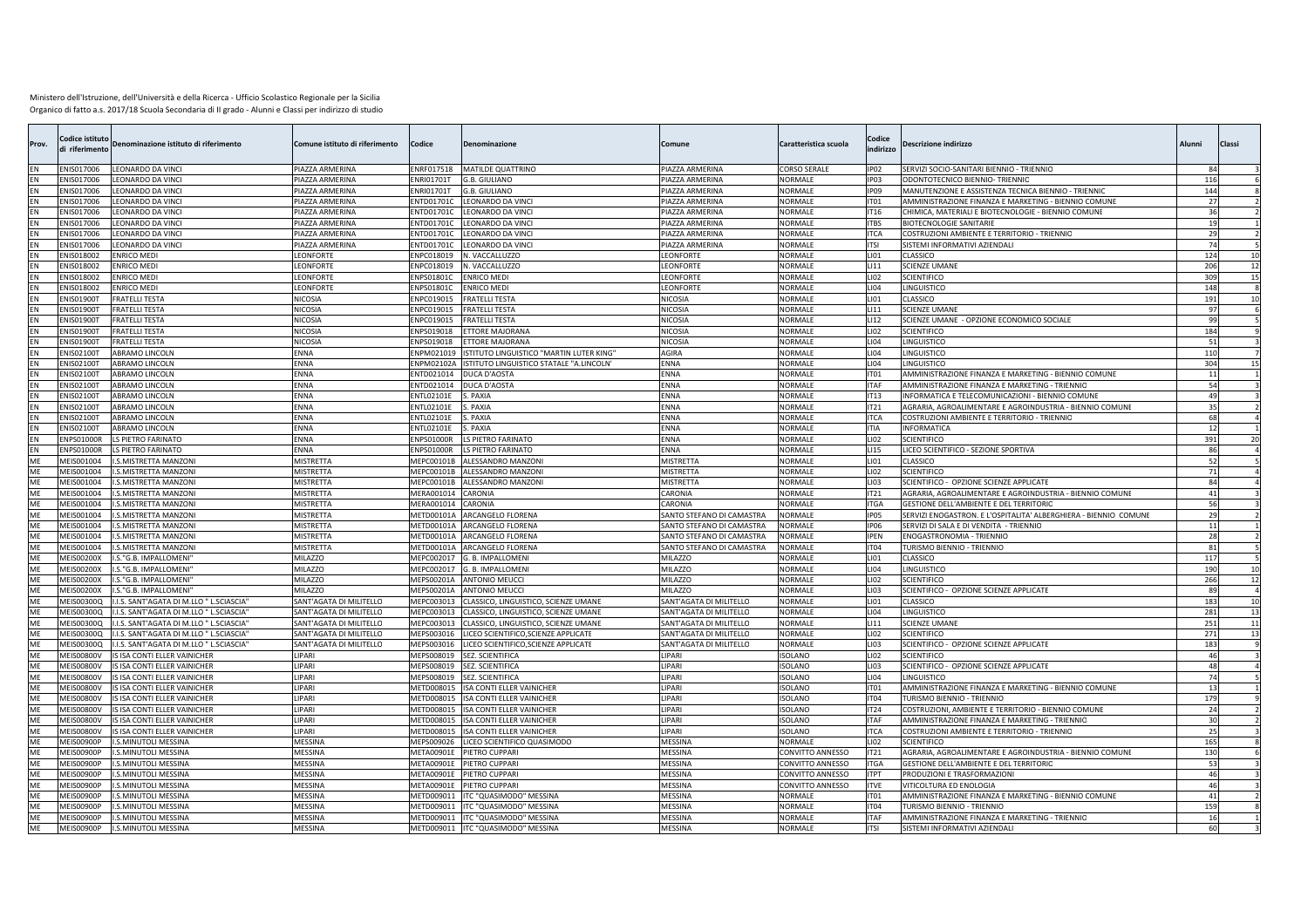| Prov.                  | odice istitutı:<br>di riferimento | Denominazione istituto di riferimento                                             | Comune istituto di riferimento                     | Codice                   | Denominazione                                                                | Comune                                             | Caratteristica scuola            | Codice<br>indirizzo | Descrizione indirizzo                                            | Alunni                   | Classi |
|------------------------|-----------------------------------|-----------------------------------------------------------------------------------|----------------------------------------------------|--------------------------|------------------------------------------------------------------------------|----------------------------------------------------|----------------------------------|---------------------|------------------------------------------------------------------|--------------------------|--------|
| EN                     | ENIS017006                        | LEONARDO DA VINCI                                                                 | PIAZZA ARMERINA                                    | ENRF017518               | <b>MATILDE QUATTRINO</b>                                                     | <b>PIAZZA ARMERINA</b>                             | <b>CORSO SERALE</b>              | IP <sub>02</sub>    | SERVIZI SOCIO-SANITARI BIENNIO - TRIENNIO                        | 84                       |        |
| EN                     | NIS017006                         | LEONARDO DA VINCI                                                                 | PIAZZA ARMERINA                                    | ENRI01701T               | G.B. GIULIANO                                                                | <b>PIAZZA ARMERINA</b>                             | <b>NORMALE</b>                   | IP03                | ODONTOTECNICO BIENNIO- TRIENNIO                                  | 116                      |        |
| EN                     | ENIS017006                        | LEONARDO DA VINCI                                                                 | PIAZZA ARMERINA                                    | ENRI01701T               | G.B. GIULIANO                                                                | PIAZZA ARMERINA                                    | <b>NORMALE</b>                   | IP09                | MANUTENZIONE E ASSISTENZA TECNICA BIENNIO - TRIENNIC             | 144                      |        |
| EN                     | ENIS017006                        | EONARDO DA VINCI                                                                  | PIAZZA ARMERINA                                    | ENTD01701C               | <b>LEONARDO DA VINCI</b>                                                     | PIAZZA ARMERINA                                    | <b>NORMALE</b>                   | IT01                | AMMINISTRAZIONE FINANZA E MARKETING - BIENNIO COMUNE             | 27                       |        |
|                        | NIS017006                         | EONARDO DA VINCI                                                                  | PIAZZA ARMERINA                                    | NTD01701C                | LEONARDO DA VINCI                                                            | PIAZZA ARMERINA                                    | <b>NORMALE</b>                   | IT16                | HIMICA, MATERIALI E BIOTECNOLOGIE - BIENNIO COMUNE               |                          |        |
| FN                     | NIS017006                         | EONARDO DA VINCI                                                                  | PIAZZA ARMERINA                                    | NTD01701C                | <b>LEONARDO DA VINCI</b>                                                     | PIAZZA ARMERINA                                    | NORMALE                          | <b>ITBS</b>         | BIOTECNOLOGIE SANITARIE                                          | 1 <sup>1</sup>           |        |
| EN                     | NIS017006                         | EONARDO DA VINCI                                                                  | PIAZZA ARMERINA                                    | ENTD01701C               | EONARDO DA VINCI                                                             | PIAZZA ARMERINA                                    | NORMALE                          | <b>ITCA</b>         | COSTRUZIONI AMBIENTE E TERRITORIO - TRIENNIC                     | $\overline{\mathcal{L}}$ |        |
| ΕN                     | NIS017006                         | EONARDO DA VINCI                                                                  | PIAZZA ARMERINA                                    | ENTD01701C               | EONARDO DA VINCI                                                             | <b>PIAZZA ARMERINA</b>                             | <b>NORMALE</b>                   | <b>ITSI</b>         | SISTEMI INFORMATIVI AZIENDALI                                    |                          |        |
| EN                     | NIS018002                         | ENRICO MEDI                                                                       | LEONFORTE<br><b>EONFORTE</b>                       | ENPC018019               | N. VACCALLUZZO                                                               | <b>EONFORTE</b>                                    | <b>NORMALE</b><br><b>NORMALE</b> | <b>LI01</b>         | CLASSICO                                                         | 124                      |        |
| EN                     | NIS018002                         | NRICO MEDI                                                                        |                                                    | ENPC018019               | N. VACCALLUZZO                                                               | EONFORTE                                           |                                  | LI11                | <b>SCIENZE UMANE</b>                                             | 206                      | 12     |
| <b>FN</b><br><b>FN</b> | ENIS018002<br>ENIS018002          | NRICO MED<br><b>ENRICO MEDI</b>                                                   | LEONFORTE<br>LEONFORTE                             | ENPS01801C<br>ENPS01801C | <b>ENRICO MEDI</b><br>ENRICO MEDI                                            | LEONFORTE<br>LEONFORTE                             | <b>NORMALE</b><br><b>NORMALE</b> | LI02<br>1104        | <b>SCIENTIFICO</b><br>LINGUISTICO                                | 309<br>148               | 15     |
| <b>FN</b>              | NIS019001                         | <b>FRATELLI TESTA</b>                                                             | NICOSIA                                            | ENPC019015               | FRATELLI TESTA                                                               | NICOSIA                                            | <b>NORMALE</b>                   | <b>LIO1</b>         | CLASSICO                                                         | 191                      | 10     |
| EN                     | ENIS019001                        | FRATELLI TESTA                                                                    | NICOSIA                                            | ENPC019015               | <b>FRATELLI TESTA</b>                                                        | NICOSIA                                            | <b>NORMALE</b>                   | LI11                | <b>SCIENZE UMANE</b>                                             | -91                      |        |
| EN                     | ENIS019001                        | <b>FRATELLI TESTA</b>                                                             | NICOSIA                                            | ENPC019015               | <b>RATELLI TESTA</b>                                                         | <b>NICOSIA</b>                                     | <b>NORMALE</b>                   | LI12                | SCIENZE UMANE - OPZIONE ECONOMICO SOCIALE                        | go                       |        |
| ΕN                     | NIS019001                         | <b>FRATELLI TESTA</b>                                                             | NICOSIA                                            | NPS019018                | ETTORE MAJORANA                                                              | NICOSIA                                            | NORMALE                          | LI02                | SCIENTIFICO                                                      | 184                      |        |
| EN                     | NIS019001                         | <b>RATELLI TESTA</b>                                                              | <b>IICOSIA</b>                                     | NPS019018                | <b>ETTORE MAJORANA</b>                                                       | <b>NICOSIA</b>                                     | NORMALE                          | LI <sub>04</sub>    | <b>INGUISTICO</b>                                                | -51                      |        |
| EN                     | NIS02100                          | ABRAMO LINCOLN                                                                    | ENNA                                               | NPM021019                | ISTITUTO LINGUISTICO "MARTIN LUTER KING                                      | AGIRA                                              | NORMALE                          | LI04                | <b>INGUISTICO</b>                                                | 110                      |        |
| EN                     | NIS02100                          | <b>BRAMO LINCOLN</b>                                                              | ENNA                                               | NPM02102A                | ISTITUTO LINGUISTICO STATALE "A.LINCOLN'                                     | ENNA                                               | <b>NORMALE</b>                   | <b>LI04</b>         | <b>INGUISTICO</b>                                                | 304                      |        |
|                        | NIS02100                          | ABRAMO LINCOLN                                                                    | ENNA                                               | ENTD021014               | DUCA D'AOSTA                                                                 | ENNA                                               | <b>NORMALE</b>                   | IT <sub>01</sub>    | AMMINISTRAZIONE FINANZA E MARKETING - BIENNIO COMUNE             | $1^{\circ}$              |        |
| EN                     | ENIS021001                        | ABRAMO LINCOLN                                                                    | ENNA                                               | ENTD021014               | DUCA D'AOSTA                                                                 | ENNA                                               | <b>NORMALE</b>                   | <b>ITAF</b>         | AMMINISTRAZIONE FINANZA E MARKETING - TRIENNIO                   | 50                       |        |
| <b>FN</b>              | ENIS02100                         | ABRAMO LINCOLN                                                                    | ENNA                                               | ENTL02101E               | S. PAXIA                                                                     | ENNA                                               | <b>NORMALE</b>                   | IT13                | INFORMATICA E TELECOMUNICAZIONI - BIENNIO COMUNE                 | 4 <sup>c</sup>           |        |
| EN                     | <b>ENISO2100T</b>                 | ABRAMO LINCOLN                                                                    | ENNA                                               | ENTL02101E               | S. PAXIA                                                                     | ENNA                                               | <b>NORMALE</b>                   | IT21                | AGRARIA, AGROALIMENTARE E AGROINDUSTRIA - BIENNIO COMUNE         |                          |        |
| EN                     | NIS021001                         | <b>ABRAMO LINCOLN</b>                                                             | ENNA                                               | ENTL02101E               | S. PAXIA                                                                     | ENNA                                               | NORMALE                          | <b>ITCA</b>         | COSTRUZIONI AMBIENTE E TERRITORIO - TRIENNIC                     | 68                       |        |
| EN                     | <b>ENISO2100T</b>                 | <b>ABRAMO LINCOLN</b>                                                             | ENNA                                               | ENTLO2101E               | S. PAXIA                                                                     | ENNA                                               | <b>NORMALE</b>                   | <b>ITIA</b>         | <b>INFORMATICA</b>                                               | -12                      |        |
| EN                     | NPS01000F                         | S PIETRO FARINATO                                                                 | ENNA                                               | ENPS01000R               | S PIETRO FARINATO                                                            | <b>NNA</b>                                         | <b>NORMALE</b>                   | LIO2                | <b>SCIENTIFICO</b>                                               | 391                      |        |
|                        | NPS01000R                         | S PIETRO FARINATO                                                                 | ENNA                                               | NPS01000R                | LS PIETRO FARINATO                                                           | <b>ENNA</b>                                        | <b>NORMALE</b>                   | LI15                | LICEO SCIENTIFICO - SEZIONE SPORTIVA                             |                          |        |
| MF                     | MEIS001004                        | S.MISTRETTA MANZON                                                                | MISTRETTA                                          | MEPC00101B               | <b>ALESSANDRO MANZON</b>                                                     | MISTRETTA                                          | <b>NORMALE</b>                   | 1101                | CLASSICO                                                         |                          |        |
| ME                     | MEIS001004                        | S.MISTRETTA MANZON                                                                | <b>MISTRETTA</b>                                   | MEPC00101B               | ALESSANDRO MANZON                                                            | <b>MISTRETTA</b>                                   | NORMALE                          | LI02                | <b>SCIENTIFICO</b>                                               |                          |        |
| ME                     | MEIS001004                        | <b>S.MISTRETTA MANZON</b>                                                         | <b>MISTRETTA</b>                                   | MEPC00101B               | ALESSANDRO MANZONI                                                           | <b>MISTRETTA</b>                                   | <b>NORMALE</b>                   | LI03                | SCIENTIFICO - OPZIONE SCIENZE APPLICATE                          | $\overline{\mathcal{R}}$ |        |
| ME                     | MEIS001004                        | S.MISTRETTA MANZONI                                                               | <b>MISTRETTA</b>                                   | MERA001014               | CARONIA                                                                      | CARONIA                                            | <b>NORMALE</b>                   | IT21                | AGRARIA, AGROALIMENTARE E AGROINDUSTRIA - BIENNIO COMUNE         | 41                       |        |
| ME                     | MEIS001004                        | <b>S.MISTRETTA MANZONI</b>                                                        | MISTRETTA                                          | MERA001014               | CARONIA                                                                      | <b>ARONIA</b>                                      | NORMALE                          | <b>ITGA</b>         | GESTIONE DELL'AMBIENTE E DEL TERRITORIO                          | 56                       |        |
| <b>ME</b>              | MEIS001004                        | <b>S.MISTRETTA MANZONI</b>                                                        | <b>MISTRETTA</b>                                   | <b>METD00101A</b>        | ARCANGELO FLORENA                                                            | SANTO STEFANO DI CAMASTRA                          | <b>NORMALE</b>                   | <b>IP05</b>         | SERVIZI ENOGASTRON. E L'OSPITALITA' ALBERGHIERA - BIENNIO COMUNE | 29                       |        |
| ME                     | MEIS001004                        | S.MISTRETTA MANZONI                                                               | <b>MISTRETTA</b>                                   | METD00101A               | ARCANGELO FLORENA                                                            | SANTO STEFANO DI CAMASTRA                          | NORMALE                          | <b>IP06</b>         | SERVIZI DI SALA E DI VENDITA - TRIENNIO                          | 1'                       |        |
| ME                     | MEIS001004                        | <b>S.MISTRETTA MANZONI</b>                                                        | <b>MISTRETTA</b>                                   | <b>METD00101A</b>        | <b>ARCANGELO FLORENA</b>                                                     | SANTO STEFANO DI CAMASTRA                          | NORMALE                          | <b>IPEN</b>         | ENOGASTRONOMIA - TRIENNIO                                        | 28                       |        |
| ME                     | MEIS001004                        | <b>S.MISTRETTA MANZONI</b>                                                        | <b>MISTRETTA</b>                                   | METD00101A               | <b>ARCANGELO FLORENA</b>                                                     | SANTO STEFANO DI CAMASTRA                          | <b>NORMALE</b>                   | IT04                | TURISMO BIENNIO - TRIENNIO                                       | R <sub>1</sub>           |        |
| ME                     | MEIS00200X                        | S."G.B. IMPALLOMENI                                                               | <b>MILAZZO</b>                                     | MEPC002017               | G. B. IMPALLOMENI                                                            | <b>MILAZZO</b>                                     | NORMALE                          | LIO1                | CLASSICO                                                         | 117                      |        |
| ME                     | <b>MEIS00200X</b>                 | S."G.B. IMPALLOMENI                                                               | <b>MILAZZO</b>                                     | MEPC002017               | G. B. IMPALLOMENI                                                            | <b>MILAZZO</b>                                     | NORMALE                          | <b>LI04</b>         | LINGUISTICO                                                      | 190                      |        |
| ME                     | <b>MEIS00200X</b>                 | S."G.B. IMPALLOMENI                                                               | MILAZZO                                            | AEPS00201A               | <b>ANTONIO MEUCCI</b>                                                        | MILAZZO                                            | NORMALE                          | LI02                | <b>SCIENTIFICO</b>                                               | 266                      | 12     |
| ME<br>MF               | MEIS00200X                        | S."G.B. IMPALLOMENI'                                                              | <b>MILAZZO</b>                                     | MEPS00201A               | <b>ANTONIO MEUCCI</b>                                                        | <b>MILAZZO</b>                                     | NORMALE<br>NORMALE               | LI03                | SCIENTIFICO - OPZIONE SCIENZE APPLICATE                          | ନ୍ଦ                      | 10     |
|                        | <b>MEIS00300Q</b>                 | I.S. SANT'AGATA DI M.LLO " L.SCIASCIA'                                            | SANT'AGATA DI MILITELLO                            | MEPC003013               | CLASSICO, LINGUISTICO, SCIENZE UMANE                                         | SANT'AGATA DI MILITELLO                            |                                  | <b>LI01</b>         | CLASSICO                                                         | 18                       |        |
| ME                     | <b>MEIS003000</b><br>MEIS00300Q   | I.S. SANT'AGATA DI M.LLO " L.SCIASCIA'                                            | SANT'AGATA DI MILITELLO<br>SANT'AGATA DI MILITELLO | MEPC003013               | CLASSICO, LINGUISTICO, SCIENZE UMANE                                         | SANT'AGATA DI MILITELLO                            | NORMALE<br>NORMALE               | LI <sub>04</sub>    | INGUISTICO                                                       | 281                      | 13     |
| ME                     | <b>MEISOO300O</b>                 | .I.S. SANT'AGATA DI M.LLO " L.SCIASCIA'                                           |                                                    | MEPC003013               | CLASSICO, LINGUISTICO, SCIENZE UMANE                                         | SANT'AGATA DI MILITELLO                            | <b>NORMALE</b>                   | LI11<br>1102        | SCIENZE UMANE                                                    | 251                      | 11     |
| ME<br>ME               | MEIS00300Q                        | .I.S. SANT'AGATA DI M.LLO " L.SCIASCIA'<br>I.S. SANT'AGATA DI M.LLO " L.SCIASCIA' | SANT'AGATA DI MILITELLO<br>SANT'AGATA DI MILITELLO | MEPS003016<br>MEPS003016 | LICEO SCIENTIFICO, SCIENZE APPLICATE<br>LICEO SCIENTIFICO, SCIENZE APPLICATE | SANT'AGATA DI MILITELLO<br>SANT'AGATA DI MILITELLO | <b>NORMALE</b>                   | LI03                | <b>SCIENTIFICO</b><br>SCIENTIFICO - OPZIONE SCIENZE APPLICATE    | 271<br>18                | 13     |
| ME                     | MEIS00800V                        | S ISA CONTI ELLER VAINICHER                                                       | <b>IPARI</b>                                       | MEPS008019               | SEZ. SCIENTIFICA                                                             | <b>LIPARI</b>                                      | <b>ISOLANO</b>                   | 1102                | <b>SCIENTIFICO</b>                                               | $\Delta f$               |        |
| ME                     | MFIS00800V                        | S ISA CONTI ELLER VAINICHER                                                       | LIPARI                                             | MEPS008019               | SEZ. SCIENTIFICA                                                             | LIPAR                                              | <b>ISOLANO</b>                   | LI03                | SCIENTIFICO - OPZIONE SCIENZE APPLICATE                          | $\Delta S$               |        |
| ME                     | MEIS00800V                        | <b>ISA CONTI ELLER VAINICHER</b>                                                  | <b>LIPARI</b>                                      | MEPS008019               | <b>SEZ. SCIENTIFICA</b>                                                      | LIPARI                                             | <b>ISOLANO</b>                   | LI <sub>04</sub>    | <b>INGUISTICO</b>                                                | 74                       |        |
| ME                     | <b>MEIS00800V</b>                 | S ISA CONTI ELLER VAINICHER                                                       | LIPARI                                             | METD008015               | <b>ISA CONTI ELLER VAINICHER</b>                                             | LIPARI                                             | <b>ISOLANO</b>                   | IT01                | AMMINISTRAZIONE FINANZA E MARKETING - BIENNIO COMUNE             | 1 <sup>1</sup>           |        |
| МE                     | <b>MEISOO8OOV</b>                 | <b>ISA CONTI ELLER VAINICHER</b>                                                  | <b>IPARI</b>                                       | METD008015               | <b>ISA CONTI ELLER VAINICHER</b>                                             | <b>IPARI</b>                                       | <b>ISOLANO</b>                   | IT <sub>04</sub>    | URISMO BIENNIO - TRIENNIO                                        | 17                       |        |
| <b>ME</b>              | <b>MEIS00800V</b>                 | <b>ISA CONTI ELLER VAINICHER</b>                                                  | LIPARI                                             | METD008015               | <b>ISA CONTI ELLER VAINICHER</b>                                             | LIPARI                                             | <b>ISOLANO</b>                   | IT24                | COSTRUZIONI, AMBIENTE E TERRITORIO - BIENNIO COMUNE              | 24                       |        |
| ME                     | MEIS00800\                        | ISA CONTI ELLER VAINICHER                                                         | <b>IPARI</b>                                       | <b>METD008015</b>        | SA CONTI ELLER VAINICHER                                                     | LIPARI                                             | <b>ISOLANO</b>                   | <b>ITAF</b>         | AMMINISTRAZIONE FINANZA E MARKETING - TRIENNIC                   |                          |        |
| ME                     | MEIS00800V                        | S ISA CONTI FLLER VAINICHER                                                       | <b>LIPARI</b>                                      | METD008015               | <b>ISA CONTI FLLER VAINICHER</b>                                             | LIPARI                                             | <b>ISOLANO</b>                   | <b>ITCA</b>         | COSTRUZIONI AMBIENTE E TERRITORIO - TRIENNIC                     | 2 <sup>1</sup>           |        |
| ME                     | <b>MEIS00900P</b>                 | S.MINUTOLI MESSINA                                                                | MESSINA                                            | MEPS009026               | LICEO SCIENTIFICO QUASIMODO                                                  | <b>MESSINA</b>                                     | <b>NORMALE</b>                   | LI02                | <b>SCIENTIFICO</b>                                               | 165                      |        |
| ME                     | <b>MEIS00900P</b>                 | S.MINUTOLI MESSINA                                                                | MESSINA                                            | META00901E               | PIETRO CUPPARI                                                               | <b>MESSINA</b>                                     | CONVITTO ANNESSO                 | IT21                | AGRARIA, AGROALIMENTARE E AGROINDUSTRIA - BIENNIO COMUNE         | 130                      |        |
| MF                     | <b>MEIS00900P</b>                 | S.MINUTOLI MESSINA                                                                | <b>MESSINA</b>                                     | META00901E               | PIETRO CUPPARI                                                               | <b>MESSINA</b>                                     | CONVITTO ANNESSO                 | <b>ITGA</b>         | GESTIONE DELL'AMBIENTE E DEL TERRITORIO                          | 53                       |        |
| <b>ME</b>              | MEIS00900P                        | S.MINUTOLI MESSINA                                                                | <b>MESSINA</b>                                     | META00901E               | PIETRO CUPPARI                                                               | <b>MESSINA</b>                                     | <b>CONVITTO ANNESSO</b>          | <b>ITPT</b>         | <b>PRODUZIONI E TRASFORMAZIONI</b>                               | 46                       |        |
| ME                     | <b>MEIS00900P</b>                 | S.MINUTOLI MESSINA                                                                | <b>MESSINA</b>                                     | META00901E               | PIETRO CUPPARI                                                               | <b>MESSINA</b>                                     | CONVITTO ANNESSO                 | <b>ITVE</b>         | VITICOLTURA ED ENOLOGIA                                          | $\Delta f$               |        |
| <b>ME</b>              | MEIS00900P                        | S.MINUTOLI MESSINA                                                                | <b>MESSINA</b>                                     | METD009011               | ITC "QUASIMODO" MESSINA                                                      | <b>MESSINA</b>                                     | <b>NORMALE</b>                   | IT01                | AMMINISTRAZIONE FINANZA E MARKETING - BIENNIO COMUNE             | 41                       |        |
| ME                     | <b>MEIS00900F</b>                 | S.MINUTOLI MESSINA                                                                | <b>MESSINA</b>                                     | METD009011               | ITC "QUASIMODO" MESSINA                                                      | MESSINA                                            | NORMALE                          | IT <sub>04</sub>    | <b>TURISMO BIENNIO - TRIENNIO</b>                                | 15                       |        |
| ME                     | MFIS00900P                        | S.MINUTOLI MESSINA                                                                | MESSINA                                            |                          | METD009011 ITC "QUASIMODO" MESSINA                                           | MESSINA                                            | VORMALE                          | <b>ITAF</b>         | AMMINISTRAZIONE FINANZA E MARKETING - TRIENNIO                   |                          |        |
| <b>ME</b>              | <b>MEIS00900P</b>                 | S.MINUTOLI MESSINA                                                                | <b>MESSINA</b>                                     |                          | METD009011 ITC "QUASIMODO" MESSINA                                           | <b>MESSINA</b>                                     | <b>NORMALE</b>                   | <b>ITSI</b>         | SISTEMI INFORMATIVI AZIENDALI                                    | 60                       |        |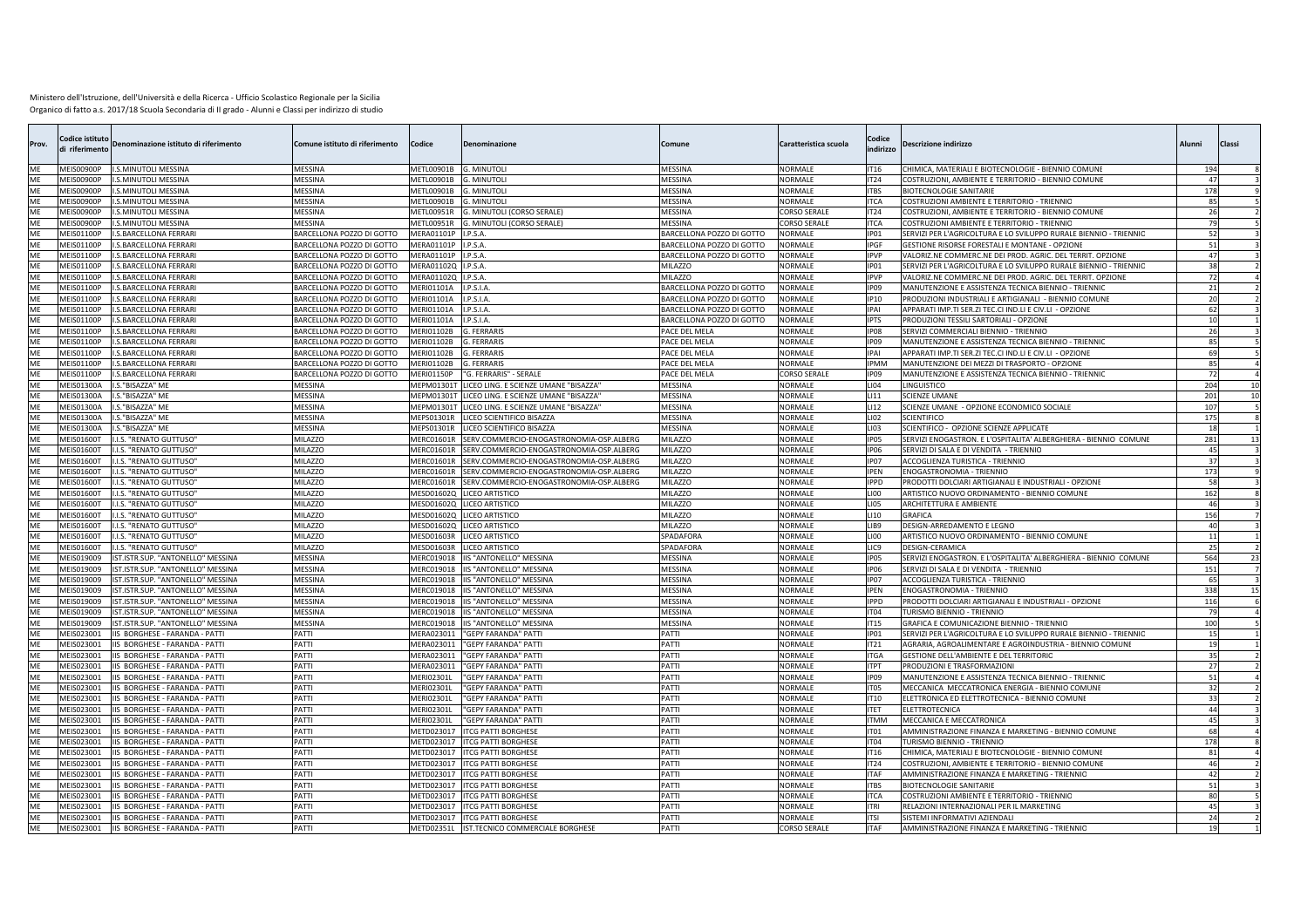| Prov.     | odice istitut:<br>li riferimento       | Denominazione istituto di riferimento                                  | Comune istituto di riferimento   | Codice                   | Denominazione                                            | omune:                             | Caratteristica scuola | Codice<br>indirizzo | Oescrizione indirizzo                                                                                       | Alunni | Classi               |    |
|-----------|----------------------------------------|------------------------------------------------------------------------|----------------------------------|--------------------------|----------------------------------------------------------|------------------------------------|-----------------------|---------------------|-------------------------------------------------------------------------------------------------------------|--------|----------------------|----|
|           | <b>MEIS00900P</b>                      | .S.MINUTOLI MESSINA                                                    | MESSINA                          | METL00901B               | i. MINUTOLI                                              | <b>MESSINA</b>                     | NORMALE               | IT16                | CHIMICA, MATERIALI E BIOTECNOLOGIE - BIENNIO COMUNE                                                         |        | 194                  |    |
|           | MEIS00900P                             | .S.MINUTOLI MESSINA                                                    | MESSINA                          | METL00901B               | . MINUTOLI                                               | <b>MESSINA</b>                     | NORMALE               | IT24                | COSTRUZIONI, AMBIENTE E TERRITORIO - BIENNIO COMUNE                                                         |        | 4 <sub>1</sub>       |    |
| ME        | <b>MEISO0900P</b>                      | .S.MINUTOLI MESSINA                                                    | MESSINA                          | METL00901B               | G. MINUTOLI                                              | <b>MESSINA</b>                     | NORMALE               | <b>ITRS</b>         | <b>BIOTECNOLOGIE SANITARIE</b>                                                                              |        | 178                  |    |
| ME        | MEIS00900P                             | S.MINUTOLI MESSINA                                                     | MESSINA                          | METL00901B               | i. MINUTOLI                                              | <b>MESSINA</b>                     | <b>NORMALE</b>        | <b>ITCA</b>         | COSTRUZIONI AMBIENTE E TERRITORIO - TRIENNIC                                                                |        | 85                   |    |
| ME        | <b>MEIS00900P</b>                      | .S.MINUTOLI MESSINA                                                    | MESSINA                          | <b>METL00951R</b>        | <b>i. MINUTOLI (CORSO SERALE)</b>                        | MESSINA                            | <b>CORSO SERAL</b>    | <b>IT24</b>         | COSTRUZIONI, AMBIENTE E TERRITORIO - BIENNIO COMUNE                                                         |        | 26                   |    |
| ME        | MEIS00900P                             | .S.MINUTOLI MESSINA                                                    | <b>MESSINA</b>                   | METL00951R               | <b>G. MINUTOLI (CORSO SERALE)</b>                        | <b>MESSINA</b>                     | <b>CORSO SERALE</b>   | <b>ITCA</b>         | COSTRUZIONI AMBIENTE E TERRITORIO - TRIENNIC                                                                |        | 79                   |    |
| ME        | MEIS01100P                             | .S.BARCELLONA FERRAR                                                   | BARCELLONA POZZO DI GOTTO        | MERA01101P               | LP.S.A.                                                  | BARCELLONA POZZO DI GOTTO          | <b>NORMALE</b>        | IP01                | SERVIZI PER L'AGRICOLTURA E LO SVILUPPO RURALE BIENNIO - TRIENNIO                                           |        | 52                   |    |
| ME        | <b>MEIS01100P</b>                      | .S.BARCELLONA FERRAR                                                   | BARCELLONA POZZO DI GOTTO        | MERA01101P               | P.S.A.                                                   | BARCELLONA POZZO DI GOTTO          | NORMALE               | <b>IPGF</b>         | GESTIONE RISORSE FORESTALI E MONTANE - OPZIONE                                                              |        | 51                   |    |
| ME        | <b>MEIS01100P</b>                      | S.BARCELLONA FERRARI                                                   | <b>BARCELLONA POZZO DI GOTTO</b> | MERA01101P               | P.S.A.                                                   | BARCELLONA POZZO DI GOTTO          | NORMALE               | <b>IPVP</b>         | VALORIZ.NE COMMERC.NE DEI PROD. AGRIC. DEL TERRIT. OPZIONE                                                  |        | 47                   |    |
| ME        | AEIS01100P                             | S.BARCELLONA FERRAR                                                    | <b>ARCELLONA POZZO DI GOTTO</b>  | MERA01102Q               | P.S.A.                                                   | <b>AILAZZO</b>                     | <b>JORMALE</b>        | IP01                | SERVIZI PER L'AGRICOLTURA E LO SVILUPPO RURALE BIENNIO - TRIENNIO                                           |        |                      |    |
| ME        | MEIS01100P                             | S.BARCELLONA FERRARI                                                   | BARCELLONA POZZO DI GOTTO        | MERA01102Q               | P.S.A.                                                   | <b>MILAZZO</b>                     | VORMALE               | <b>IPVP</b>         | VALORIZ.NE COMMERC.NE DEI PROD. AGRIC. DEL TERRIT. OPZIONE                                                  |        | 7 <sup>2</sup>       |    |
| MF        | <b>MEIS01100P</b>                      | S.BARCELLONA FERRARI                                                   | <b>BARCELLONA POZZO DI GOTTO</b> | MERI01101A               | P.S.I.A                                                  | <b>BARCELLONA POZZO DI GOTTO</b>   | NORMALE               | IP09                | MANUTENZIONE E ASSISTENZA TECNICA BIENNIO - TRIENNIC                                                        |        | 21                   |    |
| ME        | <b>MEIS01100P</b>                      | .S.BARCELLONA FERRARI                                                  | BARCELLONA POZZO DI GOTTO        | MERI01101A               | P.S.I.A.                                                 | BARCELLONA POZZO DI GOTTO          | NORMALE               | IP10                | PRODUZIONI INDUSTRIALI E ARTIGIANALI - BIENNIO COMUNE                                                       |        | $\overline{2}$       |    |
| MF        | MEIS01100P                             | .S.BARCELLONA FERRARI                                                  | BARCELLONA POZZO DI GOTTO        | MERI01101A               | P.S.I.A.                                                 | BARCELLONA POZZO DI GOTTO          | NORMALE               | <b>IPAL</b>         | APPARATI IMP.TI SER.ZI TEC.CI IND.LI E CIV.LI - OPZIONE                                                     |        | 62                   |    |
| ME        | MEIS01100P                             | .S.BARCELLONA FERRAR                                                   | BARCELLONA POZZO DI GOTTO        | MERI01101A               | P.S.I.A.                                                 | BARCELLONA POZZO DI GOTTO          | NORMALE               | <b>IPTS</b>         | PRODUZIONI TESSILI SARTORIALI - OPZIONE                                                                     |        | 10                   |    |
| ME        | MEIS01100P                             | .S.BARCELLONA FERRARI                                                  | BARCELLONA POZZO DI GOTTO        | MERI01102B               | . FERRARIS                                               | PACE DEL MELA                      | NORMALE               | IP08                | SERVIZI COMMERCIALI BIENNIO - TRIENNIO                                                                      |        |                      |    |
| ME        | MEIS01100P                             | .S.BARCELLONA FERRAR                                                   | BARCELLONA POZZO DI GOTTO        | MERI01102B               | G. FERRARIS                                              | PACE DEL MELA                      | NORMALE               | <b>IP09</b>         | MANUTENZIONE E ASSISTENZA TECNICA BIENNIO - TRIENNIC                                                        |        | 85                   |    |
| ME        | MEIS01100P                             | .S.BARCELLONA FERRARI                                                  | BARCELLONA POZZO DI GOTTO        | MERI01102B               | . FERRARIS                                               | PACE DEL MELA                      | NORMALE               | <b>IPAI</b>         | APPARATI IMP.TI SER.ZI TEC.CI IND.LI E CIV.LI - OPZIONE                                                     |        | 69                   |    |
| ME        | <b>MEIS01100P</b>                      | S.BARCELLONA FERRARI                                                   | <b>BARCELLONA POZZO DI GOTTO</b> | <b>MERIO1102B</b>        | . FERRARIS                                               | PACE DEL MELA                      | NORMALE               | <b>IPMM</b>         | MANUTENZIONE DEI MEZZI DI TRASPORTO - OPZIONE                                                               |        | 85                   |    |
| ME        | <b>MEIS01100P</b>                      | .S.BARCELLONA FERRARI                                                  | BARCELLONA POZZO DI GOTTO        | <b>MERI01150P</b>        | 'G. FERRARIS" - SERALE                                   | PACE DEL MELA                      | CORSO SERAL           | IPO <sub>9</sub>    | MANUTENZIONE E ASSISTENZA TECNICA BIENNIO - TRIENNIC                                                        |        | 72                   |    |
| ME        | <b>MEIS01300A</b>                      | S."BISAZZA" ME                                                         | MESSINA                          | MEPM01301T               | LICEO LING. E SCIENZE UMANE "BISAZZA                     | <b>MESSINA</b>                     | VORMALE               | LI04                | <b>INGUISTICO</b>                                                                                           |        | 204                  |    |
| ME        | <b>MEIS01300A</b>                      | .S."BISAZZA" ME                                                        | MESSINA                          | MEPM01301T               | LICEO LING. E SCIENZE UMANE "BISAZZA                     | MESSINA                            | NORMALE               | LI11                | <b>SCIENZE UMAN</b>                                                                                         | 201    |                      |    |
|           | MEIS01300A                             | S."BISAZZA" ME                                                         | MESSINA                          | MEPM01301T               | ICEO LING. E SCIENZE UMANE "BISAZZA'                     | <b>MESSINA</b>                     | NORMALE               | LI2                 | SCIENZE UMANE - OPZIONE ECONOMICO SOCIALE                                                                   |        | 107                  |    |
| ME        | MEIS01300A                             | .S."BISAZZA" ME                                                        | MESSINA                          | MEPS01301R               | ICEO SCIENTIFICO BISAZZA                                 | <b>MESSINA</b>                     | NORMALE               | 1102                | <b>SCIENTIFICO</b>                                                                                          |        | 175                  |    |
| ME        | MFIS01300A                             | .S."BISAZZA" ME                                                        | MESSINA                          | MEPS01301R               | LICEO SCIENTIFICO BISAZZA                                | <b>MESSINA</b>                     | NORMALE               | 1103                | SCIENTIFICO - OPZIONE SCIENZE APPLICATE                                                                     |        |                      |    |
| ME        | MEIS01600T                             | I.I.S. "RENATO GUTTUSO"                                                | MILAZZO                          | MERC01601R               | SERV.COMMERCIO-ENOGASTRONOMIA-OSP.ALBERG                 | <b>MILAZZO</b>                     | NORMALE               | IP05                | SERVIZI ENOGASTRON. E L'OSPITALITA' ALBERGHIERA - BIENNIO COMUNE                                            |        | 281                  |    |
| ME        | MEIS01600T                             | .I.S. "RENATO GUTTUSO"                                                 | MILAZZO                          | <b>MERC01601R</b>        | SERV.COMMERCIO-ENOGASTRONOMIA-OSP.ALBERG                 | <b>MILAZZO</b>                     | NORMALE               | <b>IP06</b>         | SERVIZI DI SALA E DI VENDITA - TRIENNIO                                                                     |        | 45                   |    |
| ME        | MEIS01600T                             | I.I.S. "RENATO GUTTUSO"                                                | MILAZZO                          | MERC01601R               | SERV.COMMERCIO-ENOGASTRONOMIA-OSP.ALBERG                 | <b>MILAZZO</b>                     | NORMALE               | IP <sub>07</sub>    | ACCOGLIENZA TURISTICA - TRIENNIO                                                                            |        | 37                   |    |
| ME        | MEIS01600T                             | I.I.S. "RENATO GUTTUSO'                                                | MILAZZO                          | MERC01601R               | SERV.COMMERCIO-ENOGASTRONOMIA-OSP.ALBERG                 | <b>MILAZZO</b>                     | NORMALE               | <b>IPEN</b>         | ENOGASTRONOMIA - TRIENNIO                                                                                   |        | 173                  |    |
| MF        | <b>MEIS01600T</b>                      | I.I.S. "RENATO GUTTUSO"                                                | MILAZZO                          | MERC01601R               | SERV.COMMERCIO-ENOGASTRONOMIA-OSP.ALBERG                 | <b>MILAZZO</b>                     | NORMALE               | <b>IPPD</b>         | PRODOTTI DOLCIARI ARTIGIANALI E INDUSTRIALI - OPZIONE                                                       |        | 58                   |    |
| ME        | MEIS01600T                             | I.I.S. "RENATO GUTTUSO'                                                | <b>MILAZZO</b>                   | MESD01602Q               | <b>LICEO ARTISTICO</b>                                   | <b>MILAZZO</b>                     | NORMALE               | 1100                | ARTISTICO NUOVO ORDINAMENTO - BIENNIO COMUNE                                                                |        | 162                  |    |
| ME        | AEIS01600T                             | I.I.S. "RENATO GUTTUSO                                                 | <b>AILAZZO</b>                   | MESD01602Q               | LICEO ARTISTICO                                          | <b>AILAZZO</b>                     | VORMALE               | <b>LIO5</b>         | <b>ARCHITETTURA E AMBIENTE</b>                                                                              |        |                      |    |
| ME        | MEIS01600T                             | I.I.S. "RENATO GUTTUSO"                                                | MILAZZO                          | MESD01602Q               | LICEO ARTISTICO                                          | <b>MILAZZO</b>                     | NORMALE               | LI10                | GRAFICA                                                                                                     |        | 156<br>40            |    |
| ME        | <b>AEISO1600T</b>                      | .I.S. "RENATO GUTTUSO'                                                 | MILAZZO                          | MESD01602Q               | <b>ICEO ARTISTICO</b>                                    | <b>IILAZZO</b>                     | NORMALE               | LIB9                | DESIGN-ARREDAMENTO E LEGNO                                                                                  |        |                      |    |
| ME<br>MF  | <b>MEIS01600T</b><br><b>MEIS01600T</b> | I.I.S. "RENATO GUTTUSO"                                                | <b>MILAZZO</b><br>MILAZZO        | MESD01603R               | <b>ICEO ARTISTICO</b>                                    | <b>PADAFORA</b><br><b>PADAFORA</b> | NORMALE<br>VORMALE    | <b>LIOO</b><br>1109 | ARTISTICO NUOVO ORDINAMENTO - BIENNIO COMUNE<br>DESIGN-CERAMICA                                             |        | 11<br>2 <sup>t</sup> |    |
|           |                                        | I.I.S. "RENATO GUTTUSO'                                                |                                  | MESD01603R               | <b>ICEO ARTISTICO</b>                                    |                                    |                       |                     |                                                                                                             |        |                      |    |
| ME<br>ME  | MEIS019009<br>MEIS019009               | IST.ISTR.SUP. "ANTONELLO" MESSINA<br>IST.ISTR.SUP. "ANTONELLO" MESSINA | MESSINA<br><b>MESSINA</b>        | MERC019018<br>MERC019018 | <b>IIS "ANTONELLO" MESSINA</b><br>IS "ANTONELLO" MESSINA | MESSINA<br><b>MESSINA</b>          | NORMALE<br>NORMALE    | IP05<br><b>IPO6</b> | SERVIZI ENOGASTRON. E L'OSPITALITA' ALBERGHIERA - BIENNIO COMUNE<br>SERVIZI DI SALA E DI VENDITA - TRIENNIO |        | 564<br>151           | 23 |
| ME        | VIEIS019009                            | IST.ISTR.SUP. "ANTONELLO" MESSINA                                      | MESSINA                          | MERC019018               | IS "ANTONELLO" MESSINA                                   | <b>AESSINA</b>                     | NORMALE               | IP <sub>07</sub>    | ACCOGLIENZA TURISTICA - TRIENNIO                                                                            |        | 6 <sup>1</sup>       |    |
| ME        | MEIS019009                             | IST.ISTR.SUP. "ANTONELLO" MESSINA                                      | <b>MESSINA</b>                   | MERC019018               | IIS "ANTONELLO" MESSINA                                  | <b>MESSINA</b>                     | NORMALE               | <b>IPEN</b>         | ENOGASTRONOMIA - TRIENNIO                                                                                   |        | 338                  |    |
| ME        | MEIS019009                             | IST.ISTR.SUP. "ANTONELLO" MESSINA                                      | MESSINA                          | MERC019018               | IS "ANTONELLO" MESSINA                                   | <b>MESSINA</b>                     | NORMALE               | <b>IPPD</b>         | PRODOTTI DOLCIARI ARTIGIANALI E INDUSTRIALI - OPZIONE                                                       |        | 116                  |    |
| ME        |                                        |                                                                        | MESSINA                          | MERC019018               |                                                          | MESSINA                            | NORMALE               | IT04                |                                                                                                             |        |                      |    |
| ME        | MEIS019009<br>MEIS019009               | IST.ISTR.SUP. "ANTONELLO" MESSINA<br>IST.ISTR.SUP. "ANTONELLO" MESSINA | MESSINA                          | MERC019018               | S "ANTONELLO" MESSINA<br>S "ANTONELLO" MESSINA           | <b>AESSINA</b>                     | NORMALE               | <b>IT15</b>         | <b>FURISMO BIENNIO - TRIENNIO</b><br>GRAFICA E COMUNICAZIONE BIENNIO - TRIENNIO                             |        | 100                  |    |
| ME        | MEIS023001                             | IIS BORGHESE - FARANDA - PATTI                                         | PATTI                            | MERA023011               | "GEPY FARANDA" PATTI                                     | PATTI                              | NORMALE               | IP01                | SERVIZI PER L'AGRICOLTURA E LO SVILUPPO RURALE BIENNIO - TRIENNIO                                           |        | 15                   |    |
| ME        | MEIS023001                             | IIS BORGHESE - FARANDA - PATTI                                         | PATTI                            | MERA023011               | "GEPY FARANDA" PATTI                                     | PATTI                              | NORMALE               | IT21                | AGRARIA, AGROALIMENTARE E AGROINDUSTRIA - BIENNIO COMUNE                                                    |        | 19                   |    |
| ME        | MEIS023001                             | IIS BORGHESE - FARANDA - PATTI                                         | PATTI                            | MERA023011               | <b>GEPY FARANDA" PATTI</b>                               | <b>ATTI</b>                        | NORMALE               | <b>ITGA</b>         | GESTIONE DELL'AMBIENTE E DEL TERRITORIO                                                                     |        | 35                   |    |
| ME        | MFIS023001                             | IIS BORGHESE - FARANDA - PATTI                                         | <b>ATTI</b>                      | MERA023011               | "GEPY FARANDA" PATTI                                     | PATTI                              | NORMALE               | <b>ITPT</b>         | PRODUZIONI E TRASFORMAZIONI                                                                                 |        | 27                   |    |
| ME        | VIEIS023001                            | IIS BORGHESE - FARANDA - PATT                                          | PATTI                            | MERI02301L               | <b>GEPY FARANDA" PATTI</b>                               | PATTI                              | NORMALE               | IP09                | MANUTENZIONE E ASSISTENZA TECNICA BIENNIO - TRIENNIC                                                        |        | 51                   |    |
| ME        | MEIS023001                             | IIS BORGHESE - FARANDA - PATTI                                         | PATTI                            | MERI02301L               | "GEPY FARANDA" PATTI                                     | PATTI                              | NORMALE               | ITO5                | MECCANICA MECCATRONICA ENERGIA - BIENNIO COMUNI                                                             |        | 32                   |    |
| ME        | MEIS023001                             | IIS BORGHESE - FARANDA - PATTI                                         | PATTI                            | MERI02301L               | <b>GEPY FARANDA" PATTI</b>                               | <b>ATTI</b>                        | NORMALE               | <b>IT10</b>         | ELETTRONICA ED ELETTROTECNICA - BIENNIO COMUNE                                                              |        | 33                   |    |
| ME        | MEIS023001                             | IIS BORGHESE - FARANDA - PATTI                                         | PATTI                            | MERI02301L               | "GEPY FARANDA" PATTI                                     | PATTI                              | <b>NORMALE</b>        | <b>ITET</b>         | ELETTROTECNICA                                                                                              |        | $\Delta\Delta$       |    |
| ME        | MEIS023001                             | IIS BORGHESE - FARANDA - PATTI                                         | PATTI                            | MERI02301L               | "GEPY FARANDA" PATTI                                     | PATTI                              | <b>NORMALE</b>        | <b>ITMM</b>         | MECCANICA E MECCATRONICA                                                                                    |        | 45                   |    |
| ME        | MEIS023001                             | IIS BORGHESE - FARANDA - PATTI                                         | PATTI                            | METD023017               | <b>TCG PATTI BORGHESE</b>                                | PATTI                              | NORMALE               | IT <sub>01</sub>    | AMMINISTRAZIONE FINANZA E MARKETING - BIENNIO COMUNE                                                        |        | 68                   |    |
| <b>ME</b> | MEIS023001                             | IIS BORGHESE - FARANDA - PATTI                                         | <b>ATTI</b>                      | METD023017               | <b>TCG PATTI BORGHESE</b>                                | <b>ATTI</b>                        | VORMALE               | IT <sub>04</sub>    | URISMO BIENNIO - TRIENNIO                                                                                   |        | 178                  |    |
| ME        | VIEIS023001                            | IIS BORGHESE - FARANDA - PATT                                          | PATTI                            | METD023017               | <b>TCG PATTI BORGHESE</b>                                | PATTI                              | NORMALE               | IT16                | HIMICA, MATERIALI E BIOTECNOLOGIE - BIENNIO COMUNI                                                          |        | 81                   |    |
| ME        | MEIS023001                             | IIS BORGHESE - FARANDA - PATTI                                         | <b>ATTI</b>                      | METD023017               | <b>TCG PATTI BORGHESE</b>                                | PATTI                              | NORMALE               | <b>IT24</b>         | COSTRUZIONI, AMBIENTE E TERRITORIO - BIENNIO COMUNE                                                         |        | 46                   |    |
| M         | MEIS023001                             | IIS BORGHESE - FARANDA - PATTI                                         | PATTI                            | METD023017               | <b>TCG PATTI BORGHESE</b>                                | <b>ATTI</b>                        | NORMALE               | <b>ITAF</b>         | AMMINISTRAZIONE FINANZA E MARKETING - TRIENNIO                                                              |        | 42                   |    |
| ME        | MEIS023001                             | IIS BORGHESE - FARANDA - PATTI                                         | PATTI                            | METD023017               | <b>TCG PATTI BORGHESE</b>                                | PATTI                              | NORMALE               | <b>ITBS</b>         | <b>BIOTECNOLOGIE SANITARIE</b>                                                                              |        | 51                   |    |
| ME        | MEIS023001                             | IIS BORGHESE - FARANDA - PATT                                          | PATTI                            | METD023017               | <b>TCG PATTI BORGHESE</b>                                | PATTI                              | NORMALE               | <b>ITCA</b>         | COSTRUZIONI AMBIENTE E TERRITORIO - TRIENNIC                                                                |        | 80                   |    |
| ME        | MEIS023001                             | <b>IIS BORGHESE - FARANDA - PATTI</b>                                  | PATTI                            | METD023017               | <b>TCG PATTI BORGHESE</b>                                | PATTI                              | NORMALE               | <b>ITRI</b>         | RELAZIONI INTERNAZIONALI PER IL MARKETING                                                                   |        | 45                   |    |
| <b>ME</b> | MEIS023001                             | IIS BORGHESE - FARANDA - PATTI                                         | PATTI                            | METD023017               | <b>TCG PATTI BORGHESE</b>                                | PATTI                              | <b>NORMALE</b>        | <b>ITSI</b>         | SISTEMI INFORMATIVI AZIENDALI                                                                               |        | 24                   |    |
| ME        | MEIS023001                             | IIS BORGHESE - FARANDA - PATTI                                         | PATTI                            |                          | METD02351L IST.TECNICO COMMERCIALE BORGHESE              | PATTI                              | <b>CORSO SERALE</b>   | <b>ITAF</b>         | AMMINISTRAZIONE FINANZA E MARKETING - TRIENNIO                                                              |        |                      |    |
|           |                                        |                                                                        |                                  |                          |                                                          |                                    |                       |                     |                                                                                                             |        |                      |    |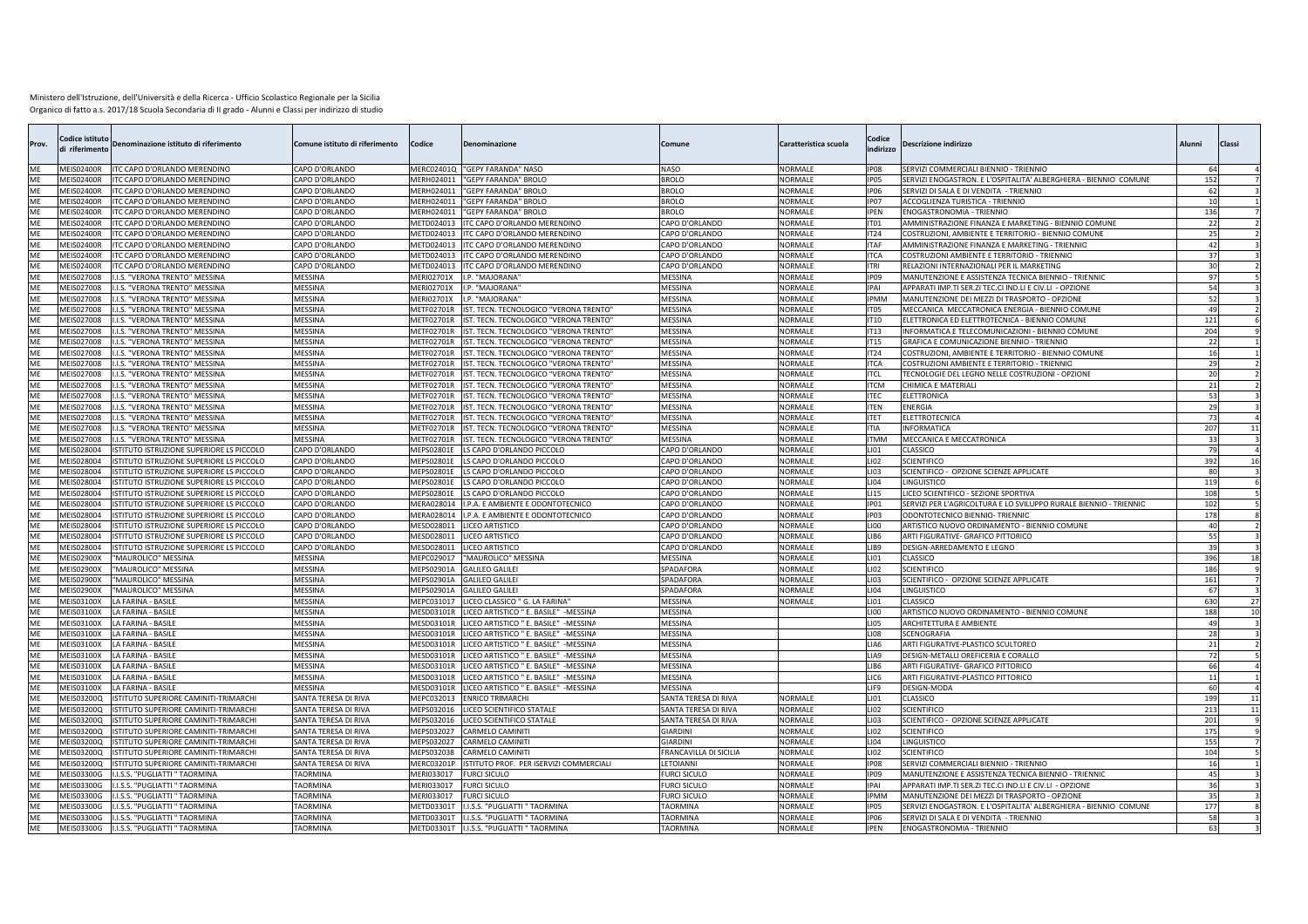| Prov.     | Codice istitut<br>di riferimento       | Denominazione istituto di riferimento                         | Comune istituto di riferimento | Codice                          | <b>Denominazion</b>                                                             | Comun                 | Caratteristica scuola | Codice<br>ndirizzo              | escrizione indirizzo                                                                             | Alunni          | Classi   |    |
|-----------|----------------------------------------|---------------------------------------------------------------|--------------------------------|---------------------------------|---------------------------------------------------------------------------------|-----------------------|-----------------------|---------------------------------|--------------------------------------------------------------------------------------------------|-----------------|----------|----|
| ME        | <b>MEIS02400R</b>                      | <b>IC CAPO D'ORLANDO MERENDINO</b>                            | CAPO D'ORLANDO                 | MERC02401Q                      | "GEPY FARANDA" NASO                                                             | NASO                  | NORMALE               | IP <sub>08</sub>                | SERVIZI COMMERCIALI BIENNIO - TRIENNIO                                                           | 64              |          |    |
| ME        | <b>MEIS02400R</b>                      | <b>IC CAPO D'ORLANDO MERENDINO</b>                            | CAPO D'ORLANDO                 | MERH024011                      | GEPY FARANDA" BROLO                                                             | ROLO                  | NORMALE               | <b>PO5</b>                      | SERVIZI ENOGASTRON. E L'OSPITALITA' ALBERGHIERA - BIENNIO COMUNE                                 | 15              |          |    |
| ME        | <b>MEIS02400R</b>                      | <b>IC CAPO D'ORLANDO MERENDINO</b>                            | <b>CAPO D'ORLANDO</b>          | MERH024011                      | "GEPY FARANDA" BROLO                                                            | <b>BROLO</b>          | NORMALE               | <b>IP06</b>                     | SERVIZI DI SALA E DI VENDITA - TRIENNIO                                                          | 62              |          |    |
| ME        | <b>MEIS02400R</b>                      | <b>IC CAPO D'ORLANDO MERENDINO</b>                            | CAPO D'ORLANDO                 | MERH024011                      | <b>GEPY FARANDA" BROLO</b>                                                      | <b>BROLO</b>          | NORMALE               | IP <sub>07</sub>                | ACCOGLIENZA TURISTICA - TRIENNIO                                                                 | 10              |          |    |
| ME        | <b>MEIS02400R</b>                      | IC CAPO D'ORLANDO MERENDINO                                   | <b>CAPO D'ORLANDO</b>          | MERH024011                      | "GEPY FARANDA" BROLO                                                            | <b>BROLO</b>          | NORMALE               | <b>IPEN</b>                     | ENOGASTRONOMIA - TRIENNIC                                                                        | 136             |          |    |
| ME        | <b>MEIS02400R</b>                      | IC CAPO D'ORLANDO MERENDINO                                   | CAPO D'ORLANDO                 | METD024013                      | <b>IC CAPO D'ORLANDO MERENDINO</b>                                              | CAPO D'ORLANDO        | NORMALE               | IT <sub>01</sub>                | AMMINISTRAZIONE FINANZA E MARKETING - BIENNIO COMUNE                                             |                 |          |    |
| ME        | <b>MEIS02400R</b>                      | TC CAPO D'ORLANDO MERENDINO                                   | CAPO D'ORLANDO                 | METD024013                      | ITC CAPO D'ORLANDO MERENDINO                                                    | CAPO D'ORLANDO        | NORMALE               | IT24                            | COSTRUZIONI, AMBIENTE E TERRITORIO - BIENNIO COMUNE                                              |                 |          |    |
| ME        | <b>MEIS02400R</b>                      | <b>IC CAPO D'ORLANDO MERENDINO</b>                            | CAPO D'ORLANDO                 | METD024013                      | TC CAPO D'ORLANDO MERENDINO                                                     | CAPO D'ORLANDO        | <b>NORMALE</b>        | <b>ITAF</b>                     | AMMINISTRAZIONE FINANZA E MARKETING - TRIENNIO                                                   |                 | $\Delta$ |    |
| ME<br>ME  | <b>MEIS02400R</b>                      | C CAPO D'ORLANDO MERENDINO                                    | CAPO D'ORLANDO                 | METD024013                      | <b>IC CAPO D'ORLANDO MERENDINO</b>                                              | CAPO D'ORLANDO        | NORMALE               | <b>ITCA</b><br><b>TRI</b>       | COSTRUZIONI AMBIENTE E TERRITORIO - TRIENNIC                                                     |                 |          |    |
| ME        | <b>MEIS02400R</b>                      | C CAPO D'ORLANDO MERENDINO                                    | APO D'ORLANDO                  | METD024013                      | <b>IC CAPO D'ORLANDO MERENDINO</b>                                              | CAPO D'ORLANDO        | VORMALE               |                                 | RELAZIONI INTERNAZIONALI PER IL MARKETING                                                        |                 |          |    |
| ME        | MEIS027008<br>MEIS027008               | I.S. "VERONA TRENTO" MESSINA<br>I.S. "VERONA TRENTO" MESSINA  | MESSINA<br>MESSINA             | <b>MERIO2701X</b>               | P. "MAJORANA"                                                                   | MESSINA<br>MESSINA    | NORMALE<br>NORMALE    | IP <sub>09</sub><br><b>IPAI</b> | MANUTENZIONE E ASSISTENZA TECNICA BIENNIO - TRIENNIC                                             |                 | 54       |    |
| ME        |                                        |                                                               |                                | <b>MERI02701X</b>               | P. "MAJORANA'                                                                   |                       |                       | <b>IPMM</b>                     | APPARATI IMP.TI SER.ZI TEC.CI IND.LI E CIV.LI - OPZIONE                                          |                 |          |    |
| ME        | MEIS027008<br>MEIS027008               | I.S. "VERONA TRENTO" MESSINA<br>.I.S. "VERONA TRENTO" MESSINA | MESSINA<br>MESSINA             | <b>MERIO2701X</b><br>METF02701R | P. "MAJORANA'<br>IST. TECN. TECNOLOGICO "VERONA TRENTO"                         | MESSINA<br>MESSINA    | NORMALE<br>NORMALE    | T <sub>05</sub>                 | MANUTENZIONE DEI MEZZI DI TRASPORTO - OPZIONE<br>MECCANICA MECCATRONICA ENERGIA - BIENNIO COMUNE | $\Delta$        |          |    |
| ME        | MEIS027008                             | .I.S. "VERONA TRENTO" MESSINA                                 | MESSINA                        | METF02701R                      | IST. TECN. TECNOLOGICO "VERONA TRENTO"                                          | MESSINA               | NORMALE               | IT10                            | ELETTRONICA ED ELETTROTECNICA - BIENNIO COMUNE                                                   | 12 <sub>2</sub> |          |    |
| ME        | MEIS027008                             | I.S. "VERONA TRENTO" MESSINA                                  | MESSINA                        | METF02701R                      | IST. TECN. TECNOLOGICO "VERONA TRENTO"                                          | MESSINA               | <b>NORMALE</b>        | IT13                            | INFORMATICA E TELECOMUNICAZIONI - BIENNIO COMUNE                                                 | 204             |          |    |
| ME        | MEIS027008                             | I.S. "VERONA TRENTO" MESSINA                                  | MESSINA                        | METF02701R                      | IST. TECN. TECNOLOGICO "VERONA TRENTO"                                          | MESSINA               | NORMALE               | <b>IT15</b>                     | GRAFICA E COMUNICAZIONE BIENNIO - TRIENNIO                                                       |                 |          |    |
| ME        | MEIS027008                             | I.S. "VERONA TRENTO" MESSINA                                  | MESSINA                        | METF02701R                      | IST. TECN. TECNOLOGICO "VERONA TRENTO"                                          | MESSINA               | NORMALE               | IT24                            | COSTRUZIONI, AMBIENTE E TERRITORIO - BIENNIO COMUNE                                              |                 |          |    |
| ME        | MEIS027008                             | I.S. "VERONA TRENTO" MESSINA                                  | MESSINA                        | <b>METF02701R</b>               | IST. TECN. TECNOLOGICO "VERONA TRENTO"                                          | MESSINA               | <b>NORMALE</b>        | <b>ITCA</b>                     | COSTRUZIONI AMBIENTE E TERRITORIO - TRIENNIC                                                     |                 |          |    |
| ME        | MEIS027008                             | I.S. "VERONA TRENTO" MESSINA                                  | MESSINA                        | METF02701R                      | IST. TECN. TECNOLOGICO "VERONA TRENTO"                                          | MESSINA               | NORMALE               | <b>ITCL</b>                     | TECNOLOGIE DEL LEGNO NELLE COSTRUZIONI - OPZIONE                                                 |                 |          |    |
| ME        | MEIS027008                             | I.S. "VERONA TRENTO" MESSINA                                  | MESSINA                        | METF02701R                      | ST. TECN. TECNOLOGICO "VERONA TRENTO"                                           | MESSINA               | NORMALE               | <b>TCM</b>                      | CHIMICA E MATERIALI                                                                              |                 |          |    |
| ME        | MEIS027008                             | I.S. "VERONA TRENTO" MESSINA                                  | MESSINA                        | METF02701R                      | ST. TECN. TECNOLOGICO "VERONA TRENTO"                                           | MESSINA               | NORMALE               | <b>ITEC</b>                     | <b>ELETTRONICA</b>                                                                               |                 |          |    |
| ME        | MEIS027008                             | I.S. "VERONA TRENTO" MESSINA                                  | MESSINA                        | METF02701R                      | <b>ST. TECN. TECNOLOGICO "VERONA TRENTO"</b>                                    | MESSINA               | NORMALE               | <b>ITEN</b>                     | ENERGIA                                                                                          |                 |          |    |
| ME        | MEIS027008                             | I.S. "VERONA TRENTO" MESSINA                                  | MESSINA                        | METF02701R                      | ST. TECN. TECNOLOGICO "VERONA TRENTO"                                           | MESSINA               | NORMALE               | ITET                            | ELETTROTECNICA                                                                                   |                 |          |    |
| ME        | MEIS027008                             | I.S. "VERONA TRENTO" MESSINA                                  | MESSINA                        | METF02701R                      | IST. TECN. TECNOLOGICO "VERONA TRENTO"                                          | MESSINA               | NORMALE               | <b>TIA</b>                      | <b>INFORMATICA</b>                                                                               | 207             |          | 11 |
| ME        | MFIS027008                             | I.S. "VERONA TRENTO" MESSINA                                  | MESSINA                        | METF02701R                      | <b>IST. TECN. TECNOLOGICO "VERONA TRENTO"</b>                                   | MESSINA               | <b>NORMALE</b>        | <b>ITMM</b>                     | MECCANICA E MECCATRONICA                                                                         |                 |          |    |
| ME        | MEIS028004                             | STITUTO ISTRUZIONE SUPERIORE LS PICCOLO                       | CAPO D'ORLANDO                 | MEPS02801E                      | LS CAPO D'ORLANDO PICCOLO                                                       | CAPO D'ORLANDO        | <b>NORMALE</b>        | LIO1                            | CLASSICO                                                                                         |                 |          |    |
| ME        | MEIS028004                             | STITUTO ISTRUZIONE SUPERIORE LS PICCOLO                       | CAPO D'ORLANDO                 | MEPS02801E                      | S CAPO D'ORLANDO PICCOLO                                                        | CAPO D'ORLANDO        | NORMALE               | 102                             | <b>SCIENTIFICO</b>                                                                               | 392             |          | 16 |
| ME        | MEIS028004                             | STITUTO ISTRUZIONE SUPERIORE LS PICCOLO                       | CAPO D'ORLANDO                 | MEPS02801E                      | LS CAPO D'ORLANDO PICCOLO                                                       | CAPO D'ORLANDO        | NORMALE               | LI03                            | SCIENTIFICO - OPZIONE SCIENZE APPLICATE                                                          | $\mathcal{R}$   |          |    |
| ME        | MEIS028004                             | STITUTO ISTRUZIONE SUPERIORE LS PICCOLO                       | CAPO D'ORLANDO                 | MEPS02801E                      | LS CAPO D'ORLANDO PICCOLO                                                       | CAPO D'ORLANDO        | <b>NORMALE</b>        | LI04                            | LINGUISTICO                                                                                      | 119             |          |    |
| ME        | MEIS028004                             | STITUTO ISTRUZIONE SUPERIORE LS PICCOLO                       | CAPO D'ORLANDO                 | MEPS02801E                      | LS CAPO D'ORLANDO PICCOLO                                                       | CAPO D'ORLANDO        | NORMALE               | LI15                            | LICEO SCIENTIFICO - SEZIONE SPORTIVA                                                             | 10              |          |    |
| ME        | MEIS028004                             | STITUTO ISTRUZIONE SUPERIORE LS PICCOLO                       | CAPO D'ORLANDO                 | MERA028014                      | I.P.A. E AMBIENTE E ODONTOTECNICO                                               | CAPO D'ORLANDO        | NORMALE               | P01                             | SERVIZI PER L'AGRICOLTURA E LO SVILUPPO RURALE BIENNIO - TRIENNIO                                | 102             |          |    |
| ME        | MEIS028004                             | STITUTO ISTRUZIONE SUPERIORE LS PICCOLO                       | CAPO D'ORLANDC                 | MERA028014                      | I.P.A. E AMBIENTE E ODONTOTECNICO                                               | CAPO D'ORLANDO        | NORMALE               | IPO3                            | ODONTOTECNICO BIENNIO- TRIENNIO                                                                  | 17              |          |    |
| ME        | MEIS028004                             | STITUTO ISTRUZIONE SUPERIORE LS PICCOLO                       | CAPO D'ORLANDO                 | MESD028011                      | LICEO ARTISTICO                                                                 | CAPO D'ORLANDO        | NORMALE               | LI00                            | ARTISTICO NUOVO ORDINAMENTO - BIENNIO COMUNE                                                     |                 |          |    |
| ME        | MEIS028004                             | STITUTO ISTRUZIONE SUPERIORE LS PICCOLO                       | CAPO D'ORLANDO                 | MESD028011                      | <b>ICEO ARTISTICO</b>                                                           | CAPO D'ORLANDO        | NORMALE               | IB <sub>6</sub>                 | ARTI FIGURATIVE- GRAFICO PITTORICO                                                               |                 |          |    |
| ME        | MEIS028004                             | STITUTO ISTRUZIONE SUPERIORE LS PICCOLO                       | CAPO D'ORLANDO                 | MESD028011                      | LICEO ARTISTICO                                                                 | CAPO D'ORLANDO        | NORMALE               | LIB9                            | DESIGN-ARREDAMENTO E LEGNO                                                                       |                 |          |    |
| ME        | <b>MEIS02900X</b>                      | MAUROLICO" MESSINA                                            | MESSINA                        | MEPC029017                      | "MAUROLICO" MESSINA                                                             | MESSINA               | NORMALE               | LI01                            | CLASSICO                                                                                         | 396             |          | 18 |
| ME        | <b>MEIS02900X</b>                      | MAUROLICO" MESSINA                                            | MESSINA                        | MEPS02901A                      | <b>GALILEO GALILEI</b>                                                          | <b>SPADAFORA</b>      | <b>NORMALE</b>        | LI02                            | <b>SCIENTIFICO</b>                                                                               | 18              |          |    |
| ME        | <b>MEIS02900X</b>                      | MAUROLICO" MESSINA                                            | MESSINA                        | MEPS02901A                      | <b>GALILEO GALILEI</b>                                                          | SPADAFORA             | NORMALE               | LIO3                            | SCIENTIFICO - OPZIONE SCIENZE APPLICATE                                                          | 161             |          |    |
| ME        | <b>MEIS02900X</b>                      | MAUROLICO" MESSINA                                            | MESSINA                        | MEPS02901A                      | <b>GALILEO GALILEI</b>                                                          | SPADAFORA             | NORMALE               | LI04                            | LINGUISTICO                                                                                      | -67             |          |    |
| ME        | MEIS03100X                             | A FARINA - BASILE                                             | MESSINA                        | MEPC031017                      | LICEO CLASSICO " G. LA FARINA"                                                  | MESSINA               | NORMALE               | LIO1                            | CLASSICO                                                                                         | 630             |          | 27 |
| ME<br>ME  | MEIS03100X<br><b>MEIS03100X</b>        | A FARINA - BASILE<br>A FARINA - BASILE                        | MESSINA<br>MESSINA             | MESD03101R<br>MESD03101R        | LICEO ARTISTICO " E. BASILE" - MESSINA<br>LICEO ARTISTICO " E. BASILE" -MESSINA | MESSINA<br>MESSINA    |                       | LIOO<br><b>LIO5</b>             | ARTISTICO NUOVO ORDINAMENTO - BIENNIO COMUNE<br>ARCHITETTURA E AMBIENTE                          | 188             |          | 10 |
|           |                                        |                                                               |                                |                                 |                                                                                 |                       |                       |                                 |                                                                                                  |                 |          |    |
| ME<br>ME  | <b>MEIS03100X</b><br><b>MEIS03100X</b> | A FARINA - BASILE<br>A FARINA - BASILE                        | MESSINA<br><b>MESSINA</b>      | MESD03101R<br>MESD03101R        | LICEO ARTISTICO " E. BASILE" - MESSINA<br>ICEO ARTISTICO " E. BASILE" - MESSINA | MESSINA<br>MESSINA    |                       | LI08<br>LIA6                    | SCENOGRAFIA<br>ARTI FIGURATIVE-PLASTICO SCULTOREO                                                |                 |          |    |
| ME        | MFIS03100X                             | A FARINA - BASILE                                             | <b>MESSINA</b>                 | MESD03101R                      | ICEO ARTISTICO " E. BASILE"<br>-MESSINA                                         | MESSINA               |                       | IA9                             | DESIGN-METALLI OREFICERIA E CORALLO                                                              |                 |          |    |
| ME        | <b>MEIS03100X</b>                      | A FARINA - BASILE                                             | MESSINA                        | MESD03101R                      | LICEO ARTISTICO " E. BASILE" -MESSINA                                           | MESSINA               |                       | LIB6                            | ARTI FIGURATIVE- GRAFICO PITTORICO                                                               |                 | 66       |    |
| ME        | MEIS03100X                             | A FARINA - BASILE                                             | MESSINA                        | MESD03101R                      | ICEO ARTISTICO " E. BASILE" - MESSINA                                           | MESSINA               |                       | LIC6                            | ARTI FIGURATIVE-PLASTICO PITTORICO                                                               | 11              |          |    |
| ME        | <b>MEIS03100X</b>                      | A FARINA - BASILE                                             | <b>MESSINA</b>                 | MESD03101R                      | LICEO ARTISTICO " E. BASILE" -MESSINA                                           | <b>MESSINA</b>        |                       | LIEG                            | <b>DESIGN-MODA</b>                                                                               | 60              |          |    |
| ME        | MEIS03200Q                             | STITUTO SUPERIORE CAMINITI-TRIMARCHI                          | SANTA TERESA DI RIVA           | MEPC032013                      | <b>INRICO TRIMARCHI</b>                                                         | SANTA TERESA DI RIVA  | <b>NORMALE</b>        | LI01                            | CLASSICO                                                                                         | 199             |          | 11 |
| <b>ME</b> | MEIS03200Q                             | <b>ISTITUTO SUPERIORE CAMINITI-TRIMARCHI</b>                  | SANTA TERESA DI RIVA           | MEPS032016                      | LICEO SCIENTIFICO STATALE                                                       | SANTA TERESA DI RIVA  | <b>NORMALE</b>        | <b>LIO2</b>                     | <b>SCIENTIFICO</b>                                                                               | 213             |          | 11 |
| ME        | MEIS03200Q                             | <b>ISTITUTO SUPERIORE CAMINITI-TRIMARCH</b>                   | SANTA TERESA DI RIVA           | MEPS032016                      | LICEO SCIENTIFICO STATALE                                                       | SANTA TERESA DI RIVA  | <b>NORMALE</b>        | LI03                            | SCIENTIFICO - OPZIONE SCIENZE APPLICATE                                                          | 201             |          |    |
| ME        | MEIS03200Q                             | STITUTO SUPERIORE CAMINITI-TRIMARCH                           | SANTA TERESA DI RIVA           | MEPS032027                      | ARMELO CAMINITI                                                                 | <b>GIARDINI</b>       | NORMALE               | LIO2                            | <b>SCIENTIFICO</b>                                                                               | 17              |          |    |
| <b>ME</b> | MEIS03200Q                             | STITUTO SUPERIORE CAMINITI-TRIMARCH                           | SANTA TERESA DI RIVA           | MEPS032027                      | ARMELO CAMINITI                                                                 | <b>HARDIN</b>         | NORMALE               | LI04                            | LINGUISTICO                                                                                      | 155             |          |    |
| ME        | MEIS03200Q                             | STITUTO SUPERIORE CAMINITI-TRIMARCH                           | SANTA TERESA DI RIVA           | MEPS032038                      | ARMELO CAMINITI                                                                 | RANCAVILLA DI SICILIA | NORMALE               | LI02                            | <b>SCIENTIFICO</b>                                                                               | 10 <sub>4</sub> |          |    |
| ME        | MEIS03200Q                             | STITUTO SUPERIORE CAMINITI-TRIMARCH                           | SANTA TERESA DI RIVA           | MERC03201P                      | STITUTO PROF. PER ISERVIZI COMMERCIALI                                          | <b>ETOIANNI</b>       | NORMALE               | IP <sub>08</sub>                | SERVIZI COMMERCIALI BIENNIO - TRIENNIO                                                           |                 |          |    |
| ME        | MEIS03300G                             | I.S.S. "PUGLIATTI " TAORMINA                                  | <b>TAORMINA</b>                | MERI033017                      | URCI SICULO                                                                     | URCI SICULO           | NORMALE               | P <sub>09</sub>                 | MANUTENZIONE E ASSISTENZA TECNICA BIENNIO - TRIENNIC                                             |                 |          |    |
| ME        | MEIS03300G                             | I.S.S. "PUGLIATTI " TAORMINA                                  | <b>AORMINA</b>                 | MERI033017                      | <b>FURCI SICULO</b>                                                             | URCI SICULO           | NORMALE               | <b>IPAI</b>                     | APPARATI IMP.TI SER.ZI TEC.CI IND.LI E CIV.LI - OPZIONE                                          |                 |          |    |
| ME        | MFIS03300G                             | I.S.S. "PUGLIATTI " TAORMINA                                  | <b>AORMINA</b>                 | MERI033017                      | URCI SICULO                                                                     | URCI SICULO           | NORMALE               | <b>IPMM</b>                     | MANUTENZIONE DEI MEZZI DI TRASPORTO - OPZIONE                                                    |                 |          |    |
| ME        | MEIS03300G                             | I.S.S. "PUGLIATTI " TAORMINA                                  | <b>AORMINA</b>                 | METD03301T                      | I.S.S. "PUGLIATTI " TAORMINA                                                    | TAORMINA              | NORMALE               | IP <sub>05</sub>                | SERVIZI ENOGASTRON. E L'OSPITALITA' ALBERGHIERA - BIENNIO COMUNE                                 | 17 <sub>1</sub> |          |    |
| ME        | MEIS03300G                             | I.S.S. "PUGLIATTI " TAORMINA                                  | <b>TAORMINA</b>                | METD03301T                      | .I.S.S. "PUGLIATTI " TAORMINA                                                   | <b>TAORMINA</b>       | NORMALE               | IPO6                            | SERVIZI DI SALA E DI VENDITA - TRIENNIO                                                          |                 |          |    |
| <b>ME</b> | MEIS03300G                             | .I.S.S. "PUGLIATTI " TAORMINA                                 | <b>TAORMINA</b>                |                                 | METD03301T I.I.S.S. "PUGLIATTI " TAORMINA                                       | TAORMINA              | <b>NORMALE</b>        | <b>IPEN</b>                     | ENOGASTRONOMIA - TRIENNIO                                                                        |                 | 63       |    |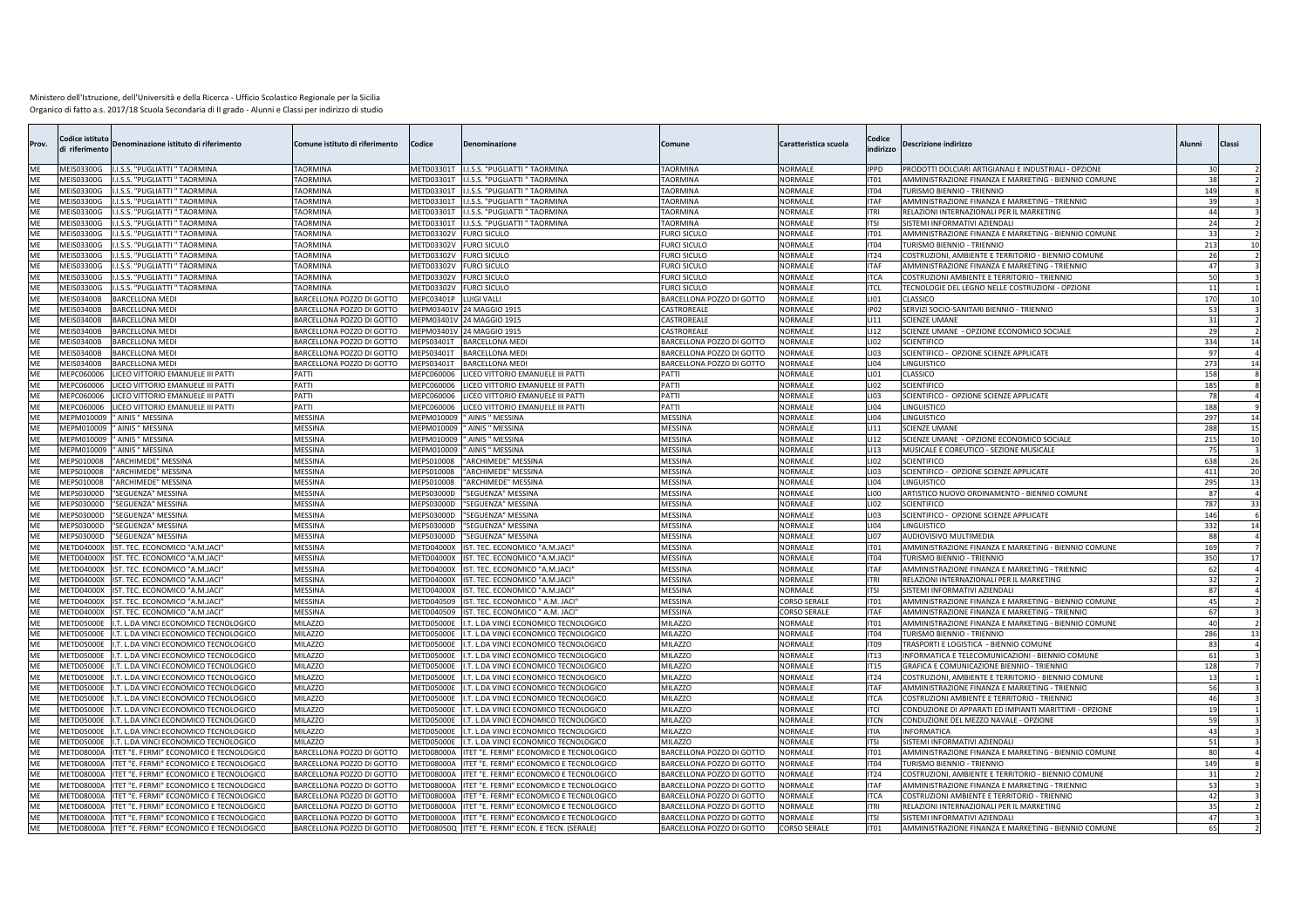| Prov.     | odice istitut:<br>li riferimento       | Denominazione istituto di riferimento                      | Comune istituto di riferimento                         | Codice                   | Denominazione                                              | omune:                                   | Caratteristica scuola            | Codice<br>indirizzo        | escrizione indirizzo                                              | Alunni                |                | Classi          |
|-----------|----------------------------------------|------------------------------------------------------------|--------------------------------------------------------|--------------------------|------------------------------------------------------------|------------------------------------------|----------------------------------|----------------------------|-------------------------------------------------------------------|-----------------------|----------------|-----------------|
| MF        | MEIS03300G                             | .I.S.S. "PUGLIATTI " TAORMINA                              | <b>TAORMINA</b>                                        | METD03301T               | .I.S.S. "PUGLIATTI " TAORMINA                              | <b>AORMINA</b>                           | <b>NORMALE</b>                   | <b>IPPD</b>                | PRODOTTI DOLCIARI ARTIGIANALI E INDUSTRIALI - OPZIONE             |                       |                |                 |
|           | MEIS03300G                             | .I.S.S. "PUGLIATTI " TAORMINA                              | TAORMINA                                               | METD03301T               | I.S.S. "PUGLIATTI " TAORMINA                               | <b>AORMINA</b>                           | NORMALE                          | IT <sub>01</sub>           | AMMINISTRAZIONE FINANZA E MARKETING - BIENNIO COMUNE              |                       |                |                 |
| ME        | MEIS03300G                             | .I.S.S. "PUGLIATTI " TAORMINA                              | TAORMINA                                               |                          | METD03301T I.I.S.S. "PUGLIATTI " TAORMINA                  | <b>AORMINA</b>                           | <b>NORMALE</b>                   | IT <sub>04</sub>           | TURISMO BIENNIO - TRIENNIO                                        | 149                   |                |                 |
| MF        | MEIS03300G                             | .I.S.S. "PUGLIATTI " TAORMINA                              | <b>TAORMINA</b>                                        | METD03301T               | .I.S.S. "PUGLIATTI " TAORMINA                              | <b>AORMINA</b>                           | <b>NORMALE</b>                   | <b>ITAF</b>                | AMMINISTRAZIONE FINANZA E MARKETING - TRIENNIO                    |                       |                |                 |
| MF        | MEIS03300G                             | .I.S.S. "PUGLIATTI " TAORMINA                              | TAORMINA                                               | METD03301T               | I.I.S.S. "PUGLIATTI " TAORMINA                             | <b>TAORMINA</b>                          | <b>NORMALE</b>                   | <b>ITRI</b>                | RELAZIONI INTERNAZIONALI PER IL MARKETING                         |                       | $\Delta\Delta$ |                 |
| ME        | MEIS03300G                             | .I.S.S. "PUGLIATTI " TAORMINA                              | <b>TAORMINA</b>                                        | METD03301T               | I.I.S.S. "PUGLIATTI " TAORMINA                             | <b>TAORMINA</b>                          | <b>NORMALE</b>                   | <b>ITSI</b>                | SISTEMI INFORMATIVI AZIENDALI                                     |                       |                |                 |
| MF        | MEIS03300G                             | I.I.S.S. "PUGLIATTI " TAORMINA                             | TAORMINA                                               | METD03302V               | <b>FURCI SICULO</b>                                        | URCI SICULO                              | <b>NORMALE</b>                   | ITO1                       | AMMINISTRAZIONE FINANZA E MARKETING - BIENNIO COMUNE              |                       | -23            |                 |
| MF        | MEIS03300G                             | I.I.S.S. "PUGLIATTI " TAORMINA                             | TAORMINA                                               | METD03302V               | <b>FURCI SICULO</b>                                        | FURCI SICULO                             | NORMALE                          | IT <sub>04</sub>           | TURISMO BIENNIO - TRIENNIO                                        | 213                   |                | 10 <sup>1</sup> |
| MF        | MEIS03300G                             | .I.S.S. "PUGLIATTI " TAORMINA                              | TAORMINA                                               | METD03302V               | <b>FURCI SICULO</b>                                        | URCI SICULO                              | NORMALE                          | <b>IT24</b>                | COSTRUZIONI, AMBIENTE E TERRITORIO - BIENNIO COMUNE               |                       |                |                 |
| MF        | MEIS03300G                             | .I.S.S. "PUGLIATTI " TAORMINA                              | <b>TAORMINA</b>                                        | <b>METD03302V</b>        | URCI SICULO                                                | URCI SICULO                              | NORMALE                          | <b>ITAF</b>                | AMMINISTRAZIONE FINANZA E MARKETING - TRIENNIO                    |                       |                |                 |
| MF<br>MF  | MEIS03300G                             | .I.S.S. "PUGLIATTI " TAORMINA                              | TAORMINA                                               | METD03302V               | URCI SICULO                                                | URCI SICULO                              | <b>NORMALE</b><br><b>NORMALE</b> | <b>ITCA</b><br><b>ITCL</b> | COSTRUZIONI AMBIENTE E TERRITORIO - TRIENNIC                      |                       |                |                 |
| MF        | MEIS03300G                             | <b>.I.S.S. "PUGLIATTI " TAORMINA</b>                       | <b>TAORMINA</b>                                        | METD03302V               | URCI SICULO                                                | URCI SICULO                              |                                  |                            | TECNOLOGIE DEL LEGNO NELLE COSTRUZIONI - OPZIONE                  |                       |                |                 |
| MF        | <b>MEIS03400B</b><br><b>MEIS03400B</b> | <b>BARCELLONA MED</b><br><b>BARCELLONA MEDI</b>            | BARCELLONA POZZO DI GOTTO                              | MEPC03401P<br>MEPM03401V | UIGI VALLI                                                 | BARCELLONA POZZO DI GOTTO<br>CASTROREALE | <b>NORMALE</b><br><b>NORMALE</b> | LI01<br>IP <sub>02</sub>   | CLASSICO                                                          | 17                    | -53            | 10              |
| ME        | MEIS03400B                             | BARCELLONA MED                                             | BARCELLONA POZZO DI GOTTO<br>BARCELLONA POZZO DI GOTTO | MEPM03401V               | 24 MAGGIO 1915<br>24 MAGGIO 1915                           | CASTROREALE                              | NORMALE                          | <b>LI11</b>                | SERVIZI SOCIO-SANITARI BIENNIO - TRIENNIO<br><b>SCIENZE UMANE</b> |                       |                |                 |
|           | MEIS03400B                             | <b>BARCELLONA MEDI</b>                                     | BARCELLONA POZZO DI GOTTO                              | MEPM03401V               | 24 MAGGIO 1915                                             | CASTROREALE                              | <b>NORMALE</b>                   | LI2                        | SCIENZE UMANE - OPZIONE ECONOMICO SOCIALE                         |                       |                |                 |
| ME<br>ME  | <b>MEIS03400B</b>                      | <b>BARCELLONA MEDI</b>                                     | BARCELLONA POZZO DI GOTTO                              | <b>MEPS03401T</b>        | <b>BARCELLONA MEDI</b>                                     | BARCELLONA POZZO DI GOTTO                | <b>NORMALE</b>                   | <b>LIO2</b>                | <b>SCIENTIFICO</b>                                                | 33                    |                | 14              |
| ME        | MEIS03400B                             |                                                            | BARCELLONA POZZO DI GOTTO                              | MEPS03401T               | <b>BARCELLONA MEDI</b>                                     | BARCELLONA POZZO DI GOTTO                | <b>NORMALE</b>                   | LI03                       | SCIENTIFICO - OPZIONE SCIENZE APPLICATE                           | q                     |                |                 |
|           |                                        | BARCELLONA MEDI                                            |                                                        |                          |                                                            |                                          |                                  |                            |                                                                   |                       |                |                 |
| ME<br>MF  | MEIS03400B<br>MEPC060006               | <b>BARCELLONA MEDI</b><br>ICEO VITTORIO EMANUELE III PATTI | BARCELLONA POZZO DI GOTTO<br>PATTI                     | MEPS03401T<br>MEPC060006 | BARCELLONA MEDI<br><b>ICEO VITTORIO EMANUELE III PATTI</b> | BARCELLONA POZZO DI GOTTO<br>PATTI       | <b>NORMALE</b><br>NORMALE        | LI04<br>LI01               | LINGUISTICO<br>CLASSICO                                           | 27 <sup>3</sup><br>15 |                | 14              |
| ME        | MEPC060006                             | ICEO VITTORIO EMANUELE III PATTI                           | PATTI                                                  | MEPC060006               | LICEO VITTORIO EMANUELE III PATTI                          | PATTI                                    | <b>NORMALE</b>                   | <b>LIO2</b>                | <b>SCIENTIFICO</b>                                                | 185                   |                |                 |
| MF        | MFPC060006                             | ICEO VITTORIO EMANUELE III PATTI                           | PATTI                                                  | MEPC060006               | LICEO VITTORIO EMANUELE III PATT                           | PATTI                                    | <b>NORMALE</b>                   | LI03                       | SCIENTIFICO - OPZIONE SCIENZE APPLICATE                           |                       |                |                 |
| MF        | MEPC060006                             | ICEO VITTORIO EMANUELE III PATTI                           | PATTI                                                  | MEPC060006               | LICEO VITTORIO EMANUELE III PATTI                          | PATTI                                    | NORMALE                          | <b>LI04</b>                | LINGUISTICO                                                       | 188                   |                |                 |
| MF        | MEPM010009                             | AINIS " MESSINA                                            | MESSINA                                                | MEPM010009               | ' AINIS " MESSINA                                          | MESSINA                                  | NORMALE                          | LI04                       | LINGUISTICO                                                       | 297                   |                | 14              |
| ME        | MEPM010009                             | AINIS " MESSINA                                            | MESSINA                                                | MFPM010009               | " AINIS " MESSINA                                          | <b>MESSINA</b>                           | <b>NORMALE</b>                   | <b>LI11</b>                | <b>SCIENZE UMANE</b>                                              | 288                   |                | 15              |
| ME        | MEPM010009                             | AINIS " MESSINA                                            | MESSINA                                                | MEPM010009               | AINIS " MESSINA                                            | MESSINA                                  | <b>NORMALE</b>                   | 1112                       | SCIENZE UMANE - OPZIONE ECONOMICO SOCIALE                         | 21!                   |                | 10              |
| MF        | MEPM010009                             | AINIS " MESSINA                                            | MESSINA                                                | MEPM010009               | ' AINIS " MESSINA                                          | <b>MESSINA</b>                           | <b>NORMALE</b>                   | L113                       | MUSICALE E COREUTICO - SEZIONE MUSICALE                           |                       |                |                 |
|           | MEPS010008                             | "ARCHIMEDE" MESSINA                                        | <b>MESSINA</b>                                         | MEPS010008               | "ARCHIMEDE" MESSINA                                        | <b>MESSINA</b>                           | <b>NORMALE</b>                   | 1102                       | <b>SCIENTIFICO</b>                                                | 638                   |                | 26              |
| ME        | MEPS010008                             | "ARCHIMEDE" MESSINA                                        | MESSINA                                                | MEPS010008               | "ARCHIMEDE" MESSINA                                        | MESSINA                                  | <b>NORMALE</b>                   | LI03                       | SCIENTIFICO - OPZIONE SCIENZE APPLICATE                           | 411                   |                | 20              |
| ME        | MEPS010008                             | 'ARCHIMEDE" MESSINA                                        | MESSINA                                                | MEPS010008               | "ARCHIMEDE" MESSINA                                        | <b>MESSINA</b>                           | <b>NORMALE</b>                   | LI04                       | LINGUISTICO                                                       | 295                   |                | 13              |
| ME        | MEPS03000D                             | "SEGUENZA" MESSINA                                         | MESSINA                                                | MEPS03000D               | "SEGUENZA" MESSINA                                         | MESSINA                                  | <b>NORMALE</b>                   | LI00                       | ARTISTICO NUOVO ORDINAMENTO - BIENNIO COMUNE                      |                       |                |                 |
| ME        | MEPS03000D                             | 'SEGUENZA" MESSINA                                         | <b>MESSINA</b>                                         | MEPS03000D               | "SEGUENZA" MESSINA                                         | <b>AESSINA</b>                           | <b>NORMALE</b>                   | <b>LIO2</b>                | <b>SCIENTIFICO</b>                                                | 787                   |                | 33              |
| MF        | MFPS03000D                             | SEGUENZA" MESSINA                                          | MESSINA                                                | MEPS03000D               | "SEGUENZA" MESSINA                                         | MESSINA                                  | <b>NORMALE</b>                   | LI03                       | SCIENTIFICO - OPZIONE SCIENZE APPLICATE                           | 14                    |                |                 |
| MF        | MEPS03000D                             | SEGUENZA" MESSINA                                          | MESSINA                                                | MEPS03000D               | "SEGUENZA" MESSINA                                         | MESSINA                                  | <b>NORMALE</b>                   | LI04                       | LINGUISTICO                                                       | 332                   |                | 14              |
| MF        | MEPS03000D                             | SEGUENZA" MESSINA                                          | MESSINA                                                | MEPS03000D               | SEGUENZA" MESSINA                                          | <b>MESSINA</b>                           | <b>NORMALE</b>                   | <b>LI07</b>                | AUDIOVISIVO MULTIMEDIA                                            |                       |                |                 |
| MF        | <b>METD04000X</b>                      | ST. TEC. ECONOMICO "A.M.JACI"                              | MESSINA                                                | <b>METD04000X</b>        | IST. TEC. ECONOMICO "A.M.JACI"                             | <b>MESSINA</b>                           | <b>NORMALE</b>                   | IT <sub>01</sub>           | AMMINISTRAZIONE FINANZA E MARKETING - BIENNIO COMUNE              | 169                   |                |                 |
| MF        | METD04000X                             | ST. TEC. ECONOMICO "A.M.JACI"                              | MESSINA                                                | <b>METD04000X</b>        | IST. TEC. ECONOMICO "A.M.JACI                              | MESSINA                                  | <b>NORMALE</b>                   | IT04                       | TURISMO BIENNIO - TRIENNIO                                        | 350                   |                | 17              |
| MF        | METD04000X                             | ST. TEC. ECONOMICO "A.M.JACI"                              | MESSINA                                                | <b>METD04000X</b>        | IST. TEC. ECONOMICO "A.M.JACI                              | MESSINA                                  | <b>NORMALE</b>                   | <b>ITAF</b>                | AMMINISTRAZIONE FINANZA E MARKETING - TRIENNIO                    |                       |                |                 |
| MF        | METD04000X                             | ST. TEC. ECONOMICO "A.M.JACI"                              | MESSINA                                                | MFTD04000X               | IST. TEC. ECONOMICO "A.M.JACI"                             | MESSINA                                  | NORMALE                          | <b>ITRI</b>                | RELAZIONI INTERNAZIONALI PER IL MARKETING                         |                       |                |                 |
| ME        | <b>METD04000X</b>                      | IST. TEC. ECONOMICO "A.M.JACI"                             | MESSINA                                                | <b>METD04000X</b>        | IST. TEC. ECONOMICO "A.M.JACI"                             | <b>MESSINA</b>                           | <b>NORMALE</b>                   | ITSI                       | SISTEMI INFORMATIVI AZIENDALI                                     |                       | 87             |                 |
| ME        | METD04000X                             | IST. TEC. ECONOMICO "A.M.JACI"                             | MESSINA                                                | METD040509               | IST. TEC. ECONOMICO " A.M. JACI"                           | MESSINA                                  | <b>CORSO SERALE</b>              | ITO1                       | AMMINISTRAZIONE FINANZA E MARKETING - BIENNIO COMUNE              |                       | 45             |                 |
| MF        | METD04000X                             | ST. TEC. ECONOMICO "A.M.JACI"                              | MESSINA                                                | METD040509               | IST. TEC. ECONOMICO " A.M. JACI"                           | MESSINA                                  | <b>CORSO SERALE</b>              | <b>ITAF</b>                | AMMINISTRAZIONE FINANZA E MARKETING - TRIENNIO                    |                       |                |                 |
| MF        | METD05000E                             | I.T. L.DA VINCI ECONOMICO TECNOLOGICO                      | MILAZZO                                                | METD05000E               | I.T. L.DA VINCI ECONOMICO TECNOLOGICO                      | <b>MILAZZO</b>                           | <b>NORMALE</b>                   | IT01                       | AMMINISTRAZIONE FINANZA E MARKETING - BIENNIO COMUNE              |                       |                |                 |
| MF        | METD05000E                             | .T. L.DA VINCI ECONOMICO TECNOLOGICO                       | MILAZZO                                                | METD05000E               | I.T. L.DA VINCI ECONOMICO TECNOLOGICO                      | MILAZZO                                  | <b>NORMALE</b>                   | IT04                       | TURISMO BIENNIO - TRIENNIO                                        | 286                   |                | 13              |
| MF        | <b>METD05000E</b>                      | .T. L.DA VINCI ECONOMICO TECNOLOGICO                       | MILAZZO                                                | <b>METD05000E</b>        | T. L.DA VINCI ECONOMICO TECNOLOGICO                        | MILAZZO                                  | <b>NORMALE</b>                   | <b>IT09</b>                | TRASPORTI E LOGISTICA - BIENNIO COMUNE                            |                       |                |                 |
|           | <b>METD05000E</b>                      | T. L.DA VINCI ECONOMICO TECNOLOGICO                        | MILAZZO                                                | <b>METD05000E</b>        | T. L.DA VINCI ECONOMICO TECNOLOGICO                        | <b>MILAZZO</b>                           | <b>NORMALE</b>                   | IT13                       | INFORMATICA E TELECOMUNICAZIONI - BIENNIO COMUNE                  |                       |                |                 |
| ME        | <b>METD05000E</b>                      | T. L.DA VINCI ECONOMICO TECNOLOGICO                        | <b>MILAZZO</b>                                         | MFTD05000F               | T. L.DA VINCI ECONOMICO TECNOLOGICO                        | <b>MILAZZO</b>                           | <b>NORMALE</b>                   | <b>IT15</b>                | GRAFICA E COMUNICAZIONE BIENNIO - TRIENNIO                        | 128                   |                |                 |
| MF        | <b>METD05000E</b>                      | .T. L.DA VINCI ECONOMICO TECNOLOGICO                       | MILAZZO                                                | <b>METD05000E</b>        | T. L.DA VINCI ECONOMICO TECNOLOGICO                        | MILAZZO                                  | <b>NORMALE</b>                   | IT24                       | COSTRUZIONI, AMBIENTE E TERRITORIO - BIENNIO COMUNE               |                       |                |                 |
| MF        | <b>METD05000E</b>                      | .T. L.DA VINCI ECONOMICO TECNOLOGICO                       | <b>MILAZZO</b>                                         | <b>METD05000E</b>        | T. L.DA VINCI ECONOMICO TECNOLOGICO                        | <b>MILAZZO</b>                           | <b>NORMALE</b>                   | <b>ITAF</b>                | AMMINISTRAZIONE FINANZA E MARKETING - TRIENNIO                    |                       |                |                 |
| MF        | METD05000E                             | .T. L.DA VINCI ECONOMICO TECNOLOGICO                       | MILAZZO                                                | METD05000E               | T. L.DA VINCI ECONOMICO TECNOLOGICO                        | <b>MILAZZO</b>                           | NORMALE                          | <b>ITCA</b>                | COSTRUZIONI AMBIENTE E TERRITORIO - TRIENNIC                      |                       |                |                 |
| MF        | METD05000E                             | I.T. L.DA VINCI ECONOMICO TECNOLOGICO                      | MILAZZO                                                | METD05000E               | I.T. L.DA VINCI ECONOMICO TECNOLOGICO                      | MILAZZO                                  | <b>NORMALE</b>                   | ITCI                       | CONDUZIONE DI APPARATI ED IMPIANTI MARITTIMI - OPZIONE            |                       |                |                 |
| MF        | METD05000E                             | I.T. L.DA VINCI ECONOMICO TECNOLOGICO                      | MILAZZO                                                | <b>METD05000E</b>        | I.T. L.DA VINCI ECONOMICO TECNOLOGICO                      | MILAZZO                                  | <b>NORMALE</b>                   | <b>ITCN</b>                | CONDUZIONE DEL MEZZO NAVALE - OPZIONE                             |                       | 50             |                 |
| MF        | METD05000E                             | T. L.DA VINCI ECONOMICO TECNOLOGICO                        | MILAZZO                                                | METD05000E               | T. L.DA VINCI ECONOMICO TECNOLOGICO                        | <b>MILAZZO</b>                           | NORMALE                          | <b>ITIA</b>                | INFORMATICA                                                       |                       |                |                 |
| <b>ME</b> | <b>METD05000E</b>                      | .T. L.DA VINCI ECONOMICO TECNOLOGICO                       | <b>MILAZZO</b>                                         | <b>METD05000E</b>        | T. L.DA VINCI ECONOMICO TECNOLOGICO                        | <b>AILAZZO</b>                           | NORMALE                          | <b>ITSI</b>                | SISTEMI INFORMATIVI AZIENDALI                                     |                       |                |                 |
| ME        | <b>METD08000A</b>                      | ET "E. FERMI" ECONOMICO E TECNOLOGICO                      | BARCELLONA POZZO DI GOTTO                              | <b>METD08000A</b>        | TET "E. FERMI" ECONOMICO E TECNOLOGICO                     | BARCELLONA POZZO DI GOTTO                | NORMALE                          | ITO1                       | AMMINISTRAZIONE FINANZA E MARKETING - BIENNIO COMUNE              |                       |                |                 |
| MF        | <b>METD08000A</b>                      | TET "E. FERMI" ECONOMICO E TECNOLOGICO                     | BARCELLONA POZZO DI GOTTO                              | <b>METD08000A</b>        | TET "E. FERMI" ECONOMICO E TECNOLOGICO                     | BARCELLONA POZZO DI GOTTO                | NORMALE                          | IT04                       | TURISMO BIENNIO - TRIENNIO                                        | 149                   |                |                 |
|           | <b>METD08000A</b>                      | ET "E. FERMI" ECONOMICO E TECNOLOGICO                      | BARCELLONA POZZO DI GOTTO                              | <b>METD08000A</b>        | TET "E, FERMI" ECONOMICO E TECNOLOGICO                     | BARCELLONA POZZO DI GOTTO                | VORMALE                          | <b>IT24</b>                | COSTRUZIONI, AMBIENTE E TERRITORIO - BIENNIO COMUNE               |                       |                |                 |
| ME        | <b>METD08000A</b>                      | TET "E. FERMI" ECONOMICO E TECNOLOGICO                     | BARCELLONA POZZO DI GOTTO                              | <b>METD08000A</b>        | TET "E. FERMI" ECONOMICO E TECNOLOGICO                     | BARCELLONA POZZO DI GOTTO                | NORMALE                          | <b>ITAF</b>                | AMMINISTRAZIONE FINANZA E MARKETING - TRIENNIO                    |                       |                |                 |
| MF        | <b>METD08000A</b>                      | TET "E. FERMI" ECONOMICO E TECNOLOGICO                     | BARCELLONA POZZO DI GOTTO                              | <b>METD08000A</b>        | TET "E. FERMI" ECONOMICO E TECNOLOGICO                     | BARCELLONA POZZO DI GOTTO                | NORMALE                          | <b>ITCA</b>                | COSTRUZIONI AMBIENTE E TERRITORIO - TRIENNIC                      |                       | $\Delta$       |                 |
| ME        | <b>METD08000A</b>                      | TET "E. FERMI" ECONOMICO E TECNOLOGICO                     | BARCELLONA POZZO DI GOTTO                              | <b>METD08000A</b>        | ITET "E. FERMI" ECONOMICO E TECNOLOGICO                    | BARCELLONA POZZO DI GOTTO                | NORMALE                          | <b>ITRI</b>                | RELAZIONI INTERNAZIONALI PER IL MARKETING                         |                       |                |                 |
| <b>ME</b> | MFTD08000A                             | TET "E. FERMI" ECONOMICO E TECNOLOGICO                     | BARCELLONA POZZO DI GOTTO                              | <b>METD08000A</b>        | TET "E. FERMI" ECONOMICO E TECNOLOGICO                     | BARCELLONA POZZO DI GOTTO                | NORMALE                          | <b>ITSI</b>                | SISTEMI INFORMATIVI AZIENDALI                                     |                       |                |                 |
| <b>ME</b> | <b>METD08000A</b>                      | ITET "E. FERMI" ECONOMICO E TECNOLOGICO                    | BARCELLONA POZZO DI GOTTO                              |                          | METD08050Q ITET "E, FERMI" ECON, E TECN, (SERALE)          | BARCELLONA POZZO DI GOTTO                | <b>CORSO SERALE</b>              | ITO1                       | AMMINISTRAZIONE FINANZA E MARKETING - BIENNIO COMUNE              |                       | 65             |                 |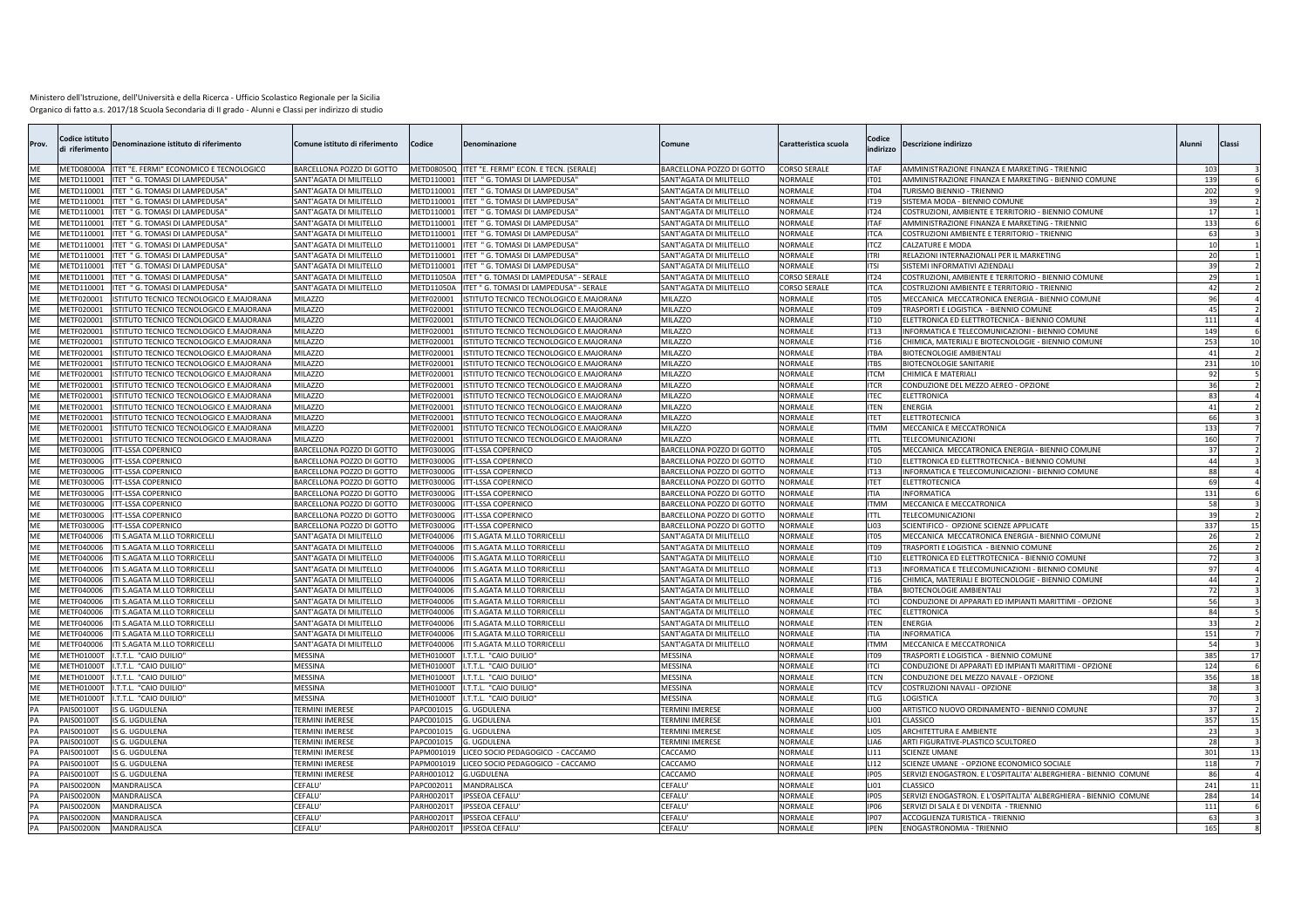| Prov.           | Codice istituto<br>di riferimento | Denominazione istituto di riferimento                                     | Comune istituto di riferimento                     | Codice                   | <b>Denominazion</b>                                                                           | Comune                                             | Caratteristica scuola             | Codice<br>indirizzc             | Descrizione indirizzo                                                                               | Alunni                    | Classi         |    |
|-----------------|-----------------------------------|---------------------------------------------------------------------------|----------------------------------------------------|--------------------------|-----------------------------------------------------------------------------------------------|----------------------------------------------------|-----------------------------------|---------------------------------|-----------------------------------------------------------------------------------------------------|---------------------------|----------------|----|
| <b>ME</b>       |                                   | METD08000A ITET "E, FERMI" ECONOMICO E TECNOLOGICO                        | BARCELLONA POZZO DI GOTTO                          |                          | METD08050Q ITET "E, FERMI" ECON, E TECN, (SERALE)                                             | BARCELLONA POZZO DI GOTTO                          | <b>CORSO SERALE</b>               | <b>ITAF</b>                     | AMMINISTRAZIONE FINANZA E MARKETING - TRIENNIO                                                      | 103                       |                |    |
| ME              |                                   | METD110001 ITET " G. TOMASI DI LAMPEDUSA                                  | SANT'AGATA DI MILITELLO                            | METD110001               | ITET " G. TOMASI DI LAMPEDUSA                                                                 | SANT'AGATA DI MILITELLO                            | NORMALE                           | IT <sub>01</sub>                | AMMINISTRAZIONE FINANZA E MARKETING - BIENNIO COMUNE                                                | 13                        |                |    |
| ME              |                                   | METD110001 ITET " G. TOMASI DI LAMPEDUSA                                  | SANT'AGATA DI MILITELLO                            |                          | METD110001 ITET " G. TOMASI DI LAMPEDUSA'                                                     | SANT'AGATA DI MILITELLO                            | <b>JORMALE</b>                    | IT04                            | <b>TURISMO BIENNIO - TRIENNIO</b>                                                                   | 202                       |                |    |
| <b>ME</b>       |                                   | METD110001 ITET " G. TOMASI DI LAMPEDUSA                                  | SANT'AGATA DI MILITELLO                            |                          | METD110001 ITET " G. TOMASI DI LAMPEDUSA'                                                     | SANT'AGATA DI MILITELLO                            | NORMALE                           | <b>IT19</b>                     | SISTEMA MODA - BIENNIO COMUNE                                                                       |                           |                |    |
| ME              |                                   | METD110001 ITET " G. TOMASI DI LAMPEDUSA                                  | SANT'AGATA DI MILITELLO                            |                          | METD110001 ITET " G. TOMASI DI LAMPEDUSA'                                                     | SANT'AGATA DI MILITELLO                            | NORMALE                           | <b>IT24</b>                     | COSTRUZIONI, AMBIENTE E TERRITORIO - BIENNIO COMUNE                                                 |                           |                |    |
| ME              |                                   | METD110001 ITET " G. TOMASI DI LAMPEDUSA'                                 | SANT'AGATA DI MILITELLO                            |                          | METD110001 ITET " G. TOMASI DI LAMPEDUSA'                                                     | SANT'AGATA DI MILITELLO                            | NORMALE                           | <b>ITAF</b>                     | AMMINISTRAZIONE FINANZA E MARKETING - TRIENNIO                                                      | 133                       |                |    |
| ME              |                                   | METD110001 ITET " G. TOMASI DI LAMPEDUSA'                                 | SANT'AGATA DI MILITELLO                            |                          | METD110001 ITET " G. TOMASI DI LAMPEDUSA'                                                     | SANT'AGATA DI MILITELLO                            | NORMALE                           | <b>ITCA</b>                     | COSTRUZIONI AMBIENTE E TERRITORIO - TRIENNIC                                                        | 63                        |                |    |
| <b>ME</b>       |                                   | METD110001 ITET " G. TOMASI DI LAMPEDUSA                                  | SANT'AGATA DI MILITELLO                            |                          | METD110001 ITET " G. TOMASI DI LAMPEDUSA'                                                     | SANT'AGATA DI MILITELLO                            | NORMALE                           | <b>ITCZ</b>                     | CALZATURE E MODA                                                                                    |                           |                |    |
| ME              |                                   | METD110001 ITET " G. TOMASI DI LAMPEDUSA                                  | SANT'AGATA DI MILITELLO                            |                          | METD110001 ITET " G. TOMASI DI LAMPEDUSA'                                                     | SANT'AGATA DI MILITELLO                            | NORMALE                           | <b>ITRI</b>                     | RELAZIONI INTERNAZIONALI PER IL MARKETING                                                           |                           |                |    |
| ME              |                                   | METD110001 ITET " G. TOMASI DI LAMPEDUSA                                  | SANT'AGATA DI MILITELLO                            |                          | METD110001 ITET " G. TOMASI DI LAMPEDUSA'                                                     | SANT'AGATA DI MILITELLO                            | VORMALE                           | <b>ITSI</b>                     | SISTEMI INFORMATIVI AZIENDALI                                                                       |                           |                |    |
| ME<br>MF        | METD110001                        | METD110001 ITET " G. TOMASI DI LAMPEDUSA'                                 | SANT'AGATA DI MILITELLO<br>SANT'AGATA DI MILITELLO | METD11050A               | METD11050A ITET " G. TOMASI DI LAMPEDUSA" - SERALE<br>ITET " G. TOMASI DI LAMPEDUSA" - SERALE | SANT'AGATA DI MILITELLO<br>SANT'AGATA DI MILITELLO | <b>CORSO SERAL</b><br>CORSO SERAL | IT24<br><b>ITCA</b>             | COSTRUZIONI, AMBIENTE E TERRITORIO - BIENNIO COMUNE<br>COSTRUZIONI AMBIENTE E TERRITORIO - TRIENNIC |                           | $\overline{A}$ |    |
| ME              | METF020001                        | ITET " G. TOMASI DI LAMPEDUSA'<br>ISTITUTO TECNICO TECNOLOGICO E.MAJORANA | <b>MILAZZO</b>                                     | METF020001               |                                                                                               | <b>MILAZZO</b>                                     | NORMALE                           | IT05                            | MECCANICA MECCATRONICA ENERGIA - BIENNIO COMUNE                                                     |                           |                |    |
| ME              | METF020001                        | ISTITUTO TECNICO TECNOLOGICO E.MAJORANA                                   | MILAZZO                                            | METF020001               | ISTITUTO TECNICO TECNOLOGICO E.MAJORANA<br>ISTITUTO TECNICO TECNOLOGICO E.MAJORANA            | MILAZZO                                            | NORMALE                           | IT09                            | TRASPORTI E LOGISTICA - BIENNIO COMUNE                                                              | $\mathbf{A}^{\mathsf{c}}$ |                |    |
| ME              | METF020001                        | ISTITUTO TECNICO TECNOLOGICO E.MAJORANA                                   | <b>MILAZZO</b>                                     | METF020001               | ISTITUTO TECNICO TECNOLOGICO E.MAJORANA                                                       | <b>MILAZZO</b>                                     | NORMALE                           | IT10                            | ELETTRONICA ED ELETTROTECNICA - BIENNIO COMUNE                                                      | 11                        |                |    |
| ME              | METF020001                        | ISTITUTO TECNICO TECNOLOGICO E.MAJORANA                                   | <b>MILAZZO</b>                                     | METF020001               | ISTITUTO TECNICO TECNOLOGICO E.MAJORANA                                                       | MILAZZO                                            | NORMALE                           | <b>IT13</b>                     | INFORMATICA E TELECOMUNICAZIONI - BIENNIO COMUNE                                                    | 149                       |                |    |
| <b>ME</b>       | MFTF020001                        | STITUTO TECNICO TECNOLOGICO E.MAJORANA                                    | <b>MILAZZO</b>                                     | METF020001               | STITUTO TECNICO TECNOLOGICO E.MAJORANA                                                        | MILAZZO                                            | NORMALE                           | IT16                            | CHIMICA, MATERIALI E BIOTECNOLOGIE - BIENNIO COMUNE                                                 | 25                        |                | 10 |
| ME              | METF020001                        | ISTITUTO TECNICO TECNOLOGICO E.MAJORANA                                   | <b>MILAZZO</b>                                     | METF020001               | ISTITUTO TECNICO TECNOLOGICO E.MAJORANA                                                       | <b>MILAZZO</b>                                     | NORMALE                           | <b>ITBA</b>                     | <b>BIOTECNOLOGIE AMBIENTALI</b>                                                                     | $\Delta$ 1                |                |    |
| ME              | METF020001                        | STITUTO TECNICO TECNOLOGICO E.MAJORANA                                    | <b>MILAZZO</b>                                     | METF020001               | ISTITUTO TECNICO TECNOLOGICO E.MAJORANA                                                       | <b>MILAZZO</b>                                     | NORMALE                           | <b>ITBS</b>                     | <b>BIOTECNOLOGIE SANITARIE</b>                                                                      | 231                       |                | 10 |
| ME              | METF020001                        | ISTITUTO TECNICO TECNOLOGICO E.MAJORANA                                   | <b>MILAZZO</b>                                     | METF020001               | ISTITUTO TECNICO TECNOLOGICO E.MAJORANA                                                       | MILAZZO                                            | NORMALE                           | <b>ITCM</b>                     | CHIMICA E MATERIALI                                                                                 | 92                        |                |    |
| ME              | METF020001                        | STITUTO TECNICO TECNOLOGICO E.MAJORANA                                    | MILAZZO                                            | METF020001               | STITUTO TECNICO TECNOLOGICO E.MAJORANA                                                        | MILAZZO                                            | VORMALE                           | <b>ITCR</b>                     | CONDUZIONE DEL MEZZO AEREO - OPZIONE                                                                |                           |                |    |
| ME              | METF020001                        | STITUTO TECNICO TECNOLOGICO E.MAJORANA                                    | <b>MILAZZO</b>                                     | METF020001               | ISTITUTO TECNICO TECNOLOGICO E.MAJORANA                                                       | <b>MILAZZO</b>                                     | NORMALE                           | <b>ITEC</b>                     | ELETTRONICA                                                                                         | 83                        |                |    |
| ME              | METF020001                        | STITUTO TECNICO TECNOLOGICO E.MAJORANA                                    | <b>MILAZZO</b>                                     | METF020001               | STITUTO TECNICO TECNOLOGICO E.MAJORANA                                                        | <b>MILAZZO</b>                                     | NORMALE                           | <b>ITEN</b>                     | ENERGIA                                                                                             |                           |                |    |
| ME              | METF020001                        | STITUTO TECNICO TECNOLOGICO E.MAJORANA                                    | <b>MILAZZO</b>                                     | METF020001               | ISTITUTO TECNICO TECNOLOGICO E.MAJORANA                                                       | <b>MILAZZO</b>                                     | NORMALE                           | <b>ITET</b>                     | ELETTROTECNICA                                                                                      |                           |                |    |
| ME              | METF020001                        | STITUTO TECNICO TECNOLOGICO E.MAJORANA                                    | MILAZZO                                            | METF020001               | ISTITUTO TECNICO TECNOLOGICO E.MAJORANA                                                       | MILAZZO                                            | NORMALE                           | <b>ITMM</b>                     | MECCANICA E MECCATRONICA                                                                            | 133                       |                |    |
| ME              | METF020001                        | ISTITUTO TECNICO TECNOLOGICO E.MAJORANA                                   | <b>MILAZZO</b>                                     | MFTF020001               | ISTITUTO TECNICO TECNOLOGICO E.MAJORANA                                                       | MILAZZO                                            | NORMALE                           | <b>ITTL</b>                     | TELECOMUNICAZIONI                                                                                   | 160                       |                |    |
| ME              | METF03000G                        | ITT-LSSA COPERNICO                                                        | BARCELLONA POZZO DI GOTTO                          | METF03000G               | <b>ITT-LSSA COPERNICO</b>                                                                     | BARCELLONA POZZO DI GOTTO                          | NORMALE                           | IT <sub>05</sub>                | MECCANICA MECCATRONICA ENERGIA - BIENNIO COMUNE                                                     |                           |                |    |
| MF              | METF03000G                        | <b>ITT-LSSA COPERNICO</b>                                                 | BARCELLONA POZZO DI GOTTO                          | METF03000G               | <b>ITT-LSSA COPERNICO</b>                                                                     | BARCELLONA POZZO DI GOTTO                          | NORMALE                           | <b>IT10</b>                     | ELETTRONICA ED ELETTROTECNICA - BIENNIO COMUNE                                                      | $\Delta\Delta$            |                |    |
| ME              |                                   | METF03000G ITT-LSSA COPERNICO                                             | BARCELLONA POZZO DI GOTTO                          | METF03000G               | ITT-LSSA COPERNICO                                                                            | BARCELLONA POZZO DI GOTTO                          | NORMALE                           | IT13                            | INFORMATICA E TELECOMUNICAZIONI - BIENNIO COMUNE                                                    |                           | 88             |    |
| <b>ME</b>       | METF03000G                        | <b>ITT-LSSA COPERNICO</b>                                                 | BARCELLONA POZZO DI GOTTO                          | METF03000G               | <b>ITT-LSSA COPERNICO</b>                                                                     | BARCELLONA POZZO DI GOTTO                          | NORMALE                           | <b>ITET</b>                     | ELETTROTECNICA                                                                                      | 69                        |                |    |
| ME              |                                   | METF03000G ITT-LSSA COPERNICO                                             | BARCELLONA POZZO DI GOTTO                          | METF03000G               | <b>ITT-LSSA COPERNICO</b>                                                                     | BARCELLONA POZZO DI GOTTO                          | NORMALE                           | <b>ITIA</b>                     | <b>INFORMATICA</b>                                                                                  | 13                        |                |    |
| ME              | METF03000G                        | <b>ITT-LSSA COPERNICO</b>                                                 | <b>BARCELLONA POZZO DI GOTTO</b>                   | METF03000G               | <b>ITT-LSSA COPERNICO</b>                                                                     | <b>BARCELLONA POZZO DI GOTTO</b>                   | VORMALE                           | <b>ITMM</b>                     | MECCANICA E MECCATRONICA                                                                            |                           |                |    |
| ME              | METF03000G                        | <b>ITT-LSSA COPERNICO</b>                                                 | BARCELLONA POZZO DI GOTTO                          | METF03000G               | <b>ITT-LSSA COPERNICO</b>                                                                     | BARCELLONA POZZO DI GOTTO                          | NORMALE                           | <b>ITTL</b>                     | <b>TELECOMUNICAZIONI</b>                                                                            | 3d                        |                |    |
| ME              | METF03000G                        | <b>ITT-LSSA COPERNICO</b>                                                 | BARCELLONA POZZO DI GOTTO                          | <b>METF03000G</b>        | <b>ITT-LSSA COPERNICO</b>                                                                     | BARCELLONA POZZO DI GOTTO                          | NORMALE                           | LI03                            | SCIENTIFICO - OPZIONE SCIENZE APPLICATE                                                             | 337                       |                |    |
| ME              |                                   | METF040006 ITI S.AGATA M.LLO TORRICELLI                                   | SANT'AGATA DI MILITELLO                            | METF040006               | ITI S.AGATA M.LLO TORRICELLI                                                                  | SANT'AGATA DI MILITELLO                            | NORMALE                           | IT <sub>05</sub>                | MECCANICA MECCATRONICA ENERGIA - BIENNIO COMUNE                                                     |                           |                |    |
| ME              | METF040006                        | ITI S.AGATA M.LLO TORRICELLI                                              | SANT'AGATA DI MILITELLO                            | METF040006               | ITI S.AGATA M.LLO TORRICELLI                                                                  | SANT'AGATA DI MILITELLO                            | VORMALE                           | <b>POTI</b>                     | TRASPORTI E LOGISTICA - BIENNIO COMUNE                                                              |                           |                |    |
| ME              | METF040006                        | ITI S.AGATA M.LLO TORRICELLI                                              | SANT'AGATA DI MILITELLO                            | METF040006               | ITI S.AGATA M.LLO TORRICELLI                                                                  | SANT'AGATA DI MILITELLO                            | NORMALE                           | <b>IT10</b>                     | ELETTRONICA ED ELETTROTECNICA - BIENNIO COMUNE                                                      |                           |                |    |
| ME              | METF040006                        | ITI S.AGATA M.LLO TORRICELLI                                              | SANT'AGATA DI MILITELLO                            | METF040006               | ITI S.AGATA M.LLO TORRICELLI                                                                  | SANT'AGATA DI MILITELLO                            | NORMALE                           | <b>IT13</b>                     | INFORMATICA E TELECOMUNICAZIONI - BIENNIO COMUNE                                                    |                           |                |    |
| ME              | METF040006                        | ITI S.AGATA M.LLO TORRICELLI                                              | SANT'AGATA DI MILITELLO                            | METF040006               | ITI S.AGATA M.LLO TORRICELLI                                                                  | SANT'AGATA DI MILITELLO                            | NORMALE                           | IT16                            | CHIMICA, MATERIALI E BIOTECNOLOGIE - BIENNIO COMUNE                                                 | $\Delta\Delta$            |                |    |
| ME              | METF040006                        | ITI S.AGATA M.LLO TORRICELLI                                              | SANT'AGATA DI MILITELLO                            | METF040006               | ITI S.AGATA M.LLO TORRICELLI                                                                  | SANT'AGATA DI MILITELLO                            | NORMALE                           | <b>ITBA</b>                     | <b>BIOTECNOLOGIE AMBIENTALI</b>                                                                     |                           |                |    |
| <b>ME</b>       | METF040006                        | ITI S.AGATA M.LLO TORRICELLI                                              | SANT'AGATA DI MILITELLO                            | METF040006               | ITI S.AGATA M.LLO TORRICELLI                                                                  | SANT'AGATA DI MILITELLO                            | NORMALE                           | <b>ITCI</b>                     | CONDUZIONE DI APPARATI ED IMPIANTI MARITTIMI - OPZIONE                                              |                           | 56             |    |
| ME              |                                   | METF040006 ITI S.AGATA M.LLO TORRICELLI                                   | SANT'AGATA DI MILITELLO                            | METF040006               | ITI S.AGATA M.LLO TORRICELLI                                                                  | SANT'AGATA DI MILITELLO                            | NORMALE                           | <b>ITEC</b>                     | ELETTRONICA                                                                                         |                           |                |    |
| ME              |                                   | METF040006 ITI S.AGATA M.LLO TORRICELLI                                   | SANT'AGATA DI MILITELLO                            | METF040006               | ITI S.AGATA M.LLO TORRICELLI                                                                  | SANT'AGATA DI MILITELLO                            | VORMALE                           | <b>ITEN</b>                     | ENERGIA                                                                                             |                           |                |    |
| ME              | METF040006                        | ITI S.AGATA M.LLO TORRICELLI                                              | SANT'AGATA DI MILITELLO                            | METF040006               | ITI S.AGATA M.LLO TORRICELLI                                                                  | SANT'AGATA DI MILITELLO                            | NORMALE                           | <b>ITIA</b>                     | INFORMATICA                                                                                         | 151<br>54                 |                |    |
| ME<br><b>ME</b> | METF040006<br>METH01000T          | ITI S.AGATA M.LLO TORRICELLI<br>I.T.T.L. "CAIO DUILIO                     | SANT'AGATA DI MILITELLO<br><b>MESSINA</b>          | METF040006<br>METH01000T | ITI S.AGATA M.LLO TORRICELLI<br>I.T.T.L. "CAIO DUILIO'                                        | SANT'AGATA DI MILITELLO<br><b>MESSINA</b>          | NORMALE<br>NORMALE                | <b>ITMM</b><br>IT <sub>09</sub> | MECCANICA E MECCATRONICA                                                                            | 385                       |                | 17 |
| ME              |                                   | METH01000T I.T.T.L. "CAIO DUILIO"                                         | <b>MESSINA</b>                                     |                          | METH01000T I.T.T.L. "CAIO DUILIO"                                                             | <b>MESSINA</b>                                     | VORMALE                           | <b>ITCI</b>                     | TRASPORTI E LOGISTICA - BIENNIO COMUNE<br>CONDUZIONE DI APPARATI ED IMPIANTI MARITTIMI - OPZIONE    | 124                       |                |    |
| <b>ME</b>       | <b>METH01000T</b>                 | I.T.T.L. "CAIO DUILIO"                                                    | <b>MESSINA</b>                                     | METH01000T               | I.T.T.L. "CAIO DUILIO'                                                                        | <b>MESSINA</b>                                     | NORMALE                           | <b>ITCN</b>                     | CONDUZIONE DEL MEZZO NAVALE - OPZIONE                                                               | 356                       |                | 18 |
| MF              |                                   | METH01000T I.T.T.L. "CAIO DUILIO"                                         | <b>MESSINA</b>                                     |                          | METH01000T I.T.T.L. "CAIO DUILIO"                                                             | <b>MESSINA</b>                                     | NORMALE                           | <b>ITCV</b>                     | COSTRUZIONI NAVALI - OPZIONE                                                                        |                           |                |    |
| ME              | METH01000T                        | I.T.T.L. "CAIO DUILIO"                                                    | <b>MESSINA</b>                                     | METH01000T               | I.T.T.L. "CAIO DUILIO"                                                                        | <b>MESSINA</b>                                     | NORMALE                           | <b>ITLG</b>                     | LOGISTICA                                                                                           |                           |                |    |
| PA              | PAIS00100T                        | IS G. UGDULENA                                                            | TERMINI IMERESE                                    |                          | PAPC001015 G. UGDULENA                                                                        | <b>TERMINI IMERESE</b>                             | <b>NORMALE</b>                    | LI00                            | ARTISTICO NUOVO ORDINAMENTO - BIENNIO COMUNE                                                        | -37                       |                |    |
| PA              | PAIS00100T                        | IS G. UGDULENA                                                            | <b>TERMINI IMERESE</b>                             | PAPC001015               | G. UGDULENA                                                                                   | <b>TERMINI IMERESE</b>                             | <b>NORMALE</b>                    | LI01                            | CLASSICO                                                                                            | 357                       |                | 15 |
| PA              | AIS00100T                         | S G. UGDULENA                                                             | TERMINI IMERESE                                    | PAPC001015               | G. UGDULENA                                                                                   | TERMINI IMERESE                                    | NORMALE                           | LIO5                            | ARCHITETTURA E AMBIENTE                                                                             |                           |                |    |
| PA              | AIS00100T                         | S G. UGDULENA                                                             | <b>TERMINI IMERESE</b>                             | PAPC001015               | G. UGDULENA                                                                                   | <b><i>FERMINI IMERESE</i></b>                      | VORMALE                           | LIA6                            | ARTI FIGURATIVE-PLASTICO SCULTOREO                                                                  | 28                        |                |    |
| PA              | AIS00100T                         | IS G. UGDULENA                                                            | <b><i>TERMINI IMERESE</i></b>                      | PAPM001019               | LICEO SOCIO PEDAGOGICO - CACCAMO                                                              | CACCAMO                                            | NORMALE                           | <b>LI11</b>                     | <b>SCIENZE UMANE</b>                                                                                | 30 <sub>2</sub>           |                | 13 |
| PA              | AIS00100T                         | S G. UGDULENA                                                             | <b>TERMINI IMERESE</b>                             | PAPM001019               | LICEO SOCIO PEDAGOGICO - CACCAMO                                                              | CACCAMO                                            | NORMALE                           | L112                            | SCIENZE UMANE - OPZIONE ECONOMICO SOCIALE                                                           | 118                       |                |    |
| PA              | AIS00100T                         | S G. UGDULENA                                                             | <b>TERMINI IMERESE</b>                             | PARH001012               | G.UGDULENA                                                                                    | CACCAMO                                            | NORMALE                           | <b>IP05</b>                     | SERVIZI ENOGASTRON. E L'OSPITALITA' ALBERGHIERA - BIENNIO COMUNI                                    |                           |                |    |
| PA              | AIS00200N                         | MANDRALISCA                                                               | CEFALU <sup>®</sup>                                | PAPC002011               | MANDRALISCA                                                                                   | CEFALU'                                            | <b>VORMALE</b>                    | LI01                            | CLASSICO                                                                                            | 241                       |                | 11 |
| PA              | AIS00200N                         | MANDRALISCA                                                               | CEFALU <sup>®</sup>                                | PARH00201T               | <b>IPSSEOA CEFALU</b>                                                                         | CEFALU'                                            | NORMALE                           | <b>IP05</b>                     | SERVIZI ENOGASTRON. E L'OSPITALITA' ALBERGHIERA - BIENNIO COMUNE                                    | 284                       |                | 14 |
| PA              | AIS00200N                         | MANDRALISCA                                                               | CEFALU'                                            | PARH00201T               | <b>IPSSEOA CEFALU</b>                                                                         | CEFALU                                             | NORMALE                           | IP06                            | SERVIZI DI SALA E DI VENDITA - TRIENNIO                                                             | 11                        |                |    |
| PA              | AIS00200N                         | MANDRALISCA                                                               | CEFALU <sup>®</sup>                                |                          | PARH00201T IPSSEOA CEFALU'                                                                    | CEFALU'                                            | NORMALE                           | IP <sub>07</sub>                | ACCOGLIENZA TURISTICA - TRIENNIO                                                                    |                           |                |    |
| PA              | PAIS00200N                        | MANDRALISCA                                                               | CEFALU'                                            |                          | PARH00201T IPSSEOA CEFALU'                                                                    | CEFALU'                                            | <b>NORMALE</b>                    | <b>IPEN</b>                     | <b>ENOGASTRONOMIA - TRIENNIO</b>                                                                    | 165                       |                |    |
|                 |                                   |                                                                           |                                                    |                          |                                                                                               |                                                    |                                   |                                 |                                                                                                     |                           |                |    |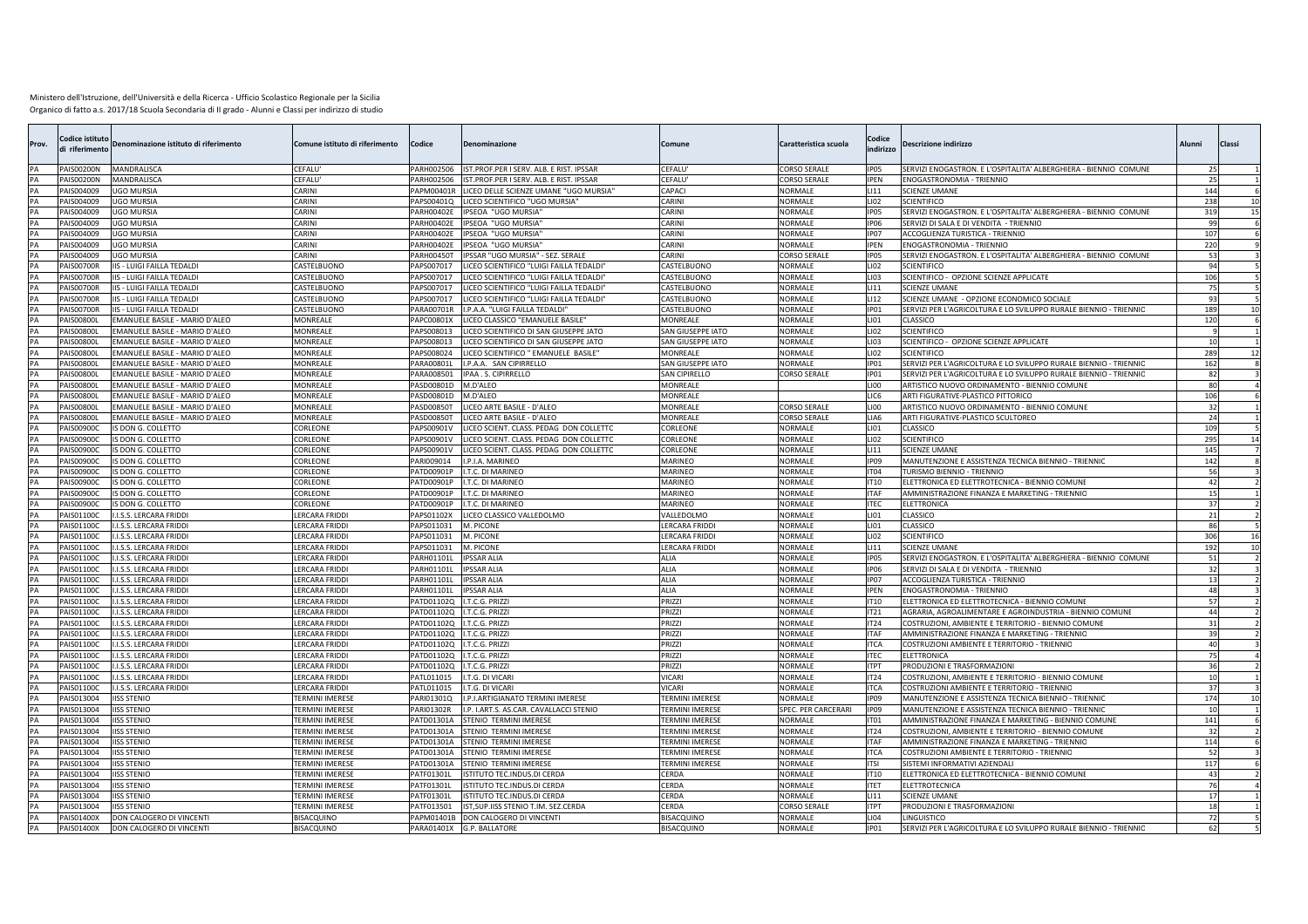| Prov. | odice istitutı:<br>i riferimento       | Denominazione istituto di riferimento                   | Comune istituto di riferimento       | Codice                   | Denominazione                                                                    | Comune                        | Caratteristica scuola            | Codice<br>indirizzo        | Descrizione indirizzo                                                                                          | Alunni | Classi       |
|-------|----------------------------------------|---------------------------------------------------------|--------------------------------------|--------------------------|----------------------------------------------------------------------------------|-------------------------------|----------------------------------|----------------------------|----------------------------------------------------------------------------------------------------------------|--------|--------------|
|       | PAIS00200N                             | <b>MANDRALISCA</b>                                      | CFFALU <sup>"</sup>                  | PARH002506               | IST.PROF.PER I SERV. ALB. E RIST. IPSSAR                                         | <b>CEEALLI</b>                | <b>CORSO SERALE</b>              | <b>IP05</b>                | SERVIZI ENOGASTRON, E L'OSPITALITA' ALBERGHIERA - BIENNIO COMUNE                                               |        |              |
|       | PAIS00200N                             | MANDRALISCA                                             | CEFALU <sup>®</sup>                  | PARH002506               | IST.PROF.PER I SERV. ALB. E RIST. IPSSAR                                         | CEFALU <sup>®</sup>           | <b>CORSO SERALE</b>              | <b>PFN</b>                 | ENOGASTRONOMIA - TRIENNIO                                                                                      |        |              |
| PA    | PAIS004009                             | UGO MURSIA                                              | CARINI                               |                          | PAPM00401R LICEO DELLE SCIENZE UMANE "UGO MURSIA"                                | CAPACI                        | <b>NORMALE</b>                   | LI11                       | <b>SCIENZE UMANE</b>                                                                                           |        | 144          |
| PΔ    | PAIS004009                             | <b>JGO MURSIA</b>                                       | CARINI                               | APS00401Q                | LICEO SCIENTIFICO "UGO MURSIA"                                                   | CARINI                        | <b>NORMALE</b>                   | <b>LIO2</b>                | <b>SCIENTIFICO</b>                                                                                             |        | 238<br>10    |
|       | PAIS004009                             | <b>JGO MURSIA</b>                                       | CARINI                               | PARH00402E               | IPSEOA "UGO MURSIA'                                                              | CARINI                        | <b>NORMALE</b>                   | IP05                       | SERVIZI ENOGASTRON. E L'OSPITALITA' ALBERGHIERA - BIENNIO COMUNE                                               | 31     |              |
|       | PAIS004009                             | <b>JGO MURSIA</b>                                       | CARINI                               | ARH00402E                | IPSEOA "UGO MURSIA'                                                              | CARINI                        | <b>NORMALE</b>                   | P06                        | SERVIZI DI SALA E DI VENDITA - TRIENNIO                                                                        |        | $\mathbf{q}$ |
|       | PAIS004009                             | JGO MURSIA                                              | CARINI                               | PARH00402E               | PSEOA "UGO MURSIA"                                                               | CARINI                        | VORMALE                          | IP <sub>07</sub>           | ACCOGLIENZA TURISTICA - TRIENNIO                                                                               |        | 10           |
|       | PAIS004009                             | <b>GO MURSIA</b>                                        | CARINI                               | ARH00402E                | PSEOA "UGO MURSIA"                                                               | CARINI                        | <b>NORMALE</b>                   | <b>IPEN</b>                | ENOGASTRONOMIA - TRIENNIC                                                                                      | 22     |              |
|       | PAIS004009                             | <b>JGO MURSIA</b>                                       | CARINI                               | <b>PARH00450T</b>        | PSSAR "UGO MURSIA" - SEZ. SERALE                                                 | CARINI                        | CORSO SERAL                      | <b>PO5</b>                 | SERVIZI ENOGASTRON. E L'OSPITALITA' ALBERGHIERA - BIENNIO COMUNE                                               |        |              |
| PA    | <b>PAIS00700R</b>                      | IS - LUIGI FAILLA TEDALDI                               | CASTELBUONO                          | APS007017                | LICEO SCIENTIFICO "LUIGI FAILLA TEDALDI                                          | CASTELBUONO                   | NORMALE                          | 102                        | <b>SCIENTIFICO</b>                                                                                             |        |              |
| PA    | PAIS00700                              | IS - LUIGI FAILLA TEDALDI                               | CASTELBUONO                          | PAPS007017               | <b>ICEO SCIENTIFICO "LUIGI FAILLA TEDALDI</b>                                    | CASTELBUONO                   | <b>NORMALE</b>                   | LI03                       | SCIENTIFICO - OPZIONE SCIENZE APPLICATE                                                                        |        | 106          |
|       | <b>PAIS00700R</b><br><b>PAIS00700F</b> | IIS - LUIGI FAILLA TEDALDI                              | CASTELBUONO                          | APS007017                | LICEO SCIENTIFICO "LUIGI FAILLA TEDALDI                                          | CASTELBUONO                   | <b>NORMALE</b><br>NORMALE        | LI11<br>LI2                | <b>SCIENZE UMANE</b>                                                                                           |        |              |
|       | <b>PAIS00700R</b>                      | IS - LUIGI FAILLA TEDALDI<br>IIS - LUIGI FAILLA TEDALDI | CASTELBUONO<br>CASTELBUONO           | PAPS007017<br>PARA00701R | <b>ICEO SCIENTIFICO "LUIGI FAILLA TEDALDI</b><br>I.P.A.A. "LUIGI FAILLA TEDALDI' | CASTELBUONO<br>CASTELBUONO    | <b>NORMALE</b>                   | IP01                       | SCIENZE UMANE - OPZIONE ECONOMICO SOCIALE<br>SERVIZI PER L'AGRICOLTURA E LO SVILUPPO RURALE BIENNIO - TRIENNIO |        | 189          |
|       | PAIS00800                              | EMANUELE BASILE - MARIO D'ALEO                          | MONREALE                             | PAPC00801X               | LICEO CLASSICO "EMANUELE BASILE'                                                 | MONREALE                      | <b>NORMALE</b>                   | LI01                       | CLASSICO                                                                                                       | 12     | 10           |
|       | PAIS00800L                             | EMANUELE BASILE - MARIO D'ALEO                          | MONREALE                             | PAPS008013               | LICEO SCIENTIFICO DI SAN GIUSEPPE JATC                                           | <b>SAN GIUSEPPE IATO</b>      | <b>NORMALE</b>                   | LIO2                       | <b>SCIENTIFICO</b>                                                                                             |        |              |
|       | AIS00800                               | EMANUELE BASILE - MARIO D'ALEO                          | <b>MONREALE</b>                      | APS008013                | <b>LICEO SCIENTIFICO DI SAN GIUSEPPE JATO</b>                                    | <b>SAN GIUSEPPE IATO</b>      | VORMALE                          | LIO3                       | SCIENTIFICO - OPZIONE SCIENZE APPLICATE                                                                        |        |              |
| PA    | PAIS00800                              | EMANUELE BASILE - MARIO D'ALEO                          | MONREALE                             | APS008024                | LICEO SCIENTIFICO " EMANUELE BASILE"                                             | MONREALE                      | NORMALE                          | LI02                       | <b>SCIENTIFICO</b>                                                                                             |        | 28<br>12     |
|       | AIS00800                               | MANUELE BASILE - MARIO D'ALEO                           | MONRFALE                             | ARA00801L                | .P.A.A. SAN CIPIRRELLO                                                           | <b>SAN GIUSEPPE IATO</b>      | <b>NORMALE</b>                   | IP01                       | SERVIZI PER L'AGRICOLTURA E LO SVILUPPO RURALE BIENNIO - TRIENNIO                                              | 16     |              |
|       | AIS00800                               | MANUELE BASILE - MARIO D'ALEO                           | MONREALE                             | ARA008501                | PAA . S. CIPIRRELLO                                                              | SAN CIPIRELLO                 | CORSO SERALE                     | IP01                       | SERVIZI PER L'AGRICOLTURA E LO SVILUPPO RURALE BIENNIO - TRIENNIO                                              |        |              |
|       | <b>AIS00800</b>                        | <b>EMANUELE BASILE - MARIO D'ALEO</b>                   | MONREALE                             | ASD00801D                | M.D'ALEO                                                                         | MONREALE                      |                                  | LI00                       | ARTISTICO NUOVO ORDINAMENTO - BIENNIO COMUNE                                                                   |        |              |
|       | PAIS00800                              | EMANUELE BASILE - MARIO D'ALEO                          | MONREALE                             | PASD00801D               | M.D'ALEO                                                                         | MONREALE                      |                                  | LIC6                       | ARTI FIGURATIVE-PLASTICO PITTORICO                                                                             |        | 106          |
|       | PAIS00800                              | EMANUELE BASILE - MARIO D'ALEO                          | MONREALE                             | PASD00850T               | LICEO ARTE BASILE - D'ALEO                                                       | MONREALE                      | CORSO SERALE                     | LIOO                       | ARTISTICO NUOVO ORDINAMENTO - BIENNIO COMUNE                                                                   |        |              |
|       | AIS00800                               | MANUELE BASILE - MARIO D'ALEO                           | MONREALE                             | ASD00850T                | LICEO ARTE BASILE - D'ALEO                                                       | <b>MONREALE</b>               | CORSO SERALE                     | IA6                        | ARTI FIGURATIVE-PLASTICO SCULTOREO                                                                             |        |              |
| PA    | PAIS00900C                             | S DON G. COLLETTO                                       | CORLEONE                             | APS00901V                | LICEO SCIENT. CLASS. PEDAG DON COLLETTO                                          | CORLEONE                      | <b>NORMALE</b>                   | LI01                       | CLASSICO                                                                                                       |        | 109          |
| PA    | AIS009000                              | S DON G. COLLETTO                                       | CORLEONE                             | APS00901V                | LICEO SCIENT, CLASS, PEDAG DON COLLETTO                                          | CORLEONE                      | <b>NORMALE</b>                   | LI02                       | <b>SCIENTIFICO</b>                                                                                             | 29     | 14           |
|       | PAIS00900C                             | S DON G. COLLETTO                                       | CORLEONE                             | PAPS00901V               | LICEO SCIENT. CLASS. PEDAG DON COLLETTO                                          | CORLEONE                      | <b>NORMALE</b>                   | <b>LI11</b>                | <b>SCIENZE UMANE</b>                                                                                           |        | 14           |
| PA    | PAIS00900C                             | S DON G. COLLETTO                                       | CORLEONE                             | PARI009014               | .P.I.A. MARINEO                                                                  | <b>MARINEO</b>                | <b>NORMALE</b>                   | P09                        | MANUTENZIONE E ASSISTENZA TECNICA BIENNIO - TRIENNIC                                                           |        | 142          |
|       | PAIS00900C                             | IS DON G. COLLETTO                                      | CORLEONE                             | PATD00901P               | I.T.C. DI MARINEO                                                                | <b>MARINEO</b>                | <b>NORMALE</b>                   | <b>IT04</b>                | TURISMO BIENNIO - TRIENNIO                                                                                     |        |              |
|       | PAIS009000                             | <b>DON G. COLLETTO</b>                                  | CORLEONE                             | ATD00901P                | T.C. DI MARINEO                                                                  | <b>AARINEO</b>                | <b>NORMALE</b>                   | IT10                       | ELETTRONICA ED ELETTROTECNICA - BIENNIO COMUNI                                                                 |        |              |
|       | PAIS00900C                             | S DON G. COLLETTO                                       | CORLEONE                             | PATD00901P               | T.C. DI MARINEO                                                                  | <b>MARINEO</b>                | NORMALE                          | <b>ITAF</b>                | AMMINISTRAZIONE FINANZA E MARKETING - TRIENNIO                                                                 |        |              |
|       | AIS009000                              | S DON G. COLLETTO                                       | CORLEONE                             | ATD00901P                | T.C. DI MARINEO                                                                  | <b>JARINEO</b>                | VORMALE                          | <b>TEC</b>                 | ELETTRONICA                                                                                                    |        |              |
|       | PAIS01100                              | .I.S.S. LERCARA FRIDD                                   | <b>LERCARA FRIDD</b>                 | APS01102X                | LICEO CLASSICO VALLEDOLMO                                                        | <b>VALLEDOLMO</b>             | NORMALE                          | LI01                       | <b>CLASSICO</b>                                                                                                |        | 21           |
|       | AIS011000                              | <b>I.S.S. LERCARA FRIDDI</b>                            | <b>ERCARA FRIDD</b>                  | APS011031                | M. PICONE                                                                        | <b>ERCARA FRIDD</b>           | NORMALE                          | LI01                       | CLASSICO                                                                                                       |        |              |
|       | PAIS01100C                             | I.S.S. LERCARA FRIDDI                                   | <b>LERCARA FRIDDI</b>                | PAPS011031               | M. PICONE                                                                        | LERCARA FRIDD                 | VORMALE                          | LI02                       | <b>SCIENTIFICO</b>                                                                                             |        | 306<br>16    |
|       | PAIS01100C                             | I.I.S.S. LERCARA FRIDDI                                 | <b>LERCARA FRIDDI</b>                | PAPS011031               | M. PICONE                                                                        | <b>ERCARA FRIDDI</b>          | NORMALE                          | LI 11                      | <b>SCIENZE UMANE</b>                                                                                           |        | 192<br>10    |
| PΔ    | PAIS01100C                             | .I.S.S. LERCARA FRIDDI                                  | LERCARA FRIDD                        | PARH01101L               | <b>IPSSAR ALIA</b>                                                               | ALIA                          | <b>NORMALE</b>                   | IP <sub>05</sub>           | SERVIZI ENOGASTRON. E L'OSPITALITA' ALBERGHIERA - BIENNIO COMUNE                                               |        | 51           |
|       | PAIS01100C                             | .I.S.S. LERCARA FRIDDI                                  | LERCARA FRIDDI                       | PARH01101L               | <b>IPSSAR ALIA</b>                                                               | ALIA                          | <b>NORMALE</b>                   | IPO6                       | SERVIZI DI SALA E DI VENDITA - TRIENNIO                                                                        |        |              |
| PΔ    | PAIS01100C                             | .I.S.S. LERCARA FRIDDI                                  | <b>LERCARA FRIDDI</b>                | ARH01101L                | <b>IPSSAR ALIA</b>                                                               | ALIA                          | NORMALE                          | <b>P07</b>                 | ACCOGLIENZA TURISTICA - TRIENNIO                                                                               |        |              |
|       | PAIS01100C                             | .I.S.S. LERCARA FRIDDI                                  | <b>LERCARA FRIDDI</b>                | <b>PARHO1101L</b>        | <b>IPSSAR ALIA</b>                                                               | ALIA                          | NORMALE                          | <b>IPEN</b>                | ENOGASTRONOMIA - TRIENNIO                                                                                      |        | $\Lambda$    |
| PΔ    | PAIS011000                             | <b>I.S.S. LERCARA FRIDDI</b>                            | <b>ERCARA FRIDDI</b>                 | ATD01102Q                | T.C.G. PRIZZI                                                                    | <b>RIZZI</b>                  | <b>NORMALE</b>                   | IT10                       | ELETTRONICA ED ELETTROTECNICA - BIENNIO COMUNE                                                                 |        |              |
|       | PAIS011000                             | .I.S.S. LERCARA FRIDD                                   | <b>LERCARA FRIDDI</b>                | PATD01102Q               | T.C.G. PRIZZI                                                                    | <b>RIZZI</b>                  | <b>NORMALE</b>                   | IT21                       | AGRARIA, AGROALIMENTARE E AGROINDUSTRIA - BIENNIO COMUNE                                                       |        | $\Delta$     |
|       | AIS01100C                              | .I.S.S. LERCARA FRIDD                                   | <b>ERCARA FRIDD</b>                  | ATD01102Q                | .T.C.G. PRIZZI                                                                   | RIZZI                         | VORMALE                          | T <sub>24</sub>            | COSTRUZIONI, AMBIENTE E TERRITORIO - BIENNIO COMUNE                                                            |        |              |
|       | PAIS011000<br>PAIS011000               | .I.S.S. LERCARA FRIDD<br>I.S.S. LERCARA FRIDD           | <b>LERCARA FRIDD</b><br>ERCARA FRIDD | PATD01102Q<br>ATD01102Q  | T.C.G. PRIZZI<br>T.C.G. PRIZZI                                                   | <b>RIZZI</b><br><b>RIZZI</b>  | <b>NORMALE</b><br><b>NORMALE</b> | <b>ITAF</b><br><b>ITCA</b> | AMMINISTRAZIONE FINANZA E MARKETING - TRIENNIO<br>COSTRUZIONI AMBIENTE E TERRITORIO - TRIENNIC                 |        |              |
|       | AIS01100C                              | .I.S.S. LERCARA FRIDDI                                  | <b>ERCARA FRIDDI</b>                 | ATD01102Q                | .T.C.G. PRIZZI                                                                   | <b>RIZZI</b>                  | NORMALE                          |                            | <b>FLETTRONICA</b>                                                                                             |        |              |
| PΔ    | PAIS01100C                             | <b>I.I.S.S. LERCARA FRIDDI</b>                          | <b>ERCARA FRIDDI</b>                 | PATD01102Q               | I.T.C.G. PRIZZI                                                                  | <b>RIZZI</b>                  | <b>NORMALE</b>                   | <b>ITEC</b><br><b>ITPT</b> | PRODUZIONI E TRASFORMAZIONI                                                                                    |        |              |
| PA    | PAIS01100C                             | .I.S.S. LERCARA FRIDDI                                  | <b>LERCARA FRIDDI</b>                | PATL011015               | .T.G. DI VICARI                                                                  | <b>JICARI</b>                 | <b>NORMALE</b>                   | IT24                       | COSTRUZIONI, AMBIENTE E TERRITORIO - BIENNIO COMUNE                                                            |        | 10           |
|       | PAIS01100C                             | .I.S.S. LERCARA FRIDDI                                  | <b>ERCARA FRIDDI</b>                 | PATL011015               | .T.G. DI VICARI                                                                  | <b>JICARI</b>                 | <b>NORMALE</b>                   | <b>ITCA</b>                | COSTRUZIONI AMBIENTE E TERRITORIO - TRIENNIC                                                                   |        |              |
|       | PAIS013004                             | <b>ISS STENIO</b>                                       | <b><i>TERMINI IMERESE</i></b>        | PARI01301Q               | .P.I.ARTIGIANATO TERMINI IMERESE                                                 | <b><i>FERMINI IMERESE</i></b> | <b>NORMALE</b>                   | IP09                       | MANUTENZIONE E ASSISTENZA TECNICA BIENNIO - TRIENNIC                                                           |        | 174<br>10    |
|       | PAIS013004                             | <b>ISS STENIO</b>                                       | TERMINI IMERESI                      | PARI01302R               | .P. I.ART.S. AS.CAR. CAVALLACCI STENIO                                           | <b><i>FERMINI IMERESI</i></b> | SPEC. PER CARCERARI              | IP09                       | MANUTENZIONE E ASSISTENZA TECNICA BIENNIO - TRIENNIC                                                           |        |              |
|       | PAIS013004                             | <b>ISS STENIO</b>                                       | <b><i>TERMINI IMERESE</i></b>        | PATD01301A               | STENIO TERMINI IMERESE                                                           | <b><i>FERMINI IMERESE</i></b> | <b>NORMALE</b>                   | IT01                       | AMMINISTRAZIONE FINANZA E MARKETING - BIENNIO COMUNE                                                           |        | 141          |
|       | PAIS013004                             | <b>SS STENIO</b>                                        | <b>ERMINI IMERESE</b>                | ATD01301A                | TENIO TERMINI IMERESE                                                            | <b>ERMINI IMERESI</b>         | VORMALE                          | T24                        | COSTRUZIONI, AMBIENTE E TERRITORIO - BIENNIO COMUNI                                                            |        |              |
| PΔ    | AIS013004                              | <b>SS STENIO</b>                                        | <b>ERMINI IMERESE</b>                | ATD01301A                | STENIO TERMINI IMERESE                                                           | <b>ERMINI IMERESE</b>         | NORMALE                          | <b>TAF</b>                 | AMMINISTRAZIONE FINANZA E MARKETING - TRIENNIO                                                                 |        | 114          |
| PA    | PAIS013004                             | <b>ISS STENIO</b>                                       | <b>TERMINI IMERES</b>                | ATD01301A                | TENIO TERMINI IMERESI                                                            | <b>ERMINI IMERES</b>          | NORMALE                          | <b>TCA</b>                 | COSTRUZIONI AMBIENTE E TERRITORIO - TRIENNIC                                                                   |        |              |
|       | AIS013004                              | <b>SS STENIO</b>                                        | <b>ERMINI IMERESI</b>                | ATD01301A                | TENIO TERMINI IMERESE                                                            | <b>ERMINI IMERESI</b>         | NORMALE                          | ITSI                       | SISTEMI INFORMATIVI AZIENDALI                                                                                  | 11     |              |
|       | AIS013004                              | <b>ISS STENIO</b>                                       | <b><i>TERMINI IMERESI</i></b>        | PATF01301L               | STITUTO TEC.INDUS.DI CERDA                                                       | CERDA                         | VORMALE                          | IT10                       | ELETTRONICA ED ELETTROTECNICA - BIENNIO COMUNI                                                                 |        |              |
| PA    | PAIS013004                             | <b>ISS STENIO</b>                                       | <b>FERMINI IMERESE</b>               | PATF01301L               | STITUTO TEC.INDUS.DI CERDA                                                       | CERDA                         | NORMALE                          | ITET                       | ELETTROTECNICA                                                                                                 |        |              |
|       | PAIS013004                             | <b>SS STENIO</b>                                        | <b><i>TERMINI IMERESI</i></b>        | PATF01301L               | STITUTO TEC.INDUS.DI CERDA                                                       | CERDA                         | <b>NORMALE</b>                   | LI11                       | <b>SCIENZE UMANE</b>                                                                                           |        |              |
|       | PAIS013004                             | <b>ISS STENIO</b>                                       | <b>FERMINI IMERESE</b>               | PATF013501               | ST, SUP.IISS STENIO T.IM. SEZ.CERDA                                              | CERDA                         | CORSO SERAL                      | <b>ITPT</b>                | PRODUZIONI E TRASFORMAZIONI                                                                                    |        |              |
|       | PAIS01400X                             | DON CALOGERO DI VINCENTI                                | <b>BISACQUINO</b>                    | PAPM01401B               | DON CALOGERO DI VINCENTI                                                         | <b>ISACQUINO</b>              | NORMALE                          | 104                        | LINGUISTICO                                                                                                    |        |              |
| PA    | PAIS01400X                             | DON CALOGERO DI VINCENTI                                | BISACQUINO                           | PARA01401X               | <b>G.P. BALLATORE</b>                                                            | BISACQUINO                    | <b>NORMALE</b>                   | IP01                       | SERVIZI PER L'AGRICOLTURA E LO SVILUPPO RURALE BIENNIO - TRIENNIO                                              |        |              |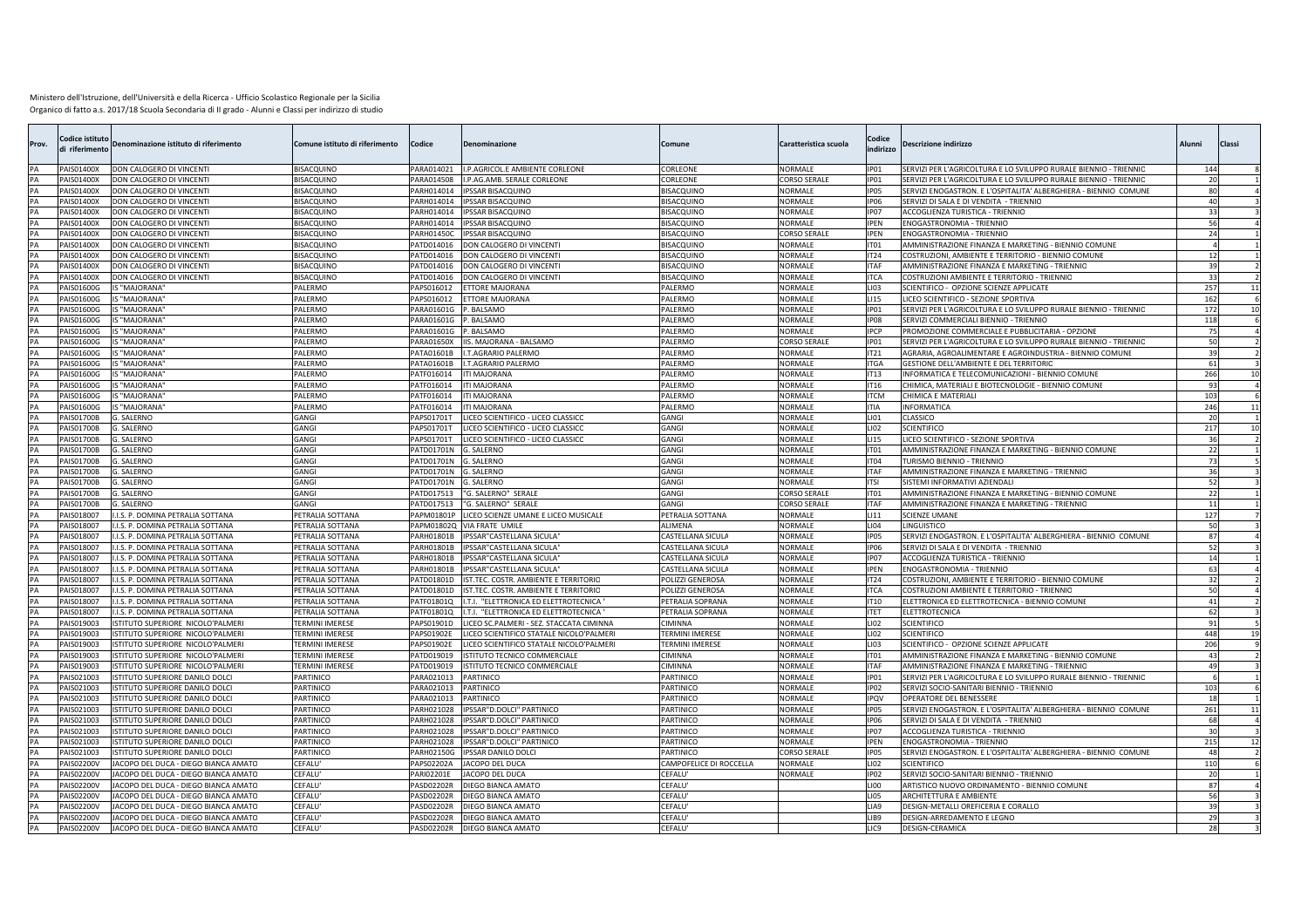| Prov.    | Codice istituto<br>di riferimento | Denominazione istituto di riferimento                               | Comune istituto di riferimento             | Codice                   | Denominazione                                                                     | ີ.omune                                                     | Caratteristica scuola     | Codice<br>indirizzo        | escrizione indirizzo                                                                                      | Alunni                    | Classi      |
|----------|-----------------------------------|---------------------------------------------------------------------|--------------------------------------------|--------------------------|-----------------------------------------------------------------------------------|-------------------------------------------------------------|---------------------------|----------------------------|-----------------------------------------------------------------------------------------------------------|---------------------------|-------------|
| PA       | PAIS01400X                        | DON CALOGERO DI VINCENTI                                            | BISACQUINO                                 | PARA014021               | I.P.AGRICOL.E AMBIENTE CORLEONE                                                   | CORLEONE                                                    | <b>NORMALE</b>            | IP01                       | SERVIZI PER L'AGRICOLTURA E LO SVILUPPO RURALE BIENNIO - TRIENNIO                                         | 144                       |             |
| PA       | AIS01400X                         | DON CALOGERO DI VINCENTI                                            | <b>BISACQUINO</b>                          | ARA014508                | .P.AG.AMB. SERALE CORLEONE                                                        | CORLEONE                                                    | CORSO SERALI              | IP01                       | SERVIZI PER L'AGRICOLTURA E LO SVILUPPO RURALE BIENNIO - TRIENNIO                                         |                           |             |
| PA       | AIS01400X                         | DON CALOGERO DI VINCENTI                                            | BISACQUINO                                 | PARH014014               | <b>IPSSAR BISACQUINO</b>                                                          | 3ISACQUINO                                                  | <b>NORMALE</b>            | <b>IP05</b>                | SERVIZI ENOGASTRON. E L'OSPITALITA' ALBERGHIERA - BIENNIO COMUNE                                          |                           |             |
| PA       | AIS01400X                         | DON CALOGERO DI VINCENTI                                            | <b>BISACQUINO</b>                          | PARH014014               | <b>IPSSAR BISACQUINO</b>                                                          | <b>BISACQUINO</b>                                           | <b>NORMALE</b>            | <b>IP06</b>                | SERVIZI DI SALA E DI VENDITA - TRIENNIO                                                                   |                           | $\Lambda$ f |
| PA       | AIS01400X                         | DON CALOGERO DI VINCENTI                                            | <b>BISACQUINO</b>                          | PARH014014               | <b>IPSSAR BISACQUINO</b>                                                          | BISACQUINO                                                  | <b>NORMALE</b>            | <b>IP07</b>                | ACCOGLIENZA TURISTICA - TRIENNIO                                                                          |                           |             |
| PA       | AIS01400X                         | DON CALOGERO DI VINCENTI                                            | BISACQUINO                                 | PARH014014               | IPSSAR BISACQUINO                                                                 | <b>BISACQUINO</b>                                           | <b>NORMALE</b>            | <b>IPEN</b>                | ENOGASTRONOMIA - TRIENNIO                                                                                 |                           |             |
| PA       | AIS01400X                         | DON CALOGERO DI VINCENTI                                            | BISACQUINO                                 | PARH01450C               | <b>IPSSAR BISACQUINO</b>                                                          | BISACQUINO                                                  | <b>CORSO SERALE</b>       | <b>IPEN</b>                | ENOGASTRONOMIA - TRIENNIO                                                                                 |                           |             |
| PA       | AIS01400X                         | DON CALOGERO DI VINCENTI                                            | <b>BISACQUINO</b>                          | PATD014016               | DON CALOGERO DI VINCENTI                                                          | <b>BISACQUINO</b>                                           | <b>NORMALE</b>            | IT01                       | AMMINISTRAZIONE FINANZA E MARKETING - BIENNIO COMUNE                                                      |                           |             |
|          | AIS01400X                         | DON CALOGERO DI VINCENTI                                            | BISACQUINO                                 | PATD014016               | DON CALOGERO DI VINCENTI                                                          | BISACQUINO                                                  | <b>NORMALE</b><br>NORMALE | <b>IT24</b><br><b>ITAF</b> | COSTRUZIONI, AMBIENTE E TERRITORIO - BIENNIO COMUNE                                                       |                           |             |
| PA       | AIS01400X                         | DON CALOGERO DI VINCENTI                                            | BISACQUINO                                 | PATD014016               | DON CALOGERO DI VINCENTI                                                          | <b>BISACQUINO</b>                                           |                           |                            | AMMINISTRAZIONE FINANZA E MARKETING - TRIENNIO                                                            |                           |             |
| PA<br>PA | AIS01400X<br>AIS01600G            | DON CALOGERO DI VINCENTI<br>S "MAIORANA"                            | <b>BISACQUINO</b><br>PALERMO               | PATD014016<br>PAPS016012 | DON CALOGERO DI VINCENTI<br><b>FTTORF MAIORANA</b>                                | <b>BISACQUINO</b><br>ALERMO                                 | NORMALE<br>NORMALE        | <b>ITCA</b><br>LI03        | COSTRUZIONI AMBIENTE E TERRITORIO - TRIENNIC<br>SCIENTIFICO - OPZIONE SCIENZE APPLICATE                   | 25                        | 11          |
| PA       |                                   | S "MAJORANA"                                                        | PALERMO                                    |                          |                                                                                   | PALERMO                                                     | NORMALE                   |                            |                                                                                                           | 16                        |             |
| PA       | AIS01600G<br>AIS01600G            | S "MAJORANA"                                                        | PALERMO                                    | PAPS016012<br>PARA01601G | ETTORE MAJORANA<br>P. BALSAMO                                                     | PALERMO                                                     | <b>NORMALE</b>            | LI15<br>IP01               | LICEO SCIENTIFICO - SEZIONE SPORTIVA<br>SERVIZI PER L'AGRICOLTURA E LO SVILUPPO RURALE BIENNIO - TRIENNIO | 172                       | 10          |
| PA       | AIS01600G                         | IS "MAJORANA"                                                       | PALERMO                                    | PARA01601G               | P. BALSAMO                                                                        | PALERMO                                                     | NORMALE                   | <b>IP08</b>                | SERVIZI COMMERCIALI BIENNIO - TRIENNIO                                                                    | 111                       |             |
| PA       | AIS01600G                         | IS "MAJORANA"                                                       | PALERMO                                    | PARA01601G               | P. BALSAMO                                                                        | PALERMO                                                     | <b>NORMALE</b>            | <b>IPCP</b>                | PROMOZIONE COMMERCIALE E PUBBLICITARIA - OPZIONE                                                          |                           |             |
| PA       | AIS01600G                         | IS "MAJORANA"                                                       | PALERMO                                    | PARA01650X               | IS. MAJORANA - BALSAMO                                                            | PALERMO                                                     | CORSO SERALE              | IP <sub>01</sub>           | SERVIZI PER L'AGRICOLTURA E LO SVILUPPO RURALE BIENNIO - TRIENNIO                                         |                           |             |
| PA       | AIS01600G                         | IS "MAJORANA"                                                       | PALERMO                                    | PATA01601B               | I.T.AGRARIO PALERMO                                                               | PALERMO                                                     | <b>NORMALE</b>            | IT21                       | AGRARIA, AGROALIMENTARE E AGROINDUSTRIA - BIENNIO COMUNE                                                  |                           |             |
| PA       | AIS01600G                         | IS "MAJORANA"                                                       | PALERMO                                    | PATA01601B               | <b>.T.AGRARIO PALERMO</b>                                                         | PALERMO                                                     | <b>NORMALE</b>            | <b>ITGA</b>                | GESTIONE DELL'AMBIENTE E DEL TERRITORIO                                                                   |                           | 61          |
| PA       | AIS01600G                         | IS "MAJORANA"                                                       | PALERMO                                    | PATF016014               | <b>ITI MAJORANA</b>                                                               | PALERMO                                                     | <b>NORMALE</b>            | <b>IT13</b>                | INFORMATICA E TELECOMUNICAZIONI - BIENNIO COMUNE                                                          | 266                       | 10          |
| PA       | AIS01600G                         | S "MAJORANA"                                                        | PALERMO                                    | PATF016014               | <b>TI MAJORANA</b>                                                                | ALERMO                                                      | NORMALE                   | IT16                       | CHIMICA, MATERIALI E BIOTECNOLOGIE - BIENNIO COMUNE                                                       |                           |             |
| PA       | AIS01600G                         | IS "MAJORANA"                                                       | PALERMO                                    | PATF016014               | <b>TI MAJORANA</b>                                                                | PALERMO                                                     | NORMALE                   | <b>ITCM</b>                | CHIMICA E MATERIALI                                                                                       | 10 <sup>3</sup>           | 6           |
| PA       | AIS01600G                         | S "MAJORANA                                                         | PALERMO                                    | PATF016014               | TI MAJORANA                                                                       | PALERMC                                                     | <b>NORMALE</b>            | <b>ITIA</b>                | <b>INFORMATICA</b>                                                                                        | 24(                       | 11          |
| PA       | AIS01700B                         | G. SALERNO                                                          | GANGI                                      | PAPS01701T               | LICEO SCIENTIFICO - LICEO CLASSICO                                                | GANGI                                                       | NORMALE                   | LI01                       | <b>CLASSICO</b>                                                                                           |                           |             |
| PA       | AIS01700B                         | G. SALERNO                                                          | GANGI                                      | PAPS01701T               | LICEO SCIENTIFICO - LICEO CLASSICO                                                | <b>GANGI</b>                                                | NORMALE                   | <b>LIO2</b>                | <b>SCIENTIFICO</b>                                                                                        | 217                       | 10          |
| PA       | AIS01700B                         | G. SALERNO                                                          | GANGI                                      | PAPS01701T               | LICEO SCIENTIFICO - LICEO CLASSICO                                                | GANGI                                                       | <b>NORMALE</b>            | <b>LI15</b>                | LICEO SCIENTIFICO - SEZIONE SPORTIVA                                                                      |                           |             |
| PA       | AIS01700B                         | . SALERNO                                                           | GANGI                                      | PATD01701N               | G. SALERNO                                                                        | GANGI                                                       | <b>NORMALE</b>            | ITO1                       | AMMINISTRAZIONE FINANZA E MARKETING - BIENNIO COMUNE                                                      |                           |             |
|          | AIS01700B                         | G. SALERNO                                                          | GANGI                                      | PATD01701N               | G. SALERNO                                                                        | GANGI                                                       | NORMALE                   | IT <sub>04</sub>           | TURISMO BIENNIO - TRIENNIO                                                                                |                           |             |
| PA       | AIS01700B                         | G. SALERNO                                                          | GANGI                                      | PATD01701N               | G. SALERNO                                                                        | GANGI                                                       | <b>NORMALE</b>            | <b>ITAF</b>                | AMMINISTRAZIONE FINANZA E MARKETING - TRIENNIO                                                            |                           |             |
| PA       | PAIS01700B                        | G. SALERNO                                                          | GANGI                                      | PATD01701N               | G. SALERNO                                                                        | GANGI                                                       | <b>NORMALE</b>            | <b>ITSI</b>                | SISTEMI INFORMATIVI AZIENDALI                                                                             |                           |             |
| PA       | AIS01700B                         | G. SALERNO                                                          | GANGI                                      | PATD017513               | "G. SALERNO" SERALE                                                               | GANGI                                                       | <b>CORSO SERALI</b>       | IT <sub>01</sub>           | AMMINISTRAZIONE FINANZA E MARKETING - BIENNIO COMUNE                                                      |                           |             |
| PA       | AIS01700B                         | G. SALERNO                                                          | GANGI                                      | PATD017513               | G. SALERNO" SERALE                                                                | <b>GANGI</b>                                                | CORSO SERALI              | <b>ITAF</b>                | AMMINISTRAZIONE FINANZA E MARKETING - TRIENNIO                                                            |                           |             |
| PA       | AIS018007                         | I.I.S. P. DOMINA PETRALIA SOTTANA                                   | PETRALIA SOTTANA                           | PAPM01801P               | LICEO SCIENZE UMANE E LICEO MUSICALE                                              | PETRALIA SOTTANA                                            | <b>NORMALE</b>            | LI11                       | <b>SCIENZE UMANE</b>                                                                                      | 127                       |             |
| PA       | AIS018007                         | .I.S. P. DOMINA PETRALIA SOTTANA                                    | PETRALIA SOTTANA                           | PAPM01802Q               | <b>IA FRATE UMILE</b>                                                             | ALIMENA                                                     | <b>NORMALE</b>            | LI04                       | LINGUISTICO                                                                                               |                           |             |
| PA       | AIS018007                         | .I.S. P. DOMINA PETRALIA SOTTANA                                    | PETRALIA SOTTANA                           | PARH01801B               | PSSAR"CASTELLANA SICULA"                                                          | CASTELLANA SICULA                                           | <b>NORMALE</b>            | IP <sub>05</sub>           | SERVIZI ENOGASTRON. E L'OSPITALITA' ALBERGHIERA - BIENNIO COMUNE                                          |                           |             |
| PA       | AIS018007                         | .I.S. P. DOMINA PETRALIA SOTTANA                                    | <b>PETRALIA SOTTANA</b>                    | PARH01801B               | PSSAR"CASTELLANA SICULA                                                           | CASTELLANA SICULA                                           | NORMALE                   | <b>IP06</b>                | SERVIZI DI SALA E DI VENDITA - TRIENNIO                                                                   |                           |             |
| PA       | PAIS018007                        | I.I.S. P. DOMINA PETRALIA SOTTANA                                   | PETRALIA SOTTANA                           | PARH01801B               | IPSSAR"CASTELLANA SICULA                                                          | CASTELLANA SICULA                                           | <b>NORMALE</b>            | IP07                       | ACCOGLIENZA TURISTICA - TRIENNIO                                                                          |                           |             |
| PA       | AIS018007                         | I.I.S. P. DOMINA PETRALIA SOTTANA                                   | PETRALIA SOTTANA                           | PARH01801B               | IPSSAR"CASTELLANA SICULA'                                                         | CASTELLANA SICULA                                           | <b>NORMALE</b>            | <b>IPFN</b>                | <b>ENOGASTRONOMIA - TRIENNIO</b>                                                                          |                           |             |
| PA       | AIS018007                         | .I.S. P. DOMINA PETRALIA SOTTANA                                    | PETRALIA SOTTANA                           | PATD01801D               | IST.TEC. COSTR. AMBIENTE E TERRITORIO                                             | POLIZZI GENEROSA                                            | <b>NORMALE</b>            | IT24                       | COSTRUZIONI, AMBIENTE E TERRITORIO - BIENNIO COMUNE                                                       |                           |             |
| PA       | AIS018007                         | I.I.S. P. DOMINA PETRALIA SOTTANA                                   | PETRALIA SOTTANA                           | PATD01801D               | IST.TEC. COSTR. AMBIENTE E TERRITORIO                                             | POLIZZI GENEROSA                                            | <b>NORMALE</b>            | <b>ITCA</b>                | COSTRUZIONI AMBIENTE E TERRITORIO - TRIENNIC                                                              |                           |             |
| PA<br>PA | AIS018007                         | .I.S. P. DOMINA PETRALIA SOTTANA                                    | PETRALIA SOTTANA                           | PATF01801Q               | I.T.I. "ELETTRONICA ED ELETTROTECNICA                                             | PETRALIA SOPRANA                                            | <b>NORMALE</b>            | <b>IT10</b>                | ELETTRONICA ED ELETTROTECNICA - BIENNIO COMUNE                                                            |                           | $\Delta$ 1  |
|          | AIS018007<br>AIS019003            | .I.S. P. DOMINA PETRALIA SOTTANA<br>STITUTO SUPERIORE NICOLO'PALMER | PETRALIA SOTTANA<br><b>FERMINI IMERESE</b> | PATF01801Q<br>PAPS01901D | I.T.I. "ELETTRONICA ED ELETTROTECNICA<br>LICEO SC.PALMERI - SEZ. STACCATA CIMINNA | PETRALIA SOPRANA<br><b>CIMINNA</b>                          | NORMALE<br>NORMALE        | <b>ITET</b><br>LIO2        | ELETTROTECNICA<br><b>SCIENTIFICO</b>                                                                      |                           | 91          |
| PA       |                                   |                                                                     |                                            |                          |                                                                                   |                                                             |                           |                            |                                                                                                           | $\Delta\Delta S$          |             |
| PA<br>PA | AIS019003<br>AIS019003            | ISTITUTO SUPERIORE NICOLO'PALMER<br>STITUTO SUPERIORE NICOLO'PALMER | TERMINI IMERESE<br>TERMINI IMERESE         | PAPS01902E<br>PAPS01902E | ICEO SCIENTIFICO STATALE NICOLO'PALMER<br>LICEO SCIENTIFICO STATALE NICOLO'PALMER | <b><i>ERMINI IMERES</i></b><br><b><i>ERMINI IMERESE</i></b> | NORMALE<br><b>NORMALE</b> | LI02<br>LI03               | <b>SCIENTIFICO</b><br>SCIENTIFICO - OPZIONE SCIENZE APPLICATE                                             | 20                        | 19          |
| PA       | AIS019003                         | STITUTO SUPERIORE NICOLO'PALMER                                     | <b>TERMINI IMERESE</b>                     | PATD019019               | <b>STITUTO TECNICO COMMERCIALE</b>                                                | CIMINNA                                                     | <b>NORMALE</b>            | IT <sub>01</sub>           | AMMINISTRAZIONE FINANZA E MARKETING - BIENNIO COMUNE                                                      |                           |             |
| PA       | AIS019003                         | STITUTO SUPERIORE NICOLO'PALMERI                                    | TERMINI IMERESE                            | PATD019019               | <b>STITUTO TECNICO COMMERCIALE</b>                                                | <b>CIMINNA</b>                                              | <b>NORMALE</b>            | <b>ITAF</b>                | AMMINISTRAZIONE FINANZA E MARKETING - TRIENNIO                                                            | $\mathbf{A}^{\mathbf{c}}$ |             |
| PA       | AIS021003                         | STITUTO SUPERIORE DANILO DOLCI                                      | PARTINICO                                  | PARA021013               | PARTINICO                                                                         | PARTINICO                                                   | <b>NORMALE</b>            | IP01                       | SERVIZI PER L'AGRICOLTURA E LO SVILUPPO RURALE BIENNIO - TRIENNIO                                         |                           |             |
| PA       | AIS021003                         | STITUTO SUPERIORE DANILO DOLCI                                      | PARTINICO                                  | PARA021013               | PARTINICO                                                                         | PARTINICO                                                   | <b>NORMALE</b>            | <b>IP02</b>                | SERVIZI SOCIO-SANITARI BIENNIO - TRIENNIO                                                                 | 10                        |             |
| PA       | AIS021003                         | ISTITUTO SUPERIORE DANILO DOLCI                                     | PARTINICO                                  | PARA021013               | PARTINICO                                                                         | PARTINICO                                                   | <b>NORMALE</b>            | IPQV                       | OPERATORE DEL BENESSERE                                                                                   |                           |             |
| PA       | PAIS021003                        | ISTITUTO SUPERIORE DANILO DOLCI                                     | PARTINICO                                  | PARH021028               | IPSSAR"D.DOLCI" PARTINICO                                                         | PARTINICO                                                   | <b>NORMALE</b>            | <b>IP05</b>                | SERVIZI ENOGASTRON. E L'OSPITALITA' ALBERGHIERA - BIENNIO COMUNE                                          | 261                       | 11          |
| PA       | PAIS021003                        | ISTITUTO SUPERIORE DANILO DOLCI                                     | PARTINICO                                  | PARH021028               | IPSSAR"D.DOLCI" PARTINICO                                                         | PARTINICO                                                   | <b>NORMALE</b>            | <b>IP06</b>                | SERVIZI DI SALA E DI VENDITA - TRIENNIO                                                                   |                           | -68         |
| PA       | AIS021003                         | STITUTO SUPERIORE DANILO DOLCI                                      | PARTINICO                                  | PARH021028               | PSSAR"D.DOLCI" PARTINICO                                                          | PARTINICO                                                   | NORMALE                   | IP <sub>07</sub>           | ACCOGLIENZA TURISTICA - TRIENNIC                                                                          |                           |             |
| PA       | AIS021003                         | STITUTO SUPERIORE DANILO DOLCI                                      | PARTINICO                                  | PARH021028               | PSSAR"D.DOLCI" PARTINICO                                                          | <b>ARTINICO</b>                                             | <b>NORMALE</b>            | <b>IPEN</b>                | ENOGASTRONOMIA - TRIENNIO                                                                                 | 215                       | 12          |
| PA       | AIS021003                         | STITUTO SUPERIORE DANILO DOLCI                                      | PARTINICO                                  | PARH02150G               | <b>PSSAR DANILO DOLCI</b>                                                         | PARTINICO                                                   | <b>CORSO SERAI</b>        | <b>IP05</b>                | SERVIZI ENOGASTRON. E L'OSPITALITA' ALBERGHIERA - BIENNIO COMUNE                                          |                           |             |
| PA       | AIS02200V                         | ACOPO DEL DUCA - DIEGO BIANCA AMATO                                 | CEFALU                                     | PAPS02202A               | ACOPO DEL DUCA                                                                    | CAMPOFELICE DI ROCCELLA                                     | NORMALE                   | LI02                       | <b>SCIENTIFICO</b>                                                                                        | 11                        |             |
| PA       | AIS02200V                         | ACOPO DEL DUCA - DIEGO BIANCA AMATO                                 | CEFALU'                                    | PARI02201E               | <b>ACOPO DEL DUCA</b>                                                             | CEFALU                                                      | VORMALE                   | <b>IP02</b>                | SERVIZI SOCIO-SANITARI BIENNIO - TRIENNIC                                                                 |                           |             |
| PA       | AIS02200V                         | JACOPO DEL DUCA - DIEGO BIANCA AMATO                                | CEFALU'                                    | PASD02202R               | DIEGO BIANCA AMATO                                                                | CEFALU'                                                     |                           | 1100                       | ARTISTICO NUOVO ORDINAMENTO - BIENNIO COMUNE                                                              |                           |             |
| PA       | AIS02200V                         | ACOPO DEL DUCA - DIEGO BIANCA AMATO                                 | CEFALU <sup>®</sup>                        | PASD02202R               | DIEGO BIANCA AMATO                                                                | CEFALU <sup>®</sup>                                         |                           | <b>LIO5</b>                | ARCHITETTURA E AMBIENTE                                                                                   |                           |             |
| PA       | AIS02200V                         | ACOPO DEL DUCA - DIEGO BIANCA AMATO                                 | CEFALU <sup>®</sup>                        | PASD02202R               | DIEGO BIANCA AMATO                                                                | CEFALU                                                      |                           | LIA9                       | DESIGN-METALLI OREFICERIA E CORALLO                                                                       |                           |             |
| PA       | AIS02200V                         | JACOPO DEL DUCA - DIEGO BIANCA AMATO                                | CEFALU <sup>®</sup>                        | PASD02202R               | DIEGO BIANCA AMATO                                                                | CEFALU'                                                     |                           | LIB9                       | DESIGN-ARREDAMENTO E LEGNO                                                                                |                           |             |
| PA       | PAIS02200V                        | JACOPO DEL DUCA - DIEGO BIANCA AMATO                                | CEFALU <sup>®</sup>                        |                          | PASD02202R DIEGO BIANCA AMATO                                                     | CEFALU <sup>®</sup>                                         |                           | LIC <sub>9</sub>           | <b>DESIGN-CERAMICA</b>                                                                                    |                           |             |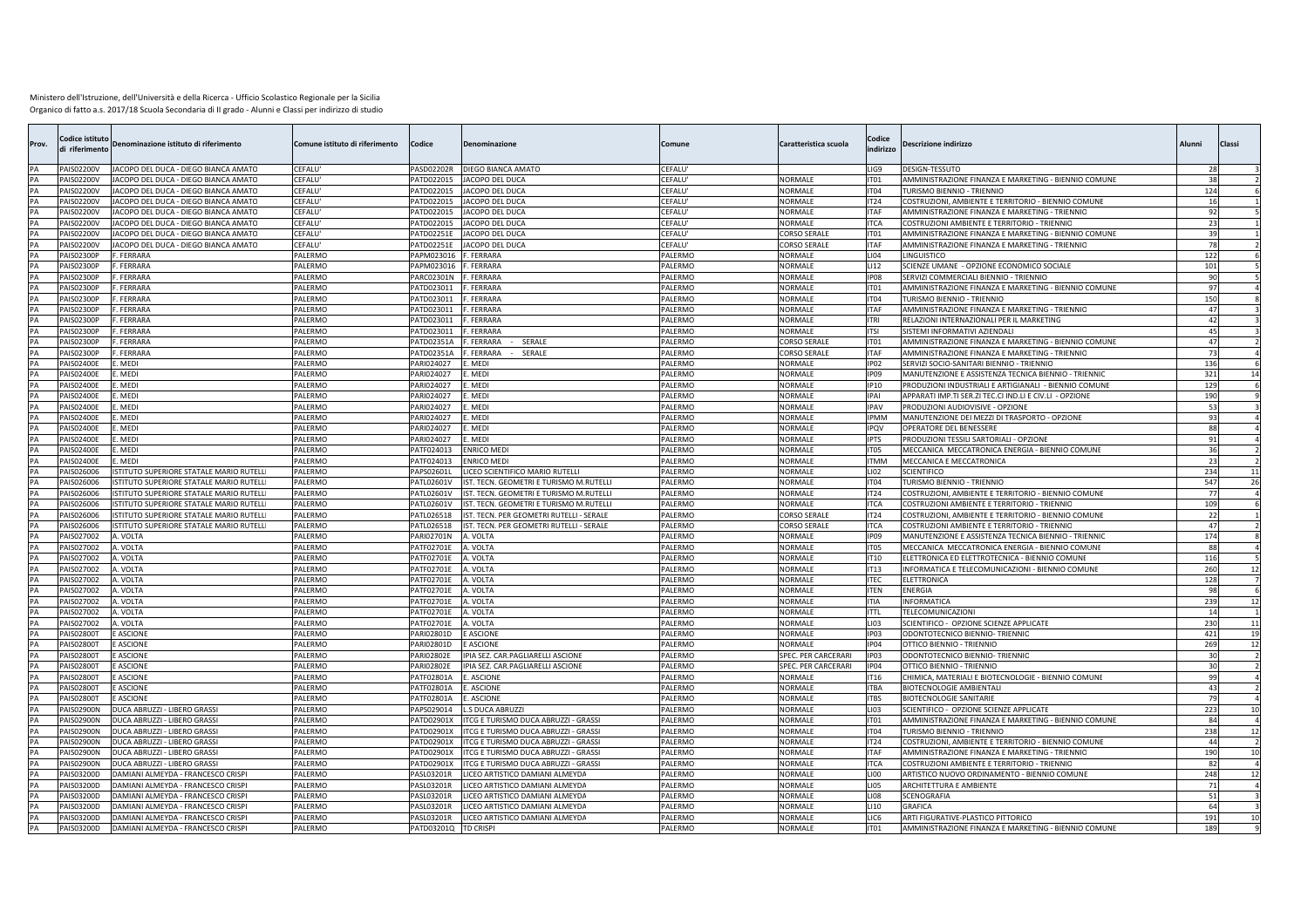| Prov.    | Codice istitut<br>di riferimento | Denominazione istituto di riferimento          | Comune istituto di riferimento | Codice                   | Denominazione                              | omune:                   | Caratteristica scuola     | Codice<br>indirizzo      | Oescrizione indirizzo                                                                          | Alunni          | Classi   |
|----------|----------------------------------|------------------------------------------------|--------------------------------|--------------------------|--------------------------------------------|--------------------------|---------------------------|--------------------------|------------------------------------------------------------------------------------------------|-----------------|----------|
| PA       | PAIS02200V                       | ACOPO DEL DUCA - DIEGO BIANCA AMATO            | CEFALU <sup>®</sup>            | PASD02202R               | DIEGO BIANCA AMATO                         | <b>EFALU</b>             |                           | LIG9                     | DESIGN-TESSUTO                                                                                 | 28              |          |
|          | PAIS02200V                       | ACOPO DEL DUCA - DIEGO BIANCA AMATO            | CEFALU <sup>®</sup>            | PATD022015               | ACOPO DEL DUCA                             | CEFALU                   | NORMALE                   | IT <sub>01</sub>         | AMMINISTRAZIONE FINANZA E MARKETING - BIENNIO COMUNE                                           |                 |          |
| PA       | PAIS02200V                       | ACOPO DEL DUCA - DIEGO BIANCA AMATO            | CEEALLI                        | PATD022015               | JACOPO DEL DUCA                            | EFALU'                   | NORMALE                   | IT <sub>04</sub>         | TURISMO BIENNIO - TRIENNIO                                                                     | 124             |          |
| PA       | PAIS02200V                       | ACOPO DEL DUCA - DIEGO BIANCA AMATO            | CEFALU'                        | PATD022015               | JACOPO DEL DUCA                            | CEFALU                   | <b>NORMALE</b>            | <b>IT24</b>              | COSTRUZIONI, AMBIENTE E TERRITORIO - BIENNIO COMUNE                                            | 16              |          |
| PA       | PAIS02200V                       | ACOPO DEL DUCA - DIEGO BIANCA AMATO            | CEFALU <sup>®</sup>            | PATD022015               | JACOPO DEL DUCA                            | CEFALU                   | <b>NORMALE</b>            | <b>ITAF</b>              | AMMINISTRAZIONE FINANZA E MARKETING - TRIENNIO                                                 | 97              |          |
| PA       | PAIS02200V                       | ACOPO DEL DUCA - DIEGO BIANCA AMATO            | CEFALU'                        | PATD022015               | <b>JACOPO DEL DUCA</b>                     | CEFALU'                  | <b>NORMALE</b>            | <b>ITCA</b>              | COSTRUZIONI AMBIENTE E TERRITORIO - TRIENNIC                                                   | 2 <sup>2</sup>  |          |
|          | PAIS02200V                       | ACOPO DEL DUCA - DIEGO BIANCA AMATO            | CEFALU'                        | PATD02251E               | JACOPO DEL DUCA                            | CEFALU <sup>®</sup>      | <b>CORSO SERALI</b>       | IT01                     | AMMINISTRAZIONE FINANZA E MARKETING - BIENNIO COMUNE                                           |                 |          |
| PA       | PAIS02200V                       | ACOPO DEL DUCA - DIEGO BIANCA AMATO            | CEFALU <sup>®</sup>            | PATD02251E               | JACOPO DEL DUCA                            | CEFALU <sup>®</sup>      | <b>CORSO SERALE</b>       | <b>ITAF</b>              | AMMINISTRAZIONE FINANZA E MARKETING - TRIENNIO                                                 | 78              |          |
|          | PAIS02300P                       | . FERRARA<br>FFRRARA                           | <b>ALERMO</b>                  | PAPM023016               | . FERRARA                                  | PALERMC                  | <b>NORMALE</b>            | LI <sub>04</sub>         | <b>INGUISTICO</b>                                                                              | 12              |          |
| PA<br>PA | AIS02300P                        | FERRARA                                        | ALERMO                         | PAPM023016               | FERRARA                                    | <b>ALERMO</b>            | VORMALE                   | LI12                     | SCIENZE UMANE - OPZIONE ECONOMICO SOCIALE                                                      | 101<br>$Q_0$    |          |
| PΔ       | AIS02300P<br>AIS02300P           | FFRRARA                                        | ALERMO<br><b>ALFRMO</b>        | PARC02301N               | FERRARA<br>FERRARA                         | ALERMO<br><b>ALERMO</b>  | NORMALE<br>NORMALE        | IP08<br>IT <sub>01</sub> | SERVIZI COMMERCIALI BIENNIO - TRIENNIO<br>AMMINISTRAZIONE FINANZA E MARKETING - BIENNIO COMUNE | o.              |          |
| PA       |                                  | FERRARA                                        | <b>ALERMO</b>                  | PATD023011               |                                            | PALERMO                  |                           |                          |                                                                                                | 15              |          |
|          | <b>AIS02300P</b><br>PAIS02300P   | FERRARA                                        | ALERMO                         | PATD023011<br>PATD023011 | FERRARA<br>FERRARA                         | PALERMO                  | NORMALE<br>NORMALE        | IT04<br><b>ITAF</b>      | URISMO BIENNIO - TRIENNIO<br>AMMINISTRAZIONE FINANZA E MARKETING - TRIENNIO                    |                 |          |
|          | PAIS02300P                       | FERRARA                                        | <b>ALERMO</b>                  | PATD023011               | FERRARA                                    | <b>ALERMO</b>            | NORMALE                   | <b>ITRI</b>              | RELAZIONI INTERNAZIONALI PER IL MARKETING                                                      | $\Delta$        |          |
|          | <b>PAIS02300P</b>                | FERRARA                                        | ALERMO                         | PATD023011               | . FERRARA                                  | PALERMO                  | <b>NORMALE</b>            | <b>ITSI</b>              | SISTEMI INFORMATIVI AZIENDALI                                                                  |                 |          |
| PA       | AIS02300P                        | FERRARA                                        | ALERMO                         | PATD02351A               | FERRARA<br>SERALE                          | ALERMO                   | <b>CORSO SERALE</b>       | IT <sub>01</sub>         | AMMINISTRAZIONE FINANZA E MARKETING - BIENNIO COMUNE                                           |                 |          |
|          | PAIS02300P                       | FERRARA                                        | ALERMO                         | PATD02351A               | . FERRARA<br>SERALE                        | ALERMO                   | <b>CORSO SERALE</b>       | <b>ITAF</b>              | AMMINISTRAZIONE FINANZA E MARKETING - TRIENNIO                                                 |                 |          |
| PA       | PAIS02400E                       | MEDI                                           | ALERMO                         | PARI024027               | MEDI                                       | <b>ALERMO</b>            | <b>NORMALE</b>            | <b>IP02</b>              | SERVIZI SOCIO-SANITARI BIENNIO - TRIENNIC                                                      | 136             |          |
|          | AIS02400E                        | MEDI                                           | ALERMO                         | PARI024027               | . MEDI                                     | PALERMO                  | <b>NORMALE</b>            | IP09                     | MANUTENZIONE E ASSISTENZA TECNICA BIENNIO - TRIENNIC                                           | 32 <sub>2</sub> |          |
| PA       | PAIS02400E                       | MEDI                                           | ALERMO                         | PARI024027               | MEDI                                       | ALERMO                   | NORMALE                   | <b>IP10</b>              | PRODUZIONI INDUSTRIALI E ARTIGIANALI - BIENNIO COMUNE                                          | 12!             |          |
|          | PAIS02400E                       | . MEDI                                         | ALERMO                         | PARI024027               | . MEDI                                     | PALERMO                  | NORMALE                   | <b>IPAI</b>              | APPARATI IMP.TI SER.ZI TEC.CI IND.LI E CIV.LI - OPZIONE                                        | 190             |          |
|          | PAIS02400E                       | MEDI                                           | ALERMO                         | PARI024027               | MEDI                                       | PALERMO                  | NORMALE                   | <b>IPAV</b>              | PRODUZIONI AUDIOVISIVE - OPZIONE                                                               |                 |          |
| PA       | PAIS02400E                       | . MEDI                                         | <b>ALERMO</b>                  | PARI024027               | . MEDI                                     | PALERMO                  | NORMALE                   | <b>IPMM</b>              | MANUTENZIONE DEI MEZZI DI TRASPORTO - OPZIONE                                                  |                 |          |
| PA       | <b>PAIS02400E</b>                | MEDI                                           | <b>ALFRMO</b>                  | PARI024027               | . MEDI                                     | <b>ALERMO</b>            | NORMALE                   | <b>IPOV</b>              | OPERATORE DEL BENESSERE                                                                        | $\Omega$        |          |
| PA       | PAIS02400E                       | MEDI                                           | ALERMO                         | PARI024027               | MEDI                                       | ALERMO                   | <b>NORMALE</b>            | <b>IPTS</b>              | PRODUZIONI TESSILI SARTORIALI - OPZIONE                                                        | 91              |          |
|          | PAIS02400E                       | MEDI                                           | <b>ALERMO</b>                  | PATF024013               | <b>ENRICO MEDI</b>                         | PALERMO                  | <b>NORMALE</b>            | IT <sub>05</sub>         | MECCANICA MECCATRONICA ENERGIA - BIENNIO COMUNI                                                | 36              |          |
| PA       | <b>PAIS02400E</b>                | MEDI                                           | <b>ALERMO</b>                  | PATF024013               | <b>ENRICO MEDI</b>                         | <b>ALERMO</b>            | NORMALE                   | <b>ITMM</b>              | MECCANICA E MECCATRONICA                                                                       | 2 <sup>2</sup>  |          |
| PA       | PAIS026006                       | STITUTO SUPERIORE STATALE MARIO RUTELLI        | <b>ALERMO</b>                  | PAPS02601L               | LICEO SCIENTIFICO MARIO RUTELLI            | PALERMO                  | <b>NORMALE</b>            | LI02                     | <b>SCIENTIFICO</b>                                                                             | 234             | 11       |
| PA       | PAIS026006                       | STITUTO SUPERIORE STATALE MARIO RUTELLI        | PALERMO                        | PATL02601V               | IST. TECN. GEOMETRI E TURISMO M.RUTELLI    | PALERMO                  | <b>NORMALE</b>            | IT04                     | TURISMO BIENNIO - TRIENNIO                                                                     | 547             |          |
| PA       | PAIS026006                       | STITUTO SUPERIORE STATALE MARIO RUTELL         | PALERMO                        | PATL02601V               | IST. TECN. GEOMETRI E TURISMO M.RUTELLI    | PALERMO                  | NORMALE                   | IT24                     | COSTRUZIONI, AMBIENTE E TERRITORIO - BIENNIO COMUNE                                            |                 |          |
| PA       | PAIS026006                       | STITUTO SUPERIORE STATALE MARIO RUTELL         | ALERMO                         | PATL02601V               | IST. TECN. GEOMETRI E TURISMO M.RUTELLI    | ALERMO                   | NORMALE                   | <b>ITCA</b>              | COSTRUZIONI AMBIENTE E TERRITORIO - TRIENNIC                                                   | 10              |          |
| PA       | PAIS026006                       | STITUTO SUPERIORE STATALE MARIO RUTELLI        | ALERMO                         | PATL026518               | IST. TECN. PER GEOMETRI RUTELLI - SERALE   | PALERMO                  | <b>CORSO SERAL</b>        | IT24                     | COSTRUZIONI, AMBIENTE E TERRITORIO - BIENNIO COMUNE                                            | -22             |          |
| PA       | PAIS026006                       | <b>STITUTO SUPERIORE STATALE MARIO RUTELLI</b> | ALERMO                         | PATL026518               | IST. TECN. PER GEOMETRI RUTELLI - SERALE   | PALERMO                  | <b>CORSO SERALE</b>       | <b>ITCA</b>              | COSTRUZIONI AMBIENTE E TERRITORIO - TRIENNIC                                                   | $\Delta$        |          |
|          | AIS027002                        | . VOLTA                                        | <b>ALERMO</b>                  | PARI02701N               | <b>LVOLTA</b>                              | ALERMO                   | <b>NORMALE</b>            | IP <sub>09</sub>         | MANUTENZIONE E ASSISTENZA TECNICA BIENNIO - TRIENNIC                                           | 174             |          |
|          | PAIS027002                       | . VOLTA                                        | ALERMO                         | PATF02701E               | A. VOLTA                                   | <b>ALERMO</b>            | NORMALE                   | IT <sub>05</sub>         | MECCANICA MECCATRONICA ENERGIA - BIENNIO COMUNE                                                | $\Omega$        |          |
|          | PAIS027002                       | VOLTA                                          | <b>ALERMO</b>                  | PATF02701E               | A. VOLTA                                   | <b>ALERMO</b>            | NORMALE                   | IT10                     | ELETTRONICA ED ELETTROTECNICA - BIENNIO COMUNI                                                 | 116             |          |
| PA       | PAIS027002                       | VOLTA                                          | <b>ALERMO</b>                  | PATF02701E               | A. VOLTA                                   | PALERMO                  | <b>NORMALE</b>            | <b>IT13</b>              | INFORMATICA E TELECOMUNICAZIONI - BIENNIO COMUNE                                               | 260             |          |
| PA       | AIS027002                        | VOLTA                                          | ALERMO                         | PATF02701E               | A. VOLTA                                   | ALERMO                   | <b>NORMALE</b>            | <b>ITEC</b>              | ELETTRONICA                                                                                    | 128             |          |
| PA       | AIS027002                        | . VOLTA                                        | <b>ALERMO</b>                  | PATF02701E               | A. VOLTA                                   | <b>ALERMO</b>            | NORMALE                   | <b>ITEN</b>              | ENERGIA                                                                                        | <b>q</b>        |          |
| PA       | PAIS027002                       | VOLTA                                          | ALERMO                         | PATF02701E               | A. VOLTA                                   | PALERMO                  | <b>NORMALE</b>            | <b>ITIA</b>              | <b>INFORMATICA</b>                                                                             | 239             | 12       |
| PA<br>PA | PAIS027002<br>PAIS027002         | . VOLTA<br>. VOLTA                             | PALERMO<br>ALERMO              | PATF02701E<br>PATF02701E | <b>. VOLTA</b><br>A. VOLTA                 | PALERMO<br><b>ALERMO</b> | NORMALE<br><b>NORMALE</b> | <b>ITTL</b><br>LIO3      | TELECOMUNICAZIONI<br>SCIENTIFICO - OPZIONE SCIENZE APPLICATE                                   | 14<br>230       | 11       |
|          |                                  |                                                |                                |                          |                                            |                          |                           |                          |                                                                                                |                 |          |
|          | PAIS02800T<br>PAIS028001         | <b>ASCIONE</b><br><b>ASCIONE</b>               | <b>ALERMO</b><br><b>ALERMO</b> | PARI02801D<br>PARI02801D | E ASCIONE<br>E ASCIONE                     | PALERMO<br>PALERMO       | NORMALE<br><b>NORMALE</b> | IP03<br>IP04             | ODONTOTECNICO BIENNIO- TRIENNIO<br>OTTICO BIENNIO - TRIENNIC                                   | 421<br>269      | 19<br>12 |
| PA       | AIS02800                         | <b>ASCIONE</b>                                 | ALERMO                         | <b>PARI02802E</b>        | PIA SEZ. CAR.PAGLIARELLI ASCIONE           | ALERMO                   | SPEC. PER CARCERARI       | IP <sub>03</sub>         | ODONTOTECNICO BIENNIO- TRIENNIO                                                                |                 |          |
| PA       | PAIS028001                       | <b>ASCIONE</b>                                 | <b>ALERMO</b>                  | <b>PARI02802E</b>        | IPIA SEZ. CAR.PAGLIARELLI ASCIONE          | <b>ALERMO</b>            | SPEC. PER CARCERARI       | IP <sub>04</sub>         | OTTICO BIENNIO - TRIENNIO                                                                      | $\overline{3}$  |          |
| PA       | PAIS028001                       | <b>ASCIONE</b>                                 | <b>ALERMO</b>                  | PATF02801A               | . ASCIONE                                  | <b>ALERMO</b>            | <b>NORMALE</b>            | IT16                     | CHIMICA, MATERIALI E BIOTECNOLOGIE - BIENNIO COMUNI                                            | go              |          |
| PA       | PAIS02800T                       | <b>ASCIONE</b>                                 | <b>ALERMO</b>                  | <b>PATF02801A</b>        | . ASCIONE                                  | PALERMO                  | <b>NORMALE</b>            | <b>ITRA</b>              | <b>BIOTECNOLOGIE AMBIENTALI</b>                                                                | $\mathbf{A}$    |          |
| PA       | AIS02800T                        | <b>ASCIONE</b>                                 | PALERMO                        | PATF02801A               | . ASCIONE                                  | PALERMO                  | <b>NORMALE</b>            | <b>ITBS</b>              | <b>BIOTECNOLOGIE SANITARIE</b>                                                                 |                 |          |
| PA       | <b>PAIS02900N</b>                | DUCA ABRUZZI - LIBERO GRASSI                   | PALERMO                        | PAPS029014               | S DUCA ABRUZZI                             | PALERMO                  | <b>NORMALE</b>            | 1103                     | SCIENTIFICO - OPZIONE SCIENZE APPLICATE                                                        | 223             | 10       |
| PA       | PAIS02900N                       | DUCA ABRUZZI - LIBERO GRASSI                   | PALERMO                        | PATD02901X               | ITCG E TURISMO DUCA ABRUZZI - GRASSI       | PALERMO                  | <b>NORMALE</b>            | IT01                     | AMMINISTRAZIONE FINANZA E MARKETING - BIENNIO COMUNE                                           | 84              |          |
|          | PAIS02900N                       | UCA ABRUZZI - LIBERO GRASSI                    | ALERMO                         | PATD02901X               | TCG E TURISMO DUCA ABRUZZI - GRASSI        | PALERMO                  | NORMALE                   | IT <sub>04</sub>         | TURISMO BIENNIO - TRIENNIO                                                                     | 23              |          |
| PA       | AIS02900N                        | <b>DUCA ABRUZZI - LIBERO GRASSI</b>            | ALERMO                         | PATD02901X               | TCG E TURISMO DUCA ABRUZZI - GRASSI        | ALERMO                   | NORMALE                   | IT24                     | COSTRUZIONI, AMBIENTE E TERRITORIO - BIENNIO COMUNE                                            | $\Delta\Delta$  |          |
|          | AIS02900N                        | <b>DUCA ABRUZZI - LIBERO GRASSI</b>            | ALERMO                         | PATD02901X               | <b>TCG E TURISMO DUCA ABRUZZI - GRASSI</b> | ALERMO                   | NORMALE                   | <b>ITAF</b>              | AMMINISTRAZIONE FINANZA E MARKETING - TRIENNIC                                                 | 190             |          |
| PA       | AIS02900N                        | <b>DUCA ABRUZZI - LIBERO GRASSI</b>            | <b>ALERMO</b>                  | PATD02901X               | TCG E TURISMO DUCA ABRUZZI - GRASSI        | PALERMO                  | NORMALE                   | <b>ITCA</b>              | COSTRUZIONI AMBIENTE E TERRITORIO - TRIENNIC                                                   | 82              |          |
| PA       | AIS03200D                        | <b>DAMIANI ALMEYDA - FRANCESCO CRISP</b>       | ALERMO                         | PASL03201R               | ICEO ARTISTICO DAMIANI ALMEYDA             | PALERMO                  | NORMALE                   | <b>LIOO</b>              | ARTISTICO NUOVO ORDINAMENTO - BIENNIO COMUNE                                                   | 248             |          |
| PA       | PAIS03200D                       | <b>DAMIANI ALMEYDA - FRANCESCO CRISPI</b>      | <b>ALERMO</b>                  | PASL03201R               | ICEO ARTISTICO DAMIANI ALMEYDA             | PALERMO                  | NORMALE                   | LI05                     | ARCHITETTURA E AMBIENTE                                                                        |                 |          |
| PA       | PAIS03200D                       | <b>DAMIANI ALMEYDA - FRANCESCO CRISP</b>       | ALERMO                         | PASL03201R               | <b>ICEO ARTISTICO DAMIANI ALMEYDA</b>      | PALERMO                  | <b>NORMALE</b>            | LI08                     | SCENOGRAFIA                                                                                    | 51              |          |
|          | PAIS03200D                       | DAMIANI ALMEYDA - FRANCESCO CRISP              | PALERMO                        | PASL03201R               | LICEO ARTISTICO DAMIANI ALMEYDA            | PALERMO                  | NORMALE                   | <b>LI10</b>              | <b>GRAFICA</b>                                                                                 | 64              |          |
| PA       | PAIS03200D                       | DAMIANI ALMEYDA - FRANCESCO CRISP              | PALERMO                        | PASL03201R               | LICEO ARTISTICO DAMIANI ALMEYDA            | PALERMO                  | NORMALE                   | LIC6                     | ARTI FIGURATIVE-PLASTICO PITTORICO                                                             | 191             |          |
| PA       | PAIS03200D                       | DAMIANI ALMEYDA - FRANCESCO CRISPI             | PALERMO                        | PATD03201Q               | <b>TD CRISPI</b>                           | PALERMO                  | <b>NORMALE</b>            | IT01                     | AMMINISTRAZIONE FINANZA E MARKETING - BIENNIO COMUNE                                           | 189             |          |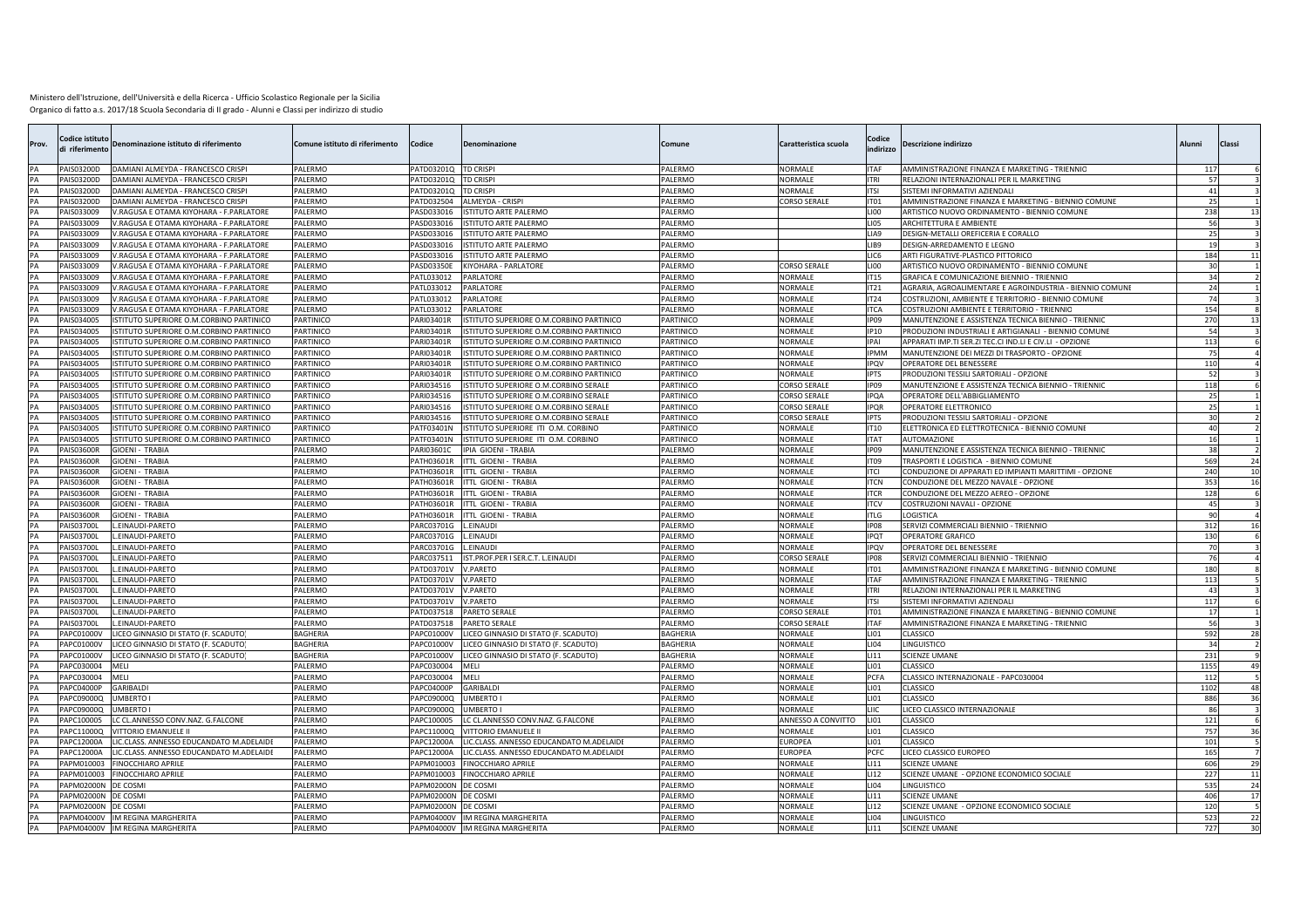| Prov. | `odice istituto<br>di riferimento | Denominazione istituto di riferimento                                              | Comune istituto di riferimento | Codice                   | Denominazione                                                                      | Comune                         | Caratteristica scuola            | Codice<br>indirizzo             | Descrizione indirizzo                                                                                         | Alunni          | Classi         |    |
|-------|-----------------------------------|------------------------------------------------------------------------------------|--------------------------------|--------------------------|------------------------------------------------------------------------------------|--------------------------------|----------------------------------|---------------------------------|---------------------------------------------------------------------------------------------------------------|-----------------|----------------|----|
| PA    | PAIS03200D                        | DAMIANI ALMEYDA - FRANCESCO CRISPI                                                 | PALERMO                        | PATD03201Q               | <b>TD CRISPI</b>                                                                   | PALERMO                        | <b>NORMALE</b>                   | <b>ITAF</b>                     | AMMINISTRAZIONE FINANZA E MARKETING - TRIENNIO                                                                | 11              |                |    |
|       | PAIS03200D                        | DAMIANI ALMEYDA - FRANCESCO CRISPI                                                 | PALERMO                        | PATD03201Q               | <b>TD CRISPI</b>                                                                   | PALERMO                        | <b>NORMALE</b>                   | <b>ITRI</b>                     | RELAZIONI INTERNAZIONALI PER IL MARKETING                                                                     |                 |                |    |
|       | PAIS03200D                        | DAMIANI ALMEYDA - FRANCESCO CRISPI                                                 | PALERMO                        | PATD03201Q               | <b>TD CRISPI</b>                                                                   | <b>ALERMO</b>                  | <b>NORMALE</b>                   | <b>ITSI</b>                     | SISTEMI INFORMATIVI AZIENDALI                                                                                 |                 | $\Delta$ 1     |    |
|       | PAIS03200D                        | DAMIANI ALMEYDA - FRANCESCO CRISPI                                                 | PALERMO                        | PATD032504               | ALMEYDA - CRISPI                                                                   | PALERMO                        | <b>CORSO SERALE</b>              | IT01                            | AMMINISTRAZIONE FINANZA E MARKETING - BIENNIO COMUNE                                                          |                 | 2 <sup>t</sup> |    |
|       | PAIS033009                        | <b>/.RAGUSA E OTAMA KIYOHARA - F.PARLATORE</b>                                     | PALERMO                        | ASD033016                | <b>ISTITUTO ARTE PALERMO</b>                                                       | <b>ALERMO</b>                  |                                  | LI00                            | ARTISTICO NUOVO ORDINAMENTO - BIENNIO COMUNI                                                                  | 238             |                |    |
|       | PAIS033009                        | RAGUSA E OTAMA KIYOHARA - F.PARLATORE                                              | <b>PALERMO</b>                 | PASD033016               | STITUTO ARTE PALERMO                                                               | PALERMO                        |                                  | <b>LIO5</b>                     | ARCHITETTURA E AMBIENTE                                                                                       |                 |                |    |
|       | PAIS033009                        | <b>/.RAGUSA E OTAMA KIYOHARA - F.PARLATORE</b>                                     | PALERMO                        | PASD033016               | <b>ISTITUTO ARTE PALERMO</b>                                                       | PALERMO                        |                                  | LIA9                            | DESIGN-METALLI OREFICERIA E CORALLO                                                                           |                 |                |    |
|       | PAIS033009                        | V.RAGUSA E OTAMA KIYOHARA - F.PARLATORI                                            | PALERMO                        | PASD033016               | STITUTO ARTE PALERMO                                                               | PALERMO                        |                                  | LIB9                            | DESIGN-ARREDAMENTO E LEGNO                                                                                    |                 |                |    |
|       | PAIS033009                        | <b><i>I.RAGUSA E OTAMA KIYOHARA - F.PARLATORI</i></b>                              | PALERMO                        | PASD033016               | <b>ISTITUTO ARTE PALERMO</b>                                                       | PALERMO                        |                                  | 1106                            | ARTI FIGURATIVE-PLASTICO PITTORICO                                                                            | 184             |                | 11 |
|       | PAIS033009                        | /.RAGUSA E OTAMA KIYOHARA - F.PARLATORI                                            | PALERMO                        | PASD03350E               | KIYOHARA - PARLATORE                                                               | <b>ALERMO</b>                  | <b>CORSO SERALE</b>              | LIOO                            | ARTISTICO NUOVO ORDINAMENTO - BIENNIO COMUNE                                                                  |                 |                |    |
|       | PAIS033009                        | /.RAGUSA E OTAMA KIYOHARA - F.PARLATORE                                            | PALERMO                        | PATL033012               | PARLATORE                                                                          | PALERMO                        | <b>NORMALE</b>                   | <b>IT15</b>                     | GRAFICA E COMUNICAZIONE BIENNIO - TRIENNIO                                                                    |                 | 34             |    |
|       | PAIS033009                        | /.RAGUSA E OTAMA KIYOHARA - F.PARLATORE                                            | PALERMO                        | PATL033012               | PARLATORE                                                                          | <b>ALERMO</b>                  | <b>NORMALE</b>                   | IT21                            | AGRARIA, AGROALIMENTARE E AGROINDUSTRIA - BIENNIO COMUNE                                                      |                 |                |    |
|       | PAIS033009                        | /.RAGUSA E OTAMA KIYOHARA - F.PARLATORE                                            | PALERMO                        | PATL033012               | PARLATORE                                                                          | PALERMO                        | <b>NORMALE</b>                   | <b>IT24</b>                     | COSTRUZIONI, AMBIENTE E TERRITORIO - BIENNIO COMUNE                                                           |                 |                |    |
|       | PAIS033009                        | /.RAGUSA E OTAMA KIYOHARA - F.PARLATORE                                            | PALERMO                        | PATL033012               | <b>PARLATORE</b>                                                                   | <b>ALERMO</b>                  | <b>NORMALE</b>                   | <b>ITCA</b>                     | COSTRUZIONI AMBIENTE E TERRITORIO - TRIENNIC                                                                  | 154<br>27       |                |    |
|       | PAIS034005<br>PAIS034005          | STITUTO SUPERIORE O.M.CORBINO PARTINICO<br>STITUTO SUPERIORE O.M.CORBINO PARTINICO | PARTINICO<br>PARTINICO         | PARI03401R<br>PARI03401  | STITUTO SUPERIORE O.M.CORBINO PARTINICO<br>STITUTO SUPERIORE O.M.CORBINO PARTINICO | PARTINICO<br>PARTINICO         | NORMALE<br><b>NORMALE</b>        | IP <sub>09</sub><br><b>IP10</b> | MANUTENZIONE E ASSISTENZA TECNICA BIENNIO - TRIENNIC<br>PRODUZIONI INDUSTRIALI E ARTIGIANALI - BIENNIO COMUNE |                 |                | 13 |
|       | PAIS034005                        | STITUTO SUPERIORE O.M.CORBINO PARTINICO                                            | PARTINICO                      | PARI03401R               | STITUTO SUPERIORE O.M.CORBINO PARTINICO                                            | PARTINICO                      | NORMALE                          | <b>IPAL</b>                     | APPARATI IMP.TI SER.ZI TEC.CI IND.LI E CIV.LI - OPZIONE                                                       | 11 <sup>3</sup> |                |    |
|       | PAIS034005                        | STITUTO SUPERIORE O.M.CORBINO PARTINICO                                            | PARTINICO                      | PARI03401R               | STITUTO SUPERIORE O.M.CORBINO PARTINICO                                            | PARTINICO                      | NORMALE                          | <b>IPMM</b>                     | MANUTENZIONE DEI MEZZI DI TRASPORTO - OPZIONE                                                                 |                 |                |    |
|       | PAIS034005                        | STITUTO SUPERIORE O.M.CORBINO PARTINICO                                            | PARTINICO                      | PARI03401R               | STITUTO SUPERIORE O.M.CORBINO PARTINICO                                            | PARTINICO                      | <b>NORMALE</b>                   | <b>IPOV</b>                     | OPERATORE DEL BENESSERE                                                                                       | 110             |                |    |
|       | PAIS034005                        | STITUTO SUPERIORE O.M.CORBINO PARTINICO                                            | PARTINICO                      | PARI03401R               | STITUTO SUPERIORE O.M.CORBINO PARTINICO                                            | PARTINICO                      | <b>NORMALE</b>                   | <b>IPTS</b>                     | PRODUZIONI TESSILI SARTORIALI - OPZIONE                                                                       |                 |                |    |
|       | PAIS034005                        | ISTITUTO SUPERIORE O.M.CORBINO PARTINICO                                           | PARTINICO                      | PARI034516               | ISTITUTO SUPERIORE O.M.CORBINO SERALE                                              | <b>PARTINICO</b>               | <b>CORSO SERALE</b>              | IP <sub>09</sub>                | MANUTENZIONE E ASSISTENZA TECNICA BIENNIO - TRIENNIC                                                          | 118             |                |    |
|       | PAIS034005                        | ISTITUTO SUPERIORE O.M.CORBINO PARTINICO                                           | PARTINICO                      | PARI034516               | ISTITUTO SUPERIORE O.M.CORBINO SERALE                                              | PARTINICO                      | <b>CORSO SERALE</b>              | <b>IPQA</b>                     | OPERATORE DELL'ABBIGLIAMENTO                                                                                  |                 |                |    |
|       | PAIS034005                        | STITUTO SUPERIORE O.M.CORBINO PARTINICO                                            | PARTINICO                      | PARI034516               | ISTITUTO SUPERIORE O.M.CORBINO SERALE                                              | PARTINICO                      | <b>CORSO SERALE</b>              | <b>IPOR</b>                     | OPERATORE ELETTRONICO                                                                                         |                 | 25             |    |
|       | PAIS034005                        | STITUTO SUPERIORE O.M.CORBINO PARTINICO                                            | PARTINICO                      | PARI034516               | ISTITUTO SUPERIORE O.M.CORBINO SERALE                                              | PARTINICO                      | <b>CORSO SERALE</b>              | <b>IPTS</b>                     | PRODUZIONI TESSILI SARTORIALI - OPZIONE                                                                       |                 |                |    |
|       | PAIS034005                        | STITUTO SUPERIORE O.M.CORBINO PARTINICO                                            | PARTINICO                      | PATF03401N               | ISTITUTO SUPERIORE ITI O.M. CORBINO                                                | <b>ARTINICO</b>                | <b>NORMALE</b>                   | <b>IT10</b>                     | ELETTRONICA ED ELETTROTECNICA - BIENNIO COMUNE                                                                |                 |                |    |
|       | PAIS034005                        | STITUTO SUPERIORE O.M.CORBINO PARTINICO                                            | PARTINICO                      | PATF03401N               | ISTITUTO SUPERIORE ITI O.M. CORBINO                                                | PARTINICO                      | <b>NORMALE</b>                   | <b>ITAT</b>                     | <b>AUTOMAZIONE</b>                                                                                            |                 | 16             |    |
|       | PAIS03600F                        | GIOENI - TRABIA                                                                    | ALERMO                         | PARI03601C               | <b>IPIA GIOENI - TRABIA</b>                                                        | <b>ALERMO</b>                  | <b>NORMALE</b>                   | <b>IP09</b>                     | MANUTENZIONE E ASSISTENZA TECNICA BIENNIO - TRIENNIC                                                          |                 |                |    |
|       | PAIS03600R                        | <b>SIOENI - TRABIA</b>                                                             | PALERMO                        | PATH03601R               | TTL GIOENI - TRABIA                                                                | PALERMO                        | NORMALE                          | POTI                            | TRASPORTI E LOGISTICA - BIENNIO COMUNE                                                                        | 569             |                | 24 |
|       | PAIS03600R                        | <b>GIOENI - TRABIA</b>                                                             | <b>PALERMO</b>                 | PATH03601R               | TTL GIOENI - TRABIA                                                                | PALERMO                        | NORMALE                          | ITCI.                           | CONDUZIONE DI APPARATI ED IMPIANTI MARITTIMI - OPZIONE                                                        | 240             |                | 10 |
|       | PAIS03600R                        | GIOENI - TRABIA                                                                    | PALERMO                        | PATH03601R               | ITTL GIOENI - TRABIA                                                               | PALERMO                        | <b>NORMALE</b>                   | <b>ITCN</b>                     | CONDUZIONE DEL MEZZO NAVALE - OPZIONE                                                                         | 353             |                | 16 |
|       | PAIS03600R                        | <b>GIOENI - TRABIA</b>                                                             | PALERMO                        | PATH03601R               | TTL GIOENI - TRABIA                                                                | PALERMO                        | <b>NORMALE</b>                   | <b>ITCR</b>                     | CONDUZIONE DEL MEZZO AEREO - OPZIONE                                                                          | 128             |                |    |
|       | PAIS03600R                        | GIOENI - TRABIA                                                                    | <b>PALERMO</b>                 | PATH03601R               | <b>ITTL GIOENI - TRABIA</b>                                                        | ALERMO                         | <b>NORMALE</b>                   | <b>ITCV</b>                     | COSTRUZIONI NAVALI - OPZIONE                                                                                  |                 |                |    |
|       | PAIS03600R                        | GIOENI - TRABIA                                                                    | <b>PALERMO</b>                 | PATH03601R               | ITTL GIOENI - TRABIA                                                               | <b>ALERMO</b>                  | <b>NORMALE</b>                   | <b>ITLG</b>                     | LOGISTICA                                                                                                     |                 | <b>Q</b>       |    |
|       | <b>PAIS03700L</b>                 | .EINAUDI-PARETO                                                                    | <b>PALERMO</b>                 | PARC03701G               | L.EINAUDI                                                                          | <b>ALERMO</b>                  | <b>NORMALE</b>                   | <b>IP08</b>                     | SERVIZI COMMERCIALI BIENNIO - TRIENNIO                                                                        | 312             |                | 16 |
|       | PAIS03700I                        | .EINAUDI-PARETO                                                                    | ALERMO                         | PARC03701G               | .EINAUDI                                                                           | PALERMO                        | <b>NORMALE</b>                   | <b>IPQT</b>                     | OPERATORE GRAFICO                                                                                             | 13              |                |    |
|       | PAIS03700L                        | .EINAUDI-PARETO                                                                    | <b>PALERMO</b>                 | PARC03701G               | L.EINAUDI                                                                          | ALERMO                         | NORMALE                          | <b>IPOV</b>                     | OPERATORE DEL BENESSERI                                                                                       |                 |                |    |
|       | <b>PAIS03700L</b>                 | EINAUDI-PARETO                                                                     | <b>PALERMO</b>                 | PARC037511               | IST.PROF.PER I SER.C.T. L.EINAUDI                                                  | <b>ALERMO</b>                  | <b>CORSO SERAI</b>               | IP <sub>08</sub>                | SERVIZI COMMERCIALI BIENNIO - TRIENNIO                                                                        |                 |                |    |
|       | <b>PAIS03700L</b>                 | .EINAUDI-PARETO                                                                    | PALERMO                        | PATD03701V               | <b>V.PARETO</b>                                                                    | PALERMO                        | <b>NORMALE</b>                   | <b>IT01</b>                     | AMMINISTRAZIONE FINANZA E MARKETING - BIENNIO COMUNE                                                          | 18              |                |    |
|       | <b>PAIS03700L</b>                 | .EINAUDI-PARETO                                                                    | <b>PALERMO</b>                 | PATD03701V               | V.PARETO                                                                           | PALERMO                        | <b>NORMALE</b>                   | <b>ITAF</b>                     | AMMINISTRAZIONE FINANZA E MARKETING - TRIENNIO                                                                | 113             |                |    |
| PА    | <b>PAIS03700L</b>                 | .EINAUDI-PARETO                                                                    | PALERMO                        | PATD03701V               | <b>V.PARETO</b>                                                                    | PALERMO                        | <b>NORMALE</b>                   | <b>ITRI</b>                     | RELAZIONI INTERNAZIONALI PER IL MARKETING                                                                     | $\mathbf{A}$    |                |    |
|       | <b>PAIS03700L</b>                 | EINAUDI-PARETO                                                                     | PALERMO                        | PATD03701V               | V.PARETO                                                                           | PALERMO                        | <b>NORMALE</b>                   | <b>ITSI</b>                     | SISTEMI INFORMATIVI AZIENDALI                                                                                 | 11              |                |    |
|       | <b>PAIS03700L</b>                 | .EINAUDI-PARETO                                                                    | PALERMO                        | PATD037518               | PARETO SERALE                                                                      | PALERMO                        | <b>CORSO SERALI</b>              | ITO <sub>1</sub>                | AMMINISTRAZIONE FINANZA E MARKETING - BIENNIO COMUNE                                                          |                 |                |    |
|       | <b>PAIS03700L</b>                 | EINAUDI-PARETO                                                                     | <b>PALERMO</b>                 | PATD037518               | PARETO SERALE                                                                      | <b>ALERMO</b>                  | <b>CORSO SERALE</b>              | <b>ITAF</b>                     | AMMINISTRAZIONE FINANZA E MARKETING - TRIENNIO                                                                |                 | 56             |    |
|       | PAPC01000V                        | LICEO GINNASIO DI STATO (F. SCADUTO)                                               | BAGHERIA                       | PAPC01000V               | LICEO GINNASIO DI STATO (F. SCADUTO)                                               | BAGHERIA                       | <b>NORMALE</b>                   | LI01                            | CLASSICO                                                                                                      | 592             |                | 28 |
|       | PAPC01000V                        | LICEO GINNASIO DI STATO (F. SCADUTO)                                               | BAGHERIA                       | PAPC01000V               | LICEO GINNASIO DI STATO (F. SCADUTO)                                               | BAGHERIA                       | <b>NORMALE</b>                   | <b>LI04</b>                     | LINGUISTICO                                                                                                   |                 |                |    |
|       | PAPC01000V                        | ICEO GINNASIO DI STATO (F. SCADUTO)                                                | <b>BAGHERIA</b>                | PAPC01000V               | LICEO GINNASIO DI STATO (F. SCADUTO)                                               | BAGHERIA                       | NORMALE                          | <b>LI11</b>                     | <b>SCIENZE UMANE</b>                                                                                          | 23 <sub>2</sub> |                |    |
|       | PAPC030004<br>PAPC030004          | MFLI<br>MFLI                                                                       | PALERMO<br>PALERMO             | PAPC030004<br>PAPC030004 | MELI                                                                               | <b>ALERMO</b><br><b>ALERMO</b> | <b>NORMALE</b><br><b>NORMALE</b> | LI01<br>PCFA                    | CLASSICO                                                                                                      | 115<br>112      |                | 49 |
|       | PAPC04000P                        | <b>GARIBALDI</b>                                                                   | PALERMO                        | PAPC04000P               | MELI<br>GARIBALDI                                                                  | PALERMO                        | <b>NORMALE</b>                   | LI01                            | CLASSICO INTERNAZIONALE - PAPC030004<br><b>CLASSICO</b>                                                       | 110             |                | 48 |
|       | PAPC09000Q                        | <b>IMBERTO I</b>                                                                   | PALERMO                        | PAPC09000Q               | JMBERTO I                                                                          | PALERMO                        | <b>NORMALE</b>                   | <b>LIO1</b>                     | CLASSICO                                                                                                      | 886             |                | 36 |
|       | PAPC09000Q                        | UMBERTO I                                                                          | PALERMO                        | PAPC09000Q               | UMBERTO I                                                                          | PALERMO                        | <b>NORMALE</b>                   | LIIC.                           | LICEO CLASSICO INTERNAZIONALE                                                                                 | $\Omega$        |                |    |
|       | PAPC100005                        | LC CL.ANNESSO CONV.NAZ. G.FALCONE                                                  | PALERMO                        | PAPC100005               | LC CL.ANNESSO CONV.NAZ. G.FALCONE                                                  | PALERMO                        | ANNESSO A CONVITTO               | LI01                            | CLASSICO                                                                                                      | 121             |                | 6  |
|       | PAPC11000Q                        | <b>ITTORIO EMANUELE I</b>                                                          | PALERMO                        | PAPC11000Q               | <b>VITTORIO EMANUELE II</b>                                                        | PALERMO                        | NORMALE                          | LI01                            | CLASSICO                                                                                                      | 757             |                | 36 |
|       | PAPC12000A                        | IC.CLASS. ANNESSO EDUCANDATO M.ADELAIDE                                            | PALERMO                        | PAPC12000A               | <b>JC.CLASS, ANNESSO EDUCANDATO M.ADELAIDE</b>                                     | <b>ALERMO</b>                  | EUROPEA                          | <b>LIO1</b>                     | CLASSICO                                                                                                      | 101             |                |    |
|       | PAPC12000A                        | IC.CLASS. ANNESSO EDUCANDATO M.ADELAIDI                                            | <b>PALERMO</b>                 | PAPC12000A               | IC.CLASS. ANNESSO EDUCANDATO M.ADELAIDI                                            | <b>ALERMO</b>                  | EUROPEA                          | PCFC                            | LICEO CLASSICO EUROPEO                                                                                        | 165             |                |    |
|       | PAPM010003                        | <b>INOCCHIARO APRILE</b>                                                           | <b>PALERMO</b>                 | PAPM010003               | <b>INOCCHIARO APRILE</b>                                                           | PALERMO                        | <b>NORMALE</b>                   | <b>LI11</b>                     | <b>SCIENZE UMANE</b>                                                                                          | 606             |                | 29 |
|       | PAPM010003                        | <b>INOCCHIARO APRILE</b>                                                           | <b>PALERMO</b>                 | PAPM010003               | <b>INOCCHIARO APRILE</b>                                                           | PALERMO                        | NORMALE                          | LI12                            | SCIENZE UMANE - OPZIONE ECONOMICO SOCIALE                                                                     | 22              |                | 11 |
|       | PAPM02000N                        | de cosmi                                                                           | <b>PALERMO</b>                 | PAPM02000N               | DE COSMI                                                                           | PALERMO                        | NORMALE                          | 1104                            | LINGUISTICO                                                                                                   | 535             |                | 24 |
|       | PAPM02000N                        | E COSMI                                                                            | PALERMO                        | PAPM02000N               | DE COSMI                                                                           | <b>ALERMO</b>                  | <b>NORMALE</b>                   | <b>LI11</b>                     | <b>SCIENZE UMANE</b>                                                                                          | 406             |                | 17 |
|       | PAPM02000N                        | <b>DE COSMI</b>                                                                    | PALERMO                        | PAPM02000N               | DE COSMI                                                                           | PALERMO                        | <b>NORMALE</b>                   | LI2                             | SCIENZE UMANE - OPZIONE ECONOMICO SOCIALE                                                                     | 12 <sub>0</sub> |                |    |
|       | PAPM04000V                        | IM REGINA MARGHERITA                                                               | PALERMO                        | PAPM04000V               | IM REGINA MARGHERITA                                                               | PALERMO                        | <b>NORMALE</b>                   | 1104                            | LINGUISTICO                                                                                                   | 523             |                | 22 |
| PA    |                                   | PAPM04000V IM REGINA MARGHERITA                                                    | PALERMO                        |                          | PAPM04000V IM REGINA MARGHERITA                                                    | PALERMO                        | <b>NORMALE</b>                   | <b>LI11</b>                     | <b>SCIENZE UMANE</b>                                                                                          | 727             |                | 30 |
|       |                                   |                                                                                    |                                |                          |                                                                                    |                                |                                  |                                 |                                                                                                               |                 |                |    |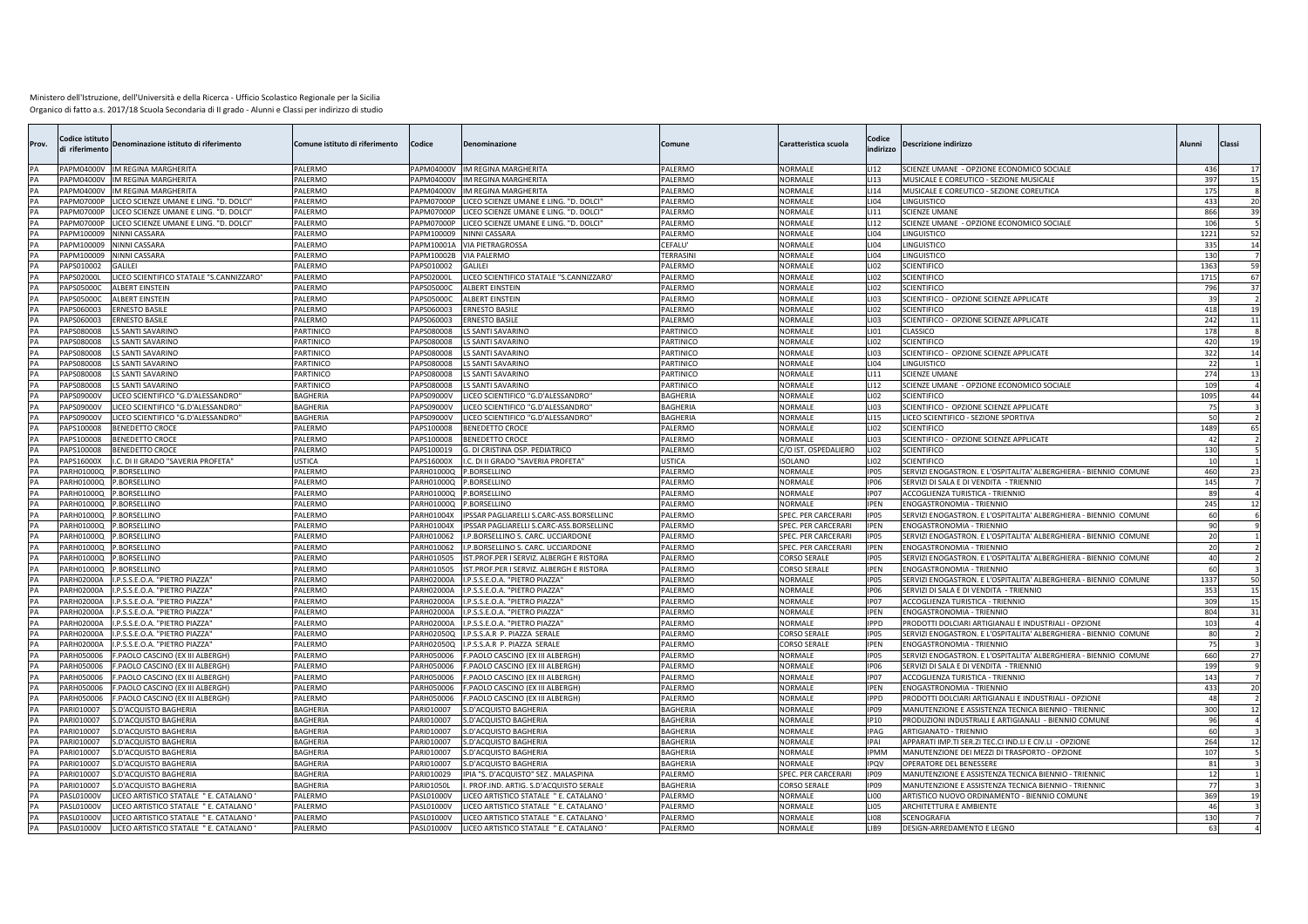| Prov. | codice istituto:<br>riferimento | Denominazione istituto di riferimento                         | Comune istituto di riferimento | Codice                   | <b>Denominazion</b>                                                | Comune                   | Caratteristica scuola                     | Codice<br>indirizzo        | Descrizione indirizzo                                                                                | Alunni                 | Classi         |
|-------|---------------------------------|---------------------------------------------------------------|--------------------------------|--------------------------|--------------------------------------------------------------------|--------------------------|-------------------------------------------|----------------------------|------------------------------------------------------------------------------------------------------|------------------------|----------------|
|       | PAPM04000V                      | IM REGINA MARGHERITA                                          | PALERMO                        | PAPM04000V               | IM REGINA MARGHERITA                                               | PALERMO                  | NORMALE                                   | L112                       | SCIENZE UMANE - OPZIONE ECONOMICO SOCIALE                                                            | 436                    | -17            |
|       | PAPM04000V                      | IM REGINA MARGHERITA                                          | PALERMO                        | APM04000V                | IM REGINA MARGHERITA                                               | <b>ALERMO</b>            | NORMALE                                   | LI13                       | MUSICALE E COREUTICO - SEZIONE MUSICAL                                                               | 39                     |                |
| PΔ    | PAPM04000V                      | IM REGINA MARGHERITA                                          | PALERMO                        | APM04000V                | IM REGINA MARGHERITA                                               | <b>ALERMO</b>            | VORMALE                                   | <b>LI14</b>                | MUSICALE E COREUTICO - SEZIONE COREUTICA                                                             | 175                    |                |
| PA    | PAPM07000P                      | ICEO SCIENZE UMANE E LING. "D. DOLCI"                         | PALERMO                        | PAPM07000P               | LICEO SCIENZE UMANE E LING. "D. DOLCI                              | PALERMO                  | <b>NORMALE</b>                            | LI <sub>04</sub>           | LINGUISTICO                                                                                          | 433                    | 20             |
|       | PAPM07000P                      | LICEO SCIENZE UMANE E LING. "D. DOLCI"                        | PALERMO                        | PAPM07000P               | LICEO SCIENZE UMANE E LING. "D. DOLCI'                             | PALERMO                  | <b>NORMALE</b>                            | L111                       | <b>SCIENZE UMANE</b>                                                                                 | 866                    | 3d             |
|       | PAPM07000P                      | ICEO SCIENZE UMANE E LING. "D. DOLCI"                         | PALERMO                        | PAPM07000P               | LICEO SCIENZE UMANE E LING. "D. DOLCI'                             | PALERMO                  | NORMALE                                   | L112                       | SCIENZE UMANE - OPZIONE ECONOMICO SOCIALE                                                            | 106                    |                |
|       | PAPM100009                      | NINNI CASSARA                                                 | PALERMO                        | PAPM100009               | <b>NINNI CASSARA</b>                                               | PALERMO                  | NORMALE                                   | LI04                       | LINGUISTICO                                                                                          | 1221                   | 52             |
|       | PAPM100009                      | NINNI CASSARA                                                 | PALERMO                        | PAPM10001A               | VIA PIETRAGROSSA                                                   | CEFALU'                  | <b>NORMALE</b>                            | <b>LI04</b>                | LINGUISTICO                                                                                          | 335                    | 14             |
|       | PAPM100009                      | NINNI CASSARA                                                 | PALERMO                        | PAPM10002B               | VIA PALERMO                                                        | TERRASINI                | NORMALE                                   | 1104                       | <b>INGUISTICO</b>                                                                                    | 13 <sub>0</sub>        |                |
|       | APS010002                       | GALILEI                                                       | PALERMO                        | APS010002                | GALILEI                                                            | <b>ALERMO</b>            | NORMALE                                   | <b>LIO2</b>                | <b>CIENTIFICO</b>                                                                                    | 1363                   | 59             |
| PA    | APS02000<br>APS05000C           | ICEO SCIENTIFICO STATALE "S.CANNIZZARO"                       | PALERMO<br>PALERMO             | APS02000L<br>APS05000C   | LICEO SCIENTIFICO STATALE "S.CANNIZZARO"<br><b>ALBERT EINSTEIN</b> | ALERMO<br>ALERMO         | NORMALE<br>NORMALE                        | LI02<br><b>LIO2</b>        | <b>CIENTIFICO</b><br>CIENTIFICO                                                                      | 1715<br>796            | 67<br>37       |
|       |                                 | <b>LEBERT EINSTEIN</b>                                        | PALERMO                        |                          |                                                                    |                          |                                           |                            | SCIENTIFICO - OPZIONE SCIENZE APPLICATE                                                              |                        |                |
|       | PAPS05000C<br>PAPS060003        | ALBERT EINSTEIN<br>ERNESTO BASILE                             | PALERMO                        | APS05000C<br>PAPS060003  | ALBERT EINSTEIN<br>ERNESTO BASILE                                  | PALERMO<br><b>ALERMO</b> | NORMALE<br>NORMALE                        | LI03<br>1102               | <b>SCIENTIFICO</b>                                                                                   | 418                    | 19             |
|       | PAPS060003                      | ERNESTO BASILE                                                | PALERMO                        | PAPS060003               | ERNESTO BASILE                                                     | PALERMO                  | <b>NORMALE</b>                            | LI <sub>03</sub>           | SCIENTIFICO - OPZIONE SCIENZE APPLICATE                                                              | 242                    | 11             |
|       | PAPS080008                      | S SANTI SAVARINO                                              | PARTINICO                      | PAPS080008               | LS SANTI SAVARINO                                                  | PARTINICO                | NORMALE                                   | <b>LI01</b>                | CLASSICO                                                                                             | 17 <sub>i</sub>        |                |
|       | APS080008                       | S SANTI SAVARINO                                              | PARTINICO                      | PAPS080008               | LS SANTI SAVARINO                                                  | PARTINICO                | NORMALE                                   | <b>LIO2</b>                | <b>SCIENTIFICO</b>                                                                                   | 420                    |                |
| PA    | PAPS080008                      | LS SANTI SAVARINO                                             | PARTINICO                      | PAPS080008               | LS SANTI SAVARINO                                                  | PARTINICO                | NORMALE                                   | LI03                       | SCIENTIFICO - OPZIONE SCIENZE APPLICATE                                                              | 322                    | 14             |
| PA    | PAPS080008                      | <b>S SANTI SAVARINO</b>                                       | PARTINICO                      | PAPS080008               | S SANTI SAVARINO                                                   | PARTINICO                | NORMALE                                   | 1104                       | <b>INGUISTICO</b>                                                                                    | 22                     |                |
|       | PAPS080008                      | S SANTI SAVARINO                                              | PARTINICO                      | PAPS080008               | S SANTI SAVARINO                                                   | PARTINICO                | NORMALE                                   | <b>LI11</b>                | <b>SCIENZE UMANE</b>                                                                                 | 274                    |                |
| PA    | PAPS080008                      | S SANTI SAVARINO                                              | PARTINICO                      | PAPS080008               | S SANTI SAVARINO                                                   | <b>ARTINICO</b>          | VORMALE                                   | LI2                        | SCIENZE UMANE - OPZIONE ECONOMICO SOCIALE                                                            | 10                     |                |
|       | PAPS09000V                      | ICEO SCIENTIFICO "G.D'ALESSANDRO                              | BAGHERIA                       | PAPS09000V               | ICEO SCIENTIFICO "G.D'ALESSANDRO                                   | <b>BAGHERIA</b>          | NORMALE                                   | LI02                       | <b>SCIENTIFICO</b>                                                                                   | 1095                   | $\Delta\Delta$ |
|       | PAPS09000V                      | ICEO SCIENTIFICO "G.D'ALESSANDRO                              | BAGHERIA                       | PAPS09000V               | ICEO SCIENTIFICO "G.D'ALESSANDRO                                   | BAGHERIA                 | NORMALE                                   | 1.103                      | SCIENTIFICO - OPZIONE SCIENZE APPLICATE                                                              |                        |                |
|       | PAPS09000V                      | ICEO SCIENTIFICO "G.D'ALESSANDRO"                             | BAGHERIA                       | APS09000V                | ICEO SCIENTIFICO "G.D'ALESSANDRO"                                  | <b>BAGHERIA</b>          | NORMALE                                   | LI15                       | LICEO SCIENTIFICO - SEZIONE SPORTIVA                                                                 |                        |                |
| PΔ    | PAPS100008                      | <b>BENEDETTO CROCE</b>                                        | PALERMO                        | PAPS100008               | <b>BENEDETTO CROCE</b>                                             | <b>ALERMO</b>            | NORMALE                                   | 1102                       | <b>SCIENTIFICO</b>                                                                                   | 1489                   |                |
| PA    | PAPS100008                      | BENEDETTO CROCE                                               | PALERMO                        | PAPS100008               | BENEDETTO CROCE                                                    | PALERMO                  | NORMALE                                   | 1103                       | SCIENTIFICO - OPZIONE SCIENZE APPLICATE                                                              | 42                     |                |
|       | PAPS100008                      | <b>BENEDETTO CROCE</b>                                        | PALERMO                        | PAPS100019               | G. DI CRISTINA OSP. PEDIATRICO                                     | PALERMO                  | C/O IST. OSPEDALIERO                      | LI02                       | SCIENTIFICO                                                                                          | 130                    |                |
|       | PAPS16000X                      | .C. DI II GRADO "SAVERIA PROFETA"                             | <b>JSTICA</b>                  | PAPS16000X               | I.C. DI II GRADO "SAVERIA PROFETA"                                 | <b>JSTICA</b>            | <b>ISOLANO</b>                            | 102                        | SCIENTIFICO                                                                                          |                        |                |
|       | PARH01000Q                      | .BORSELLINO                                                   | PALERMO                        | PARH01000Q               | P.BORSELLINO                                                       | PALERMO                  | NORMALE                                   | IP05                       | SERVIZI ENOGASTRON. E L'OSPITALITA' ALBERGHIERA - BIENNIO COMUNE                                     | 460                    | 23             |
| PΔ    | PARH01000Q                      | .BORSELLINO                                                   | PALERMO                        | PARH01000Q               | P.BORSELLINO                                                       | PALERMO                  | NORMALE                                   | <b>IP06</b>                | SERVIZI DI SALA E DI VENDITA - TRIENNIO                                                              | 145                    |                |
|       | PARH01000Q                      | .BORSELLINO                                                   | PALERMO                        | PARH01000Q               | P.BORSELLINO                                                       | PALERMO                  | <b>NORMALE</b>                            | IP <sub>07</sub>           | ACCOGLIENZA TURISTICA - TRIENNIO                                                                     |                        |                |
| PA    | PARH01000Q                      | .BORSELLINO                                                   | PALERMO                        | PARH01000Q               | P.BORSELLINO                                                       | ALERMO                   | <b>VORMALE</b>                            | <b>IPEN</b>                | NOGASTRONOMIA - TRIENNIO                                                                             | 245                    |                |
|       | PARH01000Q                      | .BORSELLINO                                                   | PALERMO                        | PARH01004X               | PSSAR PAGLIARELLI S.CARC-ASS.BORSELLINO                            | PALERMO                  | SPEC. PER CARCERARI                       | IP05                       | SERVIZI ENOGASTRON. E L'OSPITALITA' ALBERGHIERA - BIENNIO COMUNE                                     | -60                    |                |
|       | PARH01000Q                      | .BORSELLINO                                                   | PALERMO                        | PARH01004X               | PSSAR PAGLIARELLI S.CARC-ASS.BORSELLINO                            | PALERMO                  | SPEC. PER CARCERARI                       | <b>IPEN</b>                | <b>NOGASTRONOMIA - TRIENNIO</b>                                                                      | <b>90</b>              |                |
|       | PARH01000Q                      | .BORSELLINO                                                   | PALERMO                        | PARH010062               | .P.BORSELLINO S. CARC. UCCIARDONE                                  | PALERMO                  | SPEC. PER CARCERARI                       | P05                        | SERVIZI ENOGASTRON. E L'OSPITALITA' ALBERGHIERA - BIENNIO COMUNE                                     |                        |                |
|       | PARH01000Q                      | .BORSELLINO                                                   | PALERMO                        | PARH010062               | .P.BORSELLINO S. CARC. UCCIARDONE                                  | ALERMO                   | SPEC. PER CARCERARI                       | <b>IPEN</b>                | NOGASTRONOMIA - TRIENNIO                                                                             |                        |                |
|       | PARH01000Q                      | .BORSELLINO                                                   | PALERMO                        | PARH010505               | ST.PROF.PER I SERVIZ. ALBERGH E RISTORA                            | PALERMO                  | <b>CORSO SERALE</b>                       | IP05                       | SERVIZI ENOGASTRON. E L'OSPITALITA' ALBERGHIERA - BIENNIO COMUNE                                     | 40                     |                |
|       | PARH01000Q                      | .BORSELLINO                                                   | PALERMO                        | PARH010505               | IST.PROF.PER I SERVIZ. ALBERGH E RISTORA                           | <b>ALERMO</b>            | <b>CORSO SERALI</b>                       | <b>IPEN</b>                | ENOGASTRONOMIA - TRIENNIO                                                                            |                        |                |
|       | PARH02000A                      | .P.S.S.E.O.A. "PIETRO PIAZZA'                                 | PALERMO                        | PARH02000A               | .P.S.S.E.O.A. "PIETRO PIAZZA                                       | <b>ALERMO</b>            | NORMALE                                   | <b>IP05</b>                | SERVIZI ENOGASTRON. E L'OSPITALITA' ALBERGHIERA - BIENNIO COMUNE                                     | 1337                   | 50             |
| PA    | ARH02000A                       | .P.S.S.E.O.A. "PIETRO PIAZZA'                                 | PALERMO                        | PARH02000A               | .P.S.S.E.O.A. "PIETRO PIAZZA'                                      | <b>PALERMO</b>           | <b>NORMALE</b>                            | IP06                       | SERVIZI DI SALA E DI VENDITA - TRIENNIO                                                              | 35                     | 15             |
| PΔ    | <b>PARH02000A</b>               | P.S.S.E.O.A. "PIETRO PIAZZA'                                  | PALERMO                        | PARH02000A               | P.S.S.E.O.A. "PIETRO PIAZZA"                                       | PALERMO                  | NORMALE                                   | IP <sub>07</sub>           | ACCOGLIENZA TURISTICA - TRIENNIO                                                                     | 309                    | 15             |
| PΔ    | PARH02000A<br>PARH02000A        | P.S.S.E.O.A. "PIETRO PIAZZA'<br>P.S.S.E.O.A. "PIETRO PIAZZA'  | PALERMO<br>PALERMO             | PARH02000A<br>PARH02000A | .P.S.S.E.O.A. "PIETRO PIAZZA'<br>P.S.S.E.O.A. "PIETRO PIAZZA"      | PALERMO<br><b>ALERMO</b> | <b>NORMALE</b><br>NORMALE                 | <b>IPEN</b><br><b>IPPD</b> | NOGASTRONOMIA - TRIENNIO<br>RODOTTI DOLCIARI ARTIGIANALI E INDUSTRIALI - OPZIONE                     | 804<br>10 <sup>5</sup> |                |
|       |                                 |                                                               |                                |                          |                                                                    |                          |                                           |                            |                                                                                                      |                        |                |
|       | PARH02000A<br>PARH02000A        | .P.S.S.E.O.A. "PIETRO PIAZZA'<br>P.S.S.E.O.A. "PIETRO PIAZZA' | PALERMO<br>PALERMO             | PARH02050Q<br>PARH02050Q | I.P.S.S.A.R P. PIAZZA SERALE<br>P.S.S.A.R P. PIAZZA SERALE         | PALERMO<br>PALERMO       | <b>CORSO SERAI</b><br><b>CORSO SERALI</b> | <b>IP05</b><br><b>IPEN</b> | SERVIZI ENOGASTRON. E L'OSPITALITA' ALBERGHIERA - BIENNIO COMUNE<br><b>ENOGASTRONOMIA - TRIENNIO</b> |                        |                |
|       | PARH050006                      | PAOLO CASCINO (EX III ALBERGH                                 | PALERMO                        | ARH050006                | F.PAOLO CASCINO (EX III ALBERGH)                                   | PALERMO                  | NORMALE                                   | P05                        | SERVIZI ENOGASTRON. E L'OSPITALITA' ALBERGHIERA - BIENNIO COMUNE                                     | 660                    |                |
| PA    | <b>PARH050006</b>               | PAOLO CASCINO (EX III ALBERGH)                                | PALERMO                        | PARH050006               | F.PAOLO CASCINO (EX III ALBERGH)                                   | <b>PALERMO</b>           | NORMALE                                   | <b>IP06</b>                | SERVIZI DI SALA E DI VENDITA - TRIENNIO                                                              | 199                    |                |
| PA    | ARH050006                       | .PAOLO CASCINO (EX III ALBERGH                                | PALERMO                        | PARH050006               | : PAOLO CASCINO (EX III ALBERGH)                                   | PALERMO                  | <b>NORMALE</b>                            | IP07                       | ACCOGLIENZA TURISTICA - TRIENNIO                                                                     | 143                    |                |
| DΔ    | PARH050006                      | PAOLO CASCINO (EX III ALBERGH)                                | PALERMO                        | PARH050006               | F.PAOLO CASCINO (EX III ALBERGH)                                   | <b>PALERMO</b>           | <b>NORMALE</b>                            | <b>IPEN</b>                | ENOGASTRONOMIA - TRIENNIO                                                                            | 43                     |                |
|       | ARH050006                       | PAOLO CASCINO (EX III ALBERGH)                                | PALERMO                        | PARH050006               | PAOLO CASCINO (EX III ALBERGH)                                     | PALERMO                  | NORMALE                                   | <b>IPPD</b>                | PRODOTTI DOLCIARI ARTIGIANALI E INDUSTRIALI - OPZIONE                                                | 48                     |                |
| PA    | PARI010007                      | S.D'ACQUISTO BAGHERIA                                         | <b>BAGHERIA</b>                | PARI010007               | S.D'ACQUISTO BAGHERIA                                              | <b>BAGHERIA</b>          | NORMALE                                   | IP <sub>09</sub>           | MANUTENZIONE E ASSISTENZA TECNICA BIENNIO - TRIENNIC                                                 | 300                    | 12             |
| PA    | PARI010007                      | S.D'ACQUISTO BAGHERIA                                         | <b>BAGHERIA</b>                | PARI010007               | S.D'ACQUISTO BAGHERIA                                              | <b>BAGHERIA</b>          | <b>NORMALE</b>                            | IP10                       | PRODUZIONI INDUSTRIALI E ARTIGIANALI - BIENNIO COMUNE                                                | 96                     |                |
|       | PARI010007                      | D'ACQUISTO BAGHERIA                                           | BAGHERIA                       | PARI010007               | <b>S.D'ACQUISTO BAGHERIA</b>                                       | <b>BAGHERIA</b>          | NORMALE                                   | IPAG                       | ARTIGIANATO - TRIENNIO                                                                               |                        |                |
| PΔ    | ARI010007                       | <b>D'ACQUISTO BAGHERIA</b>                                    | BAGHERIA                       | PARI010007               | <b>D'ACQUISTO BAGHERIA</b>                                         | BAGHERIA                 | VORMALE                                   | IPAI                       | APPARATI IMP.TI SER.ZI TEC.CI IND.LI E CIV.LI - OPZIONE                                              | 264                    |                |
|       | PARI010001                      | <b>.D'ACQUISTO BAGHERIA</b>                                   | <b>BAGHERIA</b>                | PARI010007               | .D'ACQUISTO BAGHERIA                                               | BAGHERIA                 | NORMALE                                   | <b>IPMM</b>                | MANUTENZIONE DEI MEZZI DI TRASPORTO - OPZIONE                                                        | 10                     |                |
| PΔ    | ARI01000                        | .D'ACQUISTO BAGHERIA                                          | BAGHERIA                       | PARI010007               | .D'ACQUISTO BAGHERIA                                               | BAGHERIA                 | NORMALE                                   | <b>IPOV</b>                | OPERATORE DEL BENESSERE                                                                              | 81                     |                |
|       | ARI010007                       | .D'ACQUISTO BAGHERIA                                          | BAGHERIA                       | PARI010029               | PIA "S. D'ACQUISTO" SEZ. MALASPINA                                 | PALERMO                  | SPEC. PER CARCERARI                       | <b>IP09</b>                | MANUTENZIONE E ASSISTENZA TECNICA BIENNIO - TRIENNIC                                                 | 12                     |                |
| PA    | PARI010007                      | S.D'ACQUISTO BAGHERIA                                         | BAGHERIA                       | PARI01050L               | . PROF.IND. ARTIG. S.D'ACQUISTO SERALE                             | BAGHERIA                 | CORSO SERALI                              | IP09                       | MANUTENZIONE E ASSISTENZA TECNICA BIENNIO - TRIENNIC                                                 |                        |                |
| PA    | PASL01000V                      | ICEO ARTISTICO STATALE " E. CATALANO                          | PALERMO                        | PASL01000V               | ICEO ARTISTICO STATALE " E. CATALANO                               | PALERMO                  | <b>NORMALE</b>                            | 1100                       | ARTISTICO NUOVO ORDINAMENTO - BIENNIO COMUNE                                                         | 369                    |                |
|       | <b>PASL01000V</b>               | ICEO ARTISTICO STATALE " E. CATALANO                          | PALERMO                        | PASL01000V               | LICEO ARTISTICO STATALE " E. CATALANO                              | PALERMO                  | NORMALE                                   | <b>LIO5</b>                | ARCHITETTURA E AMBIENTE                                                                              | $\Delta f$             |                |
|       | PASL01000V                      | ICEO ARTISTICO STATALE " E. CATALANO                          | PALERMO                        | PASL01000V               | LICEO ARTISTICO STATALE " E. CATALANO                              | PALERMO                  | NORMALE                                   | 1108                       | SCENOGRAFIA                                                                                          | 130                    |                |
| PA    | PASL01000V                      | LICEO ARTISTICO STATALE " E. CATALANO                         | PALERMO                        | PASL01000V               | LICEO ARTISTICO STATALE " E. CATALANO                              | PALERMO                  | <b>NORMALE</b>                            | LIB9                       | DESIGN-ARREDAMENTO E LEGNO                                                                           | 63                     |                |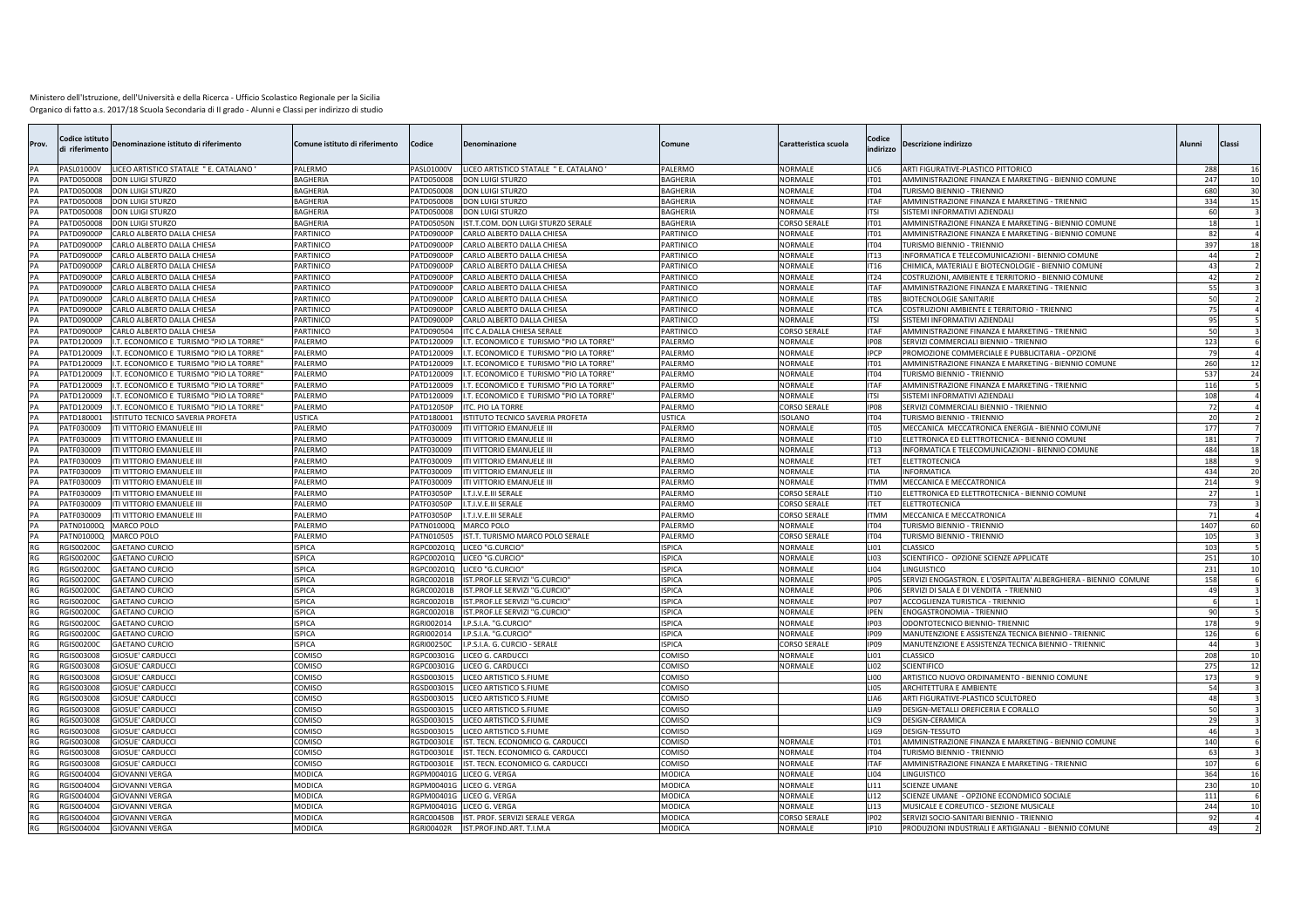| Prov.     | odice istitutı:<br>di riferimento      | Denominazione istituto di riferimento                  | Comune istituto di riferimento | Codice                          | Denominazione                                          | Comune                 | Caratteristica scuola | Codice<br>indirizzo | Descrizione indirizzo                                                                                      | Alunni          | Classi       |    |
|-----------|----------------------------------------|--------------------------------------------------------|--------------------------------|---------------------------------|--------------------------------------------------------|------------------------|-----------------------|---------------------|------------------------------------------------------------------------------------------------------------|-----------------|--------------|----|
| PΔ        | PASL01000V                             | ICEO ARTISTICO STATALE " E. CATALANO                   | PALERMO                        | PASL01000V                      | LICEO ARTISTICO STATALE " E. CATALANO                  | PALERMO                | <b>NORMALE</b>        | LIC6                | ARTI FIGURATIVE-PLASTICO PITTORICO                                                                         | 28              |              | 16 |
| PA        | PATD050008                             | DON LUIGI STURZO                                       | <b>BAGHERIA</b>                | PATD050008                      | DON LUIGI STURZO                                       | BAGHERIA               | NORMALE               | IT <sub>01</sub>    | AMMINISTRAZIONE FINANZA E MARKETING - BIENNIO COMUNE                                                       | 24 <sub>2</sub> |              | 10 |
| PA        | PATD050008                             | DON LUIGI STURZO                                       | BAGHERIA                       | PATD050008                      | <b>DON LUIGI STURZO</b>                                | BAGHERIA               | <b>NORMALE</b>        | IT04                | TURISMO BIENNIO - TRIENNIO                                                                                 | 680             |              | 30 |
| PA        | PATD050008                             | DON LUIGI STURZO                                       | <b>BAGHERIA</b>                | PATD050008                      | <b>DON LUIGI STURZO</b>                                | BAGHERIA               | <b>NORMALE</b>        | <b>ITAF</b>         | AMMINISTRAZIONE FINANZA E MARKETING - TRIENNIO                                                             | 334             |              | 15 |
| PA        | PATD050008                             | DON LUIGI STURZO                                       | BAGHERIA                       | PATD050008                      | DON LUIGI STURZO                                       | BAGHERIA               | NORMALE               | <b>ITSI</b>         | SISTEMI INFORMATIVI AZIENDALI                                                                              |                 |              |    |
| PA        | PATD050008                             | DON LUIGI STURZO                                       | <b>BAGHERIA</b>                | <b>PATD05050N</b>               | ST.T.COM. DON LUIGI STURZO SERALE                      | <b>BAGHERIA</b>        | CORSO SERALE          | T01                 | AMMINISTRAZIONE FINANZA E MARKETING - BIENNIO COMUNE                                                       |                 |              |    |
|           | <b>PATD09000F</b>                      | CARLO ALBERTO DALLA CHIESA                             | PARTINICO                      | PATD09000P                      | ARLO ALBERTO DALLA CHIESA                              | <b>PARTINICO</b>       | NORMALE               | ITO1                | AMMINISTRAZIONE FINANZA E MARKETING - BIENNIO COMUNE                                                       |                 |              |    |
|           | PATD09000P                             | ARLO ALBERTO DALLA CHIESA                              | <b>ARTINICO</b>                | PATD09000P                      | ARLO ALBERTO DALLA CHIESA                              | <b>PARTINICO</b>       | NORMALE               | IT04                | TURISMO BIENNIO - TRIENNIO                                                                                 | 39              |              | 18 |
| PA        | <b>PATD09000F</b><br>PATD09000P        | ARLO ALBERTO DALLA CHIESA<br>ARLO ALBERTO DALLA CHIESA | PARTINICO<br><b>ARTINICO</b>   | PATD09000P<br>PATD09000P        | ARLO ALBERTO DALLA CHIESA                              | PARTINICO<br>PARTINICO | NORMALE<br>NORMALE    | IT13                | INFORMATICA E TELECOMUNICAZIONI - BIENNIO COMUNE                                                           |                 |              |    |
| PA        | PATD09000P                             | ARLO ALBERTO DALLA CHIESA                              |                                | PATD09000P                      | ARLO ALBERTO DALLA CHIESA<br>ARLO ALBERTO DALLA CHIESA | PARTINICO              | NORMALE               | T16<br>IT24         | CHIMICA, MATERIALI E BIOTECNOLOGIE - BIENNIO COMUNI<br>COSTRUZIONI, AMBIENTE E TERRITORIO - BIENNIO COMUNE |                 | $\Lambda$    |    |
| PA<br>PA  | PATD09000F                             | ARLO ALBERTO DALLA CHIESA                              | PARTINICO                      | PATD09000P                      | ARLO ALBERTO DALLA CHIESA                              | PARTINICO              | <b>NORMALE</b>        | <b>ITAF</b>         | AMMINISTRAZIONE FINANZA E MARKETING - TRIENNIO                                                             |                 |              |    |
| PA        | PATD09000P                             | CARLO ALBERTO DALLA CHIESA                             | PARTINICO<br>PARTINICO         | PATD09000P                      | CARLO ALBERTO DALLA CHIESA                             | PARTINICO              | NORMALE               | <b>ITBS</b>         | <b>BIOTECNOLOGIE SANITARIE</b>                                                                             |                 | 50           |    |
|           | PATD09000P                             | CARLO ALBERTO DALLA CHIESA                             | PARTINICO                      | PATD09000P                      | CARLO ALBERTO DALLA CHIESA                             | PARTINICO              | NORMALE               | <b>ITCA</b>         | COSTRUZIONI AMBIENTE E TERRITORIO - TRIENNIC                                                               |                 |              |    |
| PA        | PATD09000P                             | ARLO ALBERTO DALLA CHIESA                              | PARTINICO                      | PATD09000P                      | ARLO ALBERTO DALLA CHIESA                              | PARTINICO              | NORMALE               | ITSI                | SISTEMI INFORMATIVI AZIENDALI                                                                              |                 | q            |    |
|           | PATD09000F                             | ARLO ALBERTO DALLA CHIESA                              | PARTINICO                      | PATD090504                      | TC C.A.DALLA CHIESA SERALE                             | PARTINICO              | CORSO SERAL           | <b>ITAF</b>         | AMMINISTRAZIONE FINANZA E MARKETING - TRIENNIO                                                             |                 |              |    |
| PA        | ATD120009                              | T. ECONOMICO E TURISMO "PIO LA TORRE'                  | <b>ALERMO</b>                  | PATD120009                      | T. ECONOMICO E TURISMO "PIO LA TORRE"                  | <b>ALERMO</b>          | VORMALE               | <b>P08</b>          | SERVIZI COMMERCIALI BIENNIO - TRIENNIO                                                                     | 123             |              |    |
| PA        | PATD120009                             | T. ECONOMICO E TURISMO "PIO LA TORRE'                  | <b>ALERMO</b>                  | PATD120009                      | T. ECONOMICO E TURISMO "PIO LA TORRE'                  | PALERMO                | NORMALE               | PCP                 | PROMOZIONE COMMERCIALE E PUBBLICITARIA - OPZION                                                            |                 |              |    |
| PA        | PATD120009                             | T. ECONOMICO E TURISMO "PIO LA TORRE'                  | <b>ALFRMO</b>                  | PATD120009                      | T. ECONOMICO E TURISMO "PIO LA TORRE"                  | PALERMO                | NORMALE               | IT <sub>01</sub>    | AMMINISTRAZIONE FINANZA E MARKETING - BIENNIO COMUNE                                                       | 260             |              | 12 |
| PA        | PATD120009                             | T. ECONOMICO E TURISMO "PIO LA TORRE"                  | PALERMO                        | PATD120009                      | T. ECONOMICO E TURISMO "PIO LA TORRE                   | PALERMO                | NORMALE               | IT04                | TURISMO BIENNIO - TRIENNIO                                                                                 | 537             |              | 24 |
| PA        | PATD120009                             | T. ECONOMICO E TURISMO "PIO LA TORRE"                  | PALERMO                        | PATD120009                      | .T. ECONOMICO E TURISMO "PIO LA TORRE"                 | PALERMO                | NORMALE               | <b>TAF</b>          | AMMINISTRAZIONE FINANZA E MARKETING - TRIENNIO                                                             | 116             |              |    |
|           | PATD120009                             | T. ECONOMICO E TURISMO "PIO LA TORRE                   | PALERMO                        | PATD120009                      | T. ECONOMICO E TURISMO "PIO LA TORRE"                  | PALERMO                | NORMALE               | ITSI                | SISTEMI INFORMATIVI AZIENDALI                                                                              | 108             |              |    |
|           | PATD120009                             | T. ECONOMICO E TURISMO "PIO LA TORRE"                  | PALERMO                        | PATD12050P                      | TC. PIO LA TORRE                                       | PALERMO                | CORSO SERAL           | IP <sub>08</sub>    | SERVIZI COMMERCIALI BIENNIO - TRIENNIO                                                                     |                 |              |    |
| PA        | PATD180001                             | STITUTO TECNICO SAVERIA PROFETA                        | USTICA                         | PATD180001                      | <b>ISTITUTO TECNICO SAVERIA PROFETA</b>                | USTICA                 | <b>SOLANO</b>         | IT <sub>04</sub>    | TURISMO BIENNIO - TRIENNIO                                                                                 |                 |              |    |
|           | PATF030009                             | TI VITTORIO EMANUELE III                               | PALERMO                        | PATF030009                      | ITI VITTORIO EMANUELE III                              | PALERMO                | NORMALE               | T05                 | MECCANICA MECCATRONICA ENERGIA - BIENNIO COMUNE                                                            | 17 <sub>1</sub> |              |    |
| PA        | PATF030009                             | <b>II VITTORIO EMANUELE II</b>                         | <b>ALERMO</b>                  | PATF030009                      | <b>TI VITTORIO EMANUELE II</b>                         | PALERMO                | <b>NORMALE</b>        | IT10                | ELETTRONICA ED ELETTROTECNICA - BIENNIO COMUNI                                                             | 18 <sup>2</sup> |              |    |
| PA        | PATF030009                             | <b>II VITTORIO EMANUELE III</b>                        | <b>ALERMO</b>                  | PATF030009                      | ITI VITTORIO EMANUELE III                              | PALERMO                | NORMALE               | IT13                | INFORMATICA E TELECOMUNICAZIONI - BIENNIO COMUNE                                                           | 484             |              | 18 |
| PA        | PATF030009                             | <b>II VITTORIO EMANUELE III</b>                        | <b>ALERMO</b>                  | PATF030009                      | <b>TI VITTORIO EMANUELE III</b>                        | <b>ALERMO</b>          | NORMALE               | <b>ITET</b>         | ELETTROTECNICA                                                                                             | 188             |              |    |
| PA        | PATF030009                             | TI VITTORIO EMANUELE III                               | ALERMO                         | PATF030009                      | ITI VITTORIO EMANUELE III                              | PALERMO                | NORMALE               | ITIA                | <b>INFORMATICA</b>                                                                                         |                 | 434          | 20 |
|           | PATF030009                             | <b>II VITTORIO EMANUELE I</b>                          | ALERMO                         | PATF030009                      | TI VITTORIO EMANUELE III                               | PALERMO                | NORMALE               | <b>ITMM</b>         | MECCANICA E MECCATRONICA                                                                                   | 214             |              |    |
| PA        | PATF030009                             | TI VITTORIO EMANUELE III                               | <b>ALERMO</b>                  | <b>PATF03050P</b>               | .T.I.V.E.III SERALE                                    | PALERMO                | CORSO SERALE          | IT10                | ELETTRONICA ED ELETTROTECNICA - BIENNIO COMUNE                                                             |                 |              |    |
| PA        | PATF030009                             | <b>FI VITTORIO FMANUFLE II</b>                         | ALFRMO                         | PATF03050P                      | T.I.V.E.III SERALE                                     | PALERMO                | CORSO SERALE          | <b>TET</b>          | <b>FI ETTROTECNICA</b>                                                                                     |                 |              |    |
|           | PATF030009                             | <b>FI VITTORIO EMANUELE III</b>                        | <b>ALERMO</b>                  | <b>PATF03050P</b>               | .T.I.V.E.III SERALE                                    | <b>ALERMO</b>          | CORSO SERALE          | <b>TMM</b>          | MECCANICA E MECCATRONICA                                                                                   |                 | $7^{\circ}$  |    |
|           | PATN01000Q                             | MARCO POLO                                             | ALERMO                         | PATN01000Q                      | MARCO POLO                                             | PALERMO                | <b>NORMALE</b>        | T <sub>04</sub>     | TURISMO BIENNIO - TRIENNIO                                                                                 | 1407            |              | 60 |
| PA        | PATN01000Q                             | MARCO POLO                                             | ALERMO                         | PATN010505                      | IST.T. TURISMO MARCO POLO SERALE                       | PALERMO                | CORSO SERALI          | <b>IT04</b>         | TURISMO BIENNIO - TRIENNIO                                                                                 | 10 <sub>5</sub> |              |    |
| <b>RG</b> | <b>RGIS00200C</b>                      | GAETANO CURCIO                                         | <b>SPICA</b>                   |                                 | RGPC00201Q LICEO "G.CURCIO"                            | SPICA                  | NORMALE               | LI01                | CLASSICO                                                                                                   | 103             |              |    |
| RG        | <b>RGIS00200C</b>                      | <b>GAETANO CURCIO</b>                                  | <b>ISPICA</b>                  | RGPC00201Q                      | LICEO "G.CURCIO"                                       | <b>ISPICA</b>          | <b>NORMALE</b>        | LI03                | SCIENTIFICO - OPZIONE SCIENZE APPLICATE                                                                    | 251             |              | 10 |
| RG        | <b>RGIS00200C</b>                      | GAETANO CURCIO                                         | SPICA                          | RGPC00201Q                      | LICEO "G.CURCIO"                                       | <b>ISPICA</b>          | <b>NORMALE</b>        | <b>LI04</b>         | <b>LINGUISTICO</b>                                                                                         | 23 <sup>2</sup> |              | 10 |
| <b>RG</b> | <b>RGIS00200C</b>                      | <b>GAETANO CURCIO</b>                                  | SPICA                          | RGRC00201B                      | ST.PROF.LE SERVIZI "G.CURCIO'                          | SPICA                  | NORMALE               | <b>PO5</b>          | SERVIZI ENOGASTRON. E L'OSPITALITA' ALBERGHIERA - BIENNIO COMUNE                                           | 158             |              |    |
| RG        | <b>RGIS00200C</b>                      | GAETANO CURCIO                                         | <b>ISPICA</b>                  | RGRC00201B                      | IST.PROF.LE SERVIZI "G.CURCIO'                         | SPICA                  | NORMALE               | IP <sub>06</sub>    | SERVIZI DI SALA E DI VENDITA - TRIENNIO                                                                    |                 |              |    |
| <b>RG</b> | <b>RGIS00200C</b>                      | <b>GAETANO CURCIO</b>                                  | SPICA                          | <b>RGRC00201B</b>               | ST.PROF.LE SERVIZI "G.CURCIO'                          | <b>ISPICA</b>          | NORMALE               | IP <sub>07</sub>    | ACCOGLIENZA TURISTICA - TRIENNIO                                                                           |                 |              |    |
| <b>RG</b> | <b>RGIS00200C</b><br><b>RGIS00200C</b> | <b>GAETANO CURCIO</b><br><b>GAETANO CURCIO</b>         | <b>SPICA</b><br>SPICA          | <b>RGRC00201B</b><br>RGRI002014 | ST.PROF.LE SERVIZI "G.CURCIO'<br>.P.S.I.A. "G.CURCIO"  | <b>ISPICA</b><br>SPICA | NORMALE<br>VORMALE    | <b>IPEN</b><br>P03  | ENOGASTRONOMIA - TRIENNIO<br>ODONTOTECNICO BIENNIO- TRIENNIC                                               | 178             |              |    |
| <b>RG</b> | RGIS00200C                             | <b>GAETANO CURCIO</b>                                  | <b>ISPICA</b>                  | RGRI002014                      | .P.S.I.A. "G.CURCIO"                                   | <b>ISPICA</b>          | <b>NORMALE</b>        | IP <sub>09</sub>    | MANUTENZIONE E ASSISTENZA TECNICA BIENNIO - TRIENNIC                                                       | 126             |              |    |
| <b>RG</b> | <b>RGIS00200C</b>                      | <b>GAETANO CURCIO</b>                                  | SPICA                          | <b>RGRI00250C</b>               | P.S.I.A. G. CURCIO - SERALE                            | SPICA                  | CORSO SERAL           | <b>IP09</b>         | MANUTENZIONE E ASSISTENZA TECNICA BIENNIO - TRIENNIC                                                       |                 |              |    |
| RG        | RGIS003008                             | <b>GIOSUE' CARDUCCI</b>                                | OMISO                          | RGPC00301G                      | ICEO G. CARDUCCI                                       | COMISO                 | NORMALE               | LI01                | CLASSICO                                                                                                   | 208             |              | 10 |
| RG        | 8003008                                | <b>GIOSUE' CARDUCCI</b>                                | COMISO                         | RGPC00301G                      | LICEO G. CARDUCCI                                      | COMISO                 | NORMALE               | LI02                | <b>SCIENTIFICO</b>                                                                                         | 275             |              | 12 |
| <b>RG</b> | RGIS003008                             | <b>GIOSUE' CARDUCCI</b>                                | OMISO                          | RGSD003015                      | LICEO ARTISTICO S.FIUME                                | COMISO                 |                       | LIOO                | ARTISTICO NUOVO ORDINAMENTO - BIENNIO COMUNE                                                               | 17 <sub>3</sub> |              |    |
| RG        | <b>RGIS003008</b>                      | <b>GIOSUE' CARDUCCI</b>                                | COMISO                         | RGSD003015                      | LICEO ARTISTICO S.FIUME                                | COMISO                 |                       | <b>LIO5</b>         | ARCHITETTURA E AMBIENTE                                                                                    |                 |              |    |
| RG        | RGIS003008                             | GIOSUE' CARDUCCI                                       | COMISO                         | RGSD003015                      | LICEO ARTISTICO S.FIUME                                | COMISO                 |                       | LIA6                | ARTI FIGURATIVE-PLASTICO SCULTOREO                                                                         |                 | $\Delta$     |    |
| <b>RG</b> | RGIS003008                             | GIOSUE' CARDUCCI                                       | COMISO                         | RGSD003015                      | LICEO ARTISTICO S.FIUME                                | COMISO                 |                       | LIA9                | DESIGN-METALLI OREFICERIA E CORALLO                                                                        |                 | $\mathbf{g}$ |    |
| RG        | RGIS003008                             | <b>GIOSUE' CARDUCCI</b>                                | COMISO                         | RGSD003015                      | LICEO ARTISTICO S.FIUME                                | COMISO                 |                       | LIC <sub>9</sub>    | <b>DESIGN-CERAMICA</b>                                                                                     |                 |              |    |
| RG        | RGIS003008                             | <b>IOSUE' CARDUCCI</b>                                 | OMISO                          | RGSD003015                      | ICEO ARTISTICO S.FIUME                                 | COMISO                 |                       | IG9                 | <b>DESIGN-TESSUTO</b>                                                                                      |                 |              |    |
| RG        | RGIS003008                             | <b>IOSUE' CARDUCCI</b>                                 | OMISO                          | RGTD00301E                      | ST. TECN. ECONOMICO G. CARDUCCI                        | COMISO                 | NORMALE               | IT <sub>01</sub>    | AMMINISTRAZIONE FINANZA E MARKETING - BIENNIO COMUNE                                                       | 140             |              |    |
| <b>RG</b> | RGIS003008                             | <b>IOSUE' CARDUCC</b>                                  | OMISO                          | RGTD00301E                      | <b>IST. TECN. ECONOMICO G. CARDUCC</b>                 | COMISO                 | NORMALE               | T04                 | TURISMO BIENNIO - TRIENNIO                                                                                 |                 |              |    |
| <b>RG</b> | GIS003008                              | <b>IOSUE' CARDUCC</b>                                  | OMISO:                         | RGTD00301E                      | <b>IST. TECN. ECONOMICO G. CARDUCC</b>                 | COMISO                 | NORMALE               | <b>ITAF</b>         | AMMINISTRAZIONE FINANZA E MARKETING - TRIENNIO                                                             | 10 <sub>1</sub> |              |    |
| <b>RG</b> | GIS004004                              | <b>GIOVANNI VERGA</b>                                  | MODICA                         | RGPM00401G                      | ICEO G. VERGA                                          | <b>MODICA</b>          | NORMALE               | LI04                | LINGUISTICO                                                                                                | 364             |              | 16 |
| RG        | <b>RGIS004004</b>                      | <b>GIOVANNI VERGA</b>                                  | MODICA                         | RGPM00401G                      | LICEO G. VERGA                                         | MODICA                 | NORMALE               | LI11                | <b>SCIENZE UMANE</b>                                                                                       | 230             |              | 10 |
| <b>RG</b> | RGIS004004                             | <b>GIOVANNI VERGA</b>                                  | MODICA                         | RGPM00401G                      | ICEO G. VERGA                                          | <b>MODICA</b>          | NORMALE               | LI12                | SCIENZE UMANE - OPZIONE ECONOMICO SOCIALE                                                                  | 111             |              | 6  |
| <b>RG</b> | RGIS004004                             | <b>GIOVANNI VERGA</b>                                  | MODICA                         | RGPM00401G                      | LICEO G. VERGA                                         | MODICA                 | NORMALE               | LI13                | MUSICALE E COREUTICO - SEZIONE MUSICALE                                                                    | 244             |              | 10 |
| <b>RG</b> | RGIS004004                             | <b>GIOVANNI VERGA</b>                                  | MODICA                         | <b>RGRC00450B</b>               | IST. PROF. SERVIZI SERALE VERGA                        | <b>MODICA</b>          | CORSO SERALE          | IP <sub>02</sub>    | SERVIZI SOCIO-SANITARI BIENNIO - TRIENNIO                                                                  |                 |              |    |
| RG        | RGIS004004                             | <b>GIOVANNI VERGA</b>                                  | MODICA                         |                                 | RGRI00402R IST.PROF.IND.ART. T.I.M.A                   | MODICA                 | <b>NORMALE</b>        | <b>IP10</b>         | PRODUZIONI INDUSTRIALI E ARTIGIANALI - BIENNIO COMUNE                                                      |                 | 49           |    |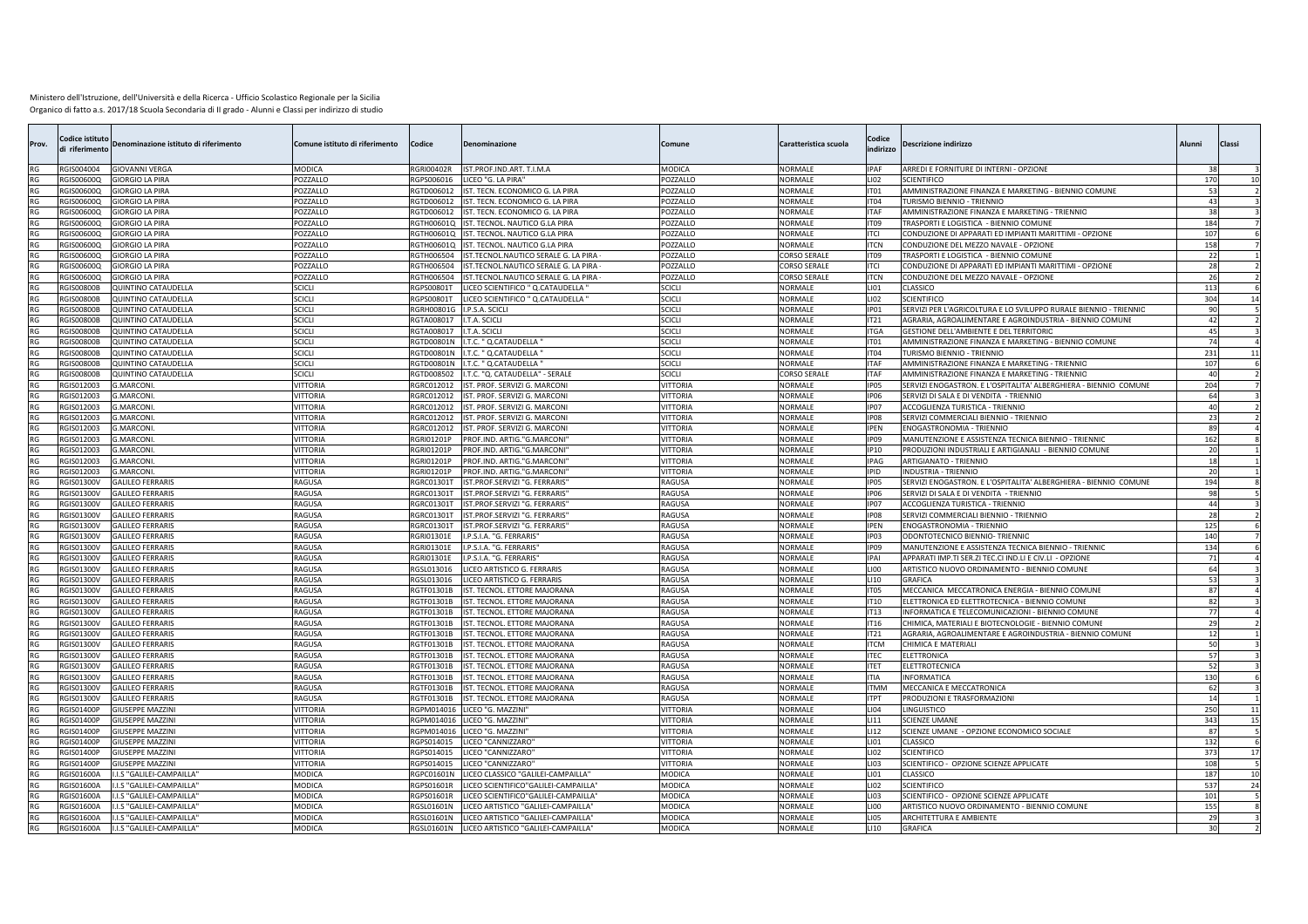| Prov.           | odice istituto:<br>di riferimento | Denominazione istituto di riferimento              | Comune istituto di riferimento | Codice                   | Denominazione                                              | Comune           | Caratteristica scuola            | Codice<br>indirizzo | Oescrizione indirizzo                                                                                                         | Alunni          | Classi                      |
|-----------------|-----------------------------------|----------------------------------------------------|--------------------------------|--------------------------|------------------------------------------------------------|------------------|----------------------------------|---------------------|-------------------------------------------------------------------------------------------------------------------------------|-----------------|-----------------------------|
| <b>RG</b>       | RGIS004004                        | <b>GIOVANNI VERGA</b>                              | MODICA                         | <b>RGRI00402R</b>        | IST PROF IND ART TIM A                                     | MODICA           | <b>NORMALE</b>                   | <b>IPAF</b>         | ARREDI E FORNITURE DI INTERNI - OPZIONE                                                                                       |                 |                             |
| RG              | <b>GIS00600Q</b>                  | <b>GIORGIO LA PIRA</b>                             | POZZALLO                       | RGPS006016               | LICEO "G. LA PIRA"                                         | POZZALLO         | <b>NORMALE</b>                   | <b>LIO2</b>         | <b>SCIENTIFICO</b>                                                                                                            | 170             | 10                          |
| RG              | <b>GIS00600Q</b>                  | <b>GIORGIO LA PIRA</b>                             | POZZALLO                       | RGTD006012               | IST. TECN. ECONOMICO G. LA PIRA                            | POZZALLO         | <b>NORMALE</b>                   | IT <sub>01</sub>    | AMMINISTRAZIONE FINANZA E MARKETING - BIENNIO COMUNE                                                                          |                 |                             |
| RG              | GIS00600Q                         | <b>GIORGIO LA PIRA</b>                             | POZZALLO                       | RGTD006012               | IST. TECN. ECONOMICO G. LA PIRA                            | POZZALLO         | <b>NORMALE</b>                   | IT04                | TURISMO BIENNIO - TRIENNIO                                                                                                    |                 | $\mathbf{A}^{\mathbf{c}}$   |
| RG              | GIS00600Q                         | <b>GIORGIO LA PIRA</b>                             | POZZALLO                       | RGTD006012               | IST. TECN. ECONOMICO G. LA PIRA                            | POZZALLO         | NORMALE                          | <b>ITAF</b>         | AMMINISTRAZIONE FINANZA E MARKETING - TRIENNIO                                                                                |                 |                             |
| RG              | GIS00600Q                         | <b>GIORGIO LA PIRA</b>                             | POZZALLO                       | RGTH00601Q               | <b>ST. TECNOL, NAUTICO G.LA PIRA</b>                       | POZZALLO         | <b>NORMALE</b>                   | IT09                | TRASPORTI E LOGISTICA - BIENNIO COMUNE                                                                                        | 184             |                             |
| RG              | GIS00600Q                         | <b>GIORGIO LA PIRA</b>                             | POZZALLO                       | RGTH00601Q               | <b>IST. TECNOL. NAUTICO G.LA PIRA</b>                      | POZZALLO         | NORMALE                          | <b>ITCI</b>         | CONDUZIONE DI APPARATI ED IMPIANTI MARITTIMI - OPZIONE                                                                        | 10              |                             |
| RG              | GIS00600Q                         | <b>GIORGIO LA PIRA</b>                             | POZZALLO                       | RGTH00601C               | ST. TECNOL. NAUTICO G.LA PIRA                              | POZZALLO         | <b>NORMALE</b>                   | <b>ITCN</b>         | CONDUZIONE DEL MEZZO NAVALE - OPZIONE                                                                                         | 15              |                             |
| RG              | GIS00600Q                         | <b>GIORGIO LA PIRA</b>                             | POZZALLO                       | RGTH006504               | <b>ST.TECNOL.NAUTICO SERALE G. LA PIRA</b>                 | POZZALLO         | CORSO SERAL                      | IT <sub>09</sub>    | TRASPORTI E LOGISTICA - BIENNIO COMUNE                                                                                        |                 |                             |
| RG              | GIS00600Q                         | <b>GIORGIO LA PIRA</b>                             | POZZALLO                       | RGTH006504               | ST.TECNOL.NAUTICO SERALE G. LA PIRA                        | OZZALLO          | CORSO SERALE                     | ITCI                | CONDUZIONE DI APPARATI ED IMPIANTI MARITTIMI - OPZIONE                                                                        |                 |                             |
| RG              | GIS00600Q                         | <b>GIORGIO LA PIRA</b>                             | POZZALLO                       | RGTH006504               | <b>ST.TECNOL.NAUTICO SERALE G. LA PIRA</b>                 | POZZALLO         | <b>CORSO SERALI</b>              | <b>ITCN</b>         | CONDUZIONE DEL MEZZO NAVALE - OPZIONI                                                                                         |                 |                             |
| RG<br>RG        | <b>GISO0800B</b><br>GIS00800B     | QUINTINO CATAUDELLA<br>QUINTINO CATAUDELLA         | SCICLI<br>SCICLI               | RGPS00801T               | LICEO SCIENTIFICO " Q.CATAUDELLA                           | SCICLI           | <b>NORMALE</b><br><b>NORMALE</b> | <b>LIO1</b><br>LI02 | CLASSICO<br><b>SCIENTIFICO</b>                                                                                                | 11              |                             |
|                 | <b>RGIS00800B</b>                 | QUINTINO CATAUDELLA                                | SCICLI                         | RGPS00801T<br>RGRH00801G | LICEO SCIENTIFICO " Q.CATAUDELLA                           | SCICLI<br>SCICLI | <b>NORMALE</b>                   | IP01                |                                                                                                                               | $30 -$          | 14<br>$\Omega$              |
| RG<br>RG        | GIS00800E                         | <b>QUINTINO CATAUDELLA</b>                         | <b>SCICLI</b>                  | RGTA008017               | I.P.S.A. SCICLI<br>I.T.A. SCICLI                           | SCICLI           | NORMALE                          | IT21                | SERVIZI PER L'AGRICOLTURA E LO SVILUPPO RURALE BIENNIO - TRIENNIO<br>AGRARIA, AGROALIMENTARE E AGROINDUSTRIA - BIENNIO COMUNE |                 |                             |
| RG              | GIS00800B                         | <b>QUINTINO CATAUDELLA</b>                         | SCICLI                         | RGTA008017               | I.T.A. SCICLI                                              | SCICLI           | <b>NORMALE</b>                   | <b>ITGA</b>         | GESTIONE DELL'AMBIENTE E DEL TERRITORIO                                                                                       |                 |                             |
| <b>RG</b>       | GIS00800B                         | QUINTINO CATAUDELLA                                | SCICLI                         | RGTD00801N               | I.T.C. " Q.CATAUDELLA                                      | CICLI            | NORMALE                          | ITO1                | AMMINISTRAZIONE FINANZA E MARKETING - BIENNIO COMUNE                                                                          |                 |                             |
| RG              | GIS00800E                         | <b>QUINTINO CATAUDELLA</b>                         | SCICLI                         | RGTD00801N               | I.T.C. " Q.CATAUDELLA                                      | CICLI            | NORMALE                          | IT04                | TURISMO BIENNIO - TRIENNIO                                                                                                    | 23 <sup>2</sup> | 11                          |
| <b>RG</b>       | GIS00800                          | QUINTINO CATAUDELLA                                | <b>SCICLI</b>                  | <b>RGTD00801N</b>        | .T.C. " Q.CATAUDELLA                                       | <b>SCICLI</b>    | NORMALE                          | <b>ITAF</b>         | AMMINISTRAZIONE FINANZA E MARKETING - TRIENNIO                                                                                | 10              |                             |
| RG              | GIS00800E                         | QUINTINO CATAUDELLA                                | SCICLI                         | RGTD008502               | I.T.C. "Q. CATAUDELLA" - SERALE                            | SCICLI           | CORSO SERAL                      | <b>ITAF</b>         | AMMINISTRAZIONE FINANZA E MARKETING - TRIENNIO                                                                                |                 |                             |
| RG              | GIS012003                         | <b>G.MARCONI.</b>                                  | <b>VITTORIA</b>                | RGRC012012               | <b>ST. PROF. SERVIZI G. MARCONI</b>                        | <b>/ITTORIA</b>  | <b>NORMALE</b>                   | <b>IP05</b>         | SERVIZI ENOGASTRON. E L'OSPITALITA' ALBERGHIERA - BIENNIO COMUNE                                                              |                 | 204                         |
| RG              | GIS012003                         | G.MARCONI.                                         | VITTORIA                       | RGRC012012               | <b>ST. PROF. SERVIZI G. MARCONI</b>                        | VITTORIA         | NORMALE                          | <b>IP06</b>         | SERVIZI DI SALA E DI VENDITA - TRIENNIO                                                                                       |                 |                             |
| RG              | <b>GIS012003</b>                  | G.MARCONI.                                         | VITTORIA                       | RGRC012012               | <b>ST. PROF. SERVIZI G. MARCONI</b>                        | VITTORIA         | <b>NORMALE</b>                   | IP <sub>07</sub>    | ACCOGLIENZA TURISTICA - TRIENNIO                                                                                              |                 |                             |
| RG              | GIS012003                         | G.MARCONI.                                         | <b>/ITTORIA</b>                | RGRC012012               | IST. PROF. SERVIZI G. MARCONI                              | /ITTORIA         | <b>NORMALE</b>                   | IP <sub>08</sub>    | SERVIZI COMMERCIALI BIENNIO - TRIENNIO                                                                                        |                 |                             |
| RG              | <b>GIS012003</b>                  | G.MARCONI.                                         | VITTORIA                       | RGRC012012               | IST. PROF. SERVIZI G. MARCONI                              | <b>/ITTORIA</b>  | <b>NORMALE</b>                   | <b>IPEN</b>         | ENOGASTRONOMIA - TRIENNIO                                                                                                     |                 | $\mathcal{R}^{\mathcal{C}}$ |
| RG              | GIS012003                         | <b>G.MARCONI</b>                                   | <b>/ITTORIA</b>                | RGRI01201P               | ROF.IND. ARTIG."G.MARCONI'                                 | <b>/ITTORIA</b>  | <b>NORMALE</b>                   | <b>IP09</b>         | MANUTENZIONE E ASSISTENZA TECNICA BIENNIO - TRIENNIC                                                                          | 16'             |                             |
| RG              | RGIS012003                        | G.MARCONI.                                         | VITTORIA                       | RGRI01201P               | PROF.IND. ARTIG."G.MARCONI'                                | VITTORIA         | NORMALE                          | IP10                | PRODUZIONI INDUSTRIALI E ARTIGIANALI - BIENNIO COMUNE                                                                         |                 |                             |
| RG              | GIS012003                         | <b>G.MARCONI</b>                                   | VITTORIA                       | RGRI01201P               | PROF.IND, ARTIG."G.MARCONI                                 | <b>/ITTORIA</b>  | <b>NORMALE</b>                   | <b>IPAG</b>         | ARTIGIANATO - TRIENNIO                                                                                                        |                 |                             |
| RG              | GIS012003                         | G.MARCONI.                                         | VITTORIA                       | RGRI01201P               | PROF.IND. ARTIG."G.MARCONI                                 | VITTORIA         | <b>NORMALE</b>                   | <b>IPID</b>         | INDUSTRIA - TRIFNNIO                                                                                                          |                 |                             |
| RG              | GIS01300V                         | <b>GALILEO FERRARIS</b>                            | RAGUSA                         | RGRC01301T               | ST.PROF.SERVIZI "G. FERRARIS                               | RAGUSA           | <b>NORMALE</b>                   | <b>IP05</b>         | SERVIZI ENOGASTRON. E L'OSPITALITA' ALBERGHIERA - BIENNIO COMUNE                                                              |                 | 194                         |
| RG              | GIS01300V                         | <b>GALILEO FERRARIS</b>                            | RAGUSA                         | RGRC01301T               | <b>IST.PROF.SERVIZI "G. FERRARIS</b>                       | RAGUSA           | NORMALE                          | IP <sub>06</sub>    | SERVIZI DI SALA E DI VENDITA - TRIENNIO                                                                                       |                 |                             |
| RG              | GIS01300V                         | <b>GALILEO FERRARIS</b>                            | RAGUSA                         | <b>RGRC01301T</b>        | ST.PROF.SFRVIZI "G. FFRRARIS                               | RAGUSA           | NORMALE                          | IP <sub>07</sub>    | ACCOGLIENZA TURISTICA - TRIENNIO                                                                                              |                 | $\Lambda$                   |
| RG              | GIS01300V                         | <b>GALILEO FERRARIS</b>                            | RAGUSA                         | <b>RGRC01301T</b>        | <b>IST.PROF.SERVIZI "G. FERRARIS</b>                       | RAGUSA           | NORMALE                          | IP08                | SERVIZI COMMERCIALI BIENNIO - TRIENNIO                                                                                        |                 |                             |
| <b>RG</b>       | GIS01300V                         | GALILEO FERRARIS                                   | RAGUSA                         | RGRC01301T               | ST.PROF.SERVIZI "G. FERRARIS'                              | RAGUSA           | <b>NORMALE</b>                   | <b>IPEN</b>         | <b>ENOGASTRONOMIA - TRIENNIC</b>                                                                                              | 12              |                             |
| <b>RG</b>       | GIS01300V                         | <b>GALILEO FERRARIS</b>                            | RAGUSA                         | RGRI01301E               | .P.S.I.A. "G. FERRARIS'                                    | RAGUSA           | <b>NORMALE</b>                   | IP <sub>03</sub>    | ODONTOTECNICO BIENNIO- TRIENNIC                                                                                               | 14              |                             |
| RG              | GIS01300V                         | <b>GALILEO FERRARIS</b>                            | RAGUSA                         | RGRI01301E               | I.P.S.I.A. "G. FERRARIS                                    | RAGUSA           | NORMALE                          | IP <sub>09</sub>    | MANUTENZIONE E ASSISTENZA TECNICA BIENNIO - TRIENNIC                                                                          | 13 <sub>i</sub> |                             |
| RG              | <b>GIS01300V</b>                  | GALILEO FERRARIS                                   | RAGUSA                         | RGRI01301E               | .P.S.I.A. "G. FERRARIS'                                    | RAGUSA           | <b>NORMALE</b>                   | <b>IPAL</b>         | APPARATI IMP.TI SER.ZI TEC.CI IND.LI E CIV.LI - OPZIONE                                                                       |                 |                             |
| RG              | <b>RGISO1300V</b>                 | <b>GALILEO FERRARIS</b>                            | RAGUSA                         | RGSL013016               | LICEO ARTISTICO G. FERRARIS                                | RAGUSA           | <b>NORMALE</b>                   | LI00                | ARTISTICO NUOVO ORDINAMENTO - BIENNIO COMUNE                                                                                  |                 |                             |
| RG              | GIS01300V                         | <b>GALILEO FERRARIS</b>                            | RAGUSA                         | RGSL013016               | LICEO ARTISTICO G. FERRARIS                                | RAGUSA           | <b>NORMALE</b>                   | LI10                | <b>GRAFICA</b>                                                                                                                |                 |                             |
| RG              | <b>GIS01300V</b>                  | GALILEO FERRARIS                                   | RAGUSA                         | RGTF01301B               | ST. TECNOL. ETTORE MAJORANA                                | RAGUSA           | <b>NORMALE</b>                   | IT <sub>05</sub>    | MECCANICA MECCATRONICA ENERGIA - BIENNIO COMUNI                                                                               |                 | $\mathbf{R}$                |
| RG              | GIS01300V                         | <b>GALILEO FERRARIS</b>                            | RAGUSA                         | RGTF01301B               | ST. TECNOL. ETTORE MAJORANA                                | RAGUSA           | <b>NORMALE</b>                   | <b>IT10</b>         | ELETTRONICA ED ELETTROTECNICA - BIENNIO COMUNE                                                                                |                 |                             |
| RG              | GIS01300V                         | <b>GALILEO FERRARIS</b>                            | RAGUSA                         | RGTF01301B               | ST. TECNOL. ETTORE MAJORANA                                | RAGUSA           | <b>NORMALE</b>                   | IT13                | INFORMATICA E TELECOMUNICAZIONI - BIENNIO COMUN                                                                               |                 |                             |
| RG              | GIS01300V                         | <b>GALILEO FERRARIS</b>                            | RAGUSA                         | RGTF01301B               | ST. TECNOL. ETTORE MAJORANA                                | RAGUSA           | NORMALE                          | <b>IT16</b>         | CHIMICA, MATERIALI E BIOTECNOLOGIE - BIENNIO COMUNI                                                                           |                 |                             |
| RG<br><b>RG</b> | GIS01300V<br>GIS01300V            | <b>GALILEO FERRARIS</b><br><b>GALILEO FERRARIS</b> | RAGUSA<br>RAGUSA               | RGTF01301B<br>RGTF01301B | ST. TECNOL. ETTORE MAJORANA<br>ST. TECNOL. ETTORE MAJORANA | RAGUSA<br>RAGUSA | <b>NORMALE</b><br><b>NORMALE</b> | IT21<br><b>ITCM</b> | AGRARIA, AGROALIMENTARE E AGROINDUSTRIA - BIENNIO COMUNE<br>CHIMICA E MATERIALI                                               |                 |                             |
| RG              | GIS01300V                         | <b>GALILEO FERRARIS</b>                            | RAGUSA                         | RGTF01301B               | <b>ST. TECNOL, ETTORE MAJORANA</b>                         | RAGUSA           | <b>NORMALE</b>                   | <b>ITEC</b>         | ELETTRONICA                                                                                                                   |                 |                             |
| RG              | <b>GIS01300V</b>                  | <b>GALILEO FERRARIS</b>                            | RAGUSA                         | RGTF01301B               | <b>ST. TECNOL, ETTORE MAJORANA</b>                         | RAGUSA           | <b>NORMALE</b>                   | <b>ITFT</b>         | ELETTROTECNICA                                                                                                                |                 |                             |
| RG              | <b>GIS01300V</b>                  | <b>GALILEO FERRARIS</b>                            | RAGUSA                         | RGTF01301B               | IST. TECNOL. ETTORE MAJORANA                               | RAGUSA           | NORMALE                          | <b>ITIA</b>         | <b>INFORMATICA</b>                                                                                                            |                 | 130                         |
| RG              | RGIS01300V                        | <b>GALILEO FERRARIS</b>                            | RAGUSA                         | RGTF01301B               | IST. TECNOL. ETTORE MAJORANA                               | RAGUSA           | <b>NORMALE</b>                   | <b>ITMM</b>         | <b>MECCANICA E MECCATRONICA</b>                                                                                               |                 |                             |
| <b>RG</b>       | GIS01300V                         | <b>GALILEO FERRARIS</b>                            | RAGUSA                         | RGTF01301B               | IST. TECNOL. ETTORE MAJORANA                               | RAGUSA           | NORMALE                          | <b>ITPT</b>         | PRODUZIONI E TRASFORMAZIONI                                                                                                   |                 |                             |
| RG              | <b>GIS01400P</b>                  | GIUSEPPE MAZZINI                                   | VITTORIA                       | RGPM014016               | LICEO "G. MAZZINI"                                         | /ITTORIA         | <b>NORMALE</b>                   | 1104                | LINGUISTICO                                                                                                                   | 25              | 11                          |
| RG              | GIS01400P                         | SIUSEPPE MAZZINI                                   | VITTORIA                       | RGPM014016               | LICEO "G. MAZZINI                                          | VITTORIA         | <b>NORMALE</b>                   | L111                | <b>SCIENZE UMANE</b>                                                                                                          | 34 <sup>5</sup> | 15                          |
| RG              | GIS01400P                         | <b>IUSEPPE MAZZINI</b>                             | <b>/ITTORIA</b>                | RGPM014016               | ICEO "G. MAZZINI                                           | <b>ITTORIA</b>   | NORMALE                          | LI12                | SCIENZE UMANE - OPZIONE ECONOMICO SOCIALE                                                                                     |                 |                             |
| RG              | GIS01400P                         | <b>GIUSEPPE MAZZINI</b>                            | <b>/ITTORIA</b>                | RGPS014015               | LICEO "CANNIZZARO                                          | <b>ITTORIA</b>   | NORMALE                          | <b>LIO1</b>         | CLASSICO                                                                                                                      | 132             |                             |
| RG              | GIS01400F                         | <b>IUSEPPE MAZZIN</b>                              | /ITTORIA                       | RGPS014015               | LICEO "CANNIZZARO                                          | /ITTORIA         | NORMALE                          | LI02                | <b>SCIENTIFICO</b>                                                                                                            | 37              | 17                          |
| RG              | GIS01400F                         | <b>IUSEPPE MAZZIN</b>                              | /ITTORIA                       | RGPS014015               | ICEO "CANNIZZARO"                                          | /ITTORIA         | NORMALE                          | LI03                | SCIENTIFICO - OPZIONE SCIENZE APPLICATE                                                                                       | 10              |                             |
| RG              | GIS01600A                         | .I.S "GALILEI-CAMPAILLA                            | MODICA                         | RGPC01601N               | ICEO CLASSICO "GALILEI-CAMPAILLA                           | MODICA           | <b>NORMALE</b>                   | <b>LI01</b>         | CLASSICO                                                                                                                      | 18              | 10                          |
| RG              | <b>GIS01600A</b>                  | .I.S "GALILEI-CAMPAILLA'                           | MODICA                         | RGPS01601R               | LICEO SCIENTIFICO"GALILEI-CAMPAILLA                        | MODICA           | NORMALE                          | 1102                | <b>SCIENTIFICO</b>                                                                                                            | 53              | 24                          |
| RG              | GIS01600A                         | .I.S "GALILEI-CAMPAILLA'                           | MODICA                         | RGPS01601R               | LICEO SCIENTIFICO"GALILEI-CAMPAILLA                        | MODICA           | <b>NORMALE</b>                   | 1103                | SCIENTIFICO - OPZIONE SCIENZE APPLICATE                                                                                       | 10 <sup>1</sup> |                             |
| RG              | RGIS01600A                        | I.I.S "GALILEI-CAMPAILLA'                          | MODICA                         | RGSL01601N               | LICEO ARTISTICO "GALILEI-CAMPAILLA                         | MODICA           | <b>NORMALE</b>                   | 1100                | ARTISTICO NUOVO ORDINAMENTO - BIENNIO COMUNE                                                                                  | 15              |                             |
| RG              | GIS01600A                         | I.I.S "GALILEI-CAMPAILLA'                          | MODICA                         | RGSL01601N               | LICEO ARTISTICO "GALILEI-CAMPAILLA                         | MODICA           | NORMALE                          | <b>LIO5</b>         | ARCHITETTURA E AMBIENTE                                                                                                       |                 |                             |
| RG              | RGIS01600A                        | I.I.S "GALILEI-CAMPAILLA"                          | MODICA                         | RGSL01601N               | LICEO ARTISTICO "GALILEI-CAMPAILLA'                        | MODICA           | <b>NORMALE</b>                   | <b>LI10</b>         | <b>GRAFICA</b>                                                                                                                |                 |                             |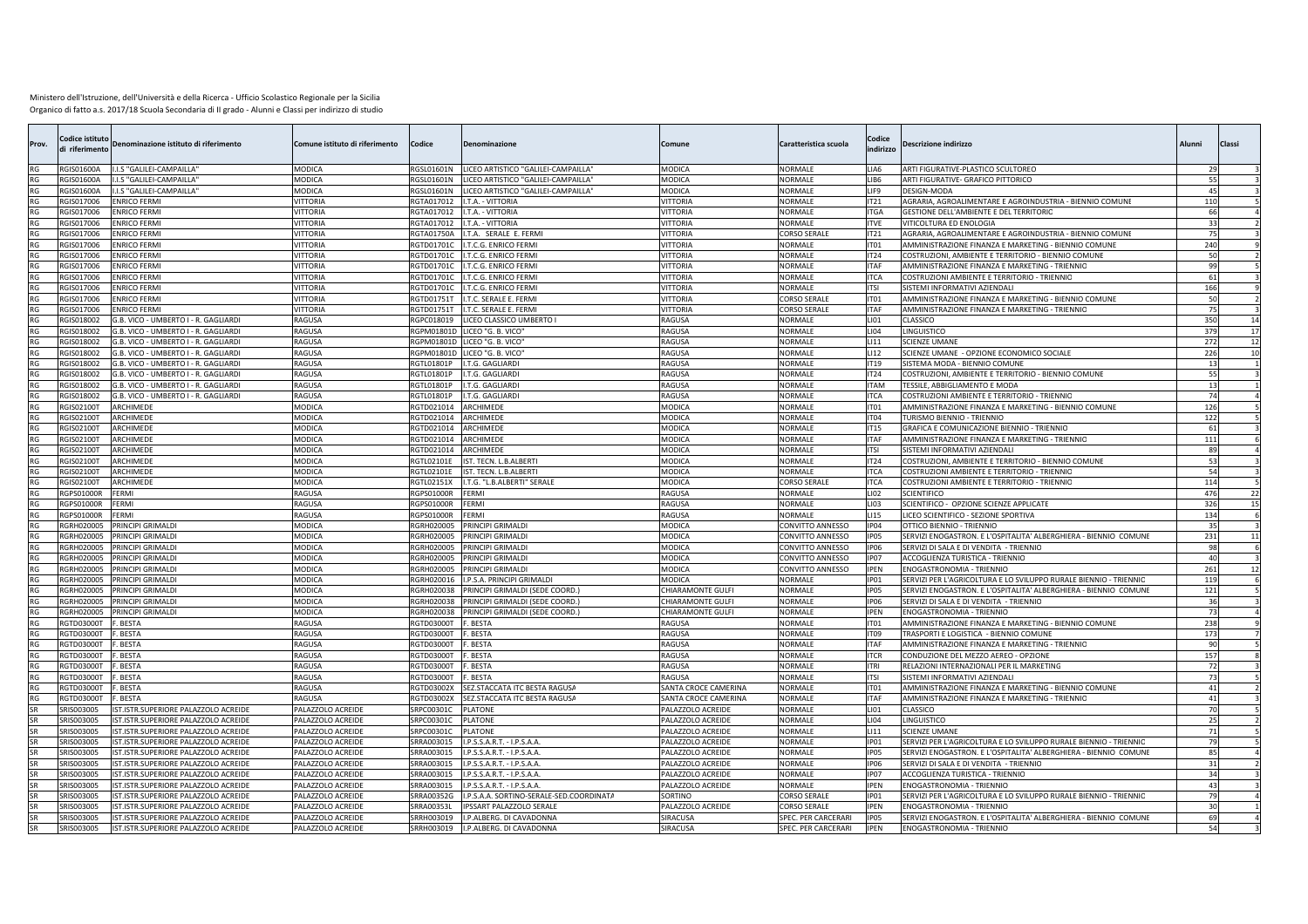| <b>J.S "GALILEI-CAMPAILLA"</b><br><b>MODICA</b><br><b>RGSL01601N</b><br><b>NORMALE</b><br>ARTI FIGURATIVE-PLASTICO SCULTOREO<br><b>RGIS01600A</b><br>LICEO ARTISTICO "GALILEI-CAMPAILLA"<br>MODICA<br>LIA6<br>.I.S "GALILEI-CAMPAILLA'<br>MODICA<br>RGSL01601N<br>LICEO ARTISTICO "GALILEI-CAMPAILLA'<br>MODICA<br>NORMALE<br>ARTI FIGURATIVE- GRAFICO PITTORICO<br>RGIS01600A<br>IB <sub>6</sub><br>MODICA<br>RGIS01600A<br>.I.S "GALILEI-CAMPAILLA"<br>MODICA<br>RGSL01601N LICEO ARTISTICO "GALILEI-CAMPAILLA"<br>NORMALE<br>LIF9<br><b>DESIGN-MODA</b><br>$\Lambda$<br>VITTORIA<br>VITTORIA<br>IT21<br>RGIS017006<br><b>ENRICO FERMI</b><br>RGTA017012<br>I.T.A. - VITTORIA<br><b>NORMALE</b><br>AGRARIA, AGROALIMENTARE E AGROINDUSTRIA - BIENNIO COMUNI<br>110<br>RG<br>VITTORIA<br><b>GIS017006</b><br><b>INRICO FERMI</b><br>RGTA017012 I.T.A. - VITTORIA<br>VITTORIA<br>NORMALI<br><b>TGA</b><br>GESTIONE DELL'AMBIENTE E DEL TERRITORIO<br>GIS017006<br><b>ENRICO FERM</b><br>VITTORIA<br>RGTA017012 I.T.A. - VITTORIA<br>VITTORIA<br>NORMALE<br><b>TVE</b><br>VITICOLTURA ED ENOLOGIA<br>RGIS017006<br><b>INRICO FERM</b><br><b>JITTORIA</b><br><b>RGTA01750A</b><br>I.T.A. SERALE E. FERMI<br><b>JITTORIA</b><br>CORSO SERA<br>IT21<br>AGRARIA, AGROALIMENTARE E AGROINDUSTRIA - BIENNIO COMUNI<br><b>GIS017006</b><br>NRICO FERM<br><b>JITTORIA</b><br>RGTD01701C<br>.T.C.G. ENRICO FERMI<br><b>JITTORIA</b><br>NORMALE<br>AMMINISTRAZIONE FINANZA E MARKETING - BIENNIO COMUNE<br>240<br>IT <sub>01</sub><br>GIS017006<br><b>INRICO FERM</b><br><b>JITTORIA</b><br>RGTD01701C<br>I.T.C.G. ENRICO FERMI<br><b>JITTORIA</b><br>NORMALI<br>T <sub>24</sub><br>COSTRUZIONI, AMBIENTE E TERRITORIO - BIENNIO COMUNI<br>VITTORIA<br>RGTD01701C<br>I.T.C.G. ENRICO FERMI<br><b>JITTORIA</b><br>NORMALE<br>AMMINISTRAZIONE FINANZA E MARKETING - TRIENNIO<br><b>GIS017006</b><br><b>NRICO FERM</b><br><b>TAF</b><br>RGIS017006<br><b>INRICO FERM</b><br><b>JITTORIA</b><br>RGTD01701C<br>I.T.C.G. ENRICO FERMI<br><b>JITTORIA</b><br>NORMALE<br><b>TCA</b><br>COSTRUZIONI AMBIENTE E TERRITORIO - TRIENNIC<br>6<br>RG<br>RGIS017006<br><b>NRICO FERM</b><br>VITTORIA<br>I.T.C.G. ENRICO FERMI<br>VITTORIA<br>NORMALE<br>SISTEMI INFORMATIVI AZIENDALI<br>16<br>RGTD01701C<br><b>ITSI</b><br><b>INRICO FERM</b><br><b>JITTORIA</b><br>I.T.C. SERALE E. FERMI<br>VITTORIA<br>CORSO SERALE<br><b>IT01</b><br>AMMINISTRAZIONE FINANZA E MARKETING - BIENNIO COMUNE<br>RGIS017006<br>RGTD01751T<br>VITTORIA<br>VITTORIA<br>AMMINISTRAZIONE FINANZA E MARKETING - TRIENNIO<br>RGIS017006<br><b>ENRICO FERMI</b><br>RGTD01751T<br>I.T.C. SERALE E. FERMI<br><b>CORSO SERALE</b><br><b>TAF</b><br>G.B. VICO - UMBERTO I - R. GAGLIARDI<br>RAGUSA<br>RGPC018019<br>RAGUSA<br>NORMALE<br>RGIS018002<br>LICEO CLASSICO UMBERTO I<br>LI01<br>CLASSICO<br>35<br>14<br>RAGUSA<br>RAGUSA<br>17<br>GIS018002<br>3.B. VICO - UMBERTO I - R. GAGLIARDI<br>RGPM01801D<br>LICEO "G. B. VICO"<br>NORMALI<br>LI04<br>LINGUISTICO<br>37<br>GIS018002<br>G.B. VICO - UMBERTO I - R. GAGLIARDI<br>RAGUSA<br>RGPM01801D<br>ICEO "G. B. VICO<br>AGUSA<br>VORMALE<br><b>LI11</b><br><b>SCIENZE UMANE</b><br>27 <sub>2</sub><br>12<br>RAGUSA<br>RGPM01801D<br>RAGUSA<br>NORMALE<br><b>GIS018002</b><br>5.B. VICO - UMBERTO I - R. GAGLIARDI<br>LICEO "G. B. VICO'<br>LI12<br>SCIENZE UMANE - OPZIONE ECONOMICO SOCIALE<br>221<br>10<br>GIS018002<br>5.B. VICO - UMBERTO I - R. GAGLIARDI<br>RAGUSA<br>RGTL01801P<br>.T.G. GAGLIARDI<br>RAGUSA<br>NORMALE<br>T <sub>19</sub><br>SISTEMA MODA - BIENNIO COMUNE<br>RAGUSA<br>COSTRUZIONI, AMBIENTE E TERRITORIO - BIENNIO COMUNE<br><b>GIS018002</b><br>i.B. VICO - UMBERTO I - R. GAGLIARDI<br>RAGUSA<br>RGTL01801P<br>I.T.G. GAGLIARDI<br>NORMALE<br>IT24<br>RGIS018002<br>G.B. VICO - UMBERTO I - R. GAGLIARDI<br>RAGUSA<br>RGTL01801P<br>I.T.G. GAGLIARDI<br>RAGUSA<br>NORMALE<br>TAM<br>TESSILE, ABBIGLIAMENTO E MODA<br>RGIS018002<br>G.B. VICO - UMBERTO I - R. GAGLIARDI<br>RAGUSA<br>RGTL01801P<br>I.T.G. GAGLIARDI<br>RAGUSA<br>NORMALE<br><b>TCA</b><br>COSTRUZIONI AMBIENTE E TERRITORIO - TRIENNIC<br>MODICA<br>RGIS02100T<br>ARCHIMEDE<br><b>MODICA</b><br>RGTD021014<br>ARCHIMEDE<br>NORMALE<br>AMMINISTRAZIONE FINANZA E MARKETING - BIENNIO COMUNE<br>T01<br>12<br><b>GISO2100T</b><br>ARCHIMEDE<br>MODICA<br>RGTD021014<br>ARCHIMEDE<br><b>MODICA</b><br>NORMALE<br>TURISMO BIENNIO - TRIENNIO<br>IT <sub>04</sub><br>12<br>MODICA<br>ARCHIMEDE<br>MODICA<br>NORMALE<br>RGIS02100T<br>ARCHIMEDE<br>RGTD021014<br>T15<br>GRAFICA E COMUNICAZIONE BIENNIO - TRIENNIO<br>MODICA<br><b>MODICA</b><br>AMMINISTRAZIONE FINANZA E MARKETING - TRIENNIO<br>RGIS02100T<br>ARCHIMEDE<br>RGTD021014<br>ARCHIMEDE<br><b>NORMALE</b><br><b>ITAF</b><br>111<br>MODICA<br>ARCHIMEDE<br>MODICA<br>NORMALE<br>SISTEMI INFORMATIVI AZIENDALI<br><b>GISO2100T</b><br>ARCHIMEDE<br>RGTD021014<br><b>TSI</b><br><b>GISO2100T</b><br>ARCHIMEDE<br>MODICA<br>RGTL02101E<br>IST. TECN. L.B.ALBERTI<br>MODICA<br>NORMALE<br>T <sub>24</sub><br>COSTRUZIONI, AMBIENTE E TERRITORIO - BIENNIO COMUNE<br>MODICA<br><b>GISO2100T</b><br>ARCHIMEDE<br>RGTL02101E<br>MODICA<br>NORMALE<br><b>TCA</b><br>COSTRUZIONI AMBIENTE E TERRITORIO - TRIENNIC<br>IST. TECN. L.B.ALBERTI<br>RGIS02100T<br>ARCHIMEDE<br>MODICA<br><b>RGTL02151X</b><br>.T.G. "L.B.ALBERTI" SERALE<br><b>MODICA</b><br>CORSO SERALI<br><b>TCA</b><br>COSTRUZIONI AMBIENTE E TERRITORIO - TRIENNIC<br>11 <sup>2</sup><br>RAGUSA<br>22<br><b>RGPS01000R</b><br>ERMI<br>RAGUSA<br><b>RGPS01000R</b><br>FRMI<br>NORMALE<br>102<br><b>SCIENTIFICO</b><br>47<br>RAGUSA<br>SCIENTIFICO - OPZIONE SCIENZE APPLICATE<br>FRMI<br>RAGUSA<br>FERMI<br>NORMAI F<br><b>FOLI</b><br>32 <sub>0</sub><br>15<br><b>RGPS01000R</b><br>RGPS01000R<br><b>RGPS01000R</b><br>FRMI<br>RAGUSA<br><b>RGPS01000R</b><br>ERMI<br>RAGUSA<br>NORMALE<br>LI 15<br>LICEO SCIENTIFICO - SEZIONE SPORTIVA<br>134<br>GRH020005<br>MODICA<br>MODICA<br>RINCIPI GRIMALDI<br>RGRH020005<br>PRINCIPI GRIMALDI<br>CONVITTO ANNESSO<br><b>P04</b><br>OTTICO BIENNIO - TRIENNIO<br><b>GRH020005</b><br>MODICA<br>RGRH020005<br>RINCIPI GRIMALDI<br>MODICA<br>SERVIZI ENOGASTRON. E L'OSPITALITA' ALBERGHIERA - BIENNIO COMUNE<br>RINCIPI GRIMALDI<br>CONVITTO ANNESSO<br>P <sub>05</sub><br>231<br>11<br>GRH020005<br>RINCIPI GRIMALDI<br>MODICA<br>RGRH020005<br>PRINCIPI GRIMALDI<br>MODICA<br>CONVITTO ANNESSO<br>SERVIZI DI SALA E DI VENDITA - TRIENNIO<br>P06<br><b>RGRH020005</b><br>RINCIPI GRIMALDI<br>MODICA<br>RGRH020005<br>MODICA<br>PRINCIPI GRIMALDI<br>CONVITTO ANNESSO<br>IP <sub>07</sub><br>ACCOGLIENZA TURISTICA - TRIENNIO<br>$\Delta$ C<br>RG<br>MODICA<br><b>RGRH020005</b><br><b>MODICA</b><br><b>ENOGASTRONOMIA - TRIENNIO</b><br>12<br><b>RGRH020005</b><br>RINCIPI GRIMALDI<br>PRINCIPI GRIMALDI<br>CONVITTO ANNESSO<br>IPEN<br>26<br><b>GRH020005</b><br>RINCIPI GRIMALDI<br>MODICA<br>RGRH020016<br>I.P.S.A. PRINCIPI GRIMALDI<br>MODICA<br>NORMALE<br>P01<br>SERVIZI PER L'AGRICOLTURA E LO SVILUPPO RURALE BIENNIO - TRIENNIO<br>11!<br>RINCIPI GRIMALDI<br>MODICA<br>RGRH020038<br>PRINCIPI GRIMALDI (SEDE COORD.)<br>CHIARAMONTE GULFI<br>NORMALI<br>SERVIZI ENOGASTRON. E L'OSPITALITA' ALBERGHIERA - BIENNIO COMUNE<br>RGRH020005<br>IPO5<br>12<br><b>GRH020005</b><br>RINCIPI GRIMALDI<br>MODICA<br>RGRH020038<br>PRINCIPI GRIMALDI (SEDE COORD.)<br>CHIARAMONTE GULFI<br>NORMALE<br>P06<br>SERVIZI DI SALA E DI VENDITA - TRIENNIO<br>GRH020005<br>RINCIPI GRIMALDI<br>MODICA<br>RGRH020038<br>RINCIPI GRIMALDI (SEDE COORD.)<br>CHIARAMONTE GULFI<br>NORMALE<br>PEN<br>ENOGASTRONOMIA - TRIENNIO<br>RGTD03000T<br>RAGUSA<br>RGTD03000T<br>RAGUSA<br>NORMALE<br>AMMINISTRAZIONE FINANZA E MARKETING - BIENNIO COMUNE<br>238<br><b>BESTA</b><br>. BESTA<br>T <sub>01</sub><br>RGTD03000<br>BESTA<br>RAGUSA<br>RGTD03000T<br>. BESTA<br>RAGUSA<br>NORMALI<br>TRASPORTI E LOGISTICA - BIENNIO COMUNE<br>17 <sup>2</sup><br>IT <sub>09</sub><br>RGTD030001<br>BESTA<br>RAGUSA<br>RGTD03000T<br>. BESTA<br>RAGUSA<br>NORMALE<br>TAF<br>AMMINISTRAZIONE FINANZA E MARKETING - TRIENNIO<br><b>BESTA</b><br>RAGUSA<br>RGTD03000T<br>BESTA<br>RAGUSA<br>NORMALI<br>CONDUZIONE DEL MEZZO AEREO - OPZIONI<br><b>GTD030001</b><br><b>TCR</b><br>15<br><b>RGTD03000T</b><br>BESTA<br>RAGUSA<br>. BESTA<br>RAGUSA<br>NORMALE<br>RELAZIONI INTERNAZIONALI PER IL MARKETING<br><b>RGTD03000T</b><br><b>TRI</b><br>RG<br>RGTD030001<br><b>BESTA</b><br>RAGUSA<br>RGTD03000T<br>BESTA<br>RAGUSA<br>NORMALE<br>SISTEMI INFORMATIVI AZIENDALI<br>RG<br>itsi<br>RGTD03000T<br>RAGUSA<br>SEZ.STACCATA ITC BESTA RAGUSA<br>NORMALE<br>AMMINISTRAZIONE FINANZA E MARKETING - BIENNIO COMUNE<br>BESTA<br>RGTD03002X<br>SANTA CROCE CAMERINA<br>ITO1<br>RGTD03000T<br>RAGUSA<br>SEZ.STACCATA ITC BESTA RAGUSA<br>SANTA CROCE CAMERINA<br>NORMALE<br><b>ITAF</b><br>AMMINISTRAZIONE FINANZA E MARKETING - TRIENNIO<br><b>BESTA</b><br>RGTD03002X<br>SRIS003005<br>PALAZZOLO ACREIDE<br>SRPC00301C<br><b>PLATONE</b><br>PALAZZOLO ACREIDE<br>NORMALE<br>ST.ISTR.SUPERIORE PALAZZOLO ACREIDE<br>LI01<br><b>CLASSICO</b><br>SRIS003005<br>ST.ISTR.SUPERIORE PALAZZOLO ACREIDE<br>PALAZZOLO ACREIDE<br>SRPC00301C<br>PLATONE<br>PALAZZOLO ACREIDE<br><b>NORMALE</b><br>LI04<br>LINGUISTICO<br>SRIS003005<br>ST.ISTR.SUPERIORE PALAZZOLO ACREIDE<br>ALAZZOLO ACREIDE<br>SRPC00301C<br><b>LATONE</b><br><b>PALAZZOLO ACREIDE</b><br>VORMALE<br>.111<br><b>SCIENZE UMANE</b><br>RIS003005<br>ST.ISTR.SUPERIORE PALAZZOLO ACREIDE<br><b>PALAZZOLO ACREIDE</b><br>SRRA003015<br>.P.S.S.A.R.T. - I.P.S.A.A<br><b>ALAZZOLO ACREIDE</b><br>VORMALE<br>SERVIZI PER L'AGRICOLTURA E LO SVILUPPO RURALE BIENNIO - TRIENNIO<br>P <sub>01</sub><br>SRIS003005<br>ST.ISTR.SUPERIORE PALAZZOLO ACREIDE<br>PALAZZOLO ACREID<br>SRRA003015<br>.P.S.S.A.R.T. - I.P.S.A.A<br>ALAZZOLO ACREIDI<br>NORMALI<br><b>PO5</b><br>SERVIZI ENOGASTRON. E L'OSPITALITA' ALBERGHIERA - BIENNIO COMUNI<br>SRIS003005<br>ST.ISTR.SUPERIORE PALAZZOLO ACREIDE<br>PALAZZOLO ACREIDE<br>SRRA003015<br>.P.S.S.A.R.T. - I.P.S.A.A<br>ALAZZOLO ACREIDE<br>NORMALE<br>P06<br>SERVIZI DI SALA E DI VENDITA - TRIENNIO<br>SRIS003005<br>ST.ISTR.SUPERIORE PALAZZOLO ACREIDE<br>PALAZZOLO ACREIDE<br>SRRA003015<br>P.S.S.A.R.T. - I.P.S.A.A<br>ALAZZOLO ACREIDE<br>NORMALE<br><b>P07</b><br>ACCOGLIENZA TURISTICA - TRIENNIO<br>SRIS003005<br>ST.ISTR.SUPERIORE PALAZZOLO ACREIDE<br>PALAZZOLO ACREIDE<br>SRRA003015<br>PALAZZOLO ACREIDE<br>NORMALE<br><b>IPEN</b><br>ENOGASTRONOMIA - TRIENNIO<br>I.P.S.S.A.R.T. - I.P.S.A.A.<br>$\mathbf{A}$<br>SRIS003005<br>ST.ISTR.SUPERIORE PALAZZOLO ACREIDE<br>PALAZZOLO ACREIDI<br>SRRA00352G<br>.P.S.A.A. SORTINO-SERALE-SED.COORDINATA<br>SORTINO<br>SERVIZI PER L'AGRICOLTURA E LO SVILUPPO RURALE BIENNIO - TRIENNIO<br>CORSO SERAL<br>IP01<br>SRIS003005<br>ST.ISTR.SUPERIORE PALAZZOLO ACREIDE<br>SRRA00353L<br><b>IPSSART PALAZZOLO SERALE</b><br>PALAZZOLO ACREIDE<br>CORSO SERALI<br>PALAZZOLO ACREIDE<br><b>IPFN</b><br>ENOGASTRONOMIA - TRIENNIO<br>SRIS003005<br>IST.ISTR.SUPERIORE PALAZZOLO ACREIDE<br><b>PALAZZOLO ACREIDE</b><br>SRRH003019<br>I.P.ALBERG. DI CAVADONNA<br>SIRACUSA<br>SERVIZI ENOGASTRON. E L'OSPITALITA' ALBERGHIERA - BIENNIO COMUNE<br><b>SPEC. PER CARCERARI</b><br>IPO5<br>SRIS003005<br>IST.ISTR.SUPERIORE PALAZZOLO ACREIDE<br>SRRH003019<br>I.P.ALBERG. DI CAVADONNA<br>SIRACUSA<br><b>SPEC. PER CARCERARI</b><br>IPEN<br>PALAZZOLO ACREIDE<br>ENOGASTRONOMIA - TRIENNIO<br><b>SR</b> | Prov. | odice istitut:<br>li riferimento | Denominazione istituto di riferimento | Comune istituto di riferimento | Codice | Denominazione | Comune | Caratteristica scuola | `odice<br>ndirizzo | Descrizione indirizzo | Alunni | Classi |
|-------------------------------------------------------------------------------------------------------------------------------------------------------------------------------------------------------------------------------------------------------------------------------------------------------------------------------------------------------------------------------------------------------------------------------------------------------------------------------------------------------------------------------------------------------------------------------------------------------------------------------------------------------------------------------------------------------------------------------------------------------------------------------------------------------------------------------------------------------------------------------------------------------------------------------------------------------------------------------------------------------------------------------------------------------------------------------------------------------------------------------------------------------------------------------------------------------------------------------------------------------------------------------------------------------------------------------------------------------------------------------------------------------------------------------------------------------------------------------------------------------------------------------------------------------------------------------------------------------------------------------------------------------------------------------------------------------------------------------------------------------------------------------------------------------------------------------------------------------------------------------------------------------------------------------------------------------------------------------------------------------------------------------------------------------------------------------------------------------------------------------------------------------------------------------------------------------------------------------------------------------------------------------------------------------------------------------------------------------------------------------------------------------------------------------------------------------------------------------------------------------------------------------------------------------------------------------------------------------------------------------------------------------------------------------------------------------------------------------------------------------------------------------------------------------------------------------------------------------------------------------------------------------------------------------------------------------------------------------------------------------------------------------------------------------------------------------------------------------------------------------------------------------------------------------------------------------------------------------------------------------------------------------------------------------------------------------------------------------------------------------------------------------------------------------------------------------------------------------------------------------------------------------------------------------------------------------------------------------------------------------------------------------------------------------------------------------------------------------------------------------------------------------------------------------------------------------------------------------------------------------------------------------------------------------------------------------------------------------------------------------------------------------------------------------------------------------------------------------------------------------------------------------------------------------------------------------------------------------------------------------------------------------------------------------------------------------------------------------------------------------------------------------------------------------------------------------------------------------------------------------------------------------------------------------------------------------------------------------------------------------------------------------------------------------------------------------------------------------------------------------------------------------------------------------------------------------------------------------------------------------------------------------------------------------------------------------------------------------------------------------------------------------------------------------------------------------------------------------------------------------------------------------------------------------------------------------------------------------------------------------------------------------------------------------------------------------------------------------------------------------------------------------------------------------------------------------------------------------------------------------------------------------------------------------------------------------------------------------------------------------------------------------------------------------------------------------------------------------------------------------------------------------------------------------------------------------------------------------------------------------------------------------------------------------------------------------------------------------------------------------------------------------------------------------------------------------------------------------------------------------------------------------------------------------------------------------------------------------------------------------------------------------------------------------------------------------------------------------------------------------------------------------------------------------------------------------------------------------------------------------------------------------------------------------------------------------------------------------------------------------------------------------------------------------------------------------------------------------------------------------------------------------------------------------------------------------------------------------------------------------------------------------------------------------------------------------------------------------------------------------------------------------------------------------------------------------------------------------------------------------------------------------------------------------------------------------------------------------------------------------------------------------------------------------------------------------------------------------------------------------------------------------------------------------------------------------------------------------------------------------------------------------------------------------------------------------------------------------------------------------------------------------------------------------------------------------------------------------------------------------------------------------------------------------------------------------------------------------------------------------------------------------------------------------------------------------------------------------------------------------------------------------------------------------------------------------------------------------------------------------------------------------------------------------------------------------------------------------------------------------------------------------------------------------------------------------------------------------------------------------------------------------------------------------------------------------------------------------------------------------------------------------------------------------------------------------------------------------------------------------------------------------------------------------------------------------------------------------------------------------------------------------------------------------------------------------------------------------------------------------------------------------------------------------------------------------------------------------------------------------------------------------------------------------------------------------------------------------------------------------------------------------------------------------------------------------------------------------------------------------------------------------------------------------------------------------------------------------------------------------------------------------------------------------------------------------------------------------------------------------------------------------------------------------------------------------------------------------------------------------------------------------------------------------------------------------------------------------------------------------------------------------------------------------------------------------------------------------------------------------------------------------------------------------------------------------------------------------------------------------------------------------------------------------------------------------------------------------------------------------------------------------------------------------------------------------------------------------------------------------------------------------------------------------------------------------------------------------------------------------------------------------------------------------------------------------------------------------------------------------------------------------------------------------------------------------------------------------------------------------------------------------------------------------------------------------------------------------------------------------------------------------------------------------------------------------------------------------------------------------------------------------------------------------------------------------------------------------------------------------------------------------------------------------------------------------------------------------------------------------------------------------------------------------------------------------------------------------------------------------------------------------------------------------------------------------------------------------------------------------------------------------------------------------------------------------------------------------------------------------------------------------------------------------------------------|-------|----------------------------------|---------------------------------------|--------------------------------|--------|---------------|--------|-----------------------|--------------------|-----------------------|--------|--------|
|                                                                                                                                                                                                                                                                                                                                                                                                                                                                                                                                                                                                                                                                                                                                                                                                                                                                                                                                                                                                                                                                                                                                                                                                                                                                                                                                                                                                                                                                                                                                                                                                                                                                                                                                                                                                                                                                                                                                                                                                                                                                                                                                                                                                                                                                                                                                                                                                                                                                                                                                                                                                                                                                                                                                                                                                                                                                                                                                                                                                                                                                                                                                                                                                                                                                                                                                                                                                                                                                                                                                                                                                                                                                                                                                                                                                                                                                                                                                                                                                                                                                                                                                                                                                                                                                                                                                                                                                                                                                                                                                                                                                                                                                                                                                                                                                                                                                                                                                                                                                                                                                                                                                                                                                                                                                                                                                                                                                                                                                                                                                                                                                                                                                                                                                                                                                                                                                                                                                                                                                                                                                                                                                                                                                                                                                                                                                                                                                                                                                                                                                                                                                                                                                                                                                                                                                                                                                                                                                                                                                                                                                                                                                                                                                                                                                                                                                                                                                                                                                                                                                                                                                                                                                                                                                                                                                                                                                                                                                                                                                                                                                                                                                                                                                                                                                                                                                                                                                                                                                                                                                                                                                                                                                                                                                                                                                                                                                                                                                                                                                                                                                                                                                                                                                                                                                                                                                                                                                                                                                                                                                                                                                                                                                                                                                                                                                                                                                                                                                                                                                                                                                                                                                                                                                                                                                                                                                                                                                                                                                                                                                                                                                                                                                                                                                                                                                                                                                                                                                                                                                                                                                                                                                                                                                                                                                                                                                                                                                                                                                                                                                                                         |       |                                  |                                       |                                |        |               |        |                       |                    |                       |        |        |
|                                                                                                                                                                                                                                                                                                                                                                                                                                                                                                                                                                                                                                                                                                                                                                                                                                                                                                                                                                                                                                                                                                                                                                                                                                                                                                                                                                                                                                                                                                                                                                                                                                                                                                                                                                                                                                                                                                                                                                                                                                                                                                                                                                                                                                                                                                                                                                                                                                                                                                                                                                                                                                                                                                                                                                                                                                                                                                                                                                                                                                                                                                                                                                                                                                                                                                                                                                                                                                                                                                                                                                                                                                                                                                                                                                                                                                                                                                                                                                                                                                                                                                                                                                                                                                                                                                                                                                                                                                                                                                                                                                                                                                                                                                                                                                                                                                                                                                                                                                                                                                                                                                                                                                                                                                                                                                                                                                                                                                                                                                                                                                                                                                                                                                                                                                                                                                                                                                                                                                                                                                                                                                                                                                                                                                                                                                                                                                                                                                                                                                                                                                                                                                                                                                                                                                                                                                                                                                                                                                                                                                                                                                                                                                                                                                                                                                                                                                                                                                                                                                                                                                                                                                                                                                                                                                                                                                                                                                                                                                                                                                                                                                                                                                                                                                                                                                                                                                                                                                                                                                                                                                                                                                                                                                                                                                                                                                                                                                                                                                                                                                                                                                                                                                                                                                                                                                                                                                                                                                                                                                                                                                                                                                                                                                                                                                                                                                                                                                                                                                                                                                                                                                                                                                                                                                                                                                                                                                                                                                                                                                                                                                                                                                                                                                                                                                                                                                                                                                                                                                                                                                                                                                                                                                                                                                                                                                                                                                                                                                                                                                                                                                         |       |                                  |                                       |                                |        |               |        |                       |                    |                       |        |        |
|                                                                                                                                                                                                                                                                                                                                                                                                                                                                                                                                                                                                                                                                                                                                                                                                                                                                                                                                                                                                                                                                                                                                                                                                                                                                                                                                                                                                                                                                                                                                                                                                                                                                                                                                                                                                                                                                                                                                                                                                                                                                                                                                                                                                                                                                                                                                                                                                                                                                                                                                                                                                                                                                                                                                                                                                                                                                                                                                                                                                                                                                                                                                                                                                                                                                                                                                                                                                                                                                                                                                                                                                                                                                                                                                                                                                                                                                                                                                                                                                                                                                                                                                                                                                                                                                                                                                                                                                                                                                                                                                                                                                                                                                                                                                                                                                                                                                                                                                                                                                                                                                                                                                                                                                                                                                                                                                                                                                                                                                                                                                                                                                                                                                                                                                                                                                                                                                                                                                                                                                                                                                                                                                                                                                                                                                                                                                                                                                                                                                                                                                                                                                                                                                                                                                                                                                                                                                                                                                                                                                                                                                                                                                                                                                                                                                                                                                                                                                                                                                                                                                                                                                                                                                                                                                                                                                                                                                                                                                                                                                                                                                                                                                                                                                                                                                                                                                                                                                                                                                                                                                                                                                                                                                                                                                                                                                                                                                                                                                                                                                                                                                                                                                                                                                                                                                                                                                                                                                                                                                                                                                                                                                                                                                                                                                                                                                                                                                                                                                                                                                                                                                                                                                                                                                                                                                                                                                                                                                                                                                                                                                                                                                                                                                                                                                                                                                                                                                                                                                                                                                                                                                                                                                                                                                                                                                                                                                                                                                                                                                                                                                                                         |       |                                  |                                       |                                |        |               |        |                       |                    |                       |        |        |
|                                                                                                                                                                                                                                                                                                                                                                                                                                                                                                                                                                                                                                                                                                                                                                                                                                                                                                                                                                                                                                                                                                                                                                                                                                                                                                                                                                                                                                                                                                                                                                                                                                                                                                                                                                                                                                                                                                                                                                                                                                                                                                                                                                                                                                                                                                                                                                                                                                                                                                                                                                                                                                                                                                                                                                                                                                                                                                                                                                                                                                                                                                                                                                                                                                                                                                                                                                                                                                                                                                                                                                                                                                                                                                                                                                                                                                                                                                                                                                                                                                                                                                                                                                                                                                                                                                                                                                                                                                                                                                                                                                                                                                                                                                                                                                                                                                                                                                                                                                                                                                                                                                                                                                                                                                                                                                                                                                                                                                                                                                                                                                                                                                                                                                                                                                                                                                                                                                                                                                                                                                                                                                                                                                                                                                                                                                                                                                                                                                                                                                                                                                                                                                                                                                                                                                                                                                                                                                                                                                                                                                                                                                                                                                                                                                                                                                                                                                                                                                                                                                                                                                                                                                                                                                                                                                                                                                                                                                                                                                                                                                                                                                                                                                                                                                                                                                                                                                                                                                                                                                                                                                                                                                                                                                                                                                                                                                                                                                                                                                                                                                                                                                                                                                                                                                                                                                                                                                                                                                                                                                                                                                                                                                                                                                                                                                                                                                                                                                                                                                                                                                                                                                                                                                                                                                                                                                                                                                                                                                                                                                                                                                                                                                                                                                                                                                                                                                                                                                                                                                                                                                                                                                                                                                                                                                                                                                                                                                                                                                                                                                                                                                         |       |                                  |                                       |                                |        |               |        |                       |                    |                       |        |        |
|                                                                                                                                                                                                                                                                                                                                                                                                                                                                                                                                                                                                                                                                                                                                                                                                                                                                                                                                                                                                                                                                                                                                                                                                                                                                                                                                                                                                                                                                                                                                                                                                                                                                                                                                                                                                                                                                                                                                                                                                                                                                                                                                                                                                                                                                                                                                                                                                                                                                                                                                                                                                                                                                                                                                                                                                                                                                                                                                                                                                                                                                                                                                                                                                                                                                                                                                                                                                                                                                                                                                                                                                                                                                                                                                                                                                                                                                                                                                                                                                                                                                                                                                                                                                                                                                                                                                                                                                                                                                                                                                                                                                                                                                                                                                                                                                                                                                                                                                                                                                                                                                                                                                                                                                                                                                                                                                                                                                                                                                                                                                                                                                                                                                                                                                                                                                                                                                                                                                                                                                                                                                                                                                                                                                                                                                                                                                                                                                                                                                                                                                                                                                                                                                                                                                                                                                                                                                                                                                                                                                                                                                                                                                                                                                                                                                                                                                                                                                                                                                                                                                                                                                                                                                                                                                                                                                                                                                                                                                                                                                                                                                                                                                                                                                                                                                                                                                                                                                                                                                                                                                                                                                                                                                                                                                                                                                                                                                                                                                                                                                                                                                                                                                                                                                                                                                                                                                                                                                                                                                                                                                                                                                                                                                                                                                                                                                                                                                                                                                                                                                                                                                                                                                                                                                                                                                                                                                                                                                                                                                                                                                                                                                                                                                                                                                                                                                                                                                                                                                                                                                                                                                                                                                                                                                                                                                                                                                                                                                                                                                                                                                                                         |       |                                  |                                       |                                |        |               |        |                       |                    |                       |        |        |
|                                                                                                                                                                                                                                                                                                                                                                                                                                                                                                                                                                                                                                                                                                                                                                                                                                                                                                                                                                                                                                                                                                                                                                                                                                                                                                                                                                                                                                                                                                                                                                                                                                                                                                                                                                                                                                                                                                                                                                                                                                                                                                                                                                                                                                                                                                                                                                                                                                                                                                                                                                                                                                                                                                                                                                                                                                                                                                                                                                                                                                                                                                                                                                                                                                                                                                                                                                                                                                                                                                                                                                                                                                                                                                                                                                                                                                                                                                                                                                                                                                                                                                                                                                                                                                                                                                                                                                                                                                                                                                                                                                                                                                                                                                                                                                                                                                                                                                                                                                                                                                                                                                                                                                                                                                                                                                                                                                                                                                                                                                                                                                                                                                                                                                                                                                                                                                                                                                                                                                                                                                                                                                                                                                                                                                                                                                                                                                                                                                                                                                                                                                                                                                                                                                                                                                                                                                                                                                                                                                                                                                                                                                                                                                                                                                                                                                                                                                                                                                                                                                                                                                                                                                                                                                                                                                                                                                                                                                                                                                                                                                                                                                                                                                                                                                                                                                                                                                                                                                                                                                                                                                                                                                                                                                                                                                                                                                                                                                                                                                                                                                                                                                                                                                                                                                                                                                                                                                                                                                                                                                                                                                                                                                                                                                                                                                                                                                                                                                                                                                                                                                                                                                                                                                                                                                                                                                                                                                                                                                                                                                                                                                                                                                                                                                                                                                                                                                                                                                                                                                                                                                                                                                                                                                                                                                                                                                                                                                                                                                                                                                                                                                         |       |                                  |                                       |                                |        |               |        |                       |                    |                       |        |        |
|                                                                                                                                                                                                                                                                                                                                                                                                                                                                                                                                                                                                                                                                                                                                                                                                                                                                                                                                                                                                                                                                                                                                                                                                                                                                                                                                                                                                                                                                                                                                                                                                                                                                                                                                                                                                                                                                                                                                                                                                                                                                                                                                                                                                                                                                                                                                                                                                                                                                                                                                                                                                                                                                                                                                                                                                                                                                                                                                                                                                                                                                                                                                                                                                                                                                                                                                                                                                                                                                                                                                                                                                                                                                                                                                                                                                                                                                                                                                                                                                                                                                                                                                                                                                                                                                                                                                                                                                                                                                                                                                                                                                                                                                                                                                                                                                                                                                                                                                                                                                                                                                                                                                                                                                                                                                                                                                                                                                                                                                                                                                                                                                                                                                                                                                                                                                                                                                                                                                                                                                                                                                                                                                                                                                                                                                                                                                                                                                                                                                                                                                                                                                                                                                                                                                                                                                                                                                                                                                                                                                                                                                                                                                                                                                                                                                                                                                                                                                                                                                                                                                                                                                                                                                                                                                                                                                                                                                                                                                                                                                                                                                                                                                                                                                                                                                                                                                                                                                                                                                                                                                                                                                                                                                                                                                                                                                                                                                                                                                                                                                                                                                                                                                                                                                                                                                                                                                                                                                                                                                                                                                                                                                                                                                                                                                                                                                                                                                                                                                                                                                                                                                                                                                                                                                                                                                                                                                                                                                                                                                                                                                                                                                                                                                                                                                                                                                                                                                                                                                                                                                                                                                                                                                                                                                                                                                                                                                                                                                                                                                                                                                                                         |       |                                  |                                       |                                |        |               |        |                       |                    |                       |        |        |
|                                                                                                                                                                                                                                                                                                                                                                                                                                                                                                                                                                                                                                                                                                                                                                                                                                                                                                                                                                                                                                                                                                                                                                                                                                                                                                                                                                                                                                                                                                                                                                                                                                                                                                                                                                                                                                                                                                                                                                                                                                                                                                                                                                                                                                                                                                                                                                                                                                                                                                                                                                                                                                                                                                                                                                                                                                                                                                                                                                                                                                                                                                                                                                                                                                                                                                                                                                                                                                                                                                                                                                                                                                                                                                                                                                                                                                                                                                                                                                                                                                                                                                                                                                                                                                                                                                                                                                                                                                                                                                                                                                                                                                                                                                                                                                                                                                                                                                                                                                                                                                                                                                                                                                                                                                                                                                                                                                                                                                                                                                                                                                                                                                                                                                                                                                                                                                                                                                                                                                                                                                                                                                                                                                                                                                                                                                                                                                                                                                                                                                                                                                                                                                                                                                                                                                                                                                                                                                                                                                                                                                                                                                                                                                                                                                                                                                                                                                                                                                                                                                                                                                                                                                                                                                                                                                                                                                                                                                                                                                                                                                                                                                                                                                                                                                                                                                                                                                                                                                                                                                                                                                                                                                                                                                                                                                                                                                                                                                                                                                                                                                                                                                                                                                                                                                                                                                                                                                                                                                                                                                                                                                                                                                                                                                                                                                                                                                                                                                                                                                                                                                                                                                                                                                                                                                                                                                                                                                                                                                                                                                                                                                                                                                                                                                                                                                                                                                                                                                                                                                                                                                                                                                                                                                                                                                                                                                                                                                                                                                                                                                                                                                         |       |                                  |                                       |                                |        |               |        |                       |                    |                       |        |        |
|                                                                                                                                                                                                                                                                                                                                                                                                                                                                                                                                                                                                                                                                                                                                                                                                                                                                                                                                                                                                                                                                                                                                                                                                                                                                                                                                                                                                                                                                                                                                                                                                                                                                                                                                                                                                                                                                                                                                                                                                                                                                                                                                                                                                                                                                                                                                                                                                                                                                                                                                                                                                                                                                                                                                                                                                                                                                                                                                                                                                                                                                                                                                                                                                                                                                                                                                                                                                                                                                                                                                                                                                                                                                                                                                                                                                                                                                                                                                                                                                                                                                                                                                                                                                                                                                                                                                                                                                                                                                                                                                                                                                                                                                                                                                                                                                                                                                                                                                                                                                                                                                                                                                                                                                                                                                                                                                                                                                                                                                                                                                                                                                                                                                                                                                                                                                                                                                                                                                                                                                                                                                                                                                                                                                                                                                                                                                                                                                                                                                                                                                                                                                                                                                                                                                                                                                                                                                                                                                                                                                                                                                                                                                                                                                                                                                                                                                                                                                                                                                                                                                                                                                                                                                                                                                                                                                                                                                                                                                                                                                                                                                                                                                                                                                                                                                                                                                                                                                                                                                                                                                                                                                                                                                                                                                                                                                                                                                                                                                                                                                                                                                                                                                                                                                                                                                                                                                                                                                                                                                                                                                                                                                                                                                                                                                                                                                                                                                                                                                                                                                                                                                                                                                                                                                                                                                                                                                                                                                                                                                                                                                                                                                                                                                                                                                                                                                                                                                                                                                                                                                                                                                                                                                                                                                                                                                                                                                                                                                                                                                                                                                                                         |       |                                  |                                       |                                |        |               |        |                       |                    |                       |        |        |
|                                                                                                                                                                                                                                                                                                                                                                                                                                                                                                                                                                                                                                                                                                                                                                                                                                                                                                                                                                                                                                                                                                                                                                                                                                                                                                                                                                                                                                                                                                                                                                                                                                                                                                                                                                                                                                                                                                                                                                                                                                                                                                                                                                                                                                                                                                                                                                                                                                                                                                                                                                                                                                                                                                                                                                                                                                                                                                                                                                                                                                                                                                                                                                                                                                                                                                                                                                                                                                                                                                                                                                                                                                                                                                                                                                                                                                                                                                                                                                                                                                                                                                                                                                                                                                                                                                                                                                                                                                                                                                                                                                                                                                                                                                                                                                                                                                                                                                                                                                                                                                                                                                                                                                                                                                                                                                                                                                                                                                                                                                                                                                                                                                                                                                                                                                                                                                                                                                                                                                                                                                                                                                                                                                                                                                                                                                                                                                                                                                                                                                                                                                                                                                                                                                                                                                                                                                                                                                                                                                                                                                                                                                                                                                                                                                                                                                                                                                                                                                                                                                                                                                                                                                                                                                                                                                                                                                                                                                                                                                                                                                                                                                                                                                                                                                                                                                                                                                                                                                                                                                                                                                                                                                                                                                                                                                                                                                                                                                                                                                                                                                                                                                                                                                                                                                                                                                                                                                                                                                                                                                                                                                                                                                                                                                                                                                                                                                                                                                                                                                                                                                                                                                                                                                                                                                                                                                                                                                                                                                                                                                                                                                                                                                                                                                                                                                                                                                                                                                                                                                                                                                                                                                                                                                                                                                                                                                                                                                                                                                                                                                                                                                         |       |                                  |                                       |                                |        |               |        |                       |                    |                       |        |        |
|                                                                                                                                                                                                                                                                                                                                                                                                                                                                                                                                                                                                                                                                                                                                                                                                                                                                                                                                                                                                                                                                                                                                                                                                                                                                                                                                                                                                                                                                                                                                                                                                                                                                                                                                                                                                                                                                                                                                                                                                                                                                                                                                                                                                                                                                                                                                                                                                                                                                                                                                                                                                                                                                                                                                                                                                                                                                                                                                                                                                                                                                                                                                                                                                                                                                                                                                                                                                                                                                                                                                                                                                                                                                                                                                                                                                                                                                                                                                                                                                                                                                                                                                                                                                                                                                                                                                                                                                                                                                                                                                                                                                                                                                                                                                                                                                                                                                                                                                                                                                                                                                                                                                                                                                                                                                                                                                                                                                                                                                                                                                                                                                                                                                                                                                                                                                                                                                                                                                                                                                                                                                                                                                                                                                                                                                                                                                                                                                                                                                                                                                                                                                                                                                                                                                                                                                                                                                                                                                                                                                                                                                                                                                                                                                                                                                                                                                                                                                                                                                                                                                                                                                                                                                                                                                                                                                                                                                                                                                                                                                                                                                                                                                                                                                                                                                                                                                                                                                                                                                                                                                                                                                                                                                                                                                                                                                                                                                                                                                                                                                                                                                                                                                                                                                                                                                                                                                                                                                                                                                                                                                                                                                                                                                                                                                                                                                                                                                                                                                                                                                                                                                                                                                                                                                                                                                                                                                                                                                                                                                                                                                                                                                                                                                                                                                                                                                                                                                                                                                                                                                                                                                                                                                                                                                                                                                                                                                                                                                                                                                                                                                                                         |       |                                  |                                       |                                |        |               |        |                       |                    |                       |        |        |
|                                                                                                                                                                                                                                                                                                                                                                                                                                                                                                                                                                                                                                                                                                                                                                                                                                                                                                                                                                                                                                                                                                                                                                                                                                                                                                                                                                                                                                                                                                                                                                                                                                                                                                                                                                                                                                                                                                                                                                                                                                                                                                                                                                                                                                                                                                                                                                                                                                                                                                                                                                                                                                                                                                                                                                                                                                                                                                                                                                                                                                                                                                                                                                                                                                                                                                                                                                                                                                                                                                                                                                                                                                                                                                                                                                                                                                                                                                                                                                                                                                                                                                                                                                                                                                                                                                                                                                                                                                                                                                                                                                                                                                                                                                                                                                                                                                                                                                                                                                                                                                                                                                                                                                                                                                                                                                                                                                                                                                                                                                                                                                                                                                                                                                                                                                                                                                                                                                                                                                                                                                                                                                                                                                                                                                                                                                                                                                                                                                                                                                                                                                                                                                                                                                                                                                                                                                                                                                                                                                                                                                                                                                                                                                                                                                                                                                                                                                                                                                                                                                                                                                                                                                                                                                                                                                                                                                                                                                                                                                                                                                                                                                                                                                                                                                                                                                                                                                                                                                                                                                                                                                                                                                                                                                                                                                                                                                                                                                                                                                                                                                                                                                                                                                                                                                                                                                                                                                                                                                                                                                                                                                                                                                                                                                                                                                                                                                                                                                                                                                                                                                                                                                                                                                                                                                                                                                                                                                                                                                                                                                                                                                                                                                                                                                                                                                                                                                                                                                                                                                                                                                                                                                                                                                                                                                                                                                                                                                                                                                                                                                                                                                         |       |                                  |                                       |                                |        |               |        |                       |                    |                       |        |        |
|                                                                                                                                                                                                                                                                                                                                                                                                                                                                                                                                                                                                                                                                                                                                                                                                                                                                                                                                                                                                                                                                                                                                                                                                                                                                                                                                                                                                                                                                                                                                                                                                                                                                                                                                                                                                                                                                                                                                                                                                                                                                                                                                                                                                                                                                                                                                                                                                                                                                                                                                                                                                                                                                                                                                                                                                                                                                                                                                                                                                                                                                                                                                                                                                                                                                                                                                                                                                                                                                                                                                                                                                                                                                                                                                                                                                                                                                                                                                                                                                                                                                                                                                                                                                                                                                                                                                                                                                                                                                                                                                                                                                                                                                                                                                                                                                                                                                                                                                                                                                                                                                                                                                                                                                                                                                                                                                                                                                                                                                                                                                                                                                                                                                                                                                                                                                                                                                                                                                                                                                                                                                                                                                                                                                                                                                                                                                                                                                                                                                                                                                                                                                                                                                                                                                                                                                                                                                                                                                                                                                                                                                                                                                                                                                                                                                                                                                                                                                                                                                                                                                                                                                                                                                                                                                                                                                                                                                                                                                                                                                                                                                                                                                                                                                                                                                                                                                                                                                                                                                                                                                                                                                                                                                                                                                                                                                                                                                                                                                                                                                                                                                                                                                                                                                                                                                                                                                                                                                                                                                                                                                                                                                                                                                                                                                                                                                                                                                                                                                                                                                                                                                                                                                                                                                                                                                                                                                                                                                                                                                                                                                                                                                                                                                                                                                                                                                                                                                                                                                                                                                                                                                                                                                                                                                                                                                                                                                                                                                                                                                                                                                                                         |       |                                  |                                       |                                |        |               |        |                       |                    |                       |        |        |
|                                                                                                                                                                                                                                                                                                                                                                                                                                                                                                                                                                                                                                                                                                                                                                                                                                                                                                                                                                                                                                                                                                                                                                                                                                                                                                                                                                                                                                                                                                                                                                                                                                                                                                                                                                                                                                                                                                                                                                                                                                                                                                                                                                                                                                                                                                                                                                                                                                                                                                                                                                                                                                                                                                                                                                                                                                                                                                                                                                                                                                                                                                                                                                                                                                                                                                                                                                                                                                                                                                                                                                                                                                                                                                                                                                                                                                                                                                                                                                                                                                                                                                                                                                                                                                                                                                                                                                                                                                                                                                                                                                                                                                                                                                                                                                                                                                                                                                                                                                                                                                                                                                                                                                                                                                                                                                                                                                                                                                                                                                                                                                                                                                                                                                                                                                                                                                                                                                                                                                                                                                                                                                                                                                                                                                                                                                                                                                                                                                                                                                                                                                                                                                                                                                                                                                                                                                                                                                                                                                                                                                                                                                                                                                                                                                                                                                                                                                                                                                                                                                                                                                                                                                                                                                                                                                                                                                                                                                                                                                                                                                                                                                                                                                                                                                                                                                                                                                                                                                                                                                                                                                                                                                                                                                                                                                                                                                                                                                                                                                                                                                                                                                                                                                                                                                                                                                                                                                                                                                                                                                                                                                                                                                                                                                                                                                                                                                                                                                                                                                                                                                                                                                                                                                                                                                                                                                                                                                                                                                                                                                                                                                                                                                                                                                                                                                                                                                                                                                                                                                                                                                                                                                                                                                                                                                                                                                                                                                                                                                                                                                                                                                         |       |                                  |                                       |                                |        |               |        |                       |                    |                       |        |        |
|                                                                                                                                                                                                                                                                                                                                                                                                                                                                                                                                                                                                                                                                                                                                                                                                                                                                                                                                                                                                                                                                                                                                                                                                                                                                                                                                                                                                                                                                                                                                                                                                                                                                                                                                                                                                                                                                                                                                                                                                                                                                                                                                                                                                                                                                                                                                                                                                                                                                                                                                                                                                                                                                                                                                                                                                                                                                                                                                                                                                                                                                                                                                                                                                                                                                                                                                                                                                                                                                                                                                                                                                                                                                                                                                                                                                                                                                                                                                                                                                                                                                                                                                                                                                                                                                                                                                                                                                                                                                                                                                                                                                                                                                                                                                                                                                                                                                                                                                                                                                                                                                                                                                                                                                                                                                                                                                                                                                                                                                                                                                                                                                                                                                                                                                                                                                                                                                                                                                                                                                                                                                                                                                                                                                                                                                                                                                                                                                                                                                                                                                                                                                                                                                                                                                                                                                                                                                                                                                                                                                                                                                                                                                                                                                                                                                                                                                                                                                                                                                                                                                                                                                                                                                                                                                                                                                                                                                                                                                                                                                                                                                                                                                                                                                                                                                                                                                                                                                                                                                                                                                                                                                                                                                                                                                                                                                                                                                                                                                                                                                                                                                                                                                                                                                                                                                                                                                                                                                                                                                                                                                                                                                                                                                                                                                                                                                                                                                                                                                                                                                                                                                                                                                                                                                                                                                                                                                                                                                                                                                                                                                                                                                                                                                                                                                                                                                                                                                                                                                                                                                                                                                                                                                                                                                                                                                                                                                                                                                                                                                                                                                                                         |       |                                  |                                       |                                |        |               |        |                       |                    |                       |        |        |
|                                                                                                                                                                                                                                                                                                                                                                                                                                                                                                                                                                                                                                                                                                                                                                                                                                                                                                                                                                                                                                                                                                                                                                                                                                                                                                                                                                                                                                                                                                                                                                                                                                                                                                                                                                                                                                                                                                                                                                                                                                                                                                                                                                                                                                                                                                                                                                                                                                                                                                                                                                                                                                                                                                                                                                                                                                                                                                                                                                                                                                                                                                                                                                                                                                                                                                                                                                                                                                                                                                                                                                                                                                                                                                                                                                                                                                                                                                                                                                                                                                                                                                                                                                                                                                                                                                                                                                                                                                                                                                                                                                                                                                                                                                                                                                                                                                                                                                                                                                                                                                                                                                                                                                                                                                                                                                                                                                                                                                                                                                                                                                                                                                                                                                                                                                                                                                                                                                                                                                                                                                                                                                                                                                                                                                                                                                                                                                                                                                                                                                                                                                                                                                                                                                                                                                                                                                                                                                                                                                                                                                                                                                                                                                                                                                                                                                                                                                                                                                                                                                                                                                                                                                                                                                                                                                                                                                                                                                                                                                                                                                                                                                                                                                                                                                                                                                                                                                                                                                                                                                                                                                                                                                                                                                                                                                                                                                                                                                                                                                                                                                                                                                                                                                                                                                                                                                                                                                                                                                                                                                                                                                                                                                                                                                                                                                                                                                                                                                                                                                                                                                                                                                                                                                                                                                                                                                                                                                                                                                                                                                                                                                                                                                                                                                                                                                                                                                                                                                                                                                                                                                                                                                                                                                                                                                                                                                                                                                                                                                                                                                                                                                         |       |                                  |                                       |                                |        |               |        |                       |                    |                       |        |        |
|                                                                                                                                                                                                                                                                                                                                                                                                                                                                                                                                                                                                                                                                                                                                                                                                                                                                                                                                                                                                                                                                                                                                                                                                                                                                                                                                                                                                                                                                                                                                                                                                                                                                                                                                                                                                                                                                                                                                                                                                                                                                                                                                                                                                                                                                                                                                                                                                                                                                                                                                                                                                                                                                                                                                                                                                                                                                                                                                                                                                                                                                                                                                                                                                                                                                                                                                                                                                                                                                                                                                                                                                                                                                                                                                                                                                                                                                                                                                                                                                                                                                                                                                                                                                                                                                                                                                                                                                                                                                                                                                                                                                                                                                                                                                                                                                                                                                                                                                                                                                                                                                                                                                                                                                                                                                                                                                                                                                                                                                                                                                                                                                                                                                                                                                                                                                                                                                                                                                                                                                                                                                                                                                                                                                                                                                                                                                                                                                                                                                                                                                                                                                                                                                                                                                                                                                                                                                                                                                                                                                                                                                                                                                                                                                                                                                                                                                                                                                                                                                                                                                                                                                                                                                                                                                                                                                                                                                                                                                                                                                                                                                                                                                                                                                                                                                                                                                                                                                                                                                                                                                                                                                                                                                                                                                                                                                                                                                                                                                                                                                                                                                                                                                                                                                                                                                                                                                                                                                                                                                                                                                                                                                                                                                                                                                                                                                                                                                                                                                                                                                                                                                                                                                                                                                                                                                                                                                                                                                                                                                                                                                                                                                                                                                                                                                                                                                                                                                                                                                                                                                                                                                                                                                                                                                                                                                                                                                                                                                                                                                                                                                                                         |       |                                  |                                       |                                |        |               |        |                       |                    |                       |        |        |
|                                                                                                                                                                                                                                                                                                                                                                                                                                                                                                                                                                                                                                                                                                                                                                                                                                                                                                                                                                                                                                                                                                                                                                                                                                                                                                                                                                                                                                                                                                                                                                                                                                                                                                                                                                                                                                                                                                                                                                                                                                                                                                                                                                                                                                                                                                                                                                                                                                                                                                                                                                                                                                                                                                                                                                                                                                                                                                                                                                                                                                                                                                                                                                                                                                                                                                                                                                                                                                                                                                                                                                                                                                                                                                                                                                                                                                                                                                                                                                                                                                                                                                                                                                                                                                                                                                                                                                                                                                                                                                                                                                                                                                                                                                                                                                                                                                                                                                                                                                                                                                                                                                                                                                                                                                                                                                                                                                                                                                                                                                                                                                                                                                                                                                                                                                                                                                                                                                                                                                                                                                                                                                                                                                                                                                                                                                                                                                                                                                                                                                                                                                                                                                                                                                                                                                                                                                                                                                                                                                                                                                                                                                                                                                                                                                                                                                                                                                                                                                                                                                                                                                                                                                                                                                                                                                                                                                                                                                                                                                                                                                                                                                                                                                                                                                                                                                                                                                                                                                                                                                                                                                                                                                                                                                                                                                                                                                                                                                                                                                                                                                                                                                                                                                                                                                                                                                                                                                                                                                                                                                                                                                                                                                                                                                                                                                                                                                                                                                                                                                                                                                                                                                                                                                                                                                                                                                                                                                                                                                                                                                                                                                                                                                                                                                                                                                                                                                                                                                                                                                                                                                                                                                                                                                                                                                                                                                                                                                                                                                                                                                                                                                         |       |                                  |                                       |                                |        |               |        |                       |                    |                       |        |        |
|                                                                                                                                                                                                                                                                                                                                                                                                                                                                                                                                                                                                                                                                                                                                                                                                                                                                                                                                                                                                                                                                                                                                                                                                                                                                                                                                                                                                                                                                                                                                                                                                                                                                                                                                                                                                                                                                                                                                                                                                                                                                                                                                                                                                                                                                                                                                                                                                                                                                                                                                                                                                                                                                                                                                                                                                                                                                                                                                                                                                                                                                                                                                                                                                                                                                                                                                                                                                                                                                                                                                                                                                                                                                                                                                                                                                                                                                                                                                                                                                                                                                                                                                                                                                                                                                                                                                                                                                                                                                                                                                                                                                                                                                                                                                                                                                                                                                                                                                                                                                                                                                                                                                                                                                                                                                                                                                                                                                                                                                                                                                                                                                                                                                                                                                                                                                                                                                                                                                                                                                                                                                                                                                                                                                                                                                                                                                                                                                                                                                                                                                                                                                                                                                                                                                                                                                                                                                                                                                                                                                                                                                                                                                                                                                                                                                                                                                                                                                                                                                                                                                                                                                                                                                                                                                                                                                                                                                                                                                                                                                                                                                                                                                                                                                                                                                                                                                                                                                                                                                                                                                                                                                                                                                                                                                                                                                                                                                                                                                                                                                                                                                                                                                                                                                                                                                                                                                                                                                                                                                                                                                                                                                                                                                                                                                                                                                                                                                                                                                                                                                                                                                                                                                                                                                                                                                                                                                                                                                                                                                                                                                                                                                                                                                                                                                                                                                                                                                                                                                                                                                                                                                                                                                                                                                                                                                                                                                                                                                                                                                                                                                                                         |       |                                  |                                       |                                |        |               |        |                       |                    |                       |        |        |
|                                                                                                                                                                                                                                                                                                                                                                                                                                                                                                                                                                                                                                                                                                                                                                                                                                                                                                                                                                                                                                                                                                                                                                                                                                                                                                                                                                                                                                                                                                                                                                                                                                                                                                                                                                                                                                                                                                                                                                                                                                                                                                                                                                                                                                                                                                                                                                                                                                                                                                                                                                                                                                                                                                                                                                                                                                                                                                                                                                                                                                                                                                                                                                                                                                                                                                                                                                                                                                                                                                                                                                                                                                                                                                                                                                                                                                                                                                                                                                                                                                                                                                                                                                                                                                                                                                                                                                                                                                                                                                                                                                                                                                                                                                                                                                                                                                                                                                                                                                                                                                                                                                                                                                                                                                                                                                                                                                                                                                                                                                                                                                                                                                                                                                                                                                                                                                                                                                                                                                                                                                                                                                                                                                                                                                                                                                                                                                                                                                                                                                                                                                                                                                                                                                                                                                                                                                                                                                                                                                                                                                                                                                                                                                                                                                                                                                                                                                                                                                                                                                                                                                                                                                                                                                                                                                                                                                                                                                                                                                                                                                                                                                                                                                                                                                                                                                                                                                                                                                                                                                                                                                                                                                                                                                                                                                                                                                                                                                                                                                                                                                                                                                                                                                                                                                                                                                                                                                                                                                                                                                                                                                                                                                                                                                                                                                                                                                                                                                                                                                                                                                                                                                                                                                                                                                                                                                                                                                                                                                                                                                                                                                                                                                                                                                                                                                                                                                                                                                                                                                                                                                                                                                                                                                                                                                                                                                                                                                                                                                                                                                                                                                         |       |                                  |                                       |                                |        |               |        |                       |                    |                       |        |        |
|                                                                                                                                                                                                                                                                                                                                                                                                                                                                                                                                                                                                                                                                                                                                                                                                                                                                                                                                                                                                                                                                                                                                                                                                                                                                                                                                                                                                                                                                                                                                                                                                                                                                                                                                                                                                                                                                                                                                                                                                                                                                                                                                                                                                                                                                                                                                                                                                                                                                                                                                                                                                                                                                                                                                                                                                                                                                                                                                                                                                                                                                                                                                                                                                                                                                                                                                                                                                                                                                                                                                                                                                                                                                                                                                                                                                                                                                                                                                                                                                                                                                                                                                                                                                                                                                                                                                                                                                                                                                                                                                                                                                                                                                                                                                                                                                                                                                                                                                                                                                                                                                                                                                                                                                                                                                                                                                                                                                                                                                                                                                                                                                                                                                                                                                                                                                                                                                                                                                                                                                                                                                                                                                                                                                                                                                                                                                                                                                                                                                                                                                                                                                                                                                                                                                                                                                                                                                                                                                                                                                                                                                                                                                                                                                                                                                                                                                                                                                                                                                                                                                                                                                                                                                                                                                                                                                                                                                                                                                                                                                                                                                                                                                                                                                                                                                                                                                                                                                                                                                                                                                                                                                                                                                                                                                                                                                                                                                                                                                                                                                                                                                                                                                                                                                                                                                                                                                                                                                                                                                                                                                                                                                                                                                                                                                                                                                                                                                                                                                                                                                                                                                                                                                                                                                                                                                                                                                                                                                                                                                                                                                                                                                                                                                                                                                                                                                                                                                                                                                                                                                                                                                                                                                                                                                                                                                                                                                                                                                                                                                                                                                                                         |       |                                  |                                       |                                |        |               |        |                       |                    |                       |        |        |
|                                                                                                                                                                                                                                                                                                                                                                                                                                                                                                                                                                                                                                                                                                                                                                                                                                                                                                                                                                                                                                                                                                                                                                                                                                                                                                                                                                                                                                                                                                                                                                                                                                                                                                                                                                                                                                                                                                                                                                                                                                                                                                                                                                                                                                                                                                                                                                                                                                                                                                                                                                                                                                                                                                                                                                                                                                                                                                                                                                                                                                                                                                                                                                                                                                                                                                                                                                                                                                                                                                                                                                                                                                                                                                                                                                                                                                                                                                                                                                                                                                                                                                                                                                                                                                                                                                                                                                                                                                                                                                                                                                                                                                                                                                                                                                                                                                                                                                                                                                                                                                                                                                                                                                                                                                                                                                                                                                                                                                                                                                                                                                                                                                                                                                                                                                                                                                                                                                                                                                                                                                                                                                                                                                                                                                                                                                                                                                                                                                                                                                                                                                                                                                                                                                                                                                                                                                                                                                                                                                                                                                                                                                                                                                                                                                                                                                                                                                                                                                                                                                                                                                                                                                                                                                                                                                                                                                                                                                                                                                                                                                                                                                                                                                                                                                                                                                                                                                                                                                                                                                                                                                                                                                                                                                                                                                                                                                                                                                                                                                                                                                                                                                                                                                                                                                                                                                                                                                                                                                                                                                                                                                                                                                                                                                                                                                                                                                                                                                                                                                                                                                                                                                                                                                                                                                                                                                                                                                                                                                                                                                                                                                                                                                                                                                                                                                                                                                                                                                                                                                                                                                                                                                                                                                                                                                                                                                                                                                                                                                                                                                                                                                         |       |                                  |                                       |                                |        |               |        |                       |                    |                       |        |        |
|                                                                                                                                                                                                                                                                                                                                                                                                                                                                                                                                                                                                                                                                                                                                                                                                                                                                                                                                                                                                                                                                                                                                                                                                                                                                                                                                                                                                                                                                                                                                                                                                                                                                                                                                                                                                                                                                                                                                                                                                                                                                                                                                                                                                                                                                                                                                                                                                                                                                                                                                                                                                                                                                                                                                                                                                                                                                                                                                                                                                                                                                                                                                                                                                                                                                                                                                                                                                                                                                                                                                                                                                                                                                                                                                                                                                                                                                                                                                                                                                                                                                                                                                                                                                                                                                                                                                                                                                                                                                                                                                                                                                                                                                                                                                                                                                                                                                                                                                                                                                                                                                                                                                                                                                                                                                                                                                                                                                                                                                                                                                                                                                                                                                                                                                                                                                                                                                                                                                                                                                                                                                                                                                                                                                                                                                                                                                                                                                                                                                                                                                                                                                                                                                                                                                                                                                                                                                                                                                                                                                                                                                                                                                                                                                                                                                                                                                                                                                                                                                                                                                                                                                                                                                                                                                                                                                                                                                                                                                                                                                                                                                                                                                                                                                                                                                                                                                                                                                                                                                                                                                                                                                                                                                                                                                                                                                                                                                                                                                                                                                                                                                                                                                                                                                                                                                                                                                                                                                                                                                                                                                                                                                                                                                                                                                                                                                                                                                                                                                                                                                                                                                                                                                                                                                                                                                                                                                                                                                                                                                                                                                                                                                                                                                                                                                                                                                                                                                                                                                                                                                                                                                                                                                                                                                                                                                                                                                                                                                                                                                                                                                                                         |       |                                  |                                       |                                |        |               |        |                       |                    |                       |        |        |
|                                                                                                                                                                                                                                                                                                                                                                                                                                                                                                                                                                                                                                                                                                                                                                                                                                                                                                                                                                                                                                                                                                                                                                                                                                                                                                                                                                                                                                                                                                                                                                                                                                                                                                                                                                                                                                                                                                                                                                                                                                                                                                                                                                                                                                                                                                                                                                                                                                                                                                                                                                                                                                                                                                                                                                                                                                                                                                                                                                                                                                                                                                                                                                                                                                                                                                                                                                                                                                                                                                                                                                                                                                                                                                                                                                                                                                                                                                                                                                                                                                                                                                                                                                                                                                                                                                                                                                                                                                                                                                                                                                                                                                                                                                                                                                                                                                                                                                                                                                                                                                                                                                                                                                                                                                                                                                                                                                                                                                                                                                                                                                                                                                                                                                                                                                                                                                                                                                                                                                                                                                                                                                                                                                                                                                                                                                                                                                                                                                                                                                                                                                                                                                                                                                                                                                                                                                                                                                                                                                                                                                                                                                                                                                                                                                                                                                                                                                                                                                                                                                                                                                                                                                                                                                                                                                                                                                                                                                                                                                                                                                                                                                                                                                                                                                                                                                                                                                                                                                                                                                                                                                                                                                                                                                                                                                                                                                                                                                                                                                                                                                                                                                                                                                                                                                                                                                                                                                                                                                                                                                                                                                                                                                                                                                                                                                                                                                                                                                                                                                                                                                                                                                                                                                                                                                                                                                                                                                                                                                                                                                                                                                                                                                                                                                                                                                                                                                                                                                                                                                                                                                                                                                                                                                                                                                                                                                                                                                                                                                                                                                                                                                         |       |                                  |                                       |                                |        |               |        |                       |                    |                       |        |        |
|                                                                                                                                                                                                                                                                                                                                                                                                                                                                                                                                                                                                                                                                                                                                                                                                                                                                                                                                                                                                                                                                                                                                                                                                                                                                                                                                                                                                                                                                                                                                                                                                                                                                                                                                                                                                                                                                                                                                                                                                                                                                                                                                                                                                                                                                                                                                                                                                                                                                                                                                                                                                                                                                                                                                                                                                                                                                                                                                                                                                                                                                                                                                                                                                                                                                                                                                                                                                                                                                                                                                                                                                                                                                                                                                                                                                                                                                                                                                                                                                                                                                                                                                                                                                                                                                                                                                                                                                                                                                                                                                                                                                                                                                                                                                                                                                                                                                                                                                                                                                                                                                                                                                                                                                                                                                                                                                                                                                                                                                                                                                                                                                                                                                                                                                                                                                                                                                                                                                                                                                                                                                                                                                                                                                                                                                                                                                                                                                                                                                                                                                                                                                                                                                                                                                                                                                                                                                                                                                                                                                                                                                                                                                                                                                                                                                                                                                                                                                                                                                                                                                                                                                                                                                                                                                                                                                                                                                                                                                                                                                                                                                                                                                                                                                                                                                                                                                                                                                                                                                                                                                                                                                                                                                                                                                                                                                                                                                                                                                                                                                                                                                                                                                                                                                                                                                                                                                                                                                                                                                                                                                                                                                                                                                                                                                                                                                                                                                                                                                                                                                                                                                                                                                                                                                                                                                                                                                                                                                                                                                                                                                                                                                                                                                                                                                                                                                                                                                                                                                                                                                                                                                                                                                                                                                                                                                                                                                                                                                                                                                                                                                                                         |       |                                  |                                       |                                |        |               |        |                       |                    |                       |        |        |
|                                                                                                                                                                                                                                                                                                                                                                                                                                                                                                                                                                                                                                                                                                                                                                                                                                                                                                                                                                                                                                                                                                                                                                                                                                                                                                                                                                                                                                                                                                                                                                                                                                                                                                                                                                                                                                                                                                                                                                                                                                                                                                                                                                                                                                                                                                                                                                                                                                                                                                                                                                                                                                                                                                                                                                                                                                                                                                                                                                                                                                                                                                                                                                                                                                                                                                                                                                                                                                                                                                                                                                                                                                                                                                                                                                                                                                                                                                                                                                                                                                                                                                                                                                                                                                                                                                                                                                                                                                                                                                                                                                                                                                                                                                                                                                                                                                                                                                                                                                                                                                                                                                                                                                                                                                                                                                                                                                                                                                                                                                                                                                                                                                                                                                                                                                                                                                                                                                                                                                                                                                                                                                                                                                                                                                                                                                                                                                                                                                                                                                                                                                                                                                                                                                                                                                                                                                                                                                                                                                                                                                                                                                                                                                                                                                                                                                                                                                                                                                                                                                                                                                                                                                                                                                                                                                                                                                                                                                                                                                                                                                                                                                                                                                                                                                                                                                                                                                                                                                                                                                                                                                                                                                                                                                                                                                                                                                                                                                                                                                                                                                                                                                                                                                                                                                                                                                                                                                                                                                                                                                                                                                                                                                                                                                                                                                                                                                                                                                                                                                                                                                                                                                                                                                                                                                                                                                                                                                                                                                                                                                                                                                                                                                                                                                                                                                                                                                                                                                                                                                                                                                                                                                                                                                                                                                                                                                                                                                                                                                                                                                                                                                         |       |                                  |                                       |                                |        |               |        |                       |                    |                       |        |        |
|                                                                                                                                                                                                                                                                                                                                                                                                                                                                                                                                                                                                                                                                                                                                                                                                                                                                                                                                                                                                                                                                                                                                                                                                                                                                                                                                                                                                                                                                                                                                                                                                                                                                                                                                                                                                                                                                                                                                                                                                                                                                                                                                                                                                                                                                                                                                                                                                                                                                                                                                                                                                                                                                                                                                                                                                                                                                                                                                                                                                                                                                                                                                                                                                                                                                                                                                                                                                                                                                                                                                                                                                                                                                                                                                                                                                                                                                                                                                                                                                                                                                                                                                                                                                                                                                                                                                                                                                                                                                                                                                                                                                                                                                                                                                                                                                                                                                                                                                                                                                                                                                                                                                                                                                                                                                                                                                                                                                                                                                                                                                                                                                                                                                                                                                                                                                                                                                                                                                                                                                                                                                                                                                                                                                                                                                                                                                                                                                                                                                                                                                                                                                                                                                                                                                                                                                                                                                                                                                                                                                                                                                                                                                                                                                                                                                                                                                                                                                                                                                                                                                                                                                                                                                                                                                                                                                                                                                                                                                                                                                                                                                                                                                                                                                                                                                                                                                                                                                                                                                                                                                                                                                                                                                                                                                                                                                                                                                                                                                                                                                                                                                                                                                                                                                                                                                                                                                                                                                                                                                                                                                                                                                                                                                                                                                                                                                                                                                                                                                                                                                                                                                                                                                                                                                                                                                                                                                                                                                                                                                                                                                                                                                                                                                                                                                                                                                                                                                                                                                                                                                                                                                                                                                                                                                                                                                                                                                                                                                                                                                                                                                                                         |       |                                  |                                       |                                |        |               |        |                       |                    |                       |        |        |
|                                                                                                                                                                                                                                                                                                                                                                                                                                                                                                                                                                                                                                                                                                                                                                                                                                                                                                                                                                                                                                                                                                                                                                                                                                                                                                                                                                                                                                                                                                                                                                                                                                                                                                                                                                                                                                                                                                                                                                                                                                                                                                                                                                                                                                                                                                                                                                                                                                                                                                                                                                                                                                                                                                                                                                                                                                                                                                                                                                                                                                                                                                                                                                                                                                                                                                                                                                                                                                                                                                                                                                                                                                                                                                                                                                                                                                                                                                                                                                                                                                                                                                                                                                                                                                                                                                                                                                                                                                                                                                                                                                                                                                                                                                                                                                                                                                                                                                                                                                                                                                                                                                                                                                                                                                                                                                                                                                                                                                                                                                                                                                                                                                                                                                                                                                                                                                                                                                                                                                                                                                                                                                                                                                                                                                                                                                                                                                                                                                                                                                                                                                                                                                                                                                                                                                                                                                                                                                                                                                                                                                                                                                                                                                                                                                                                                                                                                                                                                                                                                                                                                                                                                                                                                                                                                                                                                                                                                                                                                                                                                                                                                                                                                                                                                                                                                                                                                                                                                                                                                                                                                                                                                                                                                                                                                                                                                                                                                                                                                                                                                                                                                                                                                                                                                                                                                                                                                                                                                                                                                                                                                                                                                                                                                                                                                                                                                                                                                                                                                                                                                                                                                                                                                                                                                                                                                                                                                                                                                                                                                                                                                                                                                                                                                                                                                                                                                                                                                                                                                                                                                                                                                                                                                                                                                                                                                                                                                                                                                                                                                                                                                                         |       |                                  |                                       |                                |        |               |        |                       |                    |                       |        |        |
|                                                                                                                                                                                                                                                                                                                                                                                                                                                                                                                                                                                                                                                                                                                                                                                                                                                                                                                                                                                                                                                                                                                                                                                                                                                                                                                                                                                                                                                                                                                                                                                                                                                                                                                                                                                                                                                                                                                                                                                                                                                                                                                                                                                                                                                                                                                                                                                                                                                                                                                                                                                                                                                                                                                                                                                                                                                                                                                                                                                                                                                                                                                                                                                                                                                                                                                                                                                                                                                                                                                                                                                                                                                                                                                                                                                                                                                                                                                                                                                                                                                                                                                                                                                                                                                                                                                                                                                                                                                                                                                                                                                                                                                                                                                                                                                                                                                                                                                                                                                                                                                                                                                                                                                                                                                                                                                                                                                                                                                                                                                                                                                                                                                                                                                                                                                                                                                                                                                                                                                                                                                                                                                                                                                                                                                                                                                                                                                                                                                                                                                                                                                                                                                                                                                                                                                                                                                                                                                                                                                                                                                                                                                                                                                                                                                                                                                                                                                                                                                                                                                                                                                                                                                                                                                                                                                                                                                                                                                                                                                                                                                                                                                                                                                                                                                                                                                                                                                                                                                                                                                                                                                                                                                                                                                                                                                                                                                                                                                                                                                                                                                                                                                                                                                                                                                                                                                                                                                                                                                                                                                                                                                                                                                                                                                                                                                                                                                                                                                                                                                                                                                                                                                                                                                                                                                                                                                                                                                                                                                                                                                                                                                                                                                                                                                                                                                                                                                                                                                                                                                                                                                                                                                                                                                                                                                                                                                                                                                                                                                                                                                                                                         |       |                                  |                                       |                                |        |               |        |                       |                    |                       |        |        |
|                                                                                                                                                                                                                                                                                                                                                                                                                                                                                                                                                                                                                                                                                                                                                                                                                                                                                                                                                                                                                                                                                                                                                                                                                                                                                                                                                                                                                                                                                                                                                                                                                                                                                                                                                                                                                                                                                                                                                                                                                                                                                                                                                                                                                                                                                                                                                                                                                                                                                                                                                                                                                                                                                                                                                                                                                                                                                                                                                                                                                                                                                                                                                                                                                                                                                                                                                                                                                                                                                                                                                                                                                                                                                                                                                                                                                                                                                                                                                                                                                                                                                                                                                                                                                                                                                                                                                                                                                                                                                                                                                                                                                                                                                                                                                                                                                                                                                                                                                                                                                                                                                                                                                                                                                                                                                                                                                                                                                                                                                                                                                                                                                                                                                                                                                                                                                                                                                                                                                                                                                                                                                                                                                                                                                                                                                                                                                                                                                                                                                                                                                                                                                                                                                                                                                                                                                                                                                                                                                                                                                                                                                                                                                                                                                                                                                                                                                                                                                                                                                                                                                                                                                                                                                                                                                                                                                                                                                                                                                                                                                                                                                                                                                                                                                                                                                                                                                                                                                                                                                                                                                                                                                                                                                                                                                                                                                                                                                                                                                                                                                                                                                                                                                                                                                                                                                                                                                                                                                                                                                                                                                                                                                                                                                                                                                                                                                                                                                                                                                                                                                                                                                                                                                                                                                                                                                                                                                                                                                                                                                                                                                                                                                                                                                                                                                                                                                                                                                                                                                                                                                                                                                                                                                                                                                                                                                                                                                                                                                                                                                                                                                                         |       |                                  |                                       |                                |        |               |        |                       |                    |                       |        |        |
|                                                                                                                                                                                                                                                                                                                                                                                                                                                                                                                                                                                                                                                                                                                                                                                                                                                                                                                                                                                                                                                                                                                                                                                                                                                                                                                                                                                                                                                                                                                                                                                                                                                                                                                                                                                                                                                                                                                                                                                                                                                                                                                                                                                                                                                                                                                                                                                                                                                                                                                                                                                                                                                                                                                                                                                                                                                                                                                                                                                                                                                                                                                                                                                                                                                                                                                                                                                                                                                                                                                                                                                                                                                                                                                                                                                                                                                                                                                                                                                                                                                                                                                                                                                                                                                                                                                                                                                                                                                                                                                                                                                                                                                                                                                                                                                                                                                                                                                                                                                                                                                                                                                                                                                                                                                                                                                                                                                                                                                                                                                                                                                                                                                                                                                                                                                                                                                                                                                                                                                                                                                                                                                                                                                                                                                                                                                                                                                                                                                                                                                                                                                                                                                                                                                                                                                                                                                                                                                                                                                                                                                                                                                                                                                                                                                                                                                                                                                                                                                                                                                                                                                                                                                                                                                                                                                                                                                                                                                                                                                                                                                                                                                                                                                                                                                                                                                                                                                                                                                                                                                                                                                                                                                                                                                                                                                                                                                                                                                                                                                                                                                                                                                                                                                                                                                                                                                                                                                                                                                                                                                                                                                                                                                                                                                                                                                                                                                                                                                                                                                                                                                                                                                                                                                                                                                                                                                                                                                                                                                                                                                                                                                                                                                                                                                                                                                                                                                                                                                                                                                                                                                                                                                                                                                                                                                                                                                                                                                                                                                                                                                                                                         |       |                                  |                                       |                                |        |               |        |                       |                    |                       |        |        |
|                                                                                                                                                                                                                                                                                                                                                                                                                                                                                                                                                                                                                                                                                                                                                                                                                                                                                                                                                                                                                                                                                                                                                                                                                                                                                                                                                                                                                                                                                                                                                                                                                                                                                                                                                                                                                                                                                                                                                                                                                                                                                                                                                                                                                                                                                                                                                                                                                                                                                                                                                                                                                                                                                                                                                                                                                                                                                                                                                                                                                                                                                                                                                                                                                                                                                                                                                                                                                                                                                                                                                                                                                                                                                                                                                                                                                                                                                                                                                                                                                                                                                                                                                                                                                                                                                                                                                                                                                                                                                                                                                                                                                                                                                                                                                                                                                                                                                                                                                                                                                                                                                                                                                                                                                                                                                                                                                                                                                                                                                                                                                                                                                                                                                                                                                                                                                                                                                                                                                                                                                                                                                                                                                                                                                                                                                                                                                                                                                                                                                                                                                                                                                                                                                                                                                                                                                                                                                                                                                                                                                                                                                                                                                                                                                                                                                                                                                                                                                                                                                                                                                                                                                                                                                                                                                                                                                                                                                                                                                                                                                                                                                                                                                                                                                                                                                                                                                                                                                                                                                                                                                                                                                                                                                                                                                                                                                                                                                                                                                                                                                                                                                                                                                                                                                                                                                                                                                                                                                                                                                                                                                                                                                                                                                                                                                                                                                                                                                                                                                                                                                                                                                                                                                                                                                                                                                                                                                                                                                                                                                                                                                                                                                                                                                                                                                                                                                                                                                                                                                                                                                                                                                                                                                                                                                                                                                                                                                                                                                                                                                                                                                                         |       |                                  |                                       |                                |        |               |        |                       |                    |                       |        |        |
|                                                                                                                                                                                                                                                                                                                                                                                                                                                                                                                                                                                                                                                                                                                                                                                                                                                                                                                                                                                                                                                                                                                                                                                                                                                                                                                                                                                                                                                                                                                                                                                                                                                                                                                                                                                                                                                                                                                                                                                                                                                                                                                                                                                                                                                                                                                                                                                                                                                                                                                                                                                                                                                                                                                                                                                                                                                                                                                                                                                                                                                                                                                                                                                                                                                                                                                                                                                                                                                                                                                                                                                                                                                                                                                                                                                                                                                                                                                                                                                                                                                                                                                                                                                                                                                                                                                                                                                                                                                                                                                                                                                                                                                                                                                                                                                                                                                                                                                                                                                                                                                                                                                                                                                                                                                                                                                                                                                                                                                                                                                                                                                                                                                                                                                                                                                                                                                                                                                                                                                                                                                                                                                                                                                                                                                                                                                                                                                                                                                                                                                                                                                                                                                                                                                                                                                                                                                                                                                                                                                                                                                                                                                                                                                                                                                                                                                                                                                                                                                                                                                                                                                                                                                                                                                                                                                                                                                                                                                                                                                                                                                                                                                                                                                                                                                                                                                                                                                                                                                                                                                                                                                                                                                                                                                                                                                                                                                                                                                                                                                                                                                                                                                                                                                                                                                                                                                                                                                                                                                                                                                                                                                                                                                                                                                                                                                                                                                                                                                                                                                                                                                                                                                                                                                                                                                                                                                                                                                                                                                                                                                                                                                                                                                                                                                                                                                                                                                                                                                                                                                                                                                                                                                                                                                                                                                                                                                                                                                                                                                                                                                                                                         |       |                                  |                                       |                                |        |               |        |                       |                    |                       |        |        |
|                                                                                                                                                                                                                                                                                                                                                                                                                                                                                                                                                                                                                                                                                                                                                                                                                                                                                                                                                                                                                                                                                                                                                                                                                                                                                                                                                                                                                                                                                                                                                                                                                                                                                                                                                                                                                                                                                                                                                                                                                                                                                                                                                                                                                                                                                                                                                                                                                                                                                                                                                                                                                                                                                                                                                                                                                                                                                                                                                                                                                                                                                                                                                                                                                                                                                                                                                                                                                                                                                                                                                                                                                                                                                                                                                                                                                                                                                                                                                                                                                                                                                                                                                                                                                                                                                                                                                                                                                                                                                                                                                                                                                                                                                                                                                                                                                                                                                                                                                                                                                                                                                                                                                                                                                                                                                                                                                                                                                                                                                                                                                                                                                                                                                                                                                                                                                                                                                                                                                                                                                                                                                                                                                                                                                                                                                                                                                                                                                                                                                                                                                                                                                                                                                                                                                                                                                                                                                                                                                                                                                                                                                                                                                                                                                                                                                                                                                                                                                                                                                                                                                                                                                                                                                                                                                                                                                                                                                                                                                                                                                                                                                                                                                                                                                                                                                                                                                                                                                                                                                                                                                                                                                                                                                                                                                                                                                                                                                                                                                                                                                                                                                                                                                                                                                                                                                                                                                                                                                                                                                                                                                                                                                                                                                                                                                                                                                                                                                                                                                                                                                                                                                                                                                                                                                                                                                                                                                                                                                                                                                                                                                                                                                                                                                                                                                                                                                                                                                                                                                                                                                                                                                                                                                                                                                                                                                                                                                                                                                                                                                                                                                                         |       |                                  |                                       |                                |        |               |        |                       |                    |                       |        |        |
|                                                                                                                                                                                                                                                                                                                                                                                                                                                                                                                                                                                                                                                                                                                                                                                                                                                                                                                                                                                                                                                                                                                                                                                                                                                                                                                                                                                                                                                                                                                                                                                                                                                                                                                                                                                                                                                                                                                                                                                                                                                                                                                                                                                                                                                                                                                                                                                                                                                                                                                                                                                                                                                                                                                                                                                                                                                                                                                                                                                                                                                                                                                                                                                                                                                                                                                                                                                                                                                                                                                                                                                                                                                                                                                                                                                                                                                                                                                                                                                                                                                                                                                                                                                                                                                                                                                                                                                                                                                                                                                                                                                                                                                                                                                                                                                                                                                                                                                                                                                                                                                                                                                                                                                                                                                                                                                                                                                                                                                                                                                                                                                                                                                                                                                                                                                                                                                                                                                                                                                                                                                                                                                                                                                                                                                                                                                                                                                                                                                                                                                                                                                                                                                                                                                                                                                                                                                                                                                                                                                                                                                                                                                                                                                                                                                                                                                                                                                                                                                                                                                                                                                                                                                                                                                                                                                                                                                                                                                                                                                                                                                                                                                                                                                                                                                                                                                                                                                                                                                                                                                                                                                                                                                                                                                                                                                                                                                                                                                                                                                                                                                                                                                                                                                                                                                                                                                                                                                                                                                                                                                                                                                                                                                                                                                                                                                                                                                                                                                                                                                                                                                                                                                                                                                                                                                                                                                                                                                                                                                                                                                                                                                                                                                                                                                                                                                                                                                                                                                                                                                                                                                                                                                                                                                                                                                                                                                                                                                                                                                                                                                                                                         |       |                                  |                                       |                                |        |               |        |                       |                    |                       |        |        |
|                                                                                                                                                                                                                                                                                                                                                                                                                                                                                                                                                                                                                                                                                                                                                                                                                                                                                                                                                                                                                                                                                                                                                                                                                                                                                                                                                                                                                                                                                                                                                                                                                                                                                                                                                                                                                                                                                                                                                                                                                                                                                                                                                                                                                                                                                                                                                                                                                                                                                                                                                                                                                                                                                                                                                                                                                                                                                                                                                                                                                                                                                                                                                                                                                                                                                                                                                                                                                                                                                                                                                                                                                                                                                                                                                                                                                                                                                                                                                                                                                                                                                                                                                                                                                                                                                                                                                                                                                                                                                                                                                                                                                                                                                                                                                                                                                                                                                                                                                                                                                                                                                                                                                                                                                                                                                                                                                                                                                                                                                                                                                                                                                                                                                                                                                                                                                                                                                                                                                                                                                                                                                                                                                                                                                                                                                                                                                                                                                                                                                                                                                                                                                                                                                                                                                                                                                                                                                                                                                                                                                                                                                                                                                                                                                                                                                                                                                                                                                                                                                                                                                                                                                                                                                                                                                                                                                                                                                                                                                                                                                                                                                                                                                                                                                                                                                                                                                                                                                                                                                                                                                                                                                                                                                                                                                                                                                                                                                                                                                                                                                                                                                                                                                                                                                                                                                                                                                                                                                                                                                                                                                                                                                                                                                                                                                                                                                                                                                                                                                                                                                                                                                                                                                                                                                                                                                                                                                                                                                                                                                                                                                                                                                                                                                                                                                                                                                                                                                                                                                                                                                                                                                                                                                                                                                                                                                                                                                                                                                                                                                                                                                                         |       |                                  |                                       |                                |        |               |        |                       |                    |                       |        |        |
|                                                                                                                                                                                                                                                                                                                                                                                                                                                                                                                                                                                                                                                                                                                                                                                                                                                                                                                                                                                                                                                                                                                                                                                                                                                                                                                                                                                                                                                                                                                                                                                                                                                                                                                                                                                                                                                                                                                                                                                                                                                                                                                                                                                                                                                                                                                                                                                                                                                                                                                                                                                                                                                                                                                                                                                                                                                                                                                                                                                                                                                                                                                                                                                                                                                                                                                                                                                                                                                                                                                                                                                                                                                                                                                                                                                                                                                                                                                                                                                                                                                                                                                                                                                                                                                                                                                                                                                                                                                                                                                                                                                                                                                                                                                                                                                                                                                                                                                                                                                                                                                                                                                                                                                                                                                                                                                                                                                                                                                                                                                                                                                                                                                                                                                                                                                                                                                                                                                                                                                                                                                                                                                                                                                                                                                                                                                                                                                                                                                                                                                                                                                                                                                                                                                                                                                                                                                                                                                                                                                                                                                                                                                                                                                                                                                                                                                                                                                                                                                                                                                                                                                                                                                                                                                                                                                                                                                                                                                                                                                                                                                                                                                                                                                                                                                                                                                                                                                                                                                                                                                                                                                                                                                                                                                                                                                                                                                                                                                                                                                                                                                                                                                                                                                                                                                                                                                                                                                                                                                                                                                                                                                                                                                                                                                                                                                                                                                                                                                                                                                                                                                                                                                                                                                                                                                                                                                                                                                                                                                                                                                                                                                                                                                                                                                                                                                                                                                                                                                                                                                                                                                                                                                                                                                                                                                                                                                                                                                                                                                                                                                                                                         |       |                                  |                                       |                                |        |               |        |                       |                    |                       |        |        |
|                                                                                                                                                                                                                                                                                                                                                                                                                                                                                                                                                                                                                                                                                                                                                                                                                                                                                                                                                                                                                                                                                                                                                                                                                                                                                                                                                                                                                                                                                                                                                                                                                                                                                                                                                                                                                                                                                                                                                                                                                                                                                                                                                                                                                                                                                                                                                                                                                                                                                                                                                                                                                                                                                                                                                                                                                                                                                                                                                                                                                                                                                                                                                                                                                                                                                                                                                                                                                                                                                                                                                                                                                                                                                                                                                                                                                                                                                                                                                                                                                                                                                                                                                                                                                                                                                                                                                                                                                                                                                                                                                                                                                                                                                                                                                                                                                                                                                                                                                                                                                                                                                                                                                                                                                                                                                                                                                                                                                                                                                                                                                                                                                                                                                                                                                                                                                                                                                                                                                                                                                                                                                                                                                                                                                                                                                                                                                                                                                                                                                                                                                                                                                                                                                                                                                                                                                                                                                                                                                                                                                                                                                                                                                                                                                                                                                                                                                                                                                                                                                                                                                                                                                                                                                                                                                                                                                                                                                                                                                                                                                                                                                                                                                                                                                                                                                                                                                                                                                                                                                                                                                                                                                                                                                                                                                                                                                                                                                                                                                                                                                                                                                                                                                                                                                                                                                                                                                                                                                                                                                                                                                                                                                                                                                                                                                                                                                                                                                                                                                                                                                                                                                                                                                                                                                                                                                                                                                                                                                                                                                                                                                                                                                                                                                                                                                                                                                                                                                                                                                                                                                                                                                                                                                                                                                                                                                                                                                                                                                                                                                                                                                                         |       |                                  |                                       |                                |        |               |        |                       |                    |                       |        |        |
|                                                                                                                                                                                                                                                                                                                                                                                                                                                                                                                                                                                                                                                                                                                                                                                                                                                                                                                                                                                                                                                                                                                                                                                                                                                                                                                                                                                                                                                                                                                                                                                                                                                                                                                                                                                                                                                                                                                                                                                                                                                                                                                                                                                                                                                                                                                                                                                                                                                                                                                                                                                                                                                                                                                                                                                                                                                                                                                                                                                                                                                                                                                                                                                                                                                                                                                                                                                                                                                                                                                                                                                                                                                                                                                                                                                                                                                                                                                                                                                                                                                                                                                                                                                                                                                                                                                                                                                                                                                                                                                                                                                                                                                                                                                                                                                                                                                                                                                                                                                                                                                                                                                                                                                                                                                                                                                                                                                                                                                                                                                                                                                                                                                                                                                                                                                                                                                                                                                                                                                                                                                                                                                                                                                                                                                                                                                                                                                                                                                                                                                                                                                                                                                                                                                                                                                                                                                                                                                                                                                                                                                                                                                                                                                                                                                                                                                                                                                                                                                                                                                                                                                                                                                                                                                                                                                                                                                                                                                                                                                                                                                                                                                                                                                                                                                                                                                                                                                                                                                                                                                                                                                                                                                                                                                                                                                                                                                                                                                                                                                                                                                                                                                                                                                                                                                                                                                                                                                                                                                                                                                                                                                                                                                                                                                                                                                                                                                                                                                                                                                                                                                                                                                                                                                                                                                                                                                                                                                                                                                                                                                                                                                                                                                                                                                                                                                                                                                                                                                                                                                                                                                                                                                                                                                                                                                                                                                                                                                                                                                                                                                                                                         |       |                                  |                                       |                                |        |               |        |                       |                    |                       |        |        |
|                                                                                                                                                                                                                                                                                                                                                                                                                                                                                                                                                                                                                                                                                                                                                                                                                                                                                                                                                                                                                                                                                                                                                                                                                                                                                                                                                                                                                                                                                                                                                                                                                                                                                                                                                                                                                                                                                                                                                                                                                                                                                                                                                                                                                                                                                                                                                                                                                                                                                                                                                                                                                                                                                                                                                                                                                                                                                                                                                                                                                                                                                                                                                                                                                                                                                                                                                                                                                                                                                                                                                                                                                                                                                                                                                                                                                                                                                                                                                                                                                                                                                                                                                                                                                                                                                                                                                                                                                                                                                                                                                                                                                                                                                                                                                                                                                                                                                                                                                                                                                                                                                                                                                                                                                                                                                                                                                                                                                                                                                                                                                                                                                                                                                                                                                                                                                                                                                                                                                                                                                                                                                                                                                                                                                                                                                                                                                                                                                                                                                                                                                                                                                                                                                                                                                                                                                                                                                                                                                                                                                                                                                                                                                                                                                                                                                                                                                                                                                                                                                                                                                                                                                                                                                                                                                                                                                                                                                                                                                                                                                                                                                                                                                                                                                                                                                                                                                                                                                                                                                                                                                                                                                                                                                                                                                                                                                                                                                                                                                                                                                                                                                                                                                                                                                                                                                                                                                                                                                                                                                                                                                                                                                                                                                                                                                                                                                                                                                                                                                                                                                                                                                                                                                                                                                                                                                                                                                                                                                                                                                                                                                                                                                                                                                                                                                                                                                                                                                                                                                                                                                                                                                                                                                                                                                                                                                                                                                                                                                                                                                                                                                                         |       |                                  |                                       |                                |        |               |        |                       |                    |                       |        |        |
|                                                                                                                                                                                                                                                                                                                                                                                                                                                                                                                                                                                                                                                                                                                                                                                                                                                                                                                                                                                                                                                                                                                                                                                                                                                                                                                                                                                                                                                                                                                                                                                                                                                                                                                                                                                                                                                                                                                                                                                                                                                                                                                                                                                                                                                                                                                                                                                                                                                                                                                                                                                                                                                                                                                                                                                                                                                                                                                                                                                                                                                                                                                                                                                                                                                                                                                                                                                                                                                                                                                                                                                                                                                                                                                                                                                                                                                                                                                                                                                                                                                                                                                                                                                                                                                                                                                                                                                                                                                                                                                                                                                                                                                                                                                                                                                                                                                                                                                                                                                                                                                                                                                                                                                                                                                                                                                                                                                                                                                                                                                                                                                                                                                                                                                                                                                                                                                                                                                                                                                                                                                                                                                                                                                                                                                                                                                                                                                                                                                                                                                                                                                                                                                                                                                                                                                                                                                                                                                                                                                                                                                                                                                                                                                                                                                                                                                                                                                                                                                                                                                                                                                                                                                                                                                                                                                                                                                                                                                                                                                                                                                                                                                                                                                                                                                                                                                                                                                                                                                                                                                                                                                                                                                                                                                                                                                                                                                                                                                                                                                                                                                                                                                                                                                                                                                                                                                                                                                                                                                                                                                                                                                                                                                                                                                                                                                                                                                                                                                                                                                                                                                                                                                                                                                                                                                                                                                                                                                                                                                                                                                                                                                                                                                                                                                                                                                                                                                                                                                                                                                                                                                                                                                                                                                                                                                                                                                                                                                                                                                                                                                                                                         |       |                                  |                                       |                                |        |               |        |                       |                    |                       |        |        |
|                                                                                                                                                                                                                                                                                                                                                                                                                                                                                                                                                                                                                                                                                                                                                                                                                                                                                                                                                                                                                                                                                                                                                                                                                                                                                                                                                                                                                                                                                                                                                                                                                                                                                                                                                                                                                                                                                                                                                                                                                                                                                                                                                                                                                                                                                                                                                                                                                                                                                                                                                                                                                                                                                                                                                                                                                                                                                                                                                                                                                                                                                                                                                                                                                                                                                                                                                                                                                                                                                                                                                                                                                                                                                                                                                                                                                                                                                                                                                                                                                                                                                                                                                                                                                                                                                                                                                                                                                                                                                                                                                                                                                                                                                                                                                                                                                                                                                                                                                                                                                                                                                                                                                                                                                                                                                                                                                                                                                                                                                                                                                                                                                                                                                                                                                                                                                                                                                                                                                                                                                                                                                                                                                                                                                                                                                                                                                                                                                                                                                                                                                                                                                                                                                                                                                                                                                                                                                                                                                                                                                                                                                                                                                                                                                                                                                                                                                                                                                                                                                                                                                                                                                                                                                                                                                                                                                                                                                                                                                                                                                                                                                                                                                                                                                                                                                                                                                                                                                                                                                                                                                                                                                                                                                                                                                                                                                                                                                                                                                                                                                                                                                                                                                                                                                                                                                                                                                                                                                                                                                                                                                                                                                                                                                                                                                                                                                                                                                                                                                                                                                                                                                                                                                                                                                                                                                                                                                                                                                                                                                                                                                                                                                                                                                                                                                                                                                                                                                                                                                                                                                                                                                                                                                                                                                                                                                                                                                                                                                                                                                                                                                                         |       |                                  |                                       |                                |        |               |        |                       |                    |                       |        |        |
|                                                                                                                                                                                                                                                                                                                                                                                                                                                                                                                                                                                                                                                                                                                                                                                                                                                                                                                                                                                                                                                                                                                                                                                                                                                                                                                                                                                                                                                                                                                                                                                                                                                                                                                                                                                                                                                                                                                                                                                                                                                                                                                                                                                                                                                                                                                                                                                                                                                                                                                                                                                                                                                                                                                                                                                                                                                                                                                                                                                                                                                                                                                                                                                                                                                                                                                                                                                                                                                                                                                                                                                                                                                                                                                                                                                                                                                                                                                                                                                                                                                                                                                                                                                                                                                                                                                                                                                                                                                                                                                                                                                                                                                                                                                                                                                                                                                                                                                                                                                                                                                                                                                                                                                                                                                                                                                                                                                                                                                                                                                                                                                                                                                                                                                                                                                                                                                                                                                                                                                                                                                                                                                                                                                                                                                                                                                                                                                                                                                                                                                                                                                                                                                                                                                                                                                                                                                                                                                                                                                                                                                                                                                                                                                                                                                                                                                                                                                                                                                                                                                                                                                                                                                                                                                                                                                                                                                                                                                                                                                                                                                                                                                                                                                                                                                                                                                                                                                                                                                                                                                                                                                                                                                                                                                                                                                                                                                                                                                                                                                                                                                                                                                                                                                                                                                                                                                                                                                                                                                                                                                                                                                                                                                                                                                                                                                                                                                                                                                                                                                                                                                                                                                                                                                                                                                                                                                                                                                                                                                                                                                                                                                                                                                                                                                                                                                                                                                                                                                                                                                                                                                                                                                                                                                                                                                                                                                                                                                                                                                                                                                                                                         |       |                                  |                                       |                                |        |               |        |                       |                    |                       |        |        |
|                                                                                                                                                                                                                                                                                                                                                                                                                                                                                                                                                                                                                                                                                                                                                                                                                                                                                                                                                                                                                                                                                                                                                                                                                                                                                                                                                                                                                                                                                                                                                                                                                                                                                                                                                                                                                                                                                                                                                                                                                                                                                                                                                                                                                                                                                                                                                                                                                                                                                                                                                                                                                                                                                                                                                                                                                                                                                                                                                                                                                                                                                                                                                                                                                                                                                                                                                                                                                                                                                                                                                                                                                                                                                                                                                                                                                                                                                                                                                                                                                                                                                                                                                                                                                                                                                                                                                                                                                                                                                                                                                                                                                                                                                                                                                                                                                                                                                                                                                                                                                                                                                                                                                                                                                                                                                                                                                                                                                                                                                                                                                                                                                                                                                                                                                                                                                                                                                                                                                                                                                                                                                                                                                                                                                                                                                                                                                                                                                                                                                                                                                                                                                                                                                                                                                                                                                                                                                                                                                                                                                                                                                                                                                                                                                                                                                                                                                                                                                                                                                                                                                                                                                                                                                                                                                                                                                                                                                                                                                                                                                                                                                                                                                                                                                                                                                                                                                                                                                                                                                                                                                                                                                                                                                                                                                                                                                                                                                                                                                                                                                                                                                                                                                                                                                                                                                                                                                                                                                                                                                                                                                                                                                                                                                                                                                                                                                                                                                                                                                                                                                                                                                                                                                                                                                                                                                                                                                                                                                                                                                                                                                                                                                                                                                                                                                                                                                                                                                                                                                                                                                                                                                                                                                                                                                                                                                                                                                                                                                                                                                                                                                                         |       |                                  |                                       |                                |        |               |        |                       |                    |                       |        |        |
|                                                                                                                                                                                                                                                                                                                                                                                                                                                                                                                                                                                                                                                                                                                                                                                                                                                                                                                                                                                                                                                                                                                                                                                                                                                                                                                                                                                                                                                                                                                                                                                                                                                                                                                                                                                                                                                                                                                                                                                                                                                                                                                                                                                                                                                                                                                                                                                                                                                                                                                                                                                                                                                                                                                                                                                                                                                                                                                                                                                                                                                                                                                                                                                                                                                                                                                                                                                                                                                                                                                                                                                                                                                                                                                                                                                                                                                                                                                                                                                                                                                                                                                                                                                                                                                                                                                                                                                                                                                                                                                                                                                                                                                                                                                                                                                                                                                                                                                                                                                                                                                                                                                                                                                                                                                                                                                                                                                                                                                                                                                                                                                                                                                                                                                                                                                                                                                                                                                                                                                                                                                                                                                                                                                                                                                                                                                                                                                                                                                                                                                                                                                                                                                                                                                                                                                                                                                                                                                                                                                                                                                                                                                                                                                                                                                                                                                                                                                                                                                                                                                                                                                                                                                                                                                                                                                                                                                                                                                                                                                                                                                                                                                                                                                                                                                                                                                                                                                                                                                                                                                                                                                                                                                                                                                                                                                                                                                                                                                                                                                                                                                                                                                                                                                                                                                                                                                                                                                                                                                                                                                                                                                                                                                                                                                                                                                                                                                                                                                                                                                                                                                                                                                                                                                                                                                                                                                                                                                                                                                                                                                                                                                                                                                                                                                                                                                                                                                                                                                                                                                                                                                                                                                                                                                                                                                                                                                                                                                                                                                                                                                                                                         |       |                                  |                                       |                                |        |               |        |                       |                    |                       |        |        |
|                                                                                                                                                                                                                                                                                                                                                                                                                                                                                                                                                                                                                                                                                                                                                                                                                                                                                                                                                                                                                                                                                                                                                                                                                                                                                                                                                                                                                                                                                                                                                                                                                                                                                                                                                                                                                                                                                                                                                                                                                                                                                                                                                                                                                                                                                                                                                                                                                                                                                                                                                                                                                                                                                                                                                                                                                                                                                                                                                                                                                                                                                                                                                                                                                                                                                                                                                                                                                                                                                                                                                                                                                                                                                                                                                                                                                                                                                                                                                                                                                                                                                                                                                                                                                                                                                                                                                                                                                                                                                                                                                                                                                                                                                                                                                                                                                                                                                                                                                                                                                                                                                                                                                                                                                                                                                                                                                                                                                                                                                                                                                                                                                                                                                                                                                                                                                                                                                                                                                                                                                                                                                                                                                                                                                                                                                                                                                                                                                                                                                                                                                                                                                                                                                                                                                                                                                                                                                                                                                                                                                                                                                                                                                                                                                                                                                                                                                                                                                                                                                                                                                                                                                                                                                                                                                                                                                                                                                                                                                                                                                                                                                                                                                                                                                                                                                                                                                                                                                                                                                                                                                                                                                                                                                                                                                                                                                                                                                                                                                                                                                                                                                                                                                                                                                                                                                                                                                                                                                                                                                                                                                                                                                                                                                                                                                                                                                                                                                                                                                                                                                                                                                                                                                                                                                                                                                                                                                                                                                                                                                                                                                                                                                                                                                                                                                                                                                                                                                                                                                                                                                                                                                                                                                                                                                                                                                                                                                                                                                                                                                                                                                                         |       |                                  |                                       |                                |        |               |        |                       |                    |                       |        |        |
|                                                                                                                                                                                                                                                                                                                                                                                                                                                                                                                                                                                                                                                                                                                                                                                                                                                                                                                                                                                                                                                                                                                                                                                                                                                                                                                                                                                                                                                                                                                                                                                                                                                                                                                                                                                                                                                                                                                                                                                                                                                                                                                                                                                                                                                                                                                                                                                                                                                                                                                                                                                                                                                                                                                                                                                                                                                                                                                                                                                                                                                                                                                                                                                                                                                                                                                                                                                                                                                                                                                                                                                                                                                                                                                                                                                                                                                                                                                                                                                                                                                                                                                                                                                                                                                                                                                                                                                                                                                                                                                                                                                                                                                                                                                                                                                                                                                                                                                                                                                                                                                                                                                                                                                                                                                                                                                                                                                                                                                                                                                                                                                                                                                                                                                                                                                                                                                                                                                                                                                                                                                                                                                                                                                                                                                                                                                                                                                                                                                                                                                                                                                                                                                                                                                                                                                                                                                                                                                                                                                                                                                                                                                                                                                                                                                                                                                                                                                                                                                                                                                                                                                                                                                                                                                                                                                                                                                                                                                                                                                                                                                                                                                                                                                                                                                                                                                                                                                                                                                                                                                                                                                                                                                                                                                                                                                                                                                                                                                                                                                                                                                                                                                                                                                                                                                                                                                                                                                                                                                                                                                                                                                                                                                                                                                                                                                                                                                                                                                                                                                                                                                                                                                                                                                                                                                                                                                                                                                                                                                                                                                                                                                                                                                                                                                                                                                                                                                                                                                                                                                                                                                                                                                                                                                                                                                                                                                                                                                                                                                                                                                                                                         |       |                                  |                                       |                                |        |               |        |                       |                    |                       |        |        |
|                                                                                                                                                                                                                                                                                                                                                                                                                                                                                                                                                                                                                                                                                                                                                                                                                                                                                                                                                                                                                                                                                                                                                                                                                                                                                                                                                                                                                                                                                                                                                                                                                                                                                                                                                                                                                                                                                                                                                                                                                                                                                                                                                                                                                                                                                                                                                                                                                                                                                                                                                                                                                                                                                                                                                                                                                                                                                                                                                                                                                                                                                                                                                                                                                                                                                                                                                                                                                                                                                                                                                                                                                                                                                                                                                                                                                                                                                                                                                                                                                                                                                                                                                                                                                                                                                                                                                                                                                                                                                                                                                                                                                                                                                                                                                                                                                                                                                                                                                                                                                                                                                                                                                                                                                                                                                                                                                                                                                                                                                                                                                                                                                                                                                                                                                                                                                                                                                                                                                                                                                                                                                                                                                                                                                                                                                                                                                                                                                                                                                                                                                                                                                                                                                                                                                                                                                                                                                                                                                                                                                                                                                                                                                                                                                                                                                                                                                                                                                                                                                                                                                                                                                                                                                                                                                                                                                                                                                                                                                                                                                                                                                                                                                                                                                                                                                                                                                                                                                                                                                                                                                                                                                                                                                                                                                                                                                                                                                                                                                                                                                                                                                                                                                                                                                                                                                                                                                                                                                                                                                                                                                                                                                                                                                                                                                                                                                                                                                                                                                                                                                                                                                                                                                                                                                                                                                                                                                                                                                                                                                                                                                                                                                                                                                                                                                                                                                                                                                                                                                                                                                                                                                                                                                                                                                                                                                                                                                                                                                                                                                                                                                                         |       |                                  |                                       |                                |        |               |        |                       |                    |                       |        |        |
|                                                                                                                                                                                                                                                                                                                                                                                                                                                                                                                                                                                                                                                                                                                                                                                                                                                                                                                                                                                                                                                                                                                                                                                                                                                                                                                                                                                                                                                                                                                                                                                                                                                                                                                                                                                                                                                                                                                                                                                                                                                                                                                                                                                                                                                                                                                                                                                                                                                                                                                                                                                                                                                                                                                                                                                                                                                                                                                                                                                                                                                                                                                                                                                                                                                                                                                                                                                                                                                                                                                                                                                                                                                                                                                                                                                                                                                                                                                                                                                                                                                                                                                                                                                                                                                                                                                                                                                                                                                                                                                                                                                                                                                                                                                                                                                                                                                                                                                                                                                                                                                                                                                                                                                                                                                                                                                                                                                                                                                                                                                                                                                                                                                                                                                                                                                                                                                                                                                                                                                                                                                                                                                                                                                                                                                                                                                                                                                                                                                                                                                                                                                                                                                                                                                                                                                                                                                                                                                                                                                                                                                                                                                                                                                                                                                                                                                                                                                                                                                                                                                                                                                                                                                                                                                                                                                                                                                                                                                                                                                                                                                                                                                                                                                                                                                                                                                                                                                                                                                                                                                                                                                                                                                                                                                                                                                                                                                                                                                                                                                                                                                                                                                                                                                                                                                                                                                                                                                                                                                                                                                                                                                                                                                                                                                                                                                                                                                                                                                                                                                                                                                                                                                                                                                                                                                                                                                                                                                                                                                                                                                                                                                                                                                                                                                                                                                                                                                                                                                                                                                                                                                                                                                                                                                                                                                                                                                                                                                                                                                                                                                                                                         |       |                                  |                                       |                                |        |               |        |                       |                    |                       |        |        |
|                                                                                                                                                                                                                                                                                                                                                                                                                                                                                                                                                                                                                                                                                                                                                                                                                                                                                                                                                                                                                                                                                                                                                                                                                                                                                                                                                                                                                                                                                                                                                                                                                                                                                                                                                                                                                                                                                                                                                                                                                                                                                                                                                                                                                                                                                                                                                                                                                                                                                                                                                                                                                                                                                                                                                                                                                                                                                                                                                                                                                                                                                                                                                                                                                                                                                                                                                                                                                                                                                                                                                                                                                                                                                                                                                                                                                                                                                                                                                                                                                                                                                                                                                                                                                                                                                                                                                                                                                                                                                                                                                                                                                                                                                                                                                                                                                                                                                                                                                                                                                                                                                                                                                                                                                                                                                                                                                                                                                                                                                                                                                                                                                                                                                                                                                                                                                                                                                                                                                                                                                                                                                                                                                                                                                                                                                                                                                                                                                                                                                                                                                                                                                                                                                                                                                                                                                                                                                                                                                                                                                                                                                                                                                                                                                                                                                                                                                                                                                                                                                                                                                                                                                                                                                                                                                                                                                                                                                                                                                                                                                                                                                                                                                                                                                                                                                                                                                                                                                                                                                                                                                                                                                                                                                                                                                                                                                                                                                                                                                                                                                                                                                                                                                                                                                                                                                                                                                                                                                                                                                                                                                                                                                                                                                                                                                                                                                                                                                                                                                                                                                                                                                                                                                                                                                                                                                                                                                                                                                                                                                                                                                                                                                                                                                                                                                                                                                                                                                                                                                                                                                                                                                                                                                                                                                                                                                                                                                                                                                                                                                                                                                                         |       |                                  |                                       |                                |        |               |        |                       |                    |                       |        |        |
|                                                                                                                                                                                                                                                                                                                                                                                                                                                                                                                                                                                                                                                                                                                                                                                                                                                                                                                                                                                                                                                                                                                                                                                                                                                                                                                                                                                                                                                                                                                                                                                                                                                                                                                                                                                                                                                                                                                                                                                                                                                                                                                                                                                                                                                                                                                                                                                                                                                                                                                                                                                                                                                                                                                                                                                                                                                                                                                                                                                                                                                                                                                                                                                                                                                                                                                                                                                                                                                                                                                                                                                                                                                                                                                                                                                                                                                                                                                                                                                                                                                                                                                                                                                                                                                                                                                                                                                                                                                                                                                                                                                                                                                                                                                                                                                                                                                                                                                                                                                                                                                                                                                                                                                                                                                                                                                                                                                                                                                                                                                                                                                                                                                                                                                                                                                                                                                                                                                                                                                                                                                                                                                                                                                                                                                                                                                                                                                                                                                                                                                                                                                                                                                                                                                                                                                                                                                                                                                                                                                                                                                                                                                                                                                                                                                                                                                                                                                                                                                                                                                                                                                                                                                                                                                                                                                                                                                                                                                                                                                                                                                                                                                                                                                                                                                                                                                                                                                                                                                                                                                                                                                                                                                                                                                                                                                                                                                                                                                                                                                                                                                                                                                                                                                                                                                                                                                                                                                                                                                                                                                                                                                                                                                                                                                                                                                                                                                                                                                                                                                                                                                                                                                                                                                                                                                                                                                                                                                                                                                                                                                                                                                                                                                                                                                                                                                                                                                                                                                                                                                                                                                                                                                                                                                                                                                                                                                                                                                                                                                                                                                                                                         |       |                                  |                                       |                                |        |               |        |                       |                    |                       |        |        |
|                                                                                                                                                                                                                                                                                                                                                                                                                                                                                                                                                                                                                                                                                                                                                                                                                                                                                                                                                                                                                                                                                                                                                                                                                                                                                                                                                                                                                                                                                                                                                                                                                                                                                                                                                                                                                                                                                                                                                                                                                                                                                                                                                                                                                                                                                                                                                                                                                                                                                                                                                                                                                                                                                                                                                                                                                                                                                                                                                                                                                                                                                                                                                                                                                                                                                                                                                                                                                                                                                                                                                                                                                                                                                                                                                                                                                                                                                                                                                                                                                                                                                                                                                                                                                                                                                                                                                                                                                                                                                                                                                                                                                                                                                                                                                                                                                                                                                                                                                                                                                                                                                                                                                                                                                                                                                                                                                                                                                                                                                                                                                                                                                                                                                                                                                                                                                                                                                                                                                                                                                                                                                                                                                                                                                                                                                                                                                                                                                                                                                                                                                                                                                                                                                                                                                                                                                                                                                                                                                                                                                                                                                                                                                                                                                                                                                                                                                                                                                                                                                                                                                                                                                                                                                                                                                                                                                                                                                                                                                                                                                                                                                                                                                                                                                                                                                                                                                                                                                                                                                                                                                                                                                                                                                                                                                                                                                                                                                                                                                                                                                                                                                                                                                                                                                                                                                                                                                                                                                                                                                                                                                                                                                                                                                                                                                                                                                                                                                                                                                                                                                                                                                                                                                                                                                                                                                                                                                                                                                                                                                                                                                                                                                                                                                                                                                                                                                                                                                                                                                                                                                                                                                                                                                                                                                                                                                                                                                                                                                                                                                                                                                                         |       |                                  |                                       |                                |        |               |        |                       |                    |                       |        |        |
|                                                                                                                                                                                                                                                                                                                                                                                                                                                                                                                                                                                                                                                                                                                                                                                                                                                                                                                                                                                                                                                                                                                                                                                                                                                                                                                                                                                                                                                                                                                                                                                                                                                                                                                                                                                                                                                                                                                                                                                                                                                                                                                                                                                                                                                                                                                                                                                                                                                                                                                                                                                                                                                                                                                                                                                                                                                                                                                                                                                                                                                                                                                                                                                                                                                                                                                                                                                                                                                                                                                                                                                                                                                                                                                                                                                                                                                                                                                                                                                                                                                                                                                                                                                                                                                                                                                                                                                                                                                                                                                                                                                                                                                                                                                                                                                                                                                                                                                                                                                                                                                                                                                                                                                                                                                                                                                                                                                                                                                                                                                                                                                                                                                                                                                                                                                                                                                                                                                                                                                                                                                                                                                                                                                                                                                                                                                                                                                                                                                                                                                                                                                                                                                                                                                                                                                                                                                                                                                                                                                                                                                                                                                                                                                                                                                                                                                                                                                                                                                                                                                                                                                                                                                                                                                                                                                                                                                                                                                                                                                                                                                                                                                                                                                                                                                                                                                                                                                                                                                                                                                                                                                                                                                                                                                                                                                                                                                                                                                                                                                                                                                                                                                                                                                                                                                                                                                                                                                                                                                                                                                                                                                                                                                                                                                                                                                                                                                                                                                                                                                                                                                                                                                                                                                                                                                                                                                                                                                                                                                                                                                                                                                                                                                                                                                                                                                                                                                                                                                                                                                                                                                                                                                                                                                                                                                                                                                                                                                                                                                                                                                                                                         |       |                                  |                                       |                                |        |               |        |                       |                    |                       |        |        |
|                                                                                                                                                                                                                                                                                                                                                                                                                                                                                                                                                                                                                                                                                                                                                                                                                                                                                                                                                                                                                                                                                                                                                                                                                                                                                                                                                                                                                                                                                                                                                                                                                                                                                                                                                                                                                                                                                                                                                                                                                                                                                                                                                                                                                                                                                                                                                                                                                                                                                                                                                                                                                                                                                                                                                                                                                                                                                                                                                                                                                                                                                                                                                                                                                                                                                                                                                                                                                                                                                                                                                                                                                                                                                                                                                                                                                                                                                                                                                                                                                                                                                                                                                                                                                                                                                                                                                                                                                                                                                                                                                                                                                                                                                                                                                                                                                                                                                                                                                                                                                                                                                                                                                                                                                                                                                                                                                                                                                                                                                                                                                                                                                                                                                                                                                                                                                                                                                                                                                                                                                                                                                                                                                                                                                                                                                                                                                                                                                                                                                                                                                                                                                                                                                                                                                                                                                                                                                                                                                                                                                                                                                                                                                                                                                                                                                                                                                                                                                                                                                                                                                                                                                                                                                                                                                                                                                                                                                                                                                                                                                                                                                                                                                                                                                                                                                                                                                                                                                                                                                                                                                                                                                                                                                                                                                                                                                                                                                                                                                                                                                                                                                                                                                                                                                                                                                                                                                                                                                                                                                                                                                                                                                                                                                                                                                                                                                                                                                                                                                                                                                                                                                                                                                                                                                                                                                                                                                                                                                                                                                                                                                                                                                                                                                                                                                                                                                                                                                                                                                                                                                                                                                                                                                                                                                                                                                                                                                                                                                                                                                                                                                                         |       |                                  |                                       |                                |        |               |        |                       |                    |                       |        |        |
|                                                                                                                                                                                                                                                                                                                                                                                                                                                                                                                                                                                                                                                                                                                                                                                                                                                                                                                                                                                                                                                                                                                                                                                                                                                                                                                                                                                                                                                                                                                                                                                                                                                                                                                                                                                                                                                                                                                                                                                                                                                                                                                                                                                                                                                                                                                                                                                                                                                                                                                                                                                                                                                                                                                                                                                                                                                                                                                                                                                                                                                                                                                                                                                                                                                                                                                                                                                                                                                                                                                                                                                                                                                                                                                                                                                                                                                                                                                                                                                                                                                                                                                                                                                                                                                                                                                                                                                                                                                                                                                                                                                                                                                                                                                                                                                                                                                                                                                                                                                                                                                                                                                                                                                                                                                                                                                                                                                                                                                                                                                                                                                                                                                                                                                                                                                                                                                                                                                                                                                                                                                                                                                                                                                                                                                                                                                                                                                                                                                                                                                                                                                                                                                                                                                                                                                                                                                                                                                                                                                                                                                                                                                                                                                                                                                                                                                                                                                                                                                                                                                                                                                                                                                                                                                                                                                                                                                                                                                                                                                                                                                                                                                                                                                                                                                                                                                                                                                                                                                                                                                                                                                                                                                                                                                                                                                                                                                                                                                                                                                                                                                                                                                                                                                                                                                                                                                                                                                                                                                                                                                                                                                                                                                                                                                                                                                                                                                                                                                                                                                                                                                                                                                                                                                                                                                                                                                                                                                                                                                                                                                                                                                                                                                                                                                                                                                                                                                                                                                                                                                                                                                                                                                                                                                                                                                                                                                                                                                                                                                                                                                                                                         |       |                                  |                                       |                                |        |               |        |                       |                    |                       |        |        |
|                                                                                                                                                                                                                                                                                                                                                                                                                                                                                                                                                                                                                                                                                                                                                                                                                                                                                                                                                                                                                                                                                                                                                                                                                                                                                                                                                                                                                                                                                                                                                                                                                                                                                                                                                                                                                                                                                                                                                                                                                                                                                                                                                                                                                                                                                                                                                                                                                                                                                                                                                                                                                                                                                                                                                                                                                                                                                                                                                                                                                                                                                                                                                                                                                                                                                                                                                                                                                                                                                                                                                                                                                                                                                                                                                                                                                                                                                                                                                                                                                                                                                                                                                                                                                                                                                                                                                                                                                                                                                                                                                                                                                                                                                                                                                                                                                                                                                                                                                                                                                                                                                                                                                                                                                                                                                                                                                                                                                                                                                                                                                                                                                                                                                                                                                                                                                                                                                                                                                                                                                                                                                                                                                                                                                                                                                                                                                                                                                                                                                                                                                                                                                                                                                                                                                                                                                                                                                                                                                                                                                                                                                                                                                                                                                                                                                                                                                                                                                                                                                                                                                                                                                                                                                                                                                                                                                                                                                                                                                                                                                                                                                                                                                                                                                                                                                                                                                                                                                                                                                                                                                                                                                                                                                                                                                                                                                                                                                                                                                                                                                                                                                                                                                                                                                                                                                                                                                                                                                                                                                                                                                                                                                                                                                                                                                                                                                                                                                                                                                                                                                                                                                                                                                                                                                                                                                                                                                                                                                                                                                                                                                                                                                                                                                                                                                                                                                                                                                                                                                                                                                                                                                                                                                                                                                                                                                                                                                                                                                                                                                                                                                                         |       |                                  |                                       |                                |        |               |        |                       |                    |                       |        |        |
|                                                                                                                                                                                                                                                                                                                                                                                                                                                                                                                                                                                                                                                                                                                                                                                                                                                                                                                                                                                                                                                                                                                                                                                                                                                                                                                                                                                                                                                                                                                                                                                                                                                                                                                                                                                                                                                                                                                                                                                                                                                                                                                                                                                                                                                                                                                                                                                                                                                                                                                                                                                                                                                                                                                                                                                                                                                                                                                                                                                                                                                                                                                                                                                                                                                                                                                                                                                                                                                                                                                                                                                                                                                                                                                                                                                                                                                                                                                                                                                                                                                                                                                                                                                                                                                                                                                                                                                                                                                                                                                                                                                                                                                                                                                                                                                                                                                                                                                                                                                                                                                                                                                                                                                                                                                                                                                                                                                                                                                                                                                                                                                                                                                                                                                                                                                                                                                                                                                                                                                                                                                                                                                                                                                                                                                                                                                                                                                                                                                                                                                                                                                                                                                                                                                                                                                                                                                                                                                                                                                                                                                                                                                                                                                                                                                                                                                                                                                                                                                                                                                                                                                                                                                                                                                                                                                                                                                                                                                                                                                                                                                                                                                                                                                                                                                                                                                                                                                                                                                                                                                                                                                                                                                                                                                                                                                                                                                                                                                                                                                                                                                                                                                                                                                                                                                                                                                                                                                                                                                                                                                                                                                                                                                                                                                                                                                                                                                                                                                                                                                                                                                                                                                                                                                                                                                                                                                                                                                                                                                                                                                                                                                                                                                                                                                                                                                                                                                                                                                                                                                                                                                                                                                                                                                                                                                                                                                                                                                                                                                                                                                                                                         |       |                                  |                                       |                                |        |               |        |                       |                    |                       |        |        |
|                                                                                                                                                                                                                                                                                                                                                                                                                                                                                                                                                                                                                                                                                                                                                                                                                                                                                                                                                                                                                                                                                                                                                                                                                                                                                                                                                                                                                                                                                                                                                                                                                                                                                                                                                                                                                                                                                                                                                                                                                                                                                                                                                                                                                                                                                                                                                                                                                                                                                                                                                                                                                                                                                                                                                                                                                                                                                                                                                                                                                                                                                                                                                                                                                                                                                                                                                                                                                                                                                                                                                                                                                                                                                                                                                                                                                                                                                                                                                                                                                                                                                                                                                                                                                                                                                                                                                                                                                                                                                                                                                                                                                                                                                                                                                                                                                                                                                                                                                                                                                                                                                                                                                                                                                                                                                                                                                                                                                                                                                                                                                                                                                                                                                                                                                                                                                                                                                                                                                                                                                                                                                                                                                                                                                                                                                                                                                                                                                                                                                                                                                                                                                                                                                                                                                                                                                                                                                                                                                                                                                                                                                                                                                                                                                                                                                                                                                                                                                                                                                                                                                                                                                                                                                                                                                                                                                                                                                                                                                                                                                                                                                                                                                                                                                                                                                                                                                                                                                                                                                                                                                                                                                                                                                                                                                                                                                                                                                                                                                                                                                                                                                                                                                                                                                                                                                                                                                                                                                                                                                                                                                                                                                                                                                                                                                                                                                                                                                                                                                                                                                                                                                                                                                                                                                                                                                                                                                                                                                                                                                                                                                                                                                                                                                                                                                                                                                                                                                                                                                                                                                                                                                                                                                                                                                                                                                                                                                                                                                                                                                                                                                                         |       |                                  |                                       |                                |        |               |        |                       |                    |                       |        |        |
|                                                                                                                                                                                                                                                                                                                                                                                                                                                                                                                                                                                                                                                                                                                                                                                                                                                                                                                                                                                                                                                                                                                                                                                                                                                                                                                                                                                                                                                                                                                                                                                                                                                                                                                                                                                                                                                                                                                                                                                                                                                                                                                                                                                                                                                                                                                                                                                                                                                                                                                                                                                                                                                                                                                                                                                                                                                                                                                                                                                                                                                                                                                                                                                                                                                                                                                                                                                                                                                                                                                                                                                                                                                                                                                                                                                                                                                                                                                                                                                                                                                                                                                                                                                                                                                                                                                                                                                                                                                                                                                                                                                                                                                                                                                                                                                                                                                                                                                                                                                                                                                                                                                                                                                                                                                                                                                                                                                                                                                                                                                                                                                                                                                                                                                                                                                                                                                                                                                                                                                                                                                                                                                                                                                                                                                                                                                                                                                                                                                                                                                                                                                                                                                                                                                                                                                                                                                                                                                                                                                                                                                                                                                                                                                                                                                                                                                                                                                                                                                                                                                                                                                                                                                                                                                                                                                                                                                                                                                                                                                                                                                                                                                                                                                                                                                                                                                                                                                                                                                                                                                                                                                                                                                                                                                                                                                                                                                                                                                                                                                                                                                                                                                                                                                                                                                                                                                                                                                                                                                                                                                                                                                                                                                                                                                                                                                                                                                                                                                                                                                                                                                                                                                                                                                                                                                                                                                                                                                                                                                                                                                                                                                                                                                                                                                                                                                                                                                                                                                                                                                                                                                                                                                                                                                                                                                                                                                                                                                                                                                                                                                                                                         |       |                                  |                                       |                                |        |               |        |                       |                    |                       |        |        |
|                                                                                                                                                                                                                                                                                                                                                                                                                                                                                                                                                                                                                                                                                                                                                                                                                                                                                                                                                                                                                                                                                                                                                                                                                                                                                                                                                                                                                                                                                                                                                                                                                                                                                                                                                                                                                                                                                                                                                                                                                                                                                                                                                                                                                                                                                                                                                                                                                                                                                                                                                                                                                                                                                                                                                                                                                                                                                                                                                                                                                                                                                                                                                                                                                                                                                                                                                                                                                                                                                                                                                                                                                                                                                                                                                                                                                                                                                                                                                                                                                                                                                                                                                                                                                                                                                                                                                                                                                                                                                                                                                                                                                                                                                                                                                                                                                                                                                                                                                                                                                                                                                                                                                                                                                                                                                                                                                                                                                                                                                                                                                                                                                                                                                                                                                                                                                                                                                                                                                                                                                                                                                                                                                                                                                                                                                                                                                                                                                                                                                                                                                                                                                                                                                                                                                                                                                                                                                                                                                                                                                                                                                                                                                                                                                                                                                                                                                                                                                                                                                                                                                                                                                                                                                                                                                                                                                                                                                                                                                                                                                                                                                                                                                                                                                                                                                                                                                                                                                                                                                                                                                                                                                                                                                                                                                                                                                                                                                                                                                                                                                                                                                                                                                                                                                                                                                                                                                                                                                                                                                                                                                                                                                                                                                                                                                                                                                                                                                                                                                                                                                                                                                                                                                                                                                                                                                                                                                                                                                                                                                                                                                                                                                                                                                                                                                                                                                                                                                                                                                                                                                                                                                                                                                                                                                                                                                                                                                                                                                                                                                                                                                                         |       |                                  |                                       |                                |        |               |        |                       |                    |                       |        |        |
|                                                                                                                                                                                                                                                                                                                                                                                                                                                                                                                                                                                                                                                                                                                                                                                                                                                                                                                                                                                                                                                                                                                                                                                                                                                                                                                                                                                                                                                                                                                                                                                                                                                                                                                                                                                                                                                                                                                                                                                                                                                                                                                                                                                                                                                                                                                                                                                                                                                                                                                                                                                                                                                                                                                                                                                                                                                                                                                                                                                                                                                                                                                                                                                                                                                                                                                                                                                                                                                                                                                                                                                                                                                                                                                                                                                                                                                                                                                                                                                                                                                                                                                                                                                                                                                                                                                                                                                                                                                                                                                                                                                                                                                                                                                                                                                                                                                                                                                                                                                                                                                                                                                                                                                                                                                                                                                                                                                                                                                                                                                                                                                                                                                                                                                                                                                                                                                                                                                                                                                                                                                                                                                                                                                                                                                                                                                                                                                                                                                                                                                                                                                                                                                                                                                                                                                                                                                                                                                                                                                                                                                                                                                                                                                                                                                                                                                                                                                                                                                                                                                                                                                                                                                                                                                                                                                                                                                                                                                                                                                                                                                                                                                                                                                                                                                                                                                                                                                                                                                                                                                                                                                                                                                                                                                                                                                                                                                                                                                                                                                                                                                                                                                                                                                                                                                                                                                                                                                                                                                                                                                                                                                                                                                                                                                                                                                                                                                                                                                                                                                                                                                                                                                                                                                                                                                                                                                                                                                                                                                                                                                                                                                                                                                                                                                                                                                                                                                                                                                                                                                                                                                                                                                                                                                                                                                                                                                                                                                                                                                                                                                                                                         |       |                                  |                                       |                                |        |               |        |                       |                    |                       |        |        |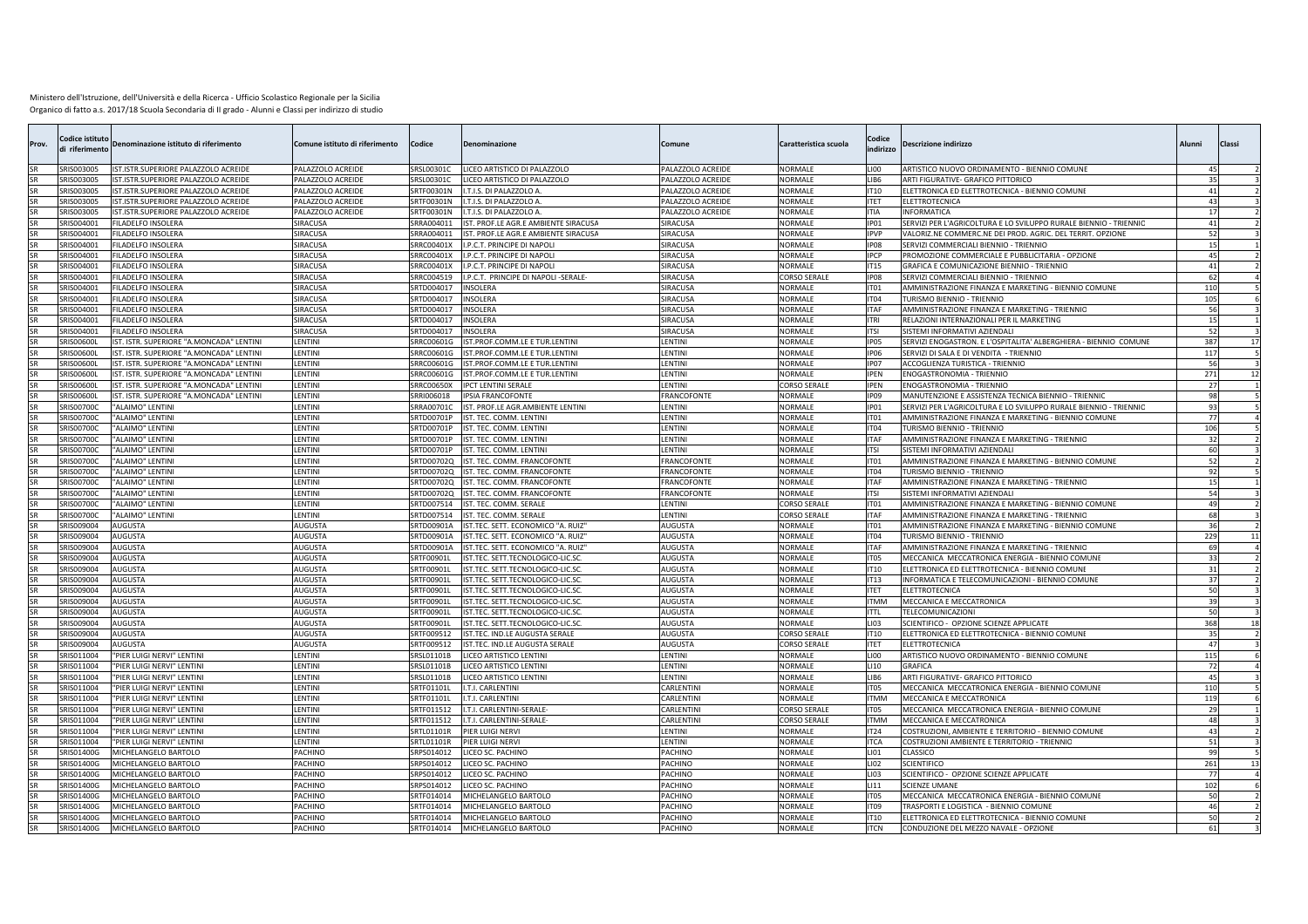| Prov.    | Codice istitut<br>di riferimentı | Denominazione istituto di riferimento       | Comune istituto di riferimento | Codice     | Denominazione                                   | Comune             | Caratteristica scuola | Codice<br>indirizzo | Oescrizione indirizzo                                             | Alunni          | Classi                    |
|----------|----------------------------------|---------------------------------------------|--------------------------------|------------|-------------------------------------------------|--------------------|-----------------------|---------------------|-------------------------------------------------------------------|-----------------|---------------------------|
| SR       | SRIS003005                       | <b>IST.ISTR.SUPERIORE PALAZZOLO ACREIDE</b> | PALAZZOLO ACREIDE              | SRSL00301C | LICEO ARTISTICO DI PALAZZOLO                    | PALAZZOLO ACREIDE  | NORMALE               | LI00                | ARTISTICO NUOVO ORDINAMENTO - BIENNIO COMUNE                      |                 |                           |
|          | SRIS003005                       | IST.ISTR.SUPERIORE PALAZZOLO ACREIDE        | PALAZZOLO ACREIDE              | SRSL00301C | LICEO ARTISTICO DI PALAZZOLO                    | ALAZZOLO ACREIDE   | NORMALE               | IB <sub>6</sub>     | ARTI FIGURATIVE- GRAFICO PITTORICO                                |                 |                           |
| SR       | SRIS003005                       | IST.ISTR.SUPERIORE PALAZZOLO ACREIDE        | PALAZZOLO ACREIDE              | SRTF00301N | I.T.I.S. DI PALAZZOLO A                         | ALAZZOLO ACREIDE   | VORMALE               | IT10                | ELETTRONICA ED ELETTROTECNICA - BIENNIO COMUNE                    |                 | $\Delta$ 1                |
| SR       | SRIS003005                       | <b>IST.ISTR.SUPERIORE PALAZZOLO ACREIDE</b> | PALAZZOLO ACREIDE              | SRTF00301N | I.T.I.S. DI PALAZZOLO A                         | PALAZZOLO ACREIDE  | NORMALE               | <b>ITET</b>         | ELETTROTECNICA                                                    |                 | $\mathbf{A}^{\mathsf{c}}$ |
| SR       | SRIS003005                       | ST.ISTR.SUPERIORE PALAZZOLO ACREIDE         | PALAZZOLO ACREIDE              | SRTF00301N | I.T.I.S. DI PALAZZOLO A                         | PALAZZOLO ACREIDE  | NORMALE               | <b>ITIA</b>         | <b>INFORMATICA</b>                                                |                 |                           |
|          | RIS004001                        | ILADELFO INSOLERA                           | <b>SIRACUSA</b>                | SRRA004011 | IST. PROF.LE AGR.E AMBIENTE SIRACUSA            | SIRACUSA           | NORMALE               | IP01                | SERVIZI PER L'AGRICOLTURA E LO SVILUPPO RURALE BIENNIO - TRIENNIO |                 |                           |
| SR       | SRIS004001                       | <b>ILADELFO INSOLERA</b>                    | SIRACUSA                       |            | SRRA004011 IST, PROF.LE AGR.E AMBIENTE SIRACUSA | SIRACUSA           | NORMALE               | <b>IPVP</b>         | VALORIZ.NE COMMERC.NE DEI PROD. AGRIC. DEL TERRIT. OPZIONE        |                 |                           |
| SR       | SRIS004001                       | ILADELFO INSOLERA                           | SIRACUSA                       | SRRC00401X | I.P.C.T. PRINCIPE DI NAPOL                      | SIRACUSA           | NORMALE               | IP <sub>08</sub>    | SERVIZI COMMERCIALI BIENNIO - TRIENNIO                            |                 |                           |
|          | SRIS004001                       | ILADELFO INSOLERA                           | <b>SIRACUSA</b>                | SRRC00401X | I.P.C.T. PRINCIPE DI NAPOLI                     | SIRACUSA           | NORMALE               | <b>IPCP</b>         | PROMOZIONE COMMERCIALE E PUBBLICITARIA - OPZIONE                  |                 |                           |
| SR       | RIS004001                        | LADELFO INSOLERA                            | SIRACUSA                       |            | SRRC00401X I.P.C.T. PRINCIPE DI NAPOLI          | <b>SIRACUSA</b>    | NORMALE               | IT15                | GRAFICA E COMUNICAZIONE BIENNIO - TRIENNIO                        |                 |                           |
|          | SRIS004001                       | ILADELFO INSOLERA                           | SIRACUSA                       | SRRC004519 | I.P.C.T. PRINCIPE DI NAPOLI -SERALE-            | SIRACUSA           | <b>CORSO SERALE</b>   | IP <sub>08</sub>    | SERVIZI COMMERCIALI BIENNIO - TRIENNIO                            |                 |                           |
|          | RIS004001                        | LADELFO INSOLERA                            | <b>IRACUSA</b>                 | SRTD004017 | <b>INSOLERA</b>                                 | SIRACUSA           | NORMALE               | IT <sub>01</sub>    | AMMINISTRAZIONE FINANZA E MARKETING - BIENNIO COMUNE              | 11              |                           |
|          | RIS00400:                        | ILADELFO INSOLERA                           | SIRACUSA                       | SRTD004017 | <b>INSOLERA</b>                                 | SIRACUSA           | NORMALE               | IT04                | TURISMO BIENNIO - TRIENNIO                                        | 10              |                           |
|          | RIS004001                        | ILADELFO INSOLERA                           | SIRACUSA                       | SRTD004017 | <b>INSOLERA</b>                                 | SIRACUSA           | NORMALE               | <b>ITAF</b>         | AMMINISTRAZIONE FINANZA E MARKETING - TRIENNIO                    |                 |                           |
|          | SRIS004001                       | ILADELFO INSOLERA                           | <b>SIRACUSA</b>                | SRTD004017 | INSOLERA                                        | SIRACUSA           | NORMALE               | <b>ITRI</b>         | RELAZIONI INTERNAZIONALI PER IL MARKETING                         |                 |                           |
| SR       | RIS004001                        | ILADELFO INSOLERA                           | SIRACUSA                       | SRTD004017 | <b>INSOLERA</b>                                 | SIRACUSA           | NORMALE               | <b>ITSI</b>         | SISTEMI INFORMATIVI AZIENDALI                                     |                 |                           |
| SR       | RIS00600L                        | ST. ISTR. SUPERIORE "A.MONCADA" LENTIN      | <b>LENTINI</b>                 | SRRC00601G | IST.PROF.COMM.LE E TUR.LENTINI                  | LENTINI            | NORMALE               | IP <sub>05</sub>    | SERVIZI ENOGASTRON. E L'OSPITALITA' ALBERGHIERA - BIENNIO COMUNE  | 38              | 17                        |
| SR       | RIS00600L                        | IST. ISTR. SUPERIORE "A.MONCADA" LENTINI    | LENTINI                        | SRRC00601G | IST.PROF.COMM.LE E TUR.LENTINI                  | LENTINI            | NORMALE               | <b>IP06</b>         | SERVIZI DI SALA E DI VENDITA - TRIENNIO                           | 117             |                           |
| SR       | RIS00600L                        | IST. ISTR. SUPERIORE "A.MONCADA" LENTINI    | LENTINI                        | SRRC00601G | IST.PROF.COMM.LE E TUR.LENTINI                  | <b>ENTINI</b>      | <b>NORMALE</b>        | IP <sub>07</sub>    | ACCOGLIENZA TURISTICA - TRIENNIO                                  |                 |                           |
| SR       | SRIS00600L                       | IST. ISTR. SUPERIORE "A.MONCADA" LENTINI    | LENTINI                        | SRRC00601G | IST.PROF.COMM.LE E TUR.LENTINI                  | LENTINI            | <b>NORMALE</b>        | <b>IPEN</b>         | ENOGASTRONOMIA - TRIENNIO                                         | 27 <sup>2</sup> | 12                        |
|          | <b>SRIS00600L</b>                | IST. ISTR. SUPERIORE "A.MONCADA" LENTINI    | <b>ENTINI</b>                  | SRRC00650X | <b>IPCT LENTINI SERALE</b>                      | <b>ENTINI</b>      | CORSO SERALI          | <b>IPEN</b>         | ENOGASTRONOMIA - TRIENNIO                                         |                 |                           |
|          | <b>SRIS00600</b>                 | IST. ISTR. SUPERIORE "A.MONCADA" LENTIN     | LENTINI                        | SRRI006018 | <b>IPSIA FRANCOFONTE</b>                        | FRANCOFONTE        | NORMALE               | IP09                | MANUTENZIONE E ASSISTENZA TECNICA BIENNIO - TRIENNIO              |                 |                           |
|          | <b>SRIS00700C</b>                | ALAIMO" LENTINI                             | LENTINI                        | SRRA00701C | IST. PROF.LE AGR.AMBIENTE LENTINI               | LENTINI            | NORMALE               | IP <sub>01</sub>    | SERVIZI PER L'AGRICOLTURA E LO SVILUPPO RURALE BIENNIO - TRIENNIO |                 |                           |
|          | RIS00700C                        | 'ALAIMO" LENTINI                            | LENTINI                        | SRTD00701P | IST. TEC. COMM. LENTINI                         | LENTINI            | NORMALE               | IT <sub>01</sub>    | AMMINISTRAZIONE FINANZA E MARKETING - BIENNIO COMUNE              |                 |                           |
|          | <b>SRIS00700C</b>                | ALAIMO" LENTINI                             | <b>FNTINI</b>                  |            | SRTD00701P IST, TEC, COMM, LENTINI              | <b>ENTINI</b>      | VORMALE               | IT04                | TURISMO BIENNIO - TRIENNIO                                        | 10f             |                           |
| SR       | <b>SRIS007000</b>                | ALAIMO" LENTINI                             | LENTINI                        |            | SRTD00701P IST. TEC. COMM. LENTINI              | LENTINI            | NORMALE               | <b>ITAF</b>         | AMMINISTRAZIONE FINANZA E MARKETING - TRIENNIO                    |                 |                           |
|          | <b>SRIS00700C</b>                | ALAIMO" LENTINI                             | LENTINI                        | SRTD00701P | IST. TEC. COMM. LENTINI                         | LENTINI            | NORMALE               | <b>ITSI</b>         | SISTEMI INFORMATIVI AZIENDALI                                     |                 |                           |
| SR       | RIS007000                        | ALAIMO" LENTINI                             | LENTINI                        |            | SRTD00702Q IST, TEC, COMM, FRANCOFONTI          | <b>RANCOFONT</b>   | NORMALE               | IT <sub>01</sub>    | AMMINISTRAZIONE FINANZA E MARKETING - BIENNIO COMUNE              |                 |                           |
|          | <b>SRIS00700C</b>                | ALAIMO" LENTINI                             | LENTINI                        |            | SRTD00702Q IST. TEC. COMM. FRANCOFONTI          | <b>FRANCOFONTE</b> | NORMALE               | IT04                | TURISMO BIENNIO - TRIENNIO                                        |                 |                           |
| SR       | <b>SRIS00700C</b>                | ALAIMO" LENTINI                             | LENTINI                        | SRTD00702Q | IST. TEC. COMM. FRANCOFONTI                     | <b>FRANCOFONTI</b> | NORMALE               | <b>ITAF</b>         | AMMINISTRAZIONE FINANZA E MARKETING - TRIENNIO                    |                 |                           |
| SR       | SRIS00700C                       | "ALAIMO" LENTINI                            | LENTINI                        |            | SRTD00702Q IST. TEC. COMM. FRANCOFONTE          | FRANCOFONTE        | <b>NORMALE</b>        | <b>ITSI</b>         | SISTEMI INFORMATIVI AZIENDALI                                     |                 |                           |
| SR       | RIS00700C                        | ALAIMO" LENTINI                             | <b>ENTINI</b>                  |            | SRTD007514 IST, TEC, COMM, SERALE               | <b>ENTINI</b>      | CORSO SERALE          | IT <sub>01</sub>    | AMMINISTRAZIONE FINANZA E MARKETING - BIENNIO COMUNE              |                 |                           |
|          | <b>SRIS007000</b>                | ALAIMO" LENTINI                             | LENTINI                        |            | SRTD007514 IST. TEC. COMM. SERALE               | LENTINI            | <b>CORSO SERALE</b>   | <b>ITAF</b>         | AMMINISTRAZIONE FINANZA E MARKETING - TRIENNIO                    |                 |                           |
|          | RIS009004                        | <b>UGUSTA</b>                               | AUGUSTA                        | SRTD00901A | IST.TEC. SETT. ECONOMICO "A. RUIZ"              | <b>AUGUSTA</b>     | NORMALE               | ITO <sub>1</sub>    | AMMINISTRAZIONE FINANZA E MARKETING - BIENNIO COMUNE              |                 |                           |
|          | RIS009004                        | <b>IUGUSTA</b>                              | <b>AUGUSTA</b>                 | SRTD00901A | IST.TEC. SETT. ECONOMICO "A. RUIZ"              | <b>AUGUSTA</b>     | NORMALE               | IT04                | TURISMO BIENNIO - TRIENNIO                                        | 22              |                           |
|          | RIS009004                        | <b>IUGUSTA</b>                              | AUGUSTA                        | SRTD00901A | IST.TEC. SETT. ECONOMICO "A. RUIZ"              | AUGUSTA            | VORMALE               | <b>ITAF</b>         | AMMINISTRAZIONE FINANZA E MARKETING - TRIENNIO                    |                 |                           |
| SR       | SRIS009004                       | <b>NUGUSTA</b>                              | <b>AUGUSTA</b>                 | SRTF00901L | IST.TEC. SETT.TECNOLOGICO-LIC.SC.               | <b>AUGUSTA</b>     | NORMALE               | IT05                | MECCANICA MECCATRONICA ENERGIA - BIENNIO COMUNE                   |                 |                           |
| SR       | SRIS009004                       | <b>NUGUSTA</b>                              | <b>AUGUSTA</b>                 | SRTF00901L | IST.TEC. SETT.TECNOLOGICO-LIC.SC                | <b>AUGUSTA</b>     | NORMALE               | <b>IT10</b>         | ELETTRONICA ED ELETTROTECNICA - BIENNIO COMUNE                    |                 |                           |
| SR       | RIS009004                        | <b>NUGUSTA</b>                              | AUGUSTA                        | SRTF00901L | IST.TEC. SETT.TECNOLOGICO-LIC.SC.               | <b>AUGUSTA</b>     | NORMALE               | IT13                | INFORMATICA E TELECOMUNICAZIONI - BIENNIO COMUNE                  |                 |                           |
| SR       | RIS009004                        | AUGUSTA                                     | <b>AUGUSTA</b>                 | SRTF00901L | IST.TEC. SETT.TECNOLOGICO-LIC.SC.               | <b>AUGUSTA</b>     | NORMALE               | <b>ITET</b>         | ELETTROTECNICA                                                    | -50             |                           |
| SR       | RIS009004                        | <b>IUGUSTA</b>                              | AUGUSTA                        | SRTF00901L | IST.TEC. SETT.TECNOLOGICO-LIC.SC.               | <b>AUGUSTA</b>     | NORMALE               | <b>ITMM</b>         | MECCANICA E MECCATRONICA                                          |                 |                           |
|          | RIS009004                        | <b>IUGUSTA</b>                              | <b>AUGUSTA</b>                 | SRTF00901L | IST.TEC. SETT.TECNOLOGICO-LIC.SC                | <b>AUGUSTA</b>     | NORMALE               | <b>ITTL</b>         | TELECOMUNICAZIONI                                                 |                 |                           |
|          | RIS009004                        | <b>UGUSTA</b>                               | <b>AUGUSTA</b>                 | SRTF00901L | IST.TEC. SETT.TECNOLOGICO-LIC.SC                | AUGUSTA            | VORMALE               | LI03                | SCIENTIFICO - OPZIONE SCIENZE APPLICATE                           | 368             | 18                        |
|          | SRIS009004                       | <b>NUGUSTA</b>                              | <b>AUGUSTA</b>                 | SRTF009512 | IST.TEC. IND.LE AUGUSTA SERALE                  | <b>AUGUSTA</b>     | <b>CORSO SERAL</b>    | IT10                | ELETTRONICA ED ELETTROTECNICA - BIENNIO COMUNE                    |                 |                           |
| SR       | SRIS009004                       | <b>UGUSTA</b>                               | <b>AUGUSTA</b>                 | SRTF009512 | IST.TEC. IND.LE AUGUSTA SERALE                  | AUGUSTA            | <b>CORSO SERAL</b>    | <b>ITET</b>         | ELETTROTECNICA                                                    |                 |                           |
| SR<br>SR | RIS011004                        | PIER LUIGI NERVI" LENTINI                   | LENTINI                        | SRSL01101B | LICEO ARTISTICO LENTINI                         | LENTINI            | NORMALE               | <b>LIOO</b>         | ARTISTICO NUOVO ORDINAMENTO - BIENNIO COMUNE                      | 11'             |                           |
|          | RIS011004                        | PIER LUIGI NERVI" LENTINI                   | <b>ENTINI</b>                  | SRSL01101B | LICEO ARTISTICO LENTINI                         | <b>ENTINI</b>      | NORMALE               | LI10                | <b>GRAFICA</b>                                                    |                 |                           |
| SR       | SRIS011004                       | PIER LUIGI NERVI" LENTINI                   | LENTINI                        | SRSL01101B | LICEO ARTISTICO LENTINI                         | LENTINI            | <b>NORMALE</b>        | LIB6                | ARTI FIGURATIVE- GRAFICO PITTORICO                                | 4 <sup>c</sup>  |                           |
| SR       | SRIS011004                       | PIER LUIGI NERVI" LENTINI                   | LENTINI                        | SRTF01101L | I.T.I. CARLENTINI                               | CARLENTINI         | NORMALE               | IT <sub>05</sub>    | MECCANICA MECCATRONICA ENERGIA - BIENNIO COMUNE                   | 11              |                           |
| SR       | SRIS011004                       | PIER LUIGI NERVI" LENTINI                   | LENTINI                        | SRTF01101L | I.T.I. CARLENTINI                               | CARLENTINI         | <b>NORMALE</b>        | <b>ITMM</b>         | MECCANICA E MECCATRONICA                                          | 11!             |                           |
|          | SRIS011004                       | "PIER LUIGI NERVI" LENTINI                  | LENTINI                        |            | SRTF011512 I.T.I. CARLENTINI-SERALE-            | CARLENTINI         | <b>CORSO SERALI</b>   | IT05                | MECCANICA MECCATRONICA ENERGIA - BIENNIO COMUNE                   |                 |                           |
| SR       | SRIS011004                       | PIER LUIGI NERVI" LENTINI                   | LENTINI                        | SRTF011512 | I.T.I. CARLENTINI-SERALE-                       | CARLENTINI         | <b>CORSO SERALE</b>   | <b>ITMM</b>         | MECCANICA E MECCATRONICA                                          |                 | $\overline{AB}$           |
|          | SRIS011004                       | 'PIER LUIGI NERVI" LENTINI                  | <b>LENTINI</b>                 | SRTL01101R | PIER LUIGI NERVI                                | <b>ENTINI</b>      | <b>NORMALE</b>        | IT24                | COSTRUZIONI, AMBIENTE E TERRITORIO - BIENNIO COMUNE               |                 |                           |
| SR       | SRIS011004                       | PIER LUIGI NERVI" LENTINI                   | <b>ENTINI</b>                  | SRTL01101R | PIER LUIGI NERVI                                | ENTINI             | VORMALE               | <b>ITCA</b>         | COSTRUZIONI AMBIENTE E TERRITORIO - TRIENNIC                      |                 |                           |
|          | SRIS01400G                       | MICHELANGELO BARTOLO                        | PACHINO                        | SRPS014012 | LICEO SC. PACHINO                               | <b>ACHINO</b>      | NORMALE               | LI01                | CLASSICO                                                          |                 | qc                        |
|          | SRIS01400G                       | <b>MICHELANGELO BARTOLO</b>                 | PACHINO                        | SRPS014012 | LICEO SC. PACHINO                               | <b>ACHINO</b>      | VORMALE               | LI02                | <b>SCIENTIFICO</b>                                                | 26 <sup>2</sup> | 13                        |
|          | RIS01400G                        | MICHELANGELO BARTOLO                        | PACHINO                        | SRPS014012 | LICEO SC. PACHINO                               | PACHINO            | NORMALE               | LIO3                | SCIENTIFICO - OPZIONE SCIENZE APPLICATE                           |                 |                           |
| SR       | SRIS01400G                       | MICHELANGELO BARTOLO                        | PACHINO                        | SRPS014012 | LICEO SC. PACHINO                               | PACHINO            | <b>VORMALE</b>        | LI11                | <b>SCIENZE UMANE</b>                                              | 102             |                           |
| SR       | SRIS01400G                       | MICHELANGELO BARTOLO                        | PACHINO                        | SRTF014014 | MICHELANGELO BARTOLO                            | PACHINO            | NORMALE               | IT05                | MECCANICA MECCATRONICA ENERGIA - BIENNIO COMUNE                   |                 |                           |
| SR       | SRIS01400G                       | MICHELANGELO BARTOLO                        | PACHINO                        | SRTF014014 | MICHELANGELO BARTOLO                            | <b>PACHINO</b>     | NORMALE               | <b>IT09</b>         | TRASPORTI E LOGISTICA - BIENNIO COMUNE                            |                 |                           |
| SR       | <b>SRIS01400G</b>                | MICHELANGELO BARTOLO                        | PACHINO                        | SRTF014014 | MICHELANGELO BARTOLO                            | PACHINO            | NORMALE               | <b>IT10</b>         | ELETTRONICA ED ELETTROTECNICA - BIENNIO COMUNE                    |                 |                           |
| SR       | SRIS01400G                       | MICHELANGELO BARTOLO                        | <b>PACHINO</b>                 |            | SRTF014014 MICHELANGELO BARTOLO                 | <b>PACHINO</b>     | <b>NORMALE</b>        | <b>ITCN</b>         | CONDUZIONE DEL MEZZO NAVALE - OPZIONE                             |                 |                           |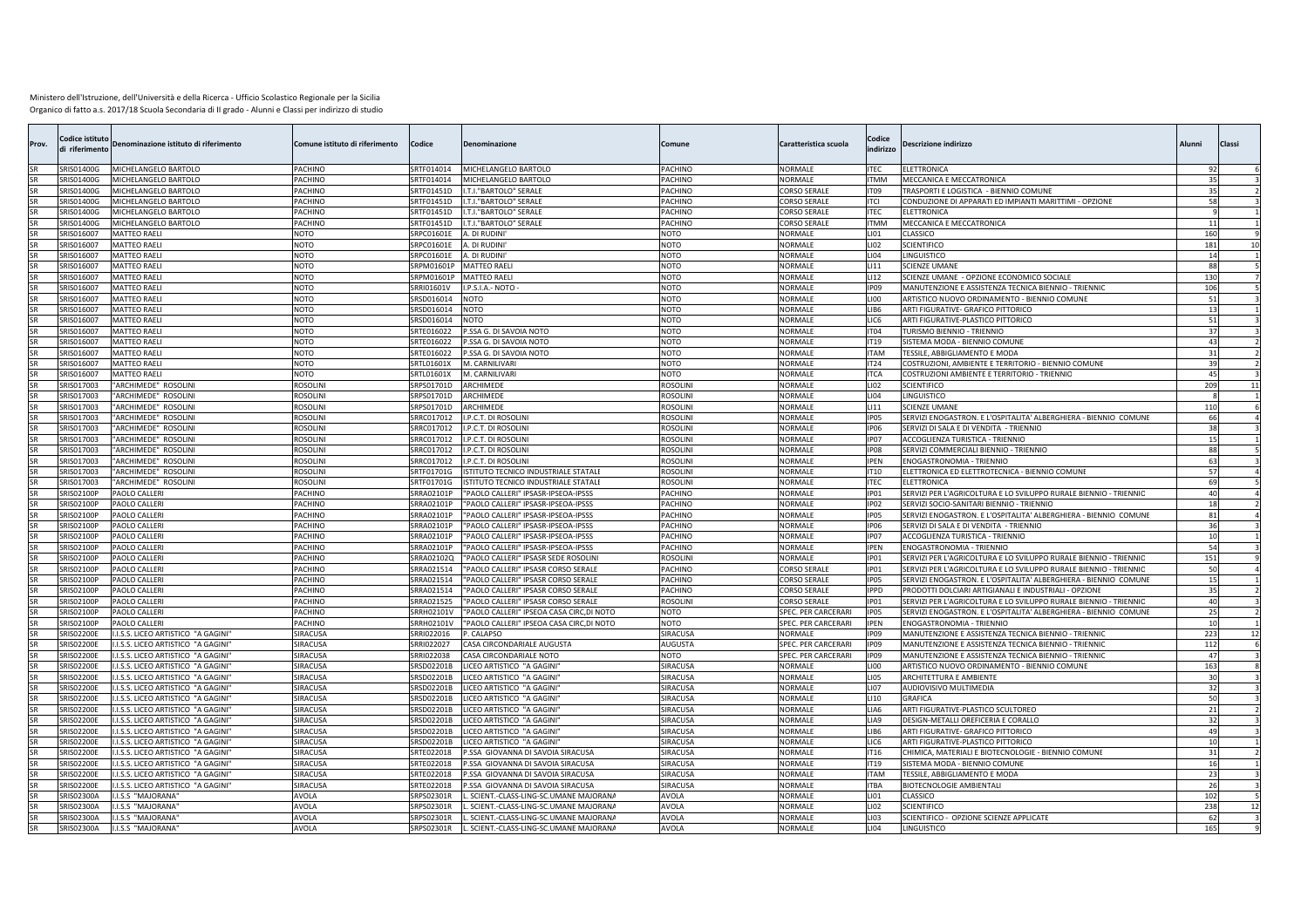| Prov.     | odice istitutı:<br>i riferimento | Denominazione istituto di riferimento                  | Comune istituto di riferimento | Codice                   | Denominazione                                                              | Comune                   | Caratteristica scuola     | Codice<br>indirizzo | Descrizione indirizzo                                                       | Alunni          | Classi       |
|-----------|----------------------------------|--------------------------------------------------------|--------------------------------|--------------------------|----------------------------------------------------------------------------|--------------------------|---------------------------|---------------------|-----------------------------------------------------------------------------|-----------------|--------------|
|           | SRIS01400G                       | MICHELANGELO BARTOLO                                   | PACHINO                        | SRTF014014               | MICHELANGELO BARTOLO                                                       | PACHINO                  | <b>NORMALE</b>            | <b>ITEC</b>         | <b>ELETTRONICA</b>                                                          |                 |              |
|           | SRIS01400G                       | MICHELANGELO BARTOLO                                   | PACHINO                        | SRTF014014               | MICHELANGELO BARTOLO                                                       | <b>ACHINO</b>            | <b>NORMALE</b>            | <b>ITMM</b>         | MECCANICA E MECCATRONICA                                                    |                 |              |
| SR        | SRIS01400G                       | MICHELANGELO BARTOLO                                   | PACHINO                        | SRTF01451D               | I.T.I."BARTOLO" SERALE                                                     | PACHINO                  | CORSO SERALE              | POTI                | TRASPORTI E LOGISTICA - BIENNIO COMUNE                                      |                 |              |
|           | SRIS01400G                       | MICHELANGELO BARTOLO                                   | PACHINO                        | SRTF01451D               | I.T.I."BARTOLO" SERALE                                                     | PACHINO                  | <b>CORSO SERALE</b>       | <b>ITCI</b>         | CONDUZIONE DI APPARATI ED IMPIANTI MARITTIMI - OPZIONE                      |                 | 58           |
|           | <b>SRIS01400G</b>                | MICHELANGELO BARTOLO                                   | PACHINO                        | RTF01451D                | I.T.I."BARTOLO" SERALE                                                     | PACHINO                  | CORSO SERALE              | <b>ITEC</b>         | <b>ELETTRONICA</b>                                                          |                 |              |
|           | SRIS01400G                       | MICHELANGELO BARTOLO                                   | PACHINO                        | SRTF01451D               | I.T.I."BARTOLO" SERALE                                                     | <b>ACHINO</b>            | CORSO SERALE              | <b>NMT</b>          | MECCANICA E MECCATRONICA                                                    |                 | -11          |
|           | SRIS016007                       | <b>MATTEO RAELI</b>                                    | NOTO                           | SRPC01601E               | A. DI RUDINI                                                               | OTOV                     | VORMALE                   | LI01                | CLASSICO                                                                    | 16              |              |
|           | SRIS016007<br>SRIS016007         | <b>MATTEO RAEL</b><br><b>MATTEO RAELI</b>              | NOTO<br><b>NOTO</b>            | SRPC01601E<br>SRPC01601E | A. DI RUDINI<br>A. DI RUDINI                                               | OTOV<br><b>NOTO</b>      | NORMALE<br>VORMALE        | LI02<br>LI04        | <b>SCIENTIFICO</b><br>LINGUISTICO                                           | 18 <sup>2</sup> | 10           |
|           | SRIS016007                       | <b>MATTEO RAELI</b>                                    | OTO                            | RPM01601P                | <b>MATTEO RAELI</b>                                                        | OTO                      | VORMALE                   | LI 11               | <b>SCIENZE UMANE</b>                                                        |                 |              |
|           | SRIS016007                       | <b>MATTEO RAELI</b>                                    | NOTO                           | SRPM01601P               | MATTEO RAEL                                                                | NOTO                     | <b>NORMALE</b>            | LI12                | SCIENZE UMANE - OPZIONE ECONOMICO SOCIALE                                   | 130             |              |
|           | SRIS016007                       | <b>MATTEO RAELI</b>                                    | NOTO                           | SRRI01601V               | I.P.S.I.A.- NOTO                                                           | <b>NOTO</b>              | <b>NORMALE</b>            | <b>IP09</b>         | MANUTENZIONE E ASSISTENZA TECNICA BIENNIO - TRIENNIC                        | 10              |              |
|           | SRIS016007                       | <b>MATTEO RAELI</b>                                    | NOTO                           | SRSD016014               | OTOV                                                                       | OTOV                     | VORMALE                   | LI00                | ARTISTICO NUOVO ORDINAMENTO - BIENNIO COMUNE                                |                 |              |
|           | SRIS016007                       | <b>MATTEO RAELI</b>                                    | NOTO                           | SRSD016014               | NOTO                                                                       | NOTO                     | <b>NORMALE</b>            | LIB6                | ARTI FIGURATIVE- GRAFICO PITTORICO                                          |                 |              |
|           | SRIS016007                       | MATTEO RAEL                                            | NOTO                           | RSD016014                | NOTO                                                                       | NOTO                     | NORMALE                   | LIC6                | ARTI FIGURATIVE-PLASTICO PITTORICO                                          |                 |              |
|           | SRIS016007                       | <b>MATTEO RAEL</b>                                     | NOTO                           | RTE016022                | P.SSA G. DI SAVOIA NOTO                                                    | <b>NOTO</b>              | NORMALE                   | IT <sub>04</sub>    | TURISMO BIENNIO - TRIENNIO                                                  |                 |              |
|           | SRIS016007                       | <b>MATTEO RAELI</b>                                    | OTOV                           | RTE016022                | -SSA G. DI SAVOIA NOTO                                                     | OTO                      | VORMALE                   | T <sub>19</sub>     | SISTEMA MODA - BIENNIO COMUNE                                               |                 |              |
|           | SRIS016007                       | <b>MATTEO RAELI</b>                                    | NOTO                           | RTE016022                | P.SSA G. DI SAVOIA NOTO                                                    | <b>NOTO</b>              | VORMALE                   | <b>TAM</b>          | TESSILE, ABBIGLIAMENTO E MODA                                               |                 | -31          |
|           | RIS016007                        | <b>MATTEO RAEL</b>                                     | <b>NOTO</b>                    | RTL01601X                | M. CARNILIVARI                                                             | <b>NOTO</b>              | <b>NORMALE</b>            | IT24                | COSTRUZIONI, AMBIENTE E TERRITORIO - BIENNIO COMUNE                         |                 |              |
|           | SRIS016007                       | <b>MATTEO RAELI</b>                                    | NOTO                           | RTL01601X                | M. CARNILIVARI                                                             | OTOV                     | VORMALE                   | <b>TCA</b>          | COSTRUZIONI AMBIENTE E TERRITORIO - TRIENNIC                                |                 |              |
|           | SRIS017003                       | 'ARCHIMEDE" ROSOLINI                                   | ROSOLIN                        | SRPS01701D               | ARCHIMEDE                                                                  | ROSOLINI                 | NORMALE                   | LIO2                | <b>SCIENTIFICO</b>                                                          | 20              | 11           |
|           | SRIS017003                       | 'ARCHIMEDE" ROSOLINI                                   | ROSOLINI                       | SRPS01701D               | ARCHIMEDE                                                                  | ROSOLINI                 | NORMALE                   | LI04                | LINGUISTICO                                                                 |                 |              |
|           | SRIS017003                       | 'ARCHIMEDE" ROSOLIN                                    | ROSOLINI                       | SRPS01701D               | ARCHIMEDE                                                                  | ROSOLINI                 | NORMALE                   | LI 11               | <b>SCIENZE UMANE</b>                                                        | 11              |              |
|           | RIS017003                        | ARCHIMEDE" ROSOLINI                                    | <b>OSOLINI</b>                 | RRC017012                | .P.C.T. DI ROSOLINI                                                        | ROSOLINI                 | VORMALE                   | <b>PO5</b>          | SERVIZI ENOGASTRON. E L'OSPITALITA' ALBERGHIERA - BIENNIO COMUNE            |                 |              |
| SR        | SRIS017003                       | 'ARCHIMEDE" ROSOLINI                                   | ROSOLINI                       | SRRC017012               | I.P.C.T. DI ROSOLINI                                                       | ROSOLINI                 | NORMALE                   | P06                 | SERVIZI DI SALA E DI VENDITA - TRIENNIO                                     |                 |              |
|           | SRIS017003                       | ARCHIMEDE" ROSOLINI                                    | ROSOLINI                       | RRC017012                | .P.C.T. DI ROSOLINI                                                        | ROSOLINI                 | <b>NORMALE</b>            | IP <sub>07</sub>    | ACCOGLIENZA TURISTICA - TRIENNIO                                            |                 |              |
|           | SRIS017003                       | 'ARCHIMEDE" ROSOLINI                                   | ROSOLINI                       | SRRC017012               | I.P.C.T. DI ROSOLINI                                                       | ROSOLINI                 | <b>NORMALE</b>            | <b>IP08</b>         | SERVIZI COMMERCIALI BIENNIO - TRIENNIO                                      |                 |              |
|           | SRIS017003                       | 'ARCHIMEDE" ROSOLINI                                   | <b>OSOLINI</b>                 | RRC017012                | .P.C.T. DI ROSOLINI                                                        | ROSOLINI                 | <b>NORMALE</b>            | <b>PEN</b>          | ENOGASTRONOMIA - TRIENNIO                                                   |                 |              |
|           | SRIS017003                       | "ARCHIMEDE" ROSOLINI                                   | ROSOLINI                       | SRTF01701G               | ISTITUTO TECNICO INDUSTRIALE STATALE                                       | ROSOLINI                 | <b>NORMALE</b>            | IT10                | ELETTRONICA ED ELETTROTECNICA - BIENNIO COMUNE                              |                 |              |
|           | RIS017003                        | ARCHIMEDE" ROSOLINI                                    | ROSOLINI                       | RTF01701G                | STITUTO TECNICO INDUSTRIALE STATALI                                        | ROSOLINI                 | NORMALE                   | <b>ITEC</b>         | ELETTRONICA                                                                 |                 |              |
|           | SRIS02100F                       | <b>PAOLO CALLERI</b>                                   | PACHINO                        | SRRA02101P               | "PAOLO CALLERI" IPSASR-IPSEOA-IPSSS                                        | PACHINO                  | NORMALE                   | IP01                | SERVIZI PER L'AGRICOLTURA E LO SVILUPPO RURALE BIENNIO - TRIENNIO           |                 |              |
|           | RIS02100F                        | PAOLO CALLERI                                          | <b>ACHINO</b>                  | RRA02101P                | 'PAOLO CALLERI" IPSASR-IPSEOA-IPSSS                                        | <b>ACHINO</b>            | VORMALE<br><b>NORMALE</b> | P <sub>02</sub>     | SERVIZI SOCIO-SANITARI BIFNNIO - TRIFNNIO                                   |                 |              |
|           | SRIS02100P<br>RIS02100P          | <b>PAOLO CALLERI</b><br>AOLO CALLERI                   | PACHINO<br>PACHINO             | SRRA02101P<br>RRA02101P  | 'PAOLO CALLERI" IPSASR-IPSEOA-IPSSS                                        | PACHINO<br><b>ACHINO</b> | NORMALE                   | IP05<br><b>IP06</b> | SERVIZI ENOGASTRON. E L'OSPITALITA' ALBERGHIERA - BIENNIO COMUNE            |                 | $\mathbf{R}$ |
|           | RIS02100P                        | PAOLO CALLERI                                          | <b>ACHINO</b>                  | SRRA02101P               | 'PAOLO CALLERI" IPSASR-IPSEOA-IPSSS<br>'PAOLO CALLERI" IPSASR-IPSEOA-IPSSS | <b>ACHINO</b>            | VORMALE                   | IP <sub>07</sub>    | SERVIZI DI SALA E DI VENDITA - TRIENNIC<br>ACCOGLIENZA TURISTICA - TRIENNIO |                 |              |
|           | SRIS02100F                       | PAOLO CALLERI                                          | PACHINO                        | SRRA02101P               | 'PAOLO CALLERI" IPSASR-IPSEOA-IPSSS                                        | <b>ACHINO</b>            | VORMALE                   | <b>IPEN</b>         | ENOGASTRONOMIA - TRIENNIO                                                   |                 |              |
|           | SRIS02100P                       | <b>PAOLO CALLERI</b>                                   | PACHINO                        | SRRA02102Q               | "PAOLO CALLERI" IPSASR SEDE ROSOLINI                                       | ROSOLINI                 | <b>NORMALE</b>            | IP01                | SERVIZI PER L'AGRICOLTURA E LO SVILUPPO RURALE BIENNIO - TRIENNIO           | 151             |              |
|           | SRIS02100F                       | PAOLO CALLERI                                          | PACHINO                        | SRRA021514               | "PAOLO CALLERI" IPSASR CORSO SERALE                                        | PACHINO                  | CORSO SERALI              | IP <sub>01</sub>    | SERVIZI PER L'AGRICOLTURA E LO SVILUPPO RURALE BIENNIO - TRIENNIO           |                 |              |
|           | SRIS02100P                       | PAOLO CALLERI                                          | PACHINO                        | RRA021514                | 'PAOLO CALLERI" IPSASR CORSO SERALE                                        | <b>ACHINO</b>            | CORSO SERALE              | PO <sub>5</sub>     | SERVIZI ENOGASTRON, E L'OSPITALITA' ALBERGHIERA - BIENNIO COMUNE            |                 |              |
|           | SRIS02100F                       | PAOLO CALLERI                                          | PACHINO                        | SRRA021514               | 'PAOLO CALLERI" IPSASR CORSO SERALE                                        | PACHINO                  | CORSO SERALE              | <b>PPD</b>          | PRODOTTI DOLCIARI ARTIGIANALI E INDUSTRIALI - OPZIONE                       |                 |              |
|           | SRIS02100F                       | PAOLO CALLERI                                          | PACHINO                        | RRA021525                | 'PAOLO CALLERI" IPSASR CORSO SERALE                                        | ROSOLINI                 | CORSO SERALE              | IP01                | SERVIZI PER L'AGRICOLTURA E LO SVILUPPO RURALE BIENNIO - TRIENNIO           |                 | 40           |
|           | SRIS02100                        | PAOLO CALLERI                                          | PACHINO                        | SRRH02101V               | 'PAOLO CALLERI" IPSEOA CASA CIRC, DI NOTO                                  | NOTO                     | SPEC. PER CARCERARI       | IP <sub>05</sub>    | SERVIZI ENOGASTRON. E L'OSPITALITA' ALBERGHIERA - BIENNIO COMUNE            |                 |              |
|           | RIS02100F                        | AOLO CALLERI                                           | PACHINO                        | RRH02101V                | 'PAOLO CALLERI" IPSEOA CASA CIRC, DI NOTO                                  | OTO                      | SPEC. PER CARCERARI       | <b>IPEN</b>         | ENOGASTRONOMIA - TRIENNIO                                                   |                 |              |
|           | SRIS022008                       | .I.S.S. LICEO ARTISTICO "A GAGINI                      | <b>SIRACUSA</b>                | SRRI022016               | . CALAPSO                                                                  | SIRACUSA                 | <b>NORMALE</b>            | <b>IP09</b>         | MANUTENZIONE E ASSISTENZA TECNICA BIENNIO - TRIENNIC                        | 223             | 12           |
|           | RIS02200                         | I.S.S. LICEO ARTISTICO "A GAGINI                       | <b>IRACUSA</b>                 | SRRI022027               | CASA CIRCONDARIALE AUGUSTA                                                 | AUGUSTA                  | SPEC. PER CARCERARI       | IP09                | MANUTENZIONE E ASSISTENZA TECNICA BIENNIO - TRIENNIO                        | 11              |              |
|           | RIS02200E                        | .I.S.S. LICEO ARTISTICO "A GAGINI                      | <b>SIRACUSA</b>                | SRRI022038               | CASA CIRCONDARIALE NOTO                                                    | OTOV                     | SPEC. PER CARCERARI       | P <sub>09</sub>     | MANUTENZIONE E ASSISTENZA TECNICA BIENNIO - TRIENNIC                        |                 |              |
| <b>SR</b> | SRIS02200E                       | .I.S.S. LICEO ARTISTICO "A GAGINI                      | <b>SIRACUSA</b>                | SRSD02201B               | LICEO ARTISTICO "A GAGINI"                                                 | SIRACUSA                 | <b>NORMALE</b>            | LI00                | ARTISTICO NUOVO ORDINAMENTO - BIENNIO COMUNE                                | 163             |              |
| <b>SR</b> | SRIS02200E                       | .I.S.S. LICEO ARTISTICO "A GAGINI                      | SIRACUSA                       | SRSD02201B               | LICEO ARTISTICO "A GAGINI'                                                 | SIRACUSA                 | <b>NORMALE</b>            | <b>LIO5</b>         | ARCHITETTURA E AMBIENTE                                                     |                 |              |
|           | SRIS02200E                       | I.S.S. LICEO ARTISTICO "A GAGINI"                      | <b>SIRACUSA</b>                | RSD02201B                | LICEO ARTISTICO "A GAGINI'                                                 | SIRACUSA                 | <b>NORMALE</b>            | 1107                | AUDIOVISIVO MULTIMEDIA                                                      |                 |              |
|           | SRIS02200E                       | I.S.S. LICEO ARTISTICO "A GAGINI'                      | SIRACUSA                       | RSD02201B                | LICEO ARTISTICO "A GAGINI'                                                 | SIRACUSA                 | <b>NORMALE</b>            | LI10                | GRAFICA                                                                     |                 |              |
|           | SRIS02200E                       | .I.S.S. LICEO ARTISTICO "A GAGINI                      | SIRACUSA                       | SRSD02201B               | LICEO ARTISTICO "A GAGINI'                                                 | SIRACUSA                 | <b>NORMALE</b>            | LIA6                | ARTI FIGURATIVE-PLASTICO SCULTOREO                                          |                 |              |
|           | <b>SRISO2200E</b>                | .I.S.S. LICEO ARTISTICO "A GAGINI                      | <b>SIRACUSA</b>                | RSD02201B                | LICEO ARTISTICO "A GAGINI'                                                 | SIRACUSA                 | <b>NORMALE</b>            | 1149                | DESIGN-METALLI OREFICERIA E CORALLO                                         |                 |              |
|           | RIS02200E                        | I.S.S. LICEO ARTISTICO "A GAGINI                       | SIRACUSA                       | RSD02201B                | ICEO ARTISTICO "A GAGINI'                                                  | SIRACUSA                 | VORMALE                   | IB6                 | ARTI FIGURATIVE- GRAFICO PITTORICO                                          |                 |              |
|           | RIS02200E                        | I.S.S. LICEO ARTISTICO "A GAGINI                       | <b>IRACUSA</b>                 | RSD02201B                | <b>ICEO ARTISTICO "A GAGINI</b>                                            | <b>SIRACUSA</b>          | VORMALE                   | LIC6                | ARTI FIGURATIVE-PLASTICO PITTORICO                                          |                 |              |
|           | SRIS02200                        | .I.S.S. LICEO ARTISTICO "A GAGINI                      | <b>SIRACUSA</b>                | RTE022018                | SSA GIOVANNA DI SAVOIA SIRACUSA                                            | <b>SIRACUSA</b>          | VORMALE                   | IT16                | CHIMICA, MATERIALI E BIOTECNOLOGIE - BIENNIO COMUNE                         |                 |              |
|           | SRIS022001                       | I.S.S. LICEO ARTISTICO "A GAGINI                       | <b>IRACUSA</b>                 | RTE022018                | SSA GIOVANNA DI SAVOIA SIRACUSA                                            | <b>SIRACUSA</b>          | VORMALE                   | IT19                | SISTEMA MODA - BIENNIO COMUNI                                               |                 |              |
|           | <b>SRISO22008</b>                | .I.S.S. LICEO ARTISTICO "A GAGINI                      | <b>SIRACUSA</b>                | SRTE022018               | SSA GIOVANNA DI SAVOIA SIRACUSA                                            | <b>SIRACUSA</b>          | VORMALE                   | <b>ITAM</b>         | TESSILE, ABBIGLIAMENTO E MODA                                               |                 |              |
|           | SRIS02200E<br>SRIS02300A         | .I.S.S. LICEO ARTISTICO "A GAGINI"<br>I.S.S "MAJORANA" | SIRACUSA<br>AVOLA              | SRTE022018<br>SRPS02301R | P.SSA GIOVANNA DI SAVOIA SIRACUSA<br>SCIENT.-CLASS-LING-SC.UMANE MAJORANA  | SIRACUSA<br><b>AVOLA</b> | NORMALE<br><b>NORMALE</b> | <b>ITBA</b>         | BIOTECNOLOGIE AMBIENTALI<br>CLASSICO                                        | 102             | 26           |
|           | SRIS02300A                       | .I.S.S "MAJORANA'                                      | AVOLA                          | SRPS02301R               | SCIENT.-CLASS-LING-SC.UMANE MAJORANA                                       | AVOLA                    | NORMALE                   | LI01<br><b>LIO2</b> | <b>SCIENTIFICO</b>                                                          | 23              | 12           |
|           | SRIS02300A                       | <b>J.S.S "MAJORANA"</b>                                | <b>AVOLA</b>                   | SRPS02301R               | SCIENT.-CLASS-LING-SC.UMANE MAJORANA                                       | <b>AVOLA</b>             | VORMALE                   | LIO3                | SCIENTIFICO - OPZIONE SCIENZE APPLICATE                                     |                 |              |
| SR        | SRIS02300A                       | I.I.S.S "MAJORANA"                                     | AVOLA                          | SRPS02301R               | SCIENT.-CLASS-LING-SC.UMANE MAJORANA                                       | AVOLA                    | <b>NORMALE</b>            | LI04                | LINGUISTICO                                                                 | 165             |              |
|           |                                  |                                                        |                                |                          |                                                                            |                          |                           |                     |                                                                             |                 |              |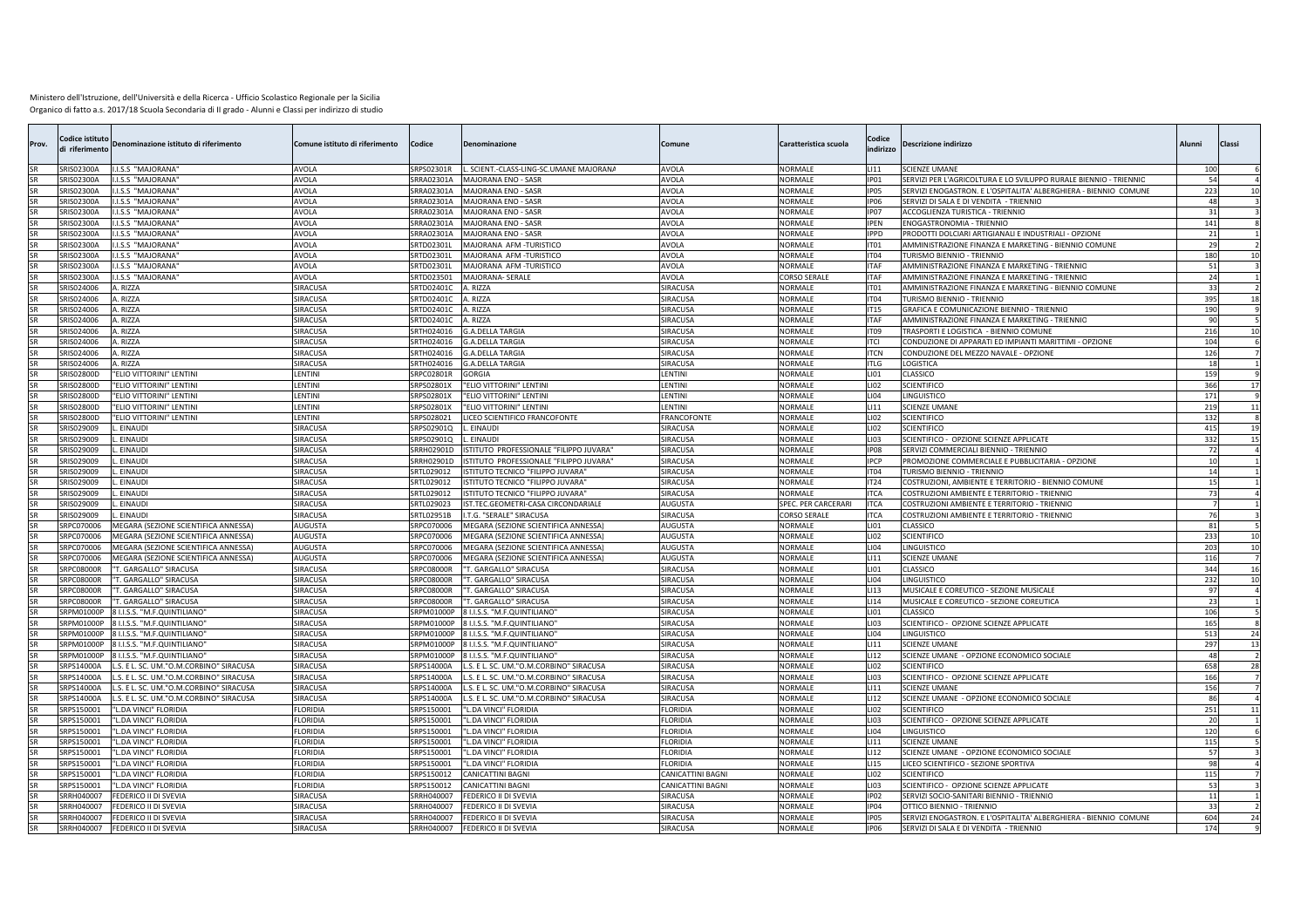| Prov.                  | odice istituto:<br>di riferimento | Denominazione istituto di riferimento            | Comune istituto di riferimento | Codice                   | Denominazione                                    | Comune                       | Caratteristica scuola            | Codice<br>indirizzo             | Oescrizione indirizzo                                                              | Alunni                | Classi |
|------------------------|-----------------------------------|--------------------------------------------------|--------------------------------|--------------------------|--------------------------------------------------|------------------------------|----------------------------------|---------------------------------|------------------------------------------------------------------------------------|-----------------------|--------|
| <b>SR</b>              | SRIS02300A                        | I.I.S.S "MAJORANA"                               | <b>AVOLA</b>                   | SRPS02301R               | L. SCIENT.-CLASS-LING-SC.UMANE MAJORANA          | AVOLA                        | <b>NORMALE</b>                   | <b>LI11</b>                     | <b>SCIENZE UMANE</b>                                                               | 10                    |        |
| <b>SR</b>              | SRIS02300A                        | I.I.S.S "MAJORANA"                               | <b>AVOLA</b>                   | SRRA02301A               | MAJORANA ENO - SASR                              | <b>AVOLA</b>                 | <b>NORMALE</b>                   | <b>IP01</b>                     | SERVIZI PER L'AGRICOLTURA E LO SVILUPPO RURALE BIENNIO - TRIENNIO                  |                       |        |
| SR                     | SRIS02300A                        | I.I.S.S "MAJORANA"                               | AVOLA                          | SRRA02301A               | <b>MAJORANA ENO - SASR</b>                       | <b>AVOLA</b>                 | <b>NORMALE</b>                   | <b>IP05</b>                     | SERVIZI ENOGASTRON. E L'OSPITALITA' ALBERGHIERA - BIENNIO COMUNE                   | 223                   | 10     |
| <b>SR</b>              | SRIS02300A                        | I.I.S.S "MAJORANA"                               | <b>AVOLA</b>                   | SRRA02301A               | <b>MAJORANA ENO - SASR</b>                       | AVOLA                        | <b>NORMALE</b>                   | <b>IP06</b>                     | SERVIZI DI SALA E DI VENDITA - TRIENNIO                                            |                       | 48     |
|                        | SRIS02300A                        | I.I.S.S "MAJORANA"                               | AVOLA                          | SRRA02301A               | MAJORANA ENO - SASR                              | <b>AVOLA</b>                 | NORMALE                          | <b>IP07</b>                     | ACCOGLIENZA TURISTICA - TRIENNIO                                                   |                       |        |
|                        | SRIS02300A                        | <b>J.S.S "MAJORANA"</b>                          | <b>AVOLA</b>                   | SRRA02301A               | <b>MAJORANA ENO - SASR</b>                       | AVOLA                        | <b>NORMALE</b>                   | <b>IPEN</b>                     | ENOGASTRONOMIA - TRIENNIO                                                          | 141                   |        |
|                        | SRIS02300A<br>SRIS02300A          | .I.S.S "MAJORANA<br><b>J.S.S "MAJORANA</b>       | <b>AVOLA</b>                   | SRRA02301A               | MAJORANA ENO - SASR                              | AVOLA                        | NORMALE<br><b>NORMALE</b>        | <b>IPPD</b><br>ITO <sub>1</sub> | PRODOTTI DOLCIARI ARTIGIANALI E INDUSTRIALI - OPZIONE                              |                       |        |
|                        | SRIS02300A                        | <b>J.S.S "MAJORANA</b>                           | <b>AVOLA</b>                   | SRTD02301L<br>SRTD02301L | MAJORANA AFM-TURISTICO<br>MAJORANA AFM-TURISTICO | AVOLA                        | NORMALE                          | IT <sub>04</sub>                | AMMINISTRAZIONE FINANZA E MARKETING - BIENNIO COMUNE<br>TURISMO BIENNIO - TRIENNIO | 18                    | 10     |
| SR                     | SRIS02300A                        | I.I.S.S "MAJORANA"                               | AVOLA<br>AVOLA                 | SRTD02301L               | MAJORANA AFM-TURISTICO                           | <b>AVOLA</b><br><b>AVOLA</b> | NORMALE                          | <b>ITAF</b>                     | AMMINISTRAZIONE FINANZA E MARKETING - TRIENNIO                                     |                       |        |
| <b>SR</b>              | SRIS02300A                        | <b>J.S.S "MAJORANA"</b>                          | AVOLA                          | SRTD023501               | MAJORANA- SERALE                                 | <b>AVOLA</b>                 | <b>CORSO SERAL</b>               | <b>ITAF</b>                     | AMMINISTRAZIONE FINANZA E MARKETING - TRIENNIC                                     |                       | 24     |
| <b>SR</b>              | SRIS024006                        | A. RIZZA                                         | SIRACUSA                       | SRTD02401C               | A. RIZZA                                         | <b>SIRACUSA</b>              | <b>NORMALE</b>                   | ITO1                            | AMMINISTRAZIONE FINANZA E MARKETING - BIENNIO COMUNE                               |                       |        |
|                        | SRIS024006                        | A. RIZZA                                         | SIRACUSA                       | SRTD02401C               | . RIZZA                                          | <b>SIRACUSA</b>              | <b>NORMALE</b>                   | IT04                            | TURISMO BIENNIO - TRIENNIO                                                         | 39                    | 18     |
|                        | SRIS024006                        | A. RIZZA                                         | SIRACUSA                       | SRTD02401C               | A. RIZZA                                         | SIRACUSA                     | <b>NORMALE</b>                   | IT15                            | GRAFICA E COMUNICAZIONE BIENNIO - TRIENNIO                                         | 190                   |        |
|                        | SRIS024006                        | A. RIZZA                                         | SIRACUSA                       | SRTD02401C               | . RIZZA                                          | <b>SIRACUSA</b>              | NORMALE                          | <b>ITAF</b>                     | AMMINISTRAZIONE FINANZA E MARKETING - TRIENNIO                                     |                       |        |
|                        | SRIS024006                        | A. RIZZA                                         | SIRACUSA                       | SRTH024016               | <b>G.A.DELLA TARGIA</b>                          | SIRACUSA                     | NORMALE                          | IT09                            | TRASPORTI E LOGISTICA - BIENNIO COMUNE                                             | 21(                   | 10     |
| <b>SR</b>              | RIS024006                         | A. RIZZA                                         | SIRACUSA                       | SRTH024016               | <b>G.A.DELLA TARGIA</b>                          | <b>SIRACUSA</b>              | NORMALE                          | <b>ITCI</b>                     | CONDUZIONE DI APPARATI ED IMPIANTI MARITTIMI - OPZIONE                             | 10 <sub>1</sub>       |        |
|                        | SRIS024006                        | A. RIZZA                                         | SIRACUSA                       | SRTH024016               | <b>G.A.DELLA TARGIA</b>                          | <b>SIRACUSA</b>              | NORMALE                          | <b>ITCN</b>                     | CONDUZIONE DEL MEZZO NAVALE - OPZIONE                                              | 12 <sub>0</sub>       |        |
|                        | RIS024006                         | RIZZA                                            | SIRACUSA                       | SRTH024016               | <b>G.A.DELLA TARGIA</b>                          | <b>SIRACUSA</b>              | <b>NORMALE</b>                   | <b>ITLG</b>                     | LOGISTICA                                                                          |                       |        |
|                        | RIS02800D                         | 'ELIO VITTORINI" LENTINI                         | LENTINI                        | SRPC02801R               | iORGIA                                           | ENTINI.                      | NORMALE                          | LI01                            | CLASSICO                                                                           | 15                    |        |
|                        | SRIS02800D                        | ELIO VITTORINI" LENTINI                          | LENTINI                        | SRPS02801X               | ELIO VITTORINI" LENTINI                          | ENTINI                       | <b>NORMALE</b>                   | <b>LIO2</b>                     | <b>SCIENTIFICO</b>                                                                 | 361                   | 17     |
|                        | SRIS02800D                        | 'ELIO VITTORINI" LENTINI                         | LENTINI                        | SRPS02801X               | "ELIO VITTORINI" LENTINI                         | LENTINI                      | NORMALE                          | LI04                            | LINGUISTICO                                                                        | 17 <sup>2</sup>       |        |
| <b>SR</b>              | SRIS02800D                        | ELIO VITTORINI" LENTINI                          | LENTINI                        | SRPS02801X               | "ELIO VITTORINI" LENTINI                         | <b>ENTINI</b>                | <b>NORMALE</b>                   | <b>LI11</b>                     | <b>SCIENZE UMANE</b>                                                               | 21                    | 11     |
| <b>SR</b>              | RIS02800D                         | FLIO VITTORINI" LENTINI                          | LENTINI                        | SRPS028021               | ICEO SCIENTIFICO FRANCOFONTE                     | <b>RANCOFONTE</b>            | <b>NORMALE</b>                   | <b>LIO2</b>                     | <b>SCIENTIFICO</b>                                                                 | 13.                   |        |
| SR                     | SRIS029009                        | EINAUDI                                          | SIRACUSA                       | SRPS02901Q               | L. EINAUDI                                       | SIRACUSA                     | <b>NORMALE</b>                   | 1102                            | <b>SCIENTIFICO</b>                                                                 | 415                   | 19     |
| <b>SR</b>              | SRIS029009                        | <b>EINAUDI</b>                                   | SIRACUSA                       | SRPS02901Q               | . EINAUDI                                        | <b>SIRACUSA</b>              | <b>NORMALE</b>                   | LI03                            | SCIENTIFICO - OPZIONE SCIENZE APPLICATE                                            | 332                   | 15     |
| SR                     | SRIS029009                        | EINAUDI                                          | SIRACUSA                       | SRRH02901D               | STITUTO PROFESSIONALE "FILIPPO JUVARA"           | SIRACUSA                     | <b>NORMALE</b>                   | <b>IP08</b>                     | SERVIZI COMMERCIALI BIENNIO - TRIENNIO                                             |                       |        |
|                        | SRIS029009                        | EINAUDI                                          | SIRACUSA                       | SRRH02901D               | STITUTO PROFESSIONALE "FILIPPO JUVARA"           | <b>SIRACUSA</b>              | <b>NORMALE</b>                   | <b>IPCP</b>                     | PROMOZIONE COMMERCIALE E PUBBLICITARIA - OPZIONE                                   |                       |        |
|                        | SRIS029009                        | EINAUDI                                          | SIRACUSA                       | SRTL029012               | <b>ISTITUTO TECNICO "FILIPPO JUVARA"</b>         | SIRACUSA                     | <b>NORMALE</b>                   | IT04                            | TURISMO BIFNNIO - TRIFNNIO                                                         |                       |        |
|                        | SRIS029009                        | <b>EINAUDI</b>                                   | SIRACUSA                       | SRTL029012               | STITUTO TECNICO "FILIPPO JUVARA'                 | SIRACUSA                     | <b>NORMALE</b>                   | IT24                            | COSTRUZIONI, AMBIENTE E TERRITORIO - BIENNIO COMUNE                                |                       |        |
| <b>SR</b>              | SRIS029009                        | EINAUDI                                          | SIRACUSA                       | SRTL029012               | <b>ISTITUTO TECNICO "FILIPPO JUVARA"</b>         | <b>SIRACUSA</b>              | NORMALE                          | <b>ITCA</b>                     | COSTRUZIONI AMBIENTE E TERRITORIO - TRIENNIC                                       |                       |        |
|                        | SRIS029009                        | <b>EINAUDI</b>                                   | SIRACUSA                       | SRTL029023               | ST.TEC.GEOMETRI-CASA CIRCONDARIALE               | <b>NUGUSTA</b>               | SPEC. PER CARCERARI              | <b>ITCA</b>                     | COSTRUZIONI AMBIENTE E TERRITORIO - TRIENNIC                                       |                       |        |
| SR                     | SRIS029009                        | EINAUDI                                          | SIRACUSA                       | SRTL02951B               | I.T.G. "SERALE" SIRACUSA                         | <b>SIRACUSA</b>              | <b>CORSO SERALI</b>              | <b>ITCA</b>                     | COSTRUZIONI AMBIENTE E TERRITORIO - TRIENNIO                                       |                       |        |
|                        | SRPC070006                        | MEGARA (SEZIONE SCIENTIFICA ANNESSA              | AUGUSTA                        | SRPC070006               | <b>MEGARA (SEZIONE SCIENTIFICA ANNESSA</b>       | AUGUSTA                      | <b>NORMALE</b>                   | LI01                            | CLASSICO                                                                           |                       |        |
| <b>SR</b>              | SRPC070006                        | MEGARA (SEZIONE SCIENTIFICA ANNESSA)             | AUGUSTA                        | SRPC070006               | <b>MEGARA (SEZIONE SCIENTIFICA ANNESSA</b>       | AUGUSTA                      | NORMALE                          | LI02                            | <b>SCIENTIFICO</b>                                                                 | 23                    | 10     |
| <b>SR</b>              | SRPC070006                        | MEGARA (SEZIONE SCIENTIFICA ANNESSA)             | AUGUSTA                        | SRPC070006               | MEGARA (SEZIONE SCIENTIFICA ANNESSA)             | <b>NUGUSTA</b>               | <b>NORMALE</b>                   | <b>LI04</b>                     | LINGUISTICO                                                                        | 20                    | 10     |
| <b>SR</b><br><b>SR</b> | SRPC070006                        | MEGARA (SEZIONE SCIENTIFICA ANNESSA)             | AUGUSTA                        | SRPC070006               | MEGARA (SEZIONE SCIENTIFICA ANNESSA)             | AUGUSTA                      | <b>NORMALE</b>                   | L111                            | <b>SCIENZE UMANE</b>                                                               | 116                   |        |
| <b>SR</b>              | <b>SRPC08000R</b>                 | 'T. GARGALLO" SIRACUSA                           | SIRACUSA                       | SRPC08000R               | 'T. GARGALLO" SIRACUSA                           | SIRACUSA<br><b>SIRACUSA</b>  | <b>NORMALE</b>                   | <b>LIO1</b><br>1104             | <b>CLASSICO</b>                                                                    | 34                    | 16     |
| <b>SR</b>              | SRPC08000R<br>SRPC08000R          | 'T. GARGALLO" SIRACUSA<br>'T. GARGALLO" SIRACUSA | SIRACUSA<br>SIRACUSA           | SRPC08000R<br>SRPC08000R | T. GARGALLO" SIRACUSA<br>T. GARGALLO" SIRACUSA   | SIRACUSA                     | <b>NORMALE</b><br><b>NORMALE</b> | <b>LI13</b>                     | LINGUISTICO<br>MUSICALE E COREUTICO - SEZIONE MUSICALE                             | 232<br><b>g</b>       | 10     |
|                        | SRPC08000R                        | 'T. GARGALLO" SIRACUSA                           | SIRACUSA                       | SRPC08000R               | T. GARGALLO" SIRACUSA                            | <b>SIRACUSA</b>              | <b>NORMALE</b>                   | <b>LI14</b>                     | MUSICALE E COREUTICO - SEZIONE COREUTICA                                           | $\mathcal{D}^{\circ}$ |        |
|                        | SRPM01000P                        | 8 I.I.S.S. "M.F.QUINTILIANO                      | SIRACUSA                       | SRPM01000P               | 8 I.I.S.S. "M.F.QUINTILIANC                      | SIRACUSA                     | <b>NORMALE</b>                   | <b>LI01</b>                     | CLASSICO                                                                           | 10                    |        |
|                        | RPM01000P                         | 8 I.I.S.S. "M.F.QUINTILIANO"                     | <b>SIRACUSA</b>                | SRPM01000P               | <b>BI.I.S.S. "M.F.QUINTILIANO</b>                | <b>SIRACUSA</b>              | NORMALE                          | ENLI                            | SCIENTIFICO - OPZIONE SCIENZE APPLICATE                                            | 16                    |        |
|                        | SRPM01000P                        | 8 I.I.S.S. "M.F.QUINTILIANO                      | SIRACUSA                       | SRPM01000P               | <b>BILLS.S. "M.F.QUINTILIANO</b>                 | SIRACUSA                     | <b>NORMALE</b>                   | 1104                            | LINGUISTICO                                                                        | 51                    | 24     |
|                        | SRPM01000P                        | <b>I.I.S.S. "M.F.QUINTILIANO"</b>                | SIRACUSA                       | SRPM01000F               | <b>I.I.S.S. "M.F.QUINTILIANO</b>                 | SIRACUSA                     | NORMALE                          | LI11                            | <b>SCIENZE UMANE</b>                                                               | 2 <sub>9</sub>        | 13     |
| <b>SR</b>              | SRPM01000P                        | 8 I.I.S.S. "M.F.QUINTILIANO"                     | SIRACUSA                       | SRPM01000P               | 8 I.I.S.S. "M.F.QUINTILIANO"                     | SIRACUSA                     | <b>NORMALE</b>                   | 1112                            | SCIENZE UMANE - OPZIONE ECONOMICO SOCIALE                                          |                       |        |
| <b>SR</b>              | SRPS14000A                        | L.S. E L. SC. UM."O.M.CORBINO" SIRACUSA          | SIRACUSA                       | SRPS14000A               | L.S. E L. SC. UM."O.M.CORBINO" SIRACUSA          | SIRACUSA                     | <b>NORMALE</b>                   | 1102                            | <b>SCIENTIFICO</b>                                                                 | 65                    | 28     |
| <b>SR</b>              | SRPS14000A                        | L.S. E L. SC. UM."O.M.CORBINO" SIRACUSA          | SIRACUSA                       | SRPS14000A               | L.S. E L. SC. UM."O.M.CORBINO" SIRACUSA          | <b>SIRACUSA</b>              | NORMALE                          | 1103                            | SCIENTIFICO - OPZIONE SCIENZE APPLICATE                                            | 166                   |        |
| SR                     | SRPS14000A                        | L.S. E L. SC. UM."O.M.CORBINO" SIRACUSA          | SIRACUSA                       | SRPS14000A               | L.S. E L. SC. UM."O.M.CORBINO" SIRACUSA          | SIRACUSA                     | <b>NORMALE</b>                   | <b>LI11</b>                     | <b>SCIENZE UMANE</b>                                                               | 15                    |        |
|                        | SRPS14000A                        | L.S. E L. SC. UM."O.M.CORBINO" SIRACUSA          | SIRACUSA                       | SRPS14000A               | L.S. E L. SC. UM."O.M.CORBINO" SIRACUSA          | SIRACUSA                     | NORMALE                          | <b>LI12</b>                     | SCIENZE UMANE - OPZIONE ECONOMICO SOCIALE                                          |                       |        |
|                        | SRPS150001                        | "L.DA VINCI" FLORIDIA                            | FLORIDIA                       | SRPS150001               | "L.DA VINCI" FLORIDIA                            | LORIDIA                      | <b>NORMALE</b>                   | 1102                            | <b>SCIENTIFICO</b>                                                                 | 25                    | 11     |
|                        | SRPS150001                        | 'L.DA VINCI" FLORIDIA                            | <b>FLORIDIA</b>                | SRPS150001               | "L.DA VINCI" FLORIDIA                            | LORIDIA                      | <b>NORMALE</b>                   | LI03                            | SCIENTIFICO - OPZIONE SCIENZE APPLICATE                                            |                       |        |
|                        | RPS150001                         | L.DA VINCI" FLORIDIA                             | <b>LORIDIA</b>                 | SRPS150001               | 'L.DA VINCI" FLORIDIA                            | LORIDIA                      | NORMALE                          | LI04                            | LINGUISTICO                                                                        | 12                    |        |
| <b>SR</b>              | SRPS150001                        | 'L.DA VINCI" FLORIDIA                            | <b>LORIDIA</b>                 | SRPS150001               | 'L.DA VINCI" FLORIDIA                            | LORIDIA                      | NORMALE                          | <b>LI11</b>                     | <b>SCIENZE UMANE</b>                                                               | 11'                   |        |
| SR                     | SRPS150001                        | 'L.DA VINCI" FLORIDIA                            | <b>LORIDIA</b>                 | SRPS150001               | L.DA VINCI" FLORIDIA                             | LORIDIA                      | NORMALE                          | LI12                            | SCIENZE UMANE - OPZIONE ECONOMICO SOCIALE                                          |                       |        |
|                        | SRPS150001                        | L.DA VINCI" FLORIDIA                             | <b>LORIDIA</b>                 | SRPS150001               | L.DA VINCI" FLORIDIA                             | LORIDIA                      | NORMALE                          | <b>LI15</b>                     | LICEO SCIENTIFICO - SEZIONE SPORTIVA                                               |                       |        |
|                        | SRPS150001                        | 'L.DA VINCI" FLORIDIA                            | FLORIDIA                       | SRPS150012               | CANICATTINI BAGNI                                | CANICATTINI BAGNI            | NORMALE                          | LIO2                            | <b>SCIENTIFICO</b>                                                                 | 11!                   |        |
| SR                     | SRPS150001                        | 'L.DA VINCI" FLORIDIA                            | <b>FLORIDIA</b>                | SRPS150012               | CANICATTINI BAGNI                                | CANICATTINI BAGNI            | NORMALE                          | LI03                            | SCIENTIFICO - OPZIONE SCIENZE APPLICATE                                            |                       |        |
| <b>SR</b>              | SRRH040007                        | FEDERICO II DI SVEVIA                            | SIRACUSA                       | SRRH040007               | FEDERICO II DI SVEVIA                            | <b>SIRACUSA</b>              | <b>NORMALE</b>                   | IP <sub>02</sub>                | SERVIZI SOCIO-SANITARI BIENNIO - TRIENNIO                                          |                       |        |
| <b>SR</b>              | SRRH040007                        | FEDERICO II DI SVEVIA                            | SIRACUSA                       | SRRH040007               | FEDERICO II DI SVEVIA                            | SIRACUSA                     | <b>NORMALE</b>                   | <b>IDOA</b>                     | OTTICO BIENNIO - TRIENNIO                                                          |                       |        |
| <b>SR</b>              | SRRH040007                        | FEDERICO II DI SVEVIA                            | SIRACUSA                       | SRRH040007               | FEDERICO II DI SVEVIA                            | SIRACUSA                     | <b>NORMALE</b>                   | IP <sub>05</sub>                | SERVIZI ENOGASTRON. E L'OSPITALITA' ALBERGHIERA - BIENNIO COMUNE                   | 604                   | 24     |
| SR                     |                                   | SRRH040007 FEDERICO II DI SVEVIA                 | SIRACUSA                       | SRRH040007               | FEDERICO II DI SVEVIA                            | SIRACUSA                     | <b>NORMALE</b>                   | IP06                            | SERVIZI DI SALA E DI VENDITA - TRIENNIO                                            | 174                   |        |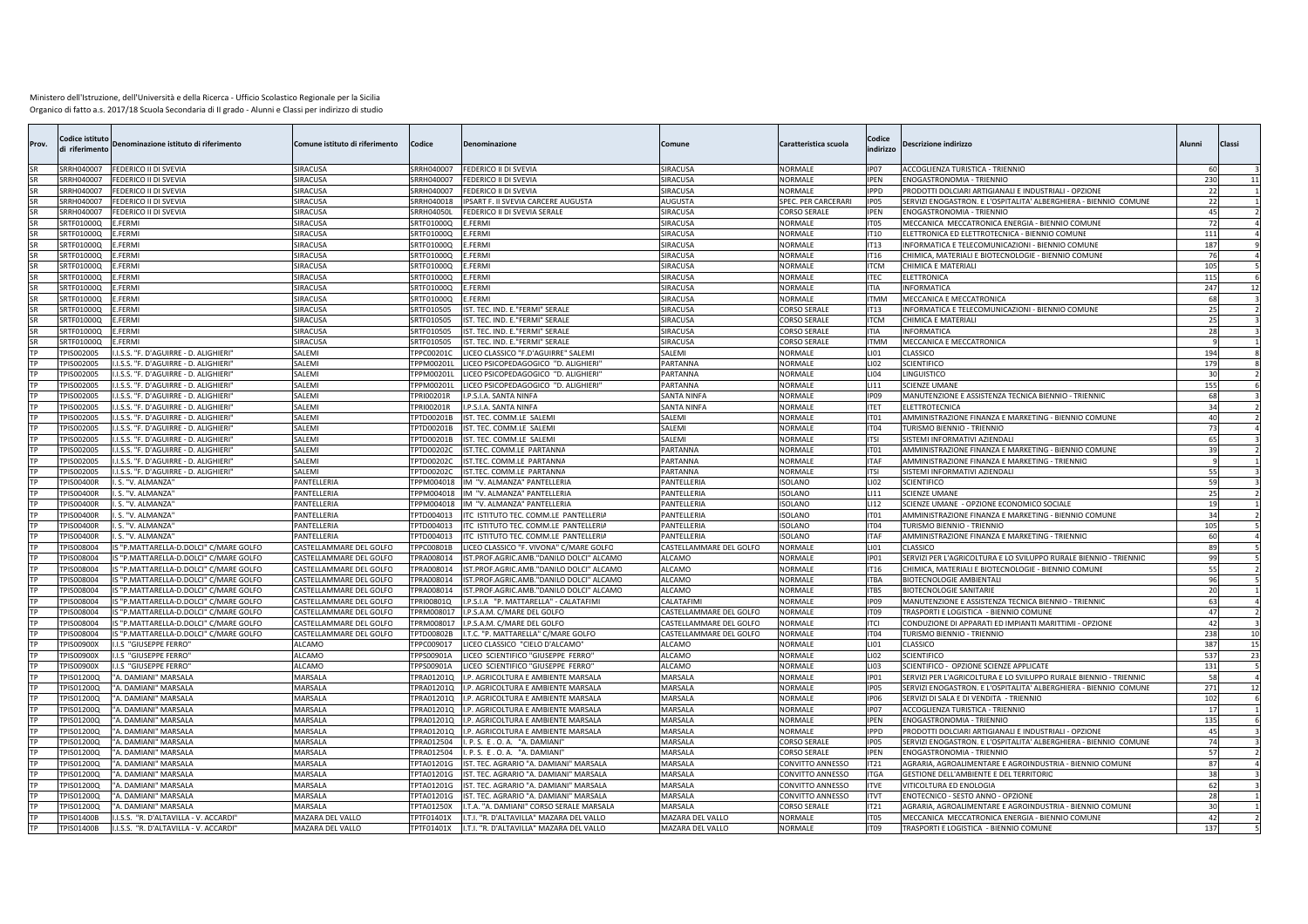| Prov. | Codice istitut<br>riferimento | Denominazione istituto di riferimento | Comune istituto di riferimento | Codice            | Denominazione                            | Comune                  | Caratteristica scuola | Codice<br>indirizzo | Descrizione indirizzo                                             | Alunni         | Classi |
|-------|-------------------------------|---------------------------------------|--------------------------------|-------------------|------------------------------------------|-------------------------|-----------------------|---------------------|-------------------------------------------------------------------|----------------|--------|
|       | SRRH040007                    | <b>EDERICO II DI SVEVIA</b>           | SIRACUSA                       | SRRH040007        | FEDERICO II DI SVEVIA                    | SIRACUSA                | NORMALE               | IP <sub>07</sub>    | ACCOGLIENZA TURISTICA - TRIENNIO                                  |                | 60     |
|       | SRRH040007                    | EDERICO II DI SVEVIA                  | <b>SIRACUSA</b>                | SRRH040007        | FEDERICO II DI SVEVIA                    | SIRACUSA                | NORMALE               | PEN                 | NOGASTRONOMIA - TRIENNIO                                          | 23             |        |
|       | SRRH040007                    | FEDERICO II DI SVEVIA                 | <b>SIRACUSA</b>                | SRRH040007        | FEDERICO II DI SVEVIA                    | SIRACUSA                | <b>VORMALE</b>        | <b>IPPD</b>         | PRODOTTI DOLCIARI ARTIGIANALI E INDUSTRIALI - OPZIONE             | -22            |        |
|       | SRRH040007                    | EDERICO II DI SVEVIA                  | <b>SIRACUSA</b>                | SRRH040018        | PSART F. II SVEVIA CARCERE AUGUSTA       | <b>AUGUSTA</b>          | SPEC. PER CARCERARI   | <b>IP05</b>         | SERVIZI ENOGASTRON. E L'OSPITALITA' ALBERGHIERA - BIENNIO COMUNE  | 22             |        |
|       | SRRH040007                    | FEDERICO II DI SVEVIA                 | <b>SIRACUSA</b>                | SRRH04050L        | FEDERICO II DI SVEVIA SERALI             | SIRACUSA                | <b>CORSO SERAL</b>    | <b>IPEN</b>         | ENOGASTRONOMIA - TRIENNIO                                         | 4 <sup>c</sup> |        |
|       | SRTF01000Q                    | E.FERMI                               | SIRACUSA                       | SRTF01000Q        | F.FFRM                                   | SIRACUSA                | <b>NORMALE</b>        | <b>IT05</b>         | MECCANICA MECCATRONICA ENERGIA - BIENNIO COMUNE                   | 72             |        |
|       | SRTF010000                    | FERMI                                 | SIRACUSA                       | SRTF01000Q        | E.FERMI                                  | SIRACUSA                | NORMALE               | IT10                | ELETTRONICA ED ELETTROTECNICA - BIENNIO COMUNI                    | 111            |        |
|       | SRTF01000Q                    | E.FERMI                               | <b>SIRACUSA</b>                | SRTF01000Q        | E.FERMI                                  | SIRACUSA                | <b>NORMALE</b>        | <b>IT13</b>         | INFORMATICA E TELECOMUNICAZIONI - BIENNIO COMUNE                  | 187            |        |
|       | SRTF01000Q                    | .FERMI                                | <b>SIRACUSA</b>                | SRTF01000Q        | FERMI                                    | SIRACUSA                | NORMALE               | IT16                | CHIMICA, MATERIALI E BIOTECNOLOGIE - BIENNIO COMUNE               |                |        |
|       | RTF01000Q                     | .FERMI                                | <b>SIRACUSA</b>                | SRTF01000Q        | E.FERMI                                  | <b>SIRACUSA</b>         | NORMALE               | <b>ITCM</b>         | HIMICA E MATERIALI                                                | 105            |        |
|       | SRTF01000Q                    | .FERMI                                | <b>SIRACUSA</b>                | SRTF01000Q        | FERMI                                    | <b>SIRACUSA</b>         | NORMALE               | <b>ITEC</b>         | LETTRONICA                                                        | 115            |        |
|       | SRTF01000Q                    | <b>FFRMI</b>                          | <b>SIRACUSA</b>                | SRTF01000Q        | <b>FFRMI</b>                             | <b>SIRACUSA</b>         | NORMALE               | <b>ITIA</b>         | NFORMATICA                                                        | 247            |        |
|       | SRTF01000Q                    | .FERMI                                | <b>SIRACUSA</b>                | SRTF01000Q        | .FERMI                                   | SIRACUSA                | NORMALE               | <b>ITMM</b>         | MECCANICA E MECCATRONICA                                          |                |        |
|       | SRTF010000                    | <b>FFRM</b>                           | SIRACUSA                       | SRTF010505        | ST. TEC. IND. E. "FERMI" SERALE          | SIRACUSA                | CORSO SERALE          | <b>IT13</b>         | INFORMATICA E TELECOMUNICAZIONI - BIENNIO COMUNE                  |                |        |
|       | SRTF01000Q                    | FERMI                                 | <b>SIRACUSA</b>                | SRTF010505        | ST. TEC. IND. E."FERMI" SERALE           | SIRACUSA                | CORSO SERALI          | <b>ITCM</b>         | CHIMICA E MATERIALI                                               |                |        |
|       | SRTF01000Q                    | FERMI                                 | <b>SIRACUSA</b>                | SRTF010505        | ST. TEC. IND. E."FERMI" SERALE           | <b>SIRACUSA</b>         | <b>CORSO SERALE</b>   | <b>ITIA</b>         | <b>INFORMATICA</b>                                                |                |        |
|       | SRTF01000Q                    | FERMI                                 | <b>SIRACUSA</b>                | SRTF010505        | ST. TEC. IND. E."FERMI" SERALE           | SIRACUSA                | <b>CORSO SERALE</b>   | <b>ITMM</b>         | MECCANICA E MECCATRONICA                                          |                |        |
|       | PIS002005                     | .I.S.S. "F. D'AGUIRRE - D. ALIGHIERI' | SALFMI                         | FPPC00201C        | LICEO CLASSICO "F.D'AGUIRRE" SALEMI      | SALEMI                  | <b>NORMALE</b>        | LI01                | CLASSICO                                                          | 194            |        |
|       | PIS002005                     | .I.S.S. "F. D'AGUIRRE - D. ALIGHIERI  | <b>ALEMI</b>                   | <b>TPPM00201L</b> | ICEO PSICOPEDAGOGICO "D. ALIGHIERI       | PARTANNA                | NORMALE               | LI02                | SCIENTIFICO                                                       | 179            |        |
|       | PIS002005                     | I.S.S. "F. D'AGUIRRE - D. ALIGHIERI'  | SALEMI                         | <b>FPPM00201L</b> | ICEO PSICOPEDAGOGICO "D. ALIGHIERI       | PARTANNA                | NORMALE               | <b>LI04</b>         | <b>INGUISTICO</b>                                                 |                |        |
|       | PIS002005                     | .I.S.S. "F. D'AGUIRRE - D. ALIGHIERI  | <b>ALEMI</b>                   | <b>TPPM00201L</b> | LICEO PSICOPEDAGOGICO "D. ALIGHIERI"     | <b>ARTANNA</b>          | VORMALE               | <b>LI11</b>         | <b>CIENZE UMANE</b>                                               | 155            |        |
|       | PIS002005                     | I.S.S. "F. D'AGUIRRE - D. ALIGHIERI   | SALEMI                         | FPRI00201R        | I.P.S.I.A. SANTA NINFA                   | SANTA NINF              | NORMALE               | IP09                | MANUTENZIONE E ASSISTENZA TECNICA BIENNIO - TRIENNIC              |                |        |
|       | PIS002005                     | .I.S.S. "F. D'AGUIRRE - D. ALIGHIERI  | SALEM                          | <b>FPRI00201R</b> | P.S.I.A. SANTA NINFA                     | <b>SANTA NINFA</b>      | NORMALE               | <b>ITET</b>         | <b>ELETTROTECNICA</b>                                             |                |        |
|       | PIS002005                     | I.S.S. "F. D'AGUIRRE - D. ALIGHIERI   | SALEMI                         | PTD00201B         | IST. TEC. COMM.LE SALEMI                 | SALEMI                  | NORMALE               | IT <sub>01</sub>    | AMMINISTRAZIONE FINANZA E MARKETING - BIENNIO COMUNE              |                |        |
|       | PIS002005                     | .I.S.S. "F. D'AGUIRRE - D. ALIGHIERI  | SAI FM                         | PTD00201B         | ST. TEC. COMM.LE SALEMI                  | SALEMI                  | VORMALE               | IT <sub>04</sub>    | TURISMO BIENNIO - TRIENNIO                                        |                |        |
|       | PIS002005                     | I.S.S. "F. D'AGUIRRE - D. ALIGHIERI'  | <b>ALFM</b>                    | PTD00201B         | ST. TEC. COMM.LE SALEM                   | SALEMI                  | NORMALE               | <b>ITSI</b>         | SISTEMI INFORMATIVI AZIENDAL                                      |                | 65     |
|       | PIS002005                     | .I.S.S. "F. D'AGUIRRE - D. ALIGHIERI  | SALEMI                         | PTD00202C         | ST.TEC. COMM.LE PARTANNA                 | PARTANNA                | NORMALE               | IT01                | AMMINISTRAZIONE FINANZA E MARKETING - BIENNIO COMUNE              |                |        |
|       | PIS002005                     | I.S.S. "F. D'AGUIRRE - D. ALIGHIERI'  | <b>ALEMI</b>                   | <b>FPTD00202C</b> | ST.TEC. COMM.LE PARTANNA                 | PARTANNA                | NORMALE               | <b>ITAF</b>         | AMMINISTRAZIONE FINANZA E MARKETING - TRIENNIO                    |                |        |
|       | PIS002005                     | .I.S.S. "F. D'AGUIRRE - D. ALIGHIERI" | SALFMI                         | PTD00202C         | <b>ST.TEC. COMM.LE PARTANNA</b>          | PARTANNA                | NORMALE               | <b>ITSI</b>         | SISTEMI INFORMATIVI AZIENDALI                                     |                |        |
|       | <b>FPIS00400R</b>             | .S. "V. ALMANZA"                      | PANTELLERIA                    | <b>FPPM004018</b> | IM "V. ALMANZA" PANTELLERIA              | PANTELLERIA             | <b>ISOLANO</b>        | LI02                | <b>SCIENTIFICO</b>                                                |                |        |
|       | <b>FPIS00400R</b>             | . S. "V. ALMANZA'                     | PANTELLERIA                    | FPPM004018        | IM "V. ALMANZA" PANTELLERIA              | PANTELLERIA             | <b>ISOLANO</b>        | LI11                | <b>SCIENZE UMANE</b>                                              | 2 <sup>c</sup> |        |
|       | PIS00400R                     | .S. "V. ALMANZA'                      | PANTELLERIA                    | PPM004018         | IM "V. ALMANZA" PANTELLERIA              | <b>PANTELLERIA</b>      | <b>SOLANO</b>         | LI2                 | <b>SCIENZE UMANE - OPZIONE ECONOMICO SOCIALE</b>                  |                |        |
|       | PIS00400R                     | S. "V. ALMANZA                        | PANTELLERIA                    | PTD004013         | ITC ISTITUTO TEC. COMM.LE PANTELLERIA    | PANTELLERIA             | <b>ISOLANO</b>        | IT01                | AMMINISTRAZIONE FINANZA E MARKETING - BIENNIO COMUNE              | 34             |        |
|       | PIS00400R                     | .S. "V. ALMANZA'                      | PANTELLERIA                    | PTD004013         | ITC ISTITUTO TEC. COMM.LE PANTELLERIA    | PANTELLERIA             | <b>ISOLANO</b>        | IT04                | URISMO BIENNIO - TRIENNIO                                         | 105            |        |
|       | PIS00400R                     | S. "V. ALMANZA"                       | <b>ANTELLERIA</b>              | PTD004013         | TC ISTITUTO TEC. COMM.LE PANTELLERIA     | PANTELLERIA             | <b>ISOLANO</b>        | <b>ITAF</b>         | AMMINISTRAZIONE FINANZA E MARKETING - TRIENNIO                    | 60             |        |
|       | PIS008004                     | S "P.MATTARELLA-D.DOLCI" C/MARE GOLFO | CASTELLAMMARE DEL GOLFO        | PPC00801B         | LICEO CLASSICO "F. VIVONA" C/MARE GOLFO  | CASTELLAMMARE DEL GOLFO | NORMALE               | <b>LI01</b>         | CLASSICO                                                          |                |        |
|       | PIS008004                     | S "P.MATTARELLA-D.DOLCI" C/MARE GOLFO | CASTELLAMMARE DEL GOLFO        | PRA008014         | IST.PROF.AGRIC.AMB."DANILO DOLCI" ALCAMO | <b>ALCAMO</b>           | NORMALE               | IP01                | SERVIZI PER L'AGRICOLTURA E LO SVILUPPO RURALE BIENNIO - TRIENNIO | go             |        |
|       | PIS008004                     | S "P.MATTARELLA-D.DOLCI" C/MARE GOLFO | CASTELLAMMARE DEL GOLFO        | PRA008014         | ST.PROF.AGRIC.AMB."DANILO DOLCI" ALCAMO  | <b>ALCAMO</b>           | NORMALE               | <b>IT16</b>         | CHIMICA, MATERIALI E BIOTECNOLOGIE - BIENNIO COMUNE               |                |        |
|       | PIS008004                     | S "P.MATTARELLA-D.DOLCI" C/MARE GOLFO | CASTELLAMMARE DEL GOLFO        | PRA008014         | ST.PROF.AGRIC.AMB."DANILO DOLCI" ALCAMO  | <b>ALCAMO</b>           | NORMALE               | <b>ITRA</b>         | <b>BIOTECNOLOGIE AMBIENTALI</b>                                   | 96             |        |
|       | PIS008004                     | S "P.MATTARELLA-D.DOLCI" C/MARE GOLFO | CASTELLAMMARE DEL GOLFO        | PRA008014         | ST.PROF.AGRIC.AMB."DANILO DOLCI" ALCAMO  | <b>ALCAMO</b>           | NORMALE               | <b>ITBS</b>         | <b>BIOTECNOLOGIE SANITARIE</b>                                    | 20             |        |
|       | PIS008004                     | S "P.MATTARELLA-D.DOLCI" C/MARE GOLFO | CASTELLAMMARE DEL GOLFO        | PRI00801Q         | I.P.S.I.A "P. MATTARELLA" - CALATAFIMI   | CALATAFIMI              | NORMALE               | IP <sub>09</sub>    | MANUTENZIONE E ASSISTENZA TECNICA BIENNIO - TRIENNIC              | 63             |        |
|       | PIS008004                     | S "P.MATTARELLA-D.DOLCI" C/MARE GOLFO | CASTELLAMMARE DEL GOLFO        | PRM008017         | .P.S.A.M. C/MARE DEL GOLFO               | CASTELLAMMARE DEL GOLFO | <b>NORMALE</b>        | IT <sub>09</sub>    | TRASPORTI E LOGISTICA - BIENNIO COMUNE                            | 47             |        |
|       | PIS008004                     | S "P.MATTARELLA-D.DOLCI" C/MARE GOLFO | CASTELLAMMARE DEL GOLFO        | PRM008017         | I.P.S.A.M. C/MARE DEL GOLFO              | CASTELLAMMARE DEL GOLFO | NORMALE               | <b>ITCI</b>         | CONDUZIONE DI APPARATI ED IMPIANTI MARITTIMI - OPZIONE            | $\Delta$       |        |
|       | PIS008004                     | S "P.MATTARELLA-D.DOLCI" C/MARE GOLFO | CASTELLAMMARE DEL GOLFO        | PTD00802B         | I.T.C. "P. MATTARELLA" C/MARE GOLFO      | CASTELLAMMARE DEL GOLFO | <b>NORMALE</b>        | IT04                | <b>TURISMO BIENNIO - TRIENNIO</b>                                 | 238            | 10     |
|       | PIS00900X                     | .I.S "GIUSEPPE FERRO"                 | ALCAMO                         | PPC009017         | ICEO CLASSICO "CIELO D'ALCAMO"           | <b>ALCAMO</b>           | NORMALE               | LI01                | CLASSICO                                                          | 387            | 15     |
|       | PIS00900X                     | I.S "GIUSEPPE FERRO"                  | ALCAMO                         | PPS00901A         | ICEO SCIENTIFICO "GIUSEPPE FERRO         | <b>ALCAMO</b>           | NORMALE               | <b>LIO2</b>         | SCIENTIFICO                                                       | 53             | 23     |
|       | PIS00900X                     | .I.S "GIUSEPPE FERRO"                 | <b>ALCAMO</b>                  | PPS00901A         | LICEO SCIENTIFICO "GIUSEPPE FERRO"       | <b>ALCAMO</b>           | VORMALE               | 1.103               | SCIENTIFICO - OPZIONE SCIENZE APPLICATE                           | 131            |        |
|       | PIS01200Q                     | A. DAMIANI" MARSALA                   | MARSALA                        | <b>FPRA01201Q</b> | .P. AGRICOLTURA E AMBIENTE MARSALA       | MARSALA                 | <b>NORMALE</b>        | IP01                | SERVIZI PER L'AGRICOLTURA E LO SVILUPPO RURALE BIENNIO - TRIENNIO | 58             |        |
|       | PIS01200Q                     | A. DAMIANI" MARSALA                   | MARSALA                        | <b>FPRA01201Q</b> | .P. AGRICOLTURA E AMBIENTE MARSALA       | <b>MARSALA</b>          | <b>NORMALE</b>        | IPO5                | SERVIZI ENOGASTRON. E L'OSPITALITA' ALBERGHIERA - BIENNIO COMUNE  | 271            |        |
|       | PIS01200Q                     | A. DAMIANI" MARSALA                   | MARSALA                        | <b>FPRA01201Q</b> | .P. AGRICOLTURA E AMBIENTE MARSALA       | MARSALA                 | NORMALE               | IP06                | SERVIZI DI SALA E DI VENDITA - TRIENNIO                           | 102            |        |
|       | TPIS01200Q                    | "A. DAMIANI" MARSALA                  | MARSALA                        | TPRA01201Q        | I.P. AGRICOLTURA E AMBIENTE MARSALA      | <b>MARSALA</b>          | NORMALE               | IP07                | ACCOGLIENZA TURISTICA - TRIENNIO                                  | $1^{\circ}$    |        |
|       | TPIS01200Q                    | "A. DAMIANI" MARSALA                  | MARSALA                        | TPRA01201Q        | I.P. AGRICOLTURA E AMBIENTE MARSALA      | MARSALA                 | <b>NORMALE</b>        | <b>IPEN</b>         | ENOGASTRONOMIA - TRIENNIO                                         | 135            |        |
|       | PIS01200Q                     | 4. DAMIANI" MARSALA                   | <b>MARSALA</b>                 | <b>FPRA01201Q</b> | .P. AGRICOLTURA E AMBIENTE MARSALA       | MARSALA                 | NORMALE               | PPD                 | RODOTTI DOLCIARI ARTIGIANALI E INDUSTRIALI - OPZIONE              | $\mathbf{A}$   |        |
|       | PIS01200Q                     | A. DAMIANI" MARSALA                   | MARSALA                        | PRA012504         | . P. S. E. O. A. "A. DAMIANI             | MARSALA                 | CORSO SERALE          | <b>IP05</b>         | SERVIZI ENOGASTRON, E L'OSPITALITA' ALBERGHIERA - BIENNIO COMUNE  |                |        |
|       | PIS01200Q                     | 4. DAMIANI" MARSALA                   | <b>MARSALA</b>                 | PRA012504         | . P. S. E. O. A. "A. DAMIANI             | MARSALA                 | <b>CORSO SERALE</b>   | <b>IPEN</b>         | NOGASTRONOMIA - TRIENNIO                                          | 51             |        |
|       | PIS01200Q                     | A. DAMIANI" MARSALA                   | <b>MARSALA</b>                 | <b>FPTA01201G</b> | ST. TEC. AGRARIO "A. DAMIANI" MARSALA    | MARSALA                 | CONVITTO ANNESSO      | IT21                | AGRARIA, AGROALIMENTARE E AGROINDUSTRIA - BIENNIO COMUNE          | 87             |        |
|       | PIS01200Q                     | 4. DAMIANI" MARSALA                   | MARSALA                        | PTA01201G         | ST. TEC. AGRARIO "A. DAMIANI" MARSALA    | MARSALA                 | CONVITTO ANNESSO      | <b>ITGA</b>         | GESTIONE DELL'AMBIENTE E DEL TERRITORIO                           |                |        |
|       | PIS01200Q                     | A. DAMIANI" MARSALA                   | MARSALA                        | <b>FPTA01201G</b> | IST. TEC. AGRARIO "A. DAMIANI" MARSALA   | MARSALA                 | CONVITTO ANNESSO      | <b>ITVE</b>         | VITICOLTURA ED ENOLOGIA                                           | 62             |        |
|       | PIS01200Q                     | A. DAMIANI" MARSALA                   | MARSALA                        | <b>FPTA01201G</b> | ST. TEC. AGRARIO "A. DAMIANI" MARSALA    | <b>MARSALA</b>          | CONVITTO ANNESSO      | <b>ITVT</b>         | ENOTECNICO - SESTO ANNO - OPZIONE                                 | 28             |        |
|       | <b>FPIS01200Q</b>             | A. DAMIANI" MARSALA                   | MARSALA                        | <b>FPTA01250X</b> | .T.A. "A. DAMIANI" CORSO SERALE MARSALA  | MARSALA                 | <b>CORSO SERALI</b>   | IT21                | AGRARIA, AGROALIMENTARE E AGROINDUSTRIA - BIENNIO COMUNE          |                |        |
|       | PIS01400B                     | .I.S.S. "R. D'ALTAVILLA - V. ACCARDI  | <b>MAZARA DEL VALLO</b>        | PTF01401X         | I.T.I. "R. D'ALTAVILLA" MAZARA DEL VALLO | <b>MAZARA DEL VALLO</b> | NORMALE               | <b>IT05</b>         | MECCANICA MECCATRONICA ENERGIA - BIENNIO COMUNE                   |                | 42     |
| TP    | TPIS01400B                    | I.I.S.S. "R. D'ALTAVILLA - V. ACCARDI | MAZARA DEL VALLO               | TPTF01401X        | I.T.I. "R. D'ALTAVILLA" MAZARA DEL VALLO | MAZARA DEL VALLO        | <b>NORMALE</b>        | IT09                | TRASPORTI E LOGISTICA - BIENNIO COMUNE                            | 137            |        |
|       |                               |                                       |                                |                   |                                          |                         |                       |                     |                                                                   |                |        |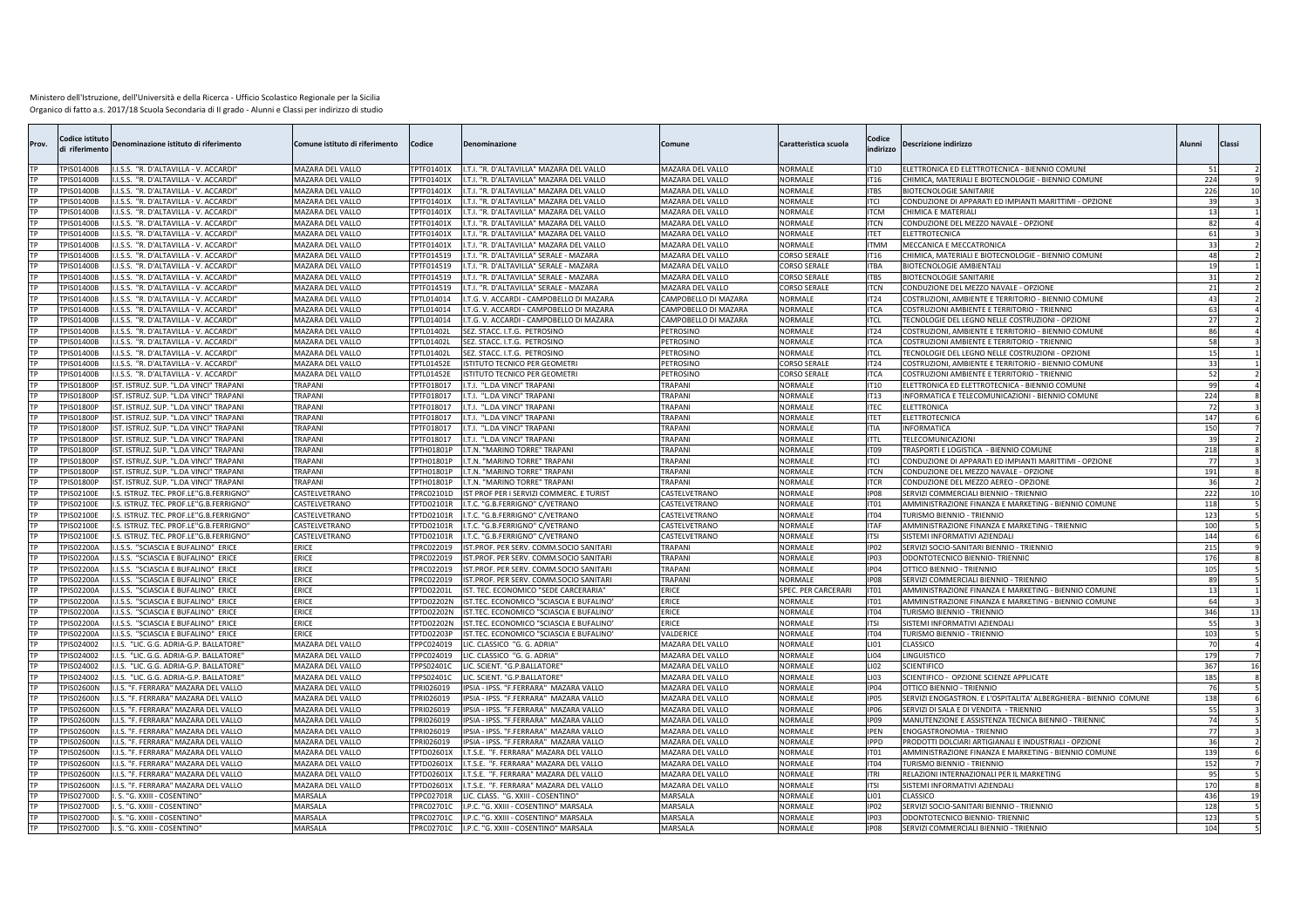| Prov.           | Codice istitutc<br>di riferimento | Denominazione istituto di riferimento                                          | Comune istituto di riferimento       | Codice                                 | Denominazione                                                                    | Comune                                      | Caratteristica scuola     | Codice<br>indirizzo        | Descrizione indirizzo                                                                            | Δlıınni         | Classi        |    |
|-----------------|-----------------------------------|--------------------------------------------------------------------------------|--------------------------------------|----------------------------------------|----------------------------------------------------------------------------------|---------------------------------------------|---------------------------|----------------------------|--------------------------------------------------------------------------------------------------|-----------------|---------------|----|
|                 | TPIS01400B                        | I.I.S.S. "R. D'ALTAVILLA - V. ACCARDI"                                         | MAZARA DEL VALLO                     |                                        | TPTF01401X I.T.I. "R. D'ALTAVILLA" MAZARA DEL VALLO                              | MAZARA DEL VALLO                            | <b>NORMALE</b>            | <b>IT10</b>                | ELETTRONICA ED ELETTROTECNICA - BIENNIO COMUNE                                                   |                 |               |    |
|                 | TPIS01400B                        | I.I.S.S. "R. D'ALTAVILLA - V. ACCARDI'                                         | MAZARA DEL VALLO                     | TPTF01401X                             | I.T.I. "R. D'ALTAVILLA" MAZARA DEL VALLO                                         | MAZARA DEL VALLO                            | NORMALE                   | <b>IT16</b>                | CHIMICA, MATERIALI E BIOTECNOLOGIE - BIENNIO COMUNE                                              | 224             |               |    |
|                 | PIS01400B                         | .I.S.S. "R. D'ALTAVILLA - V. ACCARDI'                                          | MAZARA DEL VALLO                     |                                        | TPTF01401X I.T.I. "R. D'ALTAVILLA" MAZARA DEL VALLO                              | MAZARA DEL VALLO                            | NORMALE                   | <b>ITRS</b>                | <b>BIOTECNOLOGIE SANITARIE</b>                                                                   | 226             |               | 10 |
|                 | TPIS01400B                        | I.I.S.S. "R. D'ALTAVILLA - V. ACCARDI'                                         | MAZARA DEL VALLO                     |                                        | TPTF01401X I.T.I. "R. D'ALTAVILLA" MAZARA DEL VALLO                              | <b>MAZARA DEL VALLO</b>                     | <b>NORMALE</b>            | ITCI                       | CONDUZIONE DI APPARATI ED IMPIANTI MARITTIMI - OPZIONE                                           |                 | 30            |    |
| <b>TP</b>       | PIS01400B                         | .I.S.S. "R. D'ALTAVILLA - V. ACCARDI'                                          | MAZARA DEL VALLO                     | <b>FPTF01401X</b>                      | I.T.I. "R. D'ALTAVILLA" MAZARA DEL VALLO                                         | MAZARA DEL VALLO                            | NORMALE                   | <b>ITCM</b>                | CHIMICA E MATERIALI                                                                              |                 |               |    |
|                 | PIS01400B                         | I.I.S.S. "R. D'ALTAVILLA - V. ACCARDI'                                         | MAZARA DEL VALLO                     | FPTF01401X                             | I.T.I. "R. D'ALTAVILLA" MAZARA DEL VALLO                                         | MAZARA DEL VALLO                            | NORMALE                   | <b>ITCN</b>                | CONDUZIONE DEL MEZZO NAVALE - OPZIONE                                                            |                 |               |    |
|                 | PIS01400B                         | .I.S.S. "R. D'ALTAVILLA - V. ACCARDI'                                          | <b>MAZARA DEL VALLO</b>              | <b>FPTF01401X</b>                      | I.T.I. "R. D'ALTAVILLA" MAZARA DEL VALLO                                         | MAZARA DEL VALLO                            | VORMALE                   | <b>ITFT</b>                | ELETTROTECNICA                                                                                   |                 |               |    |
|                 | PIS01400B                         | I.I.S.S. "R. D'ALTAVILLA - V. ACCARDI'                                         | MAZARA DEL VALLO                     | TPTF01401X                             | I.T.I. "R. D'ALTAVILLA" MAZARA DEL VALLO                                         | MAZARA DEL VALLO                            | NORMALE                   | <b>ITMM</b>                | MECCANICA E MECCATRONICA                                                                         |                 |               |    |
| TP              | PIS01400B                         | .I.S.S. "R. D'ALTAVILLA - V. ACCARDI'                                          | MAZARA DEL VALLO                     | TPTF014519                             | I.T.I. "R. D'ALTAVILLA" SERALE - MAZARA                                          | MAZARA DEL VALLO                            | CORSO SERAL               | IT16                       | CHIMICA, MATERIALI E BIOTECNOLOGIE - BIENNIO COMUNE                                              |                 |               |    |
|                 | PIS01400B                         | I.I.S.S. "R. D'ALTAVILLA - V. ACCARDI                                          | MAZARA DEL VALLO                     | FPTF014519                             | I.T.I. "R. D'ALTAVILLA" SERALE - MAZARA                                          | <b>MAZARA DEL VALLO</b>                     | <b>CORSO SERALE</b>       | <b>ITRA</b>                | BIOTECNOLOGIE AMBIENTALI                                                                         |                 |               |    |
| TP              | PIS01400B                         | .I.S.S. "R. D'ALTAVILLA - V. ACCARDI'                                          | MAZARA DEL VALLO                     | TPTF014519                             | I.T.I. "R. D'ALTAVILLA" SERALE - MAZARA                                          | MAZARA DEL VALLO                            | CORSO SERALE              | <b>ITBS</b>                | <b>BIOTECNOLOGIE SANITARIE</b>                                                                   |                 | -31           |    |
| TP              | PIS01400B                         | .I.S.S. "R. D'ALTAVILLA - V. ACCARDI'                                          | <b>MAZARA DEL VALLO</b>              | TPTF014519                             | I.T.I. "R. D'ALTAVILLA" SERALE - MAZARA                                          | <b>MAZARA DEL VALLO</b>                     | <b>CORSO SERALE</b>       | <b>ITCN</b>                | CONDUZIONE DEL MEZZO NAVALE - OPZIONE                                                            |                 | 21            |    |
| TD              | TPIS01400B                        | .I.S.S. "R. D'ALTAVILLA - V. ACCARDI"                                          | MAZARA DEL VALLO                     | TPTL014014                             | I.T.G. V. ACCARDI - CAMPOBELLO DI MAZARA                                         | CAMPOBELLO DI MAZARA                        | <b>NORMALE</b>            | IT24                       | COSTRUZIONI, AMBIENTE E TERRITORIO - BIENNIO COMUNE                                              |                 | $\Lambda$     |    |
|                 | PIS01400B                         | .I.S.S. "R. D'ALTAVILLA - V. ACCARDI'                                          | MAZARA DEL VALLO                     | <b>FPTL014014</b>                      | I.T.G. V. ACCARDI - CAMPOBELLO DI MAZARA                                         | CAMPOBELLO DI MAZARA                        | VORMALE                   | <b>ITCA</b>                | COSTRUZIONI AMBIENTE E TERRITORIO - TRIENNIC                                                     |                 | 63            |    |
|                 | PIS01400B                         | I.I.S.S. "R. D'ALTAVILLA - V. ACCARDI'                                         | MAZARA DEL VALLO                     | TPTL014014                             | I.T.G. V. ACCARDI - CAMPOBELLO DI MAZARA                                         | CAMPOBELLO DI MAZARA                        | NORMALE                   | <b>ITCL</b>                | TECNOLOGIE DEL LEGNO NELLE COSTRUZIONI - OPZIONE                                                 |                 | 27            |    |
|                 | PIS01400B                         | .I.S.S. "R. D'ALTAVILLA - V. ACCARDI                                           | MAZARA DEL VALLO                     | TPTL01402L                             | SEZ. STACC. I.T.G. PETROSINO                                                     | PETROSINO                                   | NORMALE                   | <b>IT24</b>                | COSTRUZIONI, AMBIENTE E TERRITORIO - BIENNIO COMUNE                                              |                 |               |    |
|                 | PIS01400B<br>PIS01400B            | I.I.S.S. "R. D'ALTAVILLA - V. ACCARDI<br>.I.S.S. "R. D'ALTAVILLA - V. ACCARDI' | MAZARA DEL VALLO<br>MAZARA DEL VALLO | <b>TPTL01402L</b><br><b>FPTL01402L</b> | SEZ. STACC. I.T.G. PETROSINO<br>SEZ. STACC. I.T.G. PETROSINO                     | PETROSINO<br><b>PETROSINO</b>               | NORMALE<br>NORMALE        | <b>ITCA</b>                | COSTRUZIONI AMBIENTE E TERRITORIO - TRIENNIC<br>TECNOLOGIE DEL LEGNO NELLE COSTRUZIONI - OPZIONE |                 |               |    |
| TP              |                                   | I.I.S.S. "R. D'ALTAVILLA - V. ACCARDI'                                         | MAZARA DEL VALLO                     | TPTL01452E                             | ISTITUTO TECNICO PER GEOMETRI                                                    | PETROSINO                                   | <b>CORSO SERAL</b>        | <b>ITCL</b><br><b>IT24</b> | COSTRUZIONI, AMBIENTE E TERRITORIO - BIENNIO COMUNE                                              |                 |               |    |
| TP              | PIS01400B<br>PIS01400B            | .I.S.S. "R. D'ALTAVILLA - V. ACCARDI'                                          | MAZARA DEL VALLO                     | TPTL01452E                             | <b>ISTITUTO TECNICO PER GEOMETRI</b>                                             | PETROSINO                                   | <b>CORSO SERALI</b>       | <b>ITCA</b>                | COSTRUZIONI AMBIENTE E TERRITORIO - TRIENNIC                                                     |                 |               |    |
|                 | <b>PIS01800P</b>                  | IST. ISTRUZ. SUP. "L.DA VINCI" TRAPANI                                         | <b>TRAPANI</b>                       | FPTF018017                             | I.T.I. "L.DA VINCI" TRAPANI                                                      | TRAPANI                                     | <b>NORMALE</b>            | <b>IT10</b>                | ELETTRONICA ED ELETTROTECNICA - BIENNIO COMUNE                                                   |                 |               |    |
|                 | TPIS01800P                        | IST. ISTRUZ. SUP. "L.DA VINCI" TRAPANI                                         | <b>TRAPANI</b>                       | TPTF018017                             | I.T.I. "L.DA VINCI" TRAPANI                                                      | TRAPANI                                     | NORMALE                   | IT13                       | INFORMATICA E TELECOMUNICAZIONI - BIENNIO COMUNE                                                 | 224             |               |    |
| TP              | TPIS01800P                        | IST. ISTRUZ. SUP. "L.DA VINCI" TRAPANI                                         | <b>TRAPANI</b>                       | TPTF018017                             | I.T.I. "L.DA VINCI" TRAPANI                                                      | TRAPANI                                     | NORMALE                   | <b>ITEC</b>                | ELETTRONICA                                                                                      | 7 <sup>2</sup>  |               |    |
| TD              | TPIS01800P                        | IST. ISTRUZ. SUP. "L.DA VINCI" TRAPANI                                         | <b>TRAPANI</b>                       | TPTF018017                             | I.T.I. "L.DA VINCI" TRAPANI                                                      | TRAPANI                                     | <b>NORMALE</b>            | <b>ITFT</b>                | ELETTROTECNICA                                                                                   | 147             |               |    |
| TP              | <b>PIS01800P</b>                  | ST. ISTRUZ, SUP, "L.DA VINCI" TRAPANI                                          | TRAPANI                              | TPTF018017                             | I.T.I. "L.DA VINCI" TRAPANI                                                      | <b><i>TRAPANI</i></b>                       | <b>VORMALE</b>            | <b>ITIA</b>                | <b>INFORMATICA</b>                                                                               | 150             |               |    |
|                 | PIS01800P                         | IST. ISTRUZ. SUP. "L.DA VINCI" TRAPANI                                         | TRAPANI                              | TPTF018017                             | I.T.I. "L.DA VINCI" TRAPANI                                                      | TRAPANI                                     | NORMALE                   | <b>ITTL</b>                | TELECOMUNICAZIONI                                                                                |                 |               |    |
| TP              | PIS01800P                         | ST. ISTRUZ. SUP. "L.DA VINCI" TRAPANI                                          | TRAPANI                              | TPTH01801P                             | I.T.N. "MARINO TORRE" TRAPANI                                                    | TRAPANI                                     | NORMALE                   | IT09                       | TRASPORTI E LOGISTICA - BIENNIO COMUNE                                                           | 218             |               |    |
|                 | PIS01800P                         | ST. ISTRUZ. SUP. "L.DA VINCI" TRAPANI                                          | <b>TRAPANI</b>                       | <b>FPTH01801P</b>                      | I.T.N. "MARINO TORRE" TRAPANI                                                    | TRAPANI                                     | NORMALE                   | <b>ITCI</b>                | CONDUZIONE DI APPARATI ED IMPIANTI MARITTIMI - OPZIONE                                           |                 |               |    |
|                 | PIS01800P                         | IST. ISTRUZ. SUP. "L.DA VINCI" TRAPANI                                         | <b>TRAPANI</b>                       | TPTH01801P                             | I.T.N. "MARINO TORRE" TRAPANI                                                    | <b><i>FRAPANI</i></b>                       | NORMALE                   | <b>ITCN</b>                | CONDUZIONE DEL MEZZO NAVALE - OPZIONE                                                            | 191             |               |    |
| TP              | PIS01800P                         | IST. ISTRUZ. SUP. "L.DA VINCI" TRAPANI                                         | TRAPANI                              | TPTH01801P                             | I.T.N. "MARINO TORRE" TRAPANI                                                    | TRAPANI                                     | <b>NORMALE</b>            | <b>ITCR</b>                | CONDUZIONE DEL MEZZO AEREO - OPZIONE                                                             |                 | 36            |    |
| TP              | PIS02100E                         | .S. ISTRUZ. TEC. PROF.LE"G.B.FERRIGNO'                                         | CASTELVETRANO                        | TPRC02101D                             | IST PROF PER I SERVIZI COMMERC. E TURIST                                         | CASTELVETRANO                               | NORMALE                   | IP <sub>08</sub>           | SERVIZI COMMERCIALI BIENNIO - TRIENNIO                                                           | 222             |               | 10 |
|                 | PIS02100E                         | .S. ISTRUZ. TEC. PROF.LE"G.B.FERRIGNO'                                         | CASTELVETRANO                        |                                        | FPTD02101R I.T.C. "G.B.FERRIGNO" C/VETRANO                                       | CASTELVETRANO                               | NORMALE                   | IT01                       | AMMINISTRAZIONE FINANZA E MARKETING - BIENNIO COMUNE                                             | 118             |               |    |
|                 | PIS02100E                         | I.S. ISTRUZ. TEC. PROF.LE"G.B.FERRIGNO'                                        | CASTELVETRANO                        |                                        | TPTD02101R I.T.C. "G.B.FERRIGNO" C/VETRANO                                       | CASTELVETRANO                               | <b>NORMALE</b>            | IT <sub>04</sub>           | TURISMO BIENNIO - TRIENNIO                                                                       | 123             |               |    |
| <b>TP</b>       | PIS02100E                         | .S. ISTRUZ. TEC. PROF.LE"G.B.FERRIGNO'                                         | CASTELVETRANO                        | TPTD02101R                             | I.T.C. "G.B.FERRIGNO" C/VETRANO                                                  | CASTELVETRANO                               | NORMALE                   | <b>ITAF</b>                | AMMINISTRAZIONE FINANZA E MARKETING - TRIENNIO                                                   | 100             |               |    |
| TD              | TPIS02100E                        | .S. ISTRUZ. TEC. PROF.LE"G.B.FERRIGNO"                                         | CASTELVETRANO                        | TPTD02101R                             | I.T.C. "G.B.FERRIGNO" C/VETRANO                                                  | CASTELVETRANO                               | NORMALE                   | <b>ITSI</b>                | SISTEMI INFORMATIVI AZIENDALI                                                                    | 144             |               |    |
|                 | <b>PIS02200A</b>                  | .I.S.S. "SCIASCIA E BUFALINO" ERICE                                            | ERICE                                | TPRC022019                             | IST.PROF. PER SERV. COMM.SOCIO SANITARI                                          | <b><i>TRAPANI</i></b>                       | NORMALE                   | <b>IP02</b>                | SERVIZI SOCIO-SANITARI BIENNIO - TRIENNIO                                                        | 215             |               |    |
| TP              | TPIS02200A                        | I.I.S.S. "SCIASCIA E BUFALINO" ERICE                                           | <b>ERICE</b>                         | TPRC022019                             | IST.PROF. PER SERV. COMM.SOCIO SANITARI                                          | TRAPANI                                     | NORMALE                   | IP <sub>03</sub>           | ODONTOTECNICO BIENNIO- TRIENNIO                                                                  | 176             |               |    |
| <b>TP</b>       | <b>TPIS02200A</b>                 | .I.S.S. "SCIASCIA E BUFALINO" ERICE                                            | <b>ERICE</b>                         | TPRC022019                             | IST.PROF. PER SERV. COMM.SOCIO SANITARI                                          | TRAPANI                                     | <b>NORMALE</b>            | IP <sub>04</sub>           | OTTICO BIENNIO - TRIENNIO                                                                        | 10 <sub>5</sub> |               |    |
|                 | PIS02200A                         | I.I.S.S. "SCIASCIA E BUFALINO" ERICE                                           | ERICE                                | FPRC022019                             | IST.PROF. PER SERV. COMM.SOCIO SANITARI                                          | TRAPANI                                     | <b>NORMALE</b>            | IP <sub>08</sub>           | SERVIZI COMMERCIALI BIENNIO - TRIENNIO                                                           | $\mathbf{R}$    |               |    |
| TP              | <b>PIS02200A</b>                  | I.I.S.S. "SCIASCIA E BUFALINO" ERICE                                           | <b>FRICE</b>                         | TPTD02201L                             | IST. TEC. ECONOMICO "SEDE CARCERARIA"                                            | ERICE                                       | SPEC. PER CARCERARI       | IT01                       | AMMINISTRAZIONE FINANZA E MARKETING - BIENNIO COMUNE                                             |                 |               |    |
| TP              | PIS02200A                         | I.I.S.S. "SCIASCIA E BUFALINO" ERICE                                           | ERICE                                | TPTD02202N                             | IST.TEC. ECONOMICO "SCIASCIA E BUFALINO"                                         | ERICE                                       | NORMALE                   | IT01                       | AMMINISTRAZIONE FINANZA E MARKETING - BIENNIO COMUNE                                             |                 | 64            |    |
| TP              | TPIS02200A                        | I.I.S.S. "SCIASCIA E BUFALINO" ERICE                                           | ERICE                                | TPTD02202N                             | IST.TEC. ECONOMICO "SCIASCIA E BUFALINO"                                         | ERICE                                       | <b>NORMALE</b>            | IT04                       | TURISMO BIENNIO - TRIENNIO                                                                       | 346             |               | 13 |
|                 | PIS02200A                         | .I.S.S. "SCIASCIA E BUFALINO" ERICE                                            | ERICE                                | <b>FPTD02202N</b>                      | IST.TEC. ECONOMICO "SCIASCIA E BUFALINO"                                         | ERICE                                       | NORMALE                   | <b>ITSI</b>                | SISTEMI INFORMATIVI AZIENDALI                                                                    |                 |               |    |
|                 | TPIS02200A                        | I.I.S.S. "SCIASCIA E BUFALINO" ERICE                                           | ERICE                                | TPTD02203P                             | IST.TEC. ECONOMICO "SCIASCIA E BUFALINO"                                         | VALDERICE                                   | NORMALE                   | IT04                       | TURISMO BIENNIO - TRIENNIO                                                                       | 103             |               |    |
| TP              | TPIS024002                        | I.I.S. "LIC. G.G. ADRIA-G.P. BALLATORE                                         | MAZARA DEL VALLO                     | TPPC024019                             | LIC. CLASSICO "G. G. ADRIA"                                                      | <b>MAZARA DEL VALLO</b>                     | NORMALE                   | LI01                       | CLASSICO                                                                                         |                 |               |    |
|                 | PIS024002                         | I.I.S. "LIC. G.G. ADRIA-G.P. BALLATORE                                         | MAZARA DEL VALLO                     | FPPC024019                             | LIC. CLASSICO "G. G. ADRIA'                                                      | MAZARA DEL VALLO                            | NORMALE                   | LI <sub>04</sub>           | LINGUISTICO                                                                                      | 17              |               |    |
| TP              | PIS024002                         | .I.S. "LIC. G.G. ADRIA-G.P. BALLATORE'                                         | MAZARA DEL VALLO                     | TPPS02401C                             | LIC. SCIENT. "G.P.BALLATORE                                                      | MAZARA DEL VALLO                            | VORMALE                   | 1102                       | <b>SCIENTIFICO</b>                                                                               | 367             |               | 16 |
| TP<br><b>TP</b> | PIS024002<br><b>TPIS02600N</b>    | I.I.S. "LIC. G.G. ADRIA-G.P. BALLATORE<br>.I.S. "F. FERRARA" MAZARA DEL VALLO  | MAZARA DEL VALLO                     | TPPS02401C                             | LIC. SCIENT. "G.P.BALLATORE<br>IPSIA - IPSS. "F.FERRARA" MAZARA VALLO            | <b>MAZARA DEL VALLO</b><br>MAZARA DEL VALLO | <b>NORMALE</b><br>NORMALE | 1103<br>IP <sub>04</sub>   | SCIENTIFICO - OPZIONE SCIENZE APPLICATE<br>OTTICO BIENNIO - TRIENNIO                             | 185             |               |    |
|                 |                                   |                                                                                | MAZARA DEL VALLO                     | TPRI026019                             |                                                                                  |                                             | NORMALE                   | IP <sub>05</sub>           |                                                                                                  |                 |               |    |
| TP              | <b>PIS02600N</b><br>TPIS02600N    | I.I.S. "F. FERRARA" MAZARA DEL VALLO<br>I.I.S. "F. FERRARA" MAZARA DEL VALLO   | MAZARA DEL VALLO                     | TPRI026019                             | IPSIA - IPSS. "F.FERRARA" MAZARA VALLO                                           | MAZARA DEL VALLO<br>MAZARA DEL VALLO        | NORMALE                   |                            | SERVIZI ENOGASTRON. E L'OSPITALITA' ALBERGHIERA - BIENNIO COMUNE                                 | 138             | 55            |    |
|                 | TPIS02600N                        | I.I.S. "F. FERRARA" MAZARA DEL VALLO                                           | MAZARA DEL VALLO<br>MAZARA DEL VALLO | TPRI026019<br>TPRI026019               | IPSIA - IPSS. "F.FERRARA" MAZARA VALLO<br>IPSIA - IPSS. "F.FERRARA" MAZARA VALLO | MAZARA DEL VALLO                            | <b>NORMALE</b>            | <b>IP06</b><br><b>IP09</b> | SERVIZI DI SALA E DI VENDITA - TRIENNIO<br>MANUTENZIONE E ASSISTENZA TECNICA BIENNIO - TRIENNIC  |                 | 74            |    |
|                 | <b>PIS02600N</b>                  | I.I.S. "F. FERRARA" MAZARA DEL VALLO                                           | MAZARA DEL VALLO                     |                                        | IPSIA - IPSS. "F.FERRARA" MAZARA VALLO                                           | MAZARA DEL VALLO                            | <b>NORMALE</b>            | <b>IPFN</b>                | NOGASTRONOMIA - TRIENNIO                                                                         |                 |               |    |
|                 | PIS02600N                         | .I.S. "F. FERRARA" MAZARA DEL VALLO                                            | <b>MAZARA DEL VALLO</b>              | TPRI026019<br>FPRI026019               | IPSIA - IPSS. "F.FERRARA" MAZARA VALLO                                           | MAZARA DEL VALLO                            | VORMALE                   | <b>IPPD</b>                | PRODOTTI DOLCIARI ARTIGIANALI E INDUSTRIALI - OPZIONE                                            |                 | $\mathcal{R}$ |    |
|                 | PIS02600N                         | .I.S. "F. FERRARA" MAZARA DEL VALLO                                            | MAZARA DEL VALLO                     | TPTD02601X                             | I.T.S.E. "F. FERRARA" MAZARA DEL VALLO                                           | MAZARA DEL VALLO                            | NORMALE                   | IT01                       | AMMINISTRAZIONE FINANZA E MARKETING - BIENNIO COMUNE                                             | 139             |               |    |
| TP              | PIS02600N                         | .I.S. "F. FERRARA" MAZARA DEL VALLO                                            | MAZARA DEL VALLO                     | <b>FPTD02601X</b>                      | .T.S.E. "F. FERRARA" MAZARA DEL VALLO                                            | MAZARA DEL VALLO                            | NORMALE                   | IT04                       | URISMO BIENNIO - TRIENNIO                                                                        | 152             |               |    |
|                 | PIS02600N                         | .I.S. "F. FERRARA" MAZARA DEL VALLO                                            | MAZARA DEL VALLO                     | <b>FPTD02601X</b>                      | I.T.S.E. "F. FERRARA" MAZARA DEL VALLO                                           | MAZARA DEL VALLO                            | NORMALE                   | <b>ITRI</b>                | RELAZIONI INTERNAZIONALI PER IL MARKETING                                                        |                 | <b>qt</b>     |    |
|                 | PIS02600N                         | I.I.S. "F. FERRARA" MAZARA DEL VALLO                                           | MAZARA DEL VALLO                     | TPTD02601X                             | I.T.S.E. "F. FERRARA" MAZARA DEL VALLO                                           | MAZARA DEL VALLO                            | VORMALE                   | <b>ITSI</b>                | SISTEMI INFORMATIVI AZIENDALI                                                                    | 170             |               |    |
| TP              | PIS02700D                         | . S. "G. XXIII - COSENTINO'                                                    | MARSALA                              | TPPC02701R                             | IC. CLASS. "G. XXIII - COSENTINO"                                                | <b>MARSALA</b>                              | NORMALE                   | 1101                       | CLASSICO                                                                                         | 436             |               | 19 |
|                 | TPIS02700D                        | . S. "G. XXIII - COSENTINO'                                                    | MARSALA                              | TPRC02701C                             | I.P.C. "G. XXIII - COSENTINO" MARSALA                                            | MARSALA                                     | NORMALE                   | IP <sub>02</sub>           | SERVIZI SOCIO-SANITARI BIENNIO - TRIENNIO                                                        | 128             |               |    |
|                 | PIS02700D                         | . S. "G. XXIII - COSENTINO'                                                    | MARSALA                              | <b>FPRC02701C</b>                      | I.P.C. "G. XXIII - COSENTINO" MARSALA                                            | <b>MARSALA</b>                              | NORMALE                   | IP <sub>03</sub>           | ODONTOTECNICO BIENNIO- TRIENNIO                                                                  | 123             |               |    |
| TP              | TPIS02700D                        | I. S. "G. XXIII - COSENTINO"                                                   | <b>MARSALA</b>                       |                                        | TPRC02701C I.P.C. "G. XXIII - COSENTINO" MARSALA                                 | <b>MARSALA</b>                              | <b>NORMALE</b>            | <b>IP08</b>                | SERVIZI COMMERCIALI BIENNIO - TRIENNIO                                                           | 104             |               |    |
|                 |                                   |                                                                                |                                      |                                        |                                                                                  |                                             |                           |                            |                                                                                                  |                 |               |    |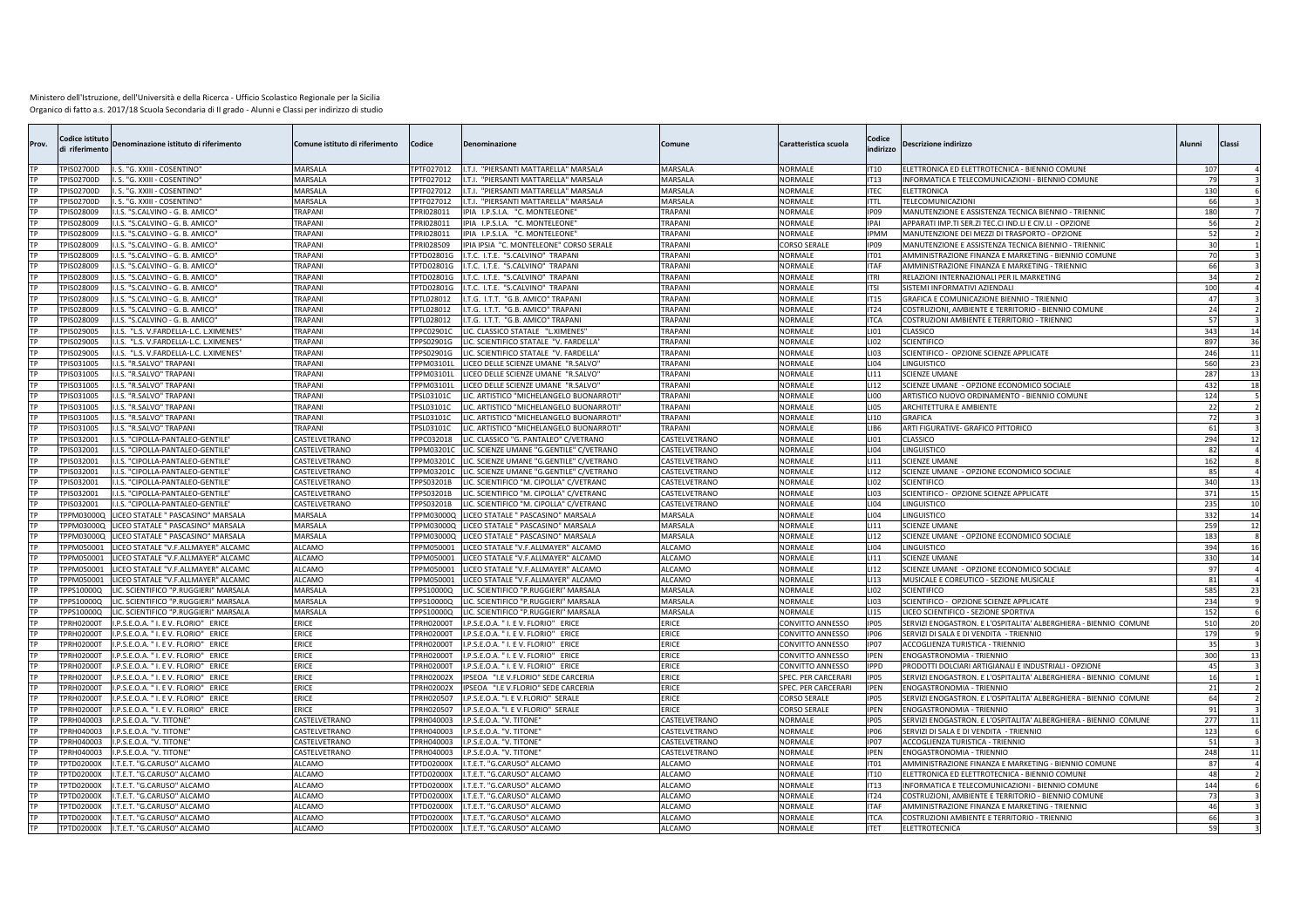| Prov. | odice istituto<br>di riferimento | Denominazione istituto di riferimento                                   | Comune istituto di riferimento | Codice                                 | Denominazione                                                           | Comune               | Caratteristica scuola                | Codice<br>indirizzo                  | Descrizione indirizzo                                                                                  | Alunni               | Classi |
|-------|----------------------------------|-------------------------------------------------------------------------|--------------------------------|----------------------------------------|-------------------------------------------------------------------------|----------------------|--------------------------------------|--------------------------------------|--------------------------------------------------------------------------------------------------------|----------------------|--------|
|       | <b>FPIS02700D</b>                | . S. "G. XXIII - COSENTINO"                                             | <b>MARSALA</b>                 | TPTF027012                             | I.T.I. "PIERSANTI MATTARELLA" MARSALA                                   | <b>MARSALA</b>       | <b>NORMALE</b>                       | IT10                                 | ELETTRONICA ED ELETTROTECNICA - BIENNIO COMUNE                                                         | 107                  |        |
|       | PIS02700D                        | S. "G. XXIII - COSENTINO"                                               | MARSALA                        | FPTF027012                             | I.T.I. "PIERSANTI MATTARELLA" MARSALA                                   | <b>MARSALA</b>       | <b>NORMALE</b>                       | <b>IT13</b>                          | INFORMATICA E TELECOMUNICAZIONI - BIENNIO COMUNE                                                       |                      |        |
|       | PIS02700D                        | . S. "G. XXIII - COSENTINO"                                             | MARSALA                        | TPTF027012                             | I.T.I. "PIERSANTI MATTARELLA" MARSALA                                   | <b>MARSALA</b>       | <b>NORMALE</b>                       | <b>ITEC</b>                          | <b>FI FTTRONICA</b>                                                                                    | 130                  |        |
| TP    | PIS02700D                        | . S. "G. XXIII - COSENTINO"                                             | MARSALA                        | TPTF027012                             | I.T.I. "PIERSANTI MATTARELLA" MARSALA                                   | <b>MARSALA</b>       | <b>NORMALE</b>                       | <b>ITTL</b>                          | TELECOMUNICAZIONI                                                                                      | 66                   |        |
|       | PIS028009                        | .I.S. "S.CALVINO - G. B. AMICO'                                         | <b>TRAPANI</b>                 | FPRI028011                             | IPIA I.P.S.I.A. "C. MONTELEONE                                          | <b>RAPANI</b>        | <b>NORMALE</b>                       | IP09                                 | MANUTENZIONE E ASSISTENZA TECNICA BIENNIO - TRIENNIC                                                   | 180                  |        |
|       | PIS028009                        | .I.S. "S.CALVINO - G. B. AMICO'                                         | <b>RAPANI</b>                  | FPRI028011                             | IPIA I.P.S.I.A. "C. MONTELEONE"                                         | RAPANI               | NORMALE                              | <b>IPAI</b>                          | APPARATI IMP.TI SER.ZI TEC.CI IND.LI E CIV.LI - OPZIONE                                                | 56                   |        |
|       | PIS028009                        | .I.S. "S.CALVINO - G. B. AMICO                                          | <b>RAPANI</b>                  | TPRI028011                             | IPIA I.P.S.I.A. "C. MONTELEONE                                          | RAPANI               | NORMALE                              | <b>IPMM</b>                          | MANUTENZIONE DEI MEZZI DI TRASPORTO - OPZIONE                                                          |                      |        |
|       | PIS028009                        | I.S. "S.CALVINO - G. B. AMICO'                                          | <b>RAPANI</b>                  | FPRI028509                             | IPIA IPSIA "C. MONTELEONE" CORSO SERALE                                 | RAPANI               | CORSO SERAL                          | <b>IP09</b>                          | MANUTENZIONE E ASSISTENZA TECNICA BIENNIO - TRIENNIC                                                   |                      |        |
|       | PIS028009<br>PIS028009           | I.S. "S.CALVINO - G. B. AMICO                                           | <b>RAPANI</b><br>RAPANI        | <b>PTD02801G</b><br>PTD02801G          | .T.C. I.T.E. "S.CALVINO" TRAPANI<br>.T.C. I.T.E. "S.CALVINO" TRAPANI    | RAPANI<br>RAPANI     | <b>NORMALE</b><br>NORMALE            | ITO1<br><b>ITAF</b>                  | AMMINISTRAZIONE FINANZA E MARKETING - BIENNIO COMUNE<br>AMMINISTRAZIONE FINANZA E MARKETING - TRIENNIO | 66                   |        |
| TP    | PIS028009                        | .I.S. "S.CALVINO - G. B. AMICO'                                         | <b>RAPANI</b>                  |                                        |                                                                         | RAPANI               | <b>NORMALE</b>                       | <b>ITRI</b>                          | RELAZIONI INTERNAZIONALI PER IL MARKETING                                                              | $\mathcal{R}$        |        |
|       | PIS028009                        | .I.S. "S.CALVINO - G. B. AMICO<br>.I.S. "S.CALVINO - G. B. AMICO'       | <b>RAPANI</b>                  | TPTD02801G<br>PTD02801G                | .T.C. I.T.E. "S.CALVINO" TRAPANI                                        | RAPANI               | <b>NORMALE</b>                       | <b>ITSI</b>                          | SISTEMI INFORMATIVI AZIENDAL                                                                           | 100                  |        |
|       | PIS028009                        | .I.S. "S.CALVINO - G. B. AMICO'                                         | <b>TRAPANI</b>                 | <b>FPTL028012</b>                      | I.T.C. I.T.E. "S.CALVINO" TRAPANI<br>T.G. I.T.T. "G.B. AMICO" TRAPANI   | <b>RAPANI</b>        | <b>NORMALE</b>                       | <b>IT15</b>                          | GRAFICA E COMUNICAZIONE BIENNIO - TRIENNIO                                                             | $\overline{4}$       |        |
|       | PIS028009                        | I.I.S. "S.CALVINO - G. B. AMICO"                                        | <b>TRAPANI</b>                 | TPTL028012                             | I.T.G. I.T.T. "G.B. AMICO" TRAPANI                                      | <b>RAPANI</b>        | <b>NORMALE</b>                       | <b>IT24</b>                          | COSTRUZIONI, AMBIENTE E TERRITORIO - BIENNIO COMUNE                                                    | 21                   |        |
|       | PIS028009                        | .I.S. "S.CALVINO - G. B. AMICO'                                         | <b>RAPANI</b>                  | TPTL028012                             | .T.G. I.T.T. "G.B. AMICO" TRAPANI                                       | RAPANI               | <b>NORMALE</b>                       | <b>ITCA</b>                          | COSTRUZIONI AMBIENTE E TERRITORIO - TRIENNIC                                                           | 57                   |        |
|       | PIS029005                        | .I.S. "L.S. V.FARDELLA-L.C. L.XIMENES'                                  | <b>TRAPANI</b>                 | FPPC02901C                             | LIC. CLASSICO STATALE "L.XIMENES'                                       | <b>RAPANI</b>        | <b>NORMALE</b>                       | <b>LI01</b>                          | CLASSICO                                                                                               | 343                  |        |
|       | PIS029005                        | .I.S. "L.S. V.FARDELLA-L.C. L.XIMENES'                                  | <b>RAPANI</b>                  | PPS02901G                              | LIC. SCIENTIFICO STATALE "V. FARDELLA                                   | RAPANI               | NORMALE                              | <b>LIO2</b>                          | <b>SCIENTIFICO</b>                                                                                     | 897                  |        |
|       | PIS029005                        | .I.S. "L.S. V.FARDELLA-L.C. L.XIMENES"                                  | RAPANI                         | PPS02901G                              | LIC. SCIENTIFICO STATALE "V. FARDELLA                                   | <b>RAPANI</b>        | <b>NORMALE</b>                       | LI03                                 | SCIENTIFICO - OPZIONE SCIENZE APPLICATE                                                                | 246                  | 11     |
|       | PIS031005                        | I.S. "R.SALVO" TRAPANI                                                  | RAPANI                         | PPM03101L                              | ICEO DELLE SCIENZE UMANE "R.SALVO"                                      | RAPANI               | <b>NORMALE</b>                       | <b>LI04</b>                          | LINGUISTICO                                                                                            | 560                  | 23     |
|       | PIS031005                        | I.S. "R.SALVO" TRAPANI                                                  | RAPANI                         | <b>FPPM03101L</b>                      | ICEO DELLE SCIENZE UMANE "R.SALVO"                                      | RAPANI               | NORMALE                              | <b>LI11</b>                          | SCIENZE UMANE                                                                                          | 28                   |        |
|       | PIS031005                        | .I.S. "R.SALVO" TRAPANI                                                 | RAPANI                         | FPM03101L                              | LICEO DELLE SCIENZE UMANE "R.SALVO"                                     | RAPANI               | <b>NORMALE</b>                       | LI12                                 | SCIENZE UMANE - OPZIONE ECONOMICO SOCIALE                                                              | 432                  | 18     |
|       | PIS031005                        | .I.S. "R.SALVO" TRAPANI                                                 | <b>RAPANI</b>                  | TPSL03101C                             | LIC. ARTISTICO "MICHELANGELO BUONARROTI                                 | RAPANI               | <b>NORMALE</b>                       | LIOO                                 | ARTISTICO NUOVO ORDINAMENTO - BIENNIO COMUNE                                                           | 124                  |        |
|       | PIS031005                        | I.S. "R.SALVO" TRAPAN                                                   | <b>RAPAN</b>                   | <b>FPSL03101C</b>                      | LIC. ARTISTICO "MICHELANGELO BUONARROTI                                 | RAPANI               | <b>NORMALE</b>                       | <b>LIO5</b>                          | <b>ARCHITETTURA E AMBIENTE</b>                                                                         |                      |        |
|       | PIS031005                        | .I.S. "R.SALVO" TRAPANI                                                 | <b>RAPANI</b>                  | PSL03101C                              | LIC. ARTISTICO "MICHELANGELO BUONARROTI                                 | RAPANI               | <b>NORMALE</b>                       | <b>LI10</b>                          | GRAFICA                                                                                                | 72                   |        |
| TP    | PIS031005                        | .I.S. "R.SALVO" TRAPANI                                                 | <b>RAPANI</b>                  | TPSL03101C                             | LIC. ARTISTICO "MICHELANGELO BUONARROTI"                                | RAPANI               | <b>NORMALE</b>                       | LIB6                                 | ARTI FIGURATIVE- GRAFICO PITTORICO                                                                     | - 61                 |        |
| TP    | PIS032001                        | I.S. "CIPOLLA-PANTALEO-GENTILE"                                         | CASTELVETRANO                  | FPPC032018                             | LIC. CLASSICO "G. PANTALEO" C/VETRANO                                   | CASTELVETRANO        | <b>NORMALE</b>                       | <b>LIO1</b>                          | CLASSICO                                                                                               | 294                  |        |
|       | PIS032001                        | I.S. "CIPOLLA-PANTALEO-GENTILE                                          | CASTELVETRANO                  | <b>FPPM03201C</b>                      | LIC. SCIENZE UMANE "G.GENTILE" C/VETRANO                                | CASTELVETRANO        | <b>NORMALE</b>                       | 1104                                 | LINGUISTICO                                                                                            | 83                   |        |
|       | PIS032001                        | .I.S. "CIPOLLA-PANTALEO-GENTILE"                                        | CASTELVETRANO                  | PPM03201C                              | LIC. SCIENZE UMANE "G.GENTILE" C/VETRANO                                | CASTELVETRANO        | NORMALE                              | L111                                 | <b>SCIENZE UMANE</b>                                                                                   | 162                  |        |
|       | PIS032001                        | .I.S. "CIPOLLA-PANTALEO-GENTILE'                                        | CASTELVETRANO                  | TPPM03201C                             | LIC. SCIENZE UMANE "G.GENTILE" C/VETRANO                                | CASTELVETRANO        | <b>NORMALE</b>                       | LI12                                 | SCIENZE UMANE - OPZIONE ECONOMICO SOCIALE                                                              | 8 <sup>L</sup>       |        |
|       | PIS032001                        | I.S. "CIPOLLA-PANTALEO-GENTILE                                          | CASTELVETRANO                  | <b>FPPS03201B</b>                      | IC. SCIENTIFICO "M. CIPOLLA" C/VETRANO                                  | CASTELVETRANO        | NORMALE                              | LI02                                 | <b>SCIENTIFICO</b>                                                                                     | 340                  | 13     |
|       | PIS032001                        | .I.S. "CIPOLLA-PANTALEO-GENTILE                                         | CASTELVETRANO                  | TPPS03201B                             | LIC. SCIENTIFICO "M. CIPOLLA" C/VETRANC                                 | CASTELVETRANO        | NORMALE                              | LI03                                 | SCIENTIFICO - OPZIONE SCIENZE APPLICATE                                                                | 371                  |        |
|       | PIS032001                        | I.S. "CIPOLLA-PANTALEO-GENTILE                                          | CASTELVETRANO                  | FPPS03201B                             | IC. SCIENTIFICO "M. CIPOLLA" C/VETRANO                                  | CASTELVETRANO        | NORMALE                              | 1104                                 | LINGUISTICO                                                                                            | 235                  | 10     |
|       | PPM03000Q                        | ICEO STATALE " PASCASINO" MARSALA                                       | MARSALA                        | PPM03000Q                              | LICEO STATALE " PASCASINO" MARSALA                                      | MARSALA              | NORMALE                              | LI04                                 | LINGUISTICO                                                                                            | 332                  | 14     |
|       | PPM03000Q                        | ICEO STATALE " PASCASINO" MARSALA                                       | MARSALA                        | PPM03000Q                              | ICEO STATALE " PASCASINO" MARSALA                                       | MARSALA              | <b>NORMALE</b>                       | <b>LI11</b>                          | <b>SCIENZE UMANE</b>                                                                                   | 25!                  | 12     |
|       | PPM03000Q                        | ICEO STATALE " PASCASINO" MARSALA                                       | MARSALA                        | PPM03000Q                              | ICEO STATALE " PASCASINO" MARSALA                                       | MARSALA              | <b>NORMALE</b>                       | LI2                                  | SCIENZE UMANE - OPZIONE ECONOMICO SOCIALE                                                              | 183                  |        |
|       | PPM050001                        | ICEO STATALE "V.F.ALLMAYER" ALCAMO                                      | ALCAMO                         | FPPM050001                             | LICEO STATALE "V.F.ALLMAYER" ALCAMO                                     | ALCAMO               | <b>NORMALE</b>                       | <b>LI04</b>                          | LINGUISTICO                                                                                            | 394                  | 16     |
|       | PPM050001                        | LICEO STATALE "V.F.ALLMAYER" ALCAMO                                     | <b>ALCAMO</b>                  | TPPM050001                             | LICEO STATALE "V.F.ALLMAYER" ALCAMO                                     | <b>ALCAMO</b>        | <b>NORMALE</b>                       | <b>LI11</b>                          | <b>SCIENZE UMANE</b>                                                                                   | 330                  | 14     |
|       | <b>FPPM050001</b>                | ICEO STATALE "V.F.ALLMAYER" ALCAMO                                      | <b>ALCAMO</b>                  | FPPM050001                             | LICEO STATALE "V.F.ALLMAYER" ALCAMO                                     | <b>ALCAMO</b>        | <b>NORMALE</b>                       | <b>LI12</b>                          | SCIENZE UMANE - OPZIONE ECONOMICO SOCIALE                                                              |                      |        |
|       | PPM050001                        | ICEO STATALE "V.F.ALLMAYER" ALCAMO                                      | ALCAMO                         | PPM050001                              | LICEO STATALE "V.F.ALLMAYER" ALCAMO                                     | ALCAMO               | NORMALE                              | 1113                                 | MUSICALE E COREUTICO - SEZIONE MUSICALE                                                                | 81                   |        |
|       | PPS10000Q                        | IC. SCIENTIFICO "P.RUGGIERI" MARSALA                                    | MARSALA                        | PPS10000Q                              | LIC. SCIENTIFICO "P.RUGGIERI" MARSALA                                   | MARSALA              | <b>NORMALE</b>                       | LI02                                 | <b>SCIENTIFICO</b>                                                                                     | 585                  | 23     |
|       | PPS10000Q                        | IC. SCIENTIFICO "P.RUGGIERI" MARSALA                                    | MARSALA                        | PPS10000Q                              | LIC. SCIENTIFICO "P.RUGGIERI" MARSALA                                   | MARSALA              | NORMALE                              | LI03                                 | SCIENTIFICO - OPZIONE SCIENZE APPLICATE                                                                | 234                  |        |
|       | PPS10000Q                        | IC. SCIENTIFICO "P.RUGGIERI" MARSALA                                    | <b>MARSALA</b>                 | TPPS10000Q                             | C. SCIENTIFICO "P.RUGGIERI" MARSALA                                     | MARSALA              | <b>NORMALE</b>                       | <b>LI15</b>                          | LICEO SCIENTIFICO - SEZIONE SPORTIVA                                                                   | 152                  |        |
|       | <b>PRH02000T</b>                 | .P.S.E.O.A. "I. E V. FLORIO" ERICE                                      | RICF                           | <b>PRH02000T</b>                       | P.S.E.O.A. "I. E V. FLORIO" ERICE                                       | RICE                 | CONVITTO ANNESSO                     | IP <sub>05</sub>                     | SERVIZI ENOGASTRON. E L'OSPITALITA' ALBERGHIERA - BIENNIO COMUNE                                       | 510                  |        |
|       | <b>PRH02000T</b><br>PRH02000T    | P.S.E.O.A. "I. E V. FLORIO" ERICE<br>P.S.E.O.A. " I. E V. FLORIO" ERICE | RICE<br>RICE                   | <b>TPRH02000T</b><br><b>FPRH02000T</b> | P.S.E.O.A. "I. E V. FLORIO" ERICE<br>P.S.E.O.A. " I. E V. FLORIO" ERICE | <b>ERICE</b><br>RICE | CONVITTO ANNESSO<br>CONVITTO ANNESSO | IP <sub>06</sub><br>IP <sub>07</sub> | SERVIZI DI SALA E DI VENDITA - TRIENNIO<br>ACCOGLIENZA TURISTICA - TRIENNIO                            | 179                  |        |
|       | <b>PRH02000T</b>                 | .P.S.E.O.A. "I. E V. FLORIO" ERICE                                      | RICE                           | <b>FPRH02000T</b>                      | .P.S.E.O.A. "I. E V. FLORIO" ERICE                                      | ERICE                | CONVITTO ANNESSO                     | <b>IPFN</b>                          | <b>ENOGASTRONOMIA - TRIENNIO</b>                                                                       | 300                  |        |
| TP    | <b>PRH02000T</b>                 | .P.S.E.O.A. "I. E V. FLORIO" ERICE                                      | <b>RICE</b>                    | <b>FPRH02000T</b>                      | .P.S.E.O.A. "I. E V. FLORIO" ERICE                                      | RICE                 | <b>CONVITTO ANNESSO</b>              | <b>IPPD</b>                          | PRODOTTI DOLCIARI ARTIGIANALI E INDUSTRIALI - OPZIONE                                                  | $\mathbf{A}$         |        |
| TP    | <b>PRH02000T</b>                 | .P.S.E.O.A. " I. E V. FLORIO" ERICE                                     | ERICE                          | <b>FPRH02002X</b>                      | PSEOA "I.E V.FLORIO" SEDE CARCERIA                                      | ERICE                | SPEC. PER CARCERARI                  | <b>IP05</b>                          | SERVIZI ENOGASTRON. E L'OSPITALITA' ALBERGHIERA - BIENNIO COMUNE                                       | -16                  |        |
|       | <b>PRH02000T</b>                 | .P.S.E.O.A. "I. E V. FLORIO" ERICE                                      | RICE                           | <b>FPRH02002X</b>                      | PSEOA "I.E V.FLORIO" SEDE CARCERIA                                      | ERICE                | <b>SPEC. PER CARCERARI</b>           | <b>IPEN</b>                          | ENOGASTRONOMIA - TRIENNIO                                                                              | $\mathcal{D}$        |        |
|       | <b>PRH02000T</b>                 | I.P.S.E.O.A. "I. E V. FLORIO" ERICE                                     | RICE                           | FPRH020507                             | .P.S.E.O.A. "I. E V.FLORIO" SERALE                                      | ERICE                | <b>CORSO SERALE</b>                  | <b>IP05</b>                          | SERVIZI ENOGASTRON. E L'OSPITALITA' ALBERGHIERA - BIENNIO COMUNE                                       | 64                   |        |
|       | PRH02000T                        | I.P.S.E.O.A. "I. E V. FLORIO" ERICE                                     | FRICF                          | <b>FPRH020507</b>                      | I.P.S.E.O.A. "I. E V.FLORIO" SERALE                                     | ERICE                | <b>CORSO SERALE</b>                  | <b>IPEN</b>                          | ENOGASTRONOMIA - TRIENNIO                                                                              | q.                   |        |
|       | PRH040003                        | .P.S.E.O.A. "V. TITONE"                                                 | CASTELVETRANO                  | FPRH040003                             | .P.S.E.O.A. "V. TITONE"                                                 | CASTELVETRANO        | <b>NORMALE</b>                       | <b>IP05</b>                          | SERVIZI ENOGASTRON. E L'OSPITALITA' ALBERGHIERA - BIENNIO COMUNE                                       | 277                  | 11     |
|       | PRH040003                        | .P.S.E.O.A. "V. TITONE                                                  | CASTELVETRANO                  | FPRH040003                             | P.S.E.O.A. "V. TITONE                                                   | <b>ASTELVETRANO</b>  | <b>NORMALE</b>                       | IPO6                                 | SERVIZI DI SALA E DI VENDITA - TRIENNIO                                                                | 12                   |        |
|       | PRH040003                        | P.S.E.O.A. "V. TITONE                                                   | CASTELVETRANO                  | PRH040003                              | P.S.E.O.A. "V. TITONE                                                   | CASTELVETRANO        | NORMALE                              | IP <sub>07</sub>                     | ACCOGLIENZA TURISTICA - TRIENNIO                                                                       |                      |        |
|       | PRH040003                        | .P.S.E.O.A. "V. TITONE                                                  | CASTELVETRANO                  | FPRH040003                             | P.S.E.O.A. "V. TITONE                                                   | CASTELVETRANO        | NORMALE                              | <b>IPEN</b>                          | ENOGASTRONOMIA - TRIENNIO                                                                              | 248                  |        |
|       | PTD02000X                        | T.E.T. "G.CARUSO" ALCAMO                                                | <b>ILCAMO</b>                  | <b>FPTD02000X</b>                      | T.E.T. "G.CARUSO" ALCAMO                                                | <b>ILCAMO</b>        | <b>NORMALE</b>                       | IT <sub>01</sub>                     | AMMINISTRAZIONE FINANZA E MARKETING - BIENNIO COMUNE                                                   |                      |        |
|       | PTD02000X                        | T.E.T. "G.CARUSO" ALCAMO                                                | <b>ALCAMO</b>                  | <b>FPTD02000X</b>                      | T.E.T. "G.CARUSO" ALCAMO                                                | ALCAMO               | <b>NORMALE</b>                       | IT10                                 | ELETTRONICA ED ELETTROTECNICA - BIENNIO COMUNE                                                         | $\Delta$             |        |
|       | PTD02000X                        | I.T.E.T. "G.CARUSO" ALCAMO                                              | <b>ALCAMO</b>                  | TPTD02000X                             | .T.E.T. "G.CARUSO" ALCAMO                                               | ALCAMO               | <b>NORMALE</b>                       | IT13                                 | INFORMATICA E TELECOMUNICAZIONI - BIENNIO COMUNE                                                       | 144                  |        |
|       | <b>FPTD02000X</b>                | T.E.T. "G.CARUSO" ALCAMO                                                | <b>ALCAMO</b>                  | TPTD02000X                             | T.E.T. "G.CARUSO" ALCAMO                                                | <b>ALCAMO</b>        | <b>NORMALE</b>                       | IT24                                 | COSTRUZIONI, AMBIENTE E TERRITORIO - BIENNIO COMUNI                                                    |                      |        |
|       | <b>FPTD02000X</b>                | .T.E.T. "G.CARUSO" ALCAMO                                               | <b>ALCAMO</b>                  | <b>FPTD02000X</b>                      | .T.E.T. "G.CARUSO" ALCAMO                                               | ALCAMO               | <b>NORMALE</b>                       | <b>ITAF</b>                          | AMMINISTRAZIONE FINANZA E MARKETING - TRIENNIC                                                         | $\Lambda$ $\epsilon$ |        |
|       | PTD02000X                        | .T.E.T. "G.CARUSO" ALCAMO                                               | <b>ALCAMO</b>                  | <b>FPTD02000X</b>                      | I.T.E.T. "G.CARUSO" ALCAMO                                              | <b>ALCAMO</b>        | <b>NORMALE</b>                       | <b>ITCA</b>                          | COSTRUZIONI AMBIENTE E TERRITORIO - TRIENNIC                                                           | 66                   |        |
| TP    | TPTD02000X                       | I.T.E.T. "G.CARUSO" ALCAMO                                              | <b>ALCAMO</b>                  | TPTD02000X                             | I.T.E.T. "G.CARUSO" ALCAMO                                              | <b>ALCAMO</b>        | <b>NORMALE</b>                       | <b>ITET</b>                          | ELETTROTECNICA                                                                                         | ςc                   |        |